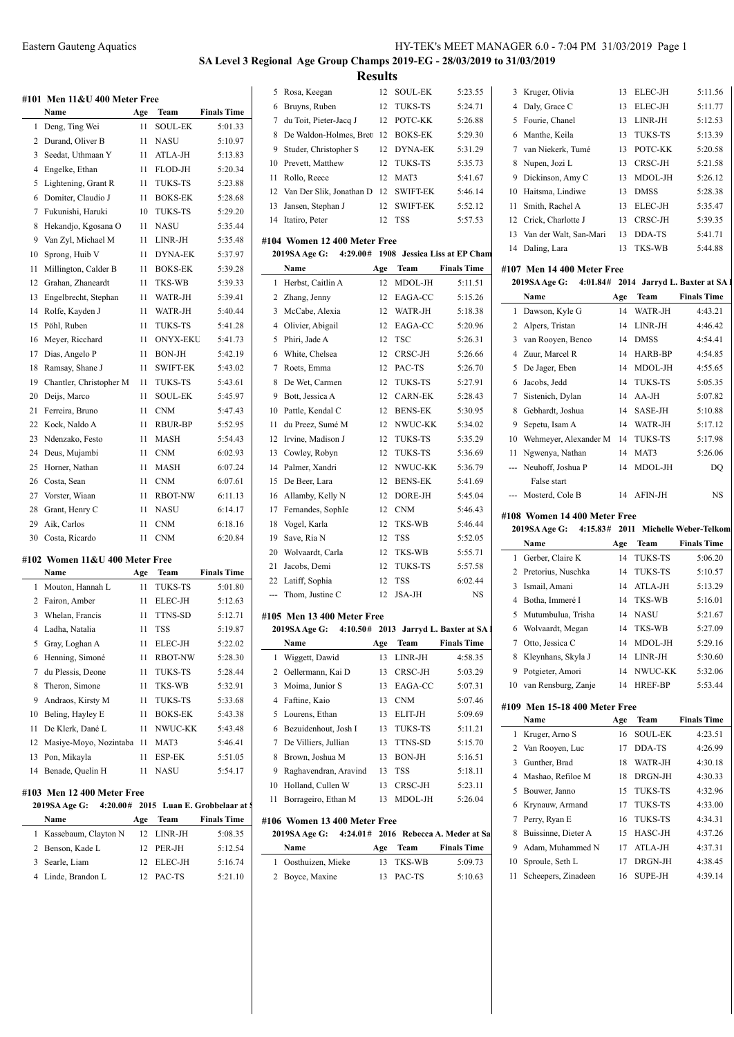### **SA Level 3 Regional Age Group Champs 2019-EG - 28/03/2019 to 31/03/2019 Results**

**#101 Men 11&U 400 Meter Free Name Age Team Finals Time** 1 Deng, Ting Wei 11 SOUL-EK 5:01.33 2 Durand, Oliver B 11 NASU 5:10.97 3 Seedat, Uthmaan Y 11 ATLA-JH 5:13.83 Engelke, Ethan 11 FLOD-JH 5:20.34 5 Lightening, Grant R 11 TUKS-TS 5:23.88 Domiter, Claudio J 11 BOKS-EK 5:28.68 Fukunishi, Haruki 10 TUKS-TS 5:29.20 8 Hekandjo, Kgosana O 11 NASU 5:35.44 Van Zyl, Michael M 11 LINR-JH 5:35.48 10 Sprong, Huib V 11 DYNA-EK 5:37.97 11 Millington, Calder B 11 BOKS-EK 5:39.28 Grahan, Zhaneardt 11 TKS-WB 5:39.33 Engelbrecht, Stephan 11 WATR-JH 5:39.41 14 Rolfe, Kayden J 11 WATR-JH 5:40.44 Pöhl, Ruben 11 TUKS-TS 5:41.28 Meyer, Ricchard 11 ONYX-EKU 5:41.73 Dias, Angelo P 11 BON-JH 5:42.19 18 Ramsay, Shane J 11 SWIFT-EK 5:43.02 19 Chantler, Christopher M 11 TUKS-TS 5:43.61 Deijs, Marco 11 SOUL-EK 5:45.97 Ferreira, Bruno 11 CNM 5:47.43 Kock, Naldo A 11 RBUR-BP 5:52.95 Ndenzako, Festo 11 MASH 5:54.43 Deus, Mujambi 11 CNM 6:02.93 Horner, Nathan 11 MASH 6:07.24 Costa, Sean 11 CNM 6:07.61 27 Vorster, Wiaan 11 RBOT-NW 6:11.13 28 Grant, Henry C 11 NASU 6:14.17 Aik, Carlos 11 CNM 6:18.16 Costa, Ricardo 11 CNM 6:20.84 **#102 Women 11&U 400 Meter Free Name Age Team Finals Time** 1 Mouton, Hannah L 11 TUKS-TS 5:01.80 Fairon, Amber 11 ELEC-JH 5:12.63 Whelan, Francis 11 TTNS-SD 5:12.71 Ladha, Natalia 11 TSS 5:19.87 Gray, Loghan A 11 ELEC-JH 5:22.02 Henning, Simoné 11 RBOT-NW 5:28.30 7 du Plessis, Deone 11 TUKS-TS 5:28.44 Theron, Simone 11 TKS-WB 5:32.91 Andraos, Kirsty M 11 TUKS-TS 5:33.68 Beling, Hayley E 11 BOKS-EK 5:43.38 11 De Klerk, Dané L 11 NWUC-KK 5:43.48 12 Masiye-Moyo, Nozintaba 11 MAT3 5:46.41 Pon, Mikayla 11 ESP-EK 5:51.05 14 Benade, Quelin H 11 NASU 5:54.17 **#103 Men 12 400 Meter Free 2019SA Age G:**  $4:20.00#$  **2015** Luan E. Grobbelaar at **Name Age Team Finals Time** 1 Kassebaum, Clayton N 12 LINR-JH 5:08.35 2 Benson, Kade L 12 PER-JH 5:12.54 Searle, Liam 12 ELEC-JH 5:16.74 4 Linde, Brandon L 12 PAC-TS 5:21.10

| 5   | Rosa, Keegan                     | 12  | <b>SOUL-EK</b>  | 5:23.55                                | 3            |
|-----|----------------------------------|-----|-----------------|----------------------------------------|--------------|
| 6   | Bruyns, Ruben                    | 12  | TUKS-TS         | 5:24.71                                | 4            |
| 7   | du Toit, Pieter-Jacq J           | 12  | POTC-KK         | 5:26.88                                | 5            |
| 8   | De Waldon-Holmes, Bret           | 12  | <b>BOKS-EK</b>  | 5:29.30                                | 6            |
| 9   | Studer, Christopher S            | 12  | <b>DYNA-EK</b>  | 5:31.29                                | 7            |
| 10  | Prevett, Matthew                 | 12  | <b>TUKS-TS</b>  | 5:35.73                                | 8            |
| 11  | Rollo, Reece                     | 12  | MAT3            | 5:41.67                                | 9            |
| 12  | Van Der Slik, Jonathan D         | 12  | <b>SWIFT-EK</b> | 5:46.14                                | 10           |
| 13  | Jansen, Stephan J                | 12  | <b>SWIFT-EK</b> | 5:52.12                                | 11           |
| 14  | Itatiro, Peter                   | 12  | <b>TSS</b>      | 5:57.53                                | 12           |
|     | #104 Women 12 400 Meter Free     |     |                 |                                        | 13           |
|     | 4:29.00#<br><b>2019SA Age G:</b> |     |                 | 1908 Jessica Liss at EP Cham           | 14           |
|     | Name                             | Age | Team            | <b>Finals Time</b>                     | #107         |
| 1   | Herbst, Caitlin A                | 12  | MDOL-JH         | 5:11.51                                | 20           |
| 2   | Zhang, Jenny                     | 12  | EAGA-CC         | 5:15.26                                |              |
| 3   | McCabe, Alexia                   | 12  | WATR-JH         | 5:18.38                                | $\mathbf{1}$ |
| 4   | Olivier, Abigail                 | 12  | EAGA-CC         | 5:20.96                                | 2            |
| 5   | Phiri, Jade A                    | 12  | <b>TSC</b>      | 5:26.31                                | 3            |
| 6   | White, Chelsea                   | 12  | CRSC-JH         | 5:26.66                                | 4            |
| 7   | Roets, Emma                      | 12  | PAC-TS          | 5:26.70                                | 5            |
| 8   | De Wet, Carmen                   | 12  | TUKS-TS         | 5:27.91                                | 6            |
| 9   | Bott, Jessica A                  | 12  | <b>CARN-EK</b>  | 5:28.43                                | 7            |
| 10  | Pattle, Kendal C                 | 12  | <b>BENS-EK</b>  | 5:30.95                                | 8            |
| 11  | du Preez, Sumé M                 | 12  | NWUC-KK         | 5:34.02                                | 9            |
| 12  | Irvine, Madison J                | 12  | <b>TUKS-TS</b>  | 5:35.29                                | 10           |
| 13  | Cowley, Robyn                    | 12  | TUKS-TS         | 5:36.69                                | 11           |
| 14  | Palmer, Xandri                   | 12  | NWUC-KK         | 5:36.79                                | ---          |
| 15  | De Beer, Lara                    | 12  | <b>BENS-EK</b>  | 5:41.69                                |              |
| 16  | Allamby, Kelly N                 | 12  | DORE-JH         | 5:45.04                                |              |
| 17  | Fernandes, SophIe                | 12  | <b>CNM</b>      | 5:46.43                                |              |
| 18  | Vogel, Karla                     | 12  | TKS-WB          | 5:46.44                                | #108<br>20   |
| 19  | Save, Ria N                      | 12  | <b>TSS</b>      | 5:52.05                                |              |
| 20  | Wolvaardt, Carla                 | 12  | TKS-WB          | 5:55.71                                | 1            |
| 21  | Jacobs, Demi                     | 12  | TUKS-TS         | 5:57.58                                | 2            |
| 22  | Latiff, Sophia                   | 12  | <b>TSS</b>      | 6:02.44                                | 3            |
| --- | Thom, Justine C                  | 12  | JSA-JH          | NS                                     | 4            |
|     | #105  Men 13 400 Meter Free      |     |                 |                                        | 5            |
|     | 2019SA Age G:                    |     |                 | 4:10.50# 2013 Jarryd L. Baxter at SA I | 6            |
|     | Name                             | Age | <b>Team</b>     | <b>Finals Time</b>                     | 7            |
| 1   | Wiggett, Dawid                   | 13  | LINR-JH         | 4:58.35                                | 8            |
| 2   | Oellermann, Kai D                | 13  | CRSC-JH         | 5:03.29                                | 9            |
| 3   | Moima, Junior S                  | 13  | EAGA-CC         | 5:07.31                                | 10           |
| 4   | Faftine, Kaio                    | 13  | CNM             | 5:07.46                                |              |
| 5   | Lourens, Ethan                   | 13  | ELIT-JH         | 5:09.69                                | #109         |
| 6   | Bezuidenhout, Josh I             | 13  | TUKS-TS         | 5:11.21                                |              |
|     |                                  |     |                 |                                        | $\mathbf{1}$ |

|    | Name                   | Age | <b>Team</b>    | <b>Finals Time</b> |
|----|------------------------|-----|----------------|--------------------|
|    | 1 Wiggett, Dawid       | 13  | LINR-JH        | 4:58.35            |
|    | 2 Oellermann, Kai D    | 13  | CRSC-JH        | 5:03.29            |
|    | 3 Moima, Junior S      | 13  | EAGA-CC        | 5:07.31            |
| 4  | Faftine, Kaio          | 13  | <b>CNM</b>     | 5:07.46            |
|    | 5 Lourens, Ethan       | 13  | ELIT-JH        | 5:09.69            |
|    | 6 Bezuidenhout, Josh I | 13  | <b>TUKS-TS</b> | 5:11.21            |
|    | 7 De Villiers, Jullian | 13  | <b>TTNS-SD</b> | 5:15.70            |
| 8  | Brown, Joshua M        | 13  | <b>BON-JH</b>  | 5:16.51            |
| 9  | Raghavendran, Aravind  | 13  | <b>TSS</b>     | 5:18.11            |
| 10 | Holland, Cullen W      | 13  | CRSC-JH        | 5:23.11            |
| 11 | Borrageiro, Ethan M    | 13  | MDOL-JH        | 5:26.04            |

#### **#106 Women 13 400 Meter Free**

| 2019SA Age G: 4:24.01# 2016 Rebecca A. Meder at Sa |     |           |                    |    |
|----------------------------------------------------|-----|-----------|--------------------|----|
| Name                                               | Age | Team      | <b>Finals Time</b> | 9  |
| 1 Oosthuizen, Mieke                                |     | 13 TKS-WB | 5:09.73            | 10 |
| 2 Boyce, Maxine                                    |     | 13 PAC-TS | 5:10.63            | 11 |

|     | 3 Kruger, Olivia          | 13 | ELEC-JH       | 5:11.56 |
|-----|---------------------------|----|---------------|---------|
| 4   | Daly, Grace C             | 13 | ELEC-JH       | 5:11.77 |
| 5.  | Fourie, Chanel            | 13 | LINR-JH       | 5:12.53 |
| 6   | Manthe, Keila             | 13 | TUKS-TS       | 5:13.39 |
|     | 7 van Niekerk, Tumé       | 13 | POTC-KK       | 5:20.58 |
| 8   | Nupen, Jozi L             | 13 | CRSC-JH       | 5:21.58 |
| 9   | Dickinson, Amy C          | 13 | MDOL-JH       | 5:26.12 |
| 10. | Haitsma, Lindiwe          | 13 | <b>DMSS</b>   | 5:28.38 |
| 11. | Smith, Rachel A           | 13 | ELEC-JH       | 5:35.47 |
|     | 12 Crick, Charlotte J     | 13 | CRSC-JH       | 5:39.35 |
|     | 13 Van der Walt, San-Mari | 13 | DDA-TS        | 5:41.71 |
| 14  | Daling, Lara              | 13 | <b>TKS-WB</b> | 5:44.88 |
|     |                           |    |               |         |

#### **#107 Men 14 400 Meter Free**

|    | <b>2019SA Age G:</b>  |     |                | 4:01.84# 2014 Jarryd L. Baxter at SA 1 |
|----|-----------------------|-----|----------------|----------------------------------------|
|    | Name                  | Age | Team           | <b>Finals Time</b>                     |
|    | 1 Dawson, Kyle G      | 14  | WATR-JH        | 4:43.21                                |
| 2  | Alpers, Tristan       | 14  | $LINR-JH$      | 4:46.42                                |
| 3  | van Rooyen, Benco     | 14  | <b>DMSS</b>    | 4:54.41                                |
|    | Zuur, Marcel R<br>4   | 14  | HARB-BP        | 4:54.85                                |
|    | De Jager, Eben<br>5.  | 14  | MDOL-JH        | 4:55.65                                |
| 6  | Jacobs, Jedd          | 14  | TUKS-TS        | 5:05.35                                |
| 7  | Sistenich, Dylan      | 14  | $AA-JH$        | 5:07.82                                |
| 8  | Gebhardt, Joshua      | 14  | SASE-JH        | 5:10.88                                |
| 9  | Sepetu, Isam A        | 14  | WATR-JH        | 5:17.12                                |
| 10 | Wehmeyer, Alexander M | 14  | TUKS-TS        | 5:17.98                                |
| 11 | Ngwenya, Nathan       | 14  | MAT3           | 5:26.06                                |
|    | Neuhoff, Joshua P     | 14  | MDOL-JH        | DO                                     |
|    | False start           |     |                |                                        |
|    | Mosterd, Cole B       | 14  | <b>AFIN-JH</b> | <b>NS</b>                              |
|    |                       |     |                |                                        |

## **#108 Women 14 400 Meter Free**

|              | 2019SA Age G:       |     |            | 4:15.83# 2011 Michelle Weber-Telkom |
|--------------|---------------------|-----|------------|-------------------------------------|
|              | Name                | Age | Team       | <b>Finals Time</b>                  |
| $\mathbf{1}$ | Gerber, Claire K    | 14  | TUKS-TS    | 5:06.20                             |
| 2            | Pretorius, Nuschka  |     | 14 TUKS-TS | 5:10.57                             |
| 3            | Ismail, Amani       | 14  | ATLA-JH    | 5:13.29                             |
| 4            | Botha, Immeré I     |     | 14 TKS-WB  | 5:16.01                             |
| 5.           | Mutumbulua, Trisha  |     | 14 NASU    | 5:21.67                             |
| 6            | Wolvaardt, Megan    |     | 14 TKS-WB  | 5:27.09                             |
| 7            | Otto, Jessica C     | 14  | MDOL-JH    | 5:29.16                             |
| 8            | Kleynhans, Skyla J  | 14  | LINR-JH    | 5:30.60                             |
| 9            | Potgieter, Amori    |     | 14 NWUC-KK | 5:32.06                             |
| 10           | van Rensburg, Zanje | 14  | HREF-BP    | 5:53.44                             |
|              |                     |     |            |                                     |

#### **#109 Men 15-18 400 Meter Free**

|    | Name                | Age | <b>Team</b>    | <b>Finals Time</b> |
|----|---------------------|-----|----------------|--------------------|
| 1  | Kruger, Arno S      | 16  | <b>SOUL-EK</b> | 4:23.51            |
|    | 2 Van Rooyen, Luc   | 17  | DDA-TS         | 4:26.99            |
| 3  | Gunther, Brad       | 18  | WATR-JH        | 4:30.18            |
| 4  | Mashao, Refiloe M   | 18  | DRGN-JH        | 4:30.33            |
| 5. | Bouwer, Janno       | 15  | <b>TUKS-TS</b> | 4:32.96            |
| 6  | Krynauw, Armand     | 17  | <b>TUKS-TS</b> | 4:33.00            |
| 7  | Perry, Ryan E       | 16  | <b>TUKS-TS</b> | 4:34.31            |
| 8  | Buissinne, Dieter A | 15  | HASC-JH        | 4:37.26            |
| 9  | Adam, Muhammed N    | 17  | ATLA-JH        | 4:37.31            |
| 10 | Sproule, Seth L     | 17  | DRGN-JH        | 4:38.45            |
| 11 | Scheepers, Zinadeen | 16  | <b>SUPE-JH</b> | 4:39.14            |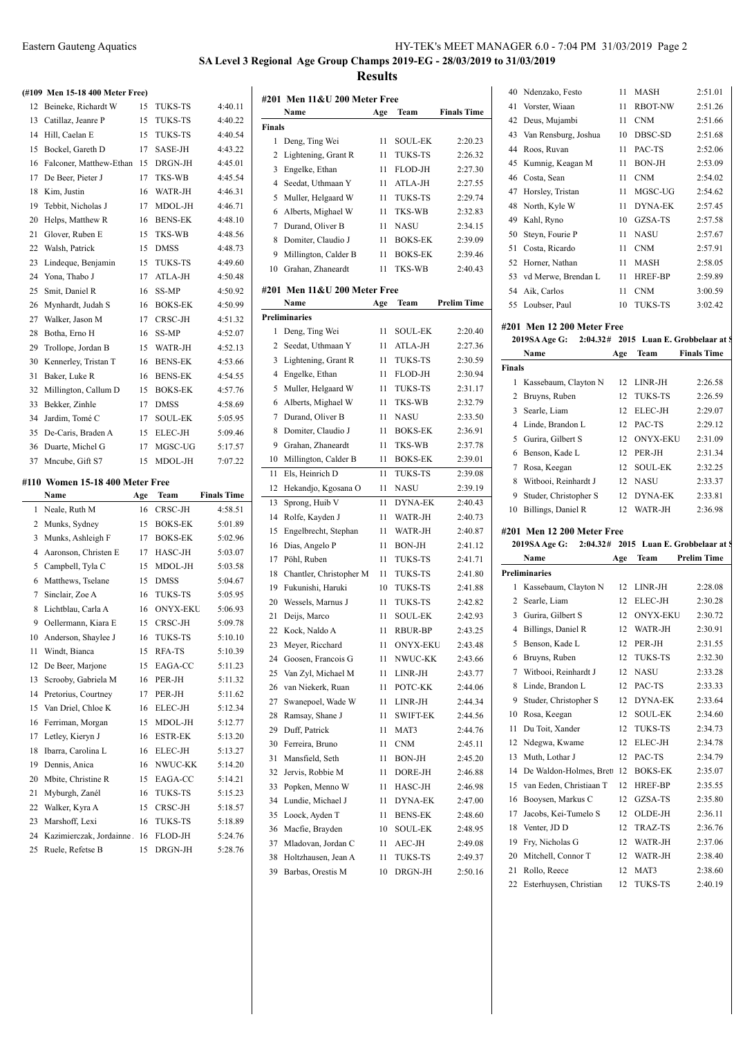# **SA Level 3 Regional Age Group Champs 2019-EG - 28/03/2019 to 31/03/2019 Results**

#### **(#109 Men 15-18 400 Meter Free)**

|    | (#109 Men 15-18 400 Meter Free) |     |                 |                    |
|----|---------------------------------|-----|-----------------|--------------------|
| 12 | Beineke, Richardt W             | 15  | TUKS-TS         | 4:40.11            |
| 13 | Catillaz, Jeanre P              | 15  | <b>TUKS-TS</b>  | 4:40.22            |
| 14 | Hill, Caelan E                  | 15  | <b>TUKS-TS</b>  | 4:40.54            |
| 15 | Bockel, Gareth D                | 17  | SASE-JH         | 4:43.22            |
| 16 | Falconer, Matthew-Ethan         | 15  | DRGN-JH         | 4:45.01            |
| 17 | De Beer, Pieter J               | 17  | TKS-WB          | 4:45.54            |
| 18 | Kim, Justin                     | 16  | WATR-JH         | 4:46.31            |
| 19 | Tebbit, Nicholas J              | 17  | MDOL-JH         | 4:46.71            |
| 20 | Helps, Matthew R                | 16  | <b>BENS-EK</b>  | 4:48.10            |
| 21 | Glover, Ruben E                 | 15  | TKS-WB          | 4:48.56            |
| 22 | Walsh, Patrick                  | 15  | <b>DMSS</b>     | 4:48.73            |
| 23 | Lindeque, Benjamin              | 15  | TUKS-TS         | 4:49.60            |
| 24 | Yona, Thabo J                   | 17  | ATLA-JH         | 4:50.48            |
| 25 | Smit, Daniel R                  | 16  | SS-MP           | 4:50.92            |
| 26 | Mynhardt, Judah S               | 16  | <b>BOKS-EK</b>  | 4:50.99            |
| 27 | Walker, Jason M                 | 17  | CRSC-JH         | 4:51.32            |
| 28 | Botha, Erno H                   | 16  | SS-MP           | 4:52.07            |
| 29 | Trollope, Jordan B              | 15  | WATR-JH         | 4:52.13            |
| 30 | Kennerley, Tristan T            | 16  | <b>BENS-EK</b>  | 4:53.66            |
| 31 | Baker, Luke R                   | 16  | <b>BENS-EK</b>  | 4:54.55            |
| 32 | Millington, Callum D            | 15  | <b>BOKS-EK</b>  | 4:57.76            |
| 33 | Bekker, Zinhle                  | 17  | <b>DMSS</b>     | 4:58.69            |
| 34 | Jardim, Tomé C                  | 17  | <b>SOUL-EK</b>  | 5:05.95            |
| 35 | De-Caris, Braden A              | 15  | ELEC-JH         | 5:09.46            |
| 36 | Duarte, Michel G                | 17  | MGSC-UG         | 5:17.57            |
| 37 |                                 |     |                 |                    |
|    |                                 |     |                 |                    |
|    | Mncube, Gift S7                 | 15  | MDOL-JH         | 7:07.22            |
|    | #110 Women 15-18 400 Meter Free |     |                 |                    |
|    | Name                            | Age | Team            | <b>Finals Time</b> |
| 1  | Neale, Ruth M                   | 16  | CRSC-JH         | 4:58.51            |
| 2  | Munks, Sydney                   | 15  | <b>BOKS-EK</b>  | 5:01.89            |
| 3  | Munks, Ashleigh F               | 17  | <b>BOKS-EK</b>  | 5:02.96            |
| 4  | Aaronson, Christen E            | 17  | HASC-JH         | 5:03.07            |
| 5  | Campbell, Tyla C                | 15  | MDOL-JH         | 5:03.58            |
| 6  | Matthews, Tselane               | 15  | <b>DMSS</b>     | 5:04.67            |
| 7  | Sinclair, Zoe A                 | 16  | TUKS-TS         | 5:05.95            |
| 8  | Lichtblau, Carla A              | 16  | <b>ONYX-EKU</b> | 5:06.93            |
| 9  | Oellermann, Kiara E             | 15  | CRSC-JH         | 5:09.78            |
| 10 | Anderson, Shaylee J             | 16  | TUKS-TS         | 5:10.10            |
| 11 | Windt, Bianca                   | 15  | RFA-TS          | 5:10.39            |
| 12 | De Beer, Marjone                | 15  | EAGA-CC         | 5:11.23            |
| 13 | Scrooby, Gabriela M             | 16  | PER-JH          | 5:11.32            |
| 14 | Pretorius, Courtney             | 17  | PER-JH          | 5:11.62            |
| 15 | Van Driel, Chloe K              | 16  | ELEC-JH         | 5:12.34            |
| 16 | Ferriman, Morgan                | 15  | MDOL-JH         | 5:12.77            |
| 17 | Letley, Kieryn J                | 16  | <b>ESTR-EK</b>  | 5:13.20            |
| 18 | Ibarra, Carolina L              | 16  | ELEC-JH         | 5:13.27            |
| 19 | Dennis, Anica                   | 16  | NWUC-KK         | 5:14.20            |
| 20 | Mbite, Christine R              | 15  | EAGA-CC         | 5:14.21            |
| 21 | Myburgh, Zanél                  | 16  | <b>TUKS-TS</b>  | 5:15.23            |
| 22 | Walker, Kyra A                  | 15  | CRSC-JH         | 5:18.57            |
| 23 | Marshoff, Lexi                  | 16  | TUKS-TS         | 5:18.89            |

Ruele, Refetse B 15 DRGN-JH 5:28.76

| #201 Men 11&U 200 Meter Free |                              |     |                 |                    |  |
|------------------------------|------------------------------|-----|-----------------|--------------------|--|
|                              | Name                         | Age | Team            | <b>Finals Time</b> |  |
| <b>Finals</b>                |                              |     |                 |                    |  |
| 1                            | Deng, Ting Wei               | 11  | <b>SOUL-EK</b>  | 2:20.23            |  |
| 2                            | Lightening, Grant R          | 11  | TUKS-TS         | 2:26.32            |  |
| 3                            | Engelke, Ethan               | 11  | FLOD-JH         | 2:27.30            |  |
| $\overline{4}$               | Seedat, Uthmaan Y            | 11  | ATLA-JH         | 2:27.55            |  |
| 5                            | Muller, Helgaard W           | 11  | TUKS-TS         | 2:29.74            |  |
| 6                            | Alberts, Mighael W           | 11  | TKS-WB          | 2:32.83            |  |
| 7                            | Durand, Oliver B             | 11  | <b>NASU</b>     | 2:34.15            |  |
| 8                            | Domiter, Claudio J           | 11  | <b>BOKS-EK</b>  | 2:39.09            |  |
| 9                            | Millington, Calder B         | 11  | <b>BOKS-EK</b>  | 2:39.46            |  |
| 10                           | Grahan, Zhaneardt            | 11  | TKS-WB          | 2:40.43            |  |
|                              |                              |     |                 |                    |  |
|                              | #201 Men 11&U 200 Meter Free |     |                 |                    |  |
|                              | Name                         | Age | Team            | <b>Prelim Time</b> |  |
|                              | <b>Preliminaries</b>         |     |                 |                    |  |
| 1                            | Deng, Ting Wei               | 11  | SOUL-EK         | 2:20.40            |  |
| 2                            | Seedat, Uthmaan Y            | 11  | ATLA-JH         | 2:27.36            |  |
| 3                            | Lightening, Grant R          | 11  | TUKS-TS         | 2:30.59            |  |
| 4                            | Engelke, Ethan               | 11  | FLOD-JH         | 2:30.94            |  |
| 5                            | Muller, Helgaard W           | 11  | TUKS-TS         | 2:31.17            |  |
| 6                            | Alberts, Mighael W           | 11  | TKS-WB          | 2:32.79            |  |
| 7                            | Durand, Oliver B             | 11  | <b>NASU</b>     | 2:33.50            |  |
| 8                            | Domiter, Claudio J           | 11  | <b>BOKS-EK</b>  | 2:36.91            |  |
| 9                            | Grahan, Zhaneardt            | 11  | TKS-WB          | 2:37.78            |  |
| 10                           | Millington, Calder B         | 11  | <b>BOKS-EK</b>  | 2:39.01            |  |
| 11                           | Els, Heinrich D              | 11  | <b>TUKS-TS</b>  | 2:39.08            |  |
| 12                           | Hekandjo, Kgosana O          | 11  | NASU            | 2:39.19            |  |
| 13                           | Sprong, Huib V               | 11  | <b>DYNA-EK</b>  | 2:40.43            |  |
| 14                           | Rolfe, Kayden J              | 11  | WATR-JH         | 2:40.73            |  |
| 15                           | Engelbrecht, Stephan         | 11  | WATR-JH         | 2:40.87            |  |
| 16                           | Dias, Angelo P               | 11  | <b>BON-JH</b>   | 2:41.12            |  |
| 17                           | Pöhl, Ruben                  | 11  | TUKS-TS         | 2:41.71            |  |
| 18                           | Chantler, Christopher M      | 11  | TUKS-TS         | 2:41.80            |  |
| 19                           | Fukunishi, Haruki            | 10  | <b>TUKS-TS</b>  | 2:41.88            |  |
| 20                           | Wessels, Marnus J            | 11  | TUKS-TS         | 2:42.82            |  |
| 21                           | Deijs, Marco                 | 11  | <b>SOUL-EK</b>  | 2:42.93            |  |
| 22                           | Kock, Naldo A                | 11  | RBUR-BP         | 2:43.25            |  |
| 23                           | Meyer, Ricchard              | 11  | <b>ONYX-EKU</b> | 2:43.48            |  |
| 24                           | Goosen, Francois G           | 11  | NWUC-KK         | 2:43.66            |  |
| 25                           | Van Zyl, Michael M           | 11  | LINR-JH         | 2:43.77            |  |
| 26                           | van Niekerk, Ruan            | 11  | POTC-KK         | 2:44.06            |  |
| 27                           | Swanepoel, Wade W            | 11  | LINR-JH         | 2:44.34            |  |
| 28                           | Ramsay, Shane J              | 11  | SWIFT-EK        | 2:44.56            |  |
| 29                           | Duff, Patrick                | 11  | MAT3            | 2:44.76            |  |
| 30                           | Ferreira, Bruno              | 11  | <b>CNM</b>      | 2:45.11            |  |
| 31                           | Mansfield, Seth              | 11  | BON-JH          | 2:45.20            |  |
| 32                           | Jervis, Robbie M             | 11  | DORE-JH         | 2:46.88            |  |
| 33                           | Popken, Menno W              | 11  | HASC-JH         | 2:46.98            |  |
| 34                           | Lundie, Michael J            | 11  | <b>DYNA-EK</b>  | 2:47.00            |  |
| 35                           | Loock, Ayden T               | 11  | <b>BENS-EK</b>  | 2:48.60            |  |
| 36                           | Macfie, Brayden              | 10  | <b>SOUL-EK</b>  | 2:48.95            |  |
| 37                           | Mladovan, Jordan C           | 11  | AEC-JH          | 2:49.08            |  |
| 38                           | Holtzhausen, Jean A          | 11  | TUKS-TS         | 2:49.37            |  |
| 39                           | Barbas, Orestis M            | 10  | DRGN-JH         | 2:50.16            |  |

| 41       | Vorster, Wiaan                         | 11       | <b>RBOT-NW</b>               | 2:51.26                                |
|----------|----------------------------------------|----------|------------------------------|----------------------------------------|
| 42       | Deus, Mujambi                          | 11       | <b>CNM</b>                   | 2:51.66                                |
| 43       | Van Rensburg, Joshua                   | 10       | DBSC-SD                      | 2:51.68                                |
|          | 44 Roos, Ruvan                         | 11       | PAC-TS                       | 2:52.06                                |
| 45       | Kumnig, Keagan M                       | 11       | <b>BON-JH</b>                | 2:53.09                                |
|          | 46 Costa, Sean                         | 11       | <b>CNM</b>                   | 2:54.02                                |
| 47       | Horsley, Tristan                       | 11       | MGSC-UG                      | 2:54.62                                |
|          | 48 North, Kyle W                       | 11       | <b>DYNA-EK</b>               | 2:57.45                                |
|          | 49 Kahl, Ryno                          | 10       | GZSA-TS                      | 2:57.58                                |
| 50       | Steyn, Fourie P                        | 11       | <b>NASU</b>                  | 2:57.67                                |
| 51       | Costa, Ricardo                         | 11       | <b>CNM</b>                   | 2:57.91                                |
|          | 52 Horner, Nathan                      | 11       | MASH                         | 2:58.05                                |
|          | 53 vd Merwe, Brendan L                 | 11       | HREF-BP                      | 2:59.89                                |
|          |                                        |          |                              |                                        |
|          | 54 Aik, Carlos                         | 11<br>10 | <b>CNM</b><br><b>TUKS-TS</b> | 3:00.59<br>3:02.42                     |
|          | 55 Loubser, Paul                       |          |                              |                                        |
|          | #201 Men 12 200 Meter Free             |          |                              |                                        |
|          | 2019SA Age G:                          |          |                              | 2:04.32# 2015 Luan E. Grobbelaar at \$ |
|          | Name                                   | Age      | Team                         | <b>Finals Time</b>                     |
| Finals   |                                        |          |                              |                                        |
| 1        | Kassebaum, Clayton N                   | 12       | LINR-JH                      | 2:26.58                                |
| 2        | Bruyns, Ruben                          | 12       | TUKS-TS                      | 2:26.59                                |
| 3        | Searle, Liam                           | 12       | ELEC-JH                      | 2:29.07                                |
|          | 4 Linde, Brandon L                     | 12       | PAC-TS                       | 2:29.12                                |
| 5        | Gurira, Gilbert S                      | 12       | <b>ONYX-EKU</b>              | 2:31.09                                |
|          | 6 Benson, Kade L                       | 12       | PER-JH                       | 2:31.34                                |
|          |                                        | 12       | <b>SOUL-EK</b>               | 2:32.25                                |
| 7        | Rosa, Keegan                           |          |                              |                                        |
| 8        | Witbooi, Reinhardt J                   | 12       | <b>NASU</b>                  | 2:33.37                                |
| 9        | Studer, Christopher S                  | 12       | DYNA-EK                      | 2:33.81                                |
| 10       | Billings, Daniel R                     | 12       | WATR-JH                      | 2:36.98                                |
|          |                                        |          |                              |                                        |
|          | #201 Men 12 200 Meter Free             |          |                              |                                        |
|          | 2019SA Age G:                          |          |                              | 2:04.32# 2015 Luan E. Grobbelaar at \$ |
|          | Name                                   | Age      | Team                         | <b>Prelim Time</b>                     |
|          | <b>Preliminaries</b>                   |          |                              |                                        |
| 1<br>2   | Kassebaum, Clayton N                   | 12<br>12 | LINR-JH                      | 2:28.08                                |
| 3        | Searle, Liam                           | 12       | ELEC-JH<br><b>ONYX-EKU</b>   | 2:30.28<br>2:30.72                     |
|          | Gurira, Gilbert S                      | 12       |                              |                                        |
| 5        | 4 Billings, Daniel R<br>Benson, Kade L | 12       | WATR-JH<br>PER-JH            | 2:30.91<br>2:31.55                     |
| 6        |                                        |          |                              | 2:32.30                                |
| 7        | Bruyns, Ruben<br>Witbooi, Reinhardt J  | 12<br>12 | TUKS-TS<br>NASU              | 2:33.28                                |
| 8        | Linde, Brandon L                       | 12       | PAC-TS                       |                                        |
|          |                                        |          |                              | 2:33.33                                |
| 9        | Studer, Christopher S                  | 12       | DYNA-EK                      | 2:33.64                                |
| 10       | Rosa, Keegan                           | 12       | SOUL-EK                      | 2:34.60                                |
| 11       | Du Toit, Xander                        | 12       | TUKS-TS                      | 2:34.73                                |
| 12       | Ndegwa, Kwame                          | 12       | ELEC-JH                      | 2:34.78                                |
| 13       | Muth, Lothar J                         | 12       | PAC-TS                       | 2:34.79                                |
| 14       | De Waldon-Holmes, Brett                | 12       | <b>BOKS-EK</b>               | 2:35.07                                |
| 15       | van Eeden, Christiaan T                | 12       | HREF-BP                      | 2:35.55                                |
| 16       | Booysen, Markus C                      | 12       | GZSA-TS                      | 2:35.80                                |
| 17       | Jacobs, Kei-Tumelo S                   | 12       | OLDE-JH                      | 2:36.11                                |
| 18       | Venter, JD D                           | 12       | TRAZ-TS                      | 2:36.76                                |
| 19       | Fry, Nicholas G                        | 12       | WATR-JH                      | 2:37.06                                |
| 20<br>21 | Mitchell, Connor T<br>Rollo, Reece     | 12<br>12 | WATR-JH<br>MAT3              | 2:38.40<br>2:38.60                     |

Esterhuysen, Christian 12 TUKS-TS 2:40.19

Ndenzako, Festo 11 MASH 2:51.01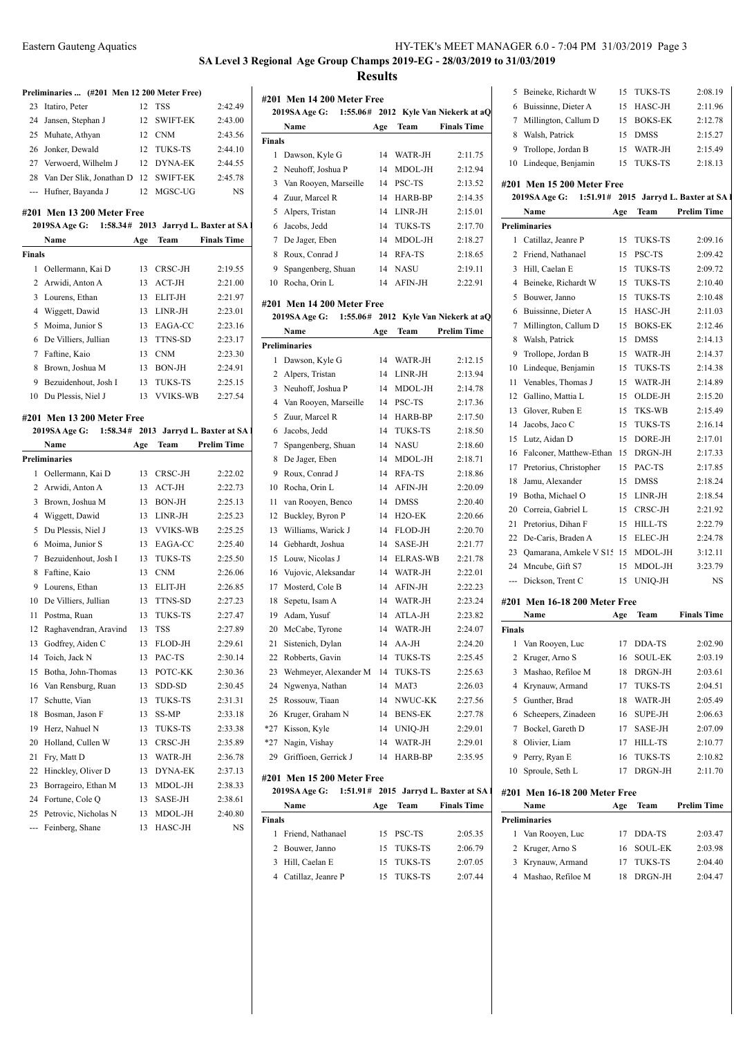**SA Level 3 Regional Age Group Champs 2019-EG - 28/03/2019 to 31/03/2019**

**Results**

|                                                                                                                                                                                                                                                                                                                                                                                                                                                                            | Preliminaries  (#201 Men 12 200 Meter Free)          |     |                               |                    |                          |
|----------------------------------------------------------------------------------------------------------------------------------------------------------------------------------------------------------------------------------------------------------------------------------------------------------------------------------------------------------------------------------------------------------------------------------------------------------------------------|------------------------------------------------------|-----|-------------------------------|--------------------|--------------------------|
| 23                                                                                                                                                                                                                                                                                                                                                                                                                                                                         | Itatiro, Peter                                       | 12  | <b>TSS</b>                    | 2:42.49            | #20                      |
| 24                                                                                                                                                                                                                                                                                                                                                                                                                                                                         | Jansen, Stephan J                                    | 12  | <b>SWIFT-EK</b>               | 2:43.00            | $\boldsymbol{z}$         |
| 25                                                                                                                                                                                                                                                                                                                                                                                                                                                                         | Muhate, Athyan                                       |     | 12 CNM                        | 2:43.56            |                          |
|                                                                                                                                                                                                                                                                                                                                                                                                                                                                            | 26 Jonker, Dewald                                    |     | 12 TUKS-TS                    | 2:44.10            | <b>Fina</b>              |
|                                                                                                                                                                                                                                                                                                                                                                                                                                                                            | 27 Verwoerd, Wilhelm J                               |     | 12 DYNA-EK                    | 2:44.55            | 1                        |
| 28                                                                                                                                                                                                                                                                                                                                                                                                                                                                         | Van Der Slik, Jonathan D                             |     | 12 SWIFT-EK                   | 2:45.78            | $\overline{c}$           |
| $\frac{1}{2} \left( \frac{1}{2} \right) \left( \frac{1}{2} \right) \left( \frac{1}{2} \right) \left( \frac{1}{2} \right) \left( \frac{1}{2} \right) \left( \frac{1}{2} \right) \left( \frac{1}{2} \right) \left( \frac{1}{2} \right) \left( \frac{1}{2} \right) \left( \frac{1}{2} \right) \left( \frac{1}{2} \right) \left( \frac{1}{2} \right) \left( \frac{1}{2} \right) \left( \frac{1}{2} \right) \left( \frac{1}{2} \right) \left( \frac{1}{2} \right) \left( \frac$ | Hufner, Bayanda J                                    | 12  | MGSC-UG                       | NS                 | 3                        |
|                                                                                                                                                                                                                                                                                                                                                                                                                                                                            |                                                      |     |                               |                    | 4                        |
|                                                                                                                                                                                                                                                                                                                                                                                                                                                                            | #201 Men 13 200 Meter Free                           |     |                               |                    | 5                        |
|                                                                                                                                                                                                                                                                                                                                                                                                                                                                            | 2019SA Age G: 1:58.34# 2013 Jarryd L. Baxter at SA 1 |     |                               |                    | $\epsilon$               |
|                                                                                                                                                                                                                                                                                                                                                                                                                                                                            | Name                                                 | Age | Team                          | <b>Finals Time</b> | 7                        |
| <b>Finals</b>                                                                                                                                                                                                                                                                                                                                                                                                                                                              |                                                      |     |                               |                    | 8                        |
| $\mathbf{1}$                                                                                                                                                                                                                                                                                                                                                                                                                                                               | Oellermann, Kai D                                    | 13  | CRSC-JH                       | 2:19.55            | ç                        |
| 2                                                                                                                                                                                                                                                                                                                                                                                                                                                                          | Arwidi, Anton A                                      | 13  | $ACT-JH$                      | 2:21.00            | 10                       |
| 3                                                                                                                                                                                                                                                                                                                                                                                                                                                                          | Lourens, Ethan                                       | 13  | ELIT-JH                       | 2:21.97            | #20                      |
| $\overline{4}$                                                                                                                                                                                                                                                                                                                                                                                                                                                             | Wiggett, Dawid                                       | 13  | LINR-JH                       | 2:23.01            | 2                        |
| 5                                                                                                                                                                                                                                                                                                                                                                                                                                                                          | Moima, Junior S                                      | 13  | EAGA-CC                       | 2:23.16            |                          |
| 6                                                                                                                                                                                                                                                                                                                                                                                                                                                                          | De Villiers, Jullian                                 | 13  | TTNS-SD                       | 2:23.17            | Prel                     |
| 7                                                                                                                                                                                                                                                                                                                                                                                                                                                                          | Faftine, Kaio                                        | 13  | <b>CNM</b>                    | 2:23.30            | 1                        |
| 8                                                                                                                                                                                                                                                                                                                                                                                                                                                                          | Brown, Joshua M                                      |     | 13 BON-JH                     | 2:24.91            | 2                        |
| 9                                                                                                                                                                                                                                                                                                                                                                                                                                                                          | Bezuidenhout, Josh I                                 | 13  | TUKS-TS                       | 2:25.15            | 3                        |
|                                                                                                                                                                                                                                                                                                                                                                                                                                                                            | 10 Du Plessis, Niel J                                | 13  | <b>VVIKS-WB</b>               | 2:27.54            | $\overline{\mathcal{L}}$ |
|                                                                                                                                                                                                                                                                                                                                                                                                                                                                            | #201 Men 13 200 Meter Free                           |     |                               |                    | 5                        |
|                                                                                                                                                                                                                                                                                                                                                                                                                                                                            | 2019SA Age G: 1:58.34#                               |     | 2013 Jarryd L. Baxter at SA I |                    | $\epsilon$               |
|                                                                                                                                                                                                                                                                                                                                                                                                                                                                            | Name                                                 | Age | Team                          | <b>Prelim Time</b> | 7                        |
|                                                                                                                                                                                                                                                                                                                                                                                                                                                                            | <b>Preliminaries</b>                                 |     |                               |                    | 8                        |
| 1                                                                                                                                                                                                                                                                                                                                                                                                                                                                          | Oellermann, Kai D                                    |     | 13 CRSC-JH                    | 2:22.02            | ç                        |
| 2                                                                                                                                                                                                                                                                                                                                                                                                                                                                          | Arwidi, Anton A                                      |     | 13 ACT-JH                     | 2:22.73            | 10                       |
| 3                                                                                                                                                                                                                                                                                                                                                                                                                                                                          | Brown, Joshua M                                      | 13  | BON-JH                        | 2:25.13            | 11                       |
| $\overline{4}$                                                                                                                                                                                                                                                                                                                                                                                                                                                             | Wiggett, Dawid                                       | 13  | LINR-JH                       | 2:25.23            | 12                       |
| 5                                                                                                                                                                                                                                                                                                                                                                                                                                                                          | Du Plessis, Niel J                                   | 13  | <b>VVIKS-WB</b>               | 2:25.25            | 13                       |
| 6                                                                                                                                                                                                                                                                                                                                                                                                                                                                          | Moima, Junior S                                      |     | 13 EAGA-CC                    | 2:25.40            | 14                       |
| 7                                                                                                                                                                                                                                                                                                                                                                                                                                                                          | Bezuidenhout, Josh I                                 | 13  | TUKS-TS                       | 2:25.50            | 15                       |
| 8                                                                                                                                                                                                                                                                                                                                                                                                                                                                          | Faftine, Kaio                                        | 13  | <b>CNM</b>                    | 2:26.06            | 16                       |
| 9                                                                                                                                                                                                                                                                                                                                                                                                                                                                          | Lourens, Ethan                                       | 13  | ELIT-JH                       | 2:26.85            | 17                       |
| 10                                                                                                                                                                                                                                                                                                                                                                                                                                                                         | De Villiers, Jullian                                 |     | 13 TTNS-SD                    | 2:27.23            | 18                       |
| 11                                                                                                                                                                                                                                                                                                                                                                                                                                                                         | Postma, Ruan                                         | 13  | <b>TUKS-TS</b>                | 2:27.47            | 19                       |
| 12                                                                                                                                                                                                                                                                                                                                                                                                                                                                         | Raghavendran, Aravind                                | 13  | <b>TSS</b>                    | 2:27.89            | 20                       |
| 13                                                                                                                                                                                                                                                                                                                                                                                                                                                                         | Godfrey, Aiden C                                     | 13  | FLOD-JH                       | 2:29.61            | 21                       |
| 14                                                                                                                                                                                                                                                                                                                                                                                                                                                                         | Toich, Jack N                                        | 13  | PAC-TS                        | 2:30.14            | 22                       |
| 15                                                                                                                                                                                                                                                                                                                                                                                                                                                                         | Botha, John-Thomas                                   | 13  | POTC-KK                       | 2:30.36            | 23                       |
| 16                                                                                                                                                                                                                                                                                                                                                                                                                                                                         | Van Rensburg, Ruan                                   | 13  | SDD-SD                        | 2:30.45            | 24                       |
| 17                                                                                                                                                                                                                                                                                                                                                                                                                                                                         | Schutte, Vian                                        | 13  | TUKS-TS                       | 2:31.31            | 25                       |
| 18                                                                                                                                                                                                                                                                                                                                                                                                                                                                         | Bosman, Jason F                                      | 13  | SS-MP                         | 2:33.18            | 26                       |
| 19                                                                                                                                                                                                                                                                                                                                                                                                                                                                         | Herz, Nahuel N                                       | 13  | TUKS-TS                       | 2:33.38            | $*27$                    |
| 20                                                                                                                                                                                                                                                                                                                                                                                                                                                                         | Holland, Cullen W                                    | 13  | CRSC-JH                       | 2:35.89            | *27                      |
| 21                                                                                                                                                                                                                                                                                                                                                                                                                                                                         | Fry, Matt D                                          | 13  | WATR-JH                       | 2:36.78            | 29                       |
| 22                                                                                                                                                                                                                                                                                                                                                                                                                                                                         | Hinckley, Oliver D                                   | 13  | <b>DYNA-EK</b>                | 2:37.13            |                          |
| 23                                                                                                                                                                                                                                                                                                                                                                                                                                                                         | Borrageiro, Ethan M                                  | 13  | MDOL-JH                       | 2:38.33            | #20                      |
| 24                                                                                                                                                                                                                                                                                                                                                                                                                                                                         | Fortune, Cole Q                                      | 13  | SASE-JH                       | 2:38.61            | $\boldsymbol{z}$         |
| 25                                                                                                                                                                                                                                                                                                                                                                                                                                                                         | Petrovic, Nicholas N                                 | 13  | MDOL-JH                       | 2:40.80            |                          |
| ---                                                                                                                                                                                                                                                                                                                                                                                                                                                                        | Feinberg, Shane                                      | 13  | HASC-JH                       | NS                 | Fina                     |
|                                                                                                                                                                                                                                                                                                                                                                                                                                                                            |                                                      |     |                               |                    | 1                        |

|        | #201 Men 14 200 Meter Free                         |          |                          |                                      | 5           |
|--------|----------------------------------------------------|----------|--------------------------|--------------------------------------|-------------|
|        | <b>2019SA Age G:</b>                               |          |                          | 1:55.06# 2012 Kyle Van Niekerk at aQ | 6           |
|        | Name                                               | Age      | Team                     | <b>Finals Time</b>                   | 7           |
| Finals |                                                    |          |                          |                                      | 8           |
|        | 1 Dawson, Kyle G                                   | 14       | WATR-JH                  | 2:11.75                              | 9           |
|        | 2 Neuhoff, Joshua P                                | 14       | MDOL-JH                  | 2:12.94                              | 10          |
|        | 3 Van Rooyen, Marseille                            |          | 14 PSC-TS                | 2:13.52                              | #201        |
|        | 4 Zuur, Marcel R                                   | 14       | HARB-BP                  | 2:14.35                              | 201         |
|        | 5 Alpers, Tristan                                  | 14       | LINR-JH                  | 2:15.01                              |             |
|        | 6 Jacobs, Jedd                                     | 14       | TUKS-TS                  | 2:17.70                              | Prelin      |
|        | 7 De Jager, Eben                                   | 14       | MDOL-JH                  | 2:18.27                              | 1           |
|        | 8 Roux, Conrad J                                   |          | 14 RFA-TS                | 2:18.65                              | 2           |
| 9      | Spangenberg, Shuan                                 |          | 14 NASU                  | 2:19.11                              | 3           |
|        | 10 Rocha, Orin L                                   |          | 14 AFIN-JH               | 2:22.91                              | 4           |
|        |                                                    |          |                          |                                      | 5           |
|        | #201 Men 14 200 Meter Free                         |          |                          |                                      | 6           |
|        | 2019SA Age G: 1:55.06# 2012 Kyle Van Niekerk at aQ |          |                          | <b>Prelim Time</b>                   | 7           |
|        | Name                                               | Age      | Team                     |                                      | 8           |
|        | <b>Preliminaries</b>                               |          |                          |                                      | 9           |
|        | 1 Dawson, Kyle G                                   | 14       | WATR-JH                  | 2:12.15                              | 10          |
|        | 2 Alpers, Tristan                                  | 14       | LINR-JH                  | 2:13.94                              | 11          |
|        | 3 Neuhoff, Joshua P                                | 14       | MDOL-JH                  | 2:14.78                              | 12          |
|        | 4 Van Rooyen, Marseille                            | 14       | PSC-TS                   | 2:17.36                              | 13          |
|        | 5 Zuur, Marcel R                                   | 14       | HARB-BP                  | 2:17.50                              | 14          |
|        | 6 Jacobs, Jedd                                     | 14       | TUKS-TS                  | 2:18.50                              | 15          |
| 7      | Spangenberg, Shuan                                 | 14       | NASU                     | 2:18.60                              | 16          |
| 8      | De Jager, Eben                                     | 14       | MDOL-JH                  | 2:18.71                              | 17          |
|        | 9 Roux, Conrad J                                   | 14       | RFA-TS                   | 2:18.86                              | 18          |
|        | 10 Rocha, Orin L                                   | 14       | AFIN-JH                  | 2:20.09                              | 19          |
| 11     | van Rooyen, Benco                                  | 14       | <b>DMSS</b>              | 2:20.40                              | 20          |
|        | 12 Buckley, Byron P                                | 14       | H2O-EK                   | 2:20.66                              | 21          |
| 13     | Williams, Warick J                                 | 14       | FLOD-JH                  | 2:20.70                              | 22          |
|        | 14 Gebhardt, Joshua                                | 14       | SASE-JH                  | 2:21.77                              | 23          |
|        | 15 Louw, Nicolas J                                 | 14       | <b>ELRAS-WB</b>          | 2:21.78                              | 24          |
|        | 16 Vujovic, Aleksandar                             |          | 14 WATR-JH               | 2:22.01                              | ---         |
|        | 17 Mosterd, Cole B                                 |          | 14 AFIN-JH<br>14 WATR-JH | 2:22.23                              |             |
| 18     | Sepetu, Isam A                                     |          |                          | 2:23.24                              | #201        |
|        | 19 Adam, Yusuf<br>20 McCabe, Tyrone                | 14       | ATLA-JH<br>WATR-JH       | 2:23.82<br>2:24.07                   |             |
|        | 21 Sistenich, Dylan                                | 14<br>14 | $AA-JH$                  | 2:24.20                              | Finals<br>1 |
|        | 22 Robberts, Gavin                                 | 14       | TUKS-TS                  | 2:25.45                              | 2           |
|        |                                                    |          | <b>TUKS-TS</b>           |                                      |             |
|        | 23 Wehmeyer, Alexander M<br>24 Ngwenya, Nathan     | 14<br>14 | MAT3                     | 2:25.63<br>2:26.03                   | 3<br>4      |
|        | 25 Rossouw, Tiaan                                  | 14       | NWUC-KK                  | 2:27.56                              | 5           |
|        |                                                    |          | <b>BENS-EK</b>           | 2:27.78                              |             |
|        | 26 Kruger, Graham N                                | 14<br>14 |                          |                                      | 6<br>7      |
|        | *27 Kisson, Kyle                                   | 14       | UNIQ-JH<br>WATR-JH       | 2:29.01<br>2:29.01                   | 8           |
| 29     | *27 Nagin, Vishay<br>Griffioen, Gerrick J          | 14       | HARB-BP                  | 2:35.95                              | 9           |
|        |                                                    |          |                          |                                      | 10          |
|        | #201 Men 15 200 Meter Free                         |          |                          |                                      |             |

|               | 2019SA Age G:      |     | 1:51.91# 2015 Jarryd L. Baxter at SA 1 |                    |  |
|---------------|--------------------|-----|----------------------------------------|--------------------|--|
|               | Name               | Age | Team                                   | <b>Finals Time</b> |  |
| <b>Finals</b> |                    |     |                                        |                    |  |
| L             | Friend, Nathanael  |     | 15 PSC-TS                              | 2:05.35            |  |
|               | 2 Bouwer, Janno    |     | 15 TUKS-TS                             | 2:06.79            |  |
| 3             | Hill, Caelan E     |     | 15 TUKS-TS                             | 2:07.05            |  |
|               | Catillaz, Jeanre P | 15. | TUKS-TS                                | 2:07.44            |  |

| 5                                                                                      | Beineke, Richardt W           | 15  | TUKS-TS        | 2:08.19            |  |  |  |
|----------------------------------------------------------------------------------------|-------------------------------|-----|----------------|--------------------|--|--|--|
| 6                                                                                      | Buissinne, Dieter A           | 15  | HASC-JH        | 2:11.96            |  |  |  |
| $\tau$                                                                                 | Millington, Callum D          | 15  | <b>BOKS-EK</b> | 2:12.78            |  |  |  |
| 8                                                                                      | Walsh, Patrick                | 15  | <b>DMSS</b>    | 2:15.27            |  |  |  |
|                                                                                        | 9 Trollope, Jordan B          | 15  | WATR-JH        | 2:15.49            |  |  |  |
| 10                                                                                     | Lindeque, Benjamin            | 15  | <b>TUKS-TS</b> | 2:18.13            |  |  |  |
|                                                                                        |                               |     |                |                    |  |  |  |
| #201 Men 15 200 Meter Free<br>2019SA Age G:<br>1:51.91#<br>2015 Jarryd L. Baxter at SA |                               |     |                |                    |  |  |  |
|                                                                                        | Name                          | Age | Team           | <b>Prelim Time</b> |  |  |  |
|                                                                                        | <b>Preliminaries</b>          |     |                |                    |  |  |  |
| $\mathbf{1}$                                                                           | Catillaz, Jeanre P            | 15  | <b>TUKS-TS</b> | 2:09.16            |  |  |  |
|                                                                                        | 2 Friend, Nathanael           | 15  | PSC-TS         | 2:09.42            |  |  |  |
| 3                                                                                      | Hill, Caelan E                | 15  | <b>TUKS-TS</b> | 2:09.72            |  |  |  |
| $\overline{4}$                                                                         | Beineke, Richardt W           | 15  | <b>TUKS-TS</b> | 2:10.40            |  |  |  |
| 5                                                                                      | Bouwer, Janno                 | 15  | <b>TUKS-TS</b> | 2:10.48            |  |  |  |
| 6                                                                                      | Buissinne, Dieter A           | 15  | HASC-JH        | 2:11.03            |  |  |  |
| 7                                                                                      | Millington, Callum D          | 15  | <b>BOKS-EK</b> | 2:12.46            |  |  |  |
| 8                                                                                      | Walsh, Patrick                | 15  | <b>DMSS</b>    | 2:14.13            |  |  |  |
| 9                                                                                      | Trollope, Jordan B            | 15  | WATR-JH        | 2:14.37            |  |  |  |
| 10                                                                                     | Lindeque, Benjamin            | 15  | <b>TUKS-TS</b> | 2:14.38            |  |  |  |
| $11 -$                                                                                 | Venables, Thomas J            | 15  | WATR-JH        | 2:14.89            |  |  |  |
|                                                                                        | 12 Gallino, Mattia L          | 15  | OLDE-JH        | 2:15.20            |  |  |  |
|                                                                                        | 13 Glover, Ruben E            | 15  | TKS-WB         | 2:15.49            |  |  |  |
| 14                                                                                     | Jacobs, Jaco C                | 15  | <b>TUKS-TS</b> | 2:16.14            |  |  |  |
| 15                                                                                     | Lutz, Aidan D                 | 15  | DORE-JH        | 2:17.01            |  |  |  |
| 16                                                                                     | Falconer, Matthew-Ethan       | 15  | DRGN-JH        | 2:17.33            |  |  |  |
|                                                                                        | 17 Pretorius, Christopher     | 15  | PAC-TS         | 2:17.85            |  |  |  |
| 18                                                                                     | Jamu, Alexander               | 15  | <b>DMSS</b>    | 2:18.24            |  |  |  |
| 19                                                                                     | Botha, Michael O              | 15  | LINR-JH        | 2:18.54            |  |  |  |
|                                                                                        | 20 Correia, Gabriel L         | 15  | CRSC-JH        | 2:21.92            |  |  |  |
| 21                                                                                     | Pretorius, Dihan F            | 15  | HILL-TS        | 2:22.79            |  |  |  |
|                                                                                        | 22 De-Caris, Braden A         | 15  | ELEC-JH        | 2:24.78            |  |  |  |
|                                                                                        | 23 Qamarana, Amkele V S1: 15  |     | MDOL-JH        | 3:12.11            |  |  |  |
|                                                                                        | 24 Mncube, Gift S7            | 15  | MDOL-JH        | 3:23.79            |  |  |  |
|                                                                                        |                               |     |                | <b>NS</b>          |  |  |  |
| ---                                                                                    | Dickson, Trent C              | 15  | UNIQ-JH        |                    |  |  |  |
|                                                                                        | #201 Men 16-18 200 Meter Free |     |                |                    |  |  |  |
|                                                                                        | Name                          | Age | Team           | <b>Finals Time</b> |  |  |  |
| <b>Finals</b>                                                                          |                               |     |                |                    |  |  |  |
| 1                                                                                      | Van Rooyen, Luc               | 17  | DDA-TS         | 2:02.90            |  |  |  |

|               | тания               | 73.ZC | теаш           | гицав типс |
|---------------|---------------------|-------|----------------|------------|
| <b>Finals</b> |                     |       |                |            |
| 1             | Van Rooyen, Luc     | 17    | DDA-TS         | 2:02.90    |
|               | 2 Kruger, Arno S    | 16    | <b>SOUL-EK</b> | 2:03.19    |
| 3             | Mashao, Refiloe M   | 18    | DRGN-JH        | 2:03.61    |
| 4             | Krynauw, Armand     | 17    | <b>TUKS-TS</b> | 2:04.51    |
| 5             | Gunther, Brad       | 18    | WATR-JH        | 2:05.49    |
| 6             | Scheepers, Zinadeen | 16    | <b>SUPE-JH</b> | 2:06.63    |
| 7             | Bockel, Gareth D    | 17    | <b>SASE-JH</b> | 2:07.09    |
| 8             | Olivier, Liam       | 17    | HILL-TS        | 2:10.77    |
| 9             | Perry, Ryan E       | 16    | <b>TUKS-TS</b> | 2:10.82    |
| 10            | Sproule, Seth L     | 17    | DRGN-JH        | 2:11.70    |
|               |                     |       |                |            |

# **#201 Men 16-18 200 Meter Free**

| Name                 | Age | Team       | <b>Prelim Time</b> |
|----------------------|-----|------------|--------------------|
| <b>Preliminaries</b> |     |            |                    |
| Van Rooyen, Luc      | 17  | DDA-TS     | 2:03.47            |
| 2 Kruger, Arno S     |     | 16 SOUL-EK | 2:03.98            |
| 3 Krynauw, Armand    | 17  | TUKS-TS    | 2:04.40            |
| Mashao, Refiloe M    | 18  | DRGN-JH    | 2:04.47            |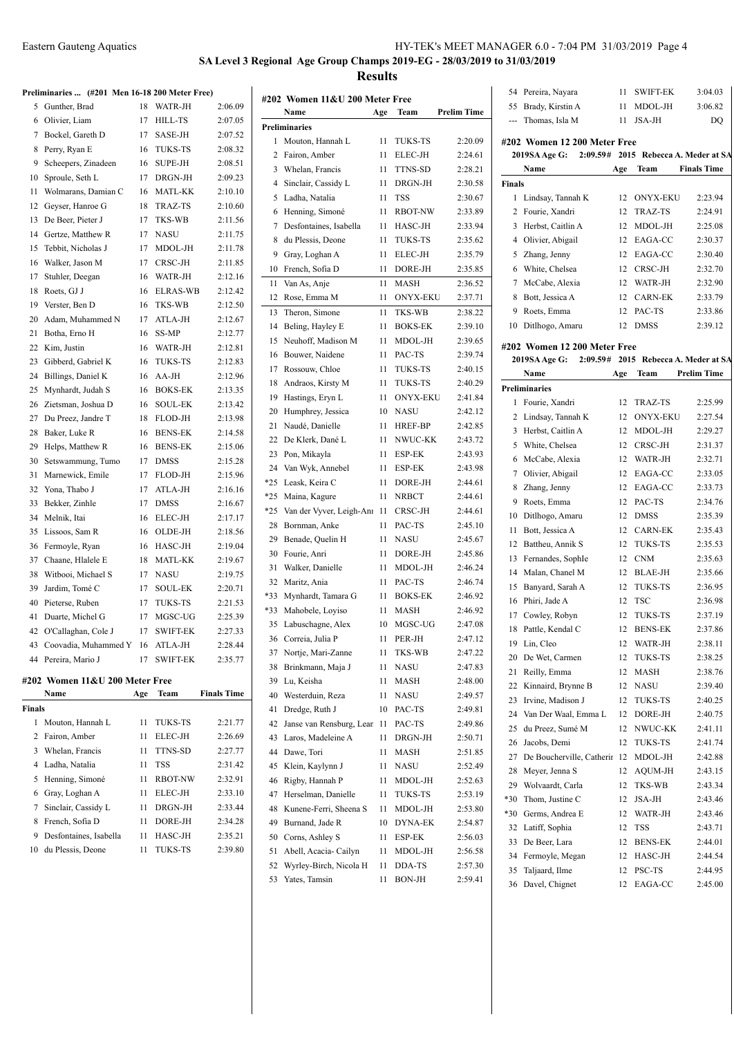# **SA Level 3 Regional Age Group Champs 2019-EG - 28/03/2019 to 31/03/2019**

**Results**

| Preliminaries  (#201 Men 16-18 200 Meter Free) |  |  |  |
|------------------------------------------------|--|--|--|

|        | Preliminaries  (#201 Men 16-18 200 Meter Free) |     |                 |                    |
|--------|------------------------------------------------|-----|-----------------|--------------------|
| 5      | Gunther, Brad                                  | 18  | WATR-JH         | 2:06.09            |
| 6      | Olivier, Liam                                  | 17  | <b>HILL-TS</b>  | 2:07.05            |
| 7      | Bockel, Gareth D                               | 17  | SASE-JH         | 2:07.52            |
| 8      | Perry, Ryan E                                  | 16  | <b>TUKS-TS</b>  | 2:08.32            |
| 9      | Scheepers, Zinadeen                            | 16  | <b>SUPE-JH</b>  | 2:08.51            |
| 10     | Sproule, Seth L                                | 17  | DRGN-JH         | 2:09.23            |
| 11     | Wolmarans, Damian C                            | 16  | MATL-KK         | 2:10.10            |
| 12     | Geyser, Hanroe G                               | 18  | <b>TRAZ-TS</b>  | 2:10.60            |
| 13     | De Beer, Pieter J                              | 17  | TKS-WB          | 2:11.56            |
| 14     | Gertze, Matthew R                              | 17  | <b>NASU</b>     | 2:11.75            |
| 15     | Tebbit, Nicholas J                             | 17  | MDOL-JH         | 2:11.78            |
| 16     | Walker, Jason M                                | 17  | CRSC-JH         | 2:11.85            |
| 17     | Stuhler, Deegan                                | 16  | WATR-JH         | 2:12.16            |
| 18     | Roets, GJ J                                    | 16  | <b>ELRAS-WB</b> | 2:12.42            |
| 19     | Verster, Ben D                                 | 16  | <b>TKS-WB</b>   | 2:12.50            |
| 20     | Adam, Muhammed N                               | 17  | ATLA-JH         | 2:12.67            |
| 21     | Botha, Erno H                                  | 16  | SS-MP           | 2:12.77            |
| 22     | Kim, Justin                                    | 16  | WATR-JH         | 2:12.81            |
| 23     | Gibberd, Gabriel K                             | 16  | <b>TUKS-TS</b>  | 2:12.83            |
| 24     | Billings, Daniel K                             | 16  | AA-JH           | 2:12.96            |
| 25     | Mynhardt, Judah S                              | 16  | <b>BOKS-EK</b>  | 2:13.35            |
| 26     | Zietsman, Joshua D                             | 16  | <b>SOUL-EK</b>  | 2:13.42            |
| 27     | Du Preez, Jandre T                             | 18  | FLOD-JH         | 2:13.98            |
| 28     | Baker, Luke R                                  | 16  | <b>BENS-EK</b>  | 2:14.58            |
| 29     | Helps, Matthew R                               | 16  | <b>BENS-EK</b>  | 2:15.06            |
| 30     | Setswammung, Tumo                              | 17  | <b>DMSS</b>     | 2:15.28            |
| 31     | Marnewick, Emile                               | 17  | FLOD-JH         | 2:15.96            |
| 32     | Yona, Thabo J                                  | 17  | ATLA-JH         | 2:16.16            |
| 33     | Bekker, Zinhle                                 | 17  | <b>DMSS</b>     | 2:16.67            |
| 34     | Melnik, Itai                                   | 16  | ELEC-JH         | 2:17.17            |
| 35     | Lissoos, Sam R                                 | 16  | OLDE-JH         | 2:18.56            |
| 36     | Fermoyle, Ryan                                 | 16  | HASC-JH         | 2:19.04            |
| 37     | Chaane, Hlalele E                              | 18  | <b>MATL-KK</b>  | 2:19.67            |
| 38     | Witbooi, Michael S                             | 17  | NASU            | 2:19.75            |
| 39     | Jardim, Tomé C                                 | 17  | <b>SOUL-EK</b>  | 2:20.71            |
| 40     | Pieterse, Ruben                                | 17  | TUKS-TS         | 2:21.53            |
| 41     | Duarte, Michel G                               | 17  | MGSC-UG         | 2:25.39            |
| 42     | O'Callaghan, Cole J                            | 17  | <b>SWIFT-EK</b> | 2:27.33            |
|        | 43 Coovadia, Muhammed Y 16                     |     | ATLA-JH         | 2:28.44            |
|        | 44 Pereira, Mario J                            | 17  | <b>SWIFT-EK</b> | 2:35.77            |
|        | #202 Women 11&U 200 Meter Free                 |     |                 |                    |
|        | Name                                           | Age | Team            | <b>Finals Time</b> |
| Finals |                                                |     |                 |                    |
| 1      | Mouton, Hannah L                               | 11  | TUKS-TS         | 2:21.77            |
| 2      | Fairon, Amber                                  | 11  | ELEC-JH         | 2:26.69            |
| 3      | Whelan, Francis                                | 11  | TTNS-SD         | 2:27.77            |
| 4      | Ladha, Natalia                                 | 11  | <b>TSS</b>      | 2:31.42            |
| 5      | Henning, Simoné                                | 11  | <b>RBOT-NW</b>  | 2:32.91            |
| 6      | Gray, Loghan A                                 | 11  | ELEC-JH         | 2:33.10            |
|        |                                                |     |                 |                    |

 Sinclair, Cassidy L 11 DRGN-JH 2:33.44 French, Sofia D 11 DORE-JH 2:34.28 Desfontaines, Isabella 11 HASC-JH 2:35.21 du Plessis, Deone 11 TUKS-TS 2:39.80

**Finals**

|                | #202 Women 11&U 200 Meter Free<br>Name |          |                                   | <b>Prelim Time</b> |
|----------------|----------------------------------------|----------|-----------------------------------|--------------------|
|                | Preliminaries                          | Age      | Team                              |                    |
| 1              | Mouton, Hannah L                       | 11       | TUKS-TS                           | 2:20.09            |
| 2              | Fairon, Amber                          | 11       | ELEC-JH                           | 2:24.61            |
| 3              | Whelan, Francis                        | 11       | TTNS-SD                           | 2:28.21            |
| $\overline{4}$ | Sinclair, Cassidy L                    | 11       | DRGN-JH                           | 2:30.58            |
| 5              | Ladha, Natalia                         | 11       | <b>TSS</b>                        | 2:30.67            |
| 6              | Henning, Simoné                        | 11       | <b>RBOT-NW</b>                    | 2:33.89            |
| 7              | Desfontaines, Isabella                 | 11       | HASC-JH                           | 2:33.94            |
| 8              | du Plessis, Deone                      | 11       | TUKS-TS                           | 2:35.62            |
| 9              | Gray, Loghan A                         | 11       | <b>ELEC-JH</b>                    | 2:35.79            |
| 10             | French, Sofia D                        | 11       | DORE-JH                           | 2:35.85            |
| 11             | Van As, Anje                           | 11       | MASH                              | 2:36.52            |
| 12             | Rose, Emma M                           | 11       | <b>ONYX-EKU</b>                   | 2:37.71            |
| 13             | Theron, Simone                         | 11       | TKS-WB                            | 2:38.22            |
| 14             | Beling, Hayley E                       | 11       | <b>BOKS-EK</b>                    | 2:39.10            |
| 15             | Neuhoff, Madison M                     |          | MDOL-JH                           |                    |
| 16             | Bouwer, Naidene                        | 11<br>11 | PAC-TS                            | 2:39.65<br>2:39.74 |
| 17             | Rossouw, Chloe                         |          | TUKS-TS                           | 2:40.15            |
|                |                                        | 11       |                                   | 2:40.29            |
| 18<br>19       | Andraos, Kirsty M<br>Hastings, Eryn L  | 11       | <b>TUKS-TS</b><br><b>ONYX-EKU</b> | 2:41.84            |
| 20             |                                        | 11       |                                   |                    |
|                | Humphrey, Jessica                      | 10       | NASU                              | 2:42.12            |
| 21             | Naudé, Danielle                        | 11       | HREF-BP<br>NWUC-KK                | 2:42.85            |
| 22             | De Klerk, Dané L                       | 11       |                                   | 2:43.72            |
| 23             | Pon, Mikayla                           | 11       | ESP-EK                            | 2:43.93            |
| 24             | Van Wyk, Annebel                       | 11       | ESP-EK                            | 2:43.98            |
| *25            | Leask, Keira C                         | 11       | DORE-JH                           | 2:44.61            |
| *25            | Maina, Kagure                          | 11       | <b>NRBCT</b>                      | 2:44.61            |
| $*25$          | Van der Vyver, Leigh-Anı               | 11       | CRSC-JH                           | 2:44.61            |
| 28             | Bornman, Anke                          | 11       | PAC-TS                            | 2:45.10            |
| 29             | Benade, Quelin H                       | 11       | <b>NASU</b>                       | 2:45.67            |
| 30             | Fourie, Anri                           | 11       | DORE-JH                           | 2:45.86            |
| 31             | Walker, Danielle                       | 11       | MDOL-JH                           | 2:46.24            |
| 32             | Maritz, Ania                           | 11       | PAC-TS                            | 2:46.74            |
| *33            | Mynhardt, Tamara G                     | 11       | <b>BOKS-EK</b>                    | 2:46.92            |
| *33            | Mahobele, Loyiso                       | 11       | MASH                              | 2:46.92            |
| 35             | Labuschagne, Alex                      | 10       | MGSC-UG                           | 2:47.08            |
| 36             | Correia, Julia P                       | 11       | PER-JH                            | 2:47.12            |
| 37             | Nortje, Mari-Zanne                     | 11       | TKS-WB                            | 2:47.22            |
| 38             | Brinkmann, Maja J                      | 11       | NASU                              | 2:47.83            |
| 39             | Lu. Keisha                             | 11       | MASH                              | 2:48.00            |
| 40             | Westerduin, Reza                       | 11       | NASU                              | 2:49.57            |
| 41             | Dredge, Ruth J                         | 10       | PAC-TS                            | 2:49.81            |
| 42             | Janse van Rensburg, Lear               | 11       | PAC-TS                            | 2:49.86            |
| 43             | Laros, Madeleine A                     | 11       | DRGN-JH                           | 2:50.71            |
| 44             | Dawe, Tori                             | 11       | <b>MASH</b>                       | 2:51.85            |
| 45             | Klein, Kaylynn J                       | 11       | <b>NASU</b>                       | 2:52.49            |
| 46             | Rigby, Hannah P                        | 11       | MDOL-JH                           | 2:52.63            |
| 47             | Herselman, Danielle                    | 11       | <b>TUKS-TS</b>                    | 2:53.19            |
| 48             | Kunene-Ferri, Sheena S                 | 11       | MDOL-JH                           | 2:53.80            |
| 49             | Burnand, Jade R                        | 10       | <b>DYNA-EK</b>                    | 2:54.87            |
| 50             | Corns, Ashley S                        | 11       | ESP-EK                            | 2:56.03            |
| 51             | Abell, Acacia- Cailyn                  | 11       | MDOL-JH                           | 2:56.58            |
| 52             | Wyrley-Birch, Nicola H                 | 11       | DDA-TS                            | 2:57.30            |
| 53             | Yates, Tamsin                          | 11       | BON-JH                            | 2:59.41            |

| 54             | Pereira, Nayara              | 11  | SWIFT-EK                    | 3:04.03            |
|----------------|------------------------------|-----|-----------------------------|--------------------|
| 55             | Brady, Kirstin A             | 11  | MDOL-JH                     | 3:06.82            |
| ---            | Thomas, Isla M               | 11  | JSA-JH                      | DQ                 |
|                | #202 Women 12 200 Meter Free |     |                             |                    |
|                | 2:09.59#<br>2019SA Age G:    |     | 2015 Rebecca A. Meder at SA |                    |
|                | Name                         | Age | Team                        | <b>Finals Time</b> |
| <b>Finals</b>  |                              |     |                             |                    |
| 1              | Lindsay, Tannah K            | 12  | <b>ONYX-EKU</b>             | 2:23.94            |
|                | 2 Fourie, Xandri             | 12  | <b>TRAZ-TS</b>              | 2:24.91            |
| 3              | Herbst, Caitlin A            | 12  | MDOL-JH                     | 2:25.08            |
| $\overline{4}$ | Olivier, Abigail             | 12  | EAGA-CC                     | 2:30.37            |
| 5              | Zhang, Jenny                 | 12  | EAGA-CC                     | 2:30.40            |
|                | 6 White, Chelsea             | 12  | CRSC-JH                     | 2:32.70            |
| 7              | McCabe, Alexia               | 12  | WATR-JH                     | 2:32.90            |
| 8              | Bott, Jessica A              |     | 12 CARN-EK                  | 2:33.79            |
|                | 9 Roets, Emma                | 12  | PAC-TS                      | 2:33.86            |
| 10             | Ditlhogo, Amaru              | 12  | <b>DMSS</b>                 | 2:39.12            |
|                | #202 Women 12 200 Meter Free |     |                             |                    |
|                | 2:09.59#<br>2019SA Age G:    |     | 2015 Rebecca A. Meder at SA |                    |
|                | Name                         | Age | Team                        | <b>Prelim Time</b> |
|                | <b>Preliminaries</b>         |     |                             |                    |
| 1              | Fourie, Xandri               | 12  | TRAZ-TS                     | 2:25.99            |
|                | 2 Lindsay, Tannah K          | 12  | <b>ONYX-EKU</b>             | 2:27.54            |
| 3              | Herbst, Caitlin A            | 12  | MDOL-JH                     | 2:29.27            |
| 5              | White, Chelsea               |     | 12 CRSC-JH                  | 2:31.37            |
| 6              | McCabe, Alexia               |     | 12 WATR-JH                  | 2:32.71            |
| 7              | Olivier, Abigail             | 12  | EAGA-CC                     | 2:33.05            |
| 8              | Zhang, Jenny                 | 12  | EAGA-CC                     | 2:33.73            |
|                | 9 Roets, Emma                | 12  | PAC-TS                      | 2:34.76            |
| 10             | Ditlhogo, Amaru              | 12  | <b>DMSS</b>                 | 2:35.39            |
| 11             | Bott, Jessica A              | 12  | <b>CARN-EK</b>              | 2:35.43            |
| 12             | Battheu, Annik S             | 12  | <b>TUKS-TS</b>              | 2:35.53            |
| 13             | Fernandes, SophIe            | 12  | <b>CNM</b>                  | 2:35.63            |
| 14             | Malan, Chanel M              | 12  | BLAE-JH                     | 2:35.66            |
| 15             | Banyard, Sarah A             | 12  | <b>TUKS-TS</b>              | 2:36.95            |
| 16             | Phiri, Jade A                | 12  | TSC                         | 2:36.98            |
| 17             | Cowley, Robyn                | 12  | <b>TUKS-TS</b>              | 2:37.19            |
| 18             | Pattle, Kendal C             | 12  | <b>BENS-EK</b>              | 2:37.86            |
|                | 19 Lin, Cleo                 | 12  | WATR-JH                     | 2:38.11            |
| 20             | De Wet, Carmen               | 12  | TUKS-TS                     | 2:38.25            |
| 21             | Reilly, Emma                 | 12  | <b>MASH</b>                 | 2:38.76            |
| 22             | Kinnaird, Brynne B           | 12  | NASU                        | 2:39.40            |
| 23             | Irvine, Madison J            | 12  | TUKS-TS                     | 2:40.25            |
| 24             | Van Der Waal, Emma L         | 12  | DORE-JH                     | 2:40.75            |
| 25             | du Preez, Sumé M             | 12  | NWUC-KK                     | 2:41.11            |
| 26             | Jacobs, Demi                 | 12  | TUKS-TS                     | 2:41.74            |
| 27             | De Boucherville, Catherir    | 12  | MDOL-JH                     | 2:42.88            |
| 28             | Meyer, Jenna S               | 12  | AQUM-JH                     | 2:43.15            |
| 29             | Wolvaardt, Carla             | 12  | TKS-WB                      | 2:43.34            |
| $*30$          | Thom, Justine C              | 12  | JSA-JH                      | 2:43.46            |
| $*30$          | Germs, Andrea E              | 12  | WATR-JH                     | 2:43.46            |
| 32             | Latiff, Sophia               | 12  | TSS                         | 2:43.71            |
| 33             | De Beer, Lara                | 12  | <b>BENS-EK</b>              | 2:44.01            |
| 34             | Fermoyle, Megan              | 12  | HASC-JH                     | 2:44.54            |
| 35             | Taljaard, Ilme               | 12  | PSC-TS                      | 2:44.95            |
| 36             | Davel, Chignet               | 12  | EAGA-CC                     | 2:45.00            |
|                |                              |     |                             |                    |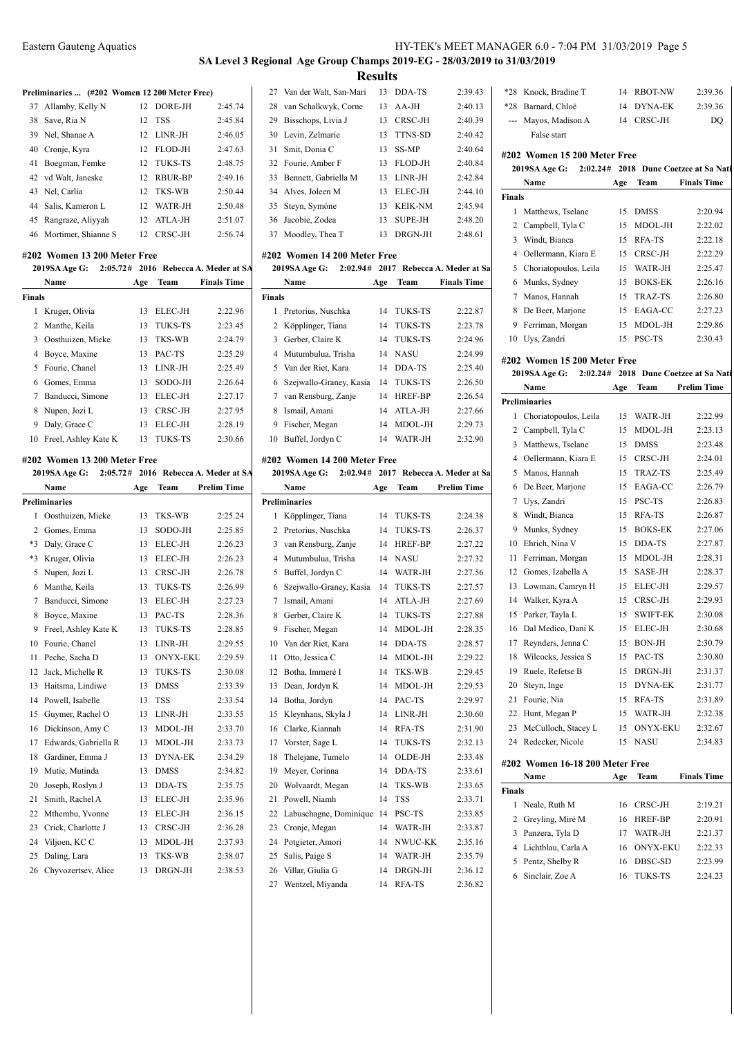## **SA Level 3 Regional Age Group Champs 2019-EG - 28/03/2019 to 31/03/2019 Results**

#### Preliminaries **... (#202 Women 12 200 Meter Free)**

| 37 Allamby, Kelly N    |    | 12 DORE-JH | 2:45.74 |
|------------------------|----|------------|---------|
| 38 Save, Ria N         | 12 | <b>TSS</b> | 2:45.84 |
| 39 Nel, Shanae A       |    | 12 LINR-JH | 2:46.05 |
| 40 Cronje, Kyra        |    | 12 FLOD-JH | 2:47.63 |
| 41 Boegman, Femke      |    | 12 TUKS-TS | 2:48.75 |
| 42 vd Walt, Janeske    |    | 12 RBUR-BP | 2:49.16 |
| 43 Nel, Carlia         |    | 12 TKS-WB  | 2:50.44 |
| 44 Salis, Kameron L    |    | 12 WATR-JH | 2:50.48 |
| 45 Rangraze, Aliyyah   |    | 12 ATLA-JH | 2:51.07 |
| 46 Mortimer, Shianne S |    | 12 CRSC-JH | 2:56.74 |

#### **#202 Women 13 200 Meter Free**

|        | <b>2019SA Age G:</b> |     |                | 2:05.72# 2016 Rebecca A. Meder at SA | 20             |
|--------|----------------------|-----|----------------|--------------------------------------|----------------|
|        | Name                 | Age | Team           | <b>Finals Time</b>                   |                |
| Finals |                      |     |                |                                      | Final          |
|        | 1 Kruger, Olivia     | 13  | ELEC-JH        | 2:22.96                              |                |
|        | 2 Manthe, Keila      | 13  | <b>TUKS-TS</b> | 2:23.45                              | 2              |
|        | 3 Oosthuizen, Mieke  | 13  | TKS-WB         | 2:24.79                              | 3              |
| 4      | Boyce, Maxine        | 13  | PAC-TS         | 2:25.29                              | $\overline{4}$ |
|        | 5 Fourie, Chanel     | 13  | LINR-JH        | 2:25.49                              | 5              |
| 6      | Gomes, Emma          | 13  | SODO-JH        | 2:26.64                              | 6              |
| 7      | Banducci, Simone     | 13  | ELEC-JH        | 2:27.17                              | 7              |
| 8      | Nupen, Jozi L        | 13  | CRSC-JH        | 2:27.95                              | 8              |
| 9      | Daly, Grace C        | 13  | ELEC-JH        | 2:28.19                              | 9              |
| 10     | Freel, Ashley Kate K | 13. | <b>TUKS-TS</b> | 2:30.66                              | 10             |

#### **#202 Women 13 200 Meter Free**

|      | 2019SA Age G:<br>2:05.72# |     |                 | 2016 Rebecca A. Meder at SA | 20             |
|------|---------------------------|-----|-----------------|-----------------------------|----------------|
|      | Name                      | Age | Team            | <b>Prelim Time</b>          |                |
|      | <b>Preliminaries</b>      |     |                 |                             | Preli          |
| 1    | Oosthuizen, Mieke         | 13  | <b>TKS-WB</b>   | 2:25.24                     | 1              |
| 2    | Gomes, Emma               | 13  | SODO-JH         | 2:25.85                     | 2              |
| $*3$ | Daly, Grace C             | 13  | ELEC-JH         | 2:26.23                     | 3              |
| $*3$ | Kruger, Olivia            | 13  | <b>ELEC-JH</b>  | 2:26.23                     | $\overline{4}$ |
| 5    | Nupen, Jozi L             | 13  | CRSC-JH         | 2:26.78                     | 5              |
| 6    | Manthe, Keila             | 13  | <b>TUKS-TS</b>  | 2:26.99                     | 6              |
| 7    | Banducci, Simone          | 13  | ELEC-JH         | 2:27.23                     | $\overline{7}$ |
| 8    | Boyce, Maxine             | 13  | PAC-TS          | 2:28.36                     | 8              |
| 9    | Freel, Ashley Kate K      | 13  | <b>TUKS-TS</b>  | 2:28.85                     | 9              |
| 10   | Fourie, Chanel            | 13  | LINR-JH         | 2:29.55                     | 10             |
| 11   | Peche, Sacha D            | 13  | <b>ONYX-EKU</b> | 2:29.59                     | 11             |
| 12   | Jack, Michelle R          | 13  | <b>TUKS-TS</b>  | 2:30.08                     | 12             |
| 13   | Haitsma, Lindiwe          | 13  | <b>DMSS</b>     | 2:33.39                     | 13             |
| 14   | Powell, Isabelle          | 13  | TSS             | 2:33.54                     | 14             |
| 15   | Guymer, Rachel O          | 13  | LINR-JH         | 2:33.55                     | 15             |
| 16   | Dickinson, Amy C          | 13  | MDOL-JH         | 2:33.70                     | 16             |
| 17   | Edwards, Gabriella R      | 13  | MDOL-JH         | 2:33.73                     | 17             |
| 18   | Gardiner, Emma J          | 13  | <b>DYNA-EK</b>  | 2:34.29                     | 18             |
| 19   | Mutie, Mutinda            | 13  | <b>DMSS</b>     | 2:34.82                     | 19             |
| 20   | Joseph, Roslyn J          | 13  | DDA-TS          | 2:35.75                     | 20             |
| 21   | Smith, Rachel A           | 13  | ELEC-JH         | 2:35.96                     | 21             |
| 22   | Mthembu, Yvonne           | 13  | ELEC-JH         | 2:36.15                     | 22             |
| 23   | Crick, Charlotte J        | 13  | CRSC-JH         | 2:36.28                     | 23             |
| 24   | Viljoen, KC C             | 13  | MDOL-JH         | 2:37.93                     | 24             |
| 25   | Daling, Lara              | 13  | <b>TKS-WB</b>   | 2:38.07                     | 25             |
| 26   | Chyvozertsev, Alice       | 13  | DRGN-JH         | 2:38.53                     | 26             |
|      |                           |     |                 |                             |                |

| 27 Van der Walt, San-Mari |     | 13 DDA-TS      | 2:39.43 |
|---------------------------|-----|----------------|---------|
| 28 van Schalkwyk, Corne   |     | $13$ AA-JH     | 2:40.13 |
| 29 Bisschops, Livia J     | 13  | CRSC-JH        | 2:40.39 |
| 30 Levin, Zelmarie        | 13. | TTNS-SD        | 2:40.42 |
| 31 Smit, Donia C          | 13. | SS-MP          | 2:40.64 |
| 32 Fourie, Amber F        | 13. | <b>FLOD-JH</b> | 2:40.84 |
| 33 Bennett, Gabriella M   |     | 13 LINR-JH     | 2:42.84 |
| 34 Alves, Joleen M        | 13. | ELEC-JH        | 2:44.10 |
| 35 Steyn, Symóne          | 13. | <b>KEIK-NM</b> | 2:45.94 |
| 36 Jacobie, Zodea         | 13. | <b>SUPE-JH</b> | 2:48.20 |
| 37 Moodley, Thea T        | 13. | DRGN-JH        | 2:48.61 |

#### **#202 Women 14 200 Meter Free**

|  |  | 2019SA Age G: 2:02.94# 2017 Rebecca A. Meder at Sa |  |
|--|--|----------------------------------------------------|--|
|  |  |                                                    |  |

|               | Name                      | Age | Team           | <b>Finals Time</b> |
|---------------|---------------------------|-----|----------------|--------------------|
| <b>Finals</b> |                           |     |                |                    |
| 1             | Pretorius, Nuschka        | 14  | TUKS-TS        | 2:22.87            |
|               | 2 Köpplinger, Tiana       | 14  | <b>TUKS-TS</b> | 2:23.78            |
| 3             | Gerber, Claire K          | 14  | TUKS-TS        | 2:24.96            |
|               | 4 Mutumbulua, Trisha      |     | 14 NASU        | 2:24.99            |
|               | 5 Van der Riet, Kara      | 14  | DDA-TS         | 2:25.40            |
|               | 6 Szejwallo-Graney, Kasia | 14  | TUKS-TS        | 2:26.50            |
|               | 7 van Rensburg, Zanje     | 14  | <b>HREF-BP</b> | 2:26.54            |
| 8             | Ismail, Amani             | 14  | ATLA-JH        | 2:27.66            |
| 9             | Fischer, Megan            | 14  | MDOL-JH        | 2:29.73            |
| 10            | Buffel, Jordyn C          | 14  | WATR-JH        | 2:32.90            |

#### **#202 Women 14 200 Meter Free**

|    | 2:02.94#<br>2019SA Age G: |     |                | 2017 Rebecca A. Meder at Sa | 5              |
|----|---------------------------|-----|----------------|-----------------------------|----------------|
|    | <b>Name</b>               | Age | Team           | <b>Prelim Time</b>          | 6              |
|    | <b>Preliminaries</b>      |     |                |                             | 7              |
| 1  | Köpplinger, Tiana         | 14  | <b>TUKS-TS</b> | 2:24.38                     | 8              |
| 2  | Pretorius, Nuschka        | 14  | <b>TUKS-TS</b> | 2:26.37                     | 9              |
| 3  | van Rensburg, Zanje       | 14  | HREF-BP        | 2:27.22                     | 10             |
| 4  | Mutumbulua, Trisha        | 14  | <b>NASU</b>    | 2:27.32                     | 11             |
| 5  | Buffel, Jordyn C          | 14  | WATR-JH        | 2:27.56                     | 12             |
| 6  | Szejwallo-Graney, Kasia   | 14  | <b>TUKS-TS</b> | 2:27.57                     | 13             |
| 7  | Ismail, Amani             | 14  | ATLA-JH        | 2:27.69                     | 14             |
| 8  | Gerber, Claire K          | 14  | <b>TUKS-TS</b> | 2:27.88                     | 15             |
| 9  | Fischer, Megan            | 14  | MDOL-JH        | 2:28.35                     | 16             |
| 10 | Van der Riet, Kara        | 14  | DDA-TS         | 2:28.57                     | 17             |
| 11 | Otto, Jessica C           | 14  | MDOL-JH        | 2:29.22                     | 18             |
| 12 | Botha, Immeré I           | 14  | TKS-WB         | 2:29.45                     | 19             |
| 13 | Dean, Jordyn K            | 14  | MDOL-JH        | 2:29.53                     | 20             |
| 14 | Botha, Jordyn             | 14  | PAC-TS         | 2:29.97                     | 21             |
| 15 | Kleynhans, Skyla J        | 14  | $LINR-JH$      | 2:30.60                     | 22             |
| 16 | Clarke, Kiannah           | 14  | RFA-TS         | 2:31.90                     | 23             |
| 17 | Vorster, Sage L           | 14  | TUKS-TS        | 2:32.13                     | 24             |
| 18 | Thelejane, Tumelo         | 14  | OLDE-JH        | 2:33.48                     | #202           |
| 19 | Meyer, Corinna            | 14  | DDA-TS         | 2:33.61                     |                |
| 20 | Wolvaardt, Megan          | 14  | TKS-WB         | 2:33.65                     | <b>Final:</b>  |
| 21 | Powell, Niamh             | 14  | <b>TSS</b>     | 2:33.71                     | 1              |
| 22 | Labuschagne, Dominique    | 14  | PSC-TS         | 2:33.85                     | 2              |
| 23 | Cronje, Megan             | 14  | WATR-JH        | 2:33.87                     | 3              |
| 24 | Potgieter, Amori          | 14  | NWUC-KK        | 2:35.16                     | $\overline{4}$ |
| 25 | Salis, Paige S            | 14  | WATR-JH        | 2:35.79                     | 5              |
| 26 | Villar, Giulia G          | 14  | DRGN-JH        | 2:36.12                     | 6              |
| 27 | Wentzel, Miyanda          | 14  | RFA-TS         | 2:36.82                     |                |
|    |                           |     |                |                             |                |

| $*28$         | Knock, Bradine T             | 14   | <b>RBOT-NW</b> | 2:39.36                        |
|---------------|------------------------------|------|----------------|--------------------------------|
| $*28$         | Barnard, Chloë               | 14   | DYNA-EK        | 2:39.36                        |
| ---           | Mayos, Madison A             | 14   | CRSC-JH        | DO                             |
|               | False start                  |      |                |                                |
|               | #202 Women 15 200 Meter Free |      |                |                                |
|               | 2019SA Age G:<br>2:02.24#    | 2018 |                | <b>Dune Coetzee at Sa Nati</b> |
|               | Name                         | Age  | Team           | <b>Finals Time</b>             |
| <b>Finals</b> |                              |      |                |                                |
| 1             | Matthews, Tselane            | 15   | <b>DMSS</b>    | 2:20.94                        |
| 2             | Campbell, Tyla C             | 15   | MDOL-JH        | 2:22.02                        |
| 3             | Windt, Bianca                | 15   | RFA-TS         | 2:22.18                        |
| 4             | Oellermann, Kiara E          | 15   | CRSC-JH        | 2:22.29                        |
| 5             | Choriatopoulos, Leila        | 15   | WATR-JH        | 2:25.47                        |
| 6             | Munks, Sydney                | 15   | <b>BOKS-EK</b> | 2:26.16                        |
| 7             | Manos, Hannah                | 15   | TRAZ-TS        | 2:26.80                        |
| 8             | De Beer, Marjone             | 15   | EAGA-CC        | 2:27.23                        |
| 9             | Ferriman, Morgan             | 15   | MDOL-JH        | 2:29.86                        |
| 10            | Uys, Zandri                  | 15   | PSC-TS         | 2:30.43                        |
|               |                              |      |                |                                |
|               | #202 Women 15 200 Meter Free |      |                |                                |
|               | 2019SA Age G:<br>2:02.24#    | 2018 |                | Dune Coetzee at Sa Nati        |
|               | Name                         | Age  | Team           | <b>Prelim Time</b>             |
|               | <b>Preliminaries</b>         |      |                |                                |
| 1             | Choriatopoulos, Leila        | 15   | WATR-JH        | 2:22.99                        |
| 2             | Campbell, Tyla C             | 15   | MDOL-JH        | 2:23.13                        |
| 3             | Matthews, Tselane            | 15   | <b>DMSS</b>    | 2:23.48                        |
| 4             | Oellermann, Kiara E          | 15   | CRSC-JH        | 2:24.01                        |
| 5             | Manos, Hannah                | 15   | TRAZ-TS        | 2:25.49                        |
| 6             | De Beer, Marjone             | 15   | EAGA-CC        | 2:26.79                        |
| 7             | Uys, Zandri                  | 15   | PSC-TS         | 2:26.83                        |
| 8             | Windt, Bianca                | 15   | <b>RFA-TS</b>  | 2:26.87                        |
| 9             | Munks, Sydney                | 15   | <b>BOKS-EK</b> | 2:27.06                        |
| 10            | Ehrich, Nina V               | 15   | DDA-TS         | 2:27.87                        |
| 11            | Ferriman, Morgan             | 15   | MDOL-JH        | 2:28.31                        |

 Gomes, Izabella A 15 SASE-JH 2:28.37 Lowman, Camryn H 15 ELEC-JH 2:29.57 14 Walker, Kyra A 15 CRSC-JH 2:29.93 Parker, Tayla L 15 SWIFT-EK 2:30.08 Dal Medico, Dani K 15 ELEC-JH 2:30.68 Reynders, Jenna C 15 BON-JH 2:30.79 Wilcocks, Jessica S 15 PAC-TS 2:30.80 Ruele, Refetse B 15 DRGN-JH 2:31.37 Steyn, Inge 15 DYNA-EK 2:31.77 Fourie, Nia 15 RFA-TS 2:31.89 Hunt, Megan P 15 WATR-JH 2:32.38 23 McCulloch, Stacey L 15 ONYX-EKU 2:32.67 Redecker, Nicole 15 NASU 2:34.83

**Name Age Team Finals Time**

 Neale, Ruth M 16 CRSC-JH 2:19.21 Greyling, Miré M 16 HREF-BP 2:20.91 Panzera, Tyla D 17 WATR-JH 2:21.37 Lichtblau, Carla A 16 ONYX-EKU 2:22.33 Pentz, Shelby R 16 DBSC-SD 2:23.99 Sinclair, Zoe A 16 TUKS-TS 2:24.23

**#202 Women 16-18 200 Meter Free**

**Finals**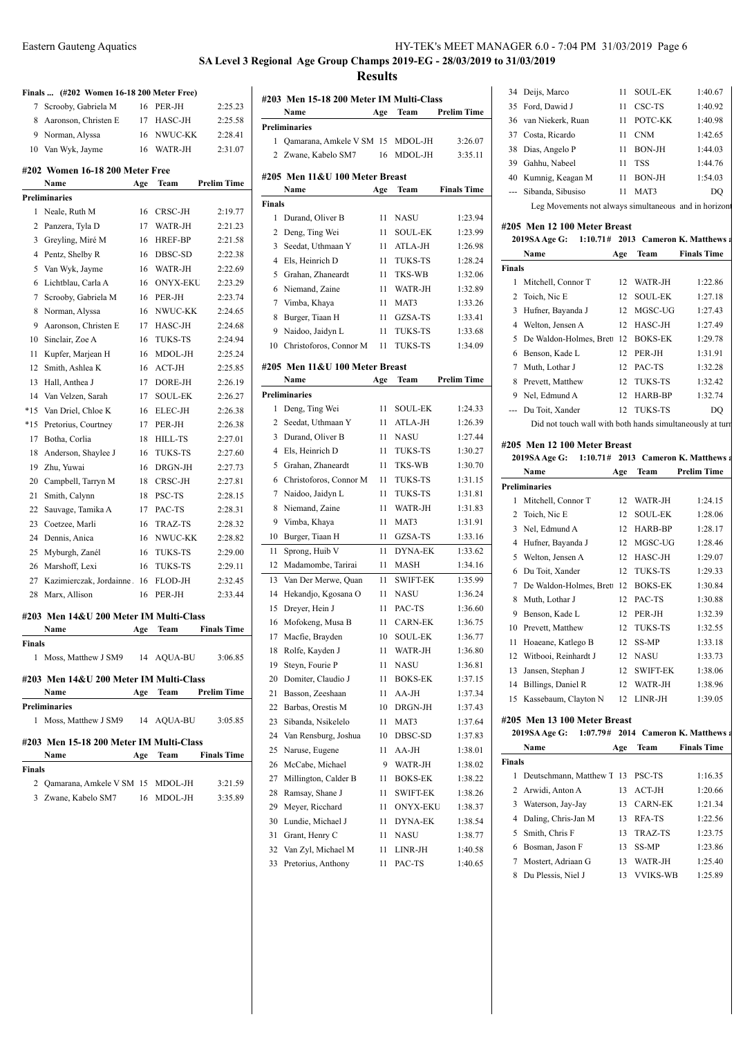# **SA Level 3 Regional Age Group Champs 2019-EG - 28/03/2019 to 31/03/2019**

**Results**

|        | Finals  (#202 Women 16-18 200 Meter Free) |     |                 |                      |
|--------|-------------------------------------------|-----|-----------------|----------------------|
| 7      | Scrooby, Gabriela M                       | 16  | PER-JH          | 2:25.23              |
| 8      | Aaronson, Christen E                      |     | 17 HASC-JH      | 2:25.58              |
| 9      | Norman, Alyssa                            | 16  | NWUC-KK         | 2:28.41              |
| 10     | Van Wyk, Jayme                            | 16  | WATR-JH         | 2:31.07              |
|        | #202 Women 16-18 200 Meter Free           |     |                 |                      |
|        | Name                                      | Age | Team            | <b>Prelim Time</b>   |
|        | Preliminaries                             |     |                 |                      |
| 1      | Neale, Ruth M                             | 16  | CRSC-JH         | 2:19.77              |
| 2      | Panzera, Tyla D                           | 17  | WATR-JH         | 2:21.23              |
| 3      | Greyling, Miré M                          | 16  | <b>HREF-BP</b>  | 2:21.58              |
| 4      | Pentz, Shelby R                           | 16  | DBSC-SD         | 2:22.38              |
| 5      | Van Wyk, Jayme                            | 16  | WATR-JH         | 2:22.69              |
| 6      | Lichtblau, Carla A                        | 16  | <b>ONYX-EKU</b> | 2:23.29              |
| 7      | Scrooby, Gabriela M                       | 16  | PER-JH          | 2:23.74              |
| 8      | Norman, Alyssa                            | 16  | NWUC-KK         | 2:24.65              |
| 9      | Aaronson, Christen E                      | 17  | HASC-JH         | 2:24.68              |
| 10     | Sinclair, Zoe A                           | 16  | <b>TUKS-TS</b>  | 2:24.94              |
| 11     | Kupfer, Marjean H                         | 16  | MDOL-JH         | 2:25.24              |
| 12     | Smith, Ashlea K                           | 16  | ACT-JH          | 2:25.85              |
| 13     | Hall, Anthea J                            | 17  | DORE-JH         | 2:26.19              |
| 14     | Van Velzen, Sarah                         | 17  | <b>SOUL-EK</b>  | 2:26.27              |
| $*15$  | Van Driel, Chloe K                        | 16  | ELEC-JH         | 2:26.38              |
| $*15$  | Pretorius, Courtney                       | 17  | PER-JH          | 2:26.38              |
| 17     | Botha, Corlia                             | 18  | <b>HILL-TS</b>  | 2:27.01              |
| 18     | Anderson, Shaylee J                       | 16  | TUKS-TS         | 2:27.60              |
| 19     | Zhu, Yuwai                                | 16  | DRGN-JH         | 2:27.73              |
| 20     | Campbell, Tarryn M                        | 18  | CRSC-JH         | 2:27.81              |
| 21     | Smith, Calynn                             | 18  | PSC-TS          | 2:28.15              |
| 22     | Sauvage, Tamika A                         | 17  | PAC-TS          | 2:28.31              |
| 23     | Coetzee, Marli                            | 16  | <b>TRAZ-TS</b>  | 2:28.32              |
| 24     | Dennis, Anica                             | 16  | NWUC-KK         | 2:28.82              |
| 25     | Myburgh, Zanél                            | 16  | <b>TUKS-TS</b>  | 2:29.00              |
| 26     | Marshoff, Lexi                            | 16  | <b>TUKS-TS</b>  | 2:29.11              |
| 27     | Kazimierczak, Jordainne                   | 16  | FLOD-JH         | 2:32.45              |
| 28     | Marx, Allison                             | 16  | PER-JH          | 2:33.44              |
|        |                                           |     |                 |                      |
|        | #203 Men 14&U 200 Meter IM Multi-Class    |     |                 |                      |
|        | Name                                      | Age | Team            | <b>Finals Time</b>   |
| Finals |                                           |     |                 |                      |
| 1      | Moss, Matthew J SM9 14 AQUA-BU            |     |                 | 3:06.85              |
|        | #203 Men 14&U 200 Meter IM Multi-Class    |     |                 |                      |
|        | Name                                      |     | Age Team        | <b>Prelim Time</b>   |
|        | <b>Preliminaries</b>                      |     |                 |                      |
|        | 1 Moss, Matthew J SM9 14 AQUA-BU          |     |                 | 3:05.85              |
|        |                                           |     |                 |                      |
|        | #203 Men 15-18 200 Meter IM Multi-Class   |     |                 |                      |
|        | Name                                      |     |                 | Age Team Finals Time |
| Finals |                                           |     |                 |                      |
|        | 2 Qamarana, Amkele V SM 15 MDOL-JH        |     |                 | 3:21.59              |
|        | 3 Zwane, Kabelo SM7 16 MDOL-JH            |     |                 | 3:35.89              |
|        |                                           |     |                 |                      |
|        |                                           |     |                 |                      |

|                | #203 Men 15-18 200 Meter IM Multi-Class |     |                 |                    |
|----------------|-----------------------------------------|-----|-----------------|--------------------|
|                | Name                                    | Age | Team            | <b>Prelim Time</b> |
|                | Preliminaries                           |     |                 |                    |
| 1              | Qamarana, Amkele V SM 15                |     | MDOL-JH         | 3:26.07            |
| 2              | Zwane, Kabelo SM7                       | 16  | MDOL-JH         | 3:35.11            |
|                | #205 Men 11&U 100 Meter Breast          |     |                 |                    |
|                | Name                                    | Age | Team            | <b>Finals Time</b> |
| Finals         |                                         |     |                 |                    |
| $\mathbf{1}$   | Durand, Oliver B                        | 11  | <b>NASU</b>     | 1:23.94            |
| 2              | Deng, Ting Wei                          | 11  | SOUL-EK         | 1:23.99            |
| 3              | Seedat, Uthmaan Y                       | 11  | ATLA-JH         | 1:26.98            |
| $\overline{4}$ | Els, Heinrich D                         | 11  | <b>TUKS-TS</b>  | 1:28.24            |
| 5              | Grahan, Zhaneardt                       | 11  | TKS-WB          | 1:32.06            |
| 6              | Niemand, Zaine                          | 11  | WATR-JH         | 1:32.89            |
| 7              | Vimba, Khaya                            | 11  | MAT3            | 1:33.26            |
| 8              | Burger, Tiaan H                         | 11  | GZSA-TS         | 1:33.41            |
| 9              | Naidoo, Jaidyn L                        | 11  | <b>TUKS-TS</b>  | 1:33.68            |
| 10             | Christoforos, Connor M                  | 11  | <b>TUKS-TS</b>  | 1:34.09            |
|                |                                         |     |                 |                    |
|                | #205 Men 11&U 100 Meter Breast          |     |                 |                    |
|                | Name                                    | Age | Team            | Prelim Time        |
|                | Preliminaries                           |     |                 |                    |
| 1              | Deng, Ting Wei                          | 11  | SOUL-EK         | 1:24.33            |
| 2              | Seedat, Uthmaan Y                       | 11  | ATLA-JH         | 1:26.39            |
| 3              | Durand, Oliver B                        | 11  | NASU            | 1:27.44            |
| $\overline{4}$ | Els, Heinrich D                         | 11  | <b>TUKS-TS</b>  | 1:30.27            |
| 5              | Grahan, Zhaneardt                       | 11  | TKS-WB          | 1:30.70            |
| 6              | Christoforos, Connor M                  | 11  | <b>TUKS-TS</b>  | 1:31.15            |
| 7              | Naidoo, Jaidyn L                        | 11  | <b>TUKS-TS</b>  | 1:31.81            |
| 8              | Niemand, Zaine                          | 11  | WATR-JH         | 1:31.83            |
| 9              | Vimba, Khaya                            | 11  | MAT3            | 1:31.91            |
| 10             | Burger, Tiaan H                         | 11  | GZSA-TS         | 1:33.16            |
| 11             | Sprong, Huib V                          | 11  | <b>DYNA-EK</b>  | 1:33.62            |
| 12             | Madamombe, Tarirai                      | 11  | <b>MASH</b>     | 1:34.16            |
| 13             | Van Der Merwe, Quan                     | 11  | <b>SWIFT-EK</b> | 1:35.99            |
| 14             | Hekandjo, Kgosana O                     | 11  | <b>NASU</b>     | 1:36.24            |
| 15             | Dreyer, Hein J                          | 11  | PAC-TS          | 1:36.60            |
| 16             | Mofokeng, Musa B                        | 11  | <b>CARN-EK</b>  | 1:36.75            |
| 17             | Macfie, Brayden                         | 10  | <b>SOUL-EK</b>  | 1:36.77            |
| 18             | Rolfe, Kayden J                         | 11  | WATR-JH         | 1:36.80            |
| 19             | Steyn, Fourie P                         | 11  | NASU            | 1:36.81            |
| 20             | Domiter, Claudio J                      | 11  | <b>BOKS-EK</b>  | 1:37.15            |
| 21             | Basson, Zeeshaan                        | 11  | AA-JH           | 1:37.34            |
| 22             | Barbas, Orestis M                       | 10  | DRGN-JH         | 1:37.43            |
| 23             | Sibanda, Nsikelelo                      | 11  | MAT3            | 1:37.64            |
| 24             | Van Rensburg, Joshua                    | 10  | DBSC-SD         | 1:37.83            |
| 25             | Naruse, Eugene                          | 11  | $AA-JH$         | 1:38.01            |
| 26             | McCabe, Michael                         | 9   | WATR-JH         | 1:38.02            |
| 27             | Millington, Calder B                    | 11  | <b>BOKS-EK</b>  | 1:38.22            |
| 28             | Ramsay, Shane J                         | 11  | <b>SWIFT-EK</b> | 1:38.26            |
| 29             | Meyer, Ricchard                         | 11  | <b>ONYX-EKU</b> | 1:38.37            |
| 30             | Lundie, Michael J                       | 11  | <b>DYNA-EK</b>  | 1:38.54            |
| 31             | Grant, Henry C                          | 11  | NASU            | 1:38.77            |
| 32             | Van Zyl, Michael M                      | 11  | LINR-JH         | 1:40.58            |
| 33             | Pretorius, Anthony                      | 11  | PAC-TS          | 1:40.65            |
|                |                                         |     |                 |                    |

|    | 34 Deijs, Marco                                      | 11 | <b>SOUL-EK</b> | 1:40.67 |
|----|------------------------------------------------------|----|----------------|---------|
|    | 35 Ford, Dawid J                                     | 11 | CSC-TS         | 1:40.92 |
|    | 36 van Niekerk, Ruan                                 | 11 | POTC-KK        | 1:40.98 |
|    | 37 Costa, Ricardo                                    | 11 | <b>CNM</b>     | 1:42.65 |
|    | 38 Dias, Angelo P                                    | 11 | <b>BON-JH</b>  | 1:44.03 |
| 39 | Gahhu, Nabeel                                        | 11 | <b>TSS</b>     | 1:44.76 |
|    | 40 Kumnig, Keagan M                                  | 11 | <b>BON-JH</b>  | 1:54.03 |
|    | --- Sibanda, Sibusiso                                | 11 | MAT3           | DO      |
|    | Leg Movements not always simultaneous and in horizor |    |                |         |

#### **#205 Men 12 100 Meter Breast**

|                              | 2019SA Age G: 1:10.71# 2013 Cameron K. Matthews a         |     |                |                    |  |  |
|------------------------------|-----------------------------------------------------------|-----|----------------|--------------------|--|--|
|                              | Name                                                      | Age | Team           | <b>Finals Time</b> |  |  |
| <b>Finals</b>                |                                                           |     |                |                    |  |  |
| 1                            | Mitchell, Connor T                                        | 12  | WATR-JH        | 1:22.86            |  |  |
| $\overline{2}$               | Toich, Nic E                                              | 12  | <b>SOUL-EK</b> | 1:27.18            |  |  |
| 3                            | Hufner, Bayanda J                                         | 12  | MGSC-UG        | 1:27.43            |  |  |
| 4                            | Welton, Jensen A                                          | 12  | HASC-JH        | 1:27.49            |  |  |
| 5                            | De Waldon-Holmes, Brett                                   | 12  | <b>BOKS-EK</b> | 1:29.78            |  |  |
| 6                            | Benson, Kade L                                            | 12  | PER-JH         | 1:31.91            |  |  |
| 7                            | Muth, Lothar J                                            | 12  | PAC-TS         | 1:32.28            |  |  |
| 8                            | Prevett, Matthew                                          | 12  | <b>TUKS-TS</b> | 1:32.42            |  |  |
| 9                            | Nel, Edmund A                                             | 12  | HARB-BP        | 1:32.74            |  |  |
|                              | Du Toit, Xander                                           | 12  | <b>TUKS-TS</b> | DO                 |  |  |
|                              | Did not touch wall with both hands simultaneously at turn |     |                |                    |  |  |
| #205 Men 12 100 Meter Breast |                                                           |     |                |                    |  |  |

|                | 2019SA Age G:                |     |                 | 1:10.71# 2013 Cameron K. Matthews:  |
|----------------|------------------------------|-----|-----------------|-------------------------------------|
|                | <b>Name</b>                  | Age | Team            | <b>Prelim Time</b>                  |
|                | <b>Preliminaries</b>         |     |                 |                                     |
| $\mathbf{1}$   | Mitchell, Connor T           | 12  | WATR-JH         | 1:24.15                             |
| $\overline{c}$ | Toich, Nic E                 | 12  | <b>SOUL-EK</b>  | 1:28.06                             |
| 3              | Nel, Edmund A                | 12  | HARB-BP         | 1:28.17                             |
| 4              | Hufner, Bayanda J            | 12  | MGSC-UG         | 1:28.46                             |
| 5.             | Welton, Jensen A             | 12  | HASC-JH         | 1:29.07                             |
| 6              | Du Toit, Xander              | 12  | <b>TUKS-TS</b>  | 1:29.33                             |
| 7              | De Waldon-Holmes, Brett 12   |     | <b>BOKS-EK</b>  | 1:30.84                             |
| 8              | Muth, Lothar J               | 12  | PAC-TS          | 1:30.88                             |
| 9              | Benson, Kade L               | 12  | PER-JH          | 1:32.39                             |
| 10             | Prevett, Matthew             | 12  | <b>TUKS-TS</b>  | 1:32.55                             |
| 11             | Hoaeane, Katlego B           | 12  | SS-MP           | 1:33.18                             |
| 12             | Witbooi, Reinhardt J         | 12  | NASU            | 1:33.73                             |
| 13             | Jansen, Stephan J            | 12  | <b>SWIFT-EK</b> | 1:38.06                             |
| 14             | Billings, Daniel R           | 12  | WATR-JH         | 1:38.96                             |
| 15             | Kassebaum, Clayton N         | 12  | LINR-JH         | 1:39.05                             |
|                | #205 Men 13 100 Meter Breast |     |                 |                                     |
|                | 2019SA Age G:                |     |                 | 1:07.79# 2014 Cameron K. Matthews a |
|                | Name                         | Age | Team            | <b>Finals Time</b>                  |
| <b>Finals</b>  |                              |     |                 |                                     |
| 1              | Deutschmann, Matthew T 13    |     | PSC-TS          | 1:16.35                             |
| 2              | Arwidi, Anton A              | 13  | $ACT-JH$        | 1:20.66                             |
| 3              | Waterson, Jay-Jay            | 13  | <b>CARN-EK</b>  | 1:21.34                             |
| 4              | Daling, Chris-Jan M          | 13  | <b>RFA-TS</b>   | 1:22.56                             |

| 6 Bosman, Jason F    | $13$ SS-MP  | 1:23.86 |
|----------------------|-------------|---------|
| 7 Mostert, Adriaan G | 13 WATR-JH  | 1:25.40 |
| 8 Du Plessis, Niel J | 13 VVIKS-WB | 1:25.89 |

5 Smith, Chris F 13 TRAZ-TS 1:23.75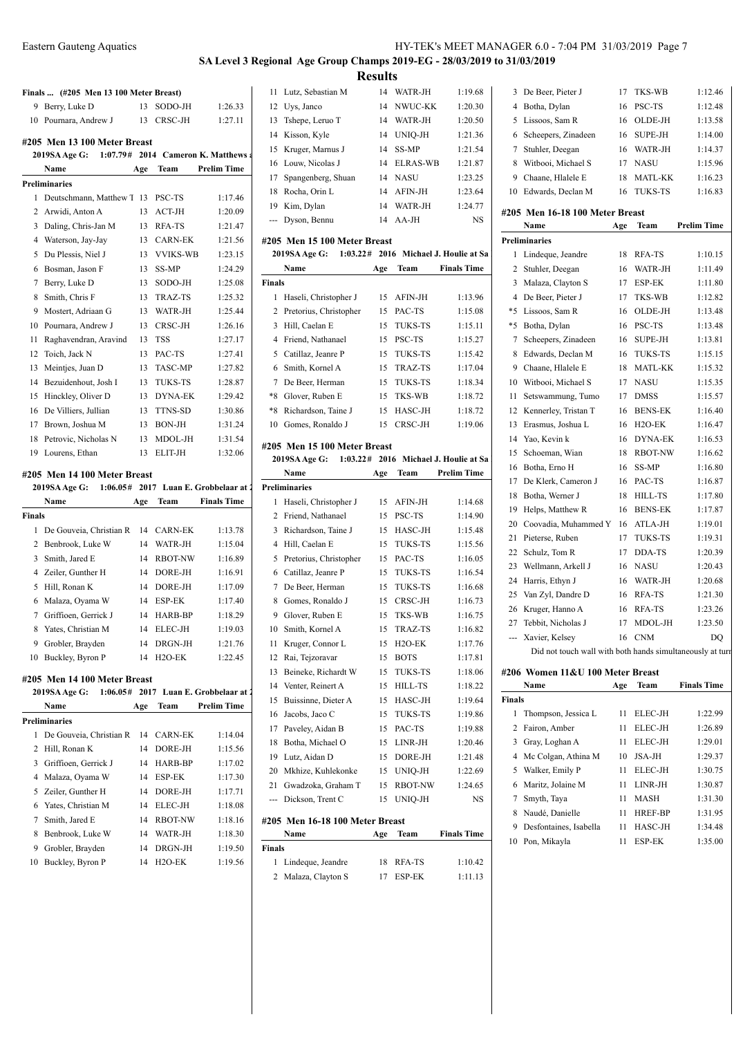# **Finals ... (#205 Men 13 100 Meter Breast)** 9 Berry, Luke D 13 SODO-JH 1:26.33 10 Pournara, Andrew J 13 CRSC-JH 1:27.11 **#205 Men 13 100 Meter Breast 2019SA Age G: 1:07.79# 2014 Cameron K. Matthews Name Age Team Prelim Time Preliminaries** 1 Deutschmann, Matthew T 13 PSC-TS 1:17.46 Arwidi, Anton A 13 ACT-JH 1:20.09 Daling, Chris-Jan M 13 RFA-TS 1:21.47 Waterson, Jay-Jay 13 CARN-EK 1:21.56 Du Plessis, Niel J 13 VVIKS-WB 1:23.15 Bosman, Jason F 13 SS-MP 1:24.29 Berry, Luke D 13 SODO-JH 1:25.08 8 Smith, Chris F 13 TRAZ-TS 1:25.32 Mostert, Adriaan G 13 WATR-JH 1:25.44 10 Pournara, Andrew J 13 CRSC-JH 1:26.16 Raghavendran, Aravind 13 TSS 1:27.17 12 Toich, Jack N 13 PAC-TS 1:27.41 13 Meintjes, Juan D 13 TASC-MP 1:27.82 14 Bezuidenhout, Josh I 13 TUKS-TS 1:28.87 15 Hinckley, Oliver D 13 DYNA-EK 1:29.42 De Villiers, Jullian 13 TTNS-SD 1:30.86 17 Brown, Joshua M 13 BON-JH 1:31.24 18 Petrovic, Nicholas N 13 MDOL-JH 1:31.54 Lourens, Ethan 13 ELIT-JH 1:32.06 **#205 Men 14 100 Meter Breast 2019SA Age G: 1:06.05# 2017 Luan E. Grobbelaar at 2017 Gra Name Age Team Finals Time Finals** 1 De Gouveia, Christian R 14 CARN-EK 1:13.78 Benbrook, Luke W 14 WATR-JH 1:15.04 Smith, Jared E 14 RBOT-NW 1:16.89 Zeiler, Gunther H 14 DORE-JH 1:16.91 Hill, Ronan K 14 DORE-JH 1:17.09

| v  | ivialaza, Oyallia w                                 | $\overline{ }$ | 153 F - DIN    | 1.1/70             | $\circ$ |  |  |  |  |
|----|-----------------------------------------------------|----------------|----------------|--------------------|---------|--|--|--|--|
| 7  | Griffioen, Gerrick J                                | 14             | HARB-BP        | 1:18.29            | 9       |  |  |  |  |
| 8  | Yates, Christian M                                  | 14             | ELEC-JH        | 1:19.03            | 10      |  |  |  |  |
| 9  | Grobler, Brayden                                    | 14             | DRGN-JH        | 1:21.76            | 11      |  |  |  |  |
| 10 | Buckley, Byron P                                    | 14             | $H2O-EK$       | 1:22.45            | 12      |  |  |  |  |
|    | 05 Men 14 100 Meter Breast                          |                |                |                    | 13      |  |  |  |  |
|    | 2019SA Age G: 1:06.05# 2017 Luan E. Grobbelaar at 2 |                |                |                    | 14      |  |  |  |  |
|    | Name                                                | Age            | Team           | <b>Prelim Time</b> | 15      |  |  |  |  |
| 16 |                                                     |                |                |                    |         |  |  |  |  |
|    | eliminaries                                         |                |                |                    | 17      |  |  |  |  |
| 1  | De Gouveia, Christian R                             | 14             | <b>CARN-EK</b> | 1:14.04            |         |  |  |  |  |
| 2  | Hill, Ronan K                                       | 14             | DORE-JH        | 1:15.56            | 18      |  |  |  |  |
| 3  | Griffioen, Gerrick J                                | 14             | HARB-BP        | 1:17.02            | 19      |  |  |  |  |
| 4  | Malaza, Oyama W                                     | 14             | <b>ESP-EK</b>  | 1:17.30            | 20      |  |  |  |  |
| 5  | Zeiler, Gunther H                                   | 14             | DORE-JH        | 1:17.71            | 21      |  |  |  |  |
| 6  | Yates, Christian M                                  | 14             | ELEC-JH        | 1:18.08            |         |  |  |  |  |
| 7  | Smith, Jared E                                      | 14             | <b>RBOT-NW</b> | 1:18.16            | #205    |  |  |  |  |
| 8  | Benbrook, Luke W                                    | 14             | WATR-JH        | 1:18.30            |         |  |  |  |  |
| 9  | Grobler, Brayden                                    | 14             | DRGN-JH        | 1:19.50            | Finals  |  |  |  |  |

 Grobler, Brayden 14 DRGN-JH 1:19.50 10 Buckley, Byron P 14 H2O-EK 1:19.56

| 4 | Waterson, Jay-Jay     | 13 | CARN-EK         | 1:21.56 |
|---|-----------------------|----|-----------------|---------|
| 5 | Du Plessis, Niel J    | 13 | <b>VVIKS-WB</b> | 1:23.15 |
| 6 | Bosman, Jason F       | 13 | SS-MP           | 1:24.29 |
| 7 | Berry, Luke D         | 13 | SODO-JH         | 1:25.08 |
| 8 | Smith, Chris F        | 13 | <b>TRAZ-TS</b>  | 1:25.32 |
| 9 | Mostert, Adriaan G    | 13 | WATR-JH         | 1:25.44 |
| 0 | Pournara, Andrew J    | 13 | CRSC-JH         | 1:26.16 |
| 1 | Raghavendran, Aravind | 13 | <b>TSS</b>      | 1:27.17 |
| 2 | Toich, Jack N         | 13 | PAC-TS          | 1:27.41 |
| 3 | Meintjes, Juan D      | 13 | <b>TASC-MP</b>  | 1:27.82 |
| 4 | Bezuidenhout, Josh I  | 13 | <b>TUKS-TS</b>  | 1:28.87 |
| 5 | Hinckley, Oliver D    | 13 | <b>DYNA-EK</b>  | 1:29.42 |
| 6 | De Villiers, Jullian  | 13 | <b>TTNS-SD</b>  | 1:30.86 |
| 7 | Brown, Joshua M       | 13 | <b>BON-JH</b>   | 1:31.24 |
| 8 | Petrovic, Nicholas N  | 13 | MDOL-JH         | 1:31.54 |
|   | 9 Lourens Ethan       | 13 | EI IT.IH        | 1.3206  |

|                | Name                         | Age | Team           | <b>Finals Time</b>                 |
|----------------|------------------------------|-----|----------------|------------------------------------|
| Finals         |                              |     |                |                                    |
| 1              | De Gouveia, Christian R      | 14  | <b>CARN-EK</b> | 1:13.78                            |
| 2              | Benbrook, Luke W             | 14  | WATR-JH        | 1:15.04                            |
| 3              | Smith, Jared E               | 14  | <b>RBOT-NW</b> | 1:16.89                            |
| 4              | Zeiler, Gunther H            | 14  | DORE-JH        | 1:16.91                            |
| 5              | Hill, Ronan K                | 14  | DORE-JH        | 1:17.09                            |
| 6              | Malaza, Oyama W              | 14  | <b>ESP-EK</b>  | 1:17.40                            |
| 7              | Griffioen, Gerrick J         | 14  | HARB-BP        | 1:18.29                            |
| 8              | Yates, Christian M           | 14  | ELEC-JH        | 1:19.03                            |
| 9              | Grobler, Brayden             | 14  | DRGN-JH        | 1:21.76                            |
| 10             | Buckley, Byron P             | 14  | $H2O-EK$       | 1:22.45                            |
|                | #205 Men 14 100 Meter Breast |     |                |                                    |
|                | <b>2019SA Age G:</b>         |     |                | 1:06.05# 2017 Luan E. Grobbelaar a |
|                | Name                         | Age | Team           | <b>Prelim Time</b>                 |
|                | <b>Preliminaries</b>         |     |                |                                    |
| 1              | De Gouveia, Christian R 14   |     | <b>CARN-EK</b> | 1:14.04                            |
| $\overline{c}$ | Hill, Ronan K                | 14  | DORE-JH        | 1:15.56                            |
|                |                              |     |                |                                    |

| Eastern Gauteng Aquatics | HY-TEK's MEET MANAGER 6.0 - 7:04 PM 31/03/2019 Page 7                   |
|--------------------------|-------------------------------------------------------------------------|
|                          | SA Level 3 Regional Age Group Champs 2019-EG - 28/03/2019 to 31/03/2019 |

**Results**

|     | 11 Lutz, Sebastian M         |    | 14 WATR-JH  | 1:19.68   |
|-----|------------------------------|----|-------------|-----------|
|     | 12 Uys, Janco                |    | 14 NWUC-KK  | 1:20.30   |
|     | 13 Tshepe, Leruo T           |    | 14 WATR-JH  | 1:20.50   |
|     | 14 Kisson, Kyle              |    | 14 UNIO-JH  | 1:21.36   |
|     | 15 Kruger, Marnus J          | 14 | SS-MP       | 1:21.54   |
|     | 16 Louw, Nicolas J           |    | 14 ELRAS-WB | 1:21.87   |
|     | 17 Spangenberg, Shuan        |    | 14 NASU     | 1:23.25   |
|     | 18 Rocha, Orin L             |    | 14 AFIN-JH  | 1:23.64   |
| 19. | Kim, Dylan                   |    | 14 WATR-JH  | 1:24.77   |
|     | --- Dyson, Bennu             |    | $14$ AA-JH  | <b>NS</b> |
|     | #205 Men 15 100 Meter Breast |    |             |           |

| 2019SA Age G: |                        | 1:03.22# 2016 Michael J. Houlie at Sa |                |                    |  |
|---------------|------------------------|---------------------------------------|----------------|--------------------|--|
|               | Name                   | Age                                   | Team           | <b>Finals Time</b> |  |
| <b>Finals</b> |                        |                                       |                |                    |  |
| 1             | Haseli, Christopher J  | 15                                    | AFIN-JH        | 1:13.96            |  |
| 2             | Pretorius, Christopher | 15                                    | PAC-TS         | 1:15.08            |  |
| 3             | Hill, Caelan E         | 15.                                   | <b>TUKS-TS</b> | 1:15.11            |  |
| 4             | Friend, Nathanael      | 15                                    | <b>PSC-TS</b>  | 1:15.27            |  |
| 5             | Catillaz, Jeanre P     | 15                                    | <b>TUKS-TS</b> | 1:15.42            |  |
| 6             | Smith, Kornel A        | 15                                    | TRAZ-TS        | 1:17.04            |  |
| 7             | De Beer, Herman        | 15                                    | <b>TUKS-TS</b> | 1:18.34            |  |
| $*8$          | Glover, Ruben E        | 15                                    | <b>TKS-WB</b>  | 1:18.72            |  |
| $*8$          | Richardson, Taine J    | 15                                    | HASC-JH        | 1:18.72            |  |
| 10            | Gomes, Ronaldo J       | 15                                    | CRSC-JH        | 1:19.06            |  |

### **#205 Men 15 100 Meter Breast**

|              | 2019SA Age G:                   |     |                     | 1:03.22# 2016 Michael J. Houlie at Sa |
|--------------|---------------------------------|-----|---------------------|---------------------------------------|
|              | Name                            | Age | Team                | <b>Prelim Time</b>                    |
|              | <b>Preliminaries</b>            |     |                     |                                       |
| 1            | Haseli, Christopher J           | 15  | AFIN-JH             | 1:14.68                               |
| 2            | Friend, Nathanael               | 15  | PSC-TS              | 1:14.90                               |
| 3            | Richardson, Taine J             | 15  | HASC-JH             | 1:15.48                               |
| 4            | Hill, Caelan E                  | 15  | <b>TUKS-TS</b>      | 1:15.56                               |
| 5            | Pretorius, Christopher          | 15  | PAC-TS              | 1:16.05                               |
| 6            | Catillaz, Jeanre P              | 15  | TUKS-TS             | 1:16.54                               |
| 7            | De Beer, Herman                 | 15  | <b>TUKS-TS</b>      | 1:16.68                               |
| 8            | Gomes, Ronaldo J                | 15  | CRSC-JH             | 1:16.73                               |
| 9            | Glover, Ruben E                 | 15  | TKS-WB              | 1:16.75                               |
| 10           | Smith, Kornel A                 | 15  | TRAZ-TS             | 1:16.82                               |
| 11           | Kruger, Connor L                | 15  | H <sub>2</sub> O-EK | 1:17.76                               |
| 12           | Rai, Tejzoravar                 | 15  | <b>BOTS</b>         | 1:17.81                               |
| 13           | Beineke, Richardt W             | 15  | TUKS-TS             | 1:18.06                               |
| 14           | Venter, Reinert A               | 15  | HILL-TS             | 1:18.22                               |
| 15           | Buissinne, Dieter A             | 15  | HASC-JH             | 1:19.64                               |
| 16           | Jacobs, Jaco C                  | 15  | TUKS-TS             | 1:19.86                               |
| 17           | Paveley, Aidan B                | 15  | PAC-TS              | 1:19.88                               |
| 18           | Botha, Michael O                | 15  | $LINR-JH$           | 1:20.46                               |
| 19           | Lutz, Aidan D                   | 15  | DORE-JH             | 1:21.48                               |
| 20           | Mkhize, Kuhlekonke              | 15  | UNIQ-JH             | 1:22.69                               |
| 21           | Gwadzoka, Graham T              | 15  | RBOT-NW             | 1:24.65                               |
| ---          | Dickson, Trent C                | 15  | UNIO-JH             | NS.                                   |
|              | #205 Men 16-18 100 Meter Breast |     |                     |                                       |
|              | Name                            | Age | Team                | <b>Finals Time</b>                    |
| Finals       |                                 |     |                     |                                       |
| $\mathbf{1}$ | Lindeque, Jeandre               | 18  | RFA-TS              | 1:10.42                               |
|              |                                 |     |                     |                                       |

| 1 Lindeque, Jeandre | 18 RFA-TS | 1:10.42 |
|---------------------|-----------|---------|
| 2 Malaza, Clayton S | 17 ESP-EK | 1:11.13 |

| 19.68 | 3 De Beer, Pieter J  | TKS-WB<br>17 | 1:12.46 |
|-------|----------------------|--------------|---------|
| 20.30 | 4 Botha, Dylan       | 16 PSC-TS    | 1:12.48 |
| 20.50 | 5 Lissoos, Sam R     | 16 OLDE-JH   | 1:13.58 |
| 21 36 | 6 Scheeners Zinadeen | SUPE-JH      | 1.1400  |

| 6             | Scheepers, Zinadeen                                       | 16  | SUPE-JH             | 1:14.00            |
|---------------|-----------------------------------------------------------|-----|---------------------|--------------------|
| 7             | Stuhler, Deegan                                           | 16  | WATR-JH             | 1:14.37            |
| 8             | Witbooi, Michael S                                        | 17  | <b>NASU</b>         | 1:15.96            |
| 9             | Chaane, Hlalele E                                         | 18  | MATL-KK             | 1:16.23            |
|               | 10 Edwards, Declan M                                      | 16  | TUKS-TS             | 1:16.83            |
|               | #205 Men 16-18 100 Meter Breast                           |     |                     |                    |
|               | Name                                                      | Age | Team                | <b>Prelim Time</b> |
|               | <b>Preliminaries</b>                                      |     |                     |                    |
| 1             | Lindeque, Jeandre                                         | 18  | RFA-TS              | 1:10.15            |
| 2             | Stuhler, Deegan                                           | 16  | WATR-JH             | 1:11.49            |
| 3             | Malaza, Clayton S                                         | 17  | ESP-EK              | 1:11.80            |
| 4             | De Beer, Pieter J                                         | 17  | TKS-WB              | 1:12.82            |
| *5            | Lissoos, Sam R                                            | 16  | OLDE-JH             | 1:13.48            |
| *5            | Botha, Dylan                                              | 16  | PSC-TS              | 1:13.48            |
| 7             | Scheepers, Zinadeen                                       | 16  | <b>SUPE-JH</b>      | 1:13.81            |
| 8             | Edwards, Declan M                                         | 16  | TUKS-TS             | 1:15.15            |
| 9             | Chaane, Hlalele E                                         | 18  | MATL-KK             | 1:15.32            |
|               | 10 Witbooi, Michael S                                     | 17  | NASU                | 1:15.35            |
| 11            | Setswammung, Tumo                                         | 17  | <b>DMSS</b>         | 1:15.57            |
| 12            | Kennerley, Tristan T                                      | 16  | <b>BENS-EK</b>      | 1:16.40            |
| 13            | Erasmus, Joshua L                                         | 16  | H <sub>2</sub> O-EK | 1:16.47            |
|               | 14 Yao, Kevin k                                           | 16  | <b>DYNA-EK</b>      | 1:16.53            |
| 15            | Schoeman, Wian                                            | 18  | <b>RBOT-NW</b>      | 1:16.62            |
| 16            | Botha, Erno H                                             | 16  | SS-MP               | 1:16.80            |
| 17            | De Klerk, Cameron J                                       | 16  | PAC-TS              | 1:16.87            |
| 18            | Botha, Werner J                                           | 18  | HILL-TS             | 1:17.80            |
| 19            | Helps, Matthew R                                          | 16  | <b>BENS-EK</b>      | 1:17.87            |
| 20            | Coovadia, Muhammed Y                                      | 16  | ATLA-JH             | 1:19.01            |
| 21            | Pieterse, Ruben                                           | 17  | <b>TUKS-TS</b>      | 1:19.31            |
| 22            | Schulz, Tom R                                             | 17  | DDA-TS              | 1:20.39            |
| 23            | Wellmann, Arkell J                                        | 16  | NASU                | 1:20.43            |
| 24            | Harris, Ethyn J                                           | 16  | WATR-JH             | 1:20.68            |
| 25            | Van Zyl, Dandre D                                         | 16  | RFA-TS              | 1:21.30            |
|               | 26 Kruger, Hanno A                                        | 16  | RFA-TS              | 1:23.26            |
|               | 27 Tebbit, Nicholas J                                     | 17  | MDOL-JH             | 1:23.50            |
| ---           | Xavier, Kelsey                                            | 16  | <b>CNM</b>          | DQ                 |
|               | Did not touch wall with both hands simultaneously at turn |     |                     |                    |
|               | #206 Women 11&U 100 Meter Breast                          |     |                     |                    |
|               | Name                                                      | Age | Team                | <b>Finals Time</b> |
| <b>Finals</b> |                                                           |     |                     |                    |
| 1             | Thompson, Jessica L                                       | 11  | ELEC-JH             | 1:22.99            |
|               | 2 Fairon Amber                                            |     | $11$ FIFC-IH        | 1.2689             |

|        | гуание                 | мес | теаш           | гшяв гше |
|--------|------------------------|-----|----------------|----------|
| Finals |                        |     |                |          |
| 1      | Thompson, Jessica L    | 11  | ELEC-JH        | 1:22.99  |
|        | 2 Fairon, Amber        | 11  | ELEC-JH        | 1:26.89  |
| 3      | Gray, Loghan A         | 11  | ELEC-JH        | 1:29.01  |
|        | 4 Mc Colgan, Athina M  | 10  | <b>JSA-JH</b>  | 1:29.37  |
| 5.     | Walker, Emily P        | 11  | ELEC-JH        | 1:30.75  |
|        | 6 Maritz, Jolaine M    | 11  | LINR-JH        | 1:30.87  |
|        | Smyth, Taya            | 11  | <b>MASH</b>    | 1:31.30  |
| 8      | Naudé, Danielle        | 11  | <b>HREF-BP</b> | 1:31.95  |
| 9      | Desfontaines, Isabella | 11  | HASC-JH        | 1:34.48  |
| 10     | Pon, Mikayla           | 11  | <b>ESP-EK</b>  | 1:35.00  |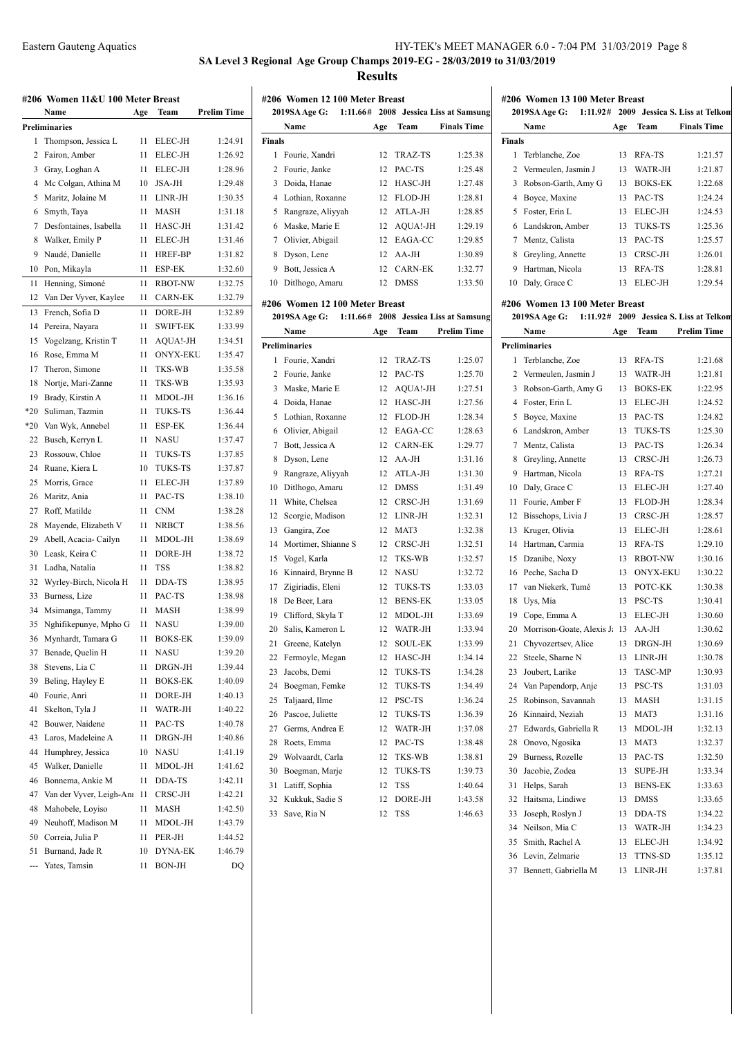**Finals**

**SA Level 3 Regional Age Group Champs 2019-EG - 28/03/2019 to 31/03/2019**

**Results**

## **#206 Women 13 100 Meter Breast**

**2019SA Age G: 1:11.92# 2009 Jessica S. Liss at Telkom Name Age Team Finals Time**

 Terblanche, Zoe 13 RFA-TS 1:21.57 2 Vermeulen, Jasmin J 13 WATR-JH 1:21.87 Robson-Garth, Amy G 13 BOKS-EK 1:22.68 Boyce, Maxine 13 PAC-TS 1:24.24 5 Foster, Erin L 13 ELEC-JH 1:24.53 Landskron, Amber 13 TUKS-TS 1:25.36 Mentz, Calista 13 PAC-TS 1:25.57 8 Greyling, Annette 13 CRSC-JH 1:26.01 Hartman, Nicola 13 RFA-TS 1:28.81 10 Daly, Grace C 13 ELEC-JH 1:29.54

|          | #206 Women 11&U 100 Meter Breast            |          |                           |                    |
|----------|---------------------------------------------|----------|---------------------------|--------------------|
|          | Name                                        | Age      | Team                      | <b>Prelim Time</b> |
|          | Preliminaries                               |          |                           |                    |
| 1        | Thompson, Jessica L                         | 11       | ELEC-JH                   | 1:24.91            |
| 2        | Fairon, Amber                               | 11       | ELEC-JH                   | 1:26.92            |
| 3        | Gray, Loghan A                              | 11       | ELEC-JH                   | 1:28.96            |
| 4        | Mc Colgan, Athina M                         | 10       | JSA-JH                    | 1:29.48            |
| 5        | Maritz, Jolaine M                           | 11       | LINR-JH                   | 1:30.35            |
| 6        | Smyth, Taya                                 | 11       | <b>MASH</b>               | 1:31.18            |
| 7        | Desfontaines, Isabella                      | 11       | HASC-JH                   | 1:31.42            |
| 8        | Walker, Emily P                             | 11       | ELEC-JH                   | 1:31.46            |
| 9        | Naudé, Danielle                             | 11       | <b>HREF-BP</b>            | 1:31.82            |
| 10       | Pon, Mikayla                                | 11       | <b>ESP-EK</b>             | 1:32.60            |
| 11       | Henning, Simoné                             | 11       | <b>RBOT-NW</b>            | 1:32.75            |
| 12       | Van Der Vyver, Kaylee                       | 11       | <b>CARN-EK</b>            | 1:32.79            |
| 13       | French, Sofia D                             | 11       | DORE-JH                   | 1:32.89            |
| 14       | Pereira, Nayara                             | 11       | <b>SWIFT-EK</b>           | 1:33.99            |
| 15       | Vogelzang, Kristin T                        | 11       | AQUA!-JH                  | 1:34.51            |
| 16       | Rose, Emma M                                | 11       | <b>ONYX-EKU</b>           | 1:35.47            |
| 17       | Theron, Simone                              | 11       | <b>TKS-WB</b>             | 1:35.58            |
| 18       | Nortje, Mari-Zanne                          | 11       | <b>TKS-WB</b>             | 1:35.93            |
| 19       | Brady, Kirstin A                            | 11       | MDOL-JH                   | 1:36.16            |
| $*20$    | Suliman, Tazmin                             | 11       | <b>TUKS-TS</b>            | 1:36.44            |
|          | Van Wyk, Annebel                            | 11       | <b>ESP-EK</b>             | 1:36.44            |
| *20      |                                             | 11       | <b>NASU</b>               | 1:37.47            |
| 22       | Busch, Kerryn L                             |          |                           |                    |
| 23<br>24 | Rossouw, Chloe                              | 11       | <b>TUKS-TS</b>            | 1:37.85            |
| 25       | Ruane, Kiera L                              | 10       | <b>TUKS-TS</b><br>ELEC-JH | 1:37.87<br>1:37.89 |
| 26       | Morris, Grace                               | 11<br>11 | PAC-TS                    | 1:38.10            |
| 27       | Maritz, Ania<br>Roff, Matilde               | 11       | <b>CNM</b>                | 1:38.28            |
| 28       | Mayende, Elizabeth V                        | 11       | <b>NRBCT</b>              | 1:38.56            |
| 29       | Abell, Acacia-Cailyn                        | 11       | MDOL-JH                   | 1:38.69            |
| 30       | Leask, Keira C                              | 11       | DORE-JH                   | 1:38.72            |
| 31       | Ladha, Natalia                              | 11       | <b>TSS</b>                | 1:38.82            |
|          |                                             |          |                           |                    |
| 32       | Wyrley-Birch, Nicola H<br>Burness, Lize     | 11       | DDA-TS<br>PAC-TS          | 1:38.95            |
| 33<br>34 |                                             | 11       |                           | 1:38.98            |
| 35       | Msimanga, Tammy                             | 11<br>11 | MASH<br><b>NASU</b>       | 1:38.99            |
| 36       | Nghifikepunye, Mpho G<br>Mynhardt, Tamara G | 11       |                           | 1:39.00<br>1:39.09 |
|          |                                             |          | <b>BOKS-EK</b>            |                    |
| 37<br>38 | Benade, Quelin H<br>Stevens, Lia C          | 11       | NASU                      | 1:39.20            |
| 39       | Beling, Hayley E                            | 11       | DRGN-JH<br><b>BOKS-EK</b> | 1:39.44            |
|          | Fourie, Anri                                | 11       | DORE-JH                   | 1:40.09            |
| 40       |                                             | 11       |                           | 1:40.13<br>1:40.22 |
| 41       | Skelton, Tyla J                             | 11       | WATR-JH                   |                    |
| 42       | Bouwer, Naidene                             | 11       | PAC-TS                    | 1:40.78            |
| 43       | Laros, Madeleine A                          | 11       | DRGN-JH<br><b>NASU</b>    | 1:40.86            |
| 44       | Humphrey, Jessica                           | 10       |                           | 1:41.19            |
| 45       | Walker, Danielle                            | 11       | MDOL-JH                   | 1:41.62            |
| 46       | Bonnema, Ankie M                            | 11       | DDA-TS                    | 1:42.11            |
| 47       | Van der Vyver, Leigh-Anr                    | 11       | CRSC-JH                   | 1:42.21            |
| 48       | Mahobele, Loyiso                            | 11       | MASH                      | 1:42.50            |
| 49       | Neuhoff, Madison M                          | 11       | MDOL-JH                   | 1:43.79            |
| 50       | Correia, Julia P                            | 11       | PER-JH                    | 1:44.52            |
| 51       | Burnand, Jade R                             | 10       | <b>DYNA-EK</b>            | 1:46.79            |
| ---      | Yates, Tamsin                               | 11       | BON-JH                    | DQ                 |

|               | #206 Women 12 100 Meter Breast |                 |                |                                       |
|---------------|--------------------------------|-----------------|----------------|---------------------------------------|
|               | <b>2019SA Age G:</b>           |                 |                | 1:11.66# 2008 Jessica Liss at Samsung |
|               | Name                           | Age             | Team           | <b>Finals Time</b>                    |
| <b>Finals</b> |                                |                 |                |                                       |
| 1.            | Fourie, Xandri                 | 12              | TRAZ-TS        | 1:25.38                               |
| 2             | Fourie, Janke                  | 12              | PAC-TS         | 1:25.48                               |
| 3             | Doida, Hanae                   | 12              | HASC-JH        | 1:27.48                               |
| 4             | Lothian, Roxanne               | 12              | FLOD-JH        | 1:28.81                               |
| 5             | Rangraze, Aliyyah              | 12              | ATLA-JH        | 1:28.85                               |
| 6             | Maske, Marie E                 | 12              | AQUA!-JH       | 1:29.19                               |
| 7             | Olivier, Abigail               | 12              | EAGA-CC        | 1:29.85                               |
| 8             | Dyson, Lene                    | 12              | $AA-JH$        | 1:30.89                               |
| 9             | Bott, Jessica A                | 12              | <b>CARN-EK</b> | 1:32.77                               |
| 10            | Ditlhogo, Amaru                | 12              | <b>DMSS</b>    | 1:33.50                               |
|               | #206 Women 12 100 Meter Breast |                 |                |                                       |
|               | <b>2019SA Age G:</b>           |                 |                | 1:11.66# 2008 Jessica Liss at Samsung |
|               | Name                           | Age             | Team           | <b>Prelim Time</b>                    |
|               | <b>Preliminaries</b>           |                 |                |                                       |
| 1             | Fourie, Xandri                 | 12              | TRAZ-TS        | 1:25.07                               |
|               | 2 Fourie, Janke                | 12              | PAC-TS         | 1:25.70                               |
| 3             | Maske, Marie E                 | 12              | AQUA!-JH       | 1:27.51                               |
| 4             | Doida, Hanae                   | 12 <sup>2</sup> | HASC-JH        | 1:27.56                               |
| 5             | Lothian, Roxanne               | 12              | FLOD-JH        | 1:28.34                               |
| 6.            | Olivier, Abigail               | 12              | EAGA-CC        | 1:28.63                               |
| 7             | Bott, Jessica A                | 12              | <b>CARN-EK</b> | 1:29.77                               |

 Dyson, Lene 12 AA-JH 1:31.16 Rangraze, Aliyyah 12 ATLA-JH 1:31.30 Ditlhogo, Amaru 12 DMSS 1:31.49 11 White, Chelsea 12 CRSC-JH 1:31.69 Scorgie, Madison 12 LINR-JH 1:32.31 Gangira, Zoe 12 MAT3 1:32.38 Mortimer, Shianne S 12 CRSC-JH 1:32.51 Vogel, Karla 12 TKS-WB 1:32.57 Kinnaird, Brynne B 12 NASU 1:32.72 Zigiriadis, Eleni 12 TUKS-TS 1:33.03 18 De Beer, Lara 12 BENS-EK 1:33.05 Clifford, Skyla T 12 MDOL-JH 1:33.69 20 Salis, Kameron L 12 WATR-JH 1:33.94 Greene, Katelyn 12 SOUL-EK 1:33.99 Fermoyle, Megan 12 HASC-JH 1:34.14 Jacobs, Demi 12 TUKS-TS 1:34.28 Boegman, Femke 12 TUKS-TS 1:34.49 Taljaard, Ilme 12 PSC-TS 1:36.24 Pascoe, Juliette 12 TUKS-TS 1:36.39 27 Germs, Andrea E 12 WATR-JH 1:37.08 Roets, Emma 12 PAC-TS 1:38.48 Wolvaardt, Carla 12 TKS-WB 1:38.81 Boegman, Marje 12 TUKS-TS 1:39.73 Latiff, Sophia 12 TSS 1:40.64 Kukkuk, Sadie S 12 DORE-JH 1:43.58 33 Save, Ria N 12 TSS 1:46.63

#### **#206 Women 13 100 Meter Breast**

#### **2019SA Age G: 1:11.92# 2009 Jessica S. Liss at Telkom**

|                | Name                      | Age | Team            | <b>Prelim Time</b> |
|----------------|---------------------------|-----|-----------------|--------------------|
|                | <b>Preliminaries</b>      |     |                 |                    |
| 1              | Terblanche, Zoe           | 13  | RFA-TS          | 1:21.68            |
| $\overline{c}$ | Vermeulen, Jasmin J       | 13  | WATR-JH         | 1:21.81            |
| 3              | Robson-Garth, Amy G       | 13  | <b>BOKS-EK</b>  | 1:22.95            |
| 4              | Foster, Erin L            | 13  | ELEC-JH         | 1:24.52            |
| 5              | Boyce, Maxine             | 13  | PAC-TS          | 1:24.82            |
| 6              | Landskron, Amber          | 13  | <b>TUKS-TS</b>  | 1:25.30            |
| $\overline{7}$ | Mentz, Calista            | 13  | PAC-TS          | 1:26.34            |
| 8              | Greyling, Annette         | 13  | CRSC-JH         | 1:26.73            |
| 9              | Hartman, Nicola           | 13  | RFA-TS          | 1:27.21            |
| 10             | Daly, Grace C             | 13  | ELEC-JH         | 1:27.40            |
| 11             | Fourie, Amber F           | 13  | FLOD-JH         | 1:28.34            |
| 12             | Bisschops, Livia J        | 13  | CRSC-JH         | 1:28.57            |
| 13             | Kruger, Olivia            | 13  | ELEC-JH         | 1:28.61            |
| 14             | Hartman, Carmia           | 13  | RFA-TS          | 1:29.10            |
| 15             | Dzanibe, Noxy             | 13  | <b>RBOT-NW</b>  | 1:30.16            |
| 16             | Peche, Sacha D            | 13  | <b>ONYX-EKU</b> | 1:30.22            |
| 17             | van Niekerk, Tumé         | 13  | POTC-KK         | 1:30.38            |
| 18             | Uys, Mia                  | 13  | PSC-TS          | 1:30.41            |
| 19             | Cope, Emma A              | 13  | ELEC-JH         | 1:30.60            |
| 20             | Morrison-Goate, Alexis Ja | 13  | AA-JH           | 1:30.62            |
| 21             | Chyvozertsev, Alice       | 13  | DRGN-JH         | 1:30.69            |
| 22             | Steele, Sharne N          | 13  | LINR-JH         | 1:30.78            |
| 23             | Joubert, Larike           | 13  | <b>TASC-MP</b>  | 1:30.93            |
| 24             | Van Papendorp, Anje       | 13  | PSC-TS          | 1:31.03            |
| 25             | Robinson, Savannah        | 13  | <b>MASH</b>     | 1:31.15            |
| 26             | Kinnaird, Neziah          | 13  | MAT3            | 1:31.16            |
| 27             | Edwards, Gabriella R      | 13  | MDOL-JH         | 1:32.13            |
| 28             | Onovo, Ngosika            | 13  | MAT3            | 1:32.37            |
| 29             | Burness, Rozelle          | 13  | PAC-TS          | 1:32.50            |
| 30             | Jacobie, Zodea            | 13  | <b>SUPE-JH</b>  | 1:33.34            |
| 31             | Helps, Sarah              | 13  | <b>BENS-EK</b>  | 1:33.63            |
| 32             | Haitsma, Lindiwe          | 13  | <b>DMSS</b>     | 1:33.65            |
| 33             | Joseph, Roslyn J          | 13  | DDA-TS          | 1:34.22            |
| 34             | Neilson, Mia C            | 13  | WATR-JH         | 1:34.23            |
| 35             | Smith, Rachel A           | 13  | ELEC-JH         | 1:34.92            |
| 36             | Levin, Zelmarie           | 13  | TTNS-SD         | 1:35.12            |
| 37             | Bennett, Gabriella M      | 13  | LINR-JH         | 1:37.81            |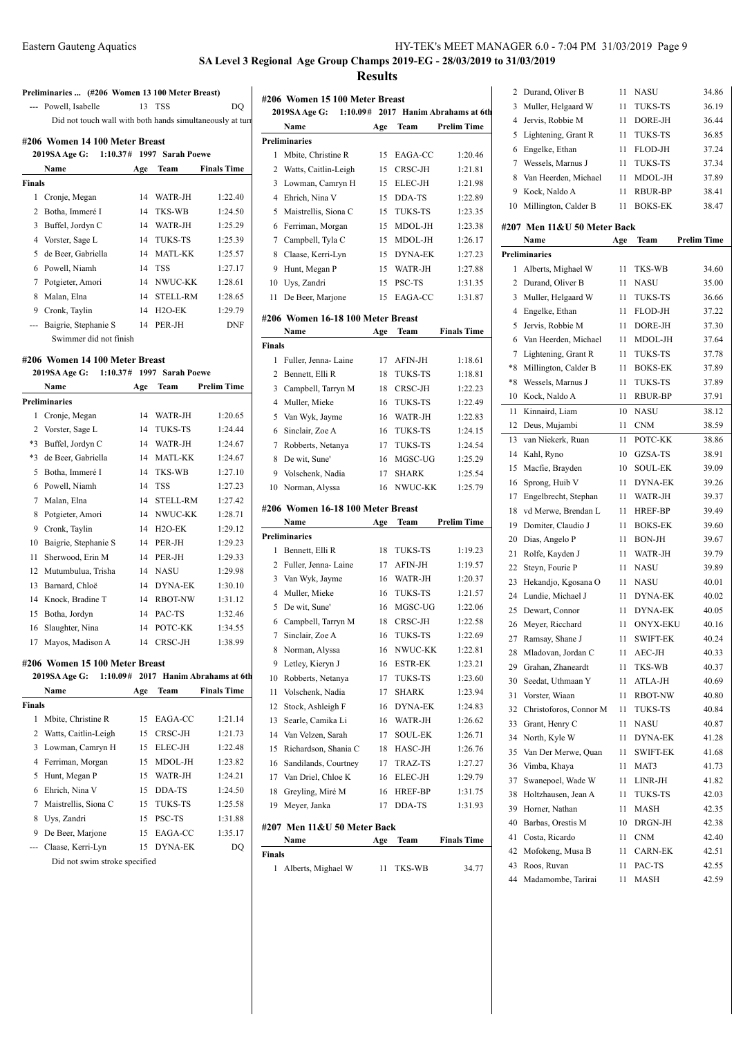**SA Level 3 Regional Age Group Champs 2019-EG - 28/03/2019 to 31/03/2019**

**Results**

|                          | Preliminaries  (#206 Women 13 100 Meter Breast)           |     |                     |                            |               |               |
|--------------------------|-----------------------------------------------------------|-----|---------------------|----------------------------|---------------|---------------|
| $\overline{\phantom{a}}$ | Powell, Isabelle                                          | 13  | <b>TSS</b>          | DO                         | #206 Wo       |               |
|                          | Did not touch wall with both hands simultaneously at turn |     |                     |                            |               | 2019SA        |
|                          |                                                           |     |                     |                            |               | Nan           |
|                          | #206 Women 14 100 Meter Breast                            |     | 1997 Sarah Poewe    |                            | Prelimina     |               |
|                          | 2019SA Age G:<br>1:10.37#<br>Name                         |     | Team                | <b>Finals Time</b>         | 1<br>2        | Mbi           |
| Finals                   |                                                           | Age |                     |                            | 3             | Watt          |
| $\mathbf{1}$             | Cronje, Megan                                             | 14  | WATR-JH             | 1:22.40                    |               | Low<br>4 Ehri |
| 2                        | Botha, Immeré I                                           | 14  | TKS-WB              | 1:24.50                    | 5             | Mais          |
| 3                        | Buffel, Jordyn C                                          | 14  | WATR-JH             | 1:25.29                    |               | 6 Ferri       |
| $\overline{4}$           | Vorster, Sage L                                           | 14  | <b>TUKS-TS</b>      | 1:25.39                    | 7             | Cam           |
| 5                        | de Beer, Gabriella                                        | 14  | <b>MATL-KK</b>      | 1:25.57                    | 8             | Claa          |
| 6                        | Powell, Niamh                                             | 14  | <b>TSS</b>          | 1:27.17                    | 9             | Hun           |
| 7                        | Potgieter, Amori                                          | 14  | NWUC-KK             | 1:28.61                    | 10            | Uys,          |
| 8                        | Malan, Elna                                               | 14  | <b>STELL-RM</b>     | 1:28.65                    | 11            | De I          |
| 9                        | Cronk, Taylin                                             | 14  | H <sub>2</sub> O-EK | 1:29.79                    |               |               |
| ---                      | Baigrie, Stephanie S                                      | 14  | PER-JH              | <b>DNF</b>                 | #206 Wo       |               |
|                          | Swimmer did not finish                                    |     |                     |                            |               | Nan           |
|                          |                                                           |     |                     |                            | <b>Finals</b> |               |
|                          | #206 Women 14 100 Meter Breast                            |     |                     |                            |               | 1 Full        |
|                          | 2019SA Age G:<br>1:10.37#                                 |     | 1997 Sarah Poewe    |                            |               | 2 Ben         |
|                          | Name                                                      | Age | Team                | <b>Prelim Time</b>         | 3             | Cam           |
|                          | <b>Preliminaries</b>                                      |     |                     |                            |               | 4 Mull        |
| 1                        | Cronje, Megan                                             | 14  | WATR-JH             | 1:20.65                    | 5             | Van           |
| $\overline{c}$           | Vorster, Sage L                                           | 14  | <b>TUKS-TS</b>      | 1:24.44                    | 6             | Sinc          |
| $*3$                     | Buffel, Jordyn C                                          | 14  | WATR-JH             | 1:24.67                    | 7             | Robl          |
| *3                       | de Beer, Gabriella                                        | 14  | <b>MATL-KK</b>      | 1:24.67                    | 8             | De v          |
| 5                        | Botha, Immeré I                                           | 14  | TKS-WB              | 1:27.10                    | 9             | Vols          |
|                          | 6 Powell, Niamh                                           | 14  | <b>TSS</b>          | 1:27.23                    | 10            | Norr          |
| 7                        | Malan, Elna                                               | 14  | <b>STELL-RM</b>     | 1:27.42                    | #206 Wo       |               |
| 8                        | Potgieter, Amori                                          | 14  | NWUC-KK             | 1:28.71                    |               | Nan           |
| 9                        | Cronk, Taylin                                             | 14  | H <sub>2</sub> O-EK | 1:29.12                    | Prelimina     |               |
| 10                       | Baigrie, Stephanie S                                      | 14  | PER-JH              | 1:29.23                    | 1             | Beni          |
| 11                       | Sherwood, Erin M                                          | 14  | PER-JH              | 1:29.33                    |               | 2 Fulle       |
| 12                       | Mutumbulua, Trisha                                        | 14  | <b>NASU</b>         | 1:29.98                    | 3             | Van           |
| 13                       | Barnard, Chloë                                            | 14  | <b>DYNA-EK</b>      | 1:30.10                    |               | 4 Mull        |
| 14                       | Knock, Bradine T                                          | 14  | <b>RBOT-NW</b>      | 1:31.12                    | 5             | De v          |
| 15                       | Botha, Jordyn                                             | 14  | PAC-TS              | 1:32.46                    | 6             | Cam           |
| 16                       | Slaughter, Nina                                           | 14  | POTC-KK             | 1:34.55                    | 7             | Sinc          |
| 17                       | Mayos, Madison A                                          | 14  | CRSC-JH             | 1:38.99                    | 8             | Norr          |
|                          | #206 Women 15 100 Meter Breast                            |     |                     |                            | 9             | Letk          |
|                          | 2019SA Age G:<br>1:10.09#                                 |     |                     | 2017 Hanim Abrahams at 6th | 10            | Robl          |
|                          | Name                                                      | Age | Team                | <b>Finals Time</b>         | 11            | Vols          |
| Finals                   |                                                           |     |                     |                            | 12            | Stoc          |
| 1                        | Mbite, Christine R                                        | 15  | EAGA-CC             | 1:21.14                    | 13            | Sear          |
| 2                        | Watts, Caitlin-Leigh                                      | 15  | CRSC-JH             | 1:21.73                    | 14            | Van           |
| 3                        | Lowman, Camryn H                                          | 15  | ELEC-JH             | 1:22.48                    | 15            | Rich          |
|                          | 4 Ferriman, Morgan                                        | 15  | MDOL-JH             | 1:23.82                    | 16            | Sanc          |
|                          | 5 Hunt, Megan P                                           | 15  | WATR-JH             | 1:24.21                    | 17            | Van           |
| 6                        | Ehrich, Nina V                                            | 15  | DDA-TS              | 1:24.50                    | 18            | Grey          |
| 7                        | Maistrellis, Siona C                                      | 15  | <b>TUKS-TS</b>      | 1:25.58                    | 19            | Mey           |
| 8                        | Uys, Zandri                                               | 15  | PSC-TS              | 1:31.88                    |               |               |
| 9                        | De Beer, Marjone                                          | 15  | EAGA-CC             | 1:35.17                    | #207 Me       | Nan           |
|                          | Claase, Kerri-Lyn                                         | 15  | DYNA-EK             | DQ                         | Finals        |               |
|                          | Did not swim stroke specified                             |     |                     |                            |               | 1 Albe        |
|                          |                                                           |     |                     |                            |               |               |

|                | #206 Women 15 100 Meter Breast    |     |                |                            |          |     |
|----------------|-----------------------------------|-----|----------------|----------------------------|----------|-----|
|                | 1:10.09#<br>2019SA Age G:         |     |                | 2017 Hanim Abrahams at 6th | 3        | Mι  |
|                | Name                              | Age | Team           | <b>Prelim Time</b>         | 4        | Jer |
|                | Preliminaries                     |     |                |                            | 5        | Lig |
| 1              | Mbite, Christine R                | 15  | EAGA-CC        | 1:20.46                    | 6        | En  |
| 2              | Watts, Caitlin-Leigh              | 15  | CRSC-JH        | 1:21.81                    | 7        | We  |
| 3              | Lowman, Camryn H                  | 15  | ELEC-JH        | 1:21.98                    | 8        | Va  |
|                | 4 Ehrich, Nina V                  | 15  | DDA-TS         | 1:22.89                    | 9        | Ko  |
| 5              | Maistrellis, Siona C              | 15  | TUKS-TS        | 1:23.35                    | 10       | Mi  |
| 6              | Ferriman, Morgan                  | 15  | MDOL-JH        | 1:23.38                    | #207 M   |     |
| 7              | Campbell, Tyla C                  | 15  | MDOL-JH        | 1:26.17                    |          | Na  |
| 8              | Claase, Kerri-Lyn                 | 15  | DYNA-EK        | 1:27.23                    | Prelimin |     |
| 9              | Hunt, Megan P                     | 15  | WATR-JH        | 1:27.88                    | 1        | All |
| 10             | Uys, Zandri                       | 15  | PSC-TS         | 1:31.35                    | 2        | Du  |
| 11             | De Beer, Marjone                  | 15  | EAGA-CC        | 1:31.87                    | 3        | Mι  |
|                |                                   |     |                |                            | 4        | En  |
|                | #206 Women 16-18 100 Meter Breast |     |                |                            | 5        | Jer |
|                | Name                              | Age | Team           | <b>Finals Time</b>         | 6        | Va  |
| Finals         |                                   |     |                |                            | 7        | Lig |
| 1              | Fuller, Jenna-Laine               | 17  | AFIN-JH        | 1:18.61                    | *8       | Mi  |
| 2              | Bennett, Elli R                   | 18  | TUKS-TS        | 1:18.81                    | *8       | We  |
| 3              | Campbell, Tarryn M                | 18  | CRSC-JH        | 1:22.23                    | 10       |     |
| $\overline{4}$ | Muller, Mieke                     | 16  | TUKS-TS        | 1:22.49                    |          | Ko  |
|                | 5 Van Wyk, Jayme                  | 16  | WATR-JH        | 1:22.83                    | 11       | Ki  |
| 6              | Sinclair, Zoe A                   | 16  | TUKS-TS        | 1:24.15                    | 12       | De  |
| 7              | Robberts, Netanya                 | 17  | <b>TUKS-TS</b> | 1:24.54                    | 13       | vai |
| 8              | De wit, Sune'                     | 16  | MGSC-UG        | 1:25.29                    | 14 Ka    |     |
| 9              | Volschenk, Nadia                  | 17  | <b>SHARK</b>   | 1:25.54                    | 15       | Mε  |
| 10             | Norman, Alyssa                    | 16  | NWUC-KK        | 1:25.79                    | 16       | Sp: |
|                |                                   |     |                |                            | 17       | En  |
|                | #206 Women 16-18 100 Meter Breast |     |                |                            | 18       | vd  |
|                | Name                              | Age | Team           | <b>Prelim Time</b>         | 19       | Do  |
|                | Preliminaries                     |     |                |                            | 20       | Di  |
| 1              | Bennett, Elli R                   | 18  | TUKS-TS        | 1:19.23                    | 21       | Ro  |
|                | 2 Fuller, Jenna- Laine            | 17  | AFIN-JH        | 1:19.57                    | 22       | Ste |
|                | 3 Van Wyk, Jayme                  | 16  | WATR-JH        | 1:20.37                    | 23       | He  |
|                | 4 Muller, Mieke                   | 16  | <b>TUKS-TS</b> | 1:21.57                    | 24       | Lu  |
| 5              | De wit, Sune'                     | 16  | MGSC-UG        | 1:22.06                    | 25       | De  |
| 6              | Campbell, Tarryn M                | 18  | CRSC-JH        | 1:22.58                    | 26       | M   |
| 7              | Sinclair, Zoe A                   | 16  | <b>TUKS-TS</b> | 1:22.69                    | 27       | Ra  |
|                | 8 Norman, Alyssa                  |     | 16 NWUC-KK     | 1:22.81                    | 28       | Ml  |
|                | 9 Letley, Kieryn J                | 16  | <b>ESTR-EK</b> | 1:23.21                    | 29       | Gr  |
| 10             | Robberts, Netanya                 | 17  | <b>TUKS-TS</b> | 1:23.60                    | 30       | Se  |
| 11             | Volschenk, Nadia                  | 17  | <b>SHARK</b>   | 1:23.94                    | 31       | Vo  |
| 12             | Stock, Ashleigh F                 | 16  | DYNA-EK        | 1:24.83                    | 32       | Ch  |
| 13             | Searle, Camika Li                 | 16  | WATR-JH        | 1:26.62                    | 33       | Gr  |
| 14             | Van Velzen, Sarah                 | 17  | <b>SOUL-EK</b> | 1:26.71                    | 34       | No  |
| 15             | Richardson, Shania C              | 18  | HASC-JH        | 1:26.76                    | 35       | Va: |
| 16             | Sandilands, Courtney              | 17  | TRAZ-TS        | 1:27.27                    | 36       | Vii |
|                | 17 Van Driel, Chloe K             | 16  | ELEC-JH        | 1:29.79                    | 37       | Sw  |
| 18             | Greyling, Miré M                  | 16  | HREF-BP        | 1:31.75                    | 38       | Ho  |
| 19             | Meyer, Janka                      | 17  | DDA-TS         | 1:31.93                    | 39       | Ho  |
|                |                                   |     |                |                            | 40       | Ba  |
|                | #207 Men 11&U 50 Meter Back       |     |                |                            | 41       | Co  |
|                | Name                              | Age | Team           | <b>Finals Time</b>         | 42       | M   |
| Finals         |                                   |     |                |                            | 43       | Ro  |
| 1              | Alberts, Mighael W                | 11  | TKS-WB         | 34.77                      |          |     |

| 2  | Durand, Oliver B            | 11  | NASU            | 34.86              |
|----|-----------------------------|-----|-----------------|--------------------|
| 3  | Muller, Helgaard W          | 11  | <b>TUKS-TS</b>  | 36.19              |
| 4  | Jervis, Robbie M            | 11  | DORE-JH         | 36.44              |
| 5  | Lightening, Grant R         | 11  | TUKS-TS         | 36.85              |
| 6  | Engelke, Ethan              | 11  | FLOD-JH         | 37.24              |
| 7  | Wessels, Marnus J           | 11  | <b>TUKS-TS</b>  | 37.34              |
| 8  | Van Heerden, Michael        | 11  | MDOL-JH         | 37.89              |
| 9  | Kock, Naldo A               | 11  | RBUR-BP         | 38.41              |
|    |                             |     | <b>BOKS-EK</b>  |                    |
| 10 | Millington, Calder B        | 11  |                 | 38.47              |
|    | #207 Men 11&U 50 Meter Back |     |                 |                    |
|    | Name                        | Age | Team            | <b>Prelim Time</b> |
|    | <b>Preliminaries</b>        |     |                 |                    |
| 1  | Alberts, Mighael W          | 11  | TKS-WB          | 34.60              |
| 2  | Durand, Oliver B            | 11  | NASU            | 35.00              |
| 3  | Muller, Helgaard W          | 11  | TUKS-TS         | 36.66              |
| 4  | Engelke, Ethan              | 11  | FLOD-JH         | 37.22              |
| 5  | Jervis, Robbie M            | 11  | DORE-JH         | 37.30              |
| 6  | Van Heerden, Michael        | 11  | MDOL-JH         | 37.64              |
| 7  | Lightening, Grant R         | 11  | <b>TUKS-TS</b>  | 37.78              |
| *8 | Millington, Calder B        | 11  | <b>BOKS-EK</b>  | 37.89              |
| *8 | Wessels, Marnus J           | 11  | <b>TUKS-TS</b>  | 37.89              |
| 10 | Kock, Naldo A               | 11  | <b>RBUR-BP</b>  | 37.91              |
| 11 | Kinnaird, Liam              | 10  | NASU            | 38.12              |
| 12 | Deus, Mujambi               | 11  | <b>CNM</b>      | 38.59              |
|    |                             |     |                 |                    |
| 13 | van Niekerk, Ruan           | 11  | POTC-KK         | 38.86              |
| 14 | Kahl, Ryno                  | 10  | GZSA-TS         | 38.91              |
| 15 | Macfie, Brayden             | 10  | <b>SOUL-EK</b>  | 39.09              |
| 16 | Sprong, Huib V              | 11  | <b>DYNA-EK</b>  | 39.26              |
| 17 | Engelbrecht, Stephan        | 11  | WATR-JH         | 39.37              |
| 18 | vd Merwe, Brendan L         | 11  | HREF-BP         | 39.49              |
| 19 | Domiter, Claudio J          | 11  | <b>BOKS-EK</b>  | 39.60              |
| 20 | Dias, Angelo P              | 11  | <b>BON-JH</b>   | 39.67              |
| 21 | Rolfe, Kayden J             | 11  | WATR-JH         | 39.79              |
| 22 | Steyn, Fourie P             | 11  | <b>NASU</b>     | 39.89              |
| 23 | Hekandjo, Kgosana O         | 11  | <b>NASU</b>     | 40.01              |
| 24 | Lundie, Michael J           | 11  | <b>DYNA-EK</b>  | 40.02              |
| 25 | Dewart, Connor              | 11  | <b>DYNA-EK</b>  | 40.05              |
| 26 | Meyer, Ricchard             | 11  | <b>ONYX-EKU</b> | 40.16              |
| 27 | Ramsay, Shane J             | 11  | <b>SWIFT-EK</b> | 40.24              |
| 28 | Mladovan, Jordan C          | 11  | AEC-JH          | 40.33              |
| 29 | Grahan, Zhaneardt           | 11  | TKS-WB          | 40.37              |
| 30 | Seedat, Uthmaan Y           | 11  | ATLA-JH         | 40.69              |
| 31 | Vorster, Wiaan              | 11  | RBOT-NW         | 40.80              |
| 32 | Christoforos, Connor M      | 11  | TUKS-TS         | 40.84              |
| 33 | Grant, Henry C              | 11  | <b>NASU</b>     | 40.87              |
| 34 | North, Kyle W               | 11  | <b>DYNA-EK</b>  | 41.28              |
| 35 | Van Der Merwe, Quan         | 11  | SWIFT-EK        | 41.68              |
| 36 | Vimba, Khaya                | 11  | MAT3            | 41.73              |
| 37 | Swanepoel, Wade W           | 11  | LINR-JH         | 41.82              |
| 38 | Holtzhausen, Jean A         | 11  | TUKS-TS         | 42.03              |
|    | Horner, Nathan              | 11  |                 |                    |
| 39 |                             |     | MASH            | 42.35              |
| 40 | Barbas, Orestis M           | 10  | DRGN-JH         | 42.38              |
| 41 | Costa, Ricardo              | 11  | <b>CNM</b>      | 42.40              |
| 42 | Mofokeng, Musa B            | 11  | <b>CARN-EK</b>  | 42.51              |
| 43 | Roos, Ruvan                 | 11  | PAC-TS          | 42.55              |
| 44 | Madamombe, Tarirai          | 11  | MASH            | 42.59              |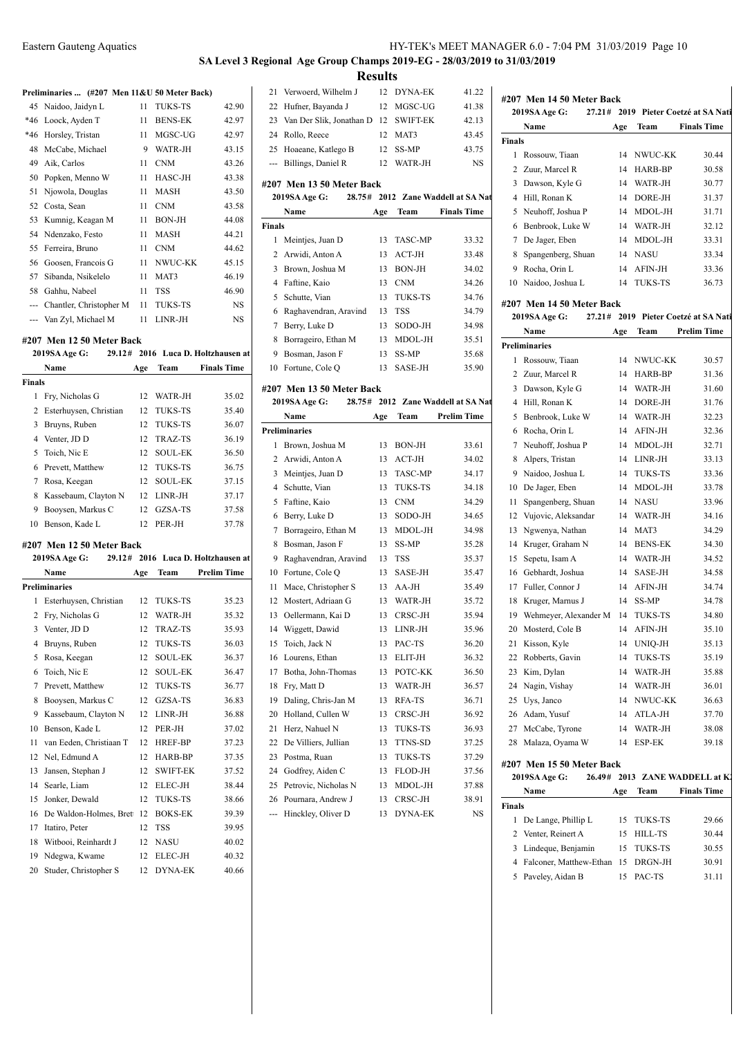# **SA Level 3 Regional Age Group Champs 2019-EG - 28/03/2019 to 31/03/2019 Results** 21 Verwoerd, Wilhelm J 12 DYNA-EK 41.22

22 Hufner, Bayanda J 12 MGSC-UG 41.38

#### Preliminaries ... (#207 Men 11&U 50 Meter Back)

|     | 45 Naidoo, Jaidyn L         | 11 | <b>TUKS-TS</b> | 42.90 |
|-----|-----------------------------|----|----------------|-------|
| *46 | Loock, Ayden T              | 11 | <b>BENS-EK</b> | 42.97 |
|     | *46 Horsley, Tristan        | 11 | MGSC-UG        | 42.97 |
| 48  | McCabe, Michael             | 9  | WATR-JH        | 43.15 |
| 49  | Aik, Carlos                 | 11 | <b>CNM</b>     | 43.26 |
| 50  | Popken, Menno W             | 11 | HASC-JH        | 43.38 |
| 51  | Njowola, Douglas            | 11 | <b>MASH</b>    | 43.50 |
|     | 52 Costa, Sean              | 11 | <b>CNM</b>     | 43.58 |
| 53  | Kumnig, Keagan M            | 11 | <b>BON-JH</b>  | 44.08 |
|     | 54 Ndenzako, Festo          | 11 | MASH           | 44.21 |
|     | 55 Ferreira, Bruno          | 11 | <b>CNM</b>     | 44.62 |
| 56  | Goosen, Francois G          | 11 | NWUC-KK        | 45.15 |
| 57  | Sibanda, Nsikelelo          | 11 | MAT3           | 46.19 |
| 58  | Gahhu, Nabeel               | 11 | <b>TSS</b>     | 46.90 |
|     | --- Chantler, Christopher M | 11 | <b>TUKS-TS</b> | NS    |
|     | --- Van Zyl, Michael M      | 11 | LINR-JH        | NS    |
|     |                             |    |                |       |

## **#207 Men 12 50 Meter Back**

|                | THE 12 JU MEEL DALK       |     |                |                                    |                                |
|----------------|---------------------------|-----|----------------|------------------------------------|--------------------------------|
|                | 2019SA Age G:             |     |                | 29.12# 2016 Luca D. Holtzhausen at | 9 H                            |
|                | Name                      | Age | Team           | <b>Finals Time</b>                 | 10 F                           |
| <b>Finals</b>  |                           |     |                |                                    | #207                           |
| $\mathbf{1}$   | Fry, Nicholas G           | 12  | WATR-JH        | 35.02                              | 2019                           |
| $\overline{c}$ | Esterhuysen, Christian    | 12  | <b>TUKS-TS</b> | 35.40                              | ľ                              |
| 3              | Bruyns, Ruben             | 12  | <b>TUKS-TS</b> | 36.07                              | Prelim                         |
| 4              | Venter, JD D              | 12  | <b>TRAZ-TS</b> | 36.19                              | $\mathbf{I}$<br>1              |
| 5              | Toich, Nic E              | 12  | <b>SOUL-EK</b> | 36.50                              | 2 <sub>t</sub>                 |
| 6              | Prevett, Matthew          | 12  | <b>TUKS-TS</b> | 36.75                              | $\overline{3}$<br>$\mathbf{I}$ |
| 7              | Rosa, Keegan              | 12  | <b>SOUL-EK</b> | 37.15                              | 4S                             |
| 8              | Kassebaum, Clayton N      | 12  | LINR-JH        | 37.17                              | $\mathbf{I}$<br>5              |
| 9              | Booysen, Markus C         | 12  | GZSA-TS        | 37.58                              | $\mathbf{I}$<br>6              |
| 10             | Benson, Kade L            | 12  | PER-JH         | 37.78                              | $\mathbf I$<br>7               |
|                | #207 Men 12 50 Meter Back |     |                |                                    | $\mathbf{I}$<br>8              |
|                | 2019SA Age G:             |     |                | 29.12# 2016 Luca D. Holtzhausen at | $\mathbf{I}$<br>9              |
|                | Name                      | Age | Team           | <b>Prelim Time</b>                 | $\mathbf{F}$<br>10             |
|                | <b>Preliminaries</b>      |     |                |                                    | 11<br>ľ                        |
| 1              | Esterhuysen, Christian    | 12  | <b>TUKS-TS</b> | 35.23                              | $\mathbf{I}$<br>12             |
| 2              | Fry, Nicholas G           | 12  | WATR-JH        | 35.32                              | $\epsilon$<br>13               |
| 3              | Venter, JD D              | 12  | TRAZ-TS        | 35.93                              | 14<br>J                        |
| 4              | Bruyns, Ruben             | 12  | <b>TUKS-TS</b> | 36.03                              | $\mathbb{I}$<br>15             |
| 5              | Rosa, Keegan              | 12  | <b>SOUL-EK</b> | 36.37                              | $\bf{I}$<br>16                 |
| 6              | Toich, Nic E              | 12  | <b>SOUL-EK</b> | 36.47                              | $\mathbf{F}$<br>17             |
| 7              | Prevett, Matthew          | 12  | <b>TUKS-TS</b> | 36.77                              | $\mathbf{I}$<br>18             |
| 8              | Booysen, Markus C         | 12  | GZSA-TS        | 36.83                              | $\mathbf I$<br>19              |
| 9              | Kassebaum, Clayton N      | 12  | LINR-JH        | 36.88                              | $\mathbf{I}$<br>20             |
| 10             | Benson, Kade L            | 12  | PER-JH         | 37.02                              | I<br>21                        |
| 11             | van Eeden, Christiaan T   | 12  | <b>HREF-BP</b> | 37.23                              | $22$ I                         |
| 12             | Nel, Edmund A             | 12  | HARB-BP        | 37.35                              | $\mathbf I$<br>23              |
|                |                           |     |                |                                    |                                |

13 Jansen, Stephan J 12 SWIFT-EK 37.52 Searle, Liam 12 ELEC-JH 38.44 Jonker, Dewald 12 TUKS-TS 38.66 16 De Waldon-Holmes, Brett 12 BOKS-EK 39.39 Itatiro, Peter 12 TSS 39.95 18 Witbooi, Reinhardt J 12 NASU 40.02 Ndegwa, Kwame 12 ELEC-JH 40.32 20 Studer, Christopher S 12 DYNA-EK 40.66

|                                                                                         | 23 Van Der Slik, Jonathan D 12 SWIFT-EK |     |                | 42.13              |  |  |  |  |
|-----------------------------------------------------------------------------------------|-----------------------------------------|-----|----------------|--------------------|--|--|--|--|
|                                                                                         | 24 Rollo, Reece                         |     | 12 MAT3        | 43.45              |  |  |  |  |
|                                                                                         | 25 Hoaeane, Katlego B                   |     | 12 SS-MP       | 43.75              |  |  |  |  |
|                                                                                         | --- Billings, Daniel R                  |     | 12 WATR-JH     | <b>NS</b>          |  |  |  |  |
| #207 Men 13 50 Meter Back<br><b>2019SA Age G:</b><br>28.75# 2012 Zane Waddell at SA Nat |                                         |     |                |                    |  |  |  |  |
|                                                                                         | Name                                    | Age | Team           | <b>Finals Time</b> |  |  |  |  |
| <b>Finals</b>                                                                           |                                         |     |                |                    |  |  |  |  |
| 1.                                                                                      | Meintjes, Juan D                        | 13. | <b>TASC-MP</b> | 33.32              |  |  |  |  |
|                                                                                         |                                         |     |                |                    |  |  |  |  |

|   | 3 Brown, Joshua M       |     | 13 BON-JH  | 34.02 |
|---|-------------------------|-----|------------|-------|
|   | 4 Faftine, Kaio         | 13  | <b>CNM</b> | 34.26 |
|   | 5 Schutte, Vian         | 13. | TUKS-TS    | 34.76 |
|   | 6 Raghavendran, Aravind | 13  | <b>TSS</b> | 34.79 |
|   | 7 Berry, Luke D         | 13. | SODO-JH    | 34.98 |
|   | 8 Borrageiro, Ethan M   | 13  | MDOL-JH    | 35.51 |
| 9 | Bosman, Jason F         | 13  | SS-MP      | 35.68 |
|   | 10 Fortune, Cole O      | 13  | SASE-JH    | 35.90 |

#### **#207 Men 13 50 Meter Back**

|                | #207   MEII 19 30 MEIEI DACK<br>2019SA Age G:<br>28.75# |     |                | 2012 Zane Waddell at SA Na |
|----------------|---------------------------------------------------------|-----|----------------|----------------------------|
|                | Name                                                    | Age | Team           | <b>Prelim Time</b>         |
|                | <b>Preliminaries</b>                                    |     |                |                            |
| 1              | Brown, Joshua M                                         | 13  | <b>BON-JH</b>  | 33.61                      |
| $\overline{2}$ | Arwidi, Anton A                                         | 13  | $ACT-JH$       | 34.02                      |
| 3              | Meintjes, Juan D                                        | 13  | <b>TASC-MP</b> | 34.17                      |
| 4              | Schutte, Vian                                           | 13  | <b>TUKS-TS</b> | 34.18                      |
| 5              | Faftine, Kaio                                           | 13  | <b>CNM</b>     | 34.29                      |
| 6              | Berry, Luke D                                           | 13  | SODO-JH        | 34.65                      |
| 7              | Borrageiro, Ethan M                                     | 13  | MDOL-JH        | 34.98                      |
| 8              | Bosman, Jason F                                         | 13  | SS-MP          | 35.28                      |
| 9              | Raghavendran, Aravind                                   | 13  | TSS            | 35.37                      |
| 10             | Fortune, Cole Q                                         | 13  | SASE-JH        | 35.47                      |
| 11             | Mace, Christopher S                                     | 13  | $AA-JH$        | 35.49                      |
| 12             | Mostert, Adriaan G                                      | 13  | WATR-JH        | 35.72                      |
| 13             | Oellermann, Kai D                                       | 13  | CRSC-JH        | 35.94                      |
|                | 14 Wiggett, Dawid                                       | 13  | $LINR-JH$      | 35.96                      |
| 15             | Toich, Jack N                                           | 13  | PAC-TS         | 36.20                      |
| 16             | Lourens, Ethan                                          | 13  | ELIT-JH        | 36.32                      |
| 17             | Botha, John-Thomas                                      | 13  | POTC-KK        | 36.50                      |
| 18             | Fry, Matt D                                             | 13  | WATR-JH        | 36.57                      |
| 19             | Daling, Chris-Jan M                                     | 13  | RFA-TS         | 36.71                      |
| 20             | Holland, Cullen W                                       | 13  | CRSC-JH        | 36.92                      |
| 21             | Herz, Nahuel N                                          | 13  | <b>TUKS-TS</b> | 36.93                      |
| 22             | De Villiers, Jullian                                    | 13  | TTNS-SD        | 37.25                      |
| 23             | Postma, Ruan                                            | 13  | TUKS-TS        | 37.29                      |
| 24             | Godfrey, Aiden C                                        | 13  | FLOD-JH        | 37.56                      |
| 25             | Petrovic, Nicholas N                                    | 13  | MDOL-JH        | 37.88                      |
| 26             | Pournara, Andrew J                                      | 13  | CRSC-JH        | 38.91                      |
| ---            | Hinckley, Oliver D                                      | 13  | DYNA-EK        | <b>NS</b>                  |

# **#207 Men 14 50 Meter Back 2019SA Age G: 27.21# 2019 Pieter Coetzé at SA National Apple 3019 Name Age Team Finals Time Finals** Rossouw, Tiaan 14 NWUC-KK 30.44 2 Zuur, Marcel R 14 HARB-BP 30.58 Dawson, Kyle G 14 WATR-JH 30.77 Hill, Ronan K 14 DORE-JH 31.37 5 Neuhoff, Joshua P 14 MDOL-JH 31.71 Benbrook, Luke W 14 WATR-JH 32.12 De Jager, Eben 14 MDOL-JH 33.31 Spangenberg, Shuan 14 NASU 33.34 Rocha, Orin L 14 AFIN-JH 33.36

#### **#207 Men 14 50 Meter Back**

#### **2019SA Age G: 27.21# 2019 Pieter Coetzé at SA Nati**

10 Naidoo, Joshua L 14 TUKS-TS 36.73

|    | Name                      | Age | Team           | <b>Prelim Time</b>             |
|----|---------------------------|-----|----------------|--------------------------------|
|    | <b>Preliminaries</b>      |     |                |                                |
| 1  | Rossouw, Tiaan            | 14  | NWUC-KK        | 30.57                          |
| 2  | Zuur, Marcel R            | 14  | HARB-BP        | 31.36                          |
| 3  | Dawson, Kyle G            | 14  | WATR-JH        | 31.60                          |
| 4  | Hill, Ronan K             | 14  | DORE-JH        | 31.76                          |
| 5  | Benbrook, Luke W          | 14  | WATR-JH        | 32.23                          |
| 6  | Rocha, Orin L             | 14  | AFIN-JH        | 32.36                          |
| 7  | Neuhoff, Joshua P         | 14  | MDOL-JH        | 32.71                          |
| 8  | Alpers, Tristan           | 14  | LINR-JH        | 33.13                          |
| 9  | Naidoo, Joshua L          | 14  | <b>TUKS-TS</b> | 33.36                          |
| 10 | De Jager, Eben            | 14  | MDOL-JH        | 33.78                          |
| 11 | Spangenberg, Shuan        | 14  | <b>NASU</b>    | 33.96                          |
| 12 | Vujovic, Aleksandar       | 14  | WATR-JH        | 34.16                          |
| 13 | Ngwenya, Nathan           | 14  | MAT3           | 34.29                          |
| 14 | Kruger, Graham N          | 14  | <b>BENS-EK</b> | 34.30                          |
| 15 | Sepetu, Isam A            | 14  | WATR-JH        | 34.52                          |
| 16 | Gebhardt, Joshua          | 14  | SASE-JH        | 34.58                          |
| 17 | Fuller, Connor J          | 14  | AFIN-JH        | 34.74                          |
| 18 | Kruger, Marnus J          | 14  | SS-MP          | 34.78                          |
| 19 | Wehmeyer, Alexander M     | 14  | TUKS-TS        | 34.80                          |
| 20 | Mosterd, Cole B           | 14  | AFIN-JH        | 35.10                          |
| 21 | Kisson, Kyle              | 14  | UNIQ-JH        | 35.13                          |
| 22 | Robberts, Gavin           | 14  | TUKS-TS        | 35.19                          |
| 23 | Kim, Dylan                | 14  | WATR-JH        | 35.88                          |
| 24 | Nagin, Vishay             | 14  | WATR-JH        | 36.01                          |
| 25 | Uys, Janco                | 14  | NWUC-KK        | 36.63                          |
| 26 | Adam, Yusuf               | 14  | ATLA-JH        | 37.70                          |
| 27 | McCabe, Tyrone            | 14  | WATR-JH        | 38.08                          |
| 28 | Malaza, Oyama W           | 14  | ESP-EK         | 39.18                          |
|    | #207 Men 15 50 Meter Back |     |                |                                |
|    | 2019SA Age G:             |     |                | 26.49# 2013 ZANE WADDELL at K. |
|    | Name                      |     | Age Team       | <b>Finals Time</b>             |

|        | Name                                 | Age | Team       | <b>Finals Time</b> |
|--------|--------------------------------------|-----|------------|--------------------|
| Finals |                                      |     |            |                    |
|        | 1 De Lange, Phillip L                |     | 15 TUKS-TS | 29.66              |
|        | 2 Venter, Reinert A                  |     | 15 HILL-TS | 30.44              |
|        | 3 Lindeque, Benjamin                 |     | 15 TUKS-TS | 30.55              |
|        | 4 Falconer, Matthew-Ethan 15 DRGN-JH |     |            | 30.91              |
|        | 5 Paveley, Aidan B                   |     | PAC-TS     | 31.11              |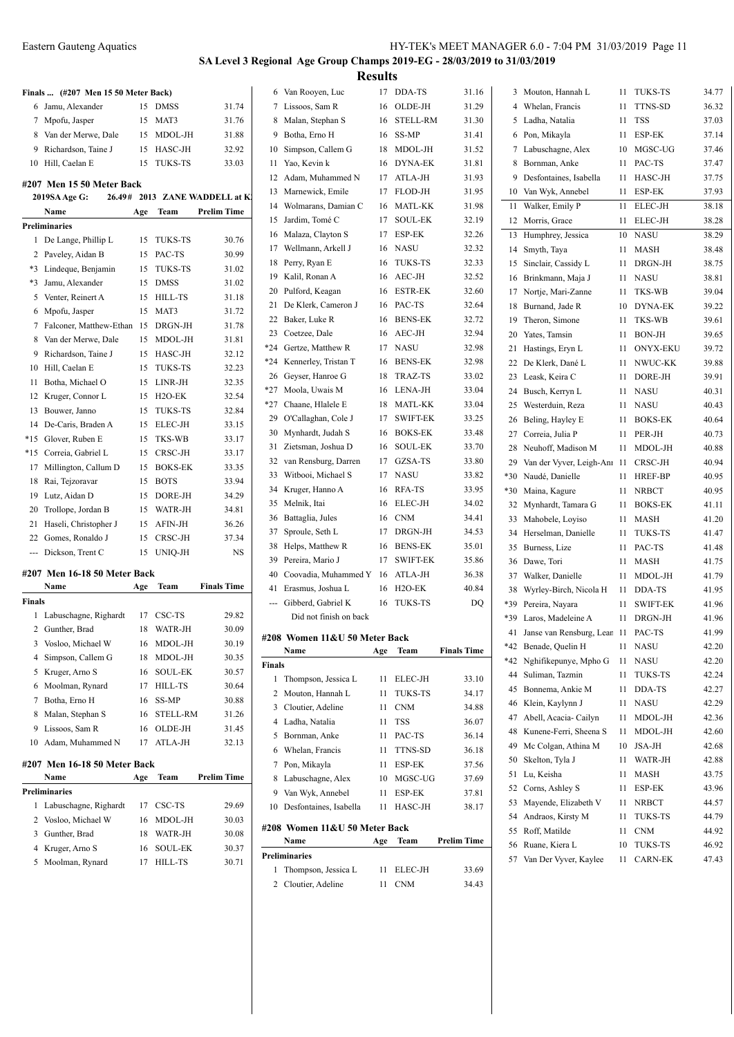**Finals ... (#207 Men 15 50 Meter Back)**

# **SA Level 3 Regional Age Group Champs 2019-EG - 28/03/2019 to 31/03/2019 Results**

|                                                                                                                                                                                                                                                                                                                                                                                                                                                                            | 6 Jamu, Alexander            | 15  | DMSS           | 31.74                          |        | 7 Lissoos, Sa        |
|----------------------------------------------------------------------------------------------------------------------------------------------------------------------------------------------------------------------------------------------------------------------------------------------------------------------------------------------------------------------------------------------------------------------------------------------------------------------------|------------------------------|-----|----------------|--------------------------------|--------|----------------------|
|                                                                                                                                                                                                                                                                                                                                                                                                                                                                            | 7 Mpofu, Jasper              | 15  | MAT3           | 31.76                          | 8      | Malan, Ste           |
|                                                                                                                                                                                                                                                                                                                                                                                                                                                                            | 8 Van der Merwe, Dale        | 15  | MDOL-JH        | 31.88                          | 9.     | Botha, Ern           |
|                                                                                                                                                                                                                                                                                                                                                                                                                                                                            | 9 Richardson, Taine J        | 15  | HASC-JH        | 32.92                          | 10     | Simpson, 0           |
|                                                                                                                                                                                                                                                                                                                                                                                                                                                                            | 10 Hill, Caelan E            | 15  | <b>TUKS-TS</b> | 33.03                          | 11     | Yao, Kevir           |
|                                                                                                                                                                                                                                                                                                                                                                                                                                                                            |                              |     |                |                                | 12     | Adam, Mu             |
|                                                                                                                                                                                                                                                                                                                                                                                                                                                                            | #207 Men 15 50 Meter Back    |     |                |                                | 13     | Marnewicl            |
|                                                                                                                                                                                                                                                                                                                                                                                                                                                                            | 2019SA Age G:                |     |                | 26.49# 2013 ZANE WADDELL at K. | 14     | Wolmaran             |
|                                                                                                                                                                                                                                                                                                                                                                                                                                                                            | Name                         | Age | Team           | <b>Prelim Time</b>             | 15     | Jardim, To           |
|                                                                                                                                                                                                                                                                                                                                                                                                                                                                            | <b>Preliminaries</b>         |     |                |                                | 16     | Malaza, Cl           |
|                                                                                                                                                                                                                                                                                                                                                                                                                                                                            | 1 De Lange, Phillip L        |     | 15 TUKS-TS     | 30.76                          | 17     | Wellmann,            |
|                                                                                                                                                                                                                                                                                                                                                                                                                                                                            | 2 Paveley, Aidan B           | 15  | PAC-TS         | 30.99                          | 18     | Perry, Rya           |
|                                                                                                                                                                                                                                                                                                                                                                                                                                                                            | *3 Lindeque, Benjamin        | 15  | <b>TUKS-TS</b> | 31.02                          | 19     |                      |
|                                                                                                                                                                                                                                                                                                                                                                                                                                                                            | *3 Jamu, Alexander           | 15  | <b>DMSS</b>    | 31.02                          |        | Kalil, Ron           |
|                                                                                                                                                                                                                                                                                                                                                                                                                                                                            | 5 Venter, Reinert A          | 15  | HILL-TS        | 31.18                          | 20     | Pulford, K           |
|                                                                                                                                                                                                                                                                                                                                                                                                                                                                            | 6 Mpofu, Jasper              | 15  | MAT3           | 31.72                          | 21     | De Klerk,            |
|                                                                                                                                                                                                                                                                                                                                                                                                                                                                            | 7 Falconer, Matthew-Ethan    | 15  | DRGN-JH        | 31.78                          | 22     | Baker, Luk           |
|                                                                                                                                                                                                                                                                                                                                                                                                                                                                            | 8 Van der Merwe, Dale        | 15  | MDOL-JH        | 31.81                          | 23     | Coetzee, L           |
|                                                                                                                                                                                                                                                                                                                                                                                                                                                                            | 9 Richardson, Taine J        | 15  | HASC-JH        | 32.12                          | $*24$  | Gertze, Ma           |
|                                                                                                                                                                                                                                                                                                                                                                                                                                                                            | 10 Hill, Caelan E            | 15  | <b>TUKS-TS</b> | 32.23                          | *24    | Kennerley,           |
| 11                                                                                                                                                                                                                                                                                                                                                                                                                                                                         | Botha, Michael O             | 15  | LINR-JH        | 32.35                          | 26     | Geyser, Ha           |
|                                                                                                                                                                                                                                                                                                                                                                                                                                                                            | 12 Kruger, Connor L          | 15  | H2O-EK         | 32.54                          | $*27$  | Moola, Uv            |
|                                                                                                                                                                                                                                                                                                                                                                                                                                                                            | 13 Bouwer, Janno             | 15  | <b>TUKS-TS</b> | 32.84                          | *27    | Chaane, H            |
|                                                                                                                                                                                                                                                                                                                                                                                                                                                                            | 14 De-Caris, Braden A        | 15  | ELEC-JH        | 33.15                          | 29     | O'Callagha           |
|                                                                                                                                                                                                                                                                                                                                                                                                                                                                            | *15 Glover, Ruben E          | 15  | TKS-WB         | 33.17                          | 30     | Mynhardt,            |
|                                                                                                                                                                                                                                                                                                                                                                                                                                                                            | *15 Correia, Gabriel L       | 15  | CRSC-JH        | 33.17                          | 31     | Zietsman,            |
|                                                                                                                                                                                                                                                                                                                                                                                                                                                                            | 17 Millington, Callum D      | 15  | <b>BOKS-EK</b> | 33.35                          | 32     | van Rensb            |
|                                                                                                                                                                                                                                                                                                                                                                                                                                                                            | 18 Rai, Tejzoravar           | 15  | <b>BOTS</b>    | 33.94                          | 33     | Witbooi, N           |
|                                                                                                                                                                                                                                                                                                                                                                                                                                                                            | 19 Lutz, Aidan D             | 15  | DORE-JH        | 34.29                          | 34     | Kruger, Ha           |
|                                                                                                                                                                                                                                                                                                                                                                                                                                                                            | 20 Trollope, Jordan B        | 15  | WATR-JH        | 34.81                          | 35     | Melnik, Ita          |
| 21                                                                                                                                                                                                                                                                                                                                                                                                                                                                         | Haseli, Christopher J        | 15  | AFIN-JH        | 36.26                          | 36     | Battaglia,           |
| 22                                                                                                                                                                                                                                                                                                                                                                                                                                                                         | Gomes, Ronaldo J             | 15  | CRSC-JH        | 37.34                          | 37     | Sproule, S           |
| $\frac{1}{2} \left( \frac{1}{2} \right) \left( \frac{1}{2} \right) \left( \frac{1}{2} \right) \left( \frac{1}{2} \right) \left( \frac{1}{2} \right) \left( \frac{1}{2} \right) \left( \frac{1}{2} \right) \left( \frac{1}{2} \right) \left( \frac{1}{2} \right) \left( \frac{1}{2} \right) \left( \frac{1}{2} \right) \left( \frac{1}{2} \right) \left( \frac{1}{2} \right) \left( \frac{1}{2} \right) \left( \frac{1}{2} \right) \left( \frac{1}{2} \right) \left( \frac$ | Dickson, Trent C             | 15  | UNIQ-JH        | NS                             | 38     | Helps, Ma            |
|                                                                                                                                                                                                                                                                                                                                                                                                                                                                            |                              |     |                |                                | 39     | Pereira, M           |
|                                                                                                                                                                                                                                                                                                                                                                                                                                                                            | #207 Men 16-18 50 Meter Back |     |                |                                | 40     | Coovadia,            |
|                                                                                                                                                                                                                                                                                                                                                                                                                                                                            | Name                         | Age | Team           | <b>Finals Time</b>             | 41     | Erasmus, J           |
| Finals                                                                                                                                                                                                                                                                                                                                                                                                                                                                     |                              |     |                |                                | $---$  | Gibberd, C           |
|                                                                                                                                                                                                                                                                                                                                                                                                                                                                            | 1 Labuschagne, Righardt      | 17  | CSC-TS         | 29.82                          |        | Did not:             |
|                                                                                                                                                                                                                                                                                                                                                                                                                                                                            | 2 Gunther, Brad              | 18  | WATR-JH        | 30.09                          |        | #208 Women           |
|                                                                                                                                                                                                                                                                                                                                                                                                                                                                            | 3 Vosloo, Michael W          | 16  | MDOL-JH        | 30.19                          |        | Name                 |
| 4                                                                                                                                                                                                                                                                                                                                                                                                                                                                          | Simpson, Callem G            | 18  | MDOL-JH        | 30.35                          | Finals |                      |
|                                                                                                                                                                                                                                                                                                                                                                                                                                                                            | 5 Kruger, Arno S             | 16  | SOUL-EK        | 30.57                          | 1      | Thompson             |
|                                                                                                                                                                                                                                                                                                                                                                                                                                                                            | 6 Moolman, Rynard            | 17  | HILL-TS        | 30.64                          | 2      | Mouton, H            |
| 7                                                                                                                                                                                                                                                                                                                                                                                                                                                                          | Botha, Erno H                | 16  | SS-MP          | 30.88                          | 3      | Cloutier, A          |
| 8                                                                                                                                                                                                                                                                                                                                                                                                                                                                          | Malan, Stephan S             | 16  | STELL-RM       | 31.26                          |        | 4 Ladha, Na          |
| 9                                                                                                                                                                                                                                                                                                                                                                                                                                                                          | Lissoos, Sam R               | 16  | OLDE-JH        | 31.45                          |        | 5 Bornman,           |
| 10                                                                                                                                                                                                                                                                                                                                                                                                                                                                         | Adam, Muhammed N             | 17  | ATLA-JH        | 32.13                          |        | 6 Whelan, F          |
|                                                                                                                                                                                                                                                                                                                                                                                                                                                                            | #207 Men 16-18 50 Meter Back |     |                |                                | 7      | Pon, Mika            |
|                                                                                                                                                                                                                                                                                                                                                                                                                                                                            | Name                         | Age | Team           | <b>Prelim Time</b>             | 8      | Labuschag            |
|                                                                                                                                                                                                                                                                                                                                                                                                                                                                            | Preliminaries                |     |                |                                | 9      | Van Wyk,             |
| 1                                                                                                                                                                                                                                                                                                                                                                                                                                                                          | Labuschagne, Righardt        | 17  | CSC-TS         | 29.69                          | 10     | Desfontain           |
| 2                                                                                                                                                                                                                                                                                                                                                                                                                                                                          | Vosloo, Michael W            | 16  | MDOL-JH        | 30.03                          |        |                      |
| 3                                                                                                                                                                                                                                                                                                                                                                                                                                                                          | Gunther, Brad                | 18  | WATR-JH        | 30.08                          |        | #208 Women           |
| 4                                                                                                                                                                                                                                                                                                                                                                                                                                                                          | Kruger, Arno S               | 16  | SOUL-EK        | 30.37                          |        | Name                 |
| 5                                                                                                                                                                                                                                                                                                                                                                                                                                                                          | Moolman, Rynard              | 17  | <b>HILL-TS</b> | 30.71                          |        | <b>Preliminaries</b> |
|                                                                                                                                                                                                                                                                                                                                                                                                                                                                            |                              |     |                |                                |        |                      |

|               | 6 Van Rooyen, Luc             | 17  | DDA-TS              | 31.16              | 3   | Mouton, Hannah L                     | 11                   | <b>TUKS-TS</b>       | 34.77          |
|---------------|-------------------------------|-----|---------------------|--------------------|-----|--------------------------------------|----------------------|----------------------|----------------|
|               | 7 Lissoos, Sam R              | 16  | OLDE-JH             | 31.29              | 4   | Whelan, Francis                      | 11                   | <b>TTNS-SD</b>       | 36.32          |
| 8             | Malan, Stephan S              | 16  | <b>STELL-RM</b>     | 31.30              | 5   | Ladha, Natalia                       | 11                   | <b>TSS</b>           | 37.03          |
| 9             | Botha, Erno H                 | 16  | SS-MP               | 31.41              | 6   | Pon, Mikayla                         | 11                   | ESP-EK               | 37.14          |
| 10            | Simpson, Callem G             | 18  | MDOL-JH             | 31.52              | 7   | Labuschagne, Alex                    | 10                   | MGSC-UG              | 37.46          |
| 11            | Yao, Kevin k                  | 16  | <b>DYNA-EK</b>      | 31.81              | 8   | Bornman, Anke                        | 11                   | PAC-TS               | 37.47          |
| 12            | Adam, Muhammed N              | 17  | ATLA-JH             | 31.93              | 9   | Desfontaines, Isabella               | 11                   | HASC-JH              | 37.75          |
| 13            | Marnewick, Emile              | 17  | FLOD-JH             | 31.95              | 10  | Van Wyk, Annebel                     | 11                   | <b>ESP-EK</b>        | 37.93          |
| 14            | Wolmarans, Damian C           | 16  | <b>MATL-KK</b>      | 31.98              | 11  | Walker, Emily P                      | 11                   | <b>ELEC-JH</b>       | 38.18          |
| 15            | Jardim, Tomé C                | 17  | <b>SOUL-EK</b>      | 32.19              | 12  | Morris, Grace                        | 11                   | ELEC-JH              | 38.28          |
| 16            | Malaza, Clayton S             | 17  | ESP-EK              | 32.26              | 13  | Humphrey, Jessica                    | 10                   | <b>NASU</b>          | 38.29          |
| 17            | Wellmann, Arkell J            | 16  | <b>NASU</b>         | 32.32              | 14  | Smyth, Taya                          | 11                   | MASH                 | 38.48          |
| 18            | Perry, Ryan E                 | 16  | <b>TUKS-TS</b>      | 32.33              | 15  | Sinclair, Cassidy L                  | 11                   | DRGN-JH              | 38.75          |
| 19            | Kalil, Ronan A                | 16  | AEC-JH              | 32.52              | 16  | Brinkmann, Maja J                    | 11                   | <b>NASU</b>          | 38.81          |
| 20            | Pulford, Keagan               | 16  | <b>ESTR-EK</b>      | 32.60              | 17  | Nortje, Mari-Zanne                   | 11                   | TKS-WB               | 39.04          |
| 21            | De Klerk, Cameron J           | 16  | PAC-TS              | 32.64              | 18  | Burnand, Jade R                      | 10                   | DYNA-EK              | 39.22          |
| 22            | Baker, Luke R                 | 16  | <b>BENS-EK</b>      | 32.72              | 19  | Theron, Simone                       | 11                   | TKS-WB               | 39.61          |
| 23            | Coetzee, Dale                 | 16  | AEC-JH              | 32.94              | 20  | Yates, Tamsin                        | 11                   | <b>BON-JH</b>        | 39.65          |
| *24           | Gertze, Matthew R             | 17  | <b>NASU</b>         | 32.98              | 21  | Hastings, Eryn L                     | 11                   | <b>ONYX-EKU</b>      | 39.72          |
| *24           | Kennerley, Tristan T          | 16  | <b>BENS-EK</b>      | 32.98              | 22  | De Klerk, Dané L                     | 11                   | NWUC-KK              | 39.88          |
| 26            | Geyser, Hanroe G              | 18  | <b>TRAZ-TS</b>      | 33.02              | 23  | Leask, Keira C                       | 11                   | DORE-JH              | 39.91          |
| *27           | Moola, Uwais M                | 16  | LENA-JH             | 33.04              | 24  | Busch, Kerryn L                      | 11                   | <b>NASU</b>          | 40.31          |
| *27           | Chaane, Hlalele E             | 18  | MATL-KK             | 33.04              | 25  | Westerduin, Reza                     | 11                   | <b>NASU</b>          | 40.43          |
| 29            | O'Callaghan, Cole J           | 17  | <b>SWIFT-EK</b>     | 33.25              | 26  | Beling, Hayley E                     | 11                   | <b>BOKS-EK</b>       | 40.64          |
| 30            | Mynhardt, Judah S             | 16  | <b>BOKS-EK</b>      | 33.48              | 27  | Correia, Julia P                     | 11                   | PER-JH               | 40.73          |
| 31            | Zietsman, Joshua D            | 16  | <b>SOUL-EK</b>      | 33.70              | 28  | Neuhoff, Madison M                   | 11                   | MDOL-JH              | 40.88          |
| 32            | van Rensburg, Darren          | 17  | GZSA-TS             | 33.80              | 29  | Van der Vyver, Leigh-Anı 11          |                      | CRSC-JH              | 40.94          |
| 33            | Witbooi, Michael S            | 17  | <b>NASU</b>         | 33.82              | *30 | Naudé, Danielle                      | 11                   | HREF-BP              | 40.95          |
| 34            | Kruger, Hanno A               | 16  | <b>RFA-TS</b>       | 33.95              | *30 | Maina, Kagure                        | 11                   | <b>NRBCT</b>         | 40.95          |
| 35            | Melnik, Itai                  | 16  | <b>ELEC-JH</b>      | 34.02              | 32  | Mynhardt, Tamara G                   | 11                   | <b>BOKS-EK</b>       | 41.11          |
| 36            | Battaglia, Jules              | 16  | <b>CNM</b>          | 34.41              | 33  | Mahobele, Loyiso                     | 11                   | MASH                 | 41.20          |
| 37            | Sproule, Seth L               | 17  | DRGN-JH             | 34.53              | 34  | Herselman, Danielle                  | 11                   | <b>TUKS-TS</b>       | 41.47          |
| 38            | Helps, Matthew R              | 16  | <b>BENS-EK</b>      | 35.01              | 35  | Burness, Lize                        | 11                   | PAC-TS               | 41.48          |
| 39            | Pereira, Mario J              | 17  | SWIFT-EK            | 35.86              | 36  | Dawe, Tori                           | 11                   | <b>MASH</b>          | 41.75          |
| 40            | Coovadia, Muhammed Y          | 16  | ATLA-JH             | 36.38              | 37  | Walker, Danielle                     | 11                   | MDOL-JH              | 41.79          |
| 41            | Erasmus, Joshua L             | 16  | H <sub>2</sub> O-EK | 40.84              | 38  | Wyrley-Birch, Nicola H               | 11                   | DDA-TS               | 41.95          |
| ---           | Gibberd, Gabriel K            | 16  | TUKS-TS             | DQ                 | *39 | Pereira, Nayara                      | 11                   | <b>SWIFT-EK</b>      | 41.96          |
|               | Did not finish on back        |     |                     |                    | *39 | Laros, Madeleine A                   | 11                   | DRGN-JH              | 41.96          |
|               | #208 Women 11&U 50 Meter Back |     |                     |                    | 41  | Janse van Rensburg, Lear 11          |                      | PAC-TS               | 41.99          |
|               | Name                          | Age | Team                | <b>Finals Time</b> |     | *42 Benade, Quelin H                 |                      | 11 NASU              | 42.20          |
| <b>Finals</b> |                               |     |                     |                    | *42 | Nghifikepunye, Mpho G                | 11                   | NASU                 | 42.20          |
|               | 1 Thompson, Jessica L         | 11  | ELEC-JH             | 33.10              | 44  | Suliman, Tazmin                      | 11                   | TUKS-TS              | 42.24          |
|               | 2 Mouton, Hannah L            | 11  | TUKS-TS             | 34.17              | 45  | Bonnema, Ankie M                     | 11                   | DDA-TS               | 42.27          |
| 3             | Cloutier, Adeline             | 11  | <b>CNM</b>          | 34.88              |     | 46 Klein, Kaylynn J                  | 11                   | <b>NASU</b>          | 42.29          |
|               | 4 Ladha, Natalia              | 11  | <b>TSS</b>          | 36.07              | 47  | Abell, Acacia-Cailyn                 | 11                   | MDOL-JH              | 42.36          |
|               | 5 Bornman, Anke               | 11  | PAC-TS              | 36.14              | 48  | Kunene-Ferri, Sheena S               | 11                   | MDOL-JH              | 42.60          |
|               | 6 Whelan, Francis             | 11  | TTNS-SD             | 36.18              | 49  | Mc Colgan, Athina M                  | 10                   | JSA-JH               | 42.68          |
|               | 7 Pon, Mikayla                | 11  | ESP-EK              | 37.56              | 50  | Skelton, Tyla J                      | 11                   | WATR-JH              | 42.88          |
|               | 8 Labuschagne, Alex           | 10  | MGSC-UG             | 37.69              | 51  | Lu, Keisha                           | 11                   | MASH                 | 43.75          |
| 9             | Van Wyk, Annebel              | 11  | ESP-EK              | 37.81              | 52  | Corns, Ashley S                      | 11                   | ESP-EK               | 43.96          |
|               | 10 Desfontaines, Isabella     | 11  | HASC-JH             | 38.17              | 53  | Mayende, Elizabeth V                 | 11                   | <b>NRBCT</b>         | 44.57          |
|               | #208 Women 11&U 50 Meter Back |     |                     |                    | 54  | Andraos, Kirsty M                    | 11                   | TUKS-TS              | 44.79          |
|               | Name                          | Age | Team                | Prelim Time        |     | 55 Roff, Matilde<br>56 Duane Kiera I | 11<br>1 <sub>0</sub> | <b>CNM</b><br>THE TR | 44.92<br>16.QQ |
|               |                               |     |                     |                    |     |                                      |                      |                      |                |

| 14    | Smyth, Taya              | 11 | MASH            | 38.48 |
|-------|--------------------------|----|-----------------|-------|
| 15    | Sinclair, Cassidy L      | 11 | DRGN-JH         | 38.75 |
| 16    | Brinkmann, Maja J        | 11 | <b>NASU</b>     | 38.81 |
| 17    | Nortje, Mari-Zanne       | 11 | <b>TKS-WB</b>   | 39.04 |
| 18    | Burnand, Jade R          | 10 | <b>DYNA-EK</b>  | 39.22 |
| 19    | Theron, Simone           | 11 | <b>TKS-WB</b>   | 39.61 |
| 20    | Yates, Tamsin            | 11 | <b>BON-JH</b>   | 39.65 |
| 21    | Hastings, Eryn L         | 11 | <b>ONYX-EKU</b> | 39.72 |
| 22    | De Klerk, Dané L         | 11 | NWUC-KK         | 39.88 |
| 23    | Leask, Keira C           | 11 | DORE-JH         | 39.91 |
| 24    | Busch, Kerryn L          | 11 | <b>NASU</b>     | 40.31 |
| 25    | Westerduin, Reza         | 11 | <b>NASU</b>     | 40.43 |
| 26    | Beling, Hayley E         | 11 | <b>BOKS-EK</b>  | 40.64 |
| 27    | Correia, Julia P         | 11 | PER-JH          | 40.73 |
| 28    | Neuhoff, Madison M       | 11 | MDOL-JH         | 40.88 |
| 29    | Van der Vyver, Leigh-Anı | 11 | $CRSC-JH$       | 40.94 |
| $*30$ | Naudé, Danielle          | 11 | HREF-BP         | 40.95 |
| *30   | Maina, Kagure            | 11 | <b>NRBCT</b>    | 40.95 |
| 32    | Mynhardt, Tamara G       | 11 | <b>BOKS-EK</b>  | 41.11 |
| 33    | Mahobele, Loyiso         | 11 | <b>MASH</b>     | 41.20 |
| 34    | Herselman, Danielle      | 11 | <b>TUKS-TS</b>  | 41.47 |
| 35    | Burness, Lize            | 11 | PAC-TS          | 41.48 |
| 36    | Dawe, Tori               | 11 | <b>MASH</b>     | 41.75 |
| 37    | Walker, Danielle         | 11 | MDOL-JH         | 41.79 |
| 38    | Wyrley-Birch, Nicola H   | 11 | DDA-TS          | 41.95 |
| *39   | Pereira, Nayara          | 11 | <b>SWIFT-EK</b> | 41.96 |
| *39   | Laros, Madeleine A       | 11 | DRGN-JH         | 41.96 |
| 41    | Janse van Rensburg, Lean | 11 | PAC-TS          | 41.99 |
| $*42$ | Benade, Quelin H         | 11 | <b>NASU</b>     | 42.20 |
| $*42$ | Nghifikepunye, Mpho G    | 11 | <b>NASU</b>     | 42.20 |
| 44    | Suliman, Tazmin          | 11 | <b>TUKS-TS</b>  | 42.24 |
| 45    | Bonnema, Ankie M         | 11 | DDA-TS          | 42.27 |
| 46    | Klein, Kaylynn J         | 11 | <b>NASU</b>     | 42.29 |
| 47    | Abell, Acacia-Cailyn     | 11 | MDOL-JH         | 42.36 |
| 48    | Kunene-Ferri, Sheena S   | 11 | MDOL-JH         | 42.60 |
| 49    | Mc Colgan, Athina M      | 10 | JSA-JH          | 42.68 |
| 50    | Skelton, Tyla J          | 11 | WATR-JH         | 42.88 |
| 51    | Lu, Keisha               | 11 | <b>MASH</b>     | 43.75 |
| 52    | Corns, Ashley S          | 11 | <b>ESP-EK</b>   | 43.96 |
| 53    | Mayende, Elizabeth V     | 11 | <b>NRBCT</b>    | 44.57 |
| 54    | Andraos, Kirsty M        | 11 | <b>TUKS-TS</b>  | 44.79 |
| 55    | Roff, Matilde            | 11 | <b>CNM</b>      | 44.92 |
| 56    | Ruane, Kiera L           | 10 | <b>TUKS-TS</b>  | 46.92 |
| 57    | Van Der Vyver, Kaylee    | 11 | <b>CARN-EK</b>  | 47.43 |

#### **#208 Women 11&U 50 Meter Back**

| Name |                       | Age | 1eam       | Prelim Time |  |
|------|-----------------------|-----|------------|-------------|--|
|      | <b>Preliminaries</b>  |     |            |             |  |
|      | 1 Thompson, Jessica L |     | 11 ELEC-JH | 33.69       |  |
|      | 2 Cloutier, Adeline   | 11  | - CNM      | 34.43       |  |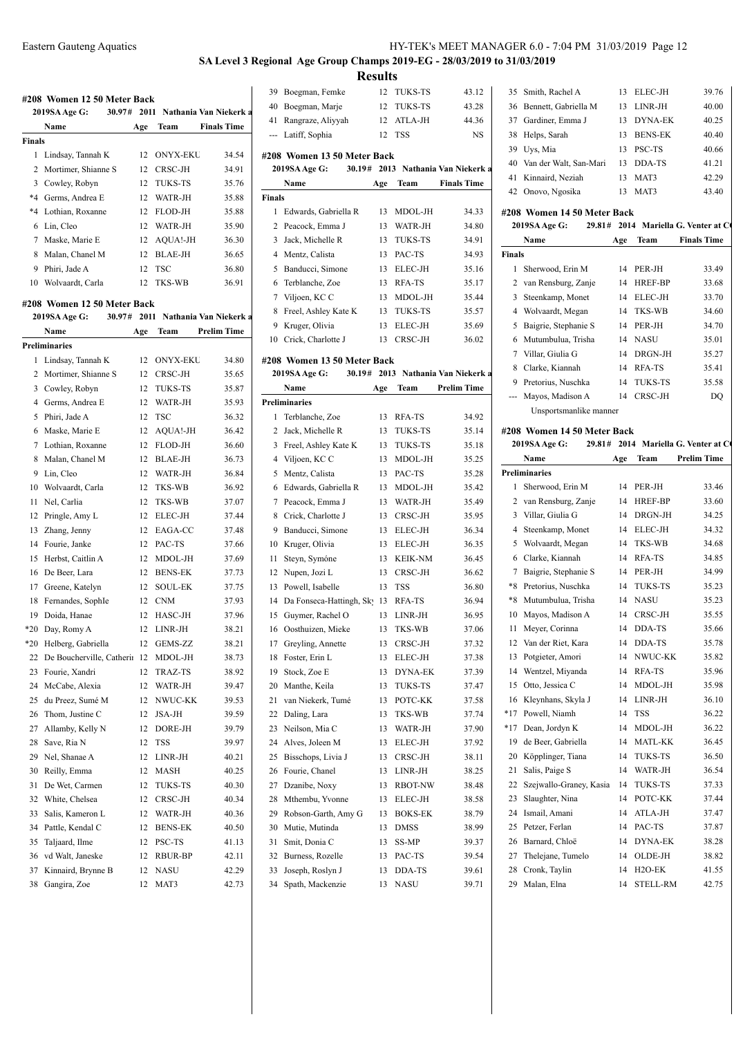# **SA Level 3 Regional Age Group Champs 2019-EG - 28/03/2019 to 31/03/2019 Results**<br><sup>12</sup> TUKS-TS

|         | Name                        | Age  | Team            | <b>Finals Time</b>     |
|---------|-----------------------------|------|-----------------|------------------------|
| Finals  |                             |      |                 |                        |
| 1       | Lindsay, Tannah K           | 12   | <b>ONYX-EKU</b> | 34.54                  |
| 2       | Mortimer, Shianne S         | 12   | CRSC-JH         | 34.91                  |
| 3       | Cowley, Robyn               | 12   | <b>TUKS-TS</b>  | 35.76                  |
| $*4$    | Germs, Andrea E             | 12   | WATR-JH         | 35.88                  |
| $*_{4}$ | Lothian, Roxanne            | 12   | FLOD-JH         | 35.88                  |
| 6       | Lin, Cleo                   | 12   | WATR-JH         | 35.90                  |
| 7       | Maske, Marie E              | 12   | AQUA!-JH        | 36.30                  |
| 8       | Malan, Chanel M             | 12   | BLAE-JH         | 36.65                  |
| 9       | Phiri, Jade A               | 12   | TSC             | 36.80                  |
| 10      | Wolvaardt, Carla            | 12   | TKS-WB          | 36.91                  |
|         |                             |      |                 |                        |
|         | #208 Women 12 50 Meter Back |      |                 |                        |
|         | 2019SA Age G:<br>30.97#     | 2011 |                 | Nathania Van Niekerk a |
|         | Name                        | Age  | Team            | <b>Prelim Time</b>     |
|         | <b>Preliminaries</b>        |      |                 |                        |
| 1       | Lindsay, Tannah K           | 12   | <b>ONYX-EKU</b> | 34.80                  |
| 2       | Mortimer, Shianne S         | 12   | CRSC-JH         | 35.65                  |
| 3       | Cowley, Robyn               | 12   | <b>TUKS-TS</b>  | 35.87                  |
| 4       | Germs, Andrea E             | 12   | WATR-JH         | 35.93                  |
| 5       | Phiri, Jade A               | 12   | <b>TSC</b>      | 36.32                  |
| 6       | Maske, Marie E              | 12   | AQUA!-JH        | 36.42                  |
| 7       | Lothian, Roxanne            | 12   | FLOD-JH         | 36.60                  |
| 8       | Malan, Chanel M             | 12   | BLAE-JH         | 36.73                  |
| 9       | Lin, Cleo                   | 12   | WATR-JH         | 36.84                  |
| 10      | Wolvaardt, Carla            | 12   | TKS-WB          | 36.92                  |
| 11      | Nel, Carlia                 | 12   | TKS-WB          | 37.07                  |
| 12      | Pringle, Amy L              | 12   | <b>ELEC-JH</b>  | 37.44                  |
| 13      | Zhang, Jenny                | 12   | EAGA-CC         | 37.48                  |
| 14      | Fourie, Janke               | 12   | PAC-TS          | 37.66                  |
| 15      | Herbst, Caitlin A           | 12   | MDOL-JH         | 37.69                  |
| 16      | De Beer, Lara               | 12   | <b>BENS-EK</b>  | 37.73                  |
| 17      | Greene, Katelyn             | 12   | SOUL-EK         | 37.75                  |
| 18      | Fernandes, SophIe           | 12   | <b>CNM</b>      | 37.93                  |
| 19      | Doida, Hanae                | 12   | HASC-JH         | 37.96                  |
| $*20$   | Day, Romy A                 | 12   | LINR-JH         | 38.21                  |
| *20     | Helberg, Gabriella          | 12   | GEMS-ZZ         | 38.21                  |
| 22      | De Boucherville, Catherir   | 12   | MDOL-JH         | 38.73                  |
| 23      | Fourie, Xandri              | 12   | TRAZ-TS         | 38.92                  |
| 24      | McCabe, Alexia              | 12   | WATR-JH         | 39.47                  |
| 25      | du Preez, Sumé M            | 12   | NWUC-KK         | 39.53                  |
| 26      | Thom, Justine C             | 12   | JSA-JH          | 39.59                  |
| 27      | Allamby, Kelly N            | 12   | DORE-JH         | 39.79                  |
| 28      | Save, Ria N                 | 12   | TSS             | 39.97                  |
| 29      | Nel, Shanae A               | 12   | LINR-JH         | 40.21                  |
| 30      | Reilly, Emma                | 12   | MASH            | 40.25                  |
| 31      | De Wet, Carmen              | 12   | <b>TUKS-TS</b>  | 40.30                  |
| 32      | White, Chelsea              | 12   | CRSC-JH         | 40.34                  |
| 33      | Salis, Kameron L            | 12   | WATR-JH         | 40.36                  |
| 34      | Pattle, Kendal C            | 12   | <b>BENS-EK</b>  | 40.50                  |
| 35      | Taljaard, Ilme              | 12   | PSC-TS          | 41.13                  |
| 36      | vd Walt, Janeske            | 12   | RBUR-BP         | 42.11                  |
| 37      | Kinnaird, Brynne B          | 12   | NASU            | 42.29                  |
|         |                             |      |                 |                        |
| 38      | Gangira, Zoe                | 12   | MAT3            | 42.73                  |

| 39             | Boegman, Femke                         | 12       | <b>TUKS-TS</b>     | 43.12                       | 35                   |
|----------------|----------------------------------------|----------|--------------------|-----------------------------|----------------------|
| 40             | Boegman, Marje                         | 12       | TUKS-TS            | 43.28                       | 36                   |
| 41             | Rangraze, Aliyyah                      | 12       | ATLA-JH            | 44.36                       | 37                   |
| ---            | Latiff, Sophia                         | 12       | <b>TSS</b>         | NS                          | 38                   |
|                | #208 Women 13 50 Meter Back            |          |                    |                             | 39                   |
|                | 2019SA Age G:<br>30.19#                |          |                    | 2013 Nathania Van Niekerk a | 40                   |
|                | Name                                   |          | Team               | <b>Finals Time</b>          | 41                   |
| <b>Finals</b>  |                                        | Age      |                    |                             | 42                   |
| 1              | Edwards, Gabriella R                   | 13       |                    | 34.33                       |                      |
| 2              |                                        |          | MDOL-JH<br>WATR-JH |                             | #208<br>$20^{\circ}$ |
| 3              | Peacock, Emma J<br>Jack, Michelle R    | 13<br>13 | TUKS-TS            | 34.80                       |                      |
| 4              |                                        |          | PAC-TS             | 34.91                       |                      |
| 5              | Mentz, Calista                         | 13       | ELEC-JH            | 34.93<br>35.16              | <b>Final:</b><br>1   |
| 6              | Banducci, Simone<br>Terblanche, Zoe    | 13<br>13 | RFA-TS             |                             | 2                    |
|                |                                        |          |                    | 35.17                       | 3                    |
| 7              | Viljoen, KC C                          | 13       | MDOL-JH            | 35.44                       | 4                    |
| 8<br>9         | Freel, Ashley Kate K<br>Kruger, Olivia | 13<br>13 | TUKS-TS<br>ELEC-JH | 35.57                       | 5                    |
|                |                                        |          | CRSC-JH            | 35.69                       |                      |
|                | 10 Crick, Charlotte J                  | 13       |                    | 36.02                       | 6                    |
|                | #208 Women 13 50 Meter Back            |          |                    |                             | 7<br>8               |
|                | 30.19#<br>2019SA Age G:                |          |                    | 2013 Nathania Van Niekerk a |                      |
|                | Name                                   | Age      | Team               | <b>Prelim Time</b>          | 9                    |
|                | <b>Preliminaries</b>                   |          |                    |                             |                      |
| 1              | Terblanche, Zoe                        | 13       | RFA-TS             | 34.92                       |                      |
| 2              | Jack, Michelle R                       | 13       | TUKS-TS            | 35.14                       | #208                 |
| 3              | Freel, Ashley Kate K                   | 13       | TUKS-TS            | 35.18                       | $20^{\circ}$         |
| $\overline{4}$ | Viljoen, KC C                          | 13       | MDOL-JH            | 35.25                       |                      |
| 5              | Mentz, Calista                         | 13       | PAC-TS             | 35.28                       | Prelir               |
| 6              | Edwards, Gabriella R                   | 13       | MDOL-JH            | 35.42                       | 1                    |
| 7              | Peacock, Emma J                        | 13       | WATR-JH            | 35.49                       | 2                    |
| 8              | Crick, Charlotte J                     | 13       | CRSC-JH            | 35.95                       | 3                    |
| 9              | Banducci, Simone                       | 13       | ELEC-JH            | 36.34                       | 4                    |
| 10             | Kruger, Olivia                         | 13       | ELEC-JH            | 36.35                       | 5                    |
| 11             | Steyn, Symóne                          | 13       | KEIK-NM            | 36.45                       | 6                    |
| 12             | Nupen, Jozi L                          | 13       | CRSC-JH            | 36.62                       | 7                    |
| 13             | Powell, Isabelle                       | 13       | TSS                | 36.80                       | *8                   |
| 14             | Da Fonseca-Hattingh, Sk                | 13       | RFA-TS             | 36.94                       | *8                   |
| 15             | Guymer, Rachel O                       | 13       | LINR-JH            | 36.95                       | 10                   |
| 16             | Oosthuizen, Mieke                      | 13       | TKS-WB             | 37.06                       | 11                   |
| 17             | Greyling, Annette                      | 13       | CRSC-JH            | 37.32                       | 12                   |
| 18             | Foster, Erin L                         | 13       | ELEC-JH            | 37.38                       | 13                   |
| 19             | Stock, Zoe E                           | 13       | DYNA-EK            | 37.39                       | 14                   |
| 20             | Manthe, Keila                          | 13       | TUKS-TS            | 37.47                       | 15                   |
| 21             | van Niekerk, Tumé                      | 13       | POTC-KK            | 37.58                       | 16                   |
| 22             | Daling, Lara                           | 13       | TKS-WB             | 37.74                       | *17                  |
| 23             | Neilson, Mia C                         | 13       | WATR-JH            | 37.90                       | *17                  |
| 24             | Alves, Joleen M                        | 13       | ELEC-JH            | 37.92                       | 19                   |
| 25             | Bisschops, Livia J                     | 13       | CRSC-JH            | 38.11                       | 20                   |
| 26             | Fourie, Chanel                         | 13       | LINR-JH            | 38.25                       | 21                   |
| 27             | Dzanibe, Noxy                          | 13       | RBOT-NW            | 38.48                       | 22                   |
| 28             | Mthembu, Yvonne                        | 13       | ELEC-JH            | 38.58                       | 23                   |
| 29             | Robson-Garth, Amy G                    | 13       | BOKS-EK            | 38.79                       | 24                   |
| 30             | Mutie, Mutinda                         | 13       | DMSS               | 38.99                       | 25                   |
| 31             | Smit, Donia C                          | 13       | SS-MP              | 39.37                       | 26                   |
| 32             | Burness, Rozelle                       | 13       | PAC-TS             | 39.54                       | 27                   |
| 33             | Joseph, Roslyn J                       | 13       | DDA-TS             | 39.61                       | 28                   |
| 34             | Spath, Mackenzie                       | 13       | NASU               | 39.71                       | 29                   |

|  | 35 Smith, Rachel A        | 13 | ELEC-JH        | 39.76 |
|--|---------------------------|----|----------------|-------|
|  | 36 Bennett, Gabriella M   | 13 | LINR-JH        | 40.00 |
|  | 37 Gardiner, Emma J       | 13 | DYNA-EK        | 40.25 |
|  | 38 Helps, Sarah           | 13 | <b>BENS-EK</b> | 40.40 |
|  | 39 Uys, Mia               | 13 | <b>PSC-TS</b>  | 40.66 |
|  | 40 Van der Walt, San-Mari | 13 | DDA-TS         | 41.21 |
|  | 41 Kinnaird, Neziah       | 13 | MAT3           | 42.29 |
|  | 42 Onovo, Ngosika         | 13 | MAT3           | 43.40 |

## **#208 Women 14 50 Meter Back**

|        | 2019SA Age G:          |     |                | 29.81# 2014 Mariella G. Venter at C |
|--------|------------------------|-----|----------------|-------------------------------------|
|        | Name                   | Age | Team           | <b>Finals Time</b>                  |
| Finals |                        |     |                |                                     |
| 1      | Sherwood, Erin M       | 14  | PER-JH         | 33.49                               |
|        | 2 van Rensburg, Zanje  | 14  | <b>HREF-BP</b> | 33.68                               |
| 3      | Steenkamp, Monet       | 14  | ELEC-JH        | 33.70                               |
|        | 4 Wolvaardt, Megan     | 14  | TKS-WB         | 34.60                               |
| 5.     | Baigrie, Stephanie S   | 14  | PER-JH         | 34.70                               |
|        | 6 Mutumbulua, Trisha   |     | 14 NASU        | 35.01                               |
| 7      | Villar, Giulia G       | 14  | DRGN-JH        | 35.27                               |
| 8      | Clarke, Kiannah        | 14  | <b>RFA-TS</b>  | 35.41                               |
| 9      | Pretorius, Nuschka     | 14  | <b>TUKS-TS</b> | 35.58                               |
|        | Mayos, Madison A       | 14  | CRSC-JH        | DQ                                  |
|        | Unsportsmanlike manner |     |                |                                     |

### **#208 Women 14 50 Meter Back**

|       | 2019SA Age G:<br>29.81# |     |                 | 2014 Mariella G. Venter at C |
|-------|-------------------------|-----|-----------------|------------------------------|
|       | Name                    | Age | Team            | <b>Prelim Time</b>           |
|       | <b>Preliminaries</b>    |     |                 |                              |
| 1     | Sherwood, Erin M        | 14  | PER-JH          | 33.46                        |
| 2     | van Rensburg, Zanje     | 14  | HREF-BP         | 33.60                        |
| 3     | Villar, Giulia G        | 14  | DRGN-JH         | 34.25                        |
| 4     | Steenkamp, Monet        | 14  | ELEC-JH         | 34.32                        |
| 5     | Wolvaardt, Megan        | 14  | TKS-WB          | 34.68                        |
| 6     | Clarke, Kiannah         | 14  | RFA-TS          | 34.85                        |
| 7     | Baigrie, Stephanie S    | 14  | PER-JH          | 34.99                        |
| $*8$  | Pretorius, Nuschka      | 14  | TUKS-TS         | 35.23                        |
| *8    | Mutumbulua, Trisha      | 14  | NASU            | 35.23                        |
| 10    | Mayos, Madison A        | 14  | CRSC-JH         | 35.55                        |
| 11    | Meyer, Corinna          | 14  | DDA-TS          | 35.66                        |
| 12    | Van der Riet, Kara      | 14  | DDA-TS          | 35.78                        |
| 13    | Potgieter, Amori        | 14  | NWUC-KK         | 35.82                        |
| 14    | Wentzel, Miyanda        | 14  | RFA-TS          | 35.96                        |
| 15    | Otto, Jessica C         | 14  | MDOL-JH         | 35.98                        |
| 16    | Kleynhans, Skyla J      | 14  | LINR-JH         | 36.10                        |
| $*17$ | Powell, Niamh           | 14  | <b>TSS</b>      | 36.22                        |
| $*17$ | Dean, Jordyn K          | 14  | MDOL-JH         | 36.22                        |
| 19    | de Beer, Gabriella      | 14  | <b>MATL-KK</b>  | 36.45                        |
| 20    | Köpplinger, Tiana       | 14  | <b>TUKS-TS</b>  | 36.50                        |
| 21    | Salis, Paige S          | 14  | WATR-JH         | 36.54                        |
| 22    | Szejwallo-Graney, Kasia | 14  | <b>TUKS-TS</b>  | 37.33                        |
| 23    | Slaughter, Nina         | 14  | POTC-KK         | 37.44                        |
| 24    | Ismail, Amani           | 14  | ATLA-JH         | 37.47                        |
| 25    | Petzer, Ferlan          | 14  | PAC-TS          | 37.87                        |
| 26    | Barnard, Chloë          | 14  | <b>DYNA-EK</b>  | 38.28                        |
| 27    | Thelejane, Tumelo       | 14  | OLDE-JH         | 38.82                        |
| 28    | Cronk, Taylin           | 14  | $H2O-EK$        | 41.55                        |
| 29    | Malan, Elna             | 14  | <b>STELL-RM</b> | 42.75                        |
|       |                         |     |                 |                              |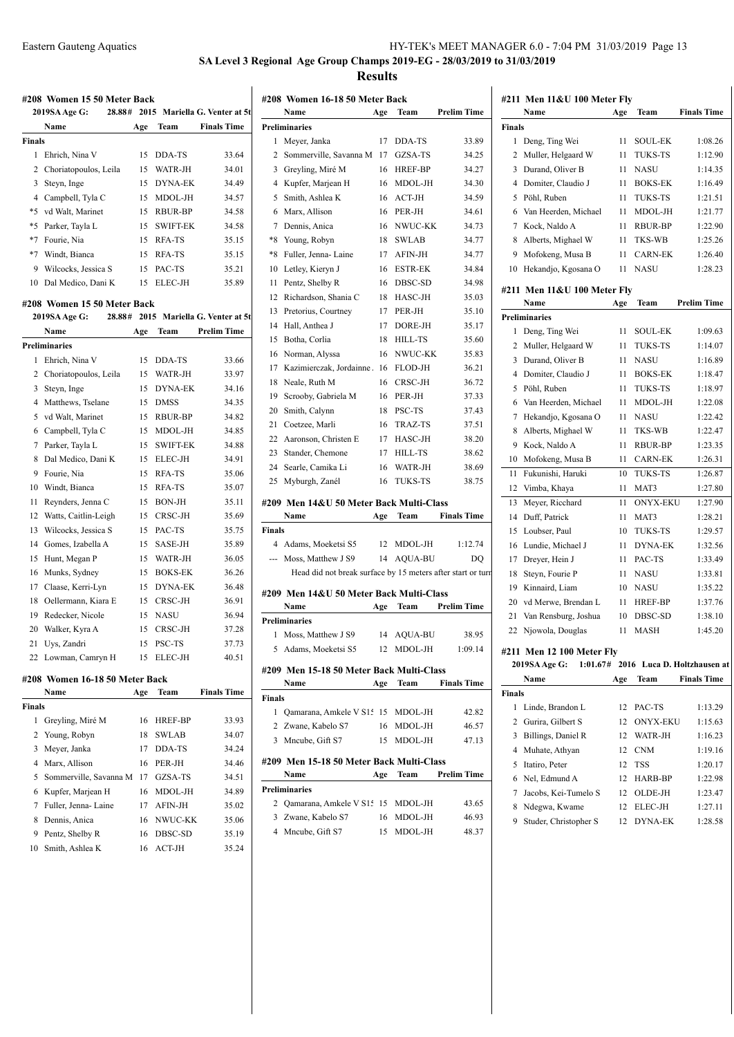# **SA Level 3 Regional Age Group Champs 2019-EG - 28/03/2019 to 31/03/2019 Results**

|                      | #208 Women 15 50 Meter Back           |     |                 |                               | #208           |
|----------------------|---------------------------------------|-----|-----------------|-------------------------------|----------------|
|                      | 28.88#<br>2019SA Age G:               |     |                 | 2015 Mariella G. Venter at 5t |                |
| Name                 |                                       | Age | Team            | <b>Finals Time</b>            | Preli          |
| <b>Finals</b>        |                                       |     |                 |                               | $\mathbf{1}$   |
| 1                    | Ehrich, Nina V                        | 15  | DDA-TS          | 33.64                         | 2              |
|                      | 2 Choriatopoulos, Leila               | 15  | WATR-JH         | 34.01                         | 3              |
| 3 Steyn, Inge        |                                       | 15  | <b>DYNA-EK</b>  | 34.49                         | $\overline{4}$ |
|                      | 4 Campbell, Tyla C                    | 15  | MDOL-JH         | 34.57                         | 5              |
|                      | *5 vd Walt, Marinet                   | 15  | RBUR-BP         | 34.58                         | 6              |
| $*5$                 | Parker, Tayla L                       | 15  | <b>SWIFT-EK</b> | 34.58                         | $\overline{7}$ |
| *7 Fourie, Nia       |                                       | 15  | RFA-TS          | 35.15                         | *8             |
|                      | *7 Windt, Bianca                      | 15  | RFA-TS          | 35.15                         | *8             |
|                      | 9 Wilcocks, Jessica S                 | 15  | PAC-TS          | 35.21                         | 10             |
|                      | 10 Dal Medico, Dani K                 |     | 15 ELEC-JH      | 35.89                         | 11             |
|                      |                                       |     |                 |                               | 12             |
|                      | #208 Women 15 50 Meter Back<br>28.88# |     |                 | 2015 Mariella G. Venter at 5t | 13             |
|                      | 2019SA Age G:                         |     |                 |                               | 14             |
| Name                 |                                       | Age | Team            | <b>Prelim Time</b>            | 15             |
| <b>Preliminaries</b> |                                       |     |                 |                               | 16             |
| 1                    | Ehrich, Nina V                        | 15  | DDA-TS          | 33.66                         | 17             |
|                      | 2 Choriatopoulos, Leila               | 15  | WATR-JH         | 33.97                         | 18             |
| 3 Steyn, Inge        |                                       | 15  | <b>DYNA-EK</b>  | 34.16                         | 19             |
|                      | 4 Matthews, Tselane                   | 15  | <b>DMSS</b>     | 34.35                         | 20             |
|                      | 5 vd Walt, Marinet                    | 15  | <b>RBUR-BP</b>  | 34.82                         | 21             |
|                      | 6 Campbell, Tyla C                    | 15  | MDOL-JH         | 34.85                         | 22             |
| 7                    | Parker, Tayla L                       | 15  | <b>SWIFT-EK</b> | 34.88                         | 23             |
| 8                    | Dal Medico, Dani K                    | 15  | ELEC-JH         | 34.91                         | 24             |
| 9                    | Fourie, Nia                           | 15  | RFA-TS          | 35.06                         | 25             |
|                      | 10 Windt, Bianca                      | 15  | RFA-TS          | 35.07                         |                |
| 11                   | Reynders, Jenna C                     | 15  | <b>BON-JH</b>   | 35.11                         | #209           |
| 12                   | Watts, Caitlin-Leigh                  | 15  | CRSC-JH         | 35.69                         |                |
| 13                   | Wilcocks, Jessica S                   | 15  | PAC-TS          | 35.75                         | Fina           |
| 14                   | Gomes, Izabella A                     | 15  | SASE-JH         | 35.89                         | $\overline{4}$ |
| 15                   | Hunt, Megan P                         | 15  | WATR-JH         | 36.05                         |                |
| 16                   | Munks, Sydney                         | 15  | <b>BOKS-EK</b>  | 36.26                         |                |
|                      | 17 Claase, Kerri-Lyn                  | 15  | <b>DYNA-EK</b>  | 36.48                         | #209           |
|                      | 18 Oellermann, Kiara E                | 15  | CRSC-JH         | 36.91                         |                |
| 19                   | Redecker, Nicole                      | 15  | <b>NASU</b>     | 36.94                         | Preli          |
| 20                   | Walker, Kyra A                        | 15  | CRSC-JH         | 37.28                         | 1              |
| 21 Uys, Zandri       |                                       | 15  | PSC-TS          | 37.73                         | 5              |
|                      | 22 Lowman, Camryn H                   | 15  | ELEC-JH         | 40.51                         |                |
|                      | #208 Women 16-18 50 Meter Back        |     |                 |                               | #209           |
| Name                 |                                       | Age | Team            | <b>Finals Time</b>            |                |
| <b>Finals</b>        |                                       |     |                 |                               | Fina           |
| 1                    | Greyling, Miré M                      | 16  | HREF-BP         | 33.93                         | 1              |
| 2                    | Young, Robyn                          | 18  | SWLAB           | 34.07                         | 2              |
| 3                    | Meyer, Janka                          | 17  | DDA-TS          | 34.24                         | 3              |
|                      | 4 Marx, Allison                       | 16  | PER-JH          | 34.46                         | #209           |
| 5                    | Sommerville, Savanna M                |     | 17 GZSA-TS      | 34.51                         |                |
|                      | 6 Kupfer, Marjean H                   | 16  | MDOL-JH         | 34.89                         | Preli          |
| 7                    | Fuller, Jenna-Laine                   | 17  | AFIN-JH         | 35.02                         | 2              |
| 8                    | Dennis, Anica                         | 16  | NWUC-KK         | 35.06                         | 3              |
| 9                    | Pentz, Shelby R                       | 16  | DBSC-SD         | 35.19                         | $\overline{4}$ |
|                      | 10 Smith, Ashlea K                    | 16  | ACT-JH          | 35.24                         |                |

| #208 Women 16-18 50 Meter Back |                                                             |     |                |                    |  |  |  |
|--------------------------------|-------------------------------------------------------------|-----|----------------|--------------------|--|--|--|
|                                | Name                                                        | Age | Team           | <b>Prelim Time</b> |  |  |  |
|                                | <b>Preliminaries</b>                                        |     |                |                    |  |  |  |
| 1                              | Meyer, Janka                                                | 17  | DDA-TS         | 33.89              |  |  |  |
| 2                              | Sommerville, Savanna M                                      | 17  | GZSA-TS        | 34.25              |  |  |  |
| 3                              | Greyling, Miré M                                            | 16  | HREF-BP        | 34.27              |  |  |  |
| 4                              | Kupfer, Marjean H                                           | 16  | MDOL-JH        | 34.30              |  |  |  |
| 5                              | Smith, Ashlea K                                             | 16  | ACT-JH         | 34.59              |  |  |  |
| 6                              | Marx, Allison                                               | 16  | PER-JH         | 34.61              |  |  |  |
| 7                              | Dennis, Anica                                               | 16  | NWUC-KK        | 34.73              |  |  |  |
| *8                             | Young, Robyn                                                | 18  | <b>SWLAB</b>   | 34.77              |  |  |  |
| $*8$                           | Fuller, Jenna-Laine                                         | 17  | AFIN-JH        | 34.77              |  |  |  |
| 10                             | Letley, Kieryn J                                            | 16  | <b>ESTR-EK</b> | 34.84              |  |  |  |
| 11                             | Pentz, Shelby R                                             | 16  | DBSC-SD        | 34.98              |  |  |  |
| 12                             | Richardson, Shania C                                        | 18  | HASC-JH        | 35.03              |  |  |  |
| 13                             | Pretorius, Courtney                                         | 17  | PER-JH         | 35.10              |  |  |  |
| 14                             | Hall, Anthea J                                              | 17  | DORE-JH        | 35.17              |  |  |  |
| 15                             | Botha, Corlia                                               | 18  | <b>HILL-TS</b> | 35.60              |  |  |  |
| 16                             | Norman, Alyssa                                              | 16  | NWUC-KK        | 35.83              |  |  |  |
| 17                             | Kazimierczak, Jordainne.                                    | 16  | FLOD-JH        | 36.21              |  |  |  |
| 18                             | Neale, Ruth M                                               | 16  | CRSC-JH        | 36.72              |  |  |  |
| 19                             | Scrooby, Gabriela M                                         | 16  | PER-JH         | 37.33              |  |  |  |
| 20                             | Smith, Calynn                                               | 18  | PSC-TS         | 37.43              |  |  |  |
| 21                             | Coetzee, Marli                                              | 16  | TRAZ-TS        | 37.51              |  |  |  |
| 22                             | Aaronson, Christen E                                        | 17  | HASC-JH        | 38.20              |  |  |  |
| 23                             | Stander, Chemone                                            | 17  | HILL-TS        | 38.62              |  |  |  |
| 24                             | Searle, Camika Li                                           | 16  | WATR-JH        | 38.69              |  |  |  |
| 25                             | Myburgh, Zanél                                              | 16  | TUKS-TS        | 38.75              |  |  |  |
|                                |                                                             |     |                |                    |  |  |  |
|                                | #209 Men 14&U 50 Meter Back Multi-Class                     |     |                |                    |  |  |  |
|                                | Name                                                        | Age | Team           | <b>Finals Time</b> |  |  |  |
| <b>Finals</b>                  |                                                             |     |                |                    |  |  |  |
|                                | 4 Adams, Moeketsi S5                                        |     | 12 MDOL-JH     | 1:12.74            |  |  |  |
| ---                            | Moss, Matthew J S9                                          | 14  | AQUA-BU        | DO                 |  |  |  |
|                                | Head did not break surface by 15 meters after start or turn |     |                |                    |  |  |  |
|                                | #209 Men 14&U 50 Meter Back Multi-Class                     |     |                |                    |  |  |  |
|                                | Name                                                        | Age | Team           | <b>Prelim Time</b> |  |  |  |
|                                | <b>Preliminaries</b>                                        |     |                |                    |  |  |  |
| 1                              | Moss, Matthew J S9                                          | 14  | <b>AQUA-BU</b> | 38.95              |  |  |  |
| 5                              | Adams, Moeketsi S5                                          | 12  | MDOL-JH        | 1:09.14            |  |  |  |
|                                |                                                             |     |                |                    |  |  |  |
|                                | #209 Men 15-18 50 Meter Back Multi-Class                    |     |                |                    |  |  |  |
|                                | Name                                                        | Age | Team           | <b>Finals Time</b> |  |  |  |
| <b>Finals</b><br>1             | Qamarana, Amkele V S1: 15 MDOL-JH                           |     |                |                    |  |  |  |
|                                |                                                             |     |                | 42.82              |  |  |  |
| 2                              | Zwane, Kabelo S7                                            |     | 16 MDOL-JH     | 46.57              |  |  |  |
| 3                              | Mncube, Gift S7                                             | 15  | MDOL-JH        | 47.13              |  |  |  |
|                                | #209 Men 15-18 50 Meter Back Multi-Class                    |     |                |                    |  |  |  |
|                                | Name                                                        | Age | Team           | <b>Prelim Time</b> |  |  |  |
|                                | <b>Preliminaries</b>                                        |     |                |                    |  |  |  |
|                                |                                                             |     |                |                    |  |  |  |
| 2                              | Qamarana, Amkele V S1: 15 MDOL-JH                           |     |                | 43.65              |  |  |  |
|                                | 3 Zwane, Kabelo S7                                          | 16  | MDOL-JH        | 46.93              |  |  |  |
|                                | 4 Mncube, Gift S7                                           | 15  | MDOL-JH        | 48.37              |  |  |  |

|                | #211 Men 11&U 100 Meter Fly |     |                 |                                      |
|----------------|-----------------------------|-----|-----------------|--------------------------------------|
|                | Name                        | Age | Team            | <b>Finals Time</b>                   |
| <b>Finals</b>  |                             |     |                 |                                      |
| 1              | Deng, Ting Wei              | 11  | SOUL-EK         | 1:08.26                              |
| 2              | Muller, Helgaard W          | 11  | TUKS-TS         | 1:12.90                              |
| 3              | Durand, Oliver B            | 11  | <b>NASU</b>     | 1:14.35                              |
| $\overline{4}$ | Domiter, Claudio J          | 11  | <b>BOKS-EK</b>  | 1:16.49                              |
| 5              | Pöhl, Ruben                 | 11  | TUKS-TS         | 1:21.51                              |
|                | 6 Van Heerden, Michael      | 11  | MDOL-JH         | 1:21.77                              |
| 7              | Kock, Naldo A               | 11  | <b>RBUR-BP</b>  | 1:22.90                              |
|                | 8 Alberts, Mighael W        | 11  | TKS-WB          | 1:25.26                              |
| 9              | Mofokeng, Musa B            | 11  | <b>CARN-EK</b>  | 1:26.40                              |
| 10             | Hekandjo, Kgosana O         | 11  | NASU            | 1:28.23                              |
|                | #211 Men 11&U 100 Meter Fly |     |                 |                                      |
|                | Name                        | Age | Team            | <b>Prelim Time</b>                   |
|                | <b>Preliminaries</b>        |     |                 |                                      |
| 1              | Deng, Ting Wei              | 11  | <b>SOUL-EK</b>  | 1:09.63                              |
| 2              | Muller, Helgaard W          | 11  | TUKS-TS         | 1:14.07                              |
|                | 3 Durand, Oliver B          | 11  | <b>NASU</b>     | 1:16.89                              |
| $\overline{4}$ | Domiter, Claudio J          | 11  | <b>BOKS-EK</b>  | 1:18.47                              |
| 5.             | Pöhl, Ruben                 | 11  | TUKS-TS         | 1:18.97                              |
| 6              | Van Heerden, Michael        | 11  | MDOL-JH         | 1:22.08                              |
| 7              | Hekandjo, Kgosana O         | 11  | <b>NASU</b>     | 1:22.42                              |
| 8              | Alberts, Mighael W          | 11  | TKS-WB          | 1:22.47                              |
| 9.             | Kock, Naldo A               | 11  | <b>RBUR-BP</b>  | 1:23.35                              |
| 10             | Mofokeng, Musa B            | 11  | <b>CARN-EK</b>  | 1:26.31                              |
| 11             | Fukunishi, Haruki           | 10  | <b>TUKS-TS</b>  | 1:26.87                              |
| 12             | Vimba, Khaya                | 11  | MAT3            | 1:27.80                              |
| 13             | Meyer, Ricchard             | 11  | <b>ONYX-EKU</b> | 1:27.90                              |
| 14             | Duff, Patrick               | 11  | MAT3            | 1:28.21                              |
| 15             | Loubser, Paul               | 10  | TUKS-TS         | 1:29.57                              |
| 16             | Lundie, Michael J           | 11  | DYNA-EK         | 1:32.56                              |
| 17             | Dreyer, Hein J              | 11  | PAC-TS          | 1:33.49                              |
| 18             | Steyn, Fourie P             | 11  | <b>NASU</b>     | 1:33.81                              |
| 19             | Kinnaird, Liam              | 10  | NASU            | 1:35.22                              |
| 20             | vd Merwe, Brendan L         | 11  | <b>HREF-BP</b>  | 1:37.76                              |
| 21             | Van Rensburg, Joshua        | 10  | DBSC-SD         | 1:38.10                              |
| 22             | Njowola, Douglas            | 11  | MASH            | 1:45.20                              |
|                | #211 Men 12 100 Meter Fly   |     |                 |                                      |
|                | 2019SA Age G:               |     |                 | 1:01.67# 2016 Luca D. Holtzhausen at |
|                | Name                        | Age | Team            | <b>Finals Time</b>                   |
| Finals         |                             |     |                 |                                      |
| 1              | Linde, Brandon L            | 12  | PAC-TS          | 1:13.29                              |
| $\overline{2}$ | Gurira, Gilbert S           | 12  | <b>ONYX-EKU</b> | 1:15.63                              |
| 3              | Billings, Daniel R          | 12  | WATR-JH         | 1:16.23                              |
| 4              | Muhate, Athyan              | 12  | <b>CNM</b>      | 1:19.16                              |
| 5              | Itatiro, Peter              | 12  | TSS             | 1:20.17                              |
|                | 6 Nel, Edmund A             | 12  | HARB-BP         | 1:22.98                              |
|                |                             |     |                 |                                      |

| і 15-10 SV мецег Баск мішц-Сіаss |     |            |                    | 5 Itatiro, Peter        | 12 TSS     | 1:20.17 |
|----------------------------------|-----|------------|--------------------|-------------------------|------------|---------|
|                                  | Age | Team       | <b>Prelim Time</b> | 6 Nel, Edmund A         | 12 HARB-BP | 1:22.98 |
| ies                              |     |            |                    | 7 Jacobs, Kei-Tumelo S  | 12 OLDE-JH | 1:23.47 |
| arana, Amkele V S1: 15 MDOL-JH   |     |            | 43.65              | 8 Ndegwa, Kwame         | 12 ELEC-JH | 1:27.11 |
| e. Kabelo S7                     |     | 16 MDOL-JH | 46.93              | 9 Studer, Christopher S | 12 DYNA-EK | 1:28.58 |
| ıbe, Gift S7                     |     | 15 MDOL-JH | 48.37              |                         |            |         |
|                                  |     |            |                    |                         |            |         |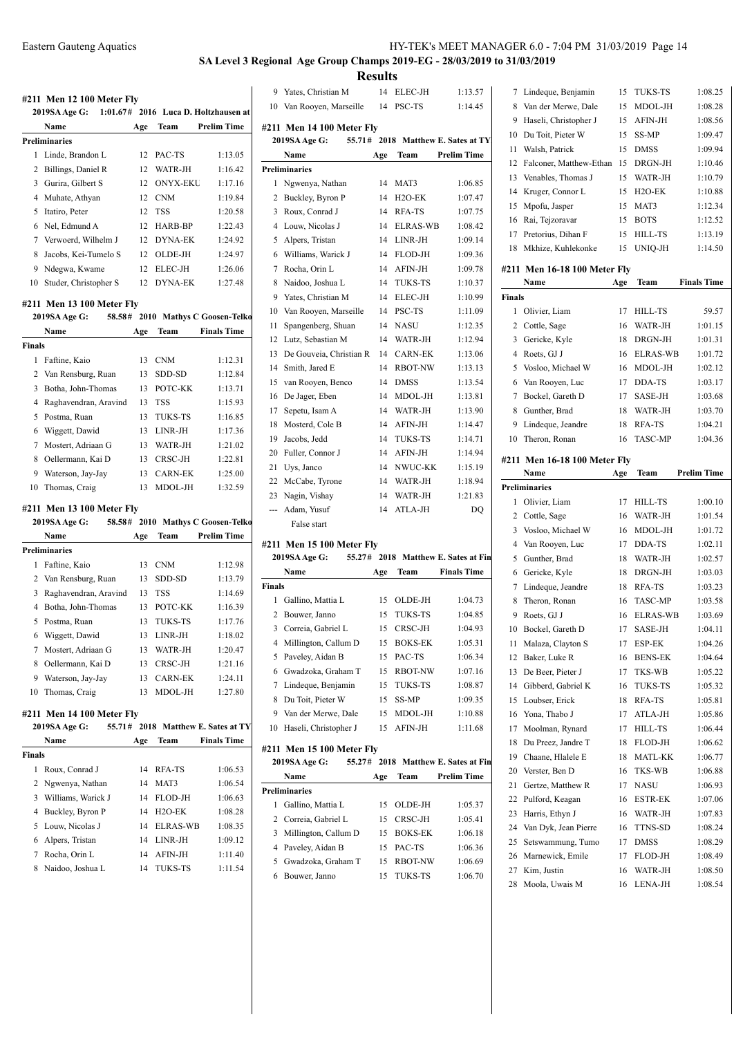# **SA Level 3 Regional Age Group Champs 2019-EG - 28/03/2019 to 31/03/2019 Results**<br>14 ELEC-JH

|                | #211 Men 12 100 Meter Fly                            |          |                           |                                      | 9       | Y              |
|----------------|------------------------------------------------------|----------|---------------------------|--------------------------------------|---------|----------------|
|                | 2019SA Age G:                                        |          |                           | 1:01.67# 2016 Luca D. Holtzhausen at | 10 V    |                |
|                | Name                                                 | Age      | Team                      | Prelim Time                          | #211 N  |                |
|                | Preliminaries                                        |          |                           |                                      | 2019:   |                |
| 1              | Linde, Brandon L                                     | 12       | PAC-TS                    | 1:13.05                              |         | N              |
|                | 2 Billings, Daniel R                                 | 12       | WATR-JH                   | 1:16.42                              | Prelimi |                |
|                | 3 Gurira, Gilbert S                                  | 12       | <b>ONYX-EKU</b>           | 1:17.16                              | 1       | N              |
|                | 4 Muhate, Athyan                                     | 12       | <b>CNM</b>                | 1:19.84                              | 2       | B <sub>1</sub> |
|                | 5 Itatiro, Peter                                     | 12       | <b>TSS</b>                | 1:20.58                              | 3       | $R_0$          |
|                | 6 Nel, Edmund A                                      | 12       | HARB-BP                   | 1:22.43                              | 4 L     |                |
|                | 7 Verwoerd, Wilhelm J                                |          | 12 DYNA-EK                | 1:24.92                              | 5A      |                |
| 8              | Jacobs, Kei-Tumelo S                                 |          | 12 OLDE-JH                | 1:24.97                              | 6 W     |                |
| 9              | Ndegwa, Kwame                                        | 12       | ELEC-JH                   | 1:26.06                              | 7 R     |                |
| 10             | Studer, Christopher S                                | 12       | <b>DYNA-EK</b>            | 1:27.48                              | 8 N     |                |
|                |                                                      |          |                           |                                      | 9 Y     |                |
|                | #211 Men 13 100 Meter Fly                            |          |                           |                                      | $10$ Va |                |
|                | 2019SA Age G:                                        |          |                           | 58.58# 2010 Mathys C Goosen-Telko    | 11      | $S_{\rm f}$    |
|                | Name                                                 | Age      | Team                      | <b>Finals Time</b>                   | 12      |                |
| Finals         |                                                      |          |                           |                                      |         | L١             |
| 1              | Faftine, Kaio                                        | 13       | <b>CNM</b>                | 1:12.31                              | 13      | D              |
| 2              | Van Rensburg, Ruan                                   | 13       | SDD-SD                    | 1:12.84                              | 14      | S <sub>I</sub> |
|                | 3 Botha, John-Thomas                                 | 13       | POTC-KK                   | 1:13.71                              | $15$ va |                |
| $\overline{4}$ | Raghavendran, Aravind                                | 13       | TSS                       | 1:15.93                              | 16 D    |                |
| 5              | Postma, Ruan                                         | 13       | <b>TUKS-TS</b>            | 1:16.85                              | 17      | $S_6$          |
| 6              | Wiggett, Dawid                                       | 13       | LINR-JH                   | 1:17.36                              | 18 M    |                |
| 7              | Mostert, Adriaan G                                   |          | 13 WATR-JH                | 1:21.02                              | 19      | Ja             |
| 8              | Oellermann, Kai D                                    | 13       | CRSC-JH                   | 1:22.81                              | $20$ Fu |                |
| 9              | Waterson, Jay-Jay                                    | 13       | <b>CARN-EK</b>            | 1:25.00                              | 21      | U              |
| 10             | Thomas, Craig                                        | 13       | MDOL-JH                   | 1:32.59                              | 22 M    |                |
|                |                                                      |          |                           |                                      | 23      | N              |
|                | #211 Men 13 100 Meter Fly<br>2019SA Age G:<br>58.58# |          |                           | 2010 Mathys C Goosen-Telko           | --- A   |                |
|                | Name                                                 | Age      | Team                      | <b>Prelim Time</b>                   |         |                |
|                | Preliminaries                                        |          |                           |                                      | #211 N  |                |
| $\mathbf{1}$   | Faftine, Kaio                                        | 13       | <b>CNM</b>                | 1:12.98                              | 2019:   |                |
|                | 2 Van Rensburg, Ruan                                 | 13       | SDD-SD                    | 1:13.79                              |         | N              |
| 3              | Raghavendran, Aravind                                | 13       | <b>TSS</b>                |                                      | Finals  |                |
| $\overline{4}$ |                                                      |          |                           | 1:14.69                              | 1       | G              |
| 5              | Botha, John-Thomas                                   | 13<br>13 | POTC-KK<br><b>TUKS-TS</b> | 1:16.39<br>1:17.76                   | $2$ B   |                |
|                | Postma, Ruan                                         |          |                           |                                      | 3       | $\mathbf{C}$   |
| 6              | Wiggett, Dawid                                       | 13       | LINR-JH                   | 1:18.02                              | 4       | M              |
| 7              | Mostert, Adriaan G                                   | 13       | WATR-JH                   | 1:20.47                              | $5$ Pa  |                |
| 8              | Oellermann, Kai D                                    | 13       | CRSC-JH                   | 1:21.16                              | 6 G     |                |
|                | 9 Waterson, Jay-Jay                                  | 13       | <b>CARN-EK</b>            | 1:24.11                              | 7 Li    |                |
| 10             | Thomas, Craig                                        | 13       | MDOL-JH                   | 1:27.80                              | 8 D     |                |
|                | #211 Men 14 100 Meter Fly                            |          |                           |                                      | 9       | V              |
|                | 55.71#<br>2019SA Age G:                              |          |                           | 2018 Matthew E. Sates at TY          | 10      | Η              |
|                | Name                                                 | Age      | Team                      | <b>Finals Time</b>                   |         |                |
| Finals         |                                                      |          |                           |                                      | #211 N  |                |
| $\mathbf{1}$   | Roux, Conrad J                                       | 14       | RFA-TS                    | 1:06.53                              | 2019:   |                |
| 2              | Ngwenya, Nathan                                      | 14       | MAT3                      | 1:06.54                              |         | N              |
| 3              | Williams, Warick J                                   | 14       | FLOD-JH                   | 1:06.63                              | Prelimi |                |
| 4              | Buckley, Byron P                                     | 14       | H <sub>2</sub> O-EK       | 1:08.28                              | 1       | G              |
| 5              | Louw, Nicolas J                                      | 14       | <b>ELRAS-WB</b>           | 1:08.35                              | 2       | $\mathbf{C}$   |
| 6              | Alpers, Tristan                                      | 14       | LINR-JH                   | 1:09.12                              | 3 M     |                |
| 7              | Rocha, Orin L                                        | 14       | <b>AFIN-JH</b>            | 1:11.40                              | $4$ Pa  |                |
| 8              | Naidoo, Joshua L                                     | 14       | <b>TUKS-TS</b>            | 1:11.54                              | 5       | G              |
|                |                                                      |          |                           |                                      | 6       | $\mathbf{B}$   |
|                |                                                      |          |                           |                                      |         |                |
|                |                                                      |          |                           |                                      |         |                |

|                | 9 Yates, Christian M                       | 14  | ELEC-JH             | 1:13.57                             | 7              | Li             |
|----------------|--------------------------------------------|-----|---------------------|-------------------------------------|----------------|----------------|
|                | 10 Van Rooyen, Marseille                   | 14  | PSC-TS              | 1:14.45                             | 8              | V              |
|                |                                            |     |                     |                                     | 9              | H              |
|                | #211 Men 14 100 Meter Flv<br>2019SA Age G: |     |                     | 55.71# 2018 Matthew E. Sates at TY  | 10             | D              |
|                | Name                                       | Age | Team                | <b>Prelim Time</b>                  | 11             | W              |
|                | <b>Preliminaries</b>                       |     |                     |                                     | 12             | Fε             |
| 1              | Ngwenya, Nathan                            | 14  | MAT3                | 1:06.85                             | 13             | V              |
| $\overline{2}$ | Buckley, Byron P                           | 14  | H <sub>2</sub> O-EK | 1:07.47                             | 14             | K              |
| 3              | Roux, Conrad J                             | 14  | RFA-TS              | 1:07.75                             | 15             | M              |
| $\overline{4}$ | Louw, Nicolas J                            | 14  | <b>ELRAS-WB</b>     | 1:08.42                             | 16             | R              |
| 5              | Alpers, Tristan                            | 14  | LINR-JH             | 1:09.14                             | 17             | P <sub>1</sub> |
| 6              | Williams, Warick J                         | 14  | <b>FLOD-JH</b>      | 1:09.36                             | 18             | M              |
| 7              | Rocha, Orin L                              | 14  | AFIN-JH             | 1:09.78                             | #211 N         |                |
| 8              | Naidoo, Joshua L                           | 14  | <b>TUKS-TS</b>      | 1:10.37                             |                | N              |
| 9              | Yates, Christian M                         | 14  | ELEC-JH             | 1:10.99                             | <b>Finals</b>  |                |
| 10             | Van Rooyen, Marseille                      | 14  | PSC-TS              | 1:11.09                             | 1              | $\circ$        |
| 11             | Spangenberg, Shuan                         | 14  | <b>NASU</b>         | 1:12.35                             | $\overline{2}$ | $\mathcal{C}$  |
| 12             | Lutz, Sebastian M                          | 14  | WATR-JH             | 1:12.94                             |                | 3 <sub>G</sub> |
| 13             | De Gouveia, Christian R                    | 14  | <b>CARN-EK</b>      | 1:13.06                             |                | 4 R            |
| 14             | Smith, Jared E                             | 14  | <b>RBOT-NW</b>      | 1:13.13                             |                | 5 V            |
| 15             | van Rooyen, Benco                          | 14  | <b>DMSS</b>         | 1:13.54                             |                | 6 V            |
| 16             | De Jager, Eben                             | 14  | MDOL-JH             | 1:13.81                             | 7              | $\mathbf{B}$   |
| 17             | Sepetu, Isam A                             | 14  | WATR-JH             | 1:13.90                             | 8              | G              |
| 18             | Mosterd, Cole B                            | 14  | AFIN-JH             | 1:14.47                             |                | 9 Li           |
| 19             | Jacobs, Jedd                               | 14  | <b>TUKS-TS</b>      | 1:14.71                             | 10             | <sup>T</sup>   |
| 20             | Fuller, Connor J                           | 14  | AFIN-JH             | 1:14.94                             | #211 N         |                |
| 21             | Uys, Janco                                 | 14  | NWUC-KK             | 1:15.19                             |                | N              |
| 22             | McCabe, Tyrone                             | 14  | WATR-JH             | 1:18.94                             | Prelimi        |                |
| 23             | Nagin, Vishay                              | 14  | WATR-JH             | 1:21.83                             | 1              | $\circ$        |
| $---$          | Adam, Yusuf                                | 14  | ATLA-JH             | DO                                  |                | $2\,C$         |
|                | False start                                |     |                     |                                     |                | $3 \sqrt{6}$   |
|                | #211 Men 15 100 Meter Fly                  |     |                     |                                     |                | $4 \text{V}$   |
|                | 2019SA Age G:                              |     |                     | 55.27# 2018 Matthew E. Sates at Fin | 5.             | G              |
|                | Name                                       | Age | Team                | <b>Finals Time</b>                  | 6              | G              |
| Finals         |                                            |     |                     |                                     | $\overline{7}$ | Li             |
| 1              | Gallino, Mattia L                          | 15  | OLDE-JH             | 1:04.73                             | 8              | T              |

| 2 Bouwer, Janno           |    | 15 TUKS-TS     | 1:04.85 |
|---------------------------|----|----------------|---------|
| 3 Correia, Gabriel L      | 15 | CRSC-JH        | 1:04.93 |
| 4 Millington, Callum D    | 15 | <b>BOKS-EK</b> | 1:05.31 |
| 5 Paveley, Aidan B        |    | 15 PAC-TS      | 1:06.34 |
| 6 Gwadzoka, Graham T      | 15 | <b>RBOT-NW</b> | 1:07.16 |
| 7 Lindeque, Benjamin      |    | 15 TUKS-TS     | 1:08.87 |
| 8 Du Toit. Pieter W       | 15 | <b>SS-MP</b>   | 1:09.35 |
| 9 Van der Merwe, Dale     | 15 | MDOL-JH        | 1:10.88 |
| 10 Haseli, Christopher J  |    | 15 AFIN-JH     | 1:11.68 |
| #211 Men 15 100 Meter Flv |    |                |         |

|   | 2019SA Age G:          |     |                | 55.27# 2018 Matthew E. Sates at Fin |
|---|------------------------|-----|----------------|-------------------------------------|
|   | Name                   | Age | Team           | <b>Prelim Time</b>                  |
|   | Preliminaries          |     |                |                                     |
| 1 | Gallino, Mattia L      | 15  | OLDE-JH        | 1:05.37                             |
|   | 2 Correia, Gabriel L   | 15  | CRSC-JH        | 1:05.41                             |
|   | 3 Millington, Callum D | 15  | <b>BOKS-EK</b> | 1:06.18                             |
| 4 | Paveley, Aidan B       | 15  | PAC-TS         | 1:06.36                             |
| 5 | Gwadzoka, Graham T     | 15  | <b>RBOT-NW</b> | 1:06.69                             |
| 6 | Bouwer, Janno          | 15  | <b>TUKS-TS</b> | 1:06.70                             |

| 8             | Van der Merwe, Dale                | 15  | MDOL-JH         | 1:08.28            |
|---------------|------------------------------------|-----|-----------------|--------------------|
| 9             | Haseli, Christopher J              | 15  | AFIN-JH         | 1:08.56            |
| 10            | Du Toit, Pieter W                  | 15  | SS-MP           | 1:09.47            |
| 11            | Walsh, Patrick                     | 15  | DMSS            | 1:09.94            |
| 12            | Falconer, Matthew-Ethan            | 15  | DRGN-JH         | 1:10.46            |
| 13            | Venables, Thomas J                 | 15  | WATR-JH         | 1:10.79            |
| 14            | Kruger, Connor L                   | 15  | $H2O-EK$        | 1:10.88            |
| 15            | Mpofu, Jasper                      | 15  | MAT3            | 1:12.34            |
| 16            | Rai, Tejzoravar                    | 15  | <b>BOTS</b>     | 1:12.52            |
| 17            | Pretorius, Dihan F                 | 15  | HILL-TS         | 1:13.19            |
| 18            | Mkhize, Kuhlekonke                 | 15  | UNIQ-JH         | 1:14.50            |
|               | #211 Men 16-18 100 Meter Fly       |     |                 |                    |
|               | Name                               | Age | Team            | <b>Finals Time</b> |
| <b>Finals</b> |                                    |     |                 |                    |
| 1             | Olivier, Liam                      | 17  | HILL-TS         | 59.57              |
| 2             | Cottle, Sage                       | 16  | WATR-JH         | 1:01.15            |
| 3             | Gericke, Kyle                      | 18  | DRGN-JH         | 1:01.31            |
| 4             | Roets, GJ J                        | 16  | <b>ELRAS-WB</b> | 1:01.72            |
| 5             | Vosloo, Michael W                  | 16  | MDOL-JH         | 1:02.12            |
| 6             | Van Rooyen, Luc                    | 17  | DDA-TS          | 1:03.17            |
| 7             | Bockel, Gareth D                   | 17  | <b>SASE-JH</b>  | 1:03.68            |
| 8             | Gunther, Brad                      | 18  | WATR-JH         | 1:03.70            |
| 9             | Lindeque, Jeandre                  | 18  | RFA-TS          | 1:04.21            |
| 10            | Theron, Ronan                      | 16  | <b>TASC-MP</b>  | 1:04.36            |
|               | #211 Men 16-18 100 Meter Fly       |     |                 |                    |
|               | Name                               | Age | Team            | Prelim Time        |
|               | <b>Preliminaries</b>               |     |                 |                    |
|               |                                    |     |                 |                    |
| 1             | Olivier, Liam                      | 17  | HILL-TS         | 1:00.10            |
| 2             | Cottle, Sage                       | 16  | WATR-JH         | 1:01.54            |
| 3             | Vosloo, Michael W                  | 16  | MDOL-JH         | 1:01.72            |
| 4             | Van Rooyen, Luc                    | 17  | DDA-TS          | 1:02.11            |
| 5             | Gunther, Brad                      | 18  | WATR-JH         | 1:02.57            |
| 6             | Gericke, Kyle                      | 18  | DRGN-JH         | 1:03.03            |
| 7             | Lindeque, Jeandre                  | 18  | RFA-TS          | 1:03.23            |
| 8             | Theron, Ronan                      | 16  | TASC-MP         | 1:03.58            |
| 9             | Roets, GJ J                        | 16  | ELRAS-WB        | 1:03.69            |
| 10            | Bockel, Gareth D                   | 17  | <b>SASE-JH</b>  | 1:04.11            |
| 11            | Malaza, Clayton S                  | 17  | ESP-EK          | 1:04.26            |
| 12            |                                    | 16  | <b>BENS-EK</b>  | 1:04.64            |
| 13            | Baker, Luke R<br>De Beer, Pieter J | 17  | TKS-WB          | 1:05.22            |
| 14            | Gibberd, Gabriel K                 | 16  | TUKS-TS         | 1:05.32            |
| 15            | Loubser, Erick                     | 18  | RFA-TS          | 1:05.81            |
| 16            | Yona, Thabo J                      | 17  | ATLA-JH         | 1:05.86            |
| 17            | Moolman, Rynard                    | 17  | HILL-TS         | 1:06.44            |
| 18            | Du Preez, Jandre T                 | 18  | FLOD-JH         | 1:06.62            |
| 19            | Chaane, Hlalele E                  | 18  | MATL-KK         | 1:06.77            |
| 20            | Verster, Ben D                     | 16  | TKS-WB          | 1:06.88            |
| 21            | Gertze, Matthew R                  | 17  | NASU            | 1:06.93            |
| 22            | Pulford, Keagan                    | 16  | ESTR-EK         | 1:07.06            |
| 23            | Harris, Ethyn J                    | 16  | WATR-JH         | 1:07.83            |
| 24            | Van Dyk, Jean Pierre               | 16  | TTNS-SD         | 1:08.24            |
| 25            | Setswammung, Tumo                  | 17  | DMSS            | 1:08.29            |
| 26            | Marnewick, Emile                   | 17  | FLOD-JH         | 1:08.49            |
| 27            | Kim, Justin                        | 16  | WATR-JH         | 1:08.50            |

Lindeque, Benjamin 15 TUKS-TS 1:08.25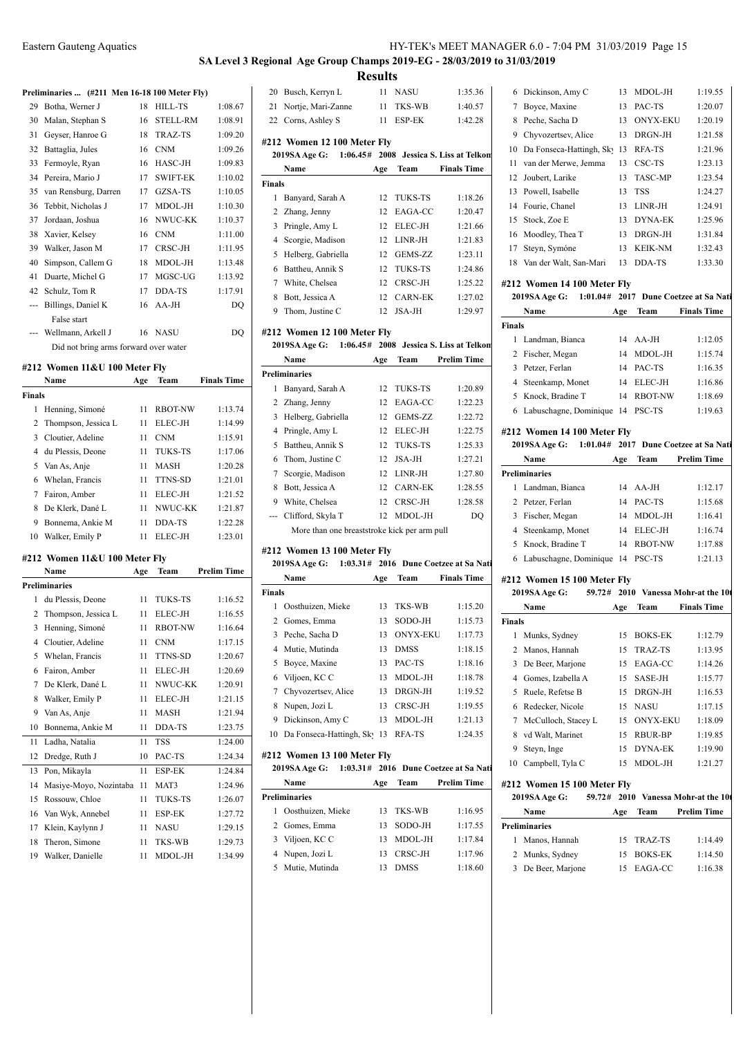# **SA Level 3 Regional Age Group Champs 2019-EG - 28/03/2019 to 31/03/2019 Results**

**Preliminaries ... (#211 Men 16-18 100 Meter Fly)**

|    | $r$ reminimaties $\left( \# 211 \right)$ intent to-to two interest fits i |    |                 |         |
|----|---------------------------------------------------------------------------|----|-----------------|---------|
| 29 | Botha, Werner J                                                           | 18 | <b>HILL-TS</b>  | 1:08.67 |
| 30 | Malan, Stephan S                                                          | 16 | <b>STELL-RM</b> | 1:08.91 |
| 31 | Geyser, Hanroe G                                                          | 18 | <b>TRAZ-TS</b>  | 1:09.20 |
| 32 | Battaglia, Jules                                                          | 16 | <b>CNM</b>      | 1:09.26 |
| 33 | Fermoyle, Ryan                                                            | 16 | HASC-JH         | 1:09.83 |
| 34 | Pereira, Mario J                                                          | 17 | <b>SWIFT-EK</b> | 1:10.02 |
| 35 | van Rensburg, Darren                                                      | 17 | GZSA-TS         | 1:10.05 |
| 36 | Tebbit, Nicholas J                                                        | 17 | MDOL-JH         | 1:10.30 |
| 37 | Jordaan, Joshua                                                           | 16 | NWUC-KK         | 1:10.37 |
| 38 | Xavier, Kelsey                                                            | 16 | <b>CNM</b>      | 1:11.00 |
| 39 | Walker, Jason M                                                           | 17 | CRSC-JH         | 1:11.95 |
| 40 | Simpson, Callem G                                                         | 18 | MDOL-JH         | 1:13.48 |
| 41 | Duarte, Michel G                                                          | 17 | MGSC-UG         | 1:13.92 |
| 42 | Schulz, Tom R                                                             | 17 | DDA-TS          | 1:17.91 |
|    | Billings, Daniel K                                                        | 16 | $AA-JH$         | DQ      |
|    | False start                                                               |    |                 |         |
|    | Wellmann, Arkell J                                                        | 16 | NASU            | DQ      |
|    | Did not bring arms forward over water                                     |    |                 |         |

### **#212 Women 11&U 100 Meter Fly**

|        | Name                  | Age | <b>Team</b>    | <b>Finals Time</b> |
|--------|-----------------------|-----|----------------|--------------------|
| Finals |                       |     |                |                    |
| 1      | Henning, Simoné       | 11  | <b>RBOT-NW</b> | 1:13.74            |
|        | 2 Thompson, Jessica L | 11  | ELEC-JH        | 1:14.99            |
|        | 3 Cloutier, Adeline   | 11  | <b>CNM</b>     | 1:15.91            |
|        | 4 du Plessis, Deone   | 11  | <b>TUKS-TS</b> | 1:17.06            |
|        | 5 Van As, Anje        | 11  | <b>MASH</b>    | 1:20.28            |
|        | 6 Whelan, Francis     | 11  | <b>TTNS-SD</b> | 1:21.01            |
|        | 7 Fairon, Amber       | 11  | ELEC-JH        | 1:21.52            |
| 8      | De Klerk, Dané L      | 11  | NWUC-KK        | 1:21.87            |
| 9      | Bonnema, Ankie M      | 11  | DDA-TS         | 1:22.28            |
| 10     | Walker, Emily P       | 11  | ELEC-JH        | 1:23.01            |

### **#212 Women 11&U 100 Meter Fly**

|                | Name                   | Age | Team           | <b>Prelim Time</b> |  |
|----------------|------------------------|-----|----------------|--------------------|--|
|                | <b>Preliminaries</b>   |     |                |                    |  |
| 1              | du Plessis, Deone      | 11  | <b>TUKS-TS</b> | 1:16.52            |  |
| 2              | Thompson, Jessica L    | 11  | ELEC-JH        | 1:16.55            |  |
| 3              | Henning, Simoné        | 11  | <b>RBOT-NW</b> | 1:16.64            |  |
| $\overline{4}$ | Cloutier, Adeline      | 11  | <b>CNM</b>     | 1:17.15            |  |
| 5              | Whelan, Francis        | 11  | TTNS-SD        | 1:20.67            |  |
| 6              | Fairon, Amber          | 11  | ELEC-JH        | 1:20.69            |  |
| 7              | De Klerk, Dané L       | 11  | NWUC-KK        | 1:20.91            |  |
| 8              | Walker, Emily P        | 11  | ELEC-JH        | 1:21.15            |  |
| 9              | Van As, Anje           | 11  | <b>MASH</b>    | 1:21.94            |  |
| 10             | Bonnema, Ankie M       | 11  | DDA-TS         | 1:23.75            |  |
| 11             | Ladha, Natalia         | 11  | <b>TSS</b>     | 1:24.00            |  |
| 12             | Dredge, Ruth J         | 10  | PAC-TS         | 1:24.34            |  |
| 13             | Pon. Mikavla           | 11  | ESP-EK         | 1:24.84            |  |
| 14             | Masiye-Moyo, Nozintaba | 11  | MAT3           | 1:24.96            |  |
| 15             | Rossouw, Chloe         | 11  | <b>TUKS-TS</b> | 1:26.07            |  |
| 16             | Van Wyk, Annebel       | 11  | ESP-EK         | 1:27.72            |  |
| 17             | Klein, Kaylynn J       | 11  | <b>NASU</b>    | 1:29.15            |  |
| 18             | Theron, Simone         | 11  | <b>TKS-WB</b>  | 1:29.73            |  |
| 19             | Walker, Danielle       | 11  | MDOL-JH        | 1:34.99            |  |
|                |                        |     |                |                    |  |

| 1:40.57<br>21<br>Nortje, Mari-Zanne<br>$11 -$<br>TKS-WB<br>7<br>22 Corns, Ashley S<br><b>ESP-EK</b><br>1:42.28<br>11<br>8<br>9<br>#212 Women 12 100 Meter Fly<br>10<br>2008 Jessica S. Liss at Telkon<br><b>2019SA Age G:</b><br>1:06.45#<br>11<br><b>Team</b> Finals Time<br>Name<br>Age<br>12<br><b>Finals</b><br>13<br>12<br>1<br>Banyard, Sarah A<br><b>TUKS-TS</b><br>1:18.26<br>14<br>2 Zhang, Jenny<br>12<br>EAGA-CC<br>1:20.47<br>15<br>3 Pringle, Amy L<br>ELEC-JH<br>12<br>1:21.66<br>16<br>4 Scorgie, Madison<br>12<br>LINR-JH<br>1:21.83<br>17<br>5 Helberg, Gabriella<br>12<br>GEMS-ZZ<br>1:23.11<br>18<br>6 Battheu, Annik S<br>1:24.86<br>12<br><b>TUKS-TS</b><br>7 White, Chelsea<br>12<br>CRSC-JH<br>1:25.22<br>#212<br>20<br>8 Bott, Jessica A<br>12<br><b>CARN-EK</b><br>1:27.02<br>9 Thom, Justine C<br>JSA-JH<br>1:29.97<br>12<br>Final<br>#212 Women 12 100 Meter Fly<br>1<br>1:06.45# 2008 Jessica S. Liss at Telkon<br>2019SA Age G:<br>$\overline{c}$<br><b>Prelim Time</b><br><b>Team</b><br>Name<br>Age<br>3<br><b>Preliminaries</b><br>4<br>1:20.89<br>1 Banyard, Sarah A<br>12<br><b>TUKS-TS</b><br>5<br>12<br>1:22.23<br>2 Zhang, Jenny<br>EAGA-CC<br>6<br>3 Helberg, Gabriella<br>12<br>GEMS-ZZ<br>1:22.72<br>ELEC-JH<br>1:22.75<br>4 Pringle, Amy L<br>12<br>#212<br>5 Battheu, Annik S<br><b>TUKS-TS</b><br>20<br>12<br>1:25.33<br>6 Thom, Justine C<br>12<br>JSA-JH<br>1:27.21<br>$\tau$<br>1:27.80<br>Scorgie, Madison<br>12<br>LINR-JH<br>Preli<br>8 Bott, Jessica A<br>12<br><b>CARN-EK</b><br>1:28.55<br>1<br>9 White, Chelsea<br>CRSC-JH<br>1:28.58<br>12<br>2<br>Clifford, Skyla T<br>$12^{\circ}$<br>MDOL-JH<br>DO<br>3<br>---<br>4<br>More than one breaststroke kick per arm pull<br>5<br>#212 Women 13 100 Meter Fly<br>6<br>1:03.31# 2016 Dune Coetzee at Sa Nati<br>2019SA Age G:<br>Team<br><b>Finals Time</b><br>Name<br>Age<br>#212<br>Finals<br>20<br>1 Oosthuizen, Mieke<br>13<br>TKS-WB<br>1:15.20<br>2 Gomes, Emma<br>13<br>SODO-JH<br>1:15.73<br>Final<br>3 Peche, Sacha D<br><b>ONYX-EKU</b><br>13<br>1:17.73<br>1<br>4 Mutie, Mutinda<br><b>DMSS</b><br>1:18.15<br>13<br>$\overline{c}$<br>PAC-TS<br>5<br>Boyce, Maxine<br>13<br>1:18.16<br>3 | 20 Busch, Kerryn L | 11 | <b>NASU</b> | 1:35.36 | 6 |
|-------------------------------------------------------------------------------------------------------------------------------------------------------------------------------------------------------------------------------------------------------------------------------------------------------------------------------------------------------------------------------------------------------------------------------------------------------------------------------------------------------------------------------------------------------------------------------------------------------------------------------------------------------------------------------------------------------------------------------------------------------------------------------------------------------------------------------------------------------------------------------------------------------------------------------------------------------------------------------------------------------------------------------------------------------------------------------------------------------------------------------------------------------------------------------------------------------------------------------------------------------------------------------------------------------------------------------------------------------------------------------------------------------------------------------------------------------------------------------------------------------------------------------------------------------------------------------------------------------------------------------------------------------------------------------------------------------------------------------------------------------------------------------------------------------------------------------------------------------------------------------------------------------------------------------------------------------------------------------------------------------------------------------------------------------------------------------------------------------------------------------------------------------------------------------------------------------|--------------------|----|-------------|---------|---|
|                                                                                                                                                                                                                                                                                                                                                                                                                                                                                                                                                                                                                                                                                                                                                                                                                                                                                                                                                                                                                                                                                                                                                                                                                                                                                                                                                                                                                                                                                                                                                                                                                                                                                                                                                                                                                                                                                                                                                                                                                                                                                                                                                                                                       |                    |    |             |         |   |
|                                                                                                                                                                                                                                                                                                                                                                                                                                                                                                                                                                                                                                                                                                                                                                                                                                                                                                                                                                                                                                                                                                                                                                                                                                                                                                                                                                                                                                                                                                                                                                                                                                                                                                                                                                                                                                                                                                                                                                                                                                                                                                                                                                                                       |                    |    |             |         |   |
|                                                                                                                                                                                                                                                                                                                                                                                                                                                                                                                                                                                                                                                                                                                                                                                                                                                                                                                                                                                                                                                                                                                                                                                                                                                                                                                                                                                                                                                                                                                                                                                                                                                                                                                                                                                                                                                                                                                                                                                                                                                                                                                                                                                                       |                    |    |             |         |   |
|                                                                                                                                                                                                                                                                                                                                                                                                                                                                                                                                                                                                                                                                                                                                                                                                                                                                                                                                                                                                                                                                                                                                                                                                                                                                                                                                                                                                                                                                                                                                                                                                                                                                                                                                                                                                                                                                                                                                                                                                                                                                                                                                                                                                       |                    |    |             |         |   |
|                                                                                                                                                                                                                                                                                                                                                                                                                                                                                                                                                                                                                                                                                                                                                                                                                                                                                                                                                                                                                                                                                                                                                                                                                                                                                                                                                                                                                                                                                                                                                                                                                                                                                                                                                                                                                                                                                                                                                                                                                                                                                                                                                                                                       |                    |    |             |         |   |
|                                                                                                                                                                                                                                                                                                                                                                                                                                                                                                                                                                                                                                                                                                                                                                                                                                                                                                                                                                                                                                                                                                                                                                                                                                                                                                                                                                                                                                                                                                                                                                                                                                                                                                                                                                                                                                                                                                                                                                                                                                                                                                                                                                                                       |                    |    |             |         |   |
|                                                                                                                                                                                                                                                                                                                                                                                                                                                                                                                                                                                                                                                                                                                                                                                                                                                                                                                                                                                                                                                                                                                                                                                                                                                                                                                                                                                                                                                                                                                                                                                                                                                                                                                                                                                                                                                                                                                                                                                                                                                                                                                                                                                                       |                    |    |             |         |   |
|                                                                                                                                                                                                                                                                                                                                                                                                                                                                                                                                                                                                                                                                                                                                                                                                                                                                                                                                                                                                                                                                                                                                                                                                                                                                                                                                                                                                                                                                                                                                                                                                                                                                                                                                                                                                                                                                                                                                                                                                                                                                                                                                                                                                       |                    |    |             |         |   |
|                                                                                                                                                                                                                                                                                                                                                                                                                                                                                                                                                                                                                                                                                                                                                                                                                                                                                                                                                                                                                                                                                                                                                                                                                                                                                                                                                                                                                                                                                                                                                                                                                                                                                                                                                                                                                                                                                                                                                                                                                                                                                                                                                                                                       |                    |    |             |         |   |
|                                                                                                                                                                                                                                                                                                                                                                                                                                                                                                                                                                                                                                                                                                                                                                                                                                                                                                                                                                                                                                                                                                                                                                                                                                                                                                                                                                                                                                                                                                                                                                                                                                                                                                                                                                                                                                                                                                                                                                                                                                                                                                                                                                                                       |                    |    |             |         |   |
|                                                                                                                                                                                                                                                                                                                                                                                                                                                                                                                                                                                                                                                                                                                                                                                                                                                                                                                                                                                                                                                                                                                                                                                                                                                                                                                                                                                                                                                                                                                                                                                                                                                                                                                                                                                                                                                                                                                                                                                                                                                                                                                                                                                                       |                    |    |             |         |   |
|                                                                                                                                                                                                                                                                                                                                                                                                                                                                                                                                                                                                                                                                                                                                                                                                                                                                                                                                                                                                                                                                                                                                                                                                                                                                                                                                                                                                                                                                                                                                                                                                                                                                                                                                                                                                                                                                                                                                                                                                                                                                                                                                                                                                       |                    |    |             |         |   |
|                                                                                                                                                                                                                                                                                                                                                                                                                                                                                                                                                                                                                                                                                                                                                                                                                                                                                                                                                                                                                                                                                                                                                                                                                                                                                                                                                                                                                                                                                                                                                                                                                                                                                                                                                                                                                                                                                                                                                                                                                                                                                                                                                                                                       |                    |    |             |         |   |
|                                                                                                                                                                                                                                                                                                                                                                                                                                                                                                                                                                                                                                                                                                                                                                                                                                                                                                                                                                                                                                                                                                                                                                                                                                                                                                                                                                                                                                                                                                                                                                                                                                                                                                                                                                                                                                                                                                                                                                                                                                                                                                                                                                                                       |                    |    |             |         |   |
|                                                                                                                                                                                                                                                                                                                                                                                                                                                                                                                                                                                                                                                                                                                                                                                                                                                                                                                                                                                                                                                                                                                                                                                                                                                                                                                                                                                                                                                                                                                                                                                                                                                                                                                                                                                                                                                                                                                                                                                                                                                                                                                                                                                                       |                    |    |             |         |   |
|                                                                                                                                                                                                                                                                                                                                                                                                                                                                                                                                                                                                                                                                                                                                                                                                                                                                                                                                                                                                                                                                                                                                                                                                                                                                                                                                                                                                                                                                                                                                                                                                                                                                                                                                                                                                                                                                                                                                                                                                                                                                                                                                                                                                       |                    |    |             |         |   |
|                                                                                                                                                                                                                                                                                                                                                                                                                                                                                                                                                                                                                                                                                                                                                                                                                                                                                                                                                                                                                                                                                                                                                                                                                                                                                                                                                                                                                                                                                                                                                                                                                                                                                                                                                                                                                                                                                                                                                                                                                                                                                                                                                                                                       |                    |    |             |         |   |
|                                                                                                                                                                                                                                                                                                                                                                                                                                                                                                                                                                                                                                                                                                                                                                                                                                                                                                                                                                                                                                                                                                                                                                                                                                                                                                                                                                                                                                                                                                                                                                                                                                                                                                                                                                                                                                                                                                                                                                                                                                                                                                                                                                                                       |                    |    |             |         |   |
|                                                                                                                                                                                                                                                                                                                                                                                                                                                                                                                                                                                                                                                                                                                                                                                                                                                                                                                                                                                                                                                                                                                                                                                                                                                                                                                                                                                                                                                                                                                                                                                                                                                                                                                                                                                                                                                                                                                                                                                                                                                                                                                                                                                                       |                    |    |             |         |   |
|                                                                                                                                                                                                                                                                                                                                                                                                                                                                                                                                                                                                                                                                                                                                                                                                                                                                                                                                                                                                                                                                                                                                                                                                                                                                                                                                                                                                                                                                                                                                                                                                                                                                                                                                                                                                                                                                                                                                                                                                                                                                                                                                                                                                       |                    |    |             |         |   |
|                                                                                                                                                                                                                                                                                                                                                                                                                                                                                                                                                                                                                                                                                                                                                                                                                                                                                                                                                                                                                                                                                                                                                                                                                                                                                                                                                                                                                                                                                                                                                                                                                                                                                                                                                                                                                                                                                                                                                                                                                                                                                                                                                                                                       |                    |    |             |         |   |
|                                                                                                                                                                                                                                                                                                                                                                                                                                                                                                                                                                                                                                                                                                                                                                                                                                                                                                                                                                                                                                                                                                                                                                                                                                                                                                                                                                                                                                                                                                                                                                                                                                                                                                                                                                                                                                                                                                                                                                                                                                                                                                                                                                                                       |                    |    |             |         |   |
|                                                                                                                                                                                                                                                                                                                                                                                                                                                                                                                                                                                                                                                                                                                                                                                                                                                                                                                                                                                                                                                                                                                                                                                                                                                                                                                                                                                                                                                                                                                                                                                                                                                                                                                                                                                                                                                                                                                                                                                                                                                                                                                                                                                                       |                    |    |             |         |   |
|                                                                                                                                                                                                                                                                                                                                                                                                                                                                                                                                                                                                                                                                                                                                                                                                                                                                                                                                                                                                                                                                                                                                                                                                                                                                                                                                                                                                                                                                                                                                                                                                                                                                                                                                                                                                                                                                                                                                                                                                                                                                                                                                                                                                       |                    |    |             |         |   |
|                                                                                                                                                                                                                                                                                                                                                                                                                                                                                                                                                                                                                                                                                                                                                                                                                                                                                                                                                                                                                                                                                                                                                                                                                                                                                                                                                                                                                                                                                                                                                                                                                                                                                                                                                                                                                                                                                                                                                                                                                                                                                                                                                                                                       |                    |    |             |         |   |
|                                                                                                                                                                                                                                                                                                                                                                                                                                                                                                                                                                                                                                                                                                                                                                                                                                                                                                                                                                                                                                                                                                                                                                                                                                                                                                                                                                                                                                                                                                                                                                                                                                                                                                                                                                                                                                                                                                                                                                                                                                                                                                                                                                                                       |                    |    |             |         |   |
|                                                                                                                                                                                                                                                                                                                                                                                                                                                                                                                                                                                                                                                                                                                                                                                                                                                                                                                                                                                                                                                                                                                                                                                                                                                                                                                                                                                                                                                                                                                                                                                                                                                                                                                                                                                                                                                                                                                                                                                                                                                                                                                                                                                                       |                    |    |             |         |   |
|                                                                                                                                                                                                                                                                                                                                                                                                                                                                                                                                                                                                                                                                                                                                                                                                                                                                                                                                                                                                                                                                                                                                                                                                                                                                                                                                                                                                                                                                                                                                                                                                                                                                                                                                                                                                                                                                                                                                                                                                                                                                                                                                                                                                       |                    |    |             |         |   |
|                                                                                                                                                                                                                                                                                                                                                                                                                                                                                                                                                                                                                                                                                                                                                                                                                                                                                                                                                                                                                                                                                                                                                                                                                                                                                                                                                                                                                                                                                                                                                                                                                                                                                                                                                                                                                                                                                                                                                                                                                                                                                                                                                                                                       |                    |    |             |         |   |
|                                                                                                                                                                                                                                                                                                                                                                                                                                                                                                                                                                                                                                                                                                                                                                                                                                                                                                                                                                                                                                                                                                                                                                                                                                                                                                                                                                                                                                                                                                                                                                                                                                                                                                                                                                                                                                                                                                                                                                                                                                                                                                                                                                                                       |                    |    |             |         |   |
|                                                                                                                                                                                                                                                                                                                                                                                                                                                                                                                                                                                                                                                                                                                                                                                                                                                                                                                                                                                                                                                                                                                                                                                                                                                                                                                                                                                                                                                                                                                                                                                                                                                                                                                                                                                                                                                                                                                                                                                                                                                                                                                                                                                                       |                    |    |             |         |   |
|                                                                                                                                                                                                                                                                                                                                                                                                                                                                                                                                                                                                                                                                                                                                                                                                                                                                                                                                                                                                                                                                                                                                                                                                                                                                                                                                                                                                                                                                                                                                                                                                                                                                                                                                                                                                                                                                                                                                                                                                                                                                                                                                                                                                       |                    |    |             |         |   |
|                                                                                                                                                                                                                                                                                                                                                                                                                                                                                                                                                                                                                                                                                                                                                                                                                                                                                                                                                                                                                                                                                                                                                                                                                                                                                                                                                                                                                                                                                                                                                                                                                                                                                                                                                                                                                                                                                                                                                                                                                                                                                                                                                                                                       |                    |    |             |         |   |
|                                                                                                                                                                                                                                                                                                                                                                                                                                                                                                                                                                                                                                                                                                                                                                                                                                                                                                                                                                                                                                                                                                                                                                                                                                                                                                                                                                                                                                                                                                                                                                                                                                                                                                                                                                                                                                                                                                                                                                                                                                                                                                                                                                                                       |                    |    |             |         |   |
|                                                                                                                                                                                                                                                                                                                                                                                                                                                                                                                                                                                                                                                                                                                                                                                                                                                                                                                                                                                                                                                                                                                                                                                                                                                                                                                                                                                                                                                                                                                                                                                                                                                                                                                                                                                                                                                                                                                                                                                                                                                                                                                                                                                                       |                    |    |             |         |   |
|                                                                                                                                                                                                                                                                                                                                                                                                                                                                                                                                                                                                                                                                                                                                                                                                                                                                                                                                                                                                                                                                                                                                                                                                                                                                                                                                                                                                                                                                                                                                                                                                                                                                                                                                                                                                                                                                                                                                                                                                                                                                                                                                                                                                       |                    |    |             |         |   |
|                                                                                                                                                                                                                                                                                                                                                                                                                                                                                                                                                                                                                                                                                                                                                                                                                                                                                                                                                                                                                                                                                                                                                                                                                                                                                                                                                                                                                                                                                                                                                                                                                                                                                                                                                                                                                                                                                                                                                                                                                                                                                                                                                                                                       |                    |    |             |         |   |
|                                                                                                                                                                                                                                                                                                                                                                                                                                                                                                                                                                                                                                                                                                                                                                                                                                                                                                                                                                                                                                                                                                                                                                                                                                                                                                                                                                                                                                                                                                                                                                                                                                                                                                                                                                                                                                                                                                                                                                                                                                                                                                                                                                                                       |                    |    |             |         |   |
|                                                                                                                                                                                                                                                                                                                                                                                                                                                                                                                                                                                                                                                                                                                                                                                                                                                                                                                                                                                                                                                                                                                                                                                                                                                                                                                                                                                                                                                                                                                                                                                                                                                                                                                                                                                                                                                                                                                                                                                                                                                                                                                                                                                                       |                    |    |             |         |   |
|                                                                                                                                                                                                                                                                                                                                                                                                                                                                                                                                                                                                                                                                                                                                                                                                                                                                                                                                                                                                                                                                                                                                                                                                                                                                                                                                                                                                                                                                                                                                                                                                                                                                                                                                                                                                                                                                                                                                                                                                                                                                                                                                                                                                       |                    |    |             |         |   |

|           | Age | Team        | <b>Finals Time</b> | #212 Wo       |
|-----------|-----|-------------|--------------------|---------------|
|           |     |             |                    | 2019SA        |
| en, Mieke |     | 13 TKS-WB   | 1:15.20            | Nan           |
| Emma      | 13  | SODO-JH     | 1:15.73            | <b>Finals</b> |
| acha D    | 13  | ONYX-EKU    | 1:17.73            | Mur           |
| lutinda   | 13  | <b>DMSS</b> | 1:18.15            | Mar           |

| 6 Viljoen, KCC                       | 13 | MDOL-JH | 1:18.78 |
|--------------------------------------|----|---------|---------|
| 7 Chyvozertsev, Alice                | 13 | DRGN-JH | 1:19.52 |
| 8 Nupen, Jozi L                      | 13 | CRSC-JH | 1:19.55 |
| 9 Dickinson, Amy C                   | 13 | MDOL-JH | 1:21.13 |
| 10 Da Fonseca-Hattingh, Sk 13 RFA-TS |    |         | 1:24.35 |

#### **#212 Women 13 100 Meter Fly**

| 1:03.31# 2016 Dune Coetzee at Sa Nati<br>2019SA Age G: |                      |     |             |                    |       |
|--------------------------------------------------------|----------------------|-----|-------------|--------------------|-------|
|                                                        | Name                 | Age | Team        | <b>Prelim Time</b> | #212  |
|                                                        | <b>Preliminaries</b> |     |             |                    | 20    |
|                                                        | Oosthuizen, Mieke    | 13  | TKS-WB      | 1:16.95            |       |
|                                                        | 2 Gomes, Emma        | 13  | SODO-JH     | 1:17.55            | Preli |
|                                                        | Viljoen, KC C        | 13  | MDOL-JH     | 1:17.84            |       |
|                                                        | 4 Nupen, Jozi L      | 13  | CRSC-JH     | 1:17.96            | 2     |
|                                                        | Mutie, Mutinda       | 13  | <b>DMSS</b> | 1:18.60            |       |

|    | 6 Dickinson, Amy C       | 13 | MDOL-JH         | 1:19.55 |
|----|--------------------------|----|-----------------|---------|
| 7  | Boyce, Maxine            | 13 | PAC-TS          | 1:20.07 |
| 8  | Peche, Sacha D           | 13 | <b>ONYX-EKU</b> | 1:20.19 |
| 9  | Chyvozertsev, Alice      | 13 | DRGN-JH         | 1:21.58 |
| 10 | Da Fonseca-Hattingh, Sky | 13 | RFA-TS          | 1:21.96 |
| 11 | van der Merwe, Jemma     | 13 | CSC-TS          | 1:23.13 |
|    | 12 Joubert, Larike       | 13 | <b>TASC-MP</b>  | 1:23.54 |
|    | 13 Powell, Isabelle      | 13 | TSS             | 1:24.27 |
|    | 14 Fourie, Chanel        | 13 | LINR-JH         | 1:24.91 |
| 15 | Stock, Zoe E             | 13 | DYNA-EK         | 1:25.96 |
| 16 | Moodley, Thea T          | 13 | DRGN-JH         | 1:31.84 |
| 17 | Steyn, Symóne            | 13 | <b>KEIK-NM</b>  | 1:32.43 |
| 18 | Van der Walt, San-Mari   | 13 | DDA-TS          | 1:33.30 |
|    |                          |    |                 |         |

#### **#212 Women 14 100 Meter Fly**

|               | 2019SA Age G:                    |     |                | 1:01.04# 2017 Dune Coetzee at Sa Nati |
|---------------|----------------------------------|-----|----------------|---------------------------------------|
|               | Name                             | Age | <b>Team</b>    | <b>Finals Time</b>                    |
| <b>Finals</b> |                                  |     |                |                                       |
| 1.            | Landman, Bianca                  |     | $14$ AA-JH     | 1:12.05                               |
|               | 2 Fischer, Megan                 | 14  | MDOL-JH        | 1:15.74                               |
|               | 3 Petzer, Ferlan                 | 14  | PAC-TS         | 1:16.35                               |
| 4             | Steenkamp, Monet                 | 14  | ELEC-JH        | 1:16.86                               |
| 5             | Knock, Bradine T                 | 14  | <b>RBOT-NW</b> | 1:18.69                               |
| 6             | Labuschagne, Dominique 14 PSC-TS |     |                | 1:19.63                               |
|               |                                  |     |                |                                       |

#### **#212 Women 14 100 Meter Fly**

|    | 2019SA Age G:                    |     |                | 1:01.04# 2017 Dune Coetzee at Sa Nati |
|----|----------------------------------|-----|----------------|---------------------------------------|
|    | Name                             | Age | <b>Team</b>    | <b>Prelim Time</b>                    |
|    | <b>Preliminaries</b>             |     |                |                                       |
| 1. | Landman, Bianca                  |     | $14$ AA-JH     | 1:12.17                               |
|    | 2 Petzer, Ferlan                 | 14  | PAC-TS         | 1:15.68                               |
| 3. | Fischer, Megan                   | 14  | MDOL-JH        | 1:16.41                               |
|    | 4 Steenkamp, Monet               | 14  | ELEC-JH        | 1:16.74                               |
| 5. | Knock, Bradine T                 | 14  | <b>RBOT-NW</b> | 1:17.88                               |
| 6  | Labuschagne, Dominique 14 PSC-TS |     |                | 1:21.13                               |
|    |                                  |     |                |                                       |

#### **amen 15 100 Meter Fly**

|        | 2019SA Age G:<br>59.72# |     |                 | 2010 Vanessa Mohr-at the 10t |
|--------|-------------------------|-----|-----------------|------------------------------|
|        | Name                    | Age | Team            | <b>Finals Time</b>           |
| Finals |                         |     |                 |                              |
| 1      | Munks, Sydney           | 15  | <b>BOKS-EK</b>  | 1:12.79                      |
|        | 2 Manos, Hannah         | 15  | TRAZ-TS         | 1:13.95                      |
| 3      | De Beer, Marjone        | 15  | EAGA-CC         | 1:14.26                      |
| 4      | Gomes, Izabella A       | 15  | <b>SASE-JH</b>  | 1:15.77                      |
| 5      | Ruele, Refetse B        | 15  | DRGN-JH         | 1:16.53                      |
| 6      | Redecker, Nicole        | 15  | <b>NASU</b>     | 1:17.15                      |
| 7      | McCulloch, Stacey L     | 15  | <b>ONYX-EKU</b> | 1:18.09                      |
| 8      | vd Walt, Marinet        | 15  | RBUR-BP         | 1:19.85                      |
| 9      | Steyn, Inge             | 15  | DYNA-EK         | 1:19.90                      |
| 10     | Campbell, Tyla C        | 15  | MDOL-JH         | 1:21.27                      |

#### **#212 Women 15 100 Meter Fly**

| 2019SA Age G:          | 59.72# |     |            | 2010 Vanessa Mohr-at the 10t |
|------------------------|--------|-----|------------|------------------------------|
| Name                   |        | Age | Team       | <b>Prelim Time</b>           |
| <b>Preliminaries</b>   |        |     |            |                              |
| Manos, Hannah          |        | 15  | TRAZ-TS    | 1:14.49                      |
| 2 Munks, Sydney        |        |     | 15 BOKS-EK | 1:14.50                      |
| De Beer, Marjone<br>3. |        | 15. | EAGA-CC    | 1:16.38                      |
|                        |        |     |            |                              |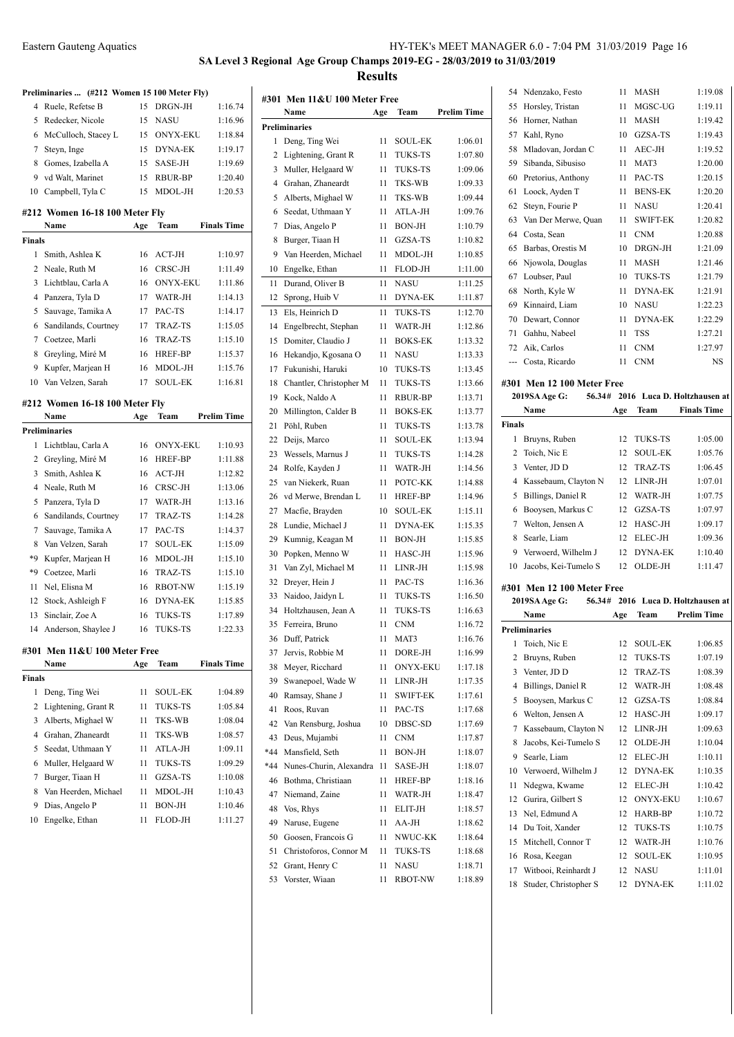# **SA Level 3 Regional Age Group Champs 2019-EG - 28/03/2019 to 31/03/2019 Results**

|               | Preliminaries  (#212 Women 15 100 Meter Fly) |          |                          |                    |
|---------------|----------------------------------------------|----------|--------------------------|--------------------|
| 4             | Ruele, Refetse B                             | 15       | DRGN-JH                  | 1:16.74            |
| 5             | Redecker, Nicole                             | 15       | <b>NASU</b>              | 1:16.96            |
| 6             | McCulloch, Stacey L                          | 15       | <b>ONYX-EKU</b>          | 1:18.84            |
| 7             | Steyn, Inge                                  | 15       | <b>DYNA-EK</b>           | 1:19.17            |
| 8             | Gomes, Izabella A                            | 15       | SASE-JH                  | 1:19.69            |
| 9             | vd Walt, Marinet                             | 15       | <b>RBUR-BP</b>           | 1:20.40            |
| 10            | Campbell, Tyla C                             | 15       | MDOL-JH                  | 1:20.53            |
|               | #212 Women 16-18 100 Meter Fly               |          |                          |                    |
|               | Name                                         | Age      | Team                     | <b>Finals Time</b> |
| <b>Finals</b> |                                              |          |                          |                    |
| 1             | Smith, Ashlea K                              | 16       | $ACT-JH$                 | 1:10.97            |
| 2             | Neale, Ruth M                                | 16       | CRSC-JH                  | 1:11.49            |
| 3             | Lichtblau, Carla A                           | 16       | <b>ONYX-EKU</b>          | 1:11.86            |
| 4             | Panzera, Tyla D                              | 17       | WATR-JH                  | 1:14.13            |
| 5             | Sauvage, Tamika A                            | 17       | PAC-TS                   | 1:14.17            |
| 6             | Sandilands, Courtney                         | 17       | <b>TRAZ-TS</b>           | 1:15.05            |
| 7             | Coetzee, Marli                               | 16       | <b>TRAZ-TS</b>           | 1:15.10            |
| 8             | Greyling, Miré M                             | 16       | HREF-BP                  | 1:15.37            |
| 9             | Kupfer, Marjean H                            | 16       | MDOL-JH                  | 1:15.76            |
| 10            | Van Velzen, Sarah                            | 17       | <b>SOUL-EK</b>           | 1:16.81            |
|               | #212 Women 16-18 100 Meter Fly               |          |                          |                    |
|               | Name                                         | Age      | Team                     | <b>Prelim Time</b> |
|               | <b>Preliminaries</b>                         |          |                          |                    |
| 1             | Lichtblau, Carla A                           | 16       | <b>ONYX-EKU</b>          | 1:10.93            |
| 2             | Greyling, Miré M                             | 16       | <b>HREF-BP</b>           | 1:11.88            |
| 3             | Smith, Ashlea K                              | 16       | ACT-JH                   | 1:12.82            |
| 4             | Neale, Ruth M                                | 16       | CRSC-JH                  | 1:13.06            |
| 5             | Panzera, Tyla D                              | 17       | WATR-JH                  | 1:13.16            |
| 6             | Sandilands, Courtney                         | 17       | <b>TRAZ-TS</b>           | 1:14.28            |
| 7             | Sauvage, Tamika A                            | 17       | PAC-TS                   | 1:14.37            |
| 8             | Van Velzen, Sarah                            | 17       | <b>SOUL-EK</b>           | 1:15.09            |
| *9            | Kupfer, Marjean H                            | 16       | MDOL-JH                  | 1:15.10            |
| *9            | Coetzee, Marli                               | 16       | <b>TRAZ-TS</b>           | 1:15.10            |
| 11            | Nel, Elisna M                                | 16       | <b>RBOT-NW</b>           | 1:15.19            |
| 12            | Stock, Ashleigh F                            | 16       | <b>DYNA-EK</b>           | 1:15.85            |
| 13            | Sinclair, Zoe A                              | 16       | <b>TUKS-TS</b>           | 1:17.89            |
| 14            | Anderson, Shaylee J                          | 16       | <b>TUKS-TS</b>           | 1:22.33            |
|               |                                              |          |                          |                    |
|               | #301 Men 11&U 100 Meter Free<br>Name         |          | Team                     | <b>Finals Time</b> |
| Finals        |                                              | Age      |                          |                    |
| 1             | Deng, Ting Wei                               | 11       | SOUL-EK                  | 1:04.89            |
| 2             | Lightening, Grant R                          | 11       | <b>TUKS-TS</b>           | 1:05.84            |
| 3             | Alberts, Mighael W                           | 11       | TKS-WB                   | 1:08.04            |
|               |                                              |          |                          |                    |
| 4             | Grahan, Zhaneardt<br>Seedat, Uthmaan Y       | 11       | TKS-WB                   | 1:08.57<br>1:09.11 |
| 5             |                                              | 11       | ATLA-JH                  |                    |
| 6             | Muller, Helgaard W                           | 11       | TUKS-TS                  | 1:09.29            |
| 7             | Burger, Tiaan H                              | 11       | GZSA-TS                  | 1:10.08            |
| 8             | Van Heerden, Michael                         | 11       | MDOL-JH                  | 1:10.43            |
| 9<br>10       | Dias, Angelo P<br>Engelke, Ethan             | 11<br>11 | <b>BON-JH</b><br>FLOD-JH | 1:10.46<br>1:11.27 |
|               |                                              |          |                          |                    |

| #301 | Men 11&U 100 Meter Free |     |                 |                    |
|------|-------------------------|-----|-----------------|--------------------|
|      | Name                    | Age | Team            | <b>Prelim Time</b> |
|      | Preliminaries           |     |                 |                    |
| 1    | Deng, Ting Wei          | 11  | <b>SOUL-EK</b>  | 1:06.01            |
| 2    | Lightening, Grant R     | 11  | TUKS-TS         | 1:07.80            |
| 3    | Muller, Helgaard W      | 11  | <b>TUKS-TS</b>  | 1:09.06            |
| 4    | Grahan, Zhaneardt       | 11  | TKS-WB          | 1:09.33            |
| 5    | Alberts, Mighael W      | 11  | TKS-WB          | 1:09.44            |
| 6    |                         |     | ATLA-JH         | 1:09.76            |
|      | Seedat, Uthmaan Y       | 11  | <b>BON-JH</b>   |                    |
| 7    | Dias, Angelo P          | 11  |                 | 1:10.79            |
| 8    | Burger, Tiaan H         | 11  | GZSA-TS         | 1:10.82            |
| 9    | Van Heerden, Michael    | 11  | MDOL-JH         | 1:10.85            |
| 10   | Engelke, Ethan          | 11  | <b>FLOD-JH</b>  | 1:11.00            |
| 11   | Durand, Oliver B        | 11  | <b>NASU</b>     | 1:11.25            |
| 12   | Sprong, Huib V          | 11  | <b>DYNA-EK</b>  | 1:11.87            |
| 13   | Els, Heinrich D         | 11  | <b>TUKS-TS</b>  | 1:12.70            |
| 14   | Engelbrecht, Stephan    | 11  | WATR-JH         | 1:12.86            |
| 15   | Domiter, Claudio J      | 11  | <b>BOKS-EK</b>  | 1:13.32            |
| 16   | Hekandjo, Kgosana O     | 11  | NASU            | 1:13.33            |
| 17   | Fukunishi, Haruki       | 10  | <b>TUKS-TS</b>  | 1:13.45            |
| 18   | Chantler, Christopher M | 11  | TUKS-TS         | 1:13.66            |
| 19   | Kock, Naldo A           | 11  | RBUR-BP         | 1:13.71            |
| 20   | Millington, Calder B    | 11  | <b>BOKS-EK</b>  | 1:13.77            |
| 21   | Pöhl, Ruben             | 11  | <b>TUKS-TS</b>  | 1:13.78            |
| 22   | Deijs, Marco            | 11  | <b>SOUL-EK</b>  | 1:13.94            |
| 23   | Wessels, Marnus J       | 11  | <b>TUKS-TS</b>  | 1:14.28            |
| 24   | Rolfe, Kayden J         | 11  | WATR-JH         | 1:14.56            |
| 25   | van Niekerk, Ruan       | 11  | POTC-KK         | 1:14.88            |
| 26   | vd Merwe, Brendan L     | 11  | <b>HREF-BP</b>  | 1:14.96            |
| 27   | Macfie, Brayden         | 10  | <b>SOUL-EK</b>  | 1:15.11            |
| 28   | Lundie, Michael J       | 11  | <b>DYNA-EK</b>  | 1:15.35            |
| 29   | Kumnig, Keagan M        | 11  | <b>BON-JH</b>   | 1:15.85            |
| 30   | Popken, Menno W         | 11  | HASC-JH         | 1:15.96            |
| 31   | Van Zyl, Michael M      | 11  | LINR-JH         | 1:15.98            |
| 32   | Dreyer, Hein J          | 11  | PAC-TS          | 1:16.36            |
| 33   | Naidoo, Jaidyn L        | 11  | TUKS-TS         | 1:16.50            |
| 34   | Holtzhausen, Jean A     |     | TUKS-TS         | 1:16.63            |
|      | Ferreira, Bruno         | 11  |                 | 1:16.72            |
| 35   |                         | 11  | <b>CNM</b>      |                    |
| 36   | Duff, Patrick           | 11  | MAT3            | 1:16.76            |
| 37   | Jervis, Robbie M        | 11  | DORE-JH         | 1:16.99            |
| 38   | Meyer, Ricchard         | 11  | <b>ONYX-EKU</b> | 1:17.18            |
| 39   | Swanepoel, Wade W       | 11  | LINR-JH         | 1:17.35            |
| 40   | Ramsay, Shane J         | 11  | <b>SWIFT-EK</b> | 1:17.61            |
| 41   | Roos, Ruvan             | 11  | PAC-TS          | 1:17.68            |
| 42   | Van Rensburg, Joshua    | 10  | DBSC-SD         | 1:17.69            |
| 43   | Deus, Mujambi           | 11  | <b>CNM</b>      | 1:17.87            |
| *44  | Mansfield, Seth         | 11  | BON-JH          | 1:18.07            |
| *44  | Nunes-Churin, Alexandra | 11  | SASE-JH         | 1:18.07            |
| 46   | Bothma, Christiaan      | 11  | HREF-BP         | 1:18.16            |
| 47   | Niemand, Zaine          | 11  | WATR-JH         | 1:18.47            |
| 48   | Vos, Rhys               | 11  | ELIT-JH         | 1:18.57            |
| 49   | Naruse, Eugene          | 11  | AA-JH           | 1:18.62            |
| 50   | Goosen, Francois G      | 11  | NWUC-KK         | 1:18.64            |
| 51   | Christoforos, Connor M  | 11  | TUKS-TS         | 1:18.68            |
| 52   | Grant, Henry C          | 11  | NASU            | 1:18.71            |
| 53   | Vorster, Wiaan          | 11  | RBOT-NW         | 1:18.89            |

| 54            |                                               |          |                 |                                    |
|---------------|-----------------------------------------------|----------|-----------------|------------------------------------|
|               | Ndenzako, Festo                               | 11       | MASH            | 1:19.08                            |
| 55            | Horsley, Tristan                              | 11       | MGSC-UG         | 1:19.11                            |
| 56            | Horner, Nathan                                | 11       | <b>MASH</b>     | 1:19.42                            |
| 57            | Kahl, Ryno                                    | 10       | GZSA-TS         | 1:19.43                            |
| 58            | Mladovan, Jordan C                            | 11       | AEC-JH          | 1:19.52                            |
| 59            | Sibanda, Sibusiso                             | 11       | MAT3            | 1:20.00                            |
| 60            | Pretorius, Anthony                            | 11       | PAC-TS          | 1:20.15                            |
| 61            |                                               |          |                 | 1:20.20                            |
|               | Loock, Ayden T                                | 11       | <b>BENS-EK</b>  |                                    |
| 62            | Steyn, Fourie P                               | 11       | <b>NASU</b>     | 1:20.41                            |
| 63            | Van Der Merwe, Quan                           | 11       | <b>SWIFT-EK</b> | 1:20.82                            |
| 64            | Costa, Sean                                   | 11       | <b>CNM</b>      | 1:20.88                            |
| 65            | Barbas, Orestis M                             | 10       | DRGN-JH         | 1:21.09                            |
| 66            | Njowola, Douglas                              | 11       | MASH            | 1:21.46                            |
| 67            | Loubser, Paul                                 | 10       | TUKS-TS         | 1:21.79                            |
| 68            | North, Kyle W                                 | 11       | DYNA-EK         | 1:21.91                            |
| 69            | Kinnaird, Liam                                | 10       | <b>NASU</b>     | 1:22.23                            |
| 70            | Dewart, Connor                                | 11       | <b>DYNA-EK</b>  | 1:22.29                            |
| 71            | Gahhu, Nabeel                                 | 11       | <b>TSS</b>      | 1:27.21                            |
|               | 72 Aik, Carlos                                | 11       | <b>CNM</b>      | 1:27.97                            |
|               | --- Costa, Ricardo                            | 11       | <b>CNM</b>      | NS                                 |
|               |                                               |          |                 |                                    |
|               | #301 Men 12 100 Meter Free                    |          |                 |                                    |
|               | 2019SA Age G:                                 |          |                 | 56.34# 2016 Luca D. Holtzhausen at |
|               | Name                                          | Age      | Team            | <b>Finals Time</b>                 |
| <b>Finals</b> |                                               |          |                 |                                    |
| 1             | Bruyns, Ruben                                 | 12       | <b>TUKS-TS</b>  | 1:05.00                            |
| 2             | Toich, Nic E                                  | 12       | <b>SOUL-EK</b>  | 1:05.76                            |
| 3             | Venter, JD D                                  | 12       | TRAZ-TS         | 1:06.45                            |
|               |                                               |          | LINR-JH         | 1:07.01                            |
| 4             | Kassebaum, Clayton N                          | 12       |                 |                                    |
| 5             | Billings, Daniel R                            | 12       | WATR-JH         | 1:07.75                            |
| 6             | Booysen, Markus C                             | 12       | GZSA-TS         | 1:07.97                            |
| 7             | Welton, Jensen A                              | 12       | HASC-JH         | 1:09.17                            |
| 8             | Searle, Liam                                  | 12       | ELEC-JH         | 1:09.36                            |
| 9             | Verwoerd, Wilhelm J                           | 12       | DYNA-EK         | 1:10.40                            |
| 10            | Jacobs, Kei-Tumelo S                          | 12       | OLDE-JH         | 1:11.47                            |
|               |                                               |          |                 |                                    |
|               | #301 Men 12 100 Meter Free                    |          |                 |                                    |
|               | 2019SA Age G:                                 |          |                 | 56.34# 2016 Luca D. Holtzhausen at |
|               | Name                                          | Age      | Team            | <b>Prelim Time</b>                 |
|               | <b>Preliminaries</b>                          |          |                 |                                    |
| 1             | Toich, Nic E                                  | 12       | <b>SOUL-EK</b>  | 1:06.85                            |
| 2             | Bruyns, Ruben                                 | 12       | TUKS-TS         | 1:07.19                            |
| 3             | Venter, JD D                                  | 12       | TRAZ-TS         | 1:08.39                            |
| 4             | Billings, Daniel R                            | 12       | WATR-JH         | 1:08.48                            |
| 5             | Booysen, Markus C                             | 12       | GZSA-TS         | 1:08.84                            |
| 6             | Welton, Jensen A                              | 12       | HASC-JH         | 1:09.17                            |
| 7             | Kassebaum, Clayton N                          | 12       | LINR-JH         | 1:09.63                            |
| 8             | Jacobs, Kei-Tumelo S                          | 12       | OLDE-JH         | 1:10.04                            |
| 9             | Searle, Liam                                  | 12       | ELEC-JH         | 1:10.11                            |
| 10            | Verwoerd, Wilhelm J                           | 12       | DYNA-EK         | 1:10.35                            |
| 11            |                                               | 12       | ELEC-JH         | 1:10.42                            |
|               | Ndegwa, Kwame                                 |          |                 |                                    |
| 12            | Gurira, Gilbert S                             | 12       | ONYX-EKU        | 1:10.67                            |
| 13            | Nel, Edmund A                                 | 12       | HARB-BP         | 1:10.72                            |
| 14            | Du Toit, Xander                               | 12       | TUKS-TS         | 1:10.75                            |
| 15            | Mitchell, Connor T                            | 12       | WATR-JH         | 1:10.76                            |
| 16            | Rosa, Keegan                                  | 12       | SOUL-EK         | 1:10.95                            |
| 17<br>18      | Witbooi, Reinhardt J<br>Studer, Christopher S | 12<br>12 | NASU<br>DYNA-EK | 1:11.01<br>1:11.02                 |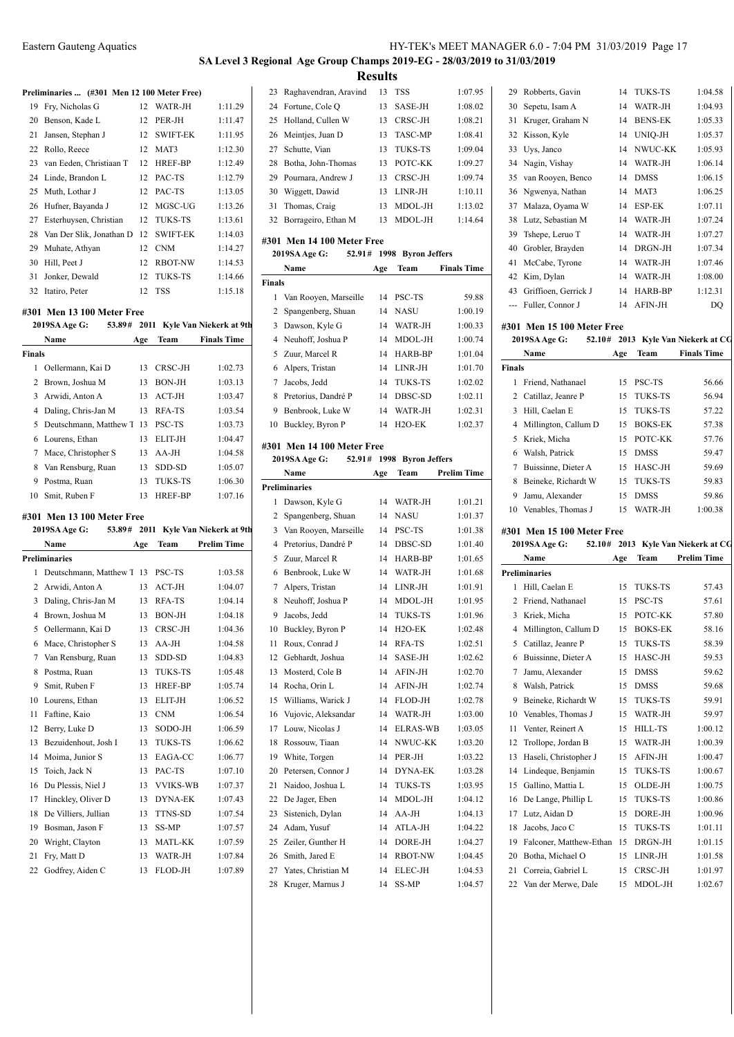# **SA Level 3 Regional Age Group Champs 2019-EG - 28/03/2019 to 31/03/2019**

**Preliminaries ... (#301 Men 12 100 Meter Free)** Fry, Nicholas G 12 WATR-JH 1:11.29 20 Benson, Kade L 12 PER-JH 1:11.47 21 Jansen, Stephan J 12 SWIFT-EK 1:11.95 Rollo, Reece 12 MAT3 1:12.30 van Eeden, Christiaan T 12 HREF-BP 1:12.49 24 Linde, Brandon L 12 PAC-TS 1:12.79 25 Muth, Lothar J 12 PAC-TS 1:13.05 26 Hufner, Bayanda J 12 MGSC-UG 1:13.26 Esterhuysen, Christian 12 TUKS-TS 1:13.61 28 Van Der Slik, Jonathan D 12 SWIFT-EK 1:14.03 29 Muhate, Athyan 12 CNM 1:14.27 30 Hill, Peet J 12 RBOT-NW 1:14.53 Jonker, Dewald 12 TUKS-TS 1:14.66 Itatiro, Peter 12 TSS 1:15.18 **#301 Men 13 100 Meter Free 2019SA Age G: 53.89# 2011 Kyle Van Niekerk at 9th Name Age Team Finals Time Finals** 1 Oellermann, Kai D 13 CRSC-JH 1:02.73 2 Brown, Joshua M 13 BON-JH 1:03.13 Arwidi, Anton A 13 ACT-JH 1:03.47 Daling, Chris-Jan M 13 RFA-TS 1:03.54 Deutschmann, Matthew T 13 PSC-TS 1:03.73 Lourens, Ethan 13 ELIT-JH 1:04.47 7 Mace, Christopher S 13 AA-JH 1:04.58 8 Van Rensburg, Ruan 13 SDD-SD 1:05.07 Postma, Ruan 13 TUKS-TS 1:06.30 10 Smit, Ruben F 13 HREF-BP 1:07.16 **#301 Men 13 100 Meter Free 2019SA Age G: 53.89# 2011 Kyle Van Niekerk at 9th Name Age Team Prelim Time Preliminaries** Deutschmann, Matthew T 13 PSC-TS 1:03.58 Arwidi, Anton A 13 ACT-JH 1:04.07 Daling, Chris-Jan M 13 RFA-TS 1:04.14 Brown, Joshua M 13 BON-JH 1:04.18 5 Oellermann, Kai D 13 CRSC-JH 1:04.36 6 Mace, Christopher S 13 AA-JH 1:04.58 Van Rensburg, Ruan 13 SDD-SD 1:04.83 8 Postma, Ruan 13 TUKS-TS 1:05.48 9 Smit, Ruben F 13 HREF-BP 1:05.74 Lourens, Ethan 13 ELIT-JH 1:06.52 11 Faftine, Kaio 13 CNM 1:06.54 12 Berry, Luke D 13 SODO-JH 1:06.59 13 Bezuidenhout, Josh I 13 TUKS-TS 1:06.62 14 Moima, Junior S 13 EAGA-CC 1:06.77 15 Toich, Jack N 13 PAC-TS 1:07.10 16 Du Plessis, Niel J 13 VVIKS-WB 1:07.37 17 Hinckley, Oliver D 13 DYNA-EK 1:07.43 18 De Villiers, Jullian 13 TTNS-SD 1:07.54 19 Bosman, Jason F 13 SS-MP 1:07.57 Wright, Clayton 13 MATL-KK 1:07.59 21 Fry, Matt D 13 WATR-JH 1:07.84 22 Godfrey, Aiden C 13 FLOD-JH 1:07.89 **Finals P** 

|                |                                      | <b>Results</b> |                                |                    |
|----------------|--------------------------------------|----------------|--------------------------------|--------------------|
| 23             | Raghavendran, Aravind                | 13             | <b>TSS</b>                     | 1:07.95            |
| 24             | Fortune, Cole O                      | 13             | SASE-JH                        | 1:08.02            |
| 25             | Holland, Cullen W                    | 13             | CRSC-JH                        | 1:08.21            |
| 26             | Meintjes, Juan D                     | 13             | TASC-MP                        | 1:08.41            |
| 27             | Schutte, Vian                        | 13             | <b>TUKS-TS</b>                 | 1:09.04            |
| 28             | Botha, John-Thomas                   | 13             | POTC-KK                        | 1:09.27            |
| 29             | Pournara, Andrew J                   | 13             | CRSC-JH                        | 1:09.74            |
| 30             | Wiggett, Dawid                       | 13             | LINR-JH                        | 1:10.11            |
| 31             | Thomas, Craig                        | 13             | MDOL-JH                        | 1:13.02            |
| 32             | Borrageiro, Ethan M                  | 13             | MDOL-JH                        | 1:14.64            |
|                |                                      |                |                                |                    |
|                | #301 Men 14 100 Meter Free<br>52.91# | 1998           |                                |                    |
|                | 2019SA Age G:<br>Name                | Age            | <b>Byron Jeffers</b><br>Team   | <b>Finals Time</b> |
| Finals         |                                      |                |                                |                    |
|                | 1 Van Rooyen, Marseille              | 14             | PSC-TS                         | 59.88              |
| 2              | Spangenberg, Shuan                   | 14             | <b>NASU</b>                    | 1:00.19            |
| 3              | Dawson, Kyle G                       | 14             | WATR-JH                        | 1:00.33            |
| $\overline{4}$ | Neuhoff, Joshua P                    | 14             | MDOL-JH                        | 1:00.74            |
| 5              | Zuur, Marcel R                       | 14             | HARB-BP                        | 1:01.04            |
| 6              |                                      | 14             | LINR-JH                        | 1:01.70            |
|                | Alpers, Tristan<br>Jacobs, Jedd      |                | <b>TUKS-TS</b>                 | 1:02.02            |
| 7              | Pretorius, Dandré P                  | 14<br>14       | DBSC-SD                        | 1:02.11            |
| 8<br>9         |                                      |                |                                | 1:02.31            |
|                | Benbrook, Luke W                     | 14<br>14       | WATR-JH<br>H <sub>2</sub> O-EK | 1:02.37            |
| 10             | Buckley, Byron P                     |                |                                |                    |
|                | #301 Men 14 100 Meter Free           |                |                                |                    |
|                | 52.91#<br>2019SA Age G:              |                | 1998 Byron Jeffers             |                    |
|                | Name                                 | Age            | Team                           | Prelim Time        |
|                | Preliminaries                        |                |                                |                    |
|                |                                      |                |                                |                    |
| 1              | Dawson, Kyle G                       | 14             | WATR-JH                        | 1:01.21            |
| 2              | Spangenberg, Shuan                   | 14             | <b>NASU</b>                    | 1:01.37            |
| 3              | Van Rooyen, Marseille                | 14             | PSC-TS                         | 1:01.38            |
| $\overline{4}$ | Pretorius, Dandré P                  | 14             | DBSC-SD                        | 1:01.40            |
| 5              | Zuur, Marcel R                       | 14             | HARB-BP                        | 1:01.65            |
| 6              | Benbrook, Luke W                     | 14             | WATR-JH                        | 1:01.68            |
| 7              | Alpers, Tristan                      | 14             | LINR-JH                        | 1:01.91            |
| 8              | Neuhoff, Joshua P                    | 14             | MDOL-JH                        | 1:01.95            |
| 9              | Jacobs, Jedd                         | 14             | TUKS-TS                        | 1:01.96            |
| 10             | Buckley, Byron P                     | 14             | H2O-EK                         | 1:02.48            |
| 11             | Roux, Conrad J                       | 14             | RFA-TS                         | 1:02.51            |
| 12             | Gebhardt, Joshua                     | 14             | SASE-JH                        | 1:02.62            |
| 13             | Mosterd, Cole B                      | 14             | AFIN-JH                        | 1:02.70            |
| 14             | Rocha, Orin L                        | 14             | AFIN-JH                        | 1:02.74            |
| 15             | Williams, Warick J                   | 14             | FLOD-JH                        | 1:02.78            |
| 16             | Vujovic, Aleksandar                  | 14             | WATR-JH                        | 1:03.00            |
| 17             | Louw, Nicolas J                      | 14             | <b>ELRAS-WB</b>                | 1:03.05            |
| 18             | Rossouw, Tiaan                       | 14             | NWUC-KK                        | 1:03.20            |
| 19             | White, Torgen                        | 14             | PER-JH                         | 1:03.22            |
| 20             | Petersen, Connor J                   | 14             | DYNA-EK                        | 1:03.28            |
| 21             | Naidoo, Joshua L                     | 14             | TUKS-TS                        | 1:03.95            |
| 22             | De Jager, Eben                       | 14             | MDOL-JH                        | 1:04.12            |
| 23             | Sistenich, Dylan                     | 14             | AA-JH                          | 1:04.13            |
| 24             | Adam, Yusuf                          | 14             | ATLA-JH                        | 1:04.22            |
| 25             | Zeiler, Gunther H                    | 14             | DORE-JH                        | 1:04.27            |
| 26             | Smith, Jared E                       | 14             | RBOT-NW                        | 1:04.45            |
| 27             | Yates, Christian M                   | 14             | <b>ELEC-JH</b>                 | 1:04.53            |
| 28             | Kruger, Marnus J                     | 14             | SS-MP                          | 1:04.57            |

| 29            | Robberts, Gavin            | 14  | <b>TUKS-TS</b> | 1:04.58                            |
|---------------|----------------------------|-----|----------------|------------------------------------|
|               | 30 Sepetu, Isam A          | 14  | WATR-JH        | 1:04.93                            |
| 31            | Kruger, Graham N           | 14  | <b>BENS-EK</b> | 1:05.33                            |
| 32            | Kisson, Kyle               | 14  | UNIQ-JH        | 1:05.37                            |
| 33            | Uys, Janco                 | 14  | NWUC-KK        | 1:05.93                            |
| 34            | Nagin, Vishay              | 14  | WATR-JH        | 1:06.14                            |
| 35            | van Rooyen, Benco          | 14  | <b>DMSS</b>    | 1:06.15                            |
| 36            | Ngwenya, Nathan            | 14  | MAT3           | 1:06.25                            |
| 37            | Malaza, Oyama W            | 14  | ESP-EK         | 1:07.11                            |
| 38            | Lutz, Sebastian M          | 14  | WATR-JH        | 1:07.24                            |
| 39            | Tshepe, Leruo T            | 14  | WATR-JH        | 1:07.27                            |
| 40            | Grobler, Brayden           | 14  | DRGN-JH        | 1:07.34                            |
| 41            | McCabe, Tyrone             | 14  | WATR-JH        | 1:07.46                            |
|               | 42 Kim, Dylan              | 14  | WATR-JH        | 1:08.00                            |
| 43            | Griffioen, Gerrick J       | 14  | HARB-BP        | 1:12.31                            |
| ---           | Fuller, Connor J           | 14  | AFIN-JH        | DQ                                 |
|               |                            |     |                |                                    |
|               | #301 Men 15 100 Meter Free |     |                |                                    |
|               | 2019SA Age G:              |     |                | 52.10# 2013 Kyle Van Niekerk at CG |
|               | Name                       | Age | Team           | <b>Finals Time</b>                 |
| <b>Finals</b> |                            |     |                |                                    |
| 1             | Friend, Nathanael          | 15  | PSC-TS         | 56.66                              |
| 2             | Catillaz, Jeanre P         | 15  | <b>TUKS-TS</b> | 56.94                              |
| 3             | Hill, Caelan E             | 15  | TUKS-TS        | 57.22                              |
|               | 4 Millington, Callum D     | 15  | <b>BOKS-EK</b> | 57.38                              |
| 5             | Kriek, Micha               | 15  | POTC-KK        | 57.76                              |
|               | 6 Walsh, Patrick           | 15  | <b>DMSS</b>    | 59.47                              |
| 7             | Buissinne, Dieter A        | 15  | HASC-JH        | 59.69                              |
|               | Beineke, Richardt W        | 15  | TUKS-TS        | 59.83                              |
| 8             |                            |     |                |                                    |
| 9             | Jamu, Alexander            | 15  | <b>DMSS</b>    | 59.86                              |
|               | 10 Venables, Thomas J      | 15  | WATR-JH        | 1:00.38                            |
|               |                            |     |                |                                    |
|               | #301 Men 15 100 Meter Free |     |                |                                    |
|               | 2019SA Age G:              |     |                | 52.10# 2013 Kyle Van Niekerk at CG |
|               | Name                       | Age | Team           | <b>Prelim Time</b>                 |
|               | <b>Preliminaries</b>       |     |                |                                    |
| 1             | Hill, Caelan E             | 15  | <b>TUKS-TS</b> | 57.43                              |
|               | 2 Friend, Nathanael        | 15  | PSC-TS         | 57.61                              |
| 3             | Kriek, Micha               | 15  | POTC-KK        | 57.80                              |
| 4             | Millington, Callum D       | 15  | <b>BOKS-EK</b> | 58.16                              |
| 5             | Catillaz, Jeanre P         | 15  | TUKS-TS        | 58.39                              |
| 6             | Buissinne, Dieter A        | 15  | HASC-JH        | 59.53                              |
| 7             | Jamu, Alexander            | 15  | <b>DMSS</b>    | 59.62                              |
| 8             | Walsh, Patrick             | 15  | DMSS           | 59.68                              |
| 9             | Beineke, Richardt W        | 15  | TUKS-TS        | 59.91                              |
| 10            | Venables, Thomas J         | 15  | WATR-JH        | 59.97                              |
| 11            | Venter, Reinert A          | 15  | <b>HILL-TS</b> | 1:00.12                            |
| 12            | Trollope, Jordan B         | 15  | WATR-JH        | 1:00.39                            |
| 13            | Haseli, Christopher J      | 15  | AFIN-JH        | 1:00.47                            |
| 14            | Lindeque, Benjamin         | 15  | TUKS-TS        | 1:00.67                            |
| 15            | Gallino, Mattia L          | 15  | OLDE-JH        | 1:00.75                            |
| 16            | De Lange, Phillip L        | 15  | TUKS-TS        | 1:00.86                            |
| 17            | Lutz, Aidan D              | 15  | DORE-JH        | 1:00.96                            |
| 18            | Jacobs, Jaco C             | 15  | TUKS-TS        | 1:01.11                            |
| 19            | Falconer, Matthew-Ethan    | 15  | DRGN-JH        | 1:01.15                            |
| 20            | Botha, Michael O           | 15  | LINR-JH        | 1:01.58                            |
| 21            | Correia, Gabriel L         | 15  | CRSC-JH        | 1:01.97                            |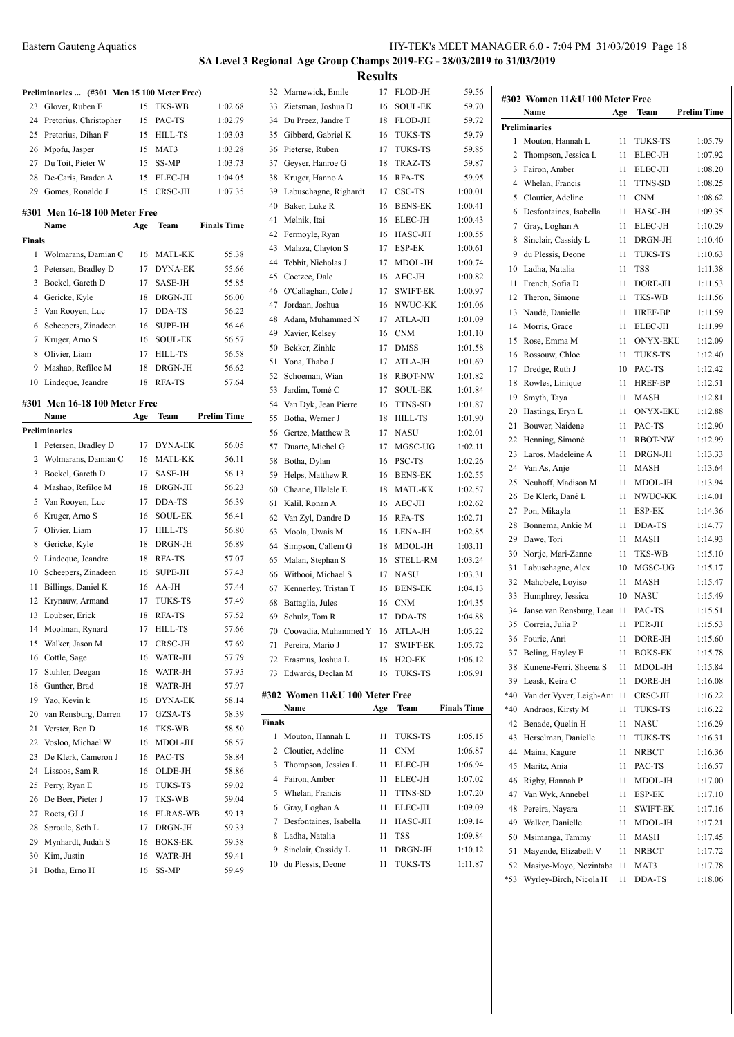| Eastern Gauteng Aquatics | HY-TEK's MEET MANAGER 6.0 - 7:04 PM 31/03/2019 Page 18 |
|--------------------------|--------------------------------------------------------|
|                          |                                                        |

# **SA Level 3 Regional Age Group Champs 2019-EG - 28/03/2019 to 31/03/2019 Results**

|        | Preliminaries  (#301 Men 15 100 Meter Free) |     |                 |                    |
|--------|---------------------------------------------|-----|-----------------|--------------------|
| 23     | Glover, Ruben E                             | 15  | TKS-WB          | 1:02.68            |
| 24     | Pretorius, Christopher                      | 15  | PAC-TS          | 1:02.79            |
| 25     | Pretorius, Dihan F                          | 15  | <b>HILL-TS</b>  | 1:03.03            |
| 26     | Mpofu, Jasper                               | 15  | MAT3            | 1:03.28            |
|        | 27 Du Toit, Pieter W                        | 15  | SS-MP           | 1:03.73            |
| 28     | De-Caris, Braden A                          | 15  | ELEC-JH         | 1:04.05            |
| 29     | Gomes, Ronaldo J                            | 15  | CRSC-JH         | 1:07.35            |
|        | #301 Men 16-18 100 Meter Free               |     |                 |                    |
|        | Name                                        | Age | Team            | <b>Finals Time</b> |
| Finals |                                             |     |                 |                    |
| 1      | Wolmarans, Damian C                         | 16  | MATL-KK         | 55.38              |
| 2      | Petersen, Bradley D                         | 17  | <b>DYNA-EK</b>  | 55.66              |
| 3      | Bockel, Gareth D                            | 17  | SASE-JH         | 55.85              |
| 4      | Gericke, Kyle                               | 18  | DRGN-JH         | 56.00              |
| 5      | Van Rooyen, Luc                             | 17  | DDA-TS          | 56.22              |
| 6      | Scheepers, Zinadeen                         | 16  | <b>SUPE-JH</b>  | 56.46              |
| 7      | Kruger, Arno S                              | 16  | SOUL-EK         | 56.57              |
| 8      | Olivier, Liam                               | 17  | <b>HILL-TS</b>  | 56.58              |
| 9      | Mashao, Refiloe M                           | 18  | DRGN-JH         | 56.62              |
| 10     | Lindeque, Jeandre                           | 18  | RFA-TS          | 57.64              |
|        |                                             |     |                 |                    |
|        | #301 Men 16-18 100 Meter Free               |     |                 |                    |
|        | Name                                        | Age | Team            | Prelim Time        |
|        | <b>Preliminaries</b>                        |     |                 |                    |
| 1      | Petersen, Bradley D                         | 17  | <b>DYNA-EK</b>  | 56.05              |
| 2      | Wolmarans, Damian C                         | 16  | <b>MATL-KK</b>  | 56.11              |
| 3      | Bockel, Gareth D                            | 17  | SASE-JH         | 56.13              |
| 4      | Mashao, Refiloe M                           | 18  | DRGN-JH         | 56.23              |
| 5      | Van Rooyen, Luc                             | 17  | DDA-TS          | 56.39              |
| 6      | Kruger, Arno S                              | 16  | SOUL-EK         | 56.41              |
| 7      | Olivier, Liam                               | 17  | <b>HILL-TS</b>  | 56.80              |
| 8      | Gericke, Kyle                               | 18  | DRGN-JH         | 56.89              |
| 9      | Lindeque, Jeandre                           | 18  | RFA-TS          | 57.07              |
| 10     | Scheepers, Zinadeen                         | 16  | <b>SUPE-JH</b>  | 57.43              |
| 11     | Billings, Daniel K                          | 16  | AA-JH           | 57.44              |
| 12     | Krynauw, Armand                             | 17  | <b>TUKS-TS</b>  | 57.49              |
| 13     | Loubser, Erick                              | 18  | RFA-TS          | 57.52              |
|        | 14 Moolman, Rynard                          | 17  | <b>HILL-TS</b>  | 57.66              |
| 15     | Walker, Jason M                             | 17  | CRSC-JH         | 57.69              |
| 16     | Cottle, Sage                                | 16  | WATR-JH         | 57.79              |
| 17     | Stuhler, Deegan                             | 16  | WATR-JH         | 57.95              |
| 18     | Gunther, Brad                               | 18  | WATR-JH         | 57.97              |
| 19     | Yao, Kevin k                                | 16  | DYNA-EK         | 58.14              |
| 20     | van Rensburg, Darren                        | 17  | GZSA-TS         | 58.39              |
| 21     | Verster, Ben D                              | 16  | TKS-WB          | 58.50              |
| 22     | Vosloo, Michael W                           | 16  | MDOL-JH         | 58.57              |
| 23     | De Klerk, Cameron J                         | 16  | PAC-TS          | 58.84              |
| 24     | Lissoos, Sam R                              | 16  | OLDE-JH         | 58.86              |
| 25     | Perry, Ryan E                               | 16  | TUKS-TS         | 59.02              |
| 26     | De Beer, Pieter J                           | 17  | TKS-WB          | 59.04              |
| 27     | Roets, GJ J                                 | 16  | <b>ELRAS-WB</b> | 59.13              |
| 28     | Sproule, Seth L                             | 17  | DRGN-JH         | 59.33              |
| 29     | Mynhardt, Judah S                           | 16  | <b>BOKS-EK</b>  | 59.38              |
| 30     | Kim, Justin                                 | 16  | WATR-JH         | 59.41              |
| 31     | Botha, Erno H                               | 16  | SS-MP           | 59.49              |

| 32           | Marnewick, Emile                         | 17       | FLOD-JH             | 59.56              |     |                                        |     |            |
|--------------|------------------------------------------|----------|---------------------|--------------------|-----|----------------------------------------|-----|------------|
| 33           | Zietsman, Joshua D                       | 16       | <b>SOUL-EK</b>      | 59.70              |     | #302 Women 11&U 100 Meter Free<br>Name |     |            |
| 34           | Du Preez, Jandre T                       | 18       | FLOD-JH             | 59.72              |     |                                        | Age | Tear       |
| 35           | Gibberd, Gabriel K                       | 16       | TUKS-TS             | 59.79              |     | <b>Preliminaries</b>                   |     |            |
| 36           | Pieterse, Ruben                          | 17       | TUKS-TS             | 59.85              | 1   | Mouton, Hannah L                       | 11  | TUK        |
| 37           | Geyser, Hanroe G                         | 18       | TRAZ-TS             | 59.87              | 2   | Thompson, Jessica L                    | 11  | <b>ELE</b> |
| 38           | Kruger, Hanno A                          | 16       | <b>RFA-TS</b>       | 59.95              | 3   | Fairon, Amber                          | 11  | <b>ELE</b> |
| 39           | Labuschagne, Righardt                    | 17       | CSC-TS              | 1:00.01            | 4   | Whelan, Francis                        | 11  | TTN:       |
| 40           | Baker, Luke R                            | 16       | <b>BENS-EK</b>      | 1:00.41            | 5   | Cloutier, Adeline                      | 11  | <b>CNM</b> |
| 41           | Melnik, Itai                             | 16       | ELEC-JH             | 1:00.43            | 6   | Desfontaines, Isabella                 | 11  | <b>HAS</b> |
| 42           | Fermoyle, Ryan                           | 16       | HASC-JH             | 1:00.55            | 7   | Gray, Loghan A                         | 11  | <b>ELE</b> |
| 43           | Malaza, Clayton S                        | 17       | ESP-EK              | 1:00.61            | 8   | Sinclair, Cassidy L                    | 11  | DRG        |
| 44           | Tebbit, Nicholas J                       | 17       | MDOL-JH             | 1:00.74            | 9   | du Plessis, Deone                      | 11  | <b>TUK</b> |
| 45           | Coetzee, Dale                            | 16       | AEC-JH              | 1:00.82            | 10  | Ladha, Natalia                         | 11  | TSS        |
| 46           | O'Callaghan, Cole J                      | 17       | SWIFT-EK            | 1:00.97            | 11  | French, Sofia D                        | 11  | DOR        |
| 47           | Jordaan, Joshua                          | 16       | NWUC-KK             | 1:01.06            | 12  | Theron, Simone                         | 11  | TKS-       |
| 48           | Adam, Muhammed N                         | 17       | ATLA-JH             | 1:01.09            | 13  | Naudé, Danielle                        | 11  | HRE        |
| 49           | Xavier, Kelsey                           | 16       | <b>CNM</b>          | 1:01.10            | 14  | Morris, Grace                          | 11  | <b>ELE</b> |
| 50           | Bekker, Zinhle                           | 17       | <b>DMSS</b>         | 1:01.58            | 15  | Rose, Emma M                           | 11  | <b>ONY</b> |
| 51           | Yona, Thabo J                            | 17       | ATLA-JH             | 1:01.69            | 16  | Rossouw, Chloe                         | 11  | <b>TUK</b> |
| 52           | Schoeman, Wian                           | 18       | <b>RBOT-NW</b>      | 1:01.82            | 17  | Dredge, Ruth J                         | 10  | PAC-       |
| 53           | Jardim, Tomé C                           | 17       |                     |                    | 18  | Rowles, Linique                        | 11  | HRE        |
|              |                                          |          | SOUL-EK             | 1:01.84            | 19  | Smyth, Taya                            | 11  | MAS        |
| 54           | Van Dyk, Jean Pierre                     | 16       | TTNS-SD             | 1:01.87            | 20  | Hastings, Eryn L                       | 11  | <b>ONY</b> |
| 55           | Botha, Werner J                          | 18       | HILL-TS             | 1:01.90            | 21  | Bouwer, Naidene                        | 11  | PAC-       |
| 56           | Gertze, Matthew R                        | 17       | <b>NASU</b>         | 1:02.01            | 22  | Henning, Simoné                        | 11  | <b>RBO</b> |
| 57           | Duarte, Michel G                         | 17       | MGSC-UG             | 1:02.11            | 23  | Laros, Madeleine A                     | 11  | <b>DRG</b> |
| 58           | Botha, Dylan                             | 16       | PSC-TS              | 1:02.26            | 24  | Van As, Anje                           | 11  | MAS        |
| 59           | Helps, Matthew R                         | 16       | <b>BENS-EK</b>      | 1:02.55            | 25  | Neuhoff, Madison M                     | 11  | <b>MDC</b> |
| 60           | Chaane, Hlalele E                        | 18       | <b>MATL-KK</b>      | 1:02.57            | 26  | De Klerk, Dané L                       | 11  | NWL        |
| 61           | Kalil, Ronan A                           | 16       | AEC-JH              | 1:02.62            | 27  | Pon, Mikayla                           | 11  | ESP-       |
| 62           | Van Zyl, Dandre D                        | 16       | <b>RFA-TS</b>       | 1:02.71            | 28  | Bonnema, Ankie M                       | 11  | <b>DDA</b> |
| 63           | Moola, Uwais M                           | 16       | LENA-JH             | 1:02.85            | 29  | Dawe, Tori                             | 11  | MAS        |
| 64           | Simpson, Callem G                        | 18       | MDOL-JH             | 1:03.11            | 30  | Nortje, Mari-Zanne                     | 11  | TKS-       |
| 65           | Malan, Stephan S                         | 16       | <b>STELL-RM</b>     | 1:03.24            | 31  | Labuschagne, Alex                      | 10  | MGS        |
| 66           | Witbooi, Michael S                       | 17       | <b>NASU</b>         | 1:03.31            | 32  | Mahobele, Loyiso                       | 11  | MAS        |
| 67           | Kennerley, Tristan T                     | 16       | <b>BENS-EK</b>      | 1:04.13            | 33  | Humphrey, Jessica                      | 10  | <b>NAS</b> |
| 68           | Battaglia, Jules                         | 16       | <b>CNM</b>          | 1:04.35            | 34  | Janse van Rensburg, Lear 11            |     | PAC-       |
| 69           | Schulz, Tom R                            | 17       | DDA-TS              | 1:04.88            | 35  | Correia, Julia P                       | 11  | PER-       |
| 70           | Coovadia, Muhammed Y                     | 16       | ATLA-JH             | 1:05.22            |     | 36 Fourie, Anri                        | 11  | <b>DOR</b> |
|              | 71 Pereira, Mario J                      | 17       | <b>SWIFT-EK</b>     | 1:05.72            | 37  | Beling, Hayley E                       | 11  | BOK        |
| 72           | Erasmus, Joshua L                        | 16       | H <sub>2</sub> O-EK | 1:06.12            | 38  | Kunene-Ferri, Sheena S                 | 11  | MDC        |
| 73           | Edwards, Declan M                        | 16       | TUKS-TS             | 1:06.91            |     | 39 Leask, Keira C                      | 11  | <b>DOR</b> |
|              | #302 Women 11&U 100 Meter Free           |          |                     |                    | *40 | Van der Vyver, Leigh-Anı 11            |     | <b>CRS</b> |
|              | Name                                     | Age      | Team                | <b>Finals Time</b> | *40 | Andraos, Kirsty M                      | 11  | TUK        |
| Finals       |                                          |          |                     |                    |     |                                        |     |            |
| $\mathbf{1}$ | Mouton, Hannah L                         | 11       | TUKS-TS             | 1:05.15            | 42  | Benade, Quelin H                       | 11  | <b>NAS</b> |
|              |                                          |          |                     |                    | 43  | Herselman, Danielle                    | 11  | TUK        |
| 2            | Cloutier, Adeline<br>Thompson, Jessica L | 11<br>11 | CNM                 | 1:06.87            | 44  | Maina, Kagure                          | 11  | NRB        |
| 3            | Fairon, Amber                            |          | ELEC-JH             | 1:06.94            | 45  | Maritz, Ania                           | 11  | PAC-       |
| 4            |                                          | 11       | ELEC-JH             | 1:07.02            | 46  | Rigby, Hannah P                        | 11  | <b>MDC</b> |
| 5            | Whelan, Francis                          | 11       | TTNS-SD             | 1:07.20            | 47  | Van Wyk, Annebel                       | 11  | ESP-       |
| 6            | Gray, Loghan A                           | 11       | ELEC-JH             | 1:09.09            | 48  | Pereira, Nayara                        | 11  | SWII       |
| 7            | Desfontaines, Isabella                   | 11       | HASC-JH             | 1:09.14            | 49  | Walker, Danielle                       | 11  | <b>MDC</b> |
| 8            | Ladha, Natalia                           | 11       | TSS                 | 1:09.84            | 50  | Msimanga, Tammy                        | 11  | MAS        |
| 9            | Sinclair, Cassidy L                      | 11       | DRGN-JH             | 1:10.12            | 51  | Mayende, Elizabeth V                   | 11  | NRB        |
|              | 10 du Plessis, Deone                     | 11       | TUKS-TS             | 1:11.87            |     | 52 Masiye-Movo, Nozintaba 11 MAT       |     |            |

|       | Name                     | Age | Team                     | Prelim Time |
|-------|--------------------------|-----|--------------------------|-------------|
|       | Preliminaries            |     |                          |             |
| 1     | Mouton, Hannah L         | 11  | <b>TUKS-TS</b>           | 1:05.79     |
| 2     | Thompson, Jessica L      | 11  | ELEC-JH                  | 1:07.92     |
| 3     | Fairon, Amber            | 11  | ELEC-JH                  | 1:08.20     |
| 4     | Whelan, Francis          | 11  | TTNS-SD                  | 1:08.25     |
| 5     | Cloutier, Adeline        | 11  | <b>CNM</b>               | 1:08.62     |
| 6     | Desfontaines, Isabella   | 11  | HASC-JH                  | 1:09.35     |
| 7     | Gray, Loghan A           | 11  | ELEC-JH                  | 1:10.29     |
| 8     | Sinclair, Cassidy L      | 11  | DRGN-JH                  | 1:10.40     |
| 9     | du Plessis, Deone        | 11  | <b>TUKS-TS</b>           | 1:10.63     |
| 10    | Ladha, Natalia           | 11  | <b>TSS</b>               | 1:11.38     |
| 11    | French, Sofia D          | 11  | DORE-JH                  | 1:11.53     |
| 12    | Theron, Simone           | 11  | TKS-WB                   | 1:11.56     |
| 13    | Naudé, Danielle          | 11  | <b>HREF-BP</b>           | 1:11.59     |
| 14    | Morris, Grace            | 11  | ELEC-JH                  | 1:11.99     |
| 15    | Rose, Emma M             | 11  | <b>ONYX-EKU</b>          | 1:12.09     |
| 16    | Rossouw, Chloe           | 11  | <b>TUKS-TS</b>           | 1:12.40     |
| 17    | Dredge, Ruth J           | 10  | PAC-TS                   | 1:12.42     |
| 18    | Rowles, Linique          | 11  | <b>HREF-BP</b>           | 1:12.51     |
| 19    | Smyth, Taya              | 11  | <b>MASH</b>              | 1:12.81     |
| 20    |                          |     | <b>ONYX-EKU</b>          |             |
| 21    | Hastings, Eryn L         | 11  |                          | 1:12.88     |
|       | Bouwer, Naidene          | 11  | PAC-TS<br><b>RBOT-NW</b> | 1:12.90     |
| 22    | Henning, Simoné          | 11  |                          | 1:12.99     |
| 23    | Laros, Madeleine A       | 11  | DRGN-JH                  | 1:13.33     |
| 24    | Van As, Anje             | 11  | <b>MASH</b>              | 1:13.64     |
| 25    | Neuhoff, Madison M       | 11  | MDOL-JH                  | 1:13.94     |
| 26    | De Klerk, Dané L         | 11  | NWUC-KK                  | 1:14.01     |
| 27    | Pon, Mikayla             | 11  | ESP-EK                   | 1:14.36     |
| 28    | Bonnema, Ankie M         | 11  | DDA-TS                   | 1:14.77     |
| 29    | Dawe, Tori               | 11  | <b>MASH</b>              | 1:14.93     |
| 30    | Nortje, Mari-Zanne       | 11  | <b>TKS-WB</b>            | 1:15.10     |
| 31    | Labuschagne, Alex        | 10  | MGSC-UG                  | 1:15.17     |
| 32    | Mahobele, Loyiso         | 11  | <b>MASH</b>              | 1:15.47     |
| 33    | Humphrey, Jessica        | 10  | <b>NASU</b>              | 1:15.49     |
| 34    | Janse van Rensburg, Lear | 11  | PAC-TS                   | 1:15.51     |
| 35    | Correia, Julia P         | 11  | PER-JH                   | 1:15.53     |
| 36    | Fourie, Anri             | 11  | DORE-JH                  | 1:15.60     |
| 37    | Beling, Hayley E         | 11  | <b>BOKS-EK</b>           | 1:15.78     |
| 38    | Kunene-Ferri, Sheena S   | 11  | MDOL-JH                  | 1:15.84     |
| 39    | Leask, Keira C           | 11  | DORE-JH                  | 1:16.08     |
| $*40$ | Van der Vyver, Leigh-Anr | 11  | CRSC-JH                  | 1:16.22     |
| $*40$ | Andraos, Kirsty M        | 11  | <b>TUKS-TS</b>           | 1:16.22     |
| 42    | Benade, Quelin H         | 11  | <b>NASU</b>              | 1:16.29     |
| 43    | Herselman, Danielle      | 11  | <b>TUKS-TS</b>           | 1:16.31     |
| 44    | Maina, Kagure            | 11  | <b>NRBCT</b>             | 1:16.36     |
| 45    | Maritz, Ania             | 11  | PAC-TS                   | 1:16.57     |
| 46    | Rigby, Hannah P          | 11  | MDOL-JH                  | 1:17.00     |
| 47    | Van Wyk, Annebel         | 11  | ESP-EK                   | 1:17.10     |
| 48    | Pereira, Nayara          | 11  | <b>SWIFT-EK</b>          | 1:17.16     |
| 49    | Walker, Danielle         | 11  | MDOL-JH                  | 1:17.21     |
| 50    | Msimanga, Tammy          | 11  | MASH                     | 1:17.45     |
| 51    | Mayende, Elizabeth V     | 11  | <b>NRBCT</b>             | 1:17.72     |
| 52    | Masiye-Moyo, Nozintaba   | 11  | MAT3                     | 1:17.78     |
| $*53$ | Wyrley-Birch, Nicola H   | 11  | DDA-TS                   | 1:18.06     |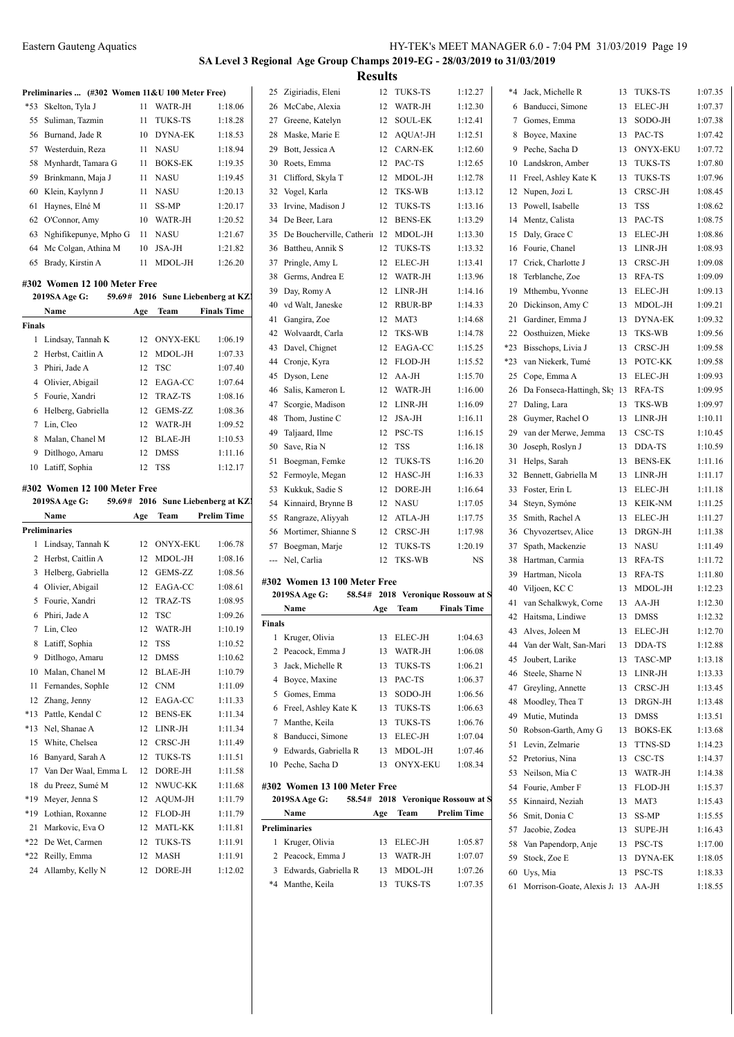$1:07.35$  $1:07.37$  $1:07.38$  $1:07.42$  $1:07.72$  $1:07.80$  $1:07.96$  $1:08.45$  $1:08.62$  $1:08.75$  $1:08.86$  $1:08.93$  $1:09.08$  $1:09.09$  $1:09.13$  $1:09.21$  $1:09.32$  $1:09.56$  $1:09.58$  $1:09.58$  $1:09.93$ 1:09.95  $1:09.97$  $1:10.11$  $1:10.45$  $1:10.59$  $1:11.16$  $1:11.17$  $1:11.18$  $1:11.25$  $1:11.27$ 1:11.38  $1:11.49$  $1:11.72$  $1:11.80$  $1:12.23$  $1:12.30$  $1:12.32$  $1:12.70$  $1:12.88$  $1:13.18$  $1:13.33$  $1:13.45$  $1:13.48$  $1:13.51$  $1:13.68$  $1:14.23$  $1:14.37$  $1:14.38$  $1:15.37$  $1:15.43$  $1:15.55$  $1:16.43$  $1:17.00$  $1:18.05$  $1:18.33$  $1:18.55$ 

#### **SA Level 3 Regional Age Group Champs 2019-EG - 28/03/2019 to 31/03/2019 Results**

|                                                 |     |                                    |                    |               | Results                                    |     |                          |                                    |       |                                                      |    |                 |
|-------------------------------------------------|-----|------------------------------------|--------------------|---------------|--------------------------------------------|-----|--------------------------|------------------------------------|-------|------------------------------------------------------|----|-----------------|
| Preliminaries  (#302 Women 11&U 100 Meter Free) |     |                                    |                    |               | 25 Zigiriadis, Eleni                       |     | 12 TUKS-TS               | 1:12.27                            |       | *4 Jack, Michelle R                                  |    | 13 TUKS-TS      |
| *53 Skelton, Tyla J                             |     | 11 WATR-JH                         | 1:18.06            |               | 26 McCabe, Alexia                          |     | 12 WATR-JH               | 1:12.30                            |       | 6 Banducci, Simone                                   |    | 13 ELEC-JH      |
| Suliman, Tazmin<br>55                           |     | 11 TUKS-TS                         | 1:18.28            |               | 27 Greene, Katelyn                         |     | 12 SOUL-EK               | 1:12.41                            |       | 7 Gomes, Emma                                        | 13 | SODO-JH         |
| Burnand, Jade R<br>56                           |     | 10 DYNA-EK                         | 1:18.53            |               | 28 Maske, Marie E                          |     | 12 AQUA!-JH              | 1:12.51                            |       | 8 Boyce, Maxine                                      |    | 13 PAC-TS       |
| Westerduin, Reza<br>57                          |     | 11 NASU                            | 1:18.94            |               | 29 Bott, Jessica A                         |     | 12 CARN-EK               | 1:12.60                            |       | 9 Peche, Sacha D                                     | 13 | <b>ONYX-EKU</b> |
| Mynhardt, Tamara G<br>58                        |     | 11 BOKS-EK                         | 1:19.35            |               | 30 Roets, Emma                             |     | 12 PAC-TS                | 1:12.65                            |       | 10 Landskron, Amber                                  | 13 | <b>TUKS-TS</b>  |
| 59<br>Brinkmann, Maja J                         |     | 11 NASU                            | 1:19.45            |               | 31 Clifford, Skyla T                       |     | 12 MDOL-JH               | 1:12.78                            |       | 11 Freel, Ashley Kate K                              | 13 | <b>TUKS-TS</b>  |
| Klein, Kaylynn J<br>60                          |     | 11 NASU                            | 1:20.13            |               | 32 Vogel, Karla                            |     | 12 TKS-WB                | 1:13.12                            |       | 12 Nupen, Jozi L                                     | 13 | CRSC-JH         |
| Haynes, Elné M<br>61                            |     | 11 SS-MP                           | 1:20.17            |               | 33 Irvine, Madison J                       |     | 12 TUKS-TS               | 1:13.16                            |       | 13 Powell, Isabelle                                  | 13 | <b>TSS</b>      |
| O'Connor, Amy<br>62                             |     | 10 WATR-JH                         | 1:20.52            |               | 34 De Beer, Lara                           |     | 12 BENS-EK               | 1:13.29                            |       | 14 Mentz, Calista                                    |    | 13 PAC-TS       |
| Nghifikepunye, Mpho G<br>63                     |     | 11 NASU                            | 1:21.67            |               | 35 De Boucherville, Catherin 12 MDOL-JH    |     |                          | 1:13.30                            |       | 15 Daly, Grace C                                     |    | 13 ELEC-JH      |
| 64 Mc Colgan, Athina M                          |     | 10 JSA-JH                          | 1:21.82            |               | 36 Battheu, Annik S                        |     | 12 TUKS-TS               | 1:13.32                            |       | 16 Fourie, Chanel                                    |    | 13 LINR-JH      |
| 65 Brady, Kirstin A                             |     | 11 MDOL-JH                         | 1:26.20            |               | 37 Pringle, Amy L                          |     | 12 ELEC-JH               | 1:13.41                            |       | 17 Crick, Charlotte J                                |    | 13 CRSC-JH      |
|                                                 |     |                                    |                    |               | 38 Germs, Andrea E                         |     | 12 WATR-JH               | 1:13.96                            |       | 18 Terblanche, Zoe                                   |    | 13 RFA-TS       |
| #302 Women 12 100 Meter Free<br>2019SA Age G:   |     | 59.69# 2016 Sune Liebenberg at KZI |                    |               | 39 Day, Romy A                             |     | 12 LINR-JH               | 1:14.16                            | 19    | Mthembu, Yvonne                                      |    | 13 ELEC-JH      |
| Name                                            |     | Team                               | <b>Finals Time</b> |               | 40 vd Walt, Janeske                        |     | 12 RBUR-BP               | 1:14.33                            | 20    | Dickinson, Amy C                                     |    | 13 MDOL-JH      |
|                                                 | Age |                                    |                    |               | 41 Gangira, Zoe                            |     | 12 MAT3                  | 1:14.68                            |       | 21 Gardiner, Emma J                                  |    | 13 DYNA-EK      |
| <b>Finals</b>                                   |     |                                    |                    |               | 42 Wolvaardt, Carla                        |     | 12 TKS-WB                | 1:14.78                            |       | 22 Oosthuizen, Mieke                                 | 13 | TKS-WB          |
| 1 Lindsay, Tannah K                             |     | 12 ONYX-EKU                        | 1:06.19            |               | 43 Davel, Chignet                          |     | 12 EAGA-CC               | 1:15.25                            | $*23$ | Bisschops, Livia J                                   | 13 | CRSC-JH         |
| 2 Herbst, Caitlin A                             |     | 12 MDOL-JH                         | 1:07.33            |               | 44 Cronje, Kyra                            |     | 12 FLOD-JH               | 1:15.52                            | *23   | van Niekerk, Tumé                                    | 13 | POTC-KK         |
| 3 Phiri, Jade A                                 |     | 12 TSC                             | 1:07.40            |               | 45 Dyson, Lene                             |     | 12 AA-JH                 | 1:15.70                            |       | 25 Cope, Emma A                                      | 13 | ELEC-JH         |
| 4 Olivier, Abigail                              |     | 12 EAGA-CC                         | 1:07.64            |               | 46 Salis, Kameron L                        |     | 12 WATR-JH               | 1:16.00                            |       | 26 Da Fonseca-Hattingh, Sk 13 RFA-TS                 |    |                 |
| 5 Fourie, Xandri                                |     | 12 TRAZ-TS                         | 1:08.16            |               | 47 Scorgie, Madison                        |     | 12 LINR-JH               | 1:16.09                            |       | 27 Daling, Lara                                      |    | 13 TKS-WB       |
| 6 Helberg, Gabriella                            |     | 12 GEMS-ZZ                         | 1:08.36            |               | 48 Thom, Justine C                         |     | 12 JSA-JH                | 1:16.11                            |       | 28 Guymer, Rachel O                                  |    | 13 LINR-JH      |
| 7 Lin, Cleo                                     |     | 12 WATR-JH                         | 1:09.52            | 49            | Taljaard, Ilme                             |     | 12 PSC-TS                | 1:16.15                            | 29    | van der Merwe, Jemma                                 |    | 13 CSC-TS       |
| 8 Malan, Chanel M                               |     | 12 BLAE-JH                         | 1:10.53            |               | 50 Save, Ria N                             |     | 12 TSS                   | 1:16.18                            |       | 30 Joseph, Roslyn J                                  |    | 13 DDA-TS       |
| 9 Ditlhogo, Amaru                               | 12  | <b>DMSS</b>                        | 1:11.16            |               | 51 Boegman, Femke                          |     | 12 TUKS-TS               | 1:16.20                            |       | 31 Helps, Sarah                                      | 13 | <b>BENS-EK</b>  |
| 10 Latiff, Sophia                               |     | 12 TSS                             | 1:12.17            |               | 52 Fermoyle, Megan                         |     | 12 HASC-JH               | 1:16.33                            |       | 32 Bennett, Gabriella M                              |    | 13 LINR-JH      |
| #302 Women 12 100 Meter Free                    |     |                                    |                    |               | 53 Kukkuk, Sadie S                         |     | 12 DORE-JH               | 1:16.64                            |       | 33 Foster, Erin L                                    |    | 13 ELEC-JH      |
| 2019SA Age G:                                   |     | 59.69# 2016 Sune Liebenberg at KZI |                    |               | 54 Kinnaird, Brynne B                      |     | 12 NASU                  | 1:17.05                            |       | 34 Steyn, Symóne                                     |    | 13 KEIK-NM      |
| Name                                            | Age | Team                               | <b>Prelim Time</b> |               | 55 Rangraze, Aliyyah                       |     | 12 ATLA-JH               | 1:17.75                            | 35    | Smith, Rachel A                                      | 13 | ELEC-JH         |
| Preliminaries                                   |     |                                    |                    |               | 56 Mortimer, Shianne S                     |     | 12 CRSC-JH               | 1:17.98                            | 36    | Chyvozertsev, Alice                                  | 13 | DRGN-JH         |
| 1 Lindsay, Tannah K                             |     | 12 ONYX-EKU                        | 1:06.78            |               | 57 Boegman, Marje                          |     | 12 TUKS-TS               | 1:20.19                            | 37    | Spath, Mackenzie                                     | 13 | NASU            |
| 2 Herbst, Caitlin A                             |     | 12 MDOL-JH                         | 1:08.16            |               | --- Nel, Carlia                            |     | 12 TKS-WB                | NS                                 | 38    | Hartman, Carmia                                      |    | 13 RFA-TS       |
| 3 Helberg, Gabriella                            |     | 12 GEMS-ZZ                         | 1:08.56            |               |                                            |     |                          |                                    | 39    | Hartman, Nicola                                      |    | 13 RFA-TS       |
| 4 Olivier, Abigail                              |     | 12 EAGA-CC                         | 1:08.61            |               | #302 Women 13 100 Meter Free               |     |                          |                                    | 40    | Viljoen, KC C                                        |    | 13 MDOL-JH      |
| 5 Fourie, Xandri                                | 12  | TRAZ-TS                            | 1:08.95            |               | 2019SA Age G:                              |     |                          | 58.54# 2018 Veronique Rossouw at S |       | 41 van Schalkwyk, Corne                              |    | 13 AA-JH        |
| 6 Phiri, Jade A                                 |     | 12 TSC                             | 1:09.26            |               | Name                                       | Age | Team                     | <b>Finals Time</b>                 |       | 42 Haitsma, Lindiwe                                  |    | 13 DMSS         |
| 7 Lin, Cleo                                     | 12  | WATR-JH                            | 1:10.19            | <b>Finals</b> |                                            |     |                          |                                    | 43    | Alves, Joleen M                                      | 13 | ELEC-JH         |
| 8 Latiff, Sophia                                | 12  | TSS                                | 1:10.52            |               | 1 Kruger, Olivia                           |     | 13 ELEC-JH               | 1:04.63                            |       | 44 Van der Walt, San-Mari                            |    | 13 DDA-TS       |
| 9 Ditlhogo, Amaru                               | 12  | DMSS                               | 1:10.62            |               | 2 Peacock, Emma J                          |     | 13 WATR-JH               | 1:06.08                            |       | 45 Joubert, Larike                                   | 13 | TASC-MP         |
| 10 Malan, Chanel M                              |     | 12 BLAE-JH                         | 1:10.79            |               | 3 Jack, Michelle R                         |     | 13 TUKS-TS               | 1:06.21                            | 46    | Steele, Sharne N                                     |    | 13 LINR-JH      |
| 11 Fernandes, SophIe                            |     | 12 CNM                             | 1:11.09            |               | 4 Boyce, Maxine                            |     | 13 PAC-TS                | 1:06.37                            | 47    | Greyling, Annette                                    | 13 | CRSC-JH         |
| 12 Zhang, Jenny                                 |     | 12 EAGA-CC                         | 1:11.33            |               | 5 Gomes, Emma                              | 13  | SODO-JH                  | 1:06.56                            | 48    | Moodley, Thea T                                      | 13 | DRGN-JH         |
| *13 Pattle, Kendal C                            |     | 12 BENS-EK                         | 1:11.34            |               | 6 Freel, Ashley Kate K                     |     | 13 TUKS-TS               | 1:06.63                            | 49    | Mutie, Mutinda                                       | 13 | DMSS            |
| *13 Nel, Shanae A                               |     | 12 LINR-JH                         | 1:11.34            |               | 7 Manthe, Keila                            |     | 13 TUKS-TS               | 1:06.76                            | 50    | Robson-Garth, Amy G                                  |    | 13 BOKS-EK      |
| White, Chelsea<br>15                            |     |                                    |                    |               | 8 Banducci, Simone                         |     | 13 ELEC-JH               | 1:07.04                            |       | 51 Levin, Zelmarie                                   |    | 13 TTNS-SD      |
| Banyard, Sarah A<br>16                          |     |                                    |                    |               |                                            |     | 13 MDOL-JH               | 1:07.46                            |       |                                                      |    | 13 CSC-TS       |
|                                                 |     | 12 CRSC-JH                         | 1:11.49            |               | 9 Edwards, Gabriella R                     |     |                          |                                    |       |                                                      |    |                 |
|                                                 |     | 12 TUKS-TS                         | 1:11.51            |               | 10 Peche, Sacha D                          |     | 13 ONYX-EKU              | 1:08.34                            |       | 52 Pretorius, Nina                                   |    |                 |
| Van Der Waal, Emma L<br>17                      |     | 12 DORE-JH                         | 1:11.58            |               |                                            |     |                          |                                    |       | 53 Neilson, Mia C                                    |    | 13 WATR-JH      |
| du Preez, Sumé M<br>18                          |     | 12 NWUC-KK                         | 1:11.68            |               | #302 Women 13 100 Meter Free               |     |                          |                                    |       | 54 Fourie, Amber F                                   |    | 13 FLOD-JH      |
| Meyer, Jenna S<br>*19                           |     | 12 AQUM-JH                         | 1:11.79            |               | 2019SA Age G:                              |     |                          | 58.54# 2018 Veronique Rossouw at S |       | 55 Kinnaird, Neziah                                  |    | 13 MAT3         |
| Lothian, Roxanne<br>*19                         |     | 12 FLOD-JH                         | 1:11.79            |               | Name                                       | Age | Team                     | <b>Prelim Time</b>                 |       | 56 Smit, Donia C                                     |    | 13 SS-MP        |
| Markovic, Eva O<br>21                           |     | 12 MATL-KK                         | 1:11.81            |               | <b>Preliminaries</b>                       |     |                          |                                    |       | 57 Jacobie, Zodea                                    | 13 | SUPE-JH         |
| *22<br>De Wet, Carmen                           |     | 12 TUKS-TS                         | 1:11.91            |               | 1 Kruger, Olivia                           |     | 13 ELEC-JH               | 1:05.87                            |       | 58 Van Papendorp, Anje                               |    | 13 PSC-TS       |
| Reilly, Emma<br>$*22$                           |     | 12 MASH                            | 1:11.91            |               | 2 Peacock, Emma J                          |     | 13 WATR-JH               | 1:07.07                            |       | 59 Stock, Zoe E                                      | 13 | DYNA-EK         |
| 24 Allamby, Kelly N                             |     | 12 DORE-JH                         | 1:12.02            |               | 3 Edwards, Gabriella R<br>*4 Manthe, Keila |     | 13 MDOL-JH<br>13 TUKS-TS | 1:07.26<br>1:07.35                 |       | 60 Uys, Mia<br>61 Morrison-Goate, Alexis J: 13 AA-JH |    | 13 PSC-TS       |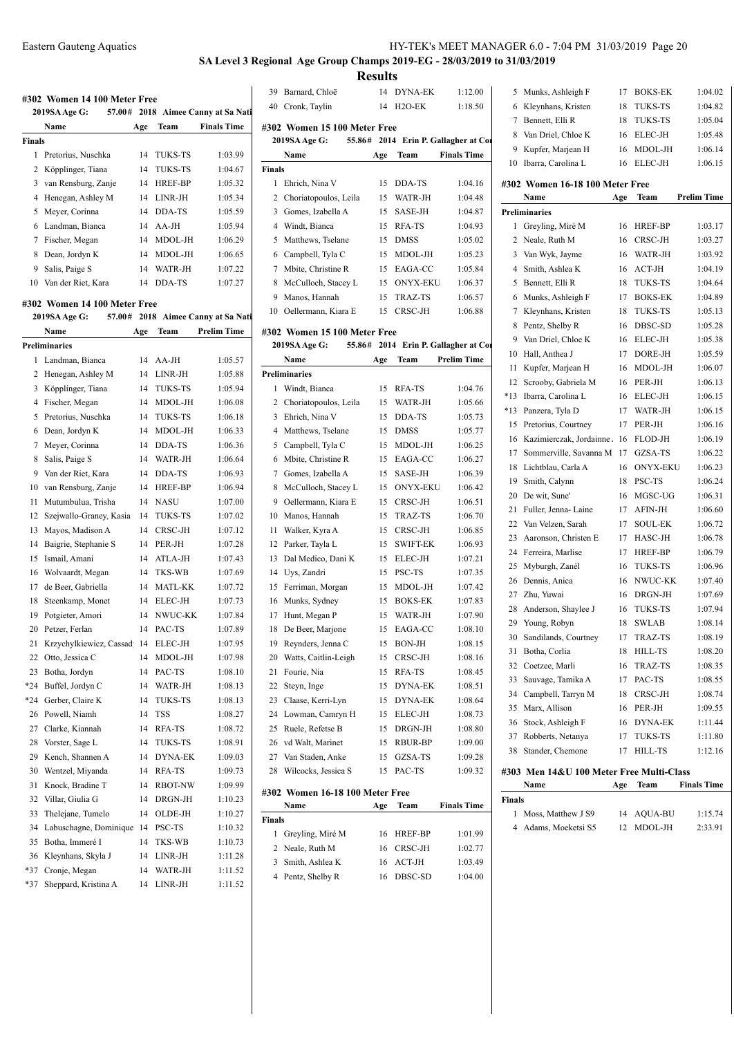# **SA Level 3 Regional Age Group Champs 2019-EG - 28/03/2019 to 31/03/2019**

**Results**<br>14 DYNA-EK

|               | 2019SA Age G:<br>57.00#<br>Name | Age | Team           | 2018 Aimee Canny at Sa Nati<br><b>Finals Time</b> |                |
|---------------|---------------------------------|-----|----------------|---------------------------------------------------|----------------|
| <b>Finals</b> |                                 |     |                |                                                   | #302<br>201    |
| 1             | Pretorius, Nuschka              | 14  | TUKS-TS        | 1:03.99                                           |                |
| 2             | Köpplinger, Tiana               | 14  | TUKS-TS        | 1:04.67                                           | <b>Finals</b>  |
| 3             | van Rensburg, Zanje             | 14  | <b>HREF-BP</b> | 1:05.32                                           | 1              |
| 4             | Henegan, Ashley M               | 14  | LINR-JH        | 1:05.34                                           | $\overline{c}$ |
| 5             | Meyer, Corinna                  | 14  | DDA-TS         | 1:05.59                                           | 3              |
| 6             | Landman, Bianca                 | 14  | AA-JH          | 1:05.94                                           | $\overline{4}$ |
| 7             | Fischer, Megan                  | 14  | MDOL-JH        | 1:06.29                                           | 5<br>-1        |
| 8             | Dean, Jordyn K                  | 14  | MDOL-JH        | 1:06.65                                           | 6              |
| 9             | Salis, Paige S                  | 14  | WATR-JH        | 1:07.22                                           | 7              |
|               | 10 Van der Riet, Kara           | 14  | DDA-TS         | 1:07.27                                           | 8              |
|               |                                 |     |                |                                                   | 9              |
|               | #302 Women 14 100 Meter Free    |     |                |                                                   | 10             |
|               | 57.00#<br>2019SA Age G:         |     |                | 2018 Aimee Canny at Sa Nati                       |                |
|               | Name                            | Age | Team           | <b>Prelim Time</b>                                | #302           |
|               | <b>Preliminaries</b>            |     |                |                                                   | 201            |
| 1             | Landman, Bianca                 | 14  | AA-JH          | 1:05.57                                           |                |
| 2             | Henegan, Ashley M               | 14  | LINR-JH        | 1:05.88                                           | Prelim         |
| 3             | Köpplinger, Tiana               | 14  | <b>TUKS-TS</b> | 1:05.94                                           | 1              |
| 4             | Fischer, Megan                  | 14  | MDOL-JH        | 1:06.08                                           | 2              |
| 5             | Pretorius, Nuschka              | 14  | <b>TUKS-TS</b> | 1:06.18                                           | 3              |
| 6             | Dean, Jordyn K                  | 14  | MDOL-JH        | 1:06.33                                           | 4              |
| 7             | Meyer, Corinna                  | 14  | DDA-TS         | 1:06.36                                           | 5              |
| 8             | Salis, Paige S                  | 14  | WATR-JH        | 1:06.64                                           | 6              |
| 9             | Van der Riet, Kara              | 14  | DDA-TS         | 1:06.93                                           | 7              |
| 10            | van Rensburg, Zanje             | 14  | <b>HREF-BP</b> | 1:06.94                                           | 8              |
| 11            | Mutumbulua, Trisha              | 14  | <b>NASU</b>    | 1:07.00                                           | 9              |
| 12            | Szejwallo-Graney, Kasia         | 14  | TUKS-TS        | 1:07.02                                           | 10             |
| 13            | Mayos, Madison A                | 14  | CRSC-JH        | 1:07.12                                           | 11             |
| 14            | Baigrie, Stephanie S            | 14  | PER-JH         | 1:07.28                                           | 12             |
| 15            | Ismail, Amani                   | 14  | ATLA-JH        | 1:07.43                                           | 13             |
| 16            | Wolvaardt, Megan                | 14  | TKS-WB         | 1:07.69                                           | 14             |
| 17            | de Beer, Gabriella              | 14  | MATL-KK        | 1:07.72                                           | 15             |
| 18            | Steenkamp, Monet                | 14  | ELEC-JH        | 1:07.73                                           | 16             |
| 19            | Potgieter, Amori                | 14  | NWUC-KK        | 1:07.84                                           | 17             |
| 20            | Petzer, Ferlan                  | 14  | PAC-TS         | 1:07.89                                           | 18             |
| 21            | Krzychylkiewicz, Cassad 14      |     | <b>ELEC-JH</b> | 1:07.95                                           | 19             |
| 22            | Otto, Jessica C                 | 14  | MDOL-JH        | 1:07.98                                           | 20             |
| 23            | Botha, Jordyn                   | 14  | PAC-TS         | 1:08.10                                           | 21             |
| *24           | Buffel, Jordyn C                | 14  | WATR-JH        | 1:08.13                                           | 22             |
| *24           | Gerber, Claire K                | 14  | <b>TUKS-TS</b> | 1:08.13                                           | 23             |
| 26            | Powell, Niamh                   | 14  | TSS            | 1:08.27                                           | 24             |
| 27            | Clarke, Kiannah                 | 14  | RFA-TS         | 1:08.72                                           | 25             |
| 28            | Vorster, Sage L                 | 14  | TUKS-TS        | 1:08.91                                           | 26             |
| 29            | Kench, Shannen A                | 14  | <b>DYNA-EK</b> | 1:09.03                                           | 27             |
| 30            | Wentzel, Miyanda                | 14  | RFA-TS         | 1:09.73                                           | 28             |
| 31            | Knock, Bradine T                | 14  | RBOT-NW        | 1:09.99                                           | #302           |
| 32            | Villar, Giulia G                | 14  | DRGN-JH        | 1:10.23                                           |                |
| 33            | Thelejane, Tumelo               | 14  | OLDE-JH        | 1:10.27                                           | Finals         |
| 34            | Labuschagne, Dominique 14       |     | PSC-TS         | 1:10.32                                           | $\mathbf{1}$   |
| 35            | Botha, Immeré I                 | 14  | TKS-WB         | 1:10.73                                           | 2              |
| 36            | Kleynhans, Skyla J              | 14  | LINR-JH        | 1:11.28                                           | 3              |
| *37           | Cronje, Megan                   | 14  | WATR-JH        | 1:11.52                                           | 4              |
| *37           | Sheppard, Kristina A            | 14  | LINR-JH        | 1:11.52                                           |                |

| 39                                                       | Barnard, Chloë                                          | 14  | DYNA-EK         | 1:12.00                       | 5              | N            |  |  |  |
|----------------------------------------------------------|---------------------------------------------------------|-----|-----------------|-------------------------------|----------------|--------------|--|--|--|
|                                                          | 40 Cronk, Taylin                                        | 14  | $H2O-EK$        | 1:18.50                       | 6              | $\mathbf k$  |  |  |  |
|                                                          | #302 Women 15 100 Meter Free                            |     |                 |                               | 7              | E            |  |  |  |
| 2014 Erin P. Gallagher at Cor<br>55.86#<br>2019SA Age G: |                                                         |     |                 |                               |                |              |  |  |  |
|                                                          | Name                                                    | Age | Team            | <b>Finals Time</b>            | 9 K            |              |  |  |  |
| <b>Finals</b>                                            |                                                         |     |                 |                               | 10             | $\mathbb I$  |  |  |  |
| $\mathbf{1}$                                             | Ehrich, Nina V                                          | 15  | DDA-TS          | 1:04.16                       | #302           |              |  |  |  |
|                                                          | 2 Choriatopoulos, Leila                                 | 15  | WATR-JH         | 1:04.48                       |                | Ŋ            |  |  |  |
|                                                          | 3 Gomes, Izabella A                                     | 15  | SASE-JH         | 1:04.87                       | Prelimi        |              |  |  |  |
|                                                          | 4 Windt, Bianca                                         | 15  | RFA-TS          | 1:04.93                       | 1 C            |              |  |  |  |
|                                                          | 5 Matthews, Tselane                                     | 15  | <b>DMSS</b>     | 1:05.02                       | 2              | $\mathbf{v}$ |  |  |  |
|                                                          | 6 Campbell, Tyla C                                      | 15  | MDOL-JH         | 1:05.23                       | 3              | J            |  |  |  |
| $\tau$                                                   | Mbite, Christine R                                      | 15  | EAGA-CC         | 1:05.84                       | $\overline{4}$ | S            |  |  |  |
| 8                                                        | McCulloch, Stacey L                                     | 15  | <b>ONYX-EKU</b> | 1:06.37                       | 5              | $\mathbf{F}$ |  |  |  |
| 9                                                        | Manos, Hannah                                           | 15  | TRAZ-TS         | 1:06.57                       | 6              | N            |  |  |  |
|                                                          | 10 Oellermann, Kiara E                                  | 15  | CRSC-JH         | 1:06.88                       | 7              | k            |  |  |  |
|                                                          |                                                         |     |                 |                               | 8              | P            |  |  |  |
|                                                          | #302 Women 15 100 Meter Free<br>55.86#<br>2019SA Age G: |     |                 | 2014 Erin P. Gallagher at Cor | 9              | J            |  |  |  |
|                                                          | Name                                                    | Age | Team            | <b>Prelim Time</b>            | 10             | ŀ            |  |  |  |
|                                                          | <b>Preliminaries</b>                                    |     |                 |                               | 11             | k            |  |  |  |
| 1                                                        | Windt, Bianca                                           | 15  | RFA-TS          | 1:04.76                       | 12             | S            |  |  |  |
|                                                          | 2 Choriatopoulos, Leila                                 | 15  | WATR-JH         | 1:05.66                       | $*13$          | $\mathbf{I}$ |  |  |  |
|                                                          | 3 Ehrich, Nina V                                        | 15  | DDA-TS          | 1:05.73                       | *13            | P            |  |  |  |
|                                                          | 4 Matthews, Tselane                                     | 15  | <b>DMSS</b>     | 1:05.77                       | 15             | P            |  |  |  |
|                                                          | 5 Campbell, Tyla C                                      | 15  | MDOL-JH         | 1:06.25                       | 16             | k            |  |  |  |
| 6                                                        | Mbite, Christine R                                      | 15  | EAGA-CC         | 1:06.27                       | 17             | S            |  |  |  |
| 7                                                        | Gomes, Izabella A                                       | 15  | SASE-JH         | 1:06.39                       | 18             | I            |  |  |  |
| 8                                                        | McCulloch, Stacey L                                     | 15  | <b>ONYX-EKU</b> | 1:06.42                       | 19             | S            |  |  |  |
| 9                                                        | Oellermann, Kiara E                                     | 15  | CRSC-JH         | 1:06.51                       | 20             | Γ            |  |  |  |
|                                                          | 10 Manos, Hannah                                        | 15  | TRAZ-TS         | 1:06.70                       | 21             | F            |  |  |  |
| 11                                                       | Walker, Kyra A                                          | 15  | CRSC-JH         | 1:06.85                       | 22             | J            |  |  |  |
| 12                                                       | Parker, Tayla L                                         | 15  | <b>SWIFT-EK</b> | 1:06.93                       | 23             | A            |  |  |  |
| 13                                                       | Dal Medico, Dani K                                      | 15  | ELEC-JH         | 1:07.21                       | 24             | F            |  |  |  |
|                                                          | 14 Uys, Zandri                                          | 15  | PSC-TS          | 1:07.35                       | 25             | Ν            |  |  |  |
| 15                                                       | Ferriman, Morgan                                        | 15  | MDOL-JH         | 1:07.42                       | 26             | Γ            |  |  |  |
| 16                                                       | Munks, Sydney                                           | 15  | <b>BOKS-EK</b>  | 1:07.83                       | 27             | Z            |  |  |  |
| 17                                                       | Hunt, Megan P                                           | 15  | WATR-JH         | 1:07.90                       | 28             | A            |  |  |  |
| 18                                                       | De Beer, Marjone                                        | 15  | EAGA-CC         | 1:08.10                       | 29             | Y            |  |  |  |
| 19                                                       | Reynders, Jenna C                                       | 15  | <b>BON-JH</b>   | 1:08.15                       | 30 S           |              |  |  |  |
| 20                                                       | Watts, Caitlin-Leigh                                    | 15  | CRSC-JH         | 1:08.16                       | 31             | F            |  |  |  |
| 21                                                       | Fourie, Nia                                             | 15  | RFA-TS          | 1:08.45                       | 32             | $\epsilon$   |  |  |  |
| 22                                                       | Steyn, Inge                                             | 15  | <b>DYNA-EK</b>  | 1:08.51                       | 33             | S            |  |  |  |
| 23                                                       | Claase, Kerri-Lyn                                       | 15  | DYNA-EK         | 1:08.64                       | 34             | C            |  |  |  |
| 24                                                       | Lowman, Camryn H                                        | 15  | ELEC-JH         | 1:08.73                       | 35             | Ν            |  |  |  |
| 25                                                       | Ruele, Refetse B                                        | 15  | DRGN-JH         | 1:08.80                       | 36             | S            |  |  |  |
|                                                          | 26 vd Walt, Marinet                                     | 15  | RBUR-BP         | 1:09.00                       | 37             | F            |  |  |  |
| 27                                                       | Van Staden, Anke                                        | 15  | GZSA-TS         | 1:09.28                       | 38             | S            |  |  |  |
| 28                                                       | Wilcocks, Jessica S                                     | 15  | PAC-TS          | 1:09.32                       | #303 1         |              |  |  |  |
|                                                          |                                                         |     |                 |                               |                | Þ            |  |  |  |
|                                                          | #302 Women 16-18 100 Meter Free                         |     |                 |                               | Finals         |              |  |  |  |

| Name                 | Age | Team        | <b>Finals Time</b> |
|----------------------|-----|-------------|--------------------|
| Finals               |     |             |                    |
| 1 Greyling, Miré M   |     | 16 HREF-BP  | 1:01.99            |
| 2 Neale, Ruth M      |     | 16 CRSC-JH  | 1:02.77            |
| Smith, Ashlea K<br>3 |     | $16$ ACT-JH | 1:03.49            |
| 4 Pentz, Shelby R    | 16  | DBSC-SD     | 1:04.00            |
|                      |     |             |                    |

| 5                               | Munks, Ashleigh F    | 17  | <b>BOKS-EK</b> | 1:04.02            |  |  |  |  |
|---------------------------------|----------------------|-----|----------------|--------------------|--|--|--|--|
| 6                               | Kleynhans, Kristen   | 18  | TUKS-TS        | 1:04.82            |  |  |  |  |
| 7                               | Bennett, Elli R      | 18  | <b>TUKS-TS</b> | 1:05.04            |  |  |  |  |
| 8                               | Van Driel, Chloe K   | 16  | ELEC-JH        | 1:05.48            |  |  |  |  |
| 9                               | Kupfer, Marjean H    | 16  | MDOL-JH        | 1:06.14            |  |  |  |  |
| 10                              | Ibarra, Carolina L   | 16  | ELEC-JH        | 1:06.15            |  |  |  |  |
| #302 Women 16-18 100 Meter Free |                      |     |                |                    |  |  |  |  |
|                                 |                      |     |                |                    |  |  |  |  |
|                                 | Name                 | Age | Team           | <b>Prelim Time</b> |  |  |  |  |
|                                 | <b>Preliminaries</b> |     |                |                    |  |  |  |  |
| 1                               | Greyling, Miré M     | 16  | <b>HREF-BP</b> | 1:03.17            |  |  |  |  |
| $\mathfrak{D}$                  | Neale, Ruth M        | 16  | CRSC-JH        | 1:03.27            |  |  |  |  |
| 3                               | Van Wyk, Jayme       | 16  | WATR-JH        | 1:03.92            |  |  |  |  |
| 4                               | Smith, Ashlea K      | 16  | $ACT-JH$       | 1:04.19            |  |  |  |  |
| 5                               | Bennett, Elli R      | 18  | <b>TUKS-TS</b> | 1:04.64            |  |  |  |  |

| ┭     | энниі, жынса қ                           | 10 | $A \cup I \cup II$ | 1.04.17 |
|-------|------------------------------------------|----|--------------------|---------|
| 5     | Bennett, Elli R                          | 18 | TUKS-TS            | 1:04.64 |
| 6     | Munks, Ashleigh F                        | 17 | <b>BOKS-EK</b>     | 1:04.89 |
| 7     | Kleynhans, Kristen                       | 18 | <b>TUKS-TS</b>     | 1:05.13 |
| 8     | Pentz, Shelby R                          | 16 | DBSC-SD            | 1:05.28 |
| 9     | Van Driel, Chloe K                       | 16 | ELEC-JH            | 1:05.38 |
| 10    | Hall, Anthea J                           | 17 | DORE-JH            | 1:05.59 |
| 11    | Kupfer, Marjean H                        | 16 | MDOL-JH            | 1:06.07 |
| 12    | Scrooby, Gabriela M                      | 16 | PER-JH             | 1:06.13 |
| $*13$ | Ibarra. Carolina L                       | 16 | ELEC-JH            | 1:06.15 |
| *13   | Panzera, Tyla D                          | 17 | WATR-JH            | 1:06.15 |
| 15    | Pretorius, Courtney                      | 17 | PER-JH             | 1:06.16 |
| 16    | Kazimierczak, Jordainne.                 | 16 | FLOD-JH            | 1:06.19 |
| 17    | Sommerville, Savanna M                   | 17 | GZSA-TS            | 1:06.22 |
| 18    | Lichtblau, Carla A                       | 16 | <b>ONYX-EKU</b>    | 1:06.23 |
| 19    | Smith, Calynn                            | 18 | PSC-TS             | 1:06.24 |
| 20    | De wit, Sune'                            | 16 | MGSC-UG            | 1:06.31 |
| 21    | Fuller, Jenna-Laine                      | 17 | AFIN-JH            | 1:06.60 |
| 22    | Van Velzen, Sarah                        | 17 | <b>SOUL-EK</b>     | 1:06.72 |
| 23    | Aaronson, Christen E                     | 17 | HASC-JH            | 1:06.78 |
| 24    | Ferreira, Marlise                        | 17 | HREF-BP            | 1:06.79 |
| 25    | Myburgh, Zanél                           | 16 | <b>TUKS-TS</b>     | 1:06.96 |
| 26    | Dennis, Anica                            | 16 | NWUC-KK            | 1:07.40 |
| 27    | Zhu, Yuwai                               | 16 | DRGN-JH            | 1:07.69 |
| 28    | Anderson, Shaylee J                      | 16 | <b>TUKS-TS</b>     | 1:07.94 |
| 29    | Young, Robyn                             | 18 | SWLAB              | 1:08.14 |
| 30    | Sandilands, Courtney                     | 17 | <b>TRAZ-TS</b>     | 1:08.19 |
| 31    | Botha, Corlia                            | 18 | HILL-TS            | 1:08.20 |
| 32    | Coetzee, Marli                           | 16 | <b>TRAZ-TS</b>     | 1:08.35 |
| 33    | Sauvage, Tamika A                        | 17 | PAC-TS             | 1:08.55 |
| 34    | Campbell, Tarryn M                       | 18 | CRSC-JH            | 1:08.74 |
| 35    | Marx, Allison                            | 16 | PER-JH             | 1:09.55 |
| 36    | Stock, Ashleigh F                        | 16 | <b>DYNA-EK</b>     | 1:11.44 |
| 37    | Robberts, Netanya                        | 17 | TUKS-TS            | 1:11.80 |
| 38    | Stander, Chemone                         | 17 | <b>HILL-TS</b>     | 1:12.16 |
|       | #303 Men 14&U 100 Meter Free Multi-Class |    |                    |         |

| Name                 | Age | Team       | <b>Finals Time</b> |
|----------------------|-----|------------|--------------------|
| Finals               |     |            |                    |
| Moss, Matthew J S9   |     | 14 AQUA-BU | 1:15.74            |
| 4 Adams, Moeketsi S5 |     | 12 MDOL-JH | 2:33.91            |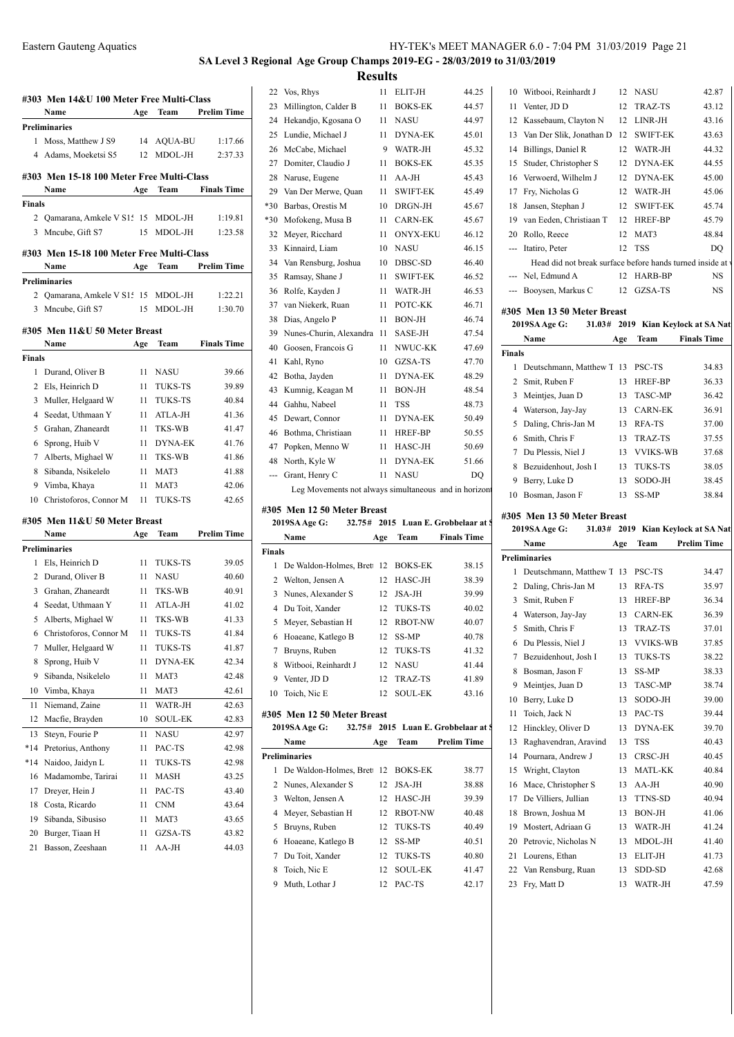# **SA Level 3 Regional Age Group Champs 2019-EG - 28/03/2019 to 31/03/2019 Results**

|        | #303 Men 14&U 100 Meter Free Multi-Class  |     |                |                    |
|--------|-------------------------------------------|-----|----------------|--------------------|
|        | Name                                      | Age | Team           | <b>Prelim Time</b> |
|        | <b>Preliminaries</b>                      |     |                |                    |
| 1      | Moss, Matthew J S9                        | 14  | <b>AQUA-BU</b> | 1:17.66            |
| 4      | Adams, Moeketsi S5                        | 12  | MDOL-JH        | 2:37.33            |
|        | #303 Men 15-18 100 Meter Free Multi-Class |     |                |                    |
|        | Name                                      | Age | Team           | <b>Finals Time</b> |
| Finals |                                           |     |                |                    |
|        | 2 Qamarana, Amkele V S15 15 MDOL-JH       |     |                | 1:19.81            |
| 3      | Mncube, Gift S7                           | 15  | MDOL-JH        | 1:23.58            |
|        |                                           |     |                |                    |
|        | #303 Men 15-18 100 Meter Free Multi-Class |     |                |                    |
|        | Name                                      | Age | Team           | <b>Prelim Time</b> |
|        | Preliminaries                             |     |                |                    |
|        | 2 Qamarana, Amkele V S15 15               |     | MDOL-JH        | 1:22.21            |
| 3      | Mncube, Gift S7                           | 15  | MDOL-JH        | 1:30.70            |
|        | #305 Men 11&U 50 Meter Breast             |     |                |                    |
|        | Name                                      | Age | Team           | <b>Finals Time</b> |
| Finals |                                           |     |                |                    |
| 1      | Durand, Oliver B                          | 11  | NASU           | 39.66              |
| 2      | Els, Heinrich D                           | 11  | <b>TUKS-TS</b> | 39.89              |
| 3      | Muller, Helgaard W                        | 11  | <b>TUKS-TS</b> | 40.84              |
| 4      | Seedat, Uthmaan Y                         | 11  | ATLA-JH        | 41.36              |
| 5      | Grahan, Zhaneardt                         | 11  | TKS-WB         | 41.47              |
| 6      | Sprong, Huib V                            | 11  | <b>DYNA-EK</b> | 41.76              |
| 7      | Alberts, Mighael W                        | 11  | TKS-WB         | 41.86              |
| 8      | Sibanda, Nsikelelo                        | 11  | MAT3           | 41.88              |
| 9      | Vimba, Khaya                              | 11  | MAT3           | 42.06              |
| 10     | Christoforos, Connor M                    | 11  | <b>TUKS-TS</b> | 42.65              |
|        |                                           |     |                |                    |
|        | #305 Men 11&U 50 Meter Breast             |     |                |                    |
|        | Name                                      | Age | Team           | <b>Prelim Time</b> |
|        | Preliminaries                             |     |                |                    |
| 1      | Els, Heinrich D                           | 11  | <b>TUKS-TS</b> | 39.05              |
| 2      | Durand, Oliver B                          | 11  | <b>NASU</b>    | 40.60              |
|        | 3 Grahan, Zhaneardt                       | 11  | TKS-WB         | 40.91              |
|        | 4 Seedat, Uthmaan Y                       | 11  | ATLA-JH        | 41.02              |
| 5      | Alberts, Mighael W                        | 11  | TKS-WB         | 41.33              |
| 6      | Christoforos, Connor M                    | 11  | <b>TUKS-TS</b> | 41.84              |
| 7      | Muller, Helgaard W                        | 11  | TUKS-TS        | 41.87              |
| 8      | Sprong, Huib V                            | 11  | <b>DYNA-EK</b> | 42.34              |
| 9      | Sibanda, Nsikelelo                        | 11  | MAT3           | 42.48              |
| 10     | Vimba, Khaya                              | 11  | MAT3           | 42.61              |
| 11     | Niemand, Zaine                            | 11  | WATR-JH        | 42.63              |
| 12     | Macfie, Brayden                           | 10  | SOUL-EK        | 42.83              |
| 13     | Steyn, Fourie P                           | 11  | <b>NASU</b>    | 42.97              |
| *14    | Pretorius, Anthony                        | 11  | PAC-TS         | 42.98              |
| $*14$  | Naidoo, Jaidyn L                          | 11  | <b>TUKS-TS</b> | 42.98              |
| 16     | Madamombe, Tarirai                        | 11  | MASH           | 43.25              |
| 17     | Dreyer, Hein J                            | 11  | PAC-TS         | 43.40              |
| 18     | Costa, Ricardo                            | 11  | <b>CNM</b>     | 43.64              |
| 19     | Sibanda, Sibusiso                         | 11  | MAT3           | 43.65              |
| 20     | Burger, Tiaan H                           | 11  | GZSA-TS        | 43.82              |
| 21     | Basson, Zeeshaan                          | 11  | AA-JH          | 44.03              |

| 22    | Vos, Rhys                                            | 11 | ELIT-JH         | 44.25 |
|-------|------------------------------------------------------|----|-----------------|-------|
| 23    | Millington, Calder B                                 | 11 | <b>BOKS-EK</b>  | 44.57 |
| 24    | Hekandjo, Kgosana O                                  | 11 | <b>NASU</b>     | 44.97 |
| 25    | Lundie, Michael J                                    | 11 | <b>DYNA-EK</b>  | 45.01 |
| 26    | McCabe, Michael                                      | 9  | WATR-JH         | 45.32 |
| 27    | Domiter, Claudio J                                   | 11 | <b>BOKS-EK</b>  | 45.35 |
| 28    | Naruse, Eugene                                       | 11 | AA-JH           | 45.43 |
| 29    | Van Der Merwe, Quan                                  | 11 | <b>SWIFT-EK</b> | 45.49 |
| $*30$ | Barbas, Orestis M                                    | 10 | DRGN-JH         | 45.67 |
| *30   | Mofokeng, Musa B                                     | 11 | <b>CARN-EK</b>  | 45.67 |
| 32    | Meyer, Ricchard                                      | 11 | <b>ONYX-EKU</b> | 46.12 |
| 33    | Kinnaird, Liam                                       | 10 | <b>NASU</b>     | 46.15 |
| 34    | Van Rensburg, Joshua                                 | 10 | DBSC-SD         | 46.40 |
| 35    | Ramsay, Shane J                                      | 11 | <b>SWIFT-EK</b> | 46.52 |
| 36    | Rolfe, Kayden J                                      | 11 | WATR-JH         | 46.53 |
| 37    | van Niekerk, Ruan                                    | 11 | POTC-KK         | 46.71 |
| 38    | Dias, Angelo P                                       | 11 | <b>BON-JH</b>   | 46.74 |
| 39    | Nunes-Churin, Alexandra                              | 11 | SASE-JH         | 47.54 |
| 40    | Goosen, Francois G                                   | 11 | NWUC-KK         | 47.69 |
| 41    | Kahl, Ryno                                           | 10 | GZSA-TS         | 47.70 |
| 42    | Botha, Jayden                                        | 11 | <b>DYNA-EK</b>  | 48.29 |
| 43    | Kumnig, Keagan M                                     | 11 | <b>BON-JH</b>   | 48.54 |
| 44    | Gahhu, Nabeel                                        | 11 | <b>TSS</b>      | 48.73 |
| 45    | Dewart, Connor                                       | 11 | <b>DYNA-EK</b>  | 50.49 |
| 46    | Bothma, Christiaan                                   | 11 | HREF-BP         | 50.55 |
| 47    | Popken, Menno W                                      | 11 | HASC-JH         | 50.69 |
| 48    | North, Kyle W                                        | 11 | <b>DYNA-EK</b>  | 51.66 |
| ---   | Grant, Henry C                                       | 11 | <b>NASU</b>     | DO    |
|       | Leg Movements not always simultaneous and in horizon |    |                 |       |

### **#305 Men 12 50 Meter Breast**

|        | 2019SA Age G:                     |                 |                | 32.75# 2015 Luan E. Grobbelaar at S | $20^{\circ}$   |
|--------|-----------------------------------|-----------------|----------------|-------------------------------------|----------------|
|        | Name                              | Age             | Team           | <b>Finals Time</b>                  |                |
| Finals |                                   |                 |                |                                     | Prelir         |
| 1.     | De Waldon-Holmes, Bret 12 BOKS-EK |                 |                | 38.15                               |                |
|        | 2 Welton, Jensen A                | 12              | HASC-JH        | 38.39                               |                |
|        | 3 Nunes, Alexander S              | 12 <sup>2</sup> | <b>JSA-JH</b>  | 39.99                               |                |
|        | 4 Du Toit, Xander                 | 12              | TUKS-TS        | 40.02                               |                |
|        | 5 Meyer, Sebastian H              | 12              | <b>RBOT-NW</b> | 40.07                               |                |
| 6      | Hoaeane, Katlego B                | 12              | SS-MP          | 40.78                               |                |
|        | Bruyns, Ruben                     | 12              | TUKS-TS        | 41.32                               |                |
| 8      | Witbooi, Reinhardt J              | 12              | NASU           | 41.44                               |                |
| 9      | Venter, JD D                      | 12              | TRAZ-TS        | 41.89                               |                |
| 10     | Toich, Nic E                      | $12-12$         | <b>SOUL-EK</b> | 43.16                               | 1 <sub>0</sub> |

### **#305 Men 12 50 Meter Breast**

|    | 2019SA Age G:<br>32.75#           |                 |                | 2015 Luan E. Grobbelaar at S | 12 |
|----|-----------------------------------|-----------------|----------------|------------------------------|----|
|    | Name                              | Age             | <b>Team</b>    | <b>Prelim Time</b>           | 13 |
|    | Preliminaries                     |                 |                |                              | 14 |
| 1. | De Waldon-Holmes, Bret 12 BOKS-EK |                 |                | 38.77                        | 15 |
|    | 2 Nunes, Alexander S              | 12 <sup>1</sup> | JSA-JH         | 38.88                        | 16 |
| 3  | Welton, Jensen A                  | 12              | HASC-JH        | 39.39                        | 17 |
| 4  | Meyer, Sebastian H                | 12              | <b>RBOT-NW</b> | 40.48                        | 18 |
| 5  | Bruyns, Ruben                     |                 | 12 TUKS-TS     | 40.49                        | 19 |
| 6  | Hoaeane, Katlego B                | 12              | SS-MP          | 40.51                        | 20 |
|    | Du Toit, Xander                   | 12.             | TUKS-TS        | 40.80                        | 21 |
| 8  | Toich, Nic E                      | 12              | <b>SOUL-EK</b> | 41.47                        | 22 |
| 9  | Muth, Lothar J                    | 12.             | PAC-TS         | 42.17                        | 23 |

| Finals |                                                          |     |                 |                                    |
|--------|----------------------------------------------------------|-----|-----------------|------------------------------------|
|        | Name                                                     | Age | Team            | <b>Finals Time</b>                 |
|        | 2019SA Age G:                                            |     |                 | 31.03# 2019 Kian Keylock at SA Nat |
|        | #305 Men 13 50 Meter Breast                              |     |                 |                                    |
|        | --- Booysen, Markus C                                    | 12  | GZSA-TS         | <b>NS</b>                          |
| ---    | Nel, Edmund A                                            | 12  | HARB-BP         | <b>NS</b>                          |
|        | Head did not break surface before hands turned inside at |     |                 |                                    |
|        | Itatiro, Peter                                           | 12  | <b>TSS</b>      | DQ                                 |
| 20     | Rollo, Reece                                             | 12  | MAT3            | 48.84                              |
| 19     | van Eeden, Christiaan T                                  | 12  | <b>HREF-BP</b>  | 45.79                              |
| 18     | Jansen, Stephan J                                        | 12  | <b>SWIFT-EK</b> | 45.74                              |
| 17     | Fry, Nicholas G                                          | 12  | WATR-JH         | 45.06                              |
| 16     | Verwoerd, Wilhelm J                                      | 12  | <b>DYNA-EK</b>  | 45.00                              |
| 15     | Studer, Christopher S                                    | 12  | <b>DYNA-EK</b>  | 44.55                              |
| 14     | Billings, Daniel R                                       | 12  | WATR-JH         | 44.32                              |
| 13     | Van Der Slik, Jonathan D                                 | 12  | <b>SWIFT-EK</b> | 43.63                              |
| 12     | Kassebaum, Clayton N                                     | 12  | $LINR-JH$       | 43.16                              |
| 11     | Venter, JD D                                             | 12  | TRAZ-TS         | 43.12                              |
| 10     | Witbooi, Reinhardt J                                     | 12  | <b>NASU</b>     | 42.87                              |
|        |                                                          |     |                 |                                    |

| †ïnals |                                  |     |                 |       |
|--------|----------------------------------|-----|-----------------|-------|
| 1.     | Deutschmann, Matthew T 13 PSC-TS |     |                 | 34.83 |
|        | 2 Smit, Ruben F                  | 13  | <b>HREF-BP</b>  | 36.33 |
| 3      | Meintjes, Juan D                 | 13  | <b>TASC-MP</b>  | 36.42 |
| 4      | Waterson, Jay-Jay                | 13. | <b>CARN-EK</b>  | 36.91 |
|        | 5 Daling, Chris-Jan M            | 13  | RFA-TS          | 37.00 |
|        | 6 Smith, Chris F                 | 13  | TRAZ-TS         | 37.55 |
|        | 7 Du Plessis, Niel J             | 13  | <b>VVIKS-WB</b> | 37.68 |
| 8      | Bezuidenhout, Josh I             | 13  | <b>TUKS-TS</b>  | 38.05 |
| 9      | Berry, Luke D                    | 13  | SODO-JH         | 38.45 |
| 10     | Bosman, Jason F                  | 13  | <b>SS-MP</b>    | 38.84 |

## **#305 Men 13 50 Meter Breast**

|    | 2019SA Age G:          |     |                 | 31.03# 2019 Kian Keylock at SA Nat |
|----|------------------------|-----|-----------------|------------------------------------|
|    | Name                   | Age | Team            | <b>Prelim Time</b>                 |
|    | <b>Preliminaries</b>   |     |                 |                                    |
| 1  | Deutschmann, Matthew T | 13  | PSC-TS          | 34.47                              |
| 2  | Daling, Chris-Jan M    | 13  | RFA-TS          | 35.97                              |
| 3  | Smit, Ruben F          | 13  | HREF-BP         | 36.34                              |
| 4  | Waterson, Jay-Jay      | 13  | <b>CARN-EK</b>  | 36.39                              |
| 5  | Smith, Chris F         | 13  | TRAZ-TS         | 37.01                              |
| 6  | Du Plessis, Niel J     | 13  | <b>VVIKS-WB</b> | 37.85                              |
| 7  | Bezuidenhout, Josh I   | 13  | <b>TUKS-TS</b>  | 38.22                              |
| 8  | Bosman, Jason F        | 13  | SS-MP           | 38.33                              |
| 9  | Meintjes, Juan D       | 13  | <b>TASC-MP</b>  | 38.74                              |
| 10 | Berry, Luke D          | 13  | SODO-JH         | 39.00                              |
| 11 | Toich, Jack N          | 13  | PAC-TS          | 39.44                              |
| 12 | Hinckley, Oliver D     | 13  | <b>DYNA-EK</b>  | 39.70                              |
| 13 | Raghavendran, Aravind  | 13  | <b>TSS</b>      | 40.43                              |
| 14 | Pournara, Andrew J     | 13  | CRSC-JH         | 40.45                              |
| 15 | Wright, Clayton        | 13  | <b>MATL-KK</b>  | 40.84                              |
| 16 | Mace, Christopher S    | 13  | $AA-JH$         | 40.90                              |
| 17 | De Villiers, Jullian   | 13  | TTNS-SD         | 40.94                              |
| 18 | Brown, Joshua M        | 13  | <b>BON-JH</b>   | 41.06                              |
| 19 | Mostert, Adriaan G     | 13  | WATR-JH         | 41.24                              |
| 20 | Petrovic, Nicholas N   | 13  | MDOL-JH         | 41.40                              |
| 21 | Lourens, Ethan         | 13  | ELIT-JH         | 41.73                              |
| 22 | Van Rensburg, Ruan     | 13  | SDD-SD          | 42.68                              |
| 23 | Fry, Matt D            | 13  | WATR-JH         | 47.59                              |
|    |                        |     |                 |                                    |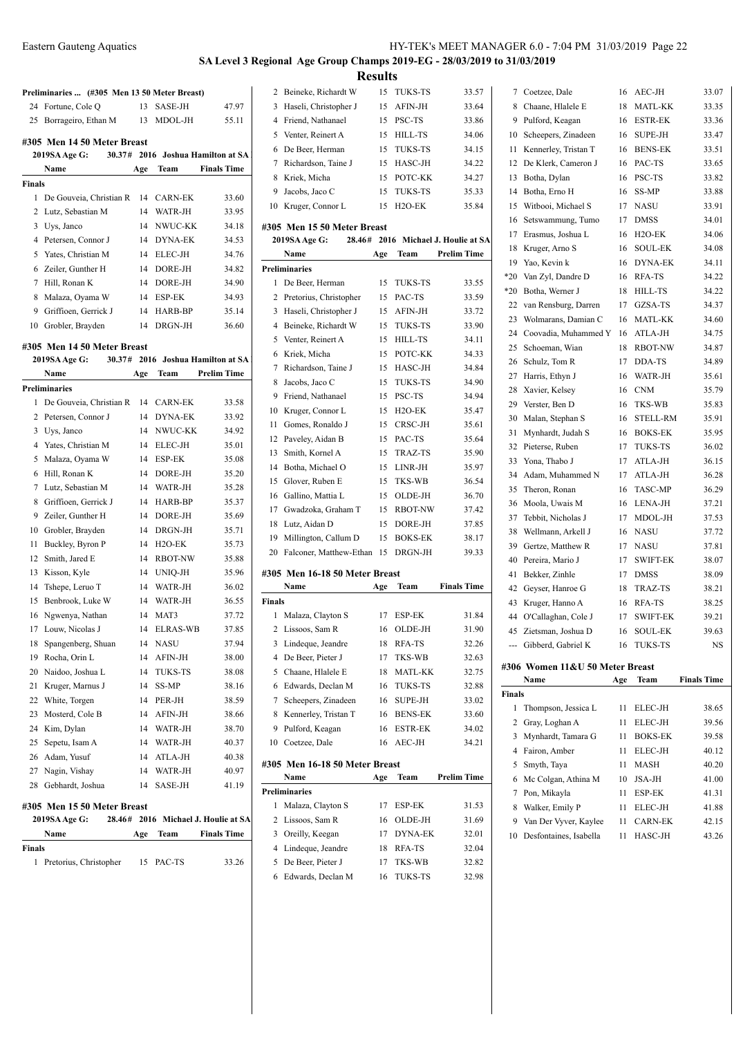# **SA Level 3 Regional Age Group Champs 2019-EG - 28/03/2019 to 31/03/2019**

**Preliminaries ... (#305 Men 13 50 Meter Breast)** 24 Fortune, Cole Q 13 SASE-JH 47.97 25 Borrageiro, Ethan M 13 MDOL-JH 55.11 **#305 Men 14 50 Meter Breast 2019SA Age G: 30.37# 2016 Joshua Hamilton at SA Name Age Team Finals Time Finals** De Gouveia, Christian R 14 CARN-EK 33.60 Lutz, Sebastian M 14 WATR-JH 33.95 Uys, Janco 14 NWUC-KK 34.18 4 Petersen, Connor J 14 DYNA-EK 34.53 Yates, Christian M 14 ELEC-JH 34.76 Zeiler, Gunther H 14 DORE-JH 34.82 Hill, Ronan K 14 DORE-JH 34.90 Malaza, Oyama W 14 ESP-EK 34.93 9 Griffioen, Gerrick J 14 HARB-BP 35.14 Grobler, Brayden 14 DRGN-JH 36.60 **#305 Men 14 50 Meter Breast 2019SA Age G: 30.37# 2016 Joshua Hamilton at SA Name Age Team Prelim Time Preliminaries** De Gouveia, Christian R 14 CARN-EK 33.58 2 Petersen, Connor J 14 DYNA-EK 33.92 Uys, Janco 14 NWUC-KK 34.92 Yates, Christian M 14 ELEC-JH 35.01 Malaza, Oyama W 14 ESP-EK 35.08 Hill, Ronan K 14 DORE-JH 35.20 Lutz, Sebastian M 14 WATR-JH 35.28 8 Griffioen, Gerrick J 14 HARB-BP 35.37 9 Zeiler, Gunther H 14 DORE-JH 35.69 Grobler, Brayden 14 DRGN-JH 35.71 Buckley, Byron P 14 H2O-EK 35.73 12 Smith, Jared E 14 RBOT-NW 35.88 Kisson, Kyle 14 UNIQ-JH 35.96 14 Tshepe, Leruo T 14 WATR-JH 36.02 15 Benbrook, Luke W 14 WATR-JH 36.55 Ngwenya, Nathan 14 MAT3 37.72 17 Louw, Nicolas J 14 ELRAS-WB 37.85 Spangenberg, Shuan 14 NASU 37.94 19 Rocha, Orin L 14 AFIN-JH 38.00 20 Naidoo, Joshua L 14 TUKS-TS 38.08 21 Kruger, Marnus J 14 SS-MP 38.16 White, Torgen 14 PER-JH 38.59 23 Mosterd, Cole B 14 AFIN-JH 38.66 Kim, Dylan 14 WATR-JH 38.70 25 Sepetu, Isam A 14 WATR-JH 40.37 26 Adam, Yusuf 14 ATLA-JH 40.38 27 Nagin, Vishay 14 WATR-JH 40.97 28 Gebhardt, Joshua 14 SASE-JH 41.19 **#305 Men 15 50 Meter Breast 2019SA Age G: 28.46# 2016 Michael J. Houlie at SA Name Age Team Finals Time**

Pretorius, Christopher 15 PAC-TS 33.26

**Finals**

|             |                                                    | <b>Results</b> |                           |                                     |
|-------------|----------------------------------------------------|----------------|---------------------------|-------------------------------------|
| 2           | Beineke, Richardt W                                | 15             | TUKS-TS                   | 33.57                               |
|             | 3 Haseli, Christopher J                            | 15             | AFIN-JH                   | 33.64                               |
|             | 4 Friend, Nathanael                                | 15             | PSC-TS                    | 33.86                               |
|             | 5 Venter, Reinert A                                | 15             | HILL-TS                   | 34.06                               |
| 6           | De Beer, Herman                                    | 15             | TUKS-TS                   | 34.15                               |
|             | 7 Richardson, Taine J                              | 15             | HASC-JH                   | 34.22                               |
|             | 8 Kriek, Micha                                     | 15             | POTC-KK                   | 34.27                               |
|             | 9 Jacobs, Jaco C                                   | 15             | TUKS-TS                   | 35.33                               |
|             | 10 Kruger, Connor L                                | 15             | H <sub>2</sub> O-EK       | 35.84                               |
|             | #305 Men 15 50 Meter Breast                        |                |                           |                                     |
|             | <b>2019SA Age G:</b>                               |                |                           | 28.46# 2016 Michael J. Houlie at SA |
|             | Name                                               | Age            | Team                      | <b>Prelim Time</b>                  |
|             | <b>Preliminaries</b>                               |                |                           |                                     |
| 1           | De Beer, Herman                                    | 15             | TUKS-TS                   | 33.55                               |
|             | 2 Pretorius, Christopher                           | 15             | PAC-TS                    | 33.59                               |
|             | 3 Haseli, Christopher J                            | 15             | AFIN-JH                   | 33.72                               |
|             | 4 Beineke, Richardt W                              | 15             | TUKS-TS                   | 33.90                               |
|             | 5 Venter, Reinert A                                | 15             | HILL-TS                   | 34.11                               |
|             | 6 Kriek, Micha                                     | 15             | POTC-KK                   | 34.33                               |
| 7           | Richardson, Taine J                                | 15             | HASC-JH                   | 34.84                               |
| 8           | Jacobs, Jaco C                                     | 15             | TUKS-TS                   | 34.90                               |
| 9           | Friend, Nathanael                                  | 15             | PSC-TS                    | 34.94                               |
| 10          | Kruger, Connor L                                   | 15             | $H2O-EK$                  | 35.47                               |
| 11          | Gomes, Ronaldo J                                   | 15             | CRSC-JH                   | 35.61                               |
|             | 12 Paveley, Aidan B                                | 15             | PAC-TS                    | 35.64                               |
| 13          | Smith, Kornel A                                    | 15             | TRAZ-TS                   | 35.90                               |
| 14          | Botha, Michael O                                   | 15             | LINR-JH                   | 35.97                               |
|             | 15 Glover, Ruben E                                 | 15             | TKS-WB                    | 36.54                               |
|             | 16 Gallino, Mattia L                               | 15             | OLDE-JH                   | 36.70                               |
|             | 17 Gwadzoka, Graham T                              | 15             | <b>RBOT-NW</b>            | 37.42                               |
|             |                                                    |                |                           |                                     |
|             | 18 Lutz, Aidan D                                   | 15             | DORE-JH                   | 37.85                               |
| 19          | Millington, Callum D<br>20 Falconer, Matthew-Ethan | 15<br>15       | <b>BOKS-EK</b><br>DRGN-JH | 38.17<br>39.33                      |
|             |                                                    |                |                           |                                     |
|             | #305 Men 16-18 50 Meter Breast                     |                |                           |                                     |
|             | Name                                               | Age            | Team                      | <b>Finals Time</b>                  |
| Finals<br>1 | Malaza, Clayton S                                  | 17             | ESP-EK                    | 31.84                               |
|             |                                                    |                |                           |                                     |
| 2<br>3      | Lissoos, Sam R                                     | 16             | OLDE-JH                   | 31.90<br>32.26                      |
|             | Lindeque, Jeandre                                  | 18             | RFA-TS                    |                                     |
| 4           | De Beer, Pieter J                                  | 17             | TKS-WB                    | 32.63                               |
| 5           | Chaane, Hlalele E                                  | 18             | <b>MATL-KK</b>            | 32.75                               |
| 6           | Edwards, Declan M                                  | 16             | TUKS-TS                   | 32.88                               |
| 7           | Scheepers, Zinadeen                                | 16             | SUPE-JH                   | 33.02                               |
| 8           | Kennerley, Tristan T                               | 16             | <b>BENS-EK</b>            | 33.60                               |
| 9           | Pulford, Keagan                                    | 16             | <b>ESTR-EK</b>            | 34.02                               |
| 10          | Coetzee, Dale                                      | 16             | AEC-JH                    | 34.21                               |
|             | #305 Men 16-18 50 Meter Breast                     |                |                           |                                     |
|             | Name                                               | Age            | Team                      | Prelim Time                         |
|             | <b>Preliminaries</b>                               |                |                           |                                     |
| 1           | Malaza, Clayton S                                  | 17             | ESP-EK                    | 31.53                               |
|             | 2 Lissoos, Sam R                                   | 16             | OLDE-JH                   | 31.69                               |
| 3           | Oreilly, Keegan                                    | 17             | <b>DYNA-EK</b>            | 32.01                               |
| 4           | Lindeque, Jeandre                                  | 18             | RFA-TS                    | 32.04                               |
| 5           | De Beer, Pieter J                                  | 17             | TKS-WB                    | 32.82                               |
| 6           | Edwards, Declan M                                  | 16             | TUKS-TS                   | 32.98                               |

| 7      | Coetzee, Dale                   | 16  | AEC-JH                    | 33.07              |
|--------|---------------------------------|-----|---------------------------|--------------------|
| 8      | Chaane, Hlalele E               | 18  | MATL-KK                   | 33.35              |
| 9      | Pulford, Keagan                 | 16  | ESTR-EK                   | 33.36              |
| 10     | Scheepers, Zinadeen             | 16  | SUPE-JH                   | 33.47              |
| 11     | Kennerley, Tristan T            | 16  | <b>BENS-EK</b>            | 33.51              |
| 12     | De Klerk, Cameron J             | 16  | PAC-TS                    | 33.65              |
| 13     | Botha, Dylan                    | 16  | PSC-TS                    | 33.82              |
| 14     | Botha, Erno H                   | 16  | SS-MP                     | 33.88              |
| 15     | Witbooi, Michael S              | 17  | <b>NASU</b>               | 33.91              |
| 16     | Setswammung, Tumo               | 17  | DMSS                      | 34.01              |
| 17     | Erasmus, Joshua L               | 16  | H <sub>2</sub> O-EK       | 34.06              |
| 18     | Kruger, Arno S                  | 16  | <b>SOUL-EK</b>            | 34.08              |
| 19     | Yao, Kevin k                    | 16  | <b>DYNA-EK</b>            | 34.11              |
| $*20$  | Van Zyl, Dandre D               | 16  | RFA-TS                    | 34.22              |
| *20    | Botha, Werner J                 | 18  | HILL-TS                   | 34.22              |
| 22     | van Rensburg, Darren            | 17  | GZSA-TS                   | 34.37              |
| 23     | Wolmarans, Damian C             | 16  | MATL-KK                   | 34.60              |
| 24     | Coovadia, Muhammed Y            | 16  | ATLA-JH                   | 34.75              |
| 25     | Schoeman, Wian                  | 18  | <b>RBOT-NW</b>            | 34.87              |
| 26     | Schulz, Tom R                   | 17  | DDA-TS                    | 34.89              |
| 27     | Harris, Ethyn J                 | 16  | WATR-JH                   | 35.61              |
| 28     | Xavier, Kelsey                  | 16  | <b>CNM</b>                | 35.79              |
| 29     | Verster, Ben D                  | 16  | TKS-WB                    | 35.83              |
| 30     | Malan, Stephan S                | 16  | STELL-RM                  | 35.91              |
| 31     | Mynhardt, Judah S               | 16  | <b>BOKS-EK</b>            | 35.95              |
| 32     | Pieterse, Ruben                 | 17  | TUKS-TS                   | 36.02              |
| 33     | Yona, Thabo J                   | 17  | ATLA-JH                   | 36.15              |
| 34     | Adam, Muhammed N                | 17  | ATLA-JH                   | 36.28              |
| 35     | Theron, Ronan                   | 16  | <b>TASC-MP</b>            | 36.29              |
| 36     | Moola, Uwais M                  | 16  | LENA-JH                   | 37.21              |
| 37     | Tebbit, Nicholas J              | 17  | MDOL-JH                   | 37.53              |
| 38     | Wellmann, Arkell J              | 16  | NASU                      | 37.72              |
| 39     | Gertze, Matthew R               | 17  | <b>NASU</b>               | 37.81              |
| 40     | Pereira, Mario J                | 17  | <b>SWIFT-EK</b>           | 38.07              |
| 41     | Bekker, Zinhle                  | 17  | <b>DMSS</b>               | 38.09              |
| 42     | Geyser, Hanroe G                | 18  | TRAZ-TS                   | 38.21              |
| 43     | Kruger, Hanno A                 | 16  | RFA-TS                    | 38.25              |
| 44     | O'Callaghan, Cole J             | 17  | <b>SWIFT-EK</b>           | 39.21              |
|        | 45 Zietsman, Joshua D           | 16  | SOUL-EK                   | 39.63              |
|        | Gibberd, Gabriel K              | 16  | TUKS-TS                   | NS                 |
|        |                                 |     |                           |                    |
|        | #306 Women 11&U 50 Meter Breast |     |                           |                    |
|        |                                 |     |                           |                    |
| Finals | Name                            | Age | Team                      | <b>Finals Time</b> |
|        |                                 |     |                           |                    |
| 1      | Thompson, Jessica L             | 11  | ELEC-JH                   | 38.65              |
| 2      | Gray, Loghan A                  | 11  | ELEC-JH                   | 39.56              |
| 3      | Mynhardt, Tamara G              | 11  | <b>BOKS-EK</b>            | 39.58              |
| 4      | Fairon, Amber                   | 11  | ELEC-JH                   | 40.12              |
| 5      | Smyth, Taya                     | 11  | MASH                      | 40.20              |
| 6      | Mc Colgan, Athina M             | 10  | JSA-JH                    | 41.00              |
| 7      | Pon, Mikayla                    | 11  | ESP-EK                    | 41.31              |
| 8      | Walker, Emily P                 | 11  | ELEC-JH                   | 41.88              |
| 9      | Van Der Vyver, Kaylee           | 11  | <b>CARN-EK</b><br>HASC-JH | 42.15              |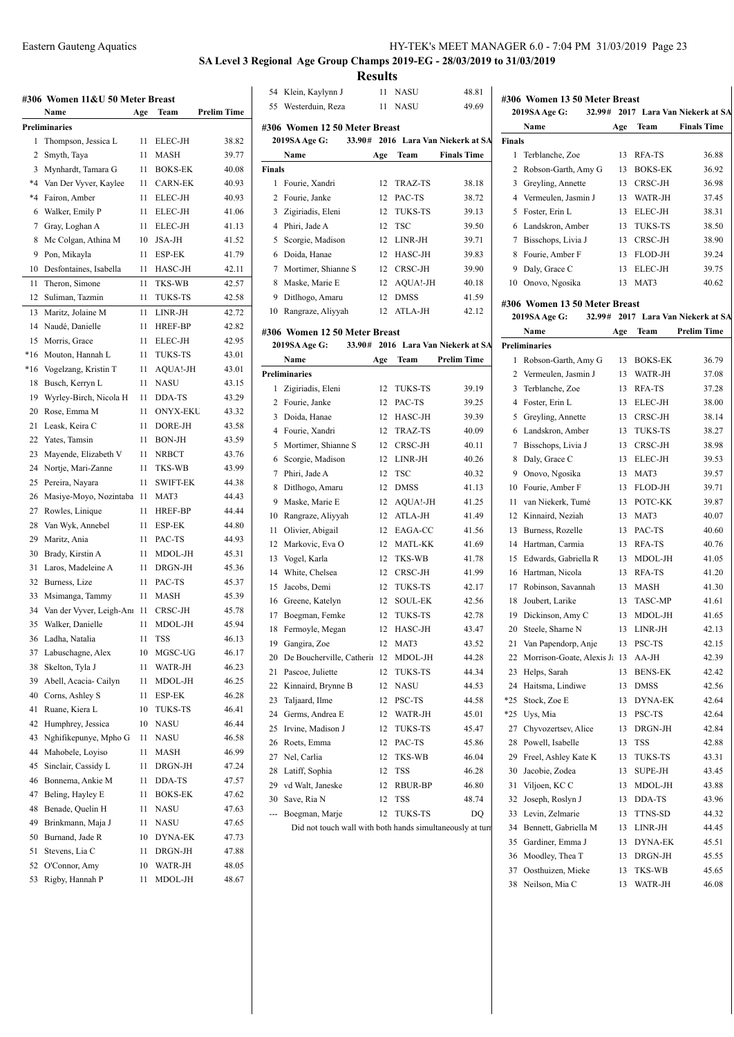| HY-TEK's MEET MANAGER 6.0 - 7:04 PM 31/03/2019 Page 23 |  |  |  |
|--------------------------------------------------------|--|--|--|
|--------------------------------------------------------|--|--|--|

# 019-EG - 28/03/2019 to 31/03/2019

|       | Labelli Ouatelly Liqu                   |     |                 |                    |               | SA Level 3 Regional Age Group Champs 2019-EG - 28/03/201 | <b>Results</b> |                                   |                    |
|-------|-----------------------------------------|-----|-----------------|--------------------|---------------|----------------------------------------------------------|----------------|-----------------------------------|--------------------|
|       |                                         |     |                 |                    |               | 54 Klein, Kaylynn J                                      |                | 11 NASU                           | 48.81              |
|       | #306 Women 11&U 50 Meter Breast<br>Name |     | Team            | <b>Prelim Time</b> | 55            | Westerduin, Reza                                         |                | 11 NASU                           | 49.69              |
|       | Preliminaries                           | Age |                 |                    |               |                                                          |                |                                   |                    |
|       | 1 Thompson, Jessica L                   | 11  | ELEC-JH         | 38.82              |               | #306 Women 12 50 Meter Breast<br>2019SA Age G:           |                | 33.90# 2016 Lara Van Niekerk at S |                    |
|       | 2 Smyth, Taya                           | 11  | MASH            | 39.77              |               | Name                                                     | Age            | Team                              | <b>Finals Time</b> |
|       | 3 Mynhardt, Tamara G                    | 11  | <b>BOKS-EK</b>  | 40.08              | <b>Finals</b> |                                                          |                |                                   |                    |
|       | *4 Van Der Vyver, Kaylee                |     | <b>CARN-EK</b>  |                    |               |                                                          |                |                                   |                    |
|       |                                         | 11  |                 | 40.93              |               | 1 Fourie, Xandri<br>Fourie, Janke                        | 12             | TRAZ-TS                           | 38.18              |
| *4    | Fairon, Amber                           | 11  | ELEC-JH         | 40.93              | 2             |                                                          | 12             | PAC-TS                            | 38.72              |
| 6     | Walker, Emily P                         | 11  | ELEC-JH         | 41.06              | 3             | Zigiriadis, Eleni                                        | 12             | TUKS-TS                           | 39.13              |
| 7     | Gray, Loghan A                          | 11  | ELEC-JH         | 41.13              |               | 4 Phiri, Jade A                                          | 12             | TSC                               | 39.50              |
| 8     | Mc Colgan, Athina M                     | 10  | <b>JSA-JH</b>   | 41.52              | 5             | Scorgie, Madison                                         |                | 12 LINR-JH                        | 39.71              |
| 9     | Pon, Mikayla                            | 11  | ESP-EK          | 41.79              | 6             | Doida, Hanae                                             | 12             | HASC-JH                           | 39.83              |
|       | 10 Desfontaines, Isabella               | 11  | HASC-JH         | 42.11              | 7             | Mortimer, Shianne S                                      | 12             | CRSC-JH                           | 39.90              |
| 11    | Theron, Simone                          | 11  | <b>TKS-WB</b>   | 42.57              | 8             | Maske, Marie E                                           | 12             | AQUA!-JH                          | 40.18              |
| 12    | Suliman, Tazmin                         | 11  | TUKS-TS         | 42.58              | 9             | Ditlhogo, Amaru                                          | 12             | <b>DMSS</b>                       | 41.59              |
| 13    | Maritz, Jolaine M                       | 11  | LINR-JH         | 42.72              | 10            | Rangraze, Aliyyah                                        | 12             | ATLA-JH                           | 42.12              |
|       | 14 Naudé, Danielle                      | 11  | HREF-BP         | 42.82              |               | #306 Women 12 50 Meter Breast                            |                |                                   |                    |
|       | 15 Morris, Grace                        | 11  | ELEC-JH         | 42.95              |               | 2019SA Age G:                                            |                | 33.90# 2016 Lara Van Niekerk at S |                    |
| $*16$ | Mouton, Hannah L                        | 11  | <b>TUKS-TS</b>  | 43.01              |               | Name                                                     | Age            | Team                              | <b>Prelim Time</b> |
| $*16$ | Vogelzang, Kristin T                    | 11  | AQUA!-JH        | 43.01              |               | <b>Preliminaries</b>                                     |                |                                   |                    |
| 18    | Busch, Kerryn L                         | 11  | <b>NASU</b>     | 43.15              | $\mathbf{1}$  | Zigiriadis, Eleni                                        | 12             | TUKS-TS                           | 39.19              |
| 19    | Wyrley-Birch, Nicola H                  | 11  | DDA-TS          | 43.29              |               | 2 Fourie, Janke                                          | 12             | PAC-TS                            | 39.25              |
| 20    | Rose, Emma M                            | 11  | <b>ONYX-EKU</b> | 43.32              | 3             | Doida, Hanae                                             |                | 12 HASC-JH                        | 39.39              |
|       | 21 Leask, Keira C                       | 11  | DORE-JH         | 43.58              | 4             | Fourie, Xandri                                           | 12             | TRAZ-TS                           | 40.09              |
| 22    | Yates, Tamsin                           | 11  | BON-JH          | 43.59              | 5             | Mortimer, Shianne S                                      | 12             | CRSC-JH                           | 40.11              |
| 23    | Mayende, Elizabeth V                    | 11  | <b>NRBCT</b>    | 43.76              | 6             | Scorgie, Madison                                         |                | 12 LINR-JH                        | 40.26              |
| 24    | Nortje, Mari-Zanne                      | 11  | <b>TKS-WB</b>   | 43.99              | 7             | Phiri, Jade A                                            | 12             | TSC                               | 40.32              |
| 25    | Pereira, Nayara                         | 11  | <b>SWIFT-EK</b> | 44.38              | 8             | Ditlhogo, Amaru                                          | 12             | <b>DMSS</b>                       | 41.13              |
| 26    | Masiye-Moyo, Nozintaba 11               |     | MAT3            | 44.43              | 9             | Maske, Marie E                                           | 12             | AQUA!-JH                          | 41.25              |
| 27    | Rowles, Linique                         | 11  | HREF-BP         | 44.44              | 10            | Rangraze, Aliyyah                                        | 12             | ATLA-JH                           | 41.49              |
| 28    | Van Wyk, Annebel                        | 11  | ESP-EK          | 44.80              |               |                                                          |                | 12 EAGA-CC                        | 41.56              |
| 29    | Maritz, Ania                            | 11  | PAC-TS          | 44.93              | 11            | Olivier, Abigail                                         |                | MATL-KK                           |                    |
| 30    | Brady, Kirstin A                        | 11  | MDOL-JH         | 45.31              | 12            | Markovic, Eva O                                          | 12             |                                   | 41.69              |
| 31    | Laros, Madeleine A                      | 11  | DRGN-JH         | 45.36              | 13            | Vogel, Karla                                             | 12             | TKS-WB                            | 41.78              |
|       | 32 Burness, Lize                        | 11  | PAC-TS          | 45.37              | 14            | White, Chelsea                                           | 12             | CRSC-JH                           | 41.99              |
|       | 33 Msimanga, Tammy                      | 11  | MASH            | 45.39              |               | 15 Jacobs, Demi                                          | 12             | <b>TUKS-TS</b>                    | 42.17              |
|       | 34 Van der Vyver, Leigh-Ant 11          |     | CRSC-JH         | 45.78              |               | 16 Greene, Katelyn                                       | 12             | <b>SOUL-EK</b>                    | 42.56              |
| 35    | Walker, Danielle                        | 11  | MDOL-JH         | 45.94              |               | 17 Boegman, Femke                                        | 12             | <b>TUKS-TS</b>                    | 42.78              |
| 36    | Ladha, Natalia                          | 11  | TSS             | 46.13              | 18            | Fermoyle, Megan                                          | 12             | HASC-JH                           | 43.47              |
| 37    | Labuschagne, Alex                       | 10  | MGSC-UG         | 46.17              | 19            | Gangira, Zoe                                             | 12             | MAT3                              | 43.52              |
| 38    | Skelton, Tyla J                         | 11  | WATR-JH         | 46.23              | 20            | De Boucherville, Catherin 12                             |                | MDOL-JH                           | 44.28              |
| 39    | Abell, Acacia- Cailyn                   | 11  | MDOL-JH         | 46.25              | 21            | Pascoe, Juliette                                         | 12             | <b>TUKS-TS</b>                    | 44.34              |
| 40    | Corns, Ashley S                         | 11  | ESP-EK          | 46.28              | 22            | Kinnaird, Brynne B                                       | 12             | <b>NASU</b>                       | 44.53              |
|       | Ruane, Kiera L                          |     | TUKS-TS         | 46.41              | 23            | Taljaard, Ilme                                           | 12             | PSC-TS                            | 44.58              |
| 41    |                                         | 10  |                 |                    | 24            | Germs, Andrea E                                          | 12             | WATR-JH                           | 45.01              |
| 42    | Humphrey, Jessica                       | 10  | NASU            | 46.44              | 25            | Irvine, Madison J                                        | 12             | <b>TUKS-TS</b>                    | 45.47              |
| 43    | Nghifikepunye, Mpho G                   | 11  | <b>NASU</b>     | 46.58              | 26            | Roets, Emma                                              | 12             | PAC-TS                            | 45.86              |
| 44    | Mahobele, Loyiso                        | 11  | MASH            | 46.99              | 27            | Nel, Carlia                                              | 12             | TKS-WB                            | 46.04              |
| 45    | Sinclair, Cassidy L                     | 11  | DRGN-JH         | 47.24              | 28            | Latiff, Sophia                                           | 12             | <b>TSS</b>                        | 46.28              |
| 46    | Bonnema, Ankie M                        | 11  | DDA-TS          | 47.57              | 29            | vd Walt, Janeske                                         | 12             | <b>RBUR-BP</b>                    | 46.80              |
| 47    | Beling, Hayley E                        | 11  | <b>BOKS-EK</b>  | 47.62              | 30            | Save, Ria N                                              | 12             | TSS                               | 48.74              |
| 48    | Benade, Quelin H                        | 11  | NASU            | 47.63              | ---           | Boegman, Marje                                           | 12             | <b>TUKS-TS</b>                    | DQ                 |
| 49    | Brinkmann, Maja J                       | 11  | NASU            | 47.65              |               | Did not touch wall with both hands simultaneously at to  |                |                                   |                    |
| 50    | Burnand, Jade R                         | 10  | DYNA-EK         | 47.73              |               |                                                          |                |                                   |                    |
| 51    | Stevens, Lia C                          | 11  | DRGN-JH         | 47.88              |               |                                                          |                |                                   |                    |
| 52    | O'Connor, Amy                           | 10  | WATR-JH         | 48.05              |               |                                                          |                |                                   |                    |
|       | 53 Rigby, Hannah P                      | 11  | MDOL-JH         | 48.67              |               |                                                          |                |                                   |                    |
|       |                                         |     |                 |                    |               |                                                          |                |                                   |                    |
|       |                                         |     |                 |                    |               |                                                          |                |                                   |                    |
|       |                                         |     |                 |                    |               |                                                          |                |                                   |                    |

|      |                                                           |     | 11 NASU        |                                    |               | #306 Women 13 50 Meter Breast     |      |              |
|------|-----------------------------------------------------------|-----|----------------|------------------------------------|---------------|-----------------------------------|------|--------------|
|      | 55 Westerduin, Reza                                       |     |                | 49.69                              |               | 2019SA Age G:<br>32.99# 2017      |      |              |
|      | 306 Women 12 50 Meter Breast                              |     |                |                                    |               | Name                              | Age  |              |
|      | 2019SA Age G:                                             |     |                | 33.90# 2016 Lara Van Niekerk at SA | <b>Finals</b> |                                   |      |              |
|      | Name                                                      | Age | Team           | <b>Finals Time</b>                 |               | 1 Terblanche, Zoe                 | 13   | R            |
| nals |                                                           |     |                |                                    | 2             | Robson-Garth, Amy G               | 13   | B            |
|      | 1 Fourie, Xandri                                          | 12  | TRAZ-TS        | 38.18                              | 3             | Greyling, Annette                 | 13   | $\epsilon$   |
|      | 2 Fourie, Janke                                           |     | 12 PAC-TS      | 38.72                              |               | 4 Vermeulen, Jasmin J             | 13   | V            |
|      | 3 Zigiriadis, Eleni                                       |     | 12 TUKS-TS     | 39.13                              |               | 5 Foster, Erin L                  | 13   | Ε            |
|      | 4 Phiri, Jade A                                           |     | 12 TSC         | 39.50                              |               | 6 Landskron, Amber                | 13   | T            |
|      | 5 Scorgie, Madison                                        |     | 12 LINR-JH     | 39.71                              |               | 7 Bisschops, Livia J              | 13   | $\epsilon$   |
|      | 6 Doida, Hanae                                            | 12  | HASC-JH        | 39.83                              |               | 8 Fourie, Amber F                 | 13   | F            |
|      | 7 Mortimer, Shianne S                                     | 12  | CRSC-JH        | 39.90                              | 9             | Daly, Grace C                     | 13   | E            |
|      | 8 Maske, Marie E                                          |     | 12 AQUA!-JH    | 40.18                              |               | 10 Onovo, Ngosika                 | 13 N |              |
|      | 9 Ditlhogo, Amaru                                         | 12  | <b>DMSS</b>    | 41.59                              |               |                                   |      |              |
|      | 10 Rangraze, Aliyyah                                      | 12  | ATLA-JH        | 42.12                              |               | #306 Women 13 50 Meter Breast     |      |              |
|      |                                                           |     |                |                                    |               | 32.99# 2017<br>2019SA Age G:      |      |              |
|      | 306 Women 12 50 Meter Breast                              |     |                |                                    |               | Name                              | Age  | ŋ            |
|      | 2019SA Age G:                                             |     |                | 33.90# 2016 Lara Van Niekerk at SA |               | <b>Preliminaries</b>              |      |              |
|      | Name                                                      | Age | Team           | <b>Prelim Time</b>                 |               | 1 Robson-Garth, Amy G             | 13   | B            |
|      | reliminaries                                              |     |                |                                    | $\mathbf{2}$  | Vermeulen, Jasmin J               | 13   | V            |
|      | 1 Zigiriadis, Eleni                                       | 12  | TUKS-TS        | 39.19                              | 3             | Terblanche, Zoe                   | 13   | $\mathbb{R}$ |
|      | 2 Fourie, Janke                                           |     | 12 PAC-TS      | 39.25                              |               | 4 Foster, Erin L                  | 13   | E            |
|      | 3 Doida, Hanae                                            |     | 12 HASC-JH     | 39.39                              |               | 5 Greyling, Annette               | 13   | $\mathsf{C}$ |
|      | 4 Fourie, Xandri                                          | 12  | TRAZ-TS        | 40.09                              |               | 6 Landskron, Amber                | 13   | T            |
|      | 5 Mortimer, Shianne S                                     | 12  | CRSC-JH        | 40.11                              |               | 7 Bisschops, Livia J              | 13   | C            |
|      | 6 Scorgie, Madison                                        |     | 12 LINR-JH     | 40.26                              |               | 8 Daly, Grace C                   | 13   | E            |
|      | 7 Phiri, Jade A                                           | 12  | <b>TSC</b>     | 40.32                              |               | 9 Onovo, Ngosika                  | 13   | N            |
|      | 8 Ditlhogo, Amaru                                         |     | 12 DMSS        | 41.13                              |               | 10 Fourie, Amber F                | 13   | F            |
|      | 9 Maske, Marie E                                          |     | 12 AQUA!-JH    | 41.25                              | 11            | van Niekerk, Tumé                 | 13   | $\mathbf{P}$ |
|      | 10 Rangraze, Aliyyah                                      |     | 12 ATLA-JH     | 41.49                              |               | 12 Kinnaird, Neziah               | 13   | N            |
| 11 - | Olivier, Abigail                                          |     | 12 EAGA-CC     | 41.56                              |               | 13 Burness, Rozelle               | 13   | P            |
|      | 12 Markovic, Eva O                                        |     | 12 MATL-KK     | 41.69                              | 14            | Hartman, Carmia                   | 13   | $\mathbb{R}$ |
| 13   | Vogel, Karla                                              |     | 12 TKS-WB      | 41.78                              |               | 15 Edwards, Gabriella R           | 13   | N            |
|      | 14 White, Chelsea                                         | 12  | CRSC-JH        | 41.99                              |               | 16 Hartman, Nicola                | 13   | $\mathbb{R}$ |
| 15   | Jacobs, Demi                                              | 12  | <b>TUKS-TS</b> | 42.17                              | 17            | Robinson, Savannah                | 13   | N            |
|      | 16 Greene, Katelyn                                        | 12  | <b>SOUL-EK</b> | 42.56                              | 18            | Joubert, Larike                   | 13   | T            |
| 17   | Boegman, Femke                                            | 12  | <b>TUKS-TS</b> | 42.78                              |               | 19 Dickinson, Amy C               | 13   | N            |
|      | 18 Fermoyle, Megan                                        | 12  | HASC-JH        | 43.47                              | 20            | Steele, Sharne N                  | 13   | L            |
|      | 19 Gangira, Zoe                                           | 12  | MAT3           | 43.52                              |               | 21 Van Papendorp, Anje            | 13   | $\mathbf{P}$ |
|      | 20 De Boucherville, Catherii 12                           |     | MDOL-JH        | 44.28                              |               | 22 Morrison-Goate, Alexis J: 13 A |      |              |
|      | 21 Pascoe, Juliette                                       | 12  | TUKS-TS        | 44.34                              | 23            | Helps, Sarah                      | 13   | B            |
|      | 22 Kinnaird, Brynne B                                     | 12  | NASU           | 44.53                              |               | 24 Haitsma, Lindiwe               | 13   | Г            |
|      | 23 Taljaard, Ilme                                         | 12  | PSC-TS         | 44.58                              | *25           | Stock, Zoe E                      | 13   | Г            |
|      | 24 Germs, Andrea E                                        | 12  | WATR-JH        | 45.01                              | *25           | Uys, Mia                          | 13   | P            |
|      | 25 Irvine, Madison J                                      | 12  | TUKS-TS        | 45.47                              | 27            | Chyvozertsev, Alice               | 13   | Г            |
|      | 26 Roets, Emma                                            | 12  | PAC-TS         | 45.86                              |               | 28 Powell, Isabelle               | 13   | T            |
|      | 27 Nel, Carlia                                            | 12  | TKS-WB         | 46.04                              | 29            | Freel, Ashley Kate K              | 13   | T            |
|      | 28 Latiff, Sophia                                         | 12  | TSS            | 46.28                              | 30            | Jacobie, Zodea                    | 13   | S            |
|      | 29 vd Walt, Janeske                                       | 12  | RBUR-BP        | 46.80                              | 31            | Viljoen, KC C                     | 13   | N            |
|      | 30 Save, Ria N                                            | 12  | TSS            | 48.74                              |               | 32 Joseph, Roslyn J               | 13   | Г            |
| ---  | Boegman, Marje                                            | 12  | TUKS-TS        | DQ                                 |               | 33 Levin, Zelmarie                | 13   | T            |
|      | Did not touch wall with both hands simultaneously at turn |     |                |                                    |               | 34 Bennett, Gabriella M           | 13   | L            |
|      |                                                           |     |                |                                    |               | 35 Gardiner, Emma J               | 13   | E            |
|      |                                                           |     |                |                                    |               | 36 Moodlev, Thea T                | 13 D |              |

|        | 2019SA Age G:                      |     |                | 32.99# 2017 Lara Van Niekerk at SA |
|--------|------------------------------------|-----|----------------|------------------------------------|
|        | Name                               | Age | Team           | <b>Finals Time</b>                 |
| Finals |                                    |     |                |                                    |
| 1      | Terblanche, Zoe                    | 13  | RFA-TS         | 36.88                              |
| 2      | Robson-Garth, Amy G                | 13  | <b>BOKS-EK</b> | 36.92                              |
| 3      | Greyling, Annette                  | 13  | CRSC-JH        | 36.98                              |
| 4      | Vermeulen, Jasmin J                | 13  | WATR-JH        | 37.45                              |
| 5      | Foster, Erin L                     | 13  | ELEC-JH        | 38.31                              |
| 6      | Landskron, Amber                   | 13  | TUKS-TS        | 38.50                              |
| 7      | Bisschops, Livia J                 | 13  | CRSC-JH        | 38.90                              |
| 8      |                                    |     |                |                                    |
|        | Fourie, Amber F                    | 13  | FLOD-JH        | 39.24                              |
| 9      | Daly, Grace C                      | 13  | ELEC-JH        | 39.75                              |
| 10     | Onovo, Ngosika                     | 13  | MAT3           | 40.62                              |
|        | #306 Women 13 50 Meter Breast      |     |                |                                    |
|        | 2019SA Age G:                      |     |                | 32.99# 2017 Lara Van Niekerk at SA |
|        | Name                               | Age | Team           | <b>Prelim Time</b>                 |
|        | <b>Preliminaries</b>               |     |                |                                    |
| 1      | Robson-Garth, Amy G                | 13  | <b>BOKS-EK</b> | 36.79                              |
|        | 2 Vermeulen, Jasmin J              | 13  | WATR-JH        | 37.08                              |
| 3      | Terblanche, Zoe                    | 13  | RFA-TS         | 37.28                              |
| 4      | Foster, Erin L                     | 13  | ELEC-JH        | 38.00                              |
| 5      | Greyling, Annette                  | 13  | CRSC-JH        | 38.14                              |
| 6      | Landskron, Amber                   | 13  | TUKS-TS        | 38.27                              |
| 7      | Bisschops, Livia J                 | 13  | CRSC-JH        | 38.98                              |
| 8      | Daly, Grace C                      | 13  | ELEC-JH        | 39.53                              |
| 9.     | Onovo, Ngosika                     | 13  | MAT3           | 39.57                              |
| 10     | Fourie, Amber F                    | 13  | FLOD-JH        | 39.71                              |
| 11     | van Niekerk, Tumé                  | 13  | POTC-KK        | 39.87                              |
| 12     | Kinnaird, Neziah                   | 13  | MAT3           | 40.07                              |
| 13     | Burness, Rozelle                   | 13  | PAC-TS         | 40.60                              |
| 14     | Hartman, Carmia                    | 13  | RFA-TS         | 40.76                              |
| 15     | Edwards, Gabriella R               | 13  | MDOL-JH        | 41.05                              |
| 16     |                                    | 13  | RFA-TS         |                                    |
| 17     | Hartman, Nicola                    |     |                | 41.20                              |
|        | Robinson, Savannah                 | 13  | MASH           | 41.30                              |
| 18     | Joubert, Larike                    | 13  | <b>TASC-MP</b> | 41.61                              |
| 19     | Dickinson, Amy C                   | 13  | MDOL-JH        | 41.65                              |
| 20     | Steele, Sharne N                   | 13  | LINR-JH        | 42.13                              |
| 21     | Van Papendorp, Anje                | 13  | PSC-TS         | 42.15                              |
| $22 -$ | Morrison-Goate, Alexis J: 13 AA-JH |     |                | 42.39                              |
| 23     | Helps, Sarah                       | 13  | <b>BENS-EK</b> | 42.42                              |
| 24     | Haitsma, Lindiwe                   | 13  | DMSS           | 42.56                              |
| *25    | Stock, Zoe E                       | 13  | DYNA-EK        | 42.64                              |
| *25    | Uys, Mia                           | 13  | PSC-TS         | 42.64                              |
| 27     | Chyvozertsev, Alice                | 13  | DRGN-JH        | 42.84                              |
| 28     | Powell, Isabelle                   | 13  | TSS            | 42.88                              |
| 29     | Freel, Ashley Kate K               | 13  | TUKS-TS        | 43.31                              |
| 30     | Jacobie, Zodea                     | 13  | SUPE-JH        | 43.45                              |
| 31     | Viljoen, KC C                      | 13  | MDOL-JH        | 43.88                              |
| 32     | Joseph, Roslyn J                   | 13  | DDA-TS         | 43.96                              |
| 33     | Levin, Zelmarie                    | 13  | TTNS-SD        | 44.32                              |
| 34     | Bennett, Gabriella M               | 13  | LINR-JH        | 44.45                              |
| 35     | Gardiner, Emma J                   | 13  | DYNA-EK        | 45.51                              |
| 36     | Moodley, Thea T                    | 13  | DRGN-JH        | 45.55                              |
| 37     | Oosthuizen, Mieke                  | 13  | TKS-WB         | 45.65                              |
| 38     | Neilson, Mia C                     | 13  | WATR-JH        | 46.08                              |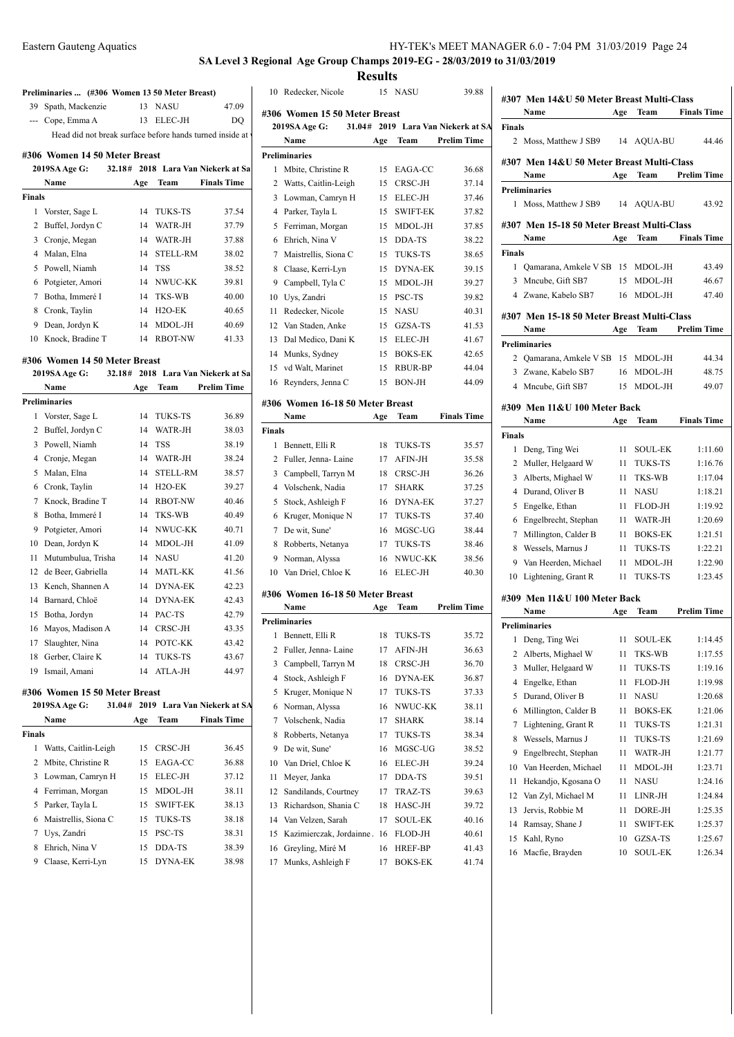# **SA Level 3 Regional Age Group Champs 2019-EG - 28/03/2019 to 31/03/2019 Results**

Redecker, Nicole 15 NASU 39.88

**Preliminaries ... (#306 Women 13 50 Meter Breast)** Spath, Mackenzie 13 NASU 47.09 --- Cope, Emma A 13 ELEC-JH DQ Head did not break surface before hands turned inside at v

### **#306 Women 14 50 Meter Breast**

|        | 2019SA Age G:    | 32.18# |     |                 | 2018 Lara Van Niekerk at Sa | 1  |
|--------|------------------|--------|-----|-----------------|-----------------------------|----|
|        | Name             |        | Age | Team            | <b>Finals Time</b>          | 2  |
| Finals |                  |        |     |                 |                             | 3  |
| 1      | Vorster, Sage L  |        | 14  | <b>TUKS-TS</b>  | 37.54                       | 4  |
| 2      | Buffel, Jordyn C |        | 14  | WATR-JH         | 37.79                       | 5  |
| 3      | Cronje, Megan    |        | 14  | WATR-JH         | 37.88                       | 6  |
| 4      | Malan, Elna      |        | 14  | <b>STELL-RM</b> | 38.02                       | 7  |
| 5      | Powell, Niamh    |        | 14  | <b>TSS</b>      | 38.52                       | 8  |
| 6      | Potgieter, Amori |        | 14  | NWUC-KK         | 39.81                       | 9  |
| 7      | Botha, Immeré I  |        | 14  | <b>TKS-WB</b>   | 40.00                       | 10 |
| 8      | Cronk, Taylin    |        | 14  | $H2O-EK$        | 40.65                       | 11 |
| 9      | Dean, Jordyn K   |        | 14  | MDOL-JH         | 40.69                       | 12 |
| 10     | Knock, Bradine T |        | 14  | <b>RBOT-NW</b>  | 41.33                       | 13 |

#### **#306 Women 14 50 Meter Breast**

|    | 2019SA Age G:<br>32.18# |     |                 | 2018 Lara Van Niekerk at Sa | 12             |
|----|-------------------------|-----|-----------------|-----------------------------|----------------|
|    | Name                    | Age | <b>Team</b>     | <b>Prelim Time</b>          | 16             |
|    | <b>Preliminaries</b>    |     |                 |                             | #306           |
| 1  | Vorster, Sage L         | 14  | <b>TUKS-TS</b>  | 36.89                       |                |
| 2  | Buffel, Jordyn C        | 14  | WATR-JH         | 38.03                       | <b>Final:</b>  |
| 3  | Powell, Niamh           | 14  | <b>TSS</b>      | 38.19                       | 1              |
| 4  | Cronje, Megan           | 14  | WATR-JH         | 38.24                       | 2              |
| 5  | Malan, Elna             | 14  | <b>STELL-RM</b> | 38.57                       | 3              |
| 6  | Cronk, Taylin           | 14  | $H2O-EK$        | 39.27                       | $\overline{4}$ |
| 7  | Knock, Bradine T        | 14  | <b>RBOT-NW</b>  | 40.46                       | 5              |
| 8  | Botha, Immeré I         | 14  | TKS-WB          | 40.49                       | 6              |
| 9  | Potgieter, Amori        | 14  | NWUC-KK         | 40.71                       | 7              |
| 10 | Dean, Jordyn K          | 14  | MDOL-JH         | 41.09                       | 8              |
| 11 | Mutumbulua, Trisha      | 14  | <b>NASU</b>     | 41.20                       | 9              |
| 12 | de Beer, Gabriella      | 14  | <b>MATL-KK</b>  | 41.56                       | 10             |
| 13 | Kench, Shannen A        | 14  | <b>DYNA-EK</b>  | 42.23                       |                |
| 14 | Barnard, Chloë          | 14  | <b>DYNA-EK</b>  | 42.43                       | #306           |
| 15 | Botha, Jordyn           | 14  | PAC-TS          | 42.79                       | Prelin         |
| 16 | Mayos, Madison A        | 14  | CRSC-JH         | 43.35                       | 1              |
| 17 | Slaughter, Nina         | 14  | POTC-KK         | 43.42                       |                |
| 18 | Gerber, Claire K        | 14  | <b>TUKS-TS</b>  | 43.67                       | 2<br>3         |
| 19 | Ismail, Amani           | 14  | ATLA-JH         | 44.97                       |                |
|    |                         |     |                 |                             | $\overline{4}$ |

# **#306 Women 15 50 Meter Breast**

|               | 2019SA Age G:<br>31.04# |     |                 | 2019 Lara Van Niekerk at SA | 6  |
|---------------|-------------------------|-----|-----------------|-----------------------------|----|
|               | Name                    | Age | <b>Team</b>     | <b>Finals Time</b>          | 7  |
| <b>Finals</b> |                         |     |                 |                             | 8  |
| 1             | Watts, Caitlin-Leigh    | 15. | CRSC-JH         | 36.45                       | 9  |
|               | 2 Mbite, Christine R    | 15  | EAGA-CC         | 36.88                       | 10 |
| 3             | Lowman, Camryn H        | 15  | ELEC-JH         | 37.12                       | 11 |
| 4             | Ferriman, Morgan        | 15. | MDOL-JH         | 38.11                       | 12 |
| 5             | Parker, Tayla L         | 15  | <b>SWIFT-EK</b> | 38.13                       | 13 |
| 6             | Maistrellis, Siona C    | 15  | TUKS-TS         | 38.18                       | 14 |
|               | Uys, Zandri             | 15  | <b>PSC-TS</b>   | 38.31                       | 15 |
| 8             | Ehrich, Nina V          | 15  | DDA-TS          | 38.39                       | 16 |
| 9             | Claase, Kerri-Lyn       | 15. | DYNA-EK         | 38.98                       | 17 |
|               |                         |     |                 |                             |    |

|               | #306 Women 15 50 Meter Breast    |     |                 |                                    | 11 J U I |
|---------------|----------------------------------|-----|-----------------|------------------------------------|----------|
|               | 2019SA Age G:                    |     |                 | 31.04# 2019 Lara Van Niekerk at SA | Finals   |
|               | Name                             | Age | Team            | <b>Prelim Time</b>                 |          |
|               | <b>Preliminaries</b>             |     |                 |                                    | #307     |
| 1             | Mbite, Christine R               | 15  | EAGA-CC         | 36.68                              |          |
| 2             | Watts, Caitlin-Leigh             | 15  | CRSC-JH         | 37.14                              | Prelin   |
| 3             | Lowman, Camryn H                 | 15  | ELEC-JH         | 37.46                              |          |
| 4             | Parker, Tayla L                  | 15  | <b>SWIFT-EK</b> | 37.82                              |          |
| 5             | Ferriman, Morgan                 | 15  | MDOL-JH         | 37.85                              | #307     |
| 6             | Ehrich, Nina V                   | 15  | DDA-TS          | 38.22                              |          |
| 7             | Maistrellis, Siona C             | 15  | <b>TUKS-TS</b>  | 38.65                              | Finals   |
| 8             | Claase, Kerri-Lyn                | 15  | <b>DYNA-EK</b>  | 39.15                              |          |
| 9             | Campbell, Tyla C                 | 15  | MDOL-JH         | 39.27                              |          |
| 10            | Uys, Zandri                      | 15  | PSC-TS          | 39.82                              | 4        |
| 11            | Redecker, Nicole                 | 15  | <b>NASU</b>     | 40.31                              | #307     |
|               | 12 Van Staden, Anke              | 15  | GZSA-TS         | 41.53                              |          |
| 13            | Dal Medico, Dani K               | 15  | ELEC-JH         | 41.67                              | Prelin   |
| 14            | Munks, Sydney                    | 15  | <b>BOKS-EK</b>  | 42.65                              |          |
|               | 15 vd Walt, Marinet              | 15  | <b>RBUR-BP</b>  | 44.04                              |          |
| 16            | Reynders, Jenna C                | 15  | BON-JH          | 44.09                              | 4        |
|               | #306 Women 16-18 50 Meter Breast |     |                 |                                    |          |
|               | Name                             | Age | Team            | <b>Finals Time</b>                 | #309     |
| <b>Finals</b> |                                  |     |                 |                                    |          |
| 1             | Bennett, Elli R                  | 18  | TUKS-TS         | 35.57                              | Finals   |
|               | 2 Fuller, Jenna- Laine           | 17  | AFIN-JH         | 35.58                              |          |
|               | 3 Campbell, Tarryn M             | 18  | CRSC-JH         | 36.26                              |          |
|               | 4 Volschenk, Nadia               | 17  | <b>SHARK</b>    | 37.25                              |          |
| 5             | Stock, Ashleigh F                | 16  | DYNA-EK         | 37.27                              |          |
| 6             | Kruger, Monique N                | 17  | <b>TUKS-TS</b>  | 37.40                              |          |
| 7             | De wit, Sune'                    | 16  | MGSC-UG         | 38.44                              |          |
| 8             | Robberts, Netanya                | 17  | <b>TUKS-TS</b>  | 38.46                              |          |
| 9             | Norman, Alyssa                   | 16  | NWUC-KK         | 38.56                              |          |
| 10            | Van Driel, Chloe K               | 16  | ELEC-JH         | 40.30                              |          |
|               |                                  |     |                 |                                    | 10       |
|               | #306 Women 16-18 50 Meter Breast |     |                 |                                    | #309     |
|               | Name                             | Age | Team            | <b>Prelim Time</b>                 |          |
|               | <b>Preliminaries</b>             |     |                 |                                    | Prelin   |
| 1             | Bennett, Elli R                  | 18  | TUKS-TS         | 35.72                              |          |
| 2             | Fuller, Jenna-Laine              | 17  | <b>AFIN-JH</b>  | 36.63                              |          |
| 3             | Campbell, Tarryn M               | 18  | CRSC-JH         | 36.70                              |          |
| 4             | Stock, Ashleigh F                | 16  | DYNA-EK         | 36.87                              |          |
| 5             | Kruger, Monique N                | 17  | <b>TUKS-TS</b>  | 37.33                              |          |
| 6             | Norman, Alyssa                   | 16  | NWUC-KK         | 38.11                              |          |
| 7             | Volschenk, Nadia                 | 17  | SHARK           | 38.14                              |          |
| 8             | Robberts, Netanya                | 17  | TUKS-TS         | 38.34                              |          |
| 9             | De wit, Sune'                    | 16  | MGSC-UG         | 38.52                              |          |
| 10            | Van Driel, Chloe K               | 16  | ELEC-JH         | 39.24                              | 10       |
| 11            | Meyer, Janka                     | 17  | DDA-TS          | 39.51                              | 11       |
| 12            | Sandilands, Courtney             | 17  | TRAZ-TS         | 39.63                              | 12       |
| 13            | Richardson, Shania C             | 18  | HASC-JH         | 39.72                              | 13       |
| 14            | Van Velzen, Sarah                | 17  | SOUL-EK         | 40.16                              | 14       |
| 15            | Kazimierczak, Jordainne.         | 16  | FLOD-JH         | 40.61                              | 15       |
| 16            | Greyling, Miré M                 | 16  | HREF-BP         | 41.43                              | 16       |
| 17            | Munks, Ashleigh F                | 17  | BOKS-EK         | 41.74                              |          |

|               | #307 Men 14&U 50 Meter Breast Multi-Class   |     |                |                    |
|---------------|---------------------------------------------|-----|----------------|--------------------|
|               | Name                                        | Age | Team           | <b>Finals Time</b> |
| Finals        |                                             |     |                |                    |
|               | 2 Moss, Matthew J SB9                       |     | 14 AQUA-BU     | 44.46              |
|               | #307 Men 14&U 50 Meter Breast Multi-Class   |     |                |                    |
|               | Name                                        | Age | Team           | <b>Prelim Time</b> |
| 1             | <b>Preliminaries</b><br>Moss, Matthew J SB9 | 14  | AQUA-BU        | 43.92              |
|               | #307 Men 15-18 50 Meter Breast Multi-Class  |     |                |                    |
|               | Name                                        | Age | Team           | <b>Finals Time</b> |
| <b>Finals</b> |                                             |     |                |                    |
| 1             | Qamarana, Amkele V SB 15                    |     | MDOL-JH        | 43.49              |
| 3             | Mncube, Gift SB7                            | 15  | MDOL-JH        | 46.67              |
|               | 4 Zwane, Kabelo SB7                         | 16  | MDOL-JH        | 47.40              |
|               | #307 Men 15-18 50 Meter Breast Multi-Class  |     |                |                    |
|               | Name                                        |     | Age Team       | <b>Prelim Time</b> |
|               | <b>Preliminaries</b>                        |     |                |                    |
| 2             | Qamarana, Amkele V SB 15                    |     | MDOL-JH        | 44.34              |
| 3             | Zwane, Kabelo SB7                           | 16  | MDOL-JH        | 48.75              |
| 4             | Mncube, Gift SB7                            | 15  | MDOL-JH        | 49.07              |
|               |                                             |     |                |                    |
|               | #309 Men 11&U 100 Meter Back                |     |                |                    |
|               | Name                                        | Age | Team           | <b>Finals Time</b> |
| <b>Finals</b> |                                             |     |                |                    |
| 1             | Deng, Ting Wei                              | 11  | <b>SOUL-EK</b> | 1:11.60            |
| 2             | Muller, Helgaard W                          | 11  | TUKS-TS        | 1:16.76            |
| 3             | Alberts, Mighael W                          | 11  | <b>TKS-WB</b>  | 1:17.04            |
| 4             | Durand, Oliver B                            | 11  | <b>NASU</b>    | 1:18.21            |
| 5             | Engelke, Ethan                              | 11  | FLOD-JH        | 1:19.92            |
| 6             | Engelbrecht, Stephan                        | 11  | WATR-JH        | 1:20.69            |
| 7             | Millington, Calder B                        | 11  | <b>BOKS-EK</b> | 1:21.51            |
| 8             | Wessels, Marnus J                           | 11  | <b>TUKS-TS</b> | 1:22.21            |
| 9             | Van Heerden, Michael                        | 11  | MDOL-JH        | 1:22.90            |
| 10            | Lightening, Grant R                         | 11  | <b>TUKS-TS</b> | 1:23.45            |
|               | #309 Men 11&U 100 Meter Back                |     |                |                    |
|               | Name                                        | Age | Team           | <b>Prelim Time</b> |
|               | <b>Preliminaries</b>                        |     |                |                    |
|               | 1 Deng, Ting Wei                            |     | 11 SOUL-EK     | 1:14.45            |
| 2             | Alberts, Mighael W                          | 11  | TKS-WB         | 1:17.55            |
| 3             | Muller, Helgaard W                          | 11  | TUKS-TS        | 1:19.16            |
| 4             | Engelke, Ethan                              | 11  | FLOD-JH        | 1:19.98            |
| 5             | Durand, Oliver B                            | 11  | NASU           | 1:20.68            |
| 6             | Millington, Calder B                        | 11  | BOKS-EK        | 1:21.06            |
| 7             | Lightening, Grant R                         | 11  | TUKS-TS        | 1:21.31            |
| 8             | Wessels, Marnus J                           | 11  | TUKS-TS        | 1:21.69            |
| 9             | Engelbrecht, Stephan                        | 11  | WATR-JH        | 1:21.77            |
| 10            | Van Heerden, Michael                        | 11  | MDOL-JH        | 1:23.71            |
| 11            | Hekandjo, Kgosana O                         | 11  | NASU           | 1:24.16            |
| 12            | Van Zyl, Michael M                          | 11  | LINR-JH        | 1:24.84            |
| 13            | Jervis, Robbie M                            | 11  | DORE-JH        | 1:25.35            |
| 14            | Ramsay, Shane J                             | 11  | SWIFT-EK       | 1:25.37            |
| 15            | Kahl, Ryno                                  | 10  | GZSA-TS        | 1:25.67            |
| 16            | Macfie, Brayden                             | 10  | SOUL-EK        | 1:26.34            |
|               |                                             |     |                |                    |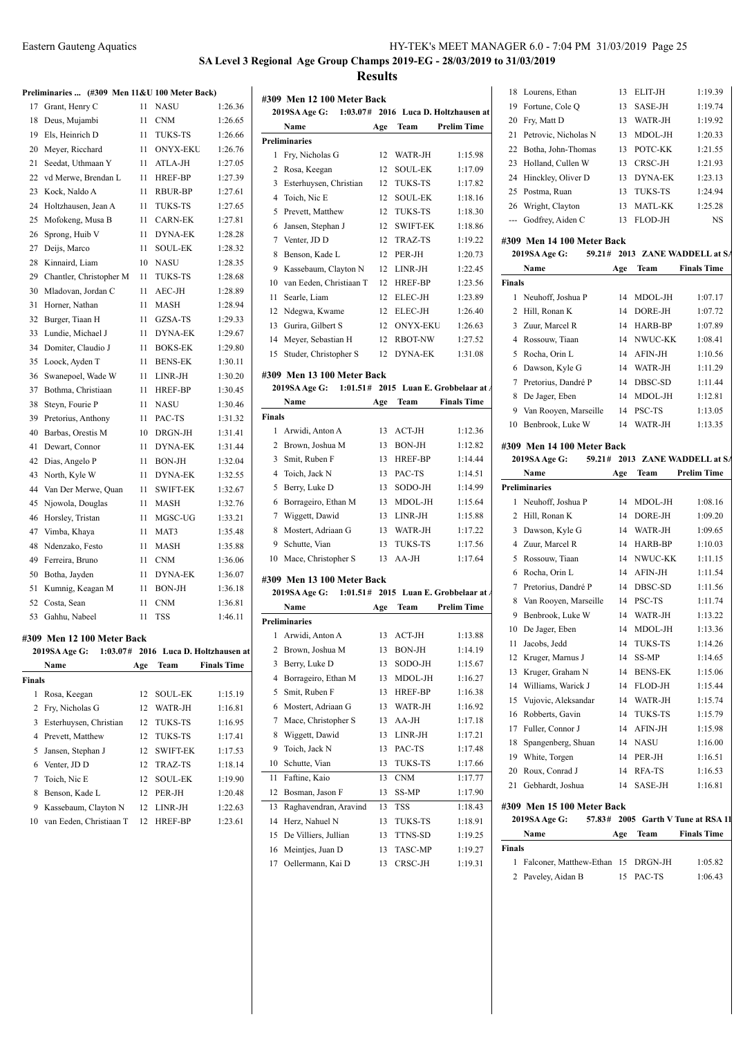**SA Level 3 Regional Age Group Champs 2019-EG - 28/03/2019 to 31/03/2019**

**Results**

**2019SA Age G: 1:03.07# 2016 Luca D. Holtzhausen at** 

**#309 Men 12 100 Meter Back**

| Preliminaries  (#309 Men 11&U 100 Meter Back) |  |  |  |  |
|-----------------------------------------------|--|--|--|--|
|                                               |  |  |  |  |

|               |                            |     |                 |                                      | #309                           |
|---------------|----------------------------|-----|-----------------|--------------------------------------|--------------------------------|
| 17            | Grant, Henry C             | 11  | NASU            | 1:26.36                              | 2019                           |
| 18            | Deus, Mujambi              | 11  | <b>CNM</b>      | 1:26.65                              | ľ                              |
| 19            | Els, Heinrich D            | 11  | <b>TUKS-TS</b>  | 1:26.66                              | Prelim                         |
| 20            | Meyer, Ricchard            | 11  | <b>ONYX-EKU</b> | 1:26.76                              | $\mathbf{F}$<br>1              |
| 21            | Seedat, Uthmaan Y          | 11  | ATLA-JH         | 1:27.05                              | $\mathbf I$<br>2               |
| 22            | vd Merwe, Brendan L        | 11  | HREF-BP         | 1:27.39                              | 3 <sub>1</sub>                 |
| 23            | Kock, Naldo A              | 11  | <b>RBUR-BP</b>  | 1:27.61                              | 4<br>ŋ                         |
| 24            | Holtzhausen, Jean A        | 11  | <b>TUKS-TS</b>  | 1:27.65                              | I<br>5                         |
| 25            | Mofokeng, Musa B           | 11  | <b>CARN-EK</b>  | 1:27.81                              | $\mathbf{J}$<br>6              |
| 26            | Sprong, Huib V             | 11  | <b>DYNA-EK</b>  | 1:28.28                              | J<br>$\overline{7}$            |
| 27            | Deijs, Marco               | 11  | <b>SOUL-EK</b>  | 1:28.32                              | I<br>8                         |
| 28            | Kinnaird, Liam             | 10  | NASU            | 1:28.35                              | $\bf I$<br>9                   |
| 29            | Chantler, Christopher M    | 11  | <b>TUKS-TS</b>  | 1:28.68                              | 10<br>N                        |
| 30            | Mladovan, Jordan C         | 11  | AEC-JH          | 1:28.89                              | Ś<br>11                        |
| 31            | Horner, Nathan             | 11  | <b>MASH</b>     | 1:28.94                              | ľ<br>12                        |
| 32            | Burger, Tiaan H            | 11  | GZSA-TS         | 1:29.33                              | 13<br>$\mathbf \zeta$          |
| 33            | Lundie, Michael J          | 11  | <b>DYNA-EK</b>  | 1:29.67                              | 14<br>ľ                        |
| 34            | Domiter, Claudio J         | 11  | <b>BOKS-EK</b>  | 1:29.80                              | Š<br>15                        |
| 35            | Loock, Ayden T             | 11  | <b>BENS-EK</b>  | 1:30.11                              |                                |
| 36            | Swanepoel, Wade W          | 11  | LINR-JH         | 1:30.20                              | #309                           |
| 37            | Bothma, Christiaan         | 11  | <b>HREF-BP</b>  | 1:30.45                              | 2019                           |
| 38            | Steyn, Fourie P            | 11  | <b>NASU</b>     | 1:30.46                              | ľ                              |
| 39            | Pretorius, Anthony         | 11  | PAC-TS          | 1:31.32                              | <b>Finals</b>                  |
| 40            | Barbas, Orestis M          | 10  | DRGN-JH         | 1:31.41                              | 1/                             |
| 41            | Dewart, Connor             | 11  | <b>DYNA-EK</b>  | 1:31.44                              | 2<br>$\mathbf{I}$              |
| 42            | Dias, Angelo P             | 11  | <b>BON-JH</b>   | 1:32.04                              | 3<br><sup>5</sup>              |
| 43            | North, Kyle W              | 11  | <b>DYNA-EK</b>  | 1:32.55                              | ŋ<br>$\overline{4}$            |
| 44            | Van Der Merwe, Quan        | 11  | <b>SWIFT-EK</b> | 1:32.67                              | 5 <sub>1</sub>                 |
| 45            | Njowola, Douglas           | 11  | <b>MASH</b>     | 1:32.76                              | $\mathbf I$<br>6               |
| 46            | Horsley, Tristan           | 11  | MGSC-UG         | 1:33.21                              | $\overline{7}$<br>٦            |
| 47            | Vimba, Khaya               | 11  | MAT3            | 1:35.48                              | 8<br>ľ                         |
| 48            | Ndenzako, Festo            | 11  | <b>MASH</b>     | 1:35.88                              | Š<br>9                         |
| 49            | Ferreira, Bruno            | 11  | <b>CNM</b>      | 1:36.06                              | 10 <sub>1</sub>                |
| 50            | Botha, Jayden              | 11  | <b>DYNA-EK</b>  | 1:36.07                              | #309                           |
| 51            | Kumnig, Keagan M           | 11  | <b>BON-JH</b>   | 1:36.18                              | 2019                           |
| 52            | Costa, Sean                | 11  | <b>CNM</b>      | 1:36.81                              | ľ                              |
| 53            | Gahhu, Nabeel              | 11  | <b>TSS</b>      | 1:46.11                              | Prelim                         |
|               | #309 Men 12 100 Meter Back |     |                 |                                      | 1<br>ł                         |
|               | 2019SA Age G:              |     |                 | 1:03.07# 2016 Luca D. Holtzhausen at | $\overline{2}$<br>$\mathbf{I}$ |
|               | Name                       | Age | Team            | <b>Finals Time</b>                   | $\mathbf I$<br>3               |
| <b>Finals</b> |                            |     |                 |                                      | $\bf I$<br>4                   |
|               | $1 \cdot Poes$ Keecan      |     | $12$ COLIL EV   | 1.1510                               | $\cdot$<br>$\mathcal{F}$       |

| Tnais |                            |     |                 |         |
|-------|----------------------------|-----|-----------------|---------|
| 1     | Rosa, Keegan               |     | 12 SOUL-EK      | 1:15.19 |
|       | 2 Fry, Nicholas G          |     | 12 WATR-JH      | 1:16.81 |
|       | 3 Esterhuysen, Christian   |     | 12 TUKS-TS      | 1:16.95 |
|       | 4 Prevett, Matthew         | 12. | TUKS-TS         | 1:17.41 |
|       | 5 Jansen, Stephan J        | 12. | <b>SWIFT-EK</b> | 1:17.53 |
|       | 6 Venter, JD D             | 12  | TRAZ-TS         | 1:18.14 |
|       | 7 Toich, Nic E             |     | 12 SOUL-EK      | 1:19.90 |
| 8     | Benson, Kade L             |     | 12 PER-JH       | 1:20.48 |
| 9     | Kassebaum, Clayton N       |     | 12 LINR-JH      | 1:22.63 |
|       | 10 van Eeden, Christiaan T | 12  | <b>HREF-BP</b>  | 1:23.61 |
|       |                            |     |                 |         |

|        | Name                                        | Age      | Team                           | <b>Prelim Time</b>                      | 20             |
|--------|---------------------------------------------|----------|--------------------------------|-----------------------------------------|----------------|
|        | <b>Preliminaries</b>                        |          |                                |                                         | 21             |
| 1      | Fry, Nicholas G                             | 12       | WATR-JH                        | 1:15.98                                 | 22             |
| 2      | Rosa, Keegan                                | 12       | <b>SOUL-EK</b>                 | 1:17.09                                 | 23             |
| 3      | Esterhuysen, Christian                      | 12       | <b>TUKS-TS</b>                 | 1:17.82                                 | 24             |
| 4      | Toich, Nic E                                | 12       | <b>SOUL-EK</b>                 | 1:18.16                                 | 25             |
| 5      | Prevett, Matthew                            | 12       | TUKS-TS                        | 1:18.30                                 | 26             |
| 6      | Jansen, Stephan J                           | 12       | <b>SWIFT-EK</b>                | 1:18.86                                 |                |
| 7      | Venter, JD D                                | 12       | TRAZ-TS                        | 1:19.22                                 | #30            |
| 8      | Benson, Kade L                              | 12       | PER-JH                         | 1:20.73                                 | $\mathbf{z}$   |
| 9      | Kassebaum, Clayton N                        | 12       | LINR-JH                        | 1:22.45                                 |                |
| 10     | van Eeden, Christiaan T                     | 12       | HREF-BP                        | 1:23.56                                 | Fina           |
| 11     | Searle, Liam                                | 12       | ELEC-JH                        | 1:23.89                                 | 1              |
| 12     | Ndegwa, Kwame                               | 12       | ELEC-JH                        | 1:26.40                                 | $\overline{c}$ |
| 13     | Gurira, Gilbert S                           | 12       | <b>ONYX-EKU</b>                | 1:26.63                                 | 3              |
|        | 14 Meyer, Sebastian H                       |          | 12 RBOT-NW                     | 1:27.52                                 | 4              |
| 15     | Studer, Christopher S                       |          | 12 DYNA-EK                     | 1:31.08                                 | 5              |
|        |                                             |          |                                |                                         | 6              |
|        | #309 Men 13 100 Meter Back                  |          |                                |                                         | 7              |
|        | 1:01.51#<br>2019SA Age G:                   |          |                                | 2015 Luan E. Grobbelaar at A            | 8              |
|        | Name                                        | Age      | Team                           | <b>Finals Time</b>                      | 9              |
| Finals |                                             |          |                                |                                         | 10             |
| 1      | Arwidi, Anton A                             | 13       | ACT-JH                         | 1:12.36                                 |                |
|        | 2 Brown, Joshua M                           | 13       | <b>BON-JH</b>                  | 1:12.82                                 | #30            |
| 3      | Smit, Ruben F                               | 13       | <b>HREF-BP</b>                 | 1:14.44                                 | $\mathbf{z}$   |
| 4      | Toich, Jack N                               | 13       | PAC-TS                         | 1:14.51                                 |                |
| 5      | Berry, Luke D                               | 13       | SODO-JH                        | 1:14.99                                 | Prel           |
| 6      | Borrageiro, Ethan M                         | 13       | MDOL-JH                        | 1:15.64                                 | 1              |
| 7      | Wiggett, Dawid                              | 13       | LINR-JH                        | 1:15.88                                 | $\overline{c}$ |
| 8      | Mostert, Adriaan G                          | 13       | WATR-JH                        | 1:17.22                                 | 3              |
| 9      | Schutte, Vian                               | 13       | <b>TUKS-TS</b>                 | 1:17.56                                 | 4              |
| 10     | Mace, Christopher S                         | 13       | AA-JH                          | 1:17.64                                 | 5              |
|        |                                             |          |                                |                                         | 6              |
|        | #309 Men 13 100 Meter Back<br>2019SA Age G: |          |                                | $1:01.51#$ 2015 Luan E. Grobbelaar at A | 7              |
|        | Name                                        | Age      | Team                           | <b>Prelim Time</b>                      | 8              |
|        | <b>Preliminaries</b>                        |          |                                |                                         | 9              |
| 1      | Arwidi, Anton A                             | 13       | ACT-JH                         | 1:13.88                                 | 10             |
|        | 2 Brown, Joshua M                           | 13       | $\operatorname{BON\text{-}JH}$ | 1:14.19                                 | 11             |
| 3      | Berry, Luke D                               | 13       | SODO-JH                        | 1:15.67                                 | 12             |
| 4      | Borrageiro, Ethan M                         | 13       | MDOL-JH                        | 1:16.27                                 | 13             |
|        | Smit, Ruben F                               |          |                                | 1:16.38                                 | 14             |
| 5      | Mostert, Adriaan G                          | 13<br>13 | HREF-BP<br>WATR-JH             | 1:16.92                                 | 15             |
| 6      |                                             |          | AA-JH                          | 1:17.18                                 | 16             |
| 7      | Mace, Christopher S                         | 13       |                                |                                         | 17             |
| 8      | Wiggett, Dawid                              | 13       | LINR-JH                        | 1:17.21                                 | 18             |
| 9      | Toich, Jack N                               | 13       | PAC-TS                         | 1:17.48                                 | 19             |
| 10     | Schutte, Vian                               | 13       | <b>TUKS-TS</b>                 | 1:17.66                                 | 20             |
| 11     | Faftine, Kaio                               | 13       | CNM                            | 1:17.77                                 | 21             |
| 12     | Bosman, Jason F                             | 13       | SS-MP                          | 1:17.90                                 |                |
| 13     | Raghavendran, Aravind                       | 13       | TSS                            | 1:18.43                                 | #30            |
| 14     | Herz, Nahuel N                              | 13       | TUKS-TS                        | 1:18.91                                 | $\mathbf{z}$   |
| 15     | De Villiers, Jullian                        | 13       | TTNS-SD                        | 1:19.25                                 |                |
| 16     | Meintjes, Juan D                            | 13       | TASC-MP                        | 1:19.27                                 | Fina           |
|        | 17 Oellermann, Kai D                        | 13       | CRSC-JH                        | 1:19.31                                 | 1              |

|    | 18 Lourens, Ethan       | 13. | ELIT-JH        | 1:19.39 |
|----|-------------------------|-----|----------------|---------|
| 19 | Fortune, Cole Q         | 13  | <b>SASE-JH</b> | 1:19.74 |
| 20 | Fry, Matt D             | 13  | WATR-JH        | 1:19.92 |
|    | 21 Petrovic, Nicholas N | 13  | MDOL-JH        | 1:20.33 |
|    | 22 Botha, John-Thomas   | 13  | POTC-KK        | 1:21.55 |
|    | 23 Holland, Cullen W    | 13  | CRSC-JH        | 1:21.93 |
|    | 24 Hinckley, Oliver D   | 13  | <b>DYNA-EK</b> | 1:23.13 |
|    | 25 Postma, Ruan         | 13  | <b>TUKS-TS</b> | 1:24.94 |
| 26 | Wright, Clayton         | 13  | <b>MATL-KK</b> | 1:25.28 |
|    | Godfrey, Aiden C        | 13  | FLOD-JH        | NS      |
|    |                         |     |                |         |

# **#309 Men 14 100 Meter Back**

|        | 2019SA Age G:<br>59.21# |     |            | 2013 ZANE WADDELL at SA |
|--------|-------------------------|-----|------------|-------------------------|
|        | Name                    | Age | Team       | <b>Finals Time</b>      |
| Finals |                         |     |            |                         |
| 1.     | Neuhoff, Joshua P       | 14  | MDOL-JH    | 1:07.17                 |
| 2      | Hill, Ronan K           | 14  | DORE-JH    | 1:07.72                 |
| 3      | Zuur, Marcel R          | 14  | HARB-BP    | 1:07.89                 |
| 4      | Rossouw, Tiaan          |     | 14 NWUC-KK | 1:08.41                 |
| 5.     | Rocha, Orin L           | 14  | AFIN-JH    | 1:10.56                 |
| 6      | Dawson, Kyle G          | 14  | WATR-JH    | 1:11.29                 |
| 7      | Pretorius, Dandré P     | 14  | DBSC-SD    | 1:11.44                 |
| 8      | De Jager, Eben          | 14  | MDOL-JH    | 1:12.81                 |
| 9      | Van Rooyen, Marseille   | 14  | PSC-TS     | 1:13.05                 |
| 10     | Benbrook, Luke W        | 14  | WATR-JH    | 1:13.35                 |
|        |                         |     |            |                         |

## **#309 Men 14 100 Meter Back**

|              | 2019SA Age G:         |     |                | 59.21# 2013 ZANE WADDELL at SA |
|--------------|-----------------------|-----|----------------|--------------------------------|
|              | Name                  | Age | <b>Team</b>    | <b>Prelim Time</b>             |
|              | <b>Preliminaries</b>  |     |                |                                |
| $\mathbf{1}$ | Neuhoff, Joshua P     | 14  | MDOL-JH        | 1:08.16                        |
| 2            | Hill, Ronan K         | 14  | DORE-JH        | 1:09.20                        |
| 3            | Dawson, Kyle G        | 14  | WATR-JH        | 1:09.65                        |
| 4            | Zuur, Marcel R        | 14  | HARB-BP        | 1:10.03                        |
| 5            | Rossouw, Tiaan        | 14  | NWUC-KK        | 1:11.15                        |
| 6            | Rocha, Orin L         | 14  | AFIN-JH        | 1:11.54                        |
| 7            | Pretorius, Dandré P   | 14  | DBSC-SD        | 1:11.56                        |
| 8            | Van Rooyen, Marseille | 14  | PSC-TS         | 1:11.74                        |
| 9            | Benbrook, Luke W      | 14  | WATR-JH        | 1:13.22                        |
| 10           | De Jager, Eben        | 14  | MDOL-JH        | 1:13.36                        |
| 11           | Jacobs, Jedd          | 14  | <b>TUKS-TS</b> | 1:14.26                        |
| 12           | Kruger, Marnus J      | 14  | SS-MP          | 1:14.65                        |
| 13           | Kruger, Graham N      | 14  | <b>BENS-EK</b> | 1:15.06                        |
| 14           | Williams, Warick J    | 14  | FLOD-JH        | 1:15.44                        |
| 15           | Vujovic, Aleksandar   | 14  | WATR-JH        | 1:15.74                        |
| 16           | Robberts, Gavin       | 14  | <b>TUKS-TS</b> | 1:15.79                        |
| 17           | Fuller, Connor J      | 14  | AFIN-JH        | 1:15.98                        |
| 18           | Spangenberg, Shuan    | 14  | <b>NASU</b>    | 1:16.00                        |
| 19           | White, Torgen         | 14  | PER-JH         | 1:16.51                        |
| 20           | Roux, Conrad J        | 14  | RFA-TS         | 1:16.53                        |
| 21           | Gebhardt, Joshua      | 14  | SASE-JH        | 1:16.81                        |
|              |                       |     |                |                                |

# **#309 Men 15 100 Meter Back**

|               | 2019SA Age G:                      |     |           | 57.83# 2005 Garth V Tune at RSA 11 |
|---------------|------------------------------------|-----|-----------|------------------------------------|
|               | Name                               | Age | Team      | <b>Finals Time</b>                 |
| <b>Finals</b> |                                    |     |           |                                    |
|               | Falconer, Matthew-Ethan 15 DRGN-JH |     |           | 1:05.82                            |
|               | 2 Paveley, Aidan B                 |     | 15 PAC-TS | 1:06.43                            |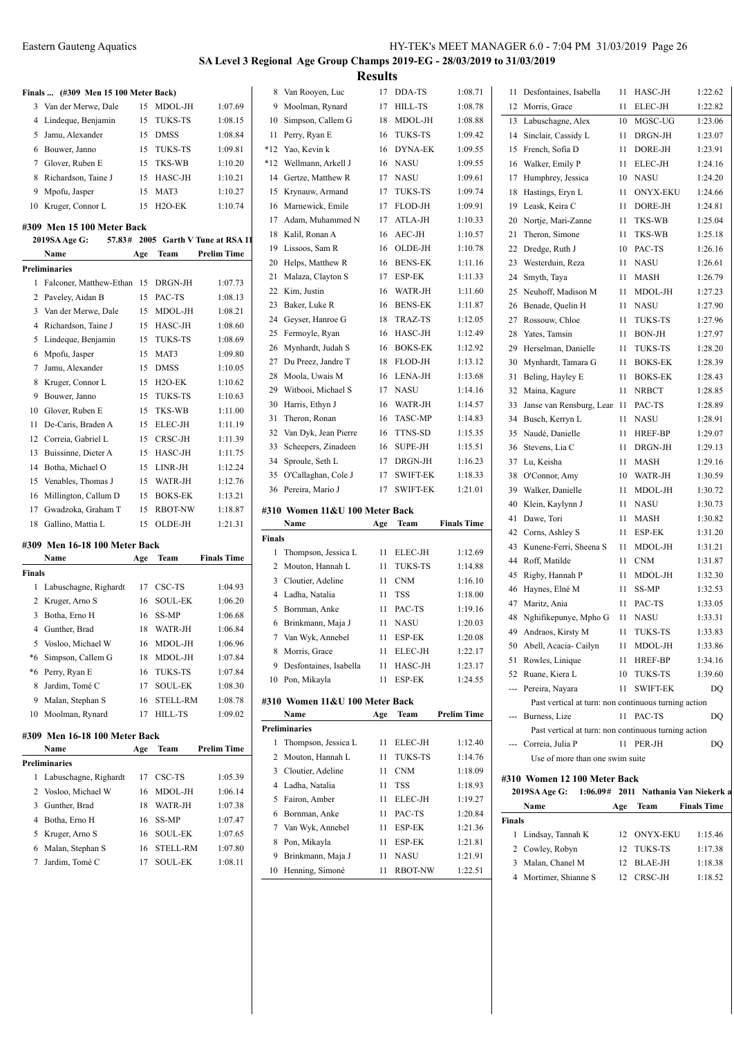# **SA Level 3 Regional Age Group Champs 2019-EG - 28/03/2019 to 31/03/2019 Results**<br>17 DDA-TS

|        | Finals  (#309 Men 15 100 Meter Back) |     |                     |                             | 8             | Van Rooyen, Lu       |
|--------|--------------------------------------|-----|---------------------|-----------------------------|---------------|----------------------|
|        | 3 Van der Merwe, Dale                | 15  | MDOL-JH             | 1:07.69                     | 9             | Moolman, Ryna        |
|        | 4 Lindeque, Benjamin                 | 15  | <b>TUKS-TS</b>      | 1:08.15                     | 10            | Simpson, Caller      |
| 5      | Jamu, Alexander                      | 15  | <b>DMSS</b>         | 1:08.84                     | 11            | Perry, Ryan E        |
|        | 6 Bouwer, Janno                      | 15  | <b>TUKS-TS</b>      | 1:09.81                     | *12           | Yao, Kevin k         |
|        | 7 Glover, Ruben E                    | 15  | TKS-WB              | 1:10.20                     | $*12$         | Wellmann, Arke       |
| 8      | Richardson, Taine J                  | 15  | HASC-JH             | 1:10.21                     | 14            | Gertze, Matthev      |
| 9      | Mpofu, Jasper                        | 15  | MAT3                | 1:10.27                     | 15            | Krynauw, Arma        |
|        | 10 Kruger, Connor L                  | 15  | H <sub>2</sub> O-EK | 1:10.74                     | 16            | Marnewick, Em        |
|        | #309 Men 15 100 Meter Back           |     |                     |                             | 17            | Adam, Muhamr         |
|        | 2019SA Age G:<br>57.83#              |     |                     | 2005 Garth V Tune at RSA 11 | 18            | Kalil, Ronan A       |
|        | Name                                 | Age | Team                | <b>Prelim Time</b>          | 19            | Lissoos, Sam R       |
|        | <b>Preliminaries</b>                 |     |                     |                             | 20            | Helps, Matthew       |
| 1      | Falconer, Matthew-Ethan              | 15  | DRGN-JH             | 1:07.73                     | 21            | Malaza, Claytor      |
|        |                                      |     | PAC-TS              |                             | 22            | Kim, Justin          |
|        | 2 Paveley, Aidan B                   | 15  |                     | 1:08.13                     | 23            | Baker, Luke R        |
|        | 3 Van der Merwe, Dale                | 15  | MDOL-JH             | 1:08.21                     | 24            | Geyser, Hanroe       |
|        | 4 Richardson, Taine J                | 15  | HASC-JH             | 1:08.60                     | 25            | Fermoyle, Ryan       |
| 5      | Lindeque, Benjamin                   | 15  | <b>TUKS-TS</b>      | 1:08.69                     | 26            | Mynhardt, Juda       |
|        | 6 Mpofu, Jasper                      | 15  | MAT3                | 1:09.80                     | 27            | Du Preez, Jandr      |
|        | 7 Jamu, Alexander                    | 15  | <b>DMSS</b>         | 1:10.05                     | 28            | Moola, Uwais N       |
| 8      | Kruger, Connor L                     | 15  | H <sub>2</sub> O-EK | 1:10.62                     | 29            | Witbooi, Micha       |
| 9      | Bouwer, Janno                        | 15  | <b>TUKS-TS</b>      | 1:10.63                     | 30            | Harris, Ethyn J      |
|        | 10 Glover, Ruben E                   | 15  | TKS-WB              | 1:11.00                     | 31            | Theron, Ronan        |
| 11     | De-Caris, Braden A                   | 15  | ELEC-JH             | 1:11.19                     | 32            | Van Dyk, Jean I      |
| 12     | Correia, Gabriel L                   | 15  | CRSC-JH             | 1:11.39                     | 33            | Scheepers, Zina      |
| 13     | Buissinne, Dieter A                  | 15  | HASC-JH             | 1:11.75                     | 34            | Sproule, Seth L      |
| 14     | Botha, Michael O                     | 15  | LINR-JH             | 1:12.24                     | 35            | O'Callaghan, Co      |
| 15     | Venables, Thomas J                   | 15  | WATR-JH             | 1:12.76                     |               | 36 Pereira, Mario J  |
| 16     | Millington, Callum D                 | 15  | <b>BOKS-EK</b>      | 1:13.21                     |               |                      |
| 17     | Gwadzoka, Graham T                   | 15  | <b>RBOT-NW</b>      | 1:18.87                     |               | #310 Women 11&       |
| 18     | Gallino, Mattia L                    | 15  | OLDE-JH             | 1:21.31                     |               | Name                 |
|        | #309 Men 16-18 100 Meter Back        |     |                     |                             | <b>Finals</b> |                      |
|        | Name                                 | Age | Team                | <b>Finals Time</b>          | 1             | Thompson, Jess       |
| Finals |                                      |     |                     |                             | 2             | Mouton, Hannal       |
|        | 1 Labuschagne, Righardt              | 17  | CSC-TS              | 1:04.93                     | 3             | Cloutier, Adelin     |
|        | 2 Kruger, Arno S                     | 16  | <b>SOUL-EK</b>      | 1:06.20                     | 4             | Ladha, Natalia       |
| 3      | Botha, Erno H                        | 16  | SS-MP               | 1:06.68                     | 5             | Bornman, Anke        |
|        | 4 Gunther, Brad                      | 18  | WATR-JH             | 1:06.84                     | 6             | Brinkmann, Ma        |
| 5      | Vosloo, Michael W                    | 16  | MDOL-JH             | 1:06.96                     | 7             | Van Wyk, Anne        |
| *6     | Simpson, Callem G                    | 18  | MDOL-JH             | 1:07.84                     | 8             | Morris, Grace        |
|        | *6 Perry, Ryan E                     | 16  | TUKS-TS             | 1:07.84                     | 9             | Desfontaines, Is     |
| 8      | Jardim, Tomé C                       | 17  | <b>SOUL-EK</b>      | 1:08.30                     |               | 10 Pon, Mikayla      |
|        | 9 Malan, Stephan S                   | 16  | <b>STELL-RM</b>     | 1:08.78                     |               | #310 Women 11&       |
| 10     | Moolman, Rynard                      | 17  | <b>HILL-TS</b>      | 1:09.02                     |               | Name                 |
|        |                                      |     |                     |                             |               | <b>Preliminaries</b> |
|        | #309 Men 16-18 100 Meter Back        |     |                     |                             | 1             | Thompson, Jess       |
|        | Name                                 | Age | Team                | <b>Prelim Time</b>          | 2             | Mouton, Hannal       |
|        | <b>Preliminaries</b>                 |     |                     |                             |               |                      |
| 1      | Labuschagne, Righardt                | 17  | CSC-TS              | 1:05.39                     | 3             | Cloutier, Adelin     |
|        | 2 Vosloo, Michael W                  | 16  | MDOL-JH             | 1:06.14                     | 4             | Ladha, Natalia       |
| 3      | Gunther, Brad                        | 18  | WATR-JH             | 1:07.38                     | 5             | Fairon, Amber        |
|        | 4 Botha, Erno H                      | 16  | SS-MP               | 1:07.47                     | 6             | Bornman, Anke        |
|        | 5 Kruger, Arno S                     | 16  | <b>SOUL-EK</b>      | 1:07.65                     | 7             | Van Wyk, Anne        |
|        | 6 Malan, Stephan S                   | 16  | STELL-RM            | 1:07.80                     | 8             | Pon, Mikayla         |
| 7      | Jardim, Tomé C                       | 17  | <b>SOUL-EK</b>      | 1:08.11                     | 9             | Brinkmann, Ma        |
|        |                                      |     |                     |                             |               | 10 Henning, Simor    |

| 8            | Van Rooyen, Luc                | 17  | DDA-TS          | 1:08.71            | 11            | Desfontaines, Isabella                               | 11       | HASC-JH                            | 1:22.62            |
|--------------|--------------------------------|-----|-----------------|--------------------|---------------|------------------------------------------------------|----------|------------------------------------|--------------------|
| 9            | Moolman, Rynard                | 17  | HILL-TS         | 1:08.78            | 12            | Morris, Grace                                        | 11       | ELEC-JH                            | 1:22.82            |
| 10           | Simpson, Callem G              | 18  | MDOL-JH         | 1:08.88            | 13            | Labuschagne, Alex                                    | 10       | MGSC-UG                            | 1:23.06            |
| 11           | Perry, Ryan E                  | 16  | TUKS-TS         | 1:09.42            | 14            | Sinclair, Cassidy L                                  | 11       | DRGN-JH                            | 1:23.07            |
| *12          | Yao, Kevin k                   | 16  | <b>DYNA-EK</b>  | 1:09.55            | 15            | French, Sofia D                                      | 11       | DORE-JH                            | 1:23.91            |
| $*12$        | Wellmann, Arkell J             | 16  | <b>NASU</b>     | 1:09.55            | 16            | Walker, Emily P                                      | 11       | ELEC-JH                            | 1:24.16            |
| 14           | Gertze, Matthew R              | 17  | <b>NASU</b>     | 1:09.61            | 17            | Humphrey, Jessica                                    | 10       | <b>NASU</b>                        | 1:24.20            |
| 15           | Krynauw, Armand                | 17  | TUKS-TS         | 1:09.74            | 18            | Hastings, Eryn L                                     | 11       | <b>ONYX-EKU</b>                    | 1:24.66            |
| 16           | Marnewick, Emile               | 17  | FLOD-JH         | 1:09.91            | 19            | Leask, Keira C                                       | 11       | DORE-JH                            | 1:24.81            |
| 17           | Adam, Muhammed N               | 17  | ATLA-JH         | 1:10.33            | 20            | Nortje, Mari-Zanne                                   | 11       | TKS-WB                             | 1:25.04            |
| 18           | Kalil, Ronan A                 | 16  | AEC-JH          | 1:10.57            | 21            | Theron, Simone                                       | 11       | TKS-WB                             | 1:25.18            |
| 19           | Lissoos, Sam R                 | 16  | OLDE-JH         | 1:10.78            | 22            | Dredge, Ruth J                                       | 10       | PAC-TS                             | 1:26.16            |
| 20           | Helps, Matthew R               | 16  | <b>BENS-EK</b>  | 1:11.16            | 23            | Westerduin, Reza                                     | 11       | <b>NASU</b>                        | 1:26.61            |
| 21           | Malaza, Clayton S              | 17  | ESP-EK          | 1:11.33            | 24            | Smyth, Taya                                          | 11       | MASH                               | 1:26.79            |
| 22           | Kim, Justin                    | 16  | WATR-JH         | 1:11.60            | 25            | Neuhoff, Madison M                                   | 11       | MDOL-JH                            | 1:27.23            |
| 23           | Baker, Luke R                  | 16  | <b>BENS-EK</b>  | 1:11.87            | 26            | Benade, Quelin H                                     | 11       | <b>NASU</b>                        | 1:27.90            |
| 24           | Geyser, Hanroe G               | 18  | TRAZ-TS         | 1:12.05            | 27            | Rossouw, Chloe                                       | 11       | <b>TUKS-TS</b>                     | 1:27.96            |
| 25           | Fermoyle, Ryan                 | 16  | HASC-JH         | 1:12.49            | 28            | Yates, Tamsin                                        | 11       | BON-JH                             | 1:27.97            |
| 26           | Mynhardt, Judah S              | 16  | <b>BOKS-EK</b>  | 1:12.92            | 29            | Herselman, Danielle                                  | 11       | <b>TUKS-TS</b>                     | 1:28.20            |
| 27           | Du Preez, Jandre T             | 18  | FLOD-JH         | 1:13.12            | 30            | Mynhardt, Tamara G                                   | 11       | <b>BOKS-EK</b>                     | 1:28.39            |
| 28           | Moola, Uwais M                 | 16  | LENA-JH         | 1:13.68            |               |                                                      | 11       | <b>BOKS-EK</b>                     | 1:28.43            |
| 29           | Witbooi, Michael S             | 17  | <b>NASU</b>     | 1:14.16            | 31            | Beling, Hayley E                                     |          |                                    |                    |
|              |                                | 16  |                 |                    | 32            | Maina, Kagure                                        | 11       | <b>NRBCT</b>                       | 1:28.85            |
| 30           | Harris, Ethyn J                |     | WATR-JH         | 1:14.57            | 33            | Janse van Rensburg, Lear                             | -11      | PAC-TS                             | 1:28.89            |
| 31           | Theron, Ronan                  | 16  | <b>TASC-MP</b>  | 1:14.83            | 34            | Busch, Kerryn L                                      | 11       | <b>NASU</b>                        | 1:28.91            |
| 32           | Van Dyk, Jean Pierre           | 16  | TTNS-SD         | 1:15.35            | 35            | Naudé, Danielle                                      | 11       | <b>HREF-BP</b>                     | 1:29.07            |
| 33           | Scheepers, Zinadeen            | 16  | <b>SUPE-JH</b>  | 1:15.51            | 36            | Stevens, Lia C                                       | 11       | DRGN-JH                            | 1:29.13            |
| 34           | Sproule, Seth L                | 17  | DRGN-JH         | 1:16.23            | 37            | Lu, Keisha                                           | 11       | <b>MASH</b>                        | 1:29.16            |
| 35           | O'Callaghan, Cole J            | 17  | <b>SWIFT-EK</b> | 1:18.33            | 38            | O'Connor, Amy                                        | 10       | WATR-JH                            | 1:30.59            |
| 36           | Pereira, Mario J               | 17  | <b>SWIFT-EK</b> | 1:21.01            | 39            | Walker, Danielle                                     | 11       | MDOL-JH                            | 1:30.72            |
|              | #310 Women 11&U 100 Meter Back |     |                 |                    | 40            | Klein, Kaylynn J                                     | 11       | <b>NASU</b>                        | 1:30.73            |
|              | Name                           | Age | Team            | <b>Finals Time</b> | 41            | Dawe, Tori                                           | 11       | <b>MASH</b>                        | 1:30.82            |
| Finals       |                                |     |                 |                    | 42            | Corns, Ashley S                                      | 11       | ESP-EK                             | 1:31.20            |
| $\mathbf{1}$ | Thompson, Jessica L            | 11  | ELEC-JH         | 1:12.69            | 43            | Kunene-Ferri, Sheena S                               | 11       | MDOL-JH                            | 1:31.21            |
| 2            | Mouton, Hannah L               | 11  | <b>TUKS-TS</b>  | 1:14.88            | 44            | Roff, Matilde                                        | 11       | <b>CNM</b>                         | 1:31.87            |
| 3            | Cloutier, Adeline              | 11  | <b>CNM</b>      | 1:16.10            | 45            | Rigby, Hannah P                                      | 11       | MDOL-JH                            | 1:32.30            |
| 4            | Ladha, Natalia                 | 11  | <b>TSS</b>      | 1:18.00            | 46            | Haynes, Elné M                                       | 11       | SS-MP                              | 1:32.53            |
| 5            | Bornman, Anke                  | 11  | PAC-TS          | 1:19.16            | 47            | Maritz, Ania                                         | 11       | PAC-TS                             | 1:33.05            |
|              | 6 Brinkmann, Maja J            | 11  | <b>NASU</b>     | 1:20.03            | 48            | Nghifikepunye, Mpho G                                | 11       | <b>NASU</b>                        | 1:33.31            |
| 7            | Van Wyk, Annebel               | 11  | <b>ESP-EK</b>   | 1:20.08            | 49            | Andraos, Kirsty M                                    | 11       | <b>TUKS-TS</b>                     | 1:33.83            |
|              | 8 Morris, Grace                |     | 11 ELEC-JH      | 1:22.17            |               | 50 Abell, Acacia-Cailyn                              | 11       | MDOL-JH                            | 1:33.86            |
|              | 9 Desfontaines, Isabella       | 11  | HASC-JH         | 1:23.17            |               | 51 Rowles, Linique                                   | 11       | HREF-BP                            | 1:34.16            |
|              | 10 Pon, Mikayla                |     | 11 ESP-EK       | 1:24.55            |               | 52 Ruane, Kiera L                                    | 10       | TUKS-TS                            | 1:39.60            |
|              |                                |     |                 |                    |               | --- Pereira, Nayara                                  | 11       | <b>SWIFT-EK</b>                    | DQ                 |
|              | #310 Women 11&U 100 Meter Back |     |                 |                    |               | Past vertical at turn: non continuous turning action |          |                                    |                    |
|              | Name                           | Age | <b>Team</b>     | <b>Prelim Time</b> |               | --- Burness, Lize                                    |          | 11 PAC-TS                          | DQ                 |
|              | Preliminaries                  |     |                 |                    |               | Past vertical at turn: non continuous turning action |          |                                    |                    |
|              | 1 Thompson, Jessica L          |     | 11 ELEC-JH      | 1:12.40            |               | --- Correia, Julia P                                 |          | 11 PER-JH                          | DQ                 |
| 2            | Mouton, Hannah L               | 11  | <b>TUKS-TS</b>  | 1:14.76            |               | Use of more than one swim suite                      |          |                                    |                    |
|              | 3 Cloutier, Adeline            | 11  | <b>CNM</b>      | 1:18.09            |               | #310 Women 12 100 Meter Back                         |          |                                    |                    |
|              | 4 Ladha, Natalia               | 11  | <b>TSS</b>      | 1:18.93            |               | 2019SA Age G:                                        |          | 1:06.09# 2011 Nathania Van Niekerl |                    |
|              | 5 Fairon, Amber                | 11  | <b>ELEC-JH</b>  | 1:19.27            |               | Name                                                 | Age      | Team                               | <b>Finals Time</b> |
|              | 6 Bornman, Anke                | 11  | PAC-TS          | 1:20.84            | <b>Finals</b> |                                                      |          |                                    |                    |
|              | 7 Van Wyk, Annebel             | 11  | ESP-EK          | 1:21.36            |               | 1 Lindsay, Tannah K                                  | 12       | ONYX-EKU                           | 1:15.46            |
|              | 8 Pon, Mikayla                 | 11  | ESP-EK          | 1:21.81            |               |                                                      |          |                                    |                    |
| 9            | Brinkmann, Maja J              | 11  | <b>NASU</b>     | 1:21.91            | 3             | 2 Cowley, Robyn<br>Malan, Chanel M                   | 12       | TUKS-TS                            | 1:17.38            |
|              | 10 Henning, Simoné             | 11  | <b>RBOT-NW</b>  | 1:22.51            | 4             | Mortimer, Shianne S                                  | 12<br>12 | BLAE-JH<br>CRSC-JH                 | 1:18.38<br>1:18.52 |
|              |                                |     |                 |                    |               |                                                      |          |                                    |                    |
|              |                                |     |                 |                    |               |                                                      |          |                                    |                    |

|          | 2019SA Age G:                                        |          | 1:06.09# 2011 Nathania Van Niekerk |                    |
|----------|------------------------------------------------------|----------|------------------------------------|--------------------|
|          | #310 Women 12 100 Meter Back                         |          |                                    |                    |
|          | Use of more than one swim suite                      |          |                                    |                    |
|          | Correia, Julia P                                     | 11       | PER-JH                             | DQ                 |
|          | Past vertical at turn: non continuous turning action |          |                                    |                    |
|          | Burness, Lize                                        | 11       | PAC-TS                             | DQ                 |
|          | Past vertical at turn: non continuous turning action |          |                                    |                    |
|          | --- Pereira, Nayara                                  | 11       | <b>SWIFT-EK</b>                    | DO                 |
|          | 52 Ruane, Kiera L                                    | 10       | <b>TUKS-TS</b>                     | 1:39.60            |
| 51       | Rowles, Linique                                      | 11       | HREF-BP                            | 1:34.16            |
| 50       | Abell, Acacia-Cailyn                                 | 11       | MDOL-JH                            | 1:33.86            |
| 49       | Andraos, Kirsty M                                    | 11       | TUKS-TS                            | 1:33.83            |
| 48       | Nghifikepunye, Mpho G                                | 11       | NASU                               | 1:33.31            |
| 47       | Maritz, Ania                                         | 11       | PAC-TS                             | 1:33.05            |
| 46       | Haynes, Elné M                                       | 11       | SS-MP                              | 1:32.53            |
| 45       | Rigby, Hannah P                                      | 11       | MDOL-JH                            | 1:32.30            |
| 44       | Roff, Matilde                                        | 11       | <b>CNM</b>                         | 1:31.87            |
| 43       | Kunene-Ferri, Sheena S                               | 11       | MDOL-JH                            | 1:31.21            |
| 42       | Corns, Ashley S                                      | 11       | ESP-EK                             | 1:31.20            |
| 41       | Dawe, Tori                                           | 11       | MASH                               | 1:30.82            |
| 40       | Klein, Kaylynn J                                     | 11       | <b>NASU</b>                        | 1:30.73            |
| 39       | Walker, Danielle                                     | 11       | MDOL-JH                            | 1:30.72            |
| 38       | O'Connor, Amy                                        | 10       | WATR-JH                            | 1:30.59            |
| 37       | Lu, Keisha                                           | 11       | MASH                               | 1:29.16            |
| 36       | Stevens, Lia C                                       | 11       | DRGN-JH                            | 1:29.13            |
| 35       | Naudé, Danielle                                      | 11       | HREF-BP                            | 1:29.07            |
| 34       | Busch, Kerryn L                                      | 11       | <b>NASU</b>                        | 1:28.91            |
| 33       | Janse van Rensburg, Lean                             | 11       | PAC-TS                             | 1:28.89            |
| 32       | Maina, Kagure                                        | 11       | <b>NRBCT</b>                       | 1:28.85            |
| 31       | Beling, Hayley E                                     | 11       | <b>BOKS-EK</b>                     | 1:28.43            |
| 30       | Mynhardt, Tamara G                                   | 11       | <b>BOKS-EK</b>                     | 1:28.39            |
| 29       | Herselman, Danielle                                  | 11       | <b>TUKS-TS</b>                     | 1:28.20            |
| 28       | Yates, Tamsin                                        | 11       | <b>BON-JH</b>                      | 1:27.97            |
| 27       | Rossouw, Chloe                                       | 11       | <b>TUKS-TS</b>                     | 1:27.96            |
| 26       | Benade, Quelin H                                     | 11       | <b>NASU</b>                        | 1:27.90            |
| 25       | Neuhoff, Madison M                                   | 11       | MDOL-JH                            | 1:27.23            |
| 24       | Smyth, Taya                                          | 11       | <b>MASH</b>                        | 1:26.79            |
| 23       | Westerduin, Reza                                     | 11       | <b>NASU</b>                        | 1:26.61            |
| 22       | Dredge, Ruth J                                       | 10       | PAC-TS                             | 1:26.16            |
| 21       | Theron, Simone                                       | 11       | TKS-WB                             | 1:25.18            |
| 20       | Nortje, Mari-Zanne                                   | 11       | TKS-WB                             | 1:25.04            |
| 19       | Leask, Keira C                                       | 11       | DORE-JH                            | 1:24.81            |
| 18       | Hastings, Eryn L                                     | 11       | <b>ONYX-EKU</b>                    | 1:24.66            |
| 17       | Humphrey, Jessica                                    | 10       | <b>NASU</b>                        | 1:24.20            |
| 16       | Walker, Emily P                                      | 11       | ELEC-JH                            | 1:24.16            |
| 15       | Sinclair, Cassidy L<br>French, Sofia D               | 11<br>11 | DORE-JH                            | 1:23.07<br>1:23.91 |
| 13<br>14 | Labuschagne, Alex                                    | 10       | MGSC-UG<br>DRGN-JH                 | 1:23.06            |
| 12       | Morris, Grace                                        | 11       | <b>ELEC-JH</b>                     | 1:22.82            |
|          |                                                      |          |                                    |                    |

|   | Name |                         | Age                                                                              | Team    | <b>Finals Time</b>                                                        |
|---|------|-------------------------|----------------------------------------------------------------------------------|---------|---------------------------------------------------------------------------|
|   |      |                         |                                                                                  |         |                                                                           |
|   |      |                         |                                                                                  |         | 1:15.46                                                                   |
|   |      |                         | 12 <sup>12</sup>                                                                 |         | 1:17.38                                                                   |
| 3 |      |                         | 12.                                                                              |         | 1:18.38                                                                   |
| 4 |      |                         | 12                                                                               | CRSC-JH | 1:18.52                                                                   |
|   |      | 2019SA Age G:<br>Finals | 1 Lindsay, Tannah K<br>2 Cowley, Robyn<br>Malan, Chanel M<br>Mortimer, Shianne S |         | 1:06.09# 2011 Nathania Van Niekerk a<br>12 ONYX-EKU<br>TUKS-TS<br>BLAE-JH |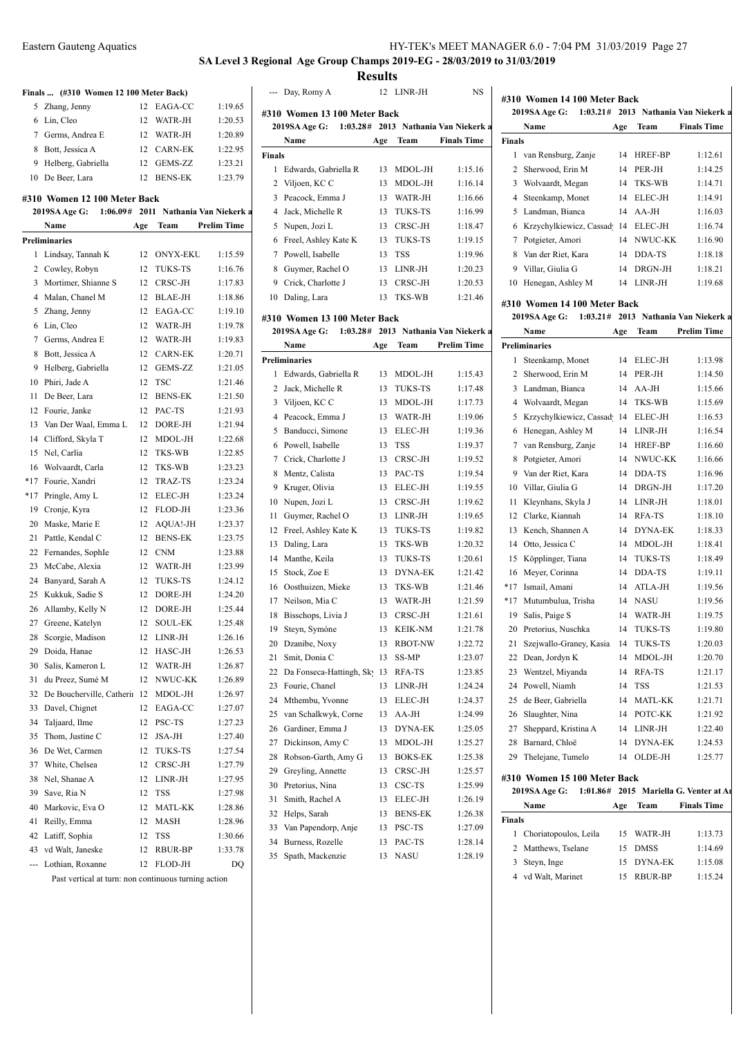**#310 Women 14 100 Meter Back**

### **SA Level 3 Regional Age Group Champs 2019-EG - 28/03/2019 to 31/03/2019 Results**

--- Day, Romy A 12 LINR-JH NS

**2019SA Age G: 1:03.28# 2013 Nathania Van Niekerk at 2013 B**

**#310 Women 13 100 Meter Back**

| Finals  (#310 Women 12 100 Meter Back) |  |  |  |  |
|----------------------------------------|--|--|--|--|
|----------------------------------------|--|--|--|--|

| 5 Zhang, Jenny       |                 | 12 EAGA-CC | 1:19.65 |
|----------------------|-----------------|------------|---------|
| 6 Lin, Cleo          | 12.             | WATR-JH    | 1:20.53 |
| 7 Germs, Andrea E    | 12 <sup>1</sup> | WATR-JH    | 1:20.89 |
| 8 Bott, Jessica A    |                 | 12 CARN-EK | 1:22.95 |
| 9 Helberg, Gabriella |                 | 12 GEMS-ZZ | 1:23.21 |
| 10 De Beer, Lara     |                 | 12 BENS-EK | 1:23.79 |

#### **#310 Women 12 100 Meter Back**

|       | 2019SA Age G:             |     |                 | 1:06.09# 2011 Nathania Van Niekerk a | 4              |
|-------|---------------------------|-----|-----------------|--------------------------------------|----------------|
|       | Name                      | Age | Team            | <b>Prelim Time</b>                   | 5              |
|       | Preliminaries             |     |                 |                                      | 6              |
| 1     | Lindsay, Tannah K         | 12  | <b>ONYX-EKU</b> | 1:15.59                              | 7              |
| 2     | Cowley, Robyn             | 12  | <b>TUKS-TS</b>  | 1:16.76                              | 8              |
| 3     | Mortimer, Shianne S       | 12  | CRSC-JH         | 1:17.83                              | 9              |
| 4     | Malan, Chanel M           | 12  | BLAE-JH         | 1:18.86                              | 10             |
| 5     | Zhang, Jenny              | 12  | EAGA-CC         | 1:19.10                              |                |
| 6     | Lin, Cleo                 | 12  | WATR-JH         | 1:19.78                              | #310           |
| 7     | Germs, Andrea E           | 12  | WATR-JH         | 1:19.83                              | 20             |
| 8     | Bott, Jessica A           | 12  | CARN-EK         | 1:20.71                              |                |
| 9     | Helberg, Gabriella        | 12  | GEMS-ZZ         | 1:21.05                              | Preli          |
| 10    | Phiri, Jade A             | 12  | <b>TSC</b>      | 1:21.46                              | 1<br>2         |
| 11    | De Beer, Lara             | 12  | <b>BENS-EK</b>  | 1:21.50                              | 3              |
| 12    | Fourie, Janke             | 12  | PAC-TS          | 1:21.93                              | $\overline{4}$ |
| 13    | Van Der Waal, Emma L      | 12  | DORE-JH         | 1:21.94                              | 5              |
| 14    | Clifford, Skyla T         | 12  | MDOL-JH         | 1:22.68                              | 6              |
| 15    | Nel, Carlia               | 12  | TKS-WB          | 1:22.85                              | 7              |
| 16    | Wolvaardt, Carla          | 12  | TKS-WB          | 1:23.23                              |                |
| $*17$ | Fourie, Xandri            | 12  | TRAZ-TS         | 1:23.24                              | 8<br>9         |
| $*17$ | Pringle, Amy L            | 12  | ELEC-JH         | 1:23.24                              |                |
| 19    | Cronje, Kyra              | 12  | FLOD-JH         | 1:23.36                              | 10<br>11       |
| 20    | Maske, Marie E            | 12  | AQUA!-JH        | 1:23.37                              | 12             |
| 21    | Pattle, Kendal C          | 12  | <b>BENS-EK</b>  | 1:23.75                              | 13             |
| 22    | Fernandes, SophIe         | 12  | <b>CNM</b>      | 1:23.88                              | 14             |
| 23    | McCabe, Alexia            | 12  | WATR-JH         | 1:23.99                              | 15             |
| 24    | Banyard, Sarah A          | 12  | TUKS-TS         | 1:24.12                              | 16             |
| 25    | Kukkuk, Sadie S           | 12  | DORE-JH         | 1:24.20                              | 17             |
| 26    | Allamby, Kelly N          | 12  | DORE-JH         | 1:25.44                              | 18             |
| 27    | Greene, Katelyn           | 12  | SOUL-EK         | 1:25.48                              | 19             |
| 28    | Scorgie, Madison          | 12  | LINR-JH         | 1:26.16                              | 20             |
| 29    | Doida, Hanae              | 12  | HASC-JH         | 1:26.53                              | 21             |
| 30    | Salis, Kameron L          | 12  | WATR-JH         | 1:26.87                              | 22             |
| 31    | du Preez, Sumé M          | 12  | NWUC-KK         | 1:26.89                              | 23             |
| 32    | De Boucherville, Catherir | 12  | MDOL-JH         | 1:26.97                              | 24             |
| 33    | Davel, Chignet            | 12  | EAGA-CC         | 1:27.07                              | 25             |
| 34    | Taljaard, Ilme            | 12  | PSC-TS          | 1:27.23                              | 26             |
| 35    | Thom, Justine C           | 12  | JSA-JH          | 1:27.40                              | 27             |
| 36    | De Wet, Carmen            | 12  | TUKS-TS         | 1:27.54                              | 28             |
| 37    | White, Chelsea            | 12  | CRSC-JH         | 1:27.79                              | 29             |
| 38    | Nel, Shanae A             | 12  | LINR-JH         | 1:27.95                              | 30             |
| 39    | Save, Ria N               | 12  | TSS             | 1:27.98                              | 31             |
| 40    | Markovic, Eva O           | 12  | MATL-KK         | 1:28.86                              | 32             |
| 41    | Reilly, Emma              | 12  | MASH            | 1:28.96                              | 33             |
| 42    | Latiff, Sophia            | 12  | TSS             | 1:30.66                              | 34             |
| 43    | vd Walt, Janeske          | 12  | RBUR-BP         | 1:33.78                              | 35             |
| ---   | Lothian, Roxanne          | 12  | FLOD-JH         | DO                                   |                |

**Name Age Team Finals Time Finals** 1 Edwards, Gabriella R 13 MDOL-JH 1:15.16 2 Viljoen, KC C 13 MDOL-JH 1:16.14 3 Peacock, Emma J 13 WATR-JH 1:16.66 4 Jack, Michelle R 13 TUKS-TS 1:16.99 5 Nupen, Jozi L 13 CRSC-JH 1:18.47 Freel, Ashley Kate K 13 TUKS-TS 1:19.15 Powell, Isabelle 13 TSS 1:19.96 8 Guymer, Rachel O 13 LINR-JH 1:20.23 9 Crick, Charlotte J 13 CRSC-JH 1:20.53 Daling, Lara 13 TKS-WB 1:21.46 **#310 Women 13 100 Meter Back 2019SA Age G: 1:03.28# 2013** Nathania Van Niekerk at **Name Age Team Prelim Time Preliminaries** 1 Edwards, Gabriella R 13 MDOL-JH 1:15.43 2 Jack, Michelle R 13 TUKS-TS 1:17.48 Viljoen, KC C 13 MDOL-JH 1:17.73 4 Peacock, Emma J 13 WATR-JH 1:19.06 5 Banducci, Simone 13 ELEC-JH 1:19.36 Powell, Isabelle 13 TSS 1:19.37 7 Crick, Charlotte J 13 CRSC-JH 1:19.52 Mentz, Calista 13 PAC-TS 1:19.54 9 Kruger, Olivia 13 ELEC-JH 1:19.55 10 Nupen, Jozi L 13 CRSC-JH 1:19.62 11 Guymer, Rachel O 13 LINR-JH 1:19.65 12 Freel, Ashley Kate K 13 TUKS-TS 1:19.82 Daling, Lara 13 TKS-WB 1:20.32 14 Manthe, Keila 13 TUKS-TS 1:20.61 15 Stock, Zoe E 13 DYNA-EK 1:21.42 Oosthuizen, Mieke 13 TKS-WB 1:21.46 17 Neilson, Mia C 13 WATR-JH 1:21.59 18 Bisschops, Livia J 13 CRSC-JH 1:21.61 Steyn, Symóne 13 KEIK-NM 1:21.78 Dzanibe, Noxy 13 RBOT-NW 1:22.72 21 Smit, Donia C 13 SS-MP 1:23.07 22 Da Fonseca-Hattingh, Sky 13 RFA-TS 1:23.85 23 Fourie, Chanel 13 LINR-JH 1:24.24 Mthembu, Yvonne 13 ELEC-JH 1:24.37 25 van Schalkwyk, Corne 13 AA-JH 1:24.99 26 Gardiner, Emma J 13 DYNA-EK 1:25.05 27 Dickinson, Amy C 13 MDOL-JH 1:25.27 28 Robson-Garth, Amy G 13 BOKS-EK 1:25.38 29 Greyling, Annette 13 CRSC-JH 1:25.57 Pretorius, Nina 13 CSC-TS 1:25.99 31 Smith, Rachel A 13 ELEC-JH 1:26.19 Helps, Sarah 13 BENS-EK 1:26.38 Van Papendorp, Anje 13 PSC-TS 1:27.09 Burness, Rozelle 13 PAC-TS 1:28.14 Spath, Mackenzie 13 NASU 1:28.19

|               | 2019SA Age G:           |     |                | $1:03.21#$ 2013 Nathania Van Niekerk a |
|---------------|-------------------------|-----|----------------|----------------------------------------|
|               | Name                    | Age | Team           | <b>Finals Time</b>                     |
| <b>Finals</b> |                         |     |                |                                        |
| 1             | van Rensburg, Zanje     | 14  | <b>HREF-BP</b> | 1:12.61                                |
| 2             | Sherwood, Erin M        | 14  | PER-JH         | 1:14.25                                |
|               | 3 Wolvaardt, Megan      | 14  | TKS-WB         | 1:14.71                                |
| 4             | Steenkamp, Monet        | 14  | ELEC-JH        | 1:14.91                                |
| 5.            | Landman, Bianca         | 14  | $AA-JH$        | 1:16.03                                |
| 6             | Krzychylkiewicz, Cassad | 14  | ELEC-JH        | 1:16.74                                |
| 7             | Potgieter, Amori        | 14  | NWUC-KK        | 1:16.90                                |
| 8             | Van der Riet, Kara      | 14  | DDA-TS         | 1:18.18                                |
| 9             | Villar, Giulia G        | 14  | DRGN-JH        | 1:18.21                                |
| 10            | Henegan, Ashley M       |     | 14 LINR-JH     | 1:19.68                                |
|               | .                       |     |                |                                        |

#### **#310 Women 14 100 Meter Back 2019SA Age G: 1:03.21# 2013 Nathania Van Niekerk at**

|                | Name                       | Age | Team           | <b>Prelim Time</b> |
|----------------|----------------------------|-----|----------------|--------------------|
|                | <b>Preliminaries</b>       |     |                |                    |
| 1              | Steenkamp, Monet           | 14  | ELEC-JH        | 1:13.98            |
| $\overline{c}$ | Sherwood, Erin M           | 14  | PER-JH         | 1:14.50            |
| 3              | Landman, Bianca            | 14  | $AA-JH$        | 1:15.66            |
| 4              | Wolvaardt, Megan           | 14  | TKS-WB         | 1:15.69            |
| 5              | Krzychylkiewicz, Cassad 14 |     | ELEC-JH        | 1:16.53            |
| 6              | Henegan, Ashley M          | 14  | LINR-JH        | 1:16.54            |
| 7              | van Rensburg, Zanje        | 14  | HREF-BP        | 1:16.60            |
| 8              | Potgieter, Amori           | 14  | NWUC-KK        | 1:16.66            |
| 9              | Van der Riet, Kara         | 14  | DDA-TS         | 1:16.96            |
| 10             | Villar, Giulia G           | 14  | DRGN-JH        | 1:17.20            |
| 11             | Kleynhans, Skyla J         | 14  | LINR-JH        | 1:18.01            |
| 12             | Clarke, Kiannah            | 14  | RFA-TS         | 1:18.10            |
| 13             | Kench, Shannen A           | 14  | <b>DYNA-EK</b> | 1:18.33            |
| 14             | Otto, Jessica C            | 14  | MDOL-JH        | 1:18.41            |
| 15             | Köpplinger, Tiana          | 14  | TUKS-TS        | 1:18.49            |
| 16             | Meyer, Corinna             | 14  | DDA-TS         | 1:19.11            |
| $*17$          | Ismail, Amani              | 14  | ATLA-JH        | 1:19.56            |
| $*17$          | Mutumbulua, Trisha         | 14  | <b>NASU</b>    | 1:19.56            |
| 19             | Salis, Paige S             | 14  | WATR-JH        | 1:19.75            |
| 20             | Pretorius, Nuschka         | 14  | <b>TUKS-TS</b> | 1:19.80            |
| 21             | Szejwallo-Graney, Kasia    | 14  | TUKS-TS        | 1:20.03            |
| 22             | Dean, Jordyn K             | 14  | MDOL-JH        | 1:20.70            |
| 23             | Wentzel, Miyanda           | 14  | RFA-TS         | 1:21.17            |
| 24             | Powell, Niamh              | 14  | <b>TSS</b>     | 1:21.53            |
| 25             | de Beer, Gabriella         | 14  | <b>MATL-KK</b> | 1:21.71            |
| 26             | Slaughter, Nina            | 14  | POTC-KK        | 1:21.92            |
| 27             | Sheppard, Kristina A       | 14  | LINR-JH        | 1:22.40            |
| 28             | Barnard, Chloë             | 14  | <b>DYNA-EK</b> | 1:24.53            |
| 29             | Thelejane, Tumelo          | 14  | OLDE-JH        | 1:25.77            |
|                |                            |     |                |                    |

#### **#310 Women 15 100 Meter Back**

**2019SA Age G: 1:01.86# 2015 Mariella G. Venter at Amsterda Name Age Team Finals Time Finals** Choriatopoulos, Leila 15 WATR-JH 1:13.73 2 Matthews, Tselane 15 DMSS 1:14.69

| 2 Maunews, iselane | 12 D.W.S.S | 1.14.09 |
|--------------------|------------|---------|
| 3 Steyn, Inge      | 15 DYNA-EK | 1:15.08 |
| 4 vd Walt, Marinet | 15 RBUR-BP | 1:15.24 |

Past vertical at turn: non continuous turning action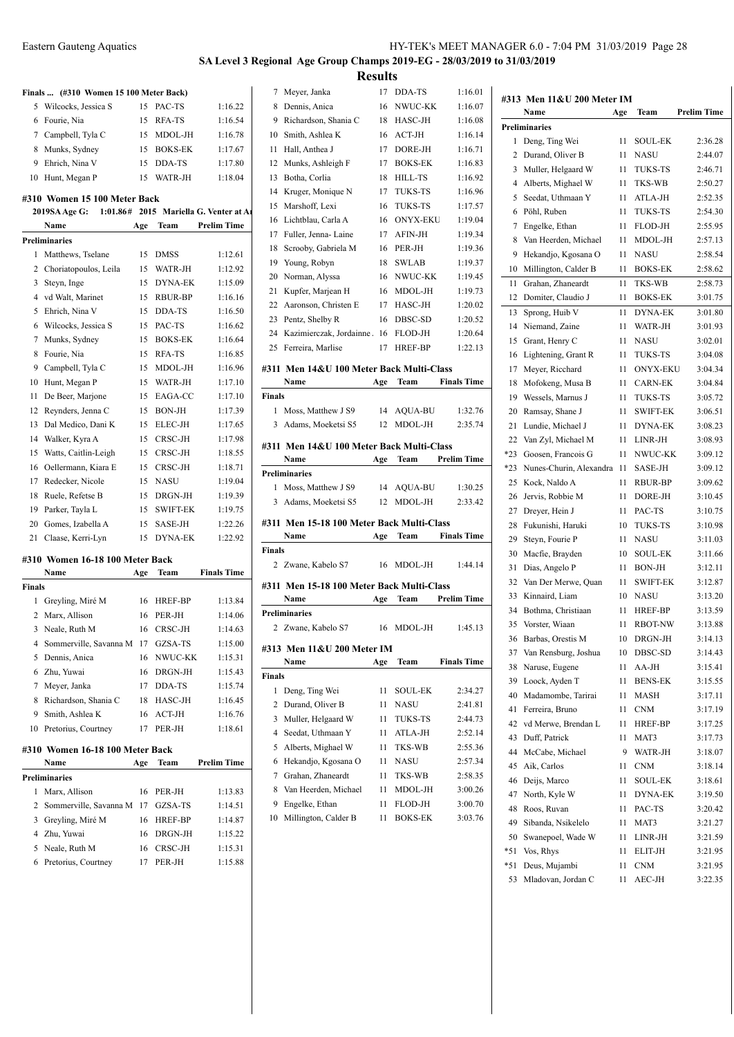# **SA Level 3 Regional Age Group Champs 2019-EG - 28/03/2019 to 31/03/2019 Results**

Meyer, Janka 17 DDA-TS 1:16.01

**Finals ... (#310 Women 15 100 Meter Back)**

| шаю  (#910   0000000 19 100 MRRI DaCK) |    |            |         |
|----------------------------------------|----|------------|---------|
| 5 Wilcocks, Jessica S                  |    | 15 PAC-TS  | 1:16.22 |
| 6 Fourie, Nia                          | 15 | RFA-TS     | 1:16.54 |
| 7 Campbell, Tyla C                     | 15 | MDOL-JH    | 1:16.78 |
| 8 Munks, Sydney                        |    | 15 BOKS-EK | 1:17.67 |
| 9 Ehrich, Nina V                       |    | 15 DDA-TS  | 1:17.80 |
| 10 Hunt, Megan P                       | 15 | WATR-JH    | 1:18.04 |

#### **#310 Women 15 100 Meter Back**

| <b>2019SA Age G:</b><br>1:01.86# 2015 Mariella G. Venter at Ar |                       |     |                 |                    |              |
|----------------------------------------------------------------|-----------------------|-----|-----------------|--------------------|--------------|
|                                                                | Name                  | Age | Team            | <b>Prelim Time</b> | 16           |
|                                                                | <b>Preliminaries</b>  |     |                 |                    | 17           |
| 1                                                              | Matthews, Tselane     | 15  | <b>DMSS</b>     | 1:12.61            | 18           |
| 2                                                              | Choriatopoulos, Leila | 15  | WATR-JH         | 1:12.92            | 19           |
| 3                                                              | Steyn, Inge           | 15  | DYNA-EK         | 1:15.09            | 20           |
| 4                                                              | vd Walt, Marinet      | 15  | <b>RBUR-BP</b>  | 1:16.16            | 21           |
| 5                                                              | Ehrich, Nina V        | 15  | DDA-TS          | 1:16.50            | 22           |
| 6                                                              | Wilcocks, Jessica S   | 15  | PAC-TS          | 1:16.62            | 23           |
| 7                                                              | Munks, Sydney         | 15  | <b>BOKS-EK</b>  | 1:16.64            | 24           |
| 8                                                              | Fourie, Nia           | 15  | RFA-TS          | 1:16.85            | 25           |
| 9                                                              | Campbell, Tyla C      | 15  | MDOL-JH         | 1:16.96            | #311         |
| 10                                                             | Hunt, Megan P         | 15  | WATR-JH         | 1:17.10            |              |
| 11                                                             | De Beer, Marjone      | 15  | EAGA-CC         | 1:17.10            | Final        |
| 12                                                             | Reynders, Jenna C     | 15  | BON-JH          | 1:17.39            | 1            |
| 13                                                             | Dal Medico, Dani K    | 15  | ELEC-JH         | 1:17.65            | 3            |
| 14                                                             | Walker, Kyra A        | 15  | CRSC-JH         | 1:17.98            |              |
| 15                                                             | Watts, Caitlin-Leigh  | 15  | CRSC-JH         | 1:18.55            | #311         |
| 16                                                             | Oellermann, Kiara E   | 15  | CRSC-JH         | 1:18.71            | Preli        |
| 17                                                             | Redecker, Nicole      | 15  | <b>NASU</b>     | 1:19.04            | $\mathbf{1}$ |
| 18                                                             | Ruele, Refetse B      | 15  | DRGN-JH         | 1:19.39            | 3            |
| 19                                                             | Parker, Tayla L       | 15  | <b>SWIFT-EK</b> | 1:19.75            |              |
| 20                                                             | Gomes, Izabella A     | 15  | SASE-JH         | 1:22.26            | #311         |
| 21                                                             | Claase, Kerri-Lyn     | 15  | <b>DYNA-EK</b>  | 1:22.92            |              |
|                                                                |                       |     |                 |                    |              |

## **#310 Women 16-18 100 Meter Back**

|                | Name                            | Age | Team           | <b>Finals Time</b> |
|----------------|---------------------------------|-----|----------------|--------------------|
| <b>Finals</b>  |                                 |     |                |                    |
| 1              | Greyling, Miré M                | 16  | <b>HREF-BP</b> | 1:13.84            |
| $\overline{c}$ | Marx, Allison                   | 16  | PER-JH         | 1:14.06            |
| 3              | Neale, Ruth M                   | 16  | CRSC-JH        | 1:14.63            |
| 4              | Sommerville, Savanna M          | 17  | GZSA-TS        | 1:15.00            |
| 5              | Dennis, Anica                   | 16  | NWUC-KK        | 1:15.31            |
| 6              | Zhu, Yuwai                      | 16  | DRGN-JH        | 1:15.43            |
| 7              | Meyer, Janka                    | 17  | DDA-TS         | 1:15.74            |
| 8              | Richardson, Shania C            | 18  | HASC-JH        | 1:16.45            |
| 9              | Smith, Ashlea K                 | 16  | $ACT-JH$       | 1:16.76            |
| 10             | Pretorius, Courtney             | 17  | PER-JH         | 1:18.61            |
|                | #310 Women 16-18 100 Meter Back |     |                |                    |
|                | Name                            | Age | Team           | <b>Prelim Time</b> |
|                | <b>Preliminaries</b>            |     |                |                    |
| 1              | Marx, Allison                   | 16  | PER-JH         | 1:13.83            |
| $\overline{c}$ | Sommerville, Savanna M          | 17  | GZSA-TS        | 1:14.51            |
| 3              | Greyling, Miré M                | 16  | <b>HREF-BP</b> | 1:14.87            |
| 4              | Zhu, Yuwai                      | 16  | DRGN-JH        | 1:15.22            |
| 5              | Neale, Ruth M                   | 16  | CRSC-JH        | 1:15.31            |

Pretorius, Courtney 17 PER-JH 1:15.88

| 6  | NWUC-KK   | 1:15.31            | Name          |
|----|-----------|--------------------|---------------|
| 6. | DRGN-JH   | 1:15.43            | <b>Finals</b> |
| 7  | DDA-TS    | 1:15.74            | 1 Deng, Ting  |
| 8  | HASC-JH   | 1:16.45            | 2 Durand, O   |
|    | 6 ACT-JH  | 1:16.76            | 3 Muller, He  |
|    | 7 PER-JH  | 1:18.61            | 4 Seedat, Ut  |
|    |           |                    |               |
|    | r Back    |                    | 5 Alberts, M  |
|    | e Team    | <b>Prelim Time</b> | 6 Hekandjo,   |
|    |           |                    | 7 Grahan, Zl  |
| 6. | PER-JH    | 1:13.83            | 8 Van Heerd   |
|    | 7 GZSA-TS | 1:14.51            | 9 Engelke, E  |
| 6  | HREF-BP   | 1:14.87            | 10 Millington |
| c  | DDCM III  | 1.15.22            |               |

| 8             | Dennis, Anica                             | 16  | NWUC-KK         | 1:16.07            |
|---------------|-------------------------------------------|-----|-----------------|--------------------|
| 9             | Richardson, Shania C                      | 18  | HASC-JH         | 1:16.08            |
| 10            | Smith, Ashlea K                           | 16  | $ACT-JH$        | 1:16.14            |
| 11            | Hall, Anthea J                            | 17  | DORE-JH         | 1:16.71            |
| 12            | Munks, Ashleigh F                         | 17  | <b>BOKS-EK</b>  | 1:16.83            |
| 13            | Botha, Corlia                             | 18  | <b>HILL-TS</b>  | 1:16.92            |
| 14            | Kruger, Monique N                         | 17  | <b>TUKS-TS</b>  | 1:16.96            |
| 15            | Marshoff, Lexi                            | 16  | <b>TUKS-TS</b>  | 1:17.57            |
| 16            | Lichtblau, Carla A                        | 16  | <b>ONYX-EKU</b> | 1:19.04            |
| 17            | Fuller, Jenna-Laine                       | 17  | AFIN-JH         | 1:19.34            |
| 18            | Scrooby, Gabriela M                       | 16  | PER-JH          | 1:19.36            |
| 19            | Young, Robyn                              | 18  | <b>SWLAB</b>    | 1:19.37            |
| 20            | Norman, Alyssa                            | 16  | NWUC-KK         | 1:19.45            |
| 21            | Kupfer, Marjean H                         | 16  | MDOL-JH         | 1:19.73            |
| 22            | Aaronson, Christen E                      | 17  | HASC-JH         | 1:20.02            |
| 23            | Pentz, Shelby R                           | 16  | DBSC-SD         | 1:20.52            |
| 24            | Kazimierczak, Jordainne. 16               |     | FLOD-JH         | 1:20.64            |
| 25            | Ferreira, Marlise                         | 17  | <b>HREF-BP</b>  | 1:22.13            |
|               |                                           |     |                 |                    |
|               | #311 Men 14&U 100 Meter Back Multi-Class  |     |                 |                    |
|               | Name                                      | Age | Team            | <b>Finals Time</b> |
| <b>Finals</b> |                                           |     |                 |                    |
| 1             | Moss, Matthew J S9                        | 14  | AQUA-BU         | 1:32.76            |
| 3             | Adams, Moeketsi S5                        | 12  | MDOL-JH         | 2:35.74            |
|               | #311 Men 14&U 100 Meter Back Multi-Class  |     |                 |                    |
|               |                                           |     |                 |                    |
|               | Name                                      | Age | Team            | <b>Prelim Time</b> |
|               | <b>Preliminaries</b>                      |     |                 |                    |
| 1             | Moss, Matthew J S9                        | 14  | AQUA-BU         | 1:30.25            |
| 3             | Adams, Moeketsi S5                        | 12  | MDOL-JH         | 2:33.42            |
|               |                                           |     |                 |                    |
|               | #311 Men 15-18 100 Meter Back Multi-Class |     |                 |                    |
|               | Name                                      | Age | Team            | <b>Finals Time</b> |
| Finals        |                                           |     |                 |                    |
|               | 2 Zwane, Kabelo S7                        | 16  | MDOL-JH         | 1:44.14            |
|               | #311 Men 15-18 100 Meter Back Multi-Class |     |                 |                    |
|               | Name                                      | Age | Team            | <b>Prelim Time</b> |
|               | <b>Preliminaries</b>                      |     |                 |                    |
|               | 2 Zwane, Kabelo S7                        |     | 16 MDOL-JH      | 1:45.13            |
|               |                                           |     |                 |                    |
|               | #313 Men 11&U 200 Meter IM<br>Name        | Age | Team            | <b>Finals Time</b> |
| <b>Finals</b> |                                           |     |                 |                    |
| 1             | Deng, Ting Wei                            | 11  | SOUL-EK         | 2:34.27            |
| 2             | Durand, Oliver B                          | 11  | NASU            | 2:41.81            |
| 3             | Muller, Helgaard W                        | 11  | TUKS-TS         | 2:44.73            |
| 4             | Seedat, Uthmaan Y                         | 11  | ATLA-JH         | 2:52.14            |
| 5             | Alberts, Mighael W                        | 11  | TKS-WB          | 2:55.36            |
| 6             | Hekandjo, Kgosana O                       | 11  | NASU            | 2:57.34            |
| 7             | Grahan, Zhaneardt                         | 11  | TKS-WB          | 2:58.35            |
| 8             | Van Heerden, Michael                      | 11  | MDOL-JH         | 3:00.26            |
| 9             | Engelke, Ethan                            | 11  | FLOD-JH         | 3:00.70            |
| 10            | Millington, Calder B                      | 11  | <b>BOKS-EK</b>  | 3:03.76            |

|       | #313 Men 11&U 200 Meter IM |     |                 |                    |  |  |  |  |
|-------|----------------------------|-----|-----------------|--------------------|--|--|--|--|
|       | Name                       | Age | Team            | Prelim Time        |  |  |  |  |
|       | <b>Preliminaries</b>       |     |                 |                    |  |  |  |  |
| 1     | Deng, Ting Wei             | 11  | <b>SOUL-EK</b>  | 2:36.28            |  |  |  |  |
| 2     | Durand, Oliver B           | 11  | <b>NASU</b>     | 2:44.07            |  |  |  |  |
| 3     | Muller, Helgaard W         | 11  | TUKS-TS         | 2:46.71            |  |  |  |  |
| 4     | Alberts, Mighael W         | 11  | TKS-WB          | 2:50.27            |  |  |  |  |
| 5     | Seedat, Uthmaan Y          | 11  | ATLA-JH         | 2:52.35            |  |  |  |  |
| 6     | Pöhl, Ruben                | 11  | <b>TUKS-TS</b>  | 2:54.30            |  |  |  |  |
| 7     | Engelke, Ethan             | 11  | FLOD-JH         | 2:55.95            |  |  |  |  |
| 8     | Van Heerden, Michael       | 11  | MDOL-JH         |                    |  |  |  |  |
|       |                            |     |                 | 2:57.13            |  |  |  |  |
| 9     | Hekandjo, Kgosana O        | 11  | NASU            | 2:58.54            |  |  |  |  |
| 10    | Millington, Calder B       | 11  | <b>BOKS-EK</b>  | 2:58.62            |  |  |  |  |
| 11    | Grahan, Zhaneardt          | 11  | TKS-WB          | 2:58.73            |  |  |  |  |
| 12    | Domiter, Claudio J         | 11  | <b>BOKS-EK</b>  | 3:01.75            |  |  |  |  |
| 13    | Sprong, Huib V             | 11  | <b>DYNA-EK</b>  | 3:01.80            |  |  |  |  |
| 14    | Niemand, Zaine             | 11  | WATR-JH         | 3:01.93            |  |  |  |  |
| 15    | Grant, Henry C             | 11  | <b>NASU</b>     | 3:02.01            |  |  |  |  |
| 16    | Lightening, Grant R        | 11  | <b>TUKS-TS</b>  | 3:04.08            |  |  |  |  |
| 17    | Meyer, Ricchard            | 11  | <b>ONYX-EKU</b> | 3:04.34            |  |  |  |  |
| 18    | Mofokeng, Musa B           | 11  | <b>CARN-EK</b>  | 3:04.84            |  |  |  |  |
| 19    | Wessels, Marnus J          | 11  | <b>TUKS-TS</b>  | 3:05.72            |  |  |  |  |
| 20    | Ramsay, Shane J            | 11  | <b>SWIFT-EK</b> | 3:06.51            |  |  |  |  |
| 21    | Lundie, Michael J          | 11  | <b>DYNA-EK</b>  | 3:08.23            |  |  |  |  |
| 22    | Van Zyl, Michael M         | 11  | LINR-JH         | 3:08.93            |  |  |  |  |
| $*23$ | Goosen, Francois G         | 11  | NWUC-KK         | 3:09.12            |  |  |  |  |
| $*23$ | Nunes-Churin, Alexandra    | 11  | SASE-JH         | 3:09.12            |  |  |  |  |
| 25    | Kock, Naldo A              | 11  | <b>RBUR-BP</b>  | 3:09.62            |  |  |  |  |
| 26    | Jervis, Robbie M           | 11  | DORE-JH         | 3:10.45            |  |  |  |  |
| 27    | Dreyer, Hein J             | 11  | PAC-TS          | 3:10.75            |  |  |  |  |
| 28    | Fukunishi, Haruki          | 10  | <b>TUKS-TS</b>  | 3:10.98            |  |  |  |  |
| 29    | Steyn, Fourie P            | 11  | <b>NASU</b>     | 3:11.03            |  |  |  |  |
| 30    | Macfie, Brayden            | 10  | <b>SOUL-EK</b>  | 3:11.66            |  |  |  |  |
| 31    | Dias, Angelo P             | 11  | <b>BON-JH</b>   | 3:12.11            |  |  |  |  |
| 32    | Van Der Merwe, Quan        | 11  | <b>SWIFT-EK</b> | 3:12.87            |  |  |  |  |
| 33    | Kinnaird, Liam             | 10  | <b>NASU</b>     | 3:13.20            |  |  |  |  |
| 34    | Bothma, Christiaan         | 11  | HREF-BP         | 3:13.59            |  |  |  |  |
|       |                            |     |                 |                    |  |  |  |  |
| 35    | Vorster, Wiaan             | 11  | <b>RBOT-NW</b>  | 3:13.88<br>3:14.13 |  |  |  |  |
| 36    | Barbas, Orestis M          | 10  | DRGN-JH         |                    |  |  |  |  |
| 37    | Van Rensburg, Joshua       | 10  | DBSC-SD         | 3:14.43            |  |  |  |  |
| 38    | Naruse, Eugene             | 11  | AA-JH           | 3:15.41            |  |  |  |  |
| 39    | Loock, Ayden T             | 11  | <b>BENS-EK</b>  | 3:15.55            |  |  |  |  |
| 40    | Madamombe, Tarirai         | 11  | <b>MASH</b>     | 3:17.11            |  |  |  |  |
| 41    | Ferreira, Bruno            | 11  | CNM             | 3:17.19            |  |  |  |  |
| 42    | vd Merwe, Brendan L        | 11  | HREF-BP         | 3:17.25            |  |  |  |  |
| 43    | Duff, Patrick              | 11  | MAT3            | 3:17.73            |  |  |  |  |
| 44    | McCabe, Michael            | 9   | WATR-JH         | 3:18.07            |  |  |  |  |
| 45    | Aik, Carlos                | 11  | <b>CNM</b>      | 3:18.14            |  |  |  |  |
| 46    | Deijs, Marco               | 11  | SOUL-EK         | 3:18.61            |  |  |  |  |
| 47    | North, Kyle W              | 11  | DYNA-EK         | 3:19.50            |  |  |  |  |
| 48    | Roos, Ruvan                | 11  | PAC-TS          | 3:20.42            |  |  |  |  |
| 49    | Sibanda, Nsikelelo         | 11  | MAT3            | 3:21.27            |  |  |  |  |
| 50    | Swanepoel, Wade W          | 11  | LINR-JH         | 3:21.59            |  |  |  |  |
| *51   | Vos, Rhys                  | 11  | ELIT-JH         | 3:21.95            |  |  |  |  |
| *51   | Deus, Mujambi              | 11  | <b>CNM</b>      | 3:21.95            |  |  |  |  |
| 53    | Mladovan, Jordan C         | 11  | AEC-JH          | 3:22.35            |  |  |  |  |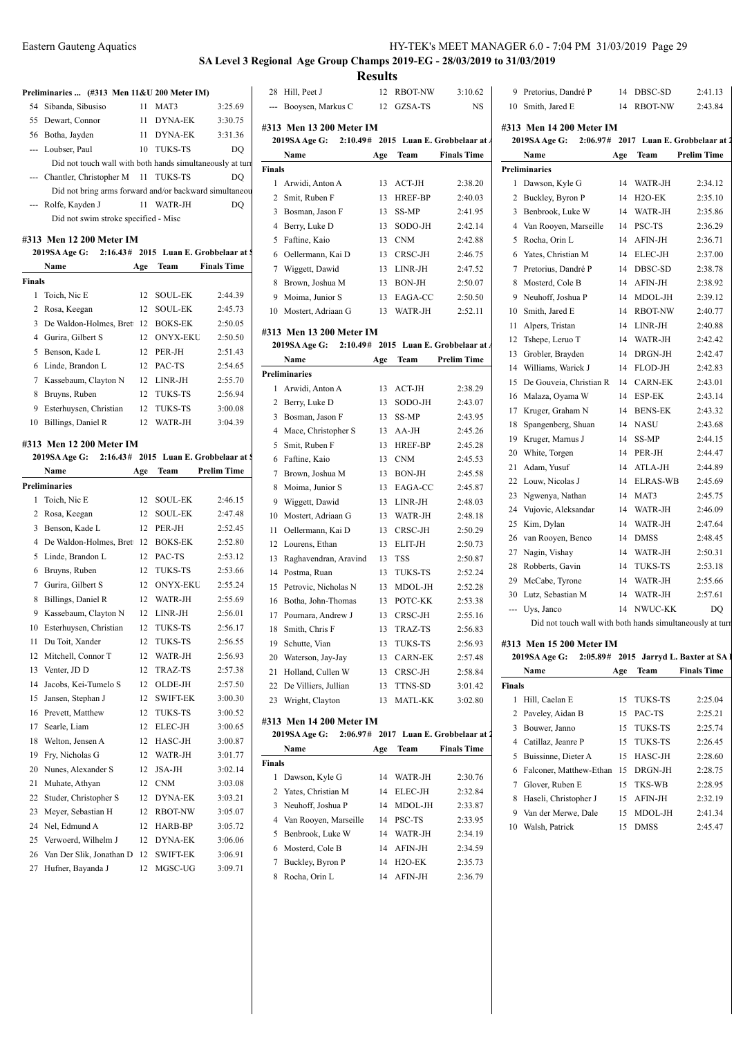# **SA Level 3 Regional Age Group Champs 2019-EG - 28/03/2019 to 31/03/2019**

|               |                                                           |     |             |                    |               |                          | <b>Results</b> |                      |                                                     |        |                            |     |             |                                                           |
|---------------|-----------------------------------------------------------|-----|-------------|--------------------|---------------|--------------------------|----------------|----------------------|-----------------------------------------------------|--------|----------------------------|-----|-------------|-----------------------------------------------------------|
|               | Preliminaries  (#313 Men 11&U 200 Meter IM)               |     |             |                    |               | 28 Hill, Peet J          |                | 12 RBOT-NW           | 3:10.62                                             |        | 9 Pretorius, Dandré P      |     | 14 DBSC-SD  | 2:41.13                                                   |
|               | 54 Sibanda, Sibusiso                                      |     | 11 MAT3     | 3:25.69            |               | --- Booysen, Markus C    |                | 12 GZSA-TS           | $_{\rm NS}$                                         |        | 10 Smith, Jared E          |     | 14 RBOT-NW  | 2:43.84                                                   |
|               | 55 Dewart, Connor                                         |     | 11 DYNA-EK  | 3:30.75            |               |                          |                |                      |                                                     |        |                            |     |             |                                                           |
|               | 56 Botha, Jayden                                          |     | 11 DYNA-EK  | 3:31.36            |               | #313 Men 13 200 Meter IM |                |                      |                                                     |        | #313 Men 14 200 Meter IM   |     |             |                                                           |
|               | --- Loubser, Paul                                         |     | 10 TUKS-TS  | DQ                 |               |                          |                |                      | 2019SA Age G: 2:10.49# 2015 Luan E. Grobbelaar at A |        |                            |     |             | 2019SA Age G: 2:06.97# 2017 Luan E. Grobbelaar at 2       |
|               | Did not touch wall with both hands simultaneously at turn |     |             |                    |               | Name                     | Age            | Team                 | <b>Finals Time</b>                                  |        | Name                       | Age | Team        | <b>Prelim Time</b>                                        |
|               | --- Chantler, Christopher M 11 TUKS-TS                    |     |             | DO                 | <b>Finals</b> |                          |                |                      |                                                     |        | <b>Preliminaries</b>       |     |             |                                                           |
|               | Did not bring arms forward and/or backward simultaneou    |     |             |                    |               | 1 Arwidi, Anton A        |                | 13 ACT-JH            | 2:38.20                                             |        | 1 Dawson, Kyle G           |     | 14 WATR-JH  | 2:34.12                                                   |
|               | --- Rolfe, Kayden J                                       |     | 11 WATR-JH  | DQ                 |               | 2 Smit, Ruben F          |                | 13 HREF-BP           | 2:40.03                                             |        | 2 Buckley, Byron P         |     | 14 H2O-EK   | 2:35.10                                                   |
|               | Did not swim stroke specified - Misc                      |     |             |                    |               | 3 Bosman, Jason F        |                | 13 SS-MP             | 2:41.95                                             |        | 3 Benbrook, Luke W         |     | 14 WATR-JH  | 2:35.86                                                   |
|               |                                                           |     |             |                    |               | 4 Berry, Luke D          |                | 13 SODO-JH           | 2:42.14                                             |        | 4 Van Rooyen, Marseille    |     | 14 PSC-TS   | 2:36.29                                                   |
|               | #313 Men 12 200 Meter IM                                  |     |             |                    |               | 5 Faftine, Kaio          |                | 13 CNM               | 2:42.88                                             |        | 5 Rocha, Orin L            |     | 14 AFIN-JH  | 2:36.71                                                   |
|               | 2019SA Age G: 2:16.43# 2015 Luan E. Grobbelaar at \$      |     |             |                    |               | 6 Oellermann, Kai D      |                | 13 CRSC-JH           | 2:46.75                                             |        | 6 Yates, Christian M       |     | 14 ELEC-JH  | 2:37.00                                                   |
|               | Name                                                      | Age | Team        | <b>Finals Time</b> |               | 7 Wiggett, Dawid         |                | 13 LINR-JH           | 2:47.52                                             |        | 7 Pretorius, Dandré P      |     | 14 DBSC-SD  | 2:38.78                                                   |
| <b>Finals</b> |                                                           |     |             |                    |               | 8 Brown, Joshua M        |                | 13 BON-JH            | 2:50.07                                             |        | 8 Mosterd, Cole B          |     | 14 AFIN-JH  | 2:38.92                                                   |
|               | 1 Toich, Nic E                                            |     | 12 SOUL-EK  | 2:44.39            |               | 9 Moima, Junior S        |                | 13 EAGA-CC           | 2:50.50                                             |        | 9 Neuhoff, Joshua P        |     | 14 MDOL-JH  | 2:39.12                                                   |
|               | 2 Rosa, Keegan                                            |     | 12 SOUL-EK  | 2:45.73            |               | 10 Mostert, Adriaan G    |                | 13 WATR-JH           | 2:52.11                                             |        | 10 Smith, Jared E          |     | 14 RBOT-NW  | 2:40.77                                                   |
|               | 3 De Waldon-Holmes, Brett 12 BOKS-EK                      |     |             | 2:50.05            |               | #313 Men 13 200 Meter IM |                |                      |                                                     |        | 11 Alpers, Tristan         |     | 14 LINR-JH  | 2:40.88                                                   |
|               | 4 Gurira, Gilbert S                                       |     | 12 ONYX-EKU | 2:50.50            |               |                          |                |                      | 2019SA Age G: 2:10.49# 2015 Luan E. Grobbelaar at A |        | 12 Tshepe, Leruo T         |     | 14 WATR-JH  | 2:42.42                                                   |
|               | 5 Benson, Kade L                                          |     | 12 PER-JH   | 2:51.43            |               | Name                     | Age            | Team                 | <b>Prelim Time</b>                                  |        | 13 Grobler, Brayden        |     | 14 DRGN-JH  | 2:42.47                                                   |
|               | 6 Linde, Brandon L                                        |     | 12 PAC-TS   | 2:54.65            |               | <b>Preliminaries</b>     |                |                      |                                                     |        | 14 Williams, Warick J      |     | 14 FLOD-JH  | 2:42.83                                                   |
|               | 7 Kassebaum, Clayton N                                    |     | 12 LINR-JH  | 2:55.70            |               | 1 Arwidi, Anton A        |                | 13 ACT-JH            | 2:38.29                                             |        | 15 De Gouveia, Christian R |     | 14 CARN-EK  | 2:43.01                                                   |
|               | 8 Bruyns, Ruben                                           |     | 12 TUKS-TS  | 2:56.94            |               | 2 Berry, Luke D          |                | 13 SODO-JH           | 2:43.07                                             |        | 16 Malaza, Oyama W         |     | 14 ESP-EK   | 2:43.14                                                   |
|               | 9 Esterhuysen, Christian                                  |     | 12 TUKS-TS  | 3:00.08            |               | 3 Bosman, Jason F        |                | 13 SS-MP             | 2:43.95                                             |        | 17 Kruger, Graham N        |     | 14 BENS-EK  | 2:43.32                                                   |
|               | 10 Billings, Daniel R                                     |     | 12 WATR-JH  | 3:04.39            |               | 4 Mace, Christopher S    |                | 13 AA-JH             | 2:45.26                                             |        | 18 Spangenberg, Shuan      |     | 14 NASU     | 2:43.68                                                   |
|               | #313 Men 12 200 Meter IM                                  |     |             |                    |               | 5 Smit, Ruben F          |                | 13 HREF-BP           | 2:45.28                                             |        | 19 Kruger, Marnus J        |     | 14 SS-MP    | 2:44.15                                                   |
|               | 2019SA Age G: 2:16.43# 2015 Luan E. Grobbelaar at \$      |     |             |                    |               | 6 Faftine, Kaio          |                | 13 CNM               | 2:45.53                                             |        | 20 White, Torgen           |     | 14 PER-JH   | 2:44.47                                                   |
|               | Name                                                      | Age | Team        | <b>Prelim Time</b> |               | 7 Brown, Joshua M        |                | 13 BON-JH            | 2:45.58                                             |        | 21 Adam, Yusuf             |     | 14 ATLA-JH  | 2:44.89                                                   |
|               | <b>Preliminaries</b>                                      |     |             |                    |               | 8 Moima, Junior S        |                | 13 EAGA-CC           | 2:45.87                                             |        | 22 Louw, Nicolas J         |     | 14 ELRAS-WB | 2:45.69                                                   |
|               | 1 Toich, Nic E                                            |     | 12 SOUL-EK  | 2:46.15            |               | 9 Wiggett, Dawid         |                | 13 LINR-JH           | 2:48.03                                             |        | 23 Ngwenya, Nathan         |     | 14 MAT3     | 2:45.75                                                   |
|               | 2 Rosa, Keegan                                            |     | 12 SOUL-EK  | 2:47.48            |               | 10 Mostert, Adriaan G    |                | 13 WATR-JH           | 2:48.18                                             |        | 24 Vujovic, Aleksandar     |     | 14 WATR-JH  | 2:46.09                                                   |
|               | 3 Benson, Kade L                                          |     | 12 PER-JH   | 2:52.45            |               |                          |                |                      |                                                     |        | 25 Kim, Dylan              |     | 14 WATR-JH  | 2:47.64                                                   |
|               | 4 De Waldon-Holmes, Brett 12 BOKS-EK                      |     |             | 2:52.80            |               | 11 Oellermann, Kai D     |                | 13 CRSC-JH           | 2:50.29                                             |        | 26 van Rooyen, Benco       |     | 14 DMSS     | 2:48.45                                                   |
|               | 5 Linde, Brandon L                                        |     | 12 PAC-TS   | 2:53.12            |               | 12 Lourens, Ethan        |                | 13 ELIT-JH<br>13 TSS | 2:50.73                                             |        | 27 Nagin, Vishay           |     | 14 WATR-JH  | 2:50.31                                                   |
|               | 6 Bruyns, Ruben                                           |     | 12 TUKS-TS  | 2:53.66            |               | 13 Raghavendran, Aravind |                |                      | 2:50.87                                             |        | 28 Robberts, Gavin         |     | 14 TUKS-TS  | 2:53.18                                                   |
|               | 7 Gurira, Gilbert S                                       |     | 12 ONYX-EKU | 2:55.24            |               | 14 Postma, Ruan          |                | 13 TUKS-TS           | 2:52.24                                             |        | 29 McCabe, Tyrone          |     | 14 WATR-JH  | 2:55.66                                                   |
|               | 8 Billings, Daniel R                                      |     | 12 WATR-JH  | 2:55.69            |               | 15 Petrovic, Nicholas N  |                | 13 MDOL-JH           | 2:52.28                                             |        | 30 Lutz, Sebastian M       |     | 14 WATR-JH  | 2:57.61                                                   |
|               |                                                           |     | 12 LINR-JH  |                    |               | 16 Botha, John-Thomas    |                | 13 POTC-KK           | 2:53.38                                             |        | --- Uys, Janco             |     | 14 NWUC-KK  | DQ                                                        |
|               | 9 Kassebaum, Clayton N                                    |     |             | 2:56.01            |               | 17 Pournara, Andrew J    |                | 13 CRSC-JH           | 2:55.16                                             |        |                            |     |             | Did not touch wall with both hands simultaneously at turn |
|               | 10 Esterhuysen, Christian                                 | 12  | TUKS-TS     | 2:56.17            |               | 18 Smith, Chris F        |                | 13 TRAZ-TS           | 2:56.83                                             |        |                            |     |             |                                                           |
|               | 11 Du Toit, Xander                                        |     | 12 TUKS-TS  | 2:56.55            |               | 19 Schutte, Vian         |                | 13 TUKS-TS           | 2:56.93                                             |        | #313 Men 15 200 Meter IM   |     |             |                                                           |
|               | 12 Mitchell, Connor T                                     |     | 12 WATR-JH  | 2:56.93            |               | 20 Waterson, Jay-Jay     |                | 13 CARN-EK           | 2:57.48                                             |        |                            |     |             | 2019SA Age G: 2:05.89# 2015 Jarryd L. Baxter at SA 1      |
|               | 13 Venter, JD D                                           |     | 12 TRAZ-TS  | 2:57.38            |               | 21 Holland, Cullen W     |                | 13 CRSC-JH           | 2:58.84                                             |        | Name                       | Age | Team        | <b>Finals Time</b>                                        |
|               | 14 Jacobs, Kei-Tumelo S                                   |     | 12 OLDE-JH  | 2:57.50            |               | 22 De Villiers, Jullian  |                | 13 TTNS-SD           | 3:01.42                                             | Finals |                            |     |             |                                                           |
|               | 15 Jansen, Stephan J                                      |     | 12 SWIFT-EK | 3:00.30            |               | 23 Wright, Clayton       |                | 13 MATL-KK           | 3:02.80                                             |        | 1 Hill, Caelan E           |     | 15 TUKS-TS  | 2:25.04                                                   |
|               | 16 Prevett, Matthew                                       |     | 12 TUKS-TS  | 3:00.52            |               | #313 Men 14 200 Meter IM |                |                      |                                                     |        | 2 Paveley, Aidan B         |     | 15 PAC-TS   | 2:25.21                                                   |
|               | 17 Searle, Liam                                           |     | 12 ELEC-JH  | 3:00.65            |               |                          |                |                      | 2019SA Age G: 2:06.97# 2017 Luan E. Grobbelaar at 2 |        | 3 Bouwer, Janno            |     | 15 TUKS-TS  | 2:25.74                                                   |
|               | 18 Welton, Jensen A                                       |     | 12 HASC-JH  | 3:00.87            |               | Name                     | Age            | <b>Team</b>          | <b>Finals Time</b>                                  |        | 4 Catillaz, Jeanre P       |     | 15 TUKS-TS  | 2:26.45                                                   |
|               | 19 Fry, Nicholas G                                        |     | 12 WATR-JH  | 3:01.77            | <b>Finals</b> |                          |                |                      |                                                     |        | 5 Buissinne, Dieter A      |     | 15 HASC-JH  | 2:28.60                                                   |
|               | 20 Nunes, Alexander S                                     |     | 12 JSA-JH   | 3:02.14            |               | 1 Dawson, Kyle G         |                | 14 WATR-JH           | 2:30.76                                             |        | 6 Falconer, Matthew-Ethan  |     | 15 DRGN-JH  | 2:28.75                                                   |
|               | 21 Muhate, Athyan                                         |     | 12 CNM      | 3:03.08            |               | 2 Yates, Christian M     |                | 14 ELEC-JH           | 2:32.84                                             |        | 7 Glover, Ruben E          |     | 15 TKS-WB   | 2:28.95                                                   |
|               | 22 Studer, Christopher S                                  |     | 12 DYNA-EK  | 3:03.21            |               | 3 Neuhoff, Joshua P      |                |                      |                                                     |        | 8 Haseli, Christopher J    |     | 15 AFIN-JH  | 2:32.19                                                   |
|               | 23 Meyer, Sebastian H                                     |     | 12 RBOT-NW  | 3:05.07            |               |                          |                | 14 MDOL-JH           | 2:33.87                                             |        | 9 Van der Merwe, Dale      |     | 15 MDOL-JH  | 2:41.34                                                   |
|               | 24 Nel, Edmund A                                          |     | 12 HARB-BP  | 3:05.72            |               | 4 Van Rooyen, Marseille  |                | 14 PSC-TS            | 2:33.95                                             |        | 10 Walsh, Patrick          |     | 15 DMSS     | 2:45.47                                                   |
|               | 25 Verwoerd, Wilhelm J                                    |     | 12 DYNA-EK  | 3:06.06            |               | 5 Benbrook, Luke W       |                | 14 WATR-JH           | 2:34.19                                             |        |                            |     |             |                                                           |
|               | 26 Van Der Slik, Jonathan D 12 SWIFT-EK                   |     |             | 3:06.91            |               | 6 Mosterd, Cole B        |                | 14 AFIN-JH           | 2:34.59                                             |        |                            |     |             |                                                           |
|               | 27 Hufner, Bayanda J                                      |     | 12 MGSC-UG  | 3:09.71            |               | 7 Buckley, Byron P       |                | 14 H2O-EK            | 2:35.73                                             |        |                            |     |             |                                                           |
|               |                                                           |     |             |                    |               | 8 Rocha, Orin L          |                | 14 AFIN-JH           | 2:36.79                                             |        |                            |     |             |                                                           |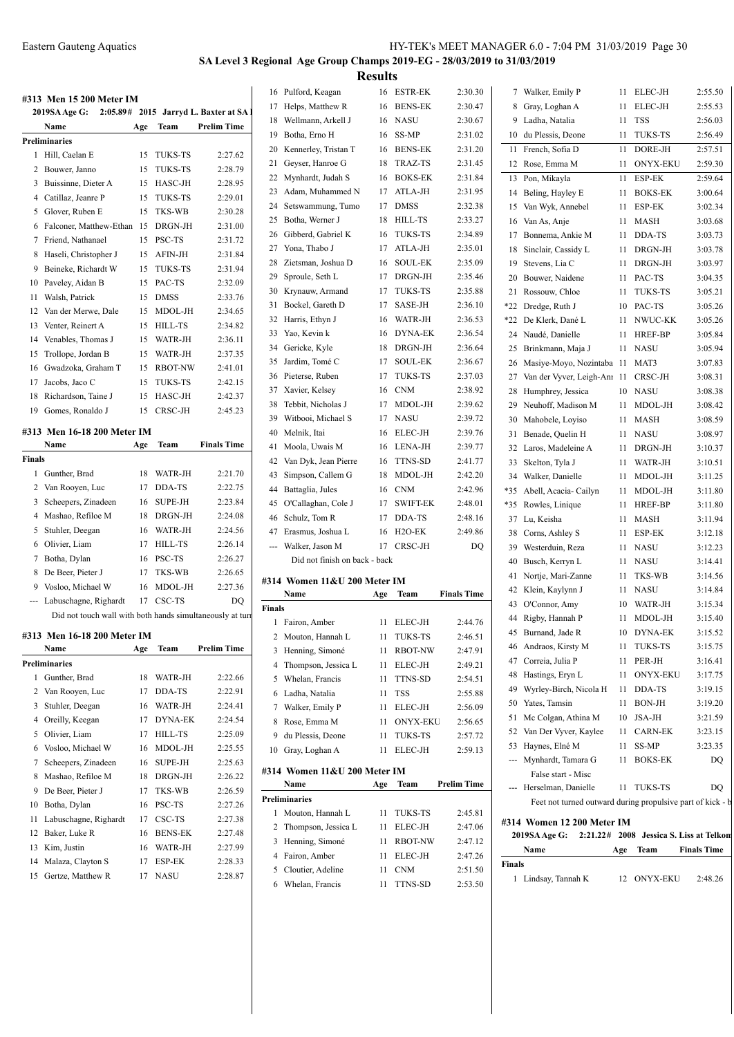## **SA Level 3 Regional Age Group Champs 2019-EG - 28/03/2019 to 31/03/2019 Results**

|               | #313 Men 15 200 Meter IM                                  |     |                |                    |               | 16 Pulford, Keagan            |     | 16 ESTR-EK  | 2:30.30            |        | 7 Walker, Emily P                                          |     | 11 ELEC-JH  | 2:55.50            |
|---------------|-----------------------------------------------------------|-----|----------------|--------------------|---------------|-------------------------------|-----|-------------|--------------------|--------|------------------------------------------------------------|-----|-------------|--------------------|
|               | 2019SA Age G: 2:05.89# 2015 Jarryd L. Baxter at SA 1      |     |                |                    |               | 17 Helps, Matthew R           |     | 16 BENS-EK  | 2:30.47            |        | 8 Gray, Loghan A                                           |     | 11 ELEC-JH  | 2:55.53            |
|               | Name                                                      | Age | Team           | <b>Prelim Time</b> |               | 18 Wellmann, Arkell J         |     | 16 NASU     | 2:30.67            |        | 9 Ladha, Natalia                                           |     | 11 TSS      | 2:56.03            |
|               | Preliminaries                                             |     |                |                    |               | 19 Botha, Erno H              |     | 16 SS-MP    | 2:31.02            |        | 10 du Plessis, Deone                                       |     | 11 TUKS-TS  | 2:56.49            |
|               | 1 Hill. Caelan E                                          |     | 15 TUKS-TS     | 2:27.62            |               | 20 Kennerley, Tristan T       |     | 16 BENS-EK  | 2:31.20            |        | 11 French, Sofia D                                         | 11  | DORE-JH     | 2:57.51            |
|               | 2 Bouwer, Janno                                           | 15  | <b>TUKS-TS</b> | 2:28.79            |               | 21 Geyser, Hanroe G           |     | 18 TRAZ-TS  | 2:31.45            |        | 12 Rose, Emma M                                            |     | 11 ONYX-EKU | 2:59.30            |
|               | 3 Buissinne, Dieter A                                     |     | 15 HASC-JH     | 2:28.95            |               | 22 Mynhardt, Judah S          |     | 16 BOKS-EK  | 2:31.84            |        | 13 Pon, Mikayla                                            |     | 11 ESP-EK   | 2:59.64            |
|               | 4 Catillaz, Jeanre P                                      |     | 15 TUKS-TS     | 2:29.01            |               | 23 Adam, Muhammed N           |     | 17 ATLA-JH  | 2:31.95            |        | 14 Beling, Hayley E                                        |     | 11 BOKS-EK  | 3:00.64            |
|               | 5 Glover, Ruben E                                         |     | 15 TKS-WB      | 2:30.28            |               | 24 Setswammung, Tumo          |     | 17 DMSS     | 2:32.38            |        | 15 Van Wyk, Annebel                                        | 11  | ESP-EK      | 3:02.34            |
|               | 6 Falconer, Matthew-Ethan                                 |     | 15 DRGN-JH     | 2:31.00            |               | 25 Botha, Werner J            |     | 18 HILL-TS  | 2:33.27            |        | 16 Van As, Anje                                            | 11  | <b>MASH</b> | 3:03.68            |
|               | 7 Friend, Nathanael                                       |     | 15 PSC-TS      | 2:31.72            |               | 26 Gibberd, Gabriel K         |     | 16 TUKS-TS  | 2:34.89            |        | 17 Bonnema, Ankie M                                        | 11  | DDA-TS      | 3:03.73            |
|               | 8 Haseli, Christopher J                                   |     | 15 AFIN-JH     | 2:31.84            |               | 27 Yona, Thabo J              |     | 17 ATLA-JH  | 2:35.01            |        | 18 Sinclair, Cassidy L                                     | 11  | DRGN-JH     | 3:03.78            |
|               | 9 Beineke, Richardt W                                     |     | 15 TUKS-TS     | 2:31.94            |               | 28 Zietsman, Joshua D         |     | 16 SOUL-EK  | 2:35.09            |        | 19 Stevens, Lia C                                          |     | 11 DRGN-JH  | 3:03.97            |
|               | 10 Paveley, Aidan B                                       |     | 15 PAC-TS      | 2:32.09            |               | 29 Sproule, Seth L            |     | 17 DRGN-JH  | 2:35.46            |        | 20 Bouwer, Naidene                                         |     | 11 PAC-TS   | 3:04.35            |
|               | 11 Walsh, Patrick                                         |     | 15 DMSS        | 2:33.76            |               | 30 Krynauw, Armand            |     | 17 TUKS-TS  | 2:35.88            |        | 21 Rossouw, Chloe                                          | 11  | TUKS-TS     | 3:05.21            |
|               | 12 Van der Merwe, Dale                                    |     | 15 MDOL-JH     | 2:34.65            |               | 31 Bockel, Gareth D           |     | 17 SASE-JH  | 2:36.10            |        | *22 Dredge, Ruth J                                         | 10  | PAC-TS      | 3:05.26            |
| 13            | Venter, Reinert A                                         |     | 15 HILL-TS     | 2:34.82            |               | 32 Harris, Ethyn J            |     | 16 WATR-JH  | 2:36.53            |        | *22 De Klerk, Dané L                                       |     | 11 NWUC-KK  | 3:05.26            |
|               | 14 Venables, Thomas J                                     | 15  | WATR-JH        | 2:36.11            |               | 33 Yao, Kevin k               |     | 16 DYNA-EK  | 2:36.54            |        | 24 Naudé, Danielle                                         | 11  | HREF-BP     | 3:05.84            |
|               | 15 Trollope, Jordan B                                     | 15  | WATR-JH        | 2:37.35            |               | 34 Gericke, Kyle              |     | 18 DRGN-JH  | 2:36.64            |        | 25 Brinkmann, Maja J                                       |     | 11 NASU     | 3:05.94            |
|               | Gwadzoka, Graham T                                        |     | 15 RBOT-NW     | 2:41.01            |               | 35 Jardim, Tomé C             |     | 17 SOUL-EK  | 2:36.67            |        | 26 Masiye-Moyo, Nozintaba 11                               |     | MAT3        | 3:07.83            |
| 16            |                                                           |     | 15 TUKS-TS     |                    |               | 36 Pieterse, Ruben            |     | 17 TUKS-TS  | 2:37.03            |        | 27 Van der Vyver, Leigh-Anr 11                             |     | CRSC-JH     | 3:08.31            |
|               | 17 Jacobs, Jaco C                                         |     |                | 2:42.15            |               | 37 Xavier, Kelsey             | 16  | <b>CNM</b>  | 2:38.92            |        | 28 Humphrey, Jessica                                       |     | 10 NASU     | 3:08.38            |
|               | 18 Richardson, Taine J                                    |     | 15 HASC-JH     | 2:42.37            |               | 38 Tebbit, Nicholas J         |     | 17 MDOL-JH  | 2:39.62            | 29     | Neuhoff, Madison M                                         |     | 11 MDOL-JH  | 3:08.42            |
|               | 19 Gomes, Ronaldo J                                       |     | 15 CRSC-JH     | 2:45.23            |               | 39 Witbooi, Michael S         |     | 17 NASU     | 2:39.72            |        | 30 Mahobele, Loyiso                                        |     | 11 MASH     | 3:08.59            |
|               | #313 Men 16-18 200 Meter IM                               |     |                |                    |               | 40 Melnik, Itai               |     | 16 ELEC-JH  | 2:39.76            |        | 31 Benade, Quelin H                                        |     | 11 NASU     | 3:08.97            |
|               | Name                                                      | Age | Team           | <b>Finals Time</b> |               | 41 Moola, Uwais M             |     | 16 LENA-JH  | 2:39.77            |        | 32 Laros, Madeleine A                                      |     | 11 DRGN-JH  | 3:10.37            |
| <b>Finals</b> |                                                           |     |                |                    |               | 42 Van Dyk, Jean Pierre       |     | 16 TTNS-SD  | 2:41.77            |        | 33 Skelton, Tyla J                                         |     | 11 WATR-JH  | 3:10.51            |
|               | 1 Gunther, Brad                                           | 18  | WATR-JH        | 2:21.70            |               | 43 Simpson, Callem G          |     | 18 MDOL-JH  | 2:42.20            |        | 34 Walker, Danielle                                        |     | 11 MDOL-JH  | 3:11.25            |
|               | 2 Van Rooyen, Luc                                         | 17  | DDA-TS         | 2:22.75            |               | 44 Battaglia, Jules           |     | 16 CNM      | 2:42.96            |        | *35 Abell, Acacia-Cailyn                                   |     | 11 MDOL-JH  | 3:11.80            |
|               | 3 Scheepers, Zinadeen                                     | 16  | <b>SUPE-JH</b> | 2:23.84            |               | 45 O'Callaghan, Cole J        |     | 17 SWIFT-EK | 2:48.01            |        | *35 Rowles, Linique                                        |     | 11 HREF-BP  | 3:11.80            |
|               | 4 Mashao, Refiloe M                                       | 18  | DRGN-JH        | 2:24.08            | 46            | Schulz, Tom R                 |     | 17 DDA-TS   | 2:48.16            |        | 37 Lu, Keisha                                              |     | 11 MASH     | 3:11.94            |
|               | 5 Stuhler, Deegan                                         | 16  | WATR-JH        | 2:24.56            |               | 47 Erasmus, Joshua L          |     | 16 H2O-EK   | 2:49.86            |        | 38 Corns, Ashley S                                         | 11  | ESP-EK      | 3:12.18            |
|               | 6 Olivier, Liam                                           |     | 17 HILL-TS     | 2:26.14            | ---           | Walker, Jason M               |     | 17 CRSC-JH  | DQ                 | 39     | Westerduin, Reza                                           | 11  | NASU        | 3:12.23            |
|               | 7 Botha, Dylan                                            |     | 16 PSC-TS      | 2:26.27            |               | Did not finish on back - back |     |             |                    | 40     | Busch, Kerryn L                                            | 11  | NASU        | 3:14.41            |
|               | 8 De Beer, Pieter J                                       |     | 17 TKS-WB      | 2:26.65            |               |                               |     |             |                    |        | 41 Nortje, Mari-Zanne                                      | 11  | TKS-WB      | 3:14.56            |
| 9             | Vosloo, Michael W                                         |     | 16 MDOL-JH     | 2:27.36            |               | #314 Women 11&U 200 Meter IM  |     |             |                    |        | 42 Klein, Kaylynn J                                        | 11  | NASU        | 3:14.84            |
|               | --- Labuschagne, Righardt                                 |     | 17 CSC-TS      | DO                 |               | Name                          | Age | Team        | <b>Finals Time</b> |        | 43 O'Connor, Amy                                           | 10  | WATR-JH     | 3:15.34            |
|               | Did not touch wall with both hands simultaneously at turn |     |                |                    | <b>Finals</b> |                               |     |             |                    |        | 44 Rigby, Hannah P                                         |     | 11 MDOL-JH  | 3:15.40            |
|               |                                                           |     |                |                    |               | 1 Fairon, Amber               |     | 11 ELEC-JH  | 2:44.76            |        | 45 Burnand, Jade R                                         |     | 10 DYNA-EK  | 3:15.52            |
|               | #313 Men 16-18 200 Meter IM                               |     |                |                    |               | 2 Mouton, Hannah L            |     | 11 TUKS-TS  | 2:46.51            |        | 46 Andraos, Kirsty M                                       |     | 11 TUKS-TS  | 3:15.75            |
|               | Name                                                      | Age | Team           | <b>Prelim Time</b> |               | 3 Henning, Simoné             |     | 11 RBOT-NW  | 2:47.91            |        | 47 Correia, Julia P                                        |     | 11 PER-JH   | 3:16.41            |
|               | <b>Preliminaries</b>                                      |     |                |                    |               | 4 Thompson, Jessica L         |     | 11 ELEC-JH  | 2:49.21            |        | 48 Hastings, Eryn L                                        |     | 11 ONYX-EKU | 3:17.75            |
|               | 1 Gunther, Brad                                           |     | 18 WATR-JH     | 2:22.66            |               | 5 Whelan, Francis             |     | 11 TTNS-SD  | 2:54.51            |        | 49 Wyrley-Birch, Nicola H                                  |     | 11 DDA-TS   | 3:19.15            |
|               | 2 Van Rooyen, Luc                                         |     | 17 DDA-TS      | 2:22.91            |               | 6 Ladha, Natalia              |     | 11 TSS      | 2:55.88            |        | 50 Yates, Tamsin                                           |     | 11 BON-JH   | 3:19.20            |
|               | 3 Stuhler, Deegan                                         |     | 16 WATR-JH     | 2:24.41            |               | 7 Walker, Emily P             |     | 11 ELEC-JH  | 2:56.09            |        | 51 Mc Colgan, Athina M                                     |     | 10 JSA-JH   | 3:21.59            |
|               | 4 Oreilly, Keegan                                         |     | 17 DYNA-EK     | 2:24.54            |               | 8 Rose, Emma M                |     | 11 ONYX-EKU | 2:56.65            |        | 52 Van Der Vyver, Kaylee                                   |     | 11 CARN-EK  | 3:23.15            |
|               | 5 Olivier, Liam                                           |     | 17 HILL-TS     | 2:25.09            |               | 9 du Plessis, Deone           |     | 11 TUKS-TS  | 2:57.72            |        | 53 Haynes, Elné M                                          |     | 11 SS-MP    | 3:23.35            |
|               | 6 Vosloo, Michael W                                       |     | 16 MDOL-JH     | 2:25.55            |               | 10 Gray, Loghan A             |     | 11 ELEC-JH  | 2:59.13            |        | --- Mynhardt, Tamara G                                     |     | 11 BOKS-EK  | DQ                 |
|               | 7 Scheepers, Zinadeen                                     |     | 16 SUPE-JH     | 2:25.63            |               | #314 Women 11&U 200 Meter IM  |     |             |                    |        | False start - Misc                                         |     |             |                    |
|               | 8 Mashao, Refiloe M                                       |     | 18 DRGN-JH     | 2:26.22            |               | Name                          |     | Age Team    | <b>Prelim Time</b> |        | --- Herselman, Danielle                                    |     | 11 TUKS-TS  | DQ                 |
|               | 9 De Beer, Pieter J                                       | 17  | TKS-WB         | 2:26.59            |               | Preliminaries                 |     |             |                    |        | Feet not turned outward during propulsive part of kick - b |     |             |                    |
|               | 10 Botha, Dylan                                           |     | 16 PSC-TS      | 2:27.26            |               | 1 Mouton, Hannah L            |     | 11 TUKS-TS  | 2:45.81            |        |                                                            |     |             |                    |
|               | 11 Labuschagne, Righardt                                  |     | 17 CSC-TS      | 2:27.38            |               | 2 Thompson, Jessica L         |     | 11 ELEC-JH  | 2:47.06            |        | #314 Women 12 200 Meter IM                                 |     |             |                    |
|               | 12 Baker, Luke R                                          |     | 16 BENS-EK     | 2:27.48            |               | 3 Henning, Simoné             |     | 11 RBOT-NW  | 2:47.12            |        | 2019SA Age G: 2:21.22# 2008 Jessica S. Liss at Telkon      |     |             |                    |
|               | 13 Kim, Justin                                            |     | 16 WATR-JH     | 2:27.99            |               | 4 Fairon, Amber               |     | 11 ELEC-JH  | 2:47.26            |        | Name                                                       | Age | Team        | <b>Finals Time</b> |
|               | 14 Malaza, Clayton S                                      |     | 17 ESP-EK      | 2:28.33            |               | 5 Cloutier, Adeline           |     | 11 CNM      | 2:51.50            | Finals |                                                            |     |             |                    |
|               | 15 Gertze, Matthew R                                      |     | 17 NASU        | 2:28.87            |               | 6 Whelan, Francis             |     | 11 TTNS-SD  | 2:53.50            |        | 1 Lindsay, Tannah K                                        |     | 12 ONYX-EKU | 2:48.26            |
|               |                                                           |     |                |                    |               |                               |     |             |                    |        |                                                            |     |             |                    |
|               |                                                           |     |                |                    |               |                               |     |             |                    |        |                                                            |     |             |                    |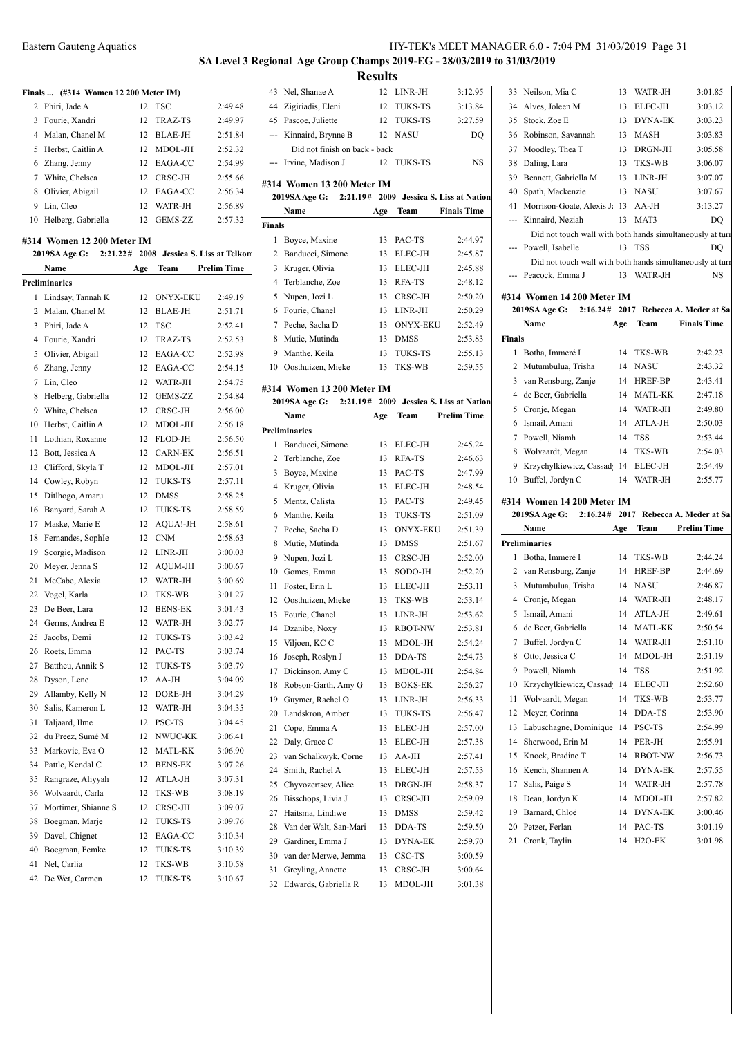### **SA Level 3 Regional Age Group Champs 2019-EG - 28/03/2019 to 31/03/2019 Results**

Nel, Shanae A 12 LINR-JH 3:12.95

**Finals ... (#314 Women 12 200 Meter IM)** Phiri, Jade A 12 TSC 2:49.48 Fourie, Xandri 12 TRAZ-TS 2:49.97 Malan, Chanel M 12 BLAE-JH 2:51.84 Herbst, Caitlin A 12 MDOL-JH 2:52.32 Zhang, Jenny 12 EAGA-CC 2:54.99 7 White, Chelsea 12 CRSC-JH 2:55.66 Olivier, Abigail 12 EAGA-CC 2:56.34 Lin, Cleo 12 WATR-JH 2:56.89 Helberg, Gabriella 12 GEMS-ZZ 2:57.32 **#314 Women 12 200 Meter IM 2019SA Age G: 2:21.22# 2008 Jessica S. Liss at Telkon Name Age Team Prelim Time Preliminaries** Lindsay, Tannah K 12 ONYX-EKU 2:49.19 Malan, Chanel M 12 BLAE-JH 2:51.71 Phiri, Jade A 12 TSC 2:52.41 Fourie, Xandri 12 TRAZ-TS 2:52.53 Olivier, Abigail 12 EAGA-CC 2:52.98 Zhang, Jenny 12 EAGA-CC 2:54.15 Lin, Cleo 12 WATR-JH 2:54.75 Helberg, Gabriella 12 GEMS-ZZ 2:54.84 White, Chelsea 12 CRSC-JH 2:56.00 Herbst, Caitlin A 12 MDOL-JH 2:56.18 Lothian, Roxanne 12 FLOD-JH 2:56.50 12 Bott, Jessica A 12 CARN-EK 2:56.51 Clifford, Skyla T 12 MDOL-JH 2:57.01 Cowley, Robyn 12 TUKS-TS 2:57.11 Ditlhogo, Amaru 12 DMSS 2:58.25 Banyard, Sarah A 12 TUKS-TS 2:58.59 17 Maske, Marie E 12 AQUA!-JH 2:58.61 Fernandes, SophIe 12 CNM 2:58.63 Scorgie, Madison 12 LINR-JH 3:00.03 20 Meyer, Jenna S 12 AQUM-JH 3:00.67 McCabe, Alexia 12 WATR-JH 3:00.69 Vogel, Karla 12 TKS-WB 3:01.27 23 De Beer, Lara 12 BENS-EK 3:01.43 Germs, Andrea E 12 WATR-JH 3:02.77 Jacobs, Demi 12 TUKS-TS 3:03.42 Roets, Emma 12 PAC-TS 3:03.74 Battheu, Annik S 12 TUKS-TS 3:03.79 Dyson, Lene 12 AA-JH 3:04.09 Allamby, Kelly N 12 DORE-JH 3:04.29 Salis, Kameron L 12 WATR-JH 3:04.35 Taljaard, Ilme 12 PSC-TS 3:04.45 du Preez, Sumé M 12 NWUC-KK 3:06.41 Markovic, Eva O 12 MATL-KK 3:06.90 Pattle, Kendal C 12 BENS-EK 3:07.26 Rangraze, Aliyyah 12 ATLA-JH 3:07.31 Wolvaardt, Carla 12 TKS-WB 3:08.19 37 Mortimer, Shianne S 12 CRSC-JH 3:09.07 Boegman, Marje 12 TUKS-TS 3:09.76 Davel, Chignet 12 EAGA-CC 3:10.34 Boegman, Femke 12 TUKS-TS 3:10.39 Nel, Carlia 12 TKS-WB 3:10.58 De Wet, Carmen 12 TUKS-TS 3:10.67

|                                                                                           | 44 Zigiriadis, Eleni                      | 12       | <b>TUKS-TS</b>                 | 3:13.84            |    |  |  |  |  |  |
|-------------------------------------------------------------------------------------------|-------------------------------------------|----------|--------------------------------|--------------------|----|--|--|--|--|--|
|                                                                                           | 45 Pascoe, Juliette                       | 12       | TUKS-TS                        | 3:27.59            |    |  |  |  |  |  |
|                                                                                           | --- Kinnaird, Brynne B                    |          | 12 NASU                        | DO                 |    |  |  |  |  |  |
|                                                                                           | Did not finish on back - back             |          |                                |                    |    |  |  |  |  |  |
|                                                                                           | --- Irvine, Madison J                     | 12       | TUKS-TS                        | <b>NS</b>          |    |  |  |  |  |  |
|                                                                                           |                                           |          |                                |                    |    |  |  |  |  |  |
| #314 Women 13 200 Meter IM<br>2009 Jessica S. Liss at Nation<br>2019SA Age G:<br>2:21.19# |                                           |          |                                |                    |    |  |  |  |  |  |
|                                                                                           | Name                                      |          |                                | <b>Finals Time</b> |    |  |  |  |  |  |
| <b>Finals</b>                                                                             |                                           | Age      | Team                           |                    |    |  |  |  |  |  |
| 1                                                                                         | Boyce, Maxine                             | 13       | PAC-TS                         | 2:44.97            |    |  |  |  |  |  |
| $\overline{2}$                                                                            | Banducci, Simone                          |          |                                |                    |    |  |  |  |  |  |
| 3                                                                                         | Kruger, Olivia                            | 13<br>13 | ELEC-JH<br>ELEC-JH             | 2:45.87<br>2:45.88 |    |  |  |  |  |  |
|                                                                                           | 4 Terblanche, Zoe                         | 13       | RFA-TS                         | 2:48.12            |    |  |  |  |  |  |
| 5                                                                                         | Nupen, Jozi L                             | 13       | CRSC-JH                        | 2:50.20            | #3 |  |  |  |  |  |
| 6                                                                                         | Fourie, Chanel                            | 13       | LINR-JH                        | 2:50.29            |    |  |  |  |  |  |
| 7                                                                                         | Peche, Sacha D                            | 13       | <b>ONYX-EKU</b>                | 2:52.49            |    |  |  |  |  |  |
|                                                                                           |                                           |          |                                |                    | Fi |  |  |  |  |  |
| 8                                                                                         | Mutie, Mutinda                            | 13       | <b>DMSS</b>                    | 2:53.83<br>2:55.13 |    |  |  |  |  |  |
| 9                                                                                         | Manthe, Keila                             | 13       | TUKS-TS                        |                    |    |  |  |  |  |  |
|                                                                                           | 10 Oosthuizen, Mieke                      | 13       | TKS-WB                         | 2:59.55            |    |  |  |  |  |  |
|                                                                                           | #314 Women 13 200 Meter IM                |          |                                |                    |    |  |  |  |  |  |
|                                                                                           | 2019SA Age G: 2:21.19#                    |          | 2009 Jessica S. Liss at Nation |                    |    |  |  |  |  |  |
|                                                                                           | Name                                      | Age      | Team                           | <b>Prelim Time</b> |    |  |  |  |  |  |
|                                                                                           | <b>Preliminaries</b>                      |          |                                |                    |    |  |  |  |  |  |
|                                                                                           | 1 Banducci, Simone                        | 13       | ELEC-JH                        | 2:45.24            |    |  |  |  |  |  |
|                                                                                           | 2 Terblanche, Zoe                         | 13       | RFA-TS                         | 2:46.63            |    |  |  |  |  |  |
| 3                                                                                         | Boyce, Maxine                             | 13       | PAC-TS                         | 2:47.99            |    |  |  |  |  |  |
|                                                                                           | 4 Kruger, Olivia                          | 13       | ELEC-JH                        | 2:48.54            |    |  |  |  |  |  |
| 5                                                                                         | Mentz, Calista                            | 13       | PAC-TS                         | 2:49.45            | #3 |  |  |  |  |  |
|                                                                                           |                                           |          |                                |                    |    |  |  |  |  |  |
| 6                                                                                         | Manthe, Keila                             | 13       | <b>TUKS-TS</b>                 | 2:51.09            |    |  |  |  |  |  |
| 7                                                                                         | Peche, Sacha D                            | 13       | <b>ONYX-EKU</b>                | 2:51.39            |    |  |  |  |  |  |
| 8                                                                                         | Mutie, Mutinda                            | 13       | DMSS                           | 2:51.67            | Pr |  |  |  |  |  |
| 9                                                                                         | Nupen, Jozi L                             | 13       | CRSC-JH                        | 2:52.00            |    |  |  |  |  |  |
|                                                                                           | 10 Gomes, Emma                            | 13       | SODO-JH                        | 2:52.20            |    |  |  |  |  |  |
| 11                                                                                        | Foster, Erin L                            | 13       | ELEC-JH                        | 2:53.11            |    |  |  |  |  |  |
|                                                                                           | 12 Oosthuizen, Mieke                      | 13       | TKS-WB                         | 2:53.14            |    |  |  |  |  |  |
| 13                                                                                        | Fourie, Chanel                            | 13       | LINR-JH                        | 2:53.62            |    |  |  |  |  |  |
| 14                                                                                        | Dzanibe, Noxy                             | 13       | <b>RBOT-NW</b>                 | 2:53.81            |    |  |  |  |  |  |
| 15                                                                                        | Viljoen, KC C                             | 13       | MDOL-JH                        | 2:54.24            |    |  |  |  |  |  |
| 16                                                                                        | Joseph, Roslyn J                          | 13       | DDA-TS                         | 2:54.73            |    |  |  |  |  |  |
| 17                                                                                        | Dickinson, Amy C                          | 13       | MDOL-JH                        | 2:54.84            |    |  |  |  |  |  |
| 18                                                                                        | Robson-Garth, Amy G                       | 13       | <b>BOKS-EK</b>                 | 2:56.27            |    |  |  |  |  |  |
| 19                                                                                        | Guymer, Rachel O                          | 13       | LINR-JH                        | 2:56.33            |    |  |  |  |  |  |
| 20                                                                                        | Landskron, Amber                          | 13       | TUKS-TS                        | 2:56.47            |    |  |  |  |  |  |
| 21                                                                                        | Cope, Emma A                              | 13       | ELEC-JH                        | 2:57.00            |    |  |  |  |  |  |
| 22                                                                                        | Daly, Grace C                             | 13       | ELEC-JH                        | 2:57.38            |    |  |  |  |  |  |
| 23                                                                                        | van Schalkwyk, Corne                      | 13       | AA-JH                          | 2:57.41            |    |  |  |  |  |  |
| 24                                                                                        | Smith, Rachel A                           | 13       | ELEC-JH                        | 2:57.53            |    |  |  |  |  |  |
| 25                                                                                        | Chyvozertsev, Alice                       | 13       | DRGN-JH                        | 2:58.37            |    |  |  |  |  |  |
| 26                                                                                        | Bisschops, Livia J                        | 13       | CRSC-JH                        | 2:59.09            |    |  |  |  |  |  |
| 27                                                                                        | Haitsma, Lindiwe                          | 13       | DMSS                           | 2:59.42            |    |  |  |  |  |  |
| 28                                                                                        | Van der Walt, San-Mari                    | 13       | DDA-TS                         | 2:59.50            |    |  |  |  |  |  |
| 29                                                                                        | Gardiner, Emma J                          | 13       | DYNA-EK                        | 2:59.70            |    |  |  |  |  |  |
| 30                                                                                        | van der Merwe, Jemma                      | 13       | CSC-TS                         | 3:00.59            |    |  |  |  |  |  |
| 31<br>32                                                                                  | Greyling, Annette<br>Edwards, Gabriella R | 13<br>13 | CRSC-JH<br>MDOL-JH             | 3:00.64<br>3:01.38 |    |  |  |  |  |  |

|     | 33 Neilson, Mia C                                         | 13 | WATR-JH        | 3:01.85 |
|-----|-----------------------------------------------------------|----|----------------|---------|
| 34  | Alves, Joleen M                                           | 13 | ELEC-JH        | 3:03.12 |
| 35  | Stock, Zoe E                                              | 13 | <b>DYNA-EK</b> | 3:03.23 |
| 36  | Robinson, Savannah                                        | 13 | MASH           | 3:03.83 |
| 37  | Moodley, Thea T                                           | 13 | DRGN-JH        | 3:05.58 |
| 38  | Daling, Lara                                              | 13 | TKS-WB         | 3:06.07 |
| 39  | Bennett, Gabriella M                                      | 13 | LINR-JH        | 3:07.07 |
| 40  | Spath, Mackenzie                                          | 13 | NASU           | 3:07.67 |
| 41  | Morrison-Goate, Alexis J: 13                              |    | AA-JH          | 3:13.27 |
| --- | Kinnaird, Neziah                                          | 13 | MAT3           | DQ      |
|     | Did not touch wall with both hands simultaneously at turn |    |                |         |
|     | Powell, Isabelle                                          |    | 13 TSS         | DO      |
|     | Did not touch wall with both hands simultaneously at turn |    |                |         |
|     | Peacock, Emma J                                           | 13 | WATR-JH        | NS      |
|     |                                                           |    |                |         |

#### **#314 Women 14 200 Meter IM**

2019SA Age G:  $2:16.24# 2017$  Rebecca A. Meder at Sa

|                                                              | Name                                 | Age | Team                | <b>Finals Time</b> |  |  |  |
|--------------------------------------------------------------|--------------------------------------|-----|---------------------|--------------------|--|--|--|
| <b>Finals</b>                                                |                                      |     |                     |                    |  |  |  |
| 1                                                            | Botha, Immeré I                      | 14  | TKS-WB              | 2:42.23            |  |  |  |
| 2                                                            | Mutumbulua, Trisha                   | 14  | <b>NASU</b>         | 2:43.32            |  |  |  |
| 3                                                            | van Rensburg, Zanje                  | 14  | HREF-BP             | 2:43.41            |  |  |  |
| 4                                                            | de Beer, Gabriella                   | 14  | MATL-KK             | 2:47.18            |  |  |  |
| 5                                                            | Cronje, Megan                        | 14  | WATR-JH             | 2:49.80            |  |  |  |
| 6                                                            | Ismail, Amani                        | 14  | ATLA-JH             | 2:50.03            |  |  |  |
| 7                                                            | Powell, Niamh                        | 14  | <b>TSS</b>          | 2:53.44            |  |  |  |
| 8                                                            | Wolvaardt, Megan                     | 14  | TKS-WB              | 2:54.03            |  |  |  |
| 9                                                            | Krzychylkiewicz, Cassad              | 14  | ELEC-JH             | 2:54.49            |  |  |  |
| 10                                                           | Buffel, Jordyn C                     | 14  | WATR-JH             | 2:55.77            |  |  |  |
|                                                              |                                      |     |                     |                    |  |  |  |
| #314 Women 14 200 Meter IM<br>2017<br>Rebecca A. Meder at Sa |                                      |     |                     |                    |  |  |  |
|                                                              | 2019SA Age G:<br>$2:16.24\#$<br>Name |     | Team                | <b>Prelim Time</b> |  |  |  |
|                                                              | <b>Preliminaries</b>                 | Age |                     |                    |  |  |  |
| $\mathbf{1}$                                                 | Botha, Immeré I                      | 14  | TKS-WB              | 2:44.24            |  |  |  |
|                                                              | 2 van Rensburg, Zanje                | 14  | HREF-BP             | 2:44.69            |  |  |  |
|                                                              | 3 Mutumbulua, Trisha                 | 14  | <b>NASU</b>         | 2:46.87            |  |  |  |
|                                                              | 4 Cronje, Megan                      | 14  | WATR-JH             | 2:48.17            |  |  |  |
| 5                                                            | Ismail, Amani                        | 14  | ATLA-JH             | 2:49.61            |  |  |  |
| 6                                                            | de Beer, Gabriella                   | 14  | <b>MATL-KK</b>      | 2:50.54            |  |  |  |
| $\tau$                                                       | Buffel, Jordyn C                     | 14  | WATR-JH             | 2:51.10            |  |  |  |
| 8                                                            | Otto, Jessica C                      | 14  | MDOL-JH             | 2:51.19            |  |  |  |
|                                                              | 9 Powell, Niamh                      | 14  | TSS                 | 2:51.92            |  |  |  |
|                                                              | 10 Krzychylkiewicz, Cassad           | 14  | ELEC-JH             | 2:52.60            |  |  |  |
| 11                                                           | Wolvaardt, Megan                     | 14  | TKS-WB              | 2:53.77            |  |  |  |
| 12                                                           | Meyer, Corinna                       | 14  | DDA-TS              | 2:53.90            |  |  |  |
| 13                                                           | Labuschagne, Dominique               | 14  | PSC-TS              | 2:54.99            |  |  |  |
| 14                                                           | Sherwood, Erin M                     | 14  | PER-JH              | 2:55.91            |  |  |  |
| 15                                                           | Knock, Bradine T                     | 14  | RBOT-NW             | 2:56.73            |  |  |  |
|                                                              | 16 Kench, Shannen A                  | 14  | <b>DYNA-EK</b>      | 2:57.55            |  |  |  |
| 17                                                           | Salis, Paige S                       | 14  | WATR-JH             | 2:57.78            |  |  |  |
|                                                              | 18 Dean, Jordyn K                    | 14  | MDOL-JH             | 2:57.82            |  |  |  |
|                                                              | 19 Barnard, Chloë                    | 14  | DYNA-EK             | 3:00.46            |  |  |  |
| 20                                                           | Petzer, Ferlan                       | 14  | PAC-TS              | 3:01.19            |  |  |  |
| 21                                                           | Cronk, Taylin                        | 14  | H <sub>2</sub> O-EK | 3:01.98            |  |  |  |
|                                                              |                                      |     |                     |                    |  |  |  |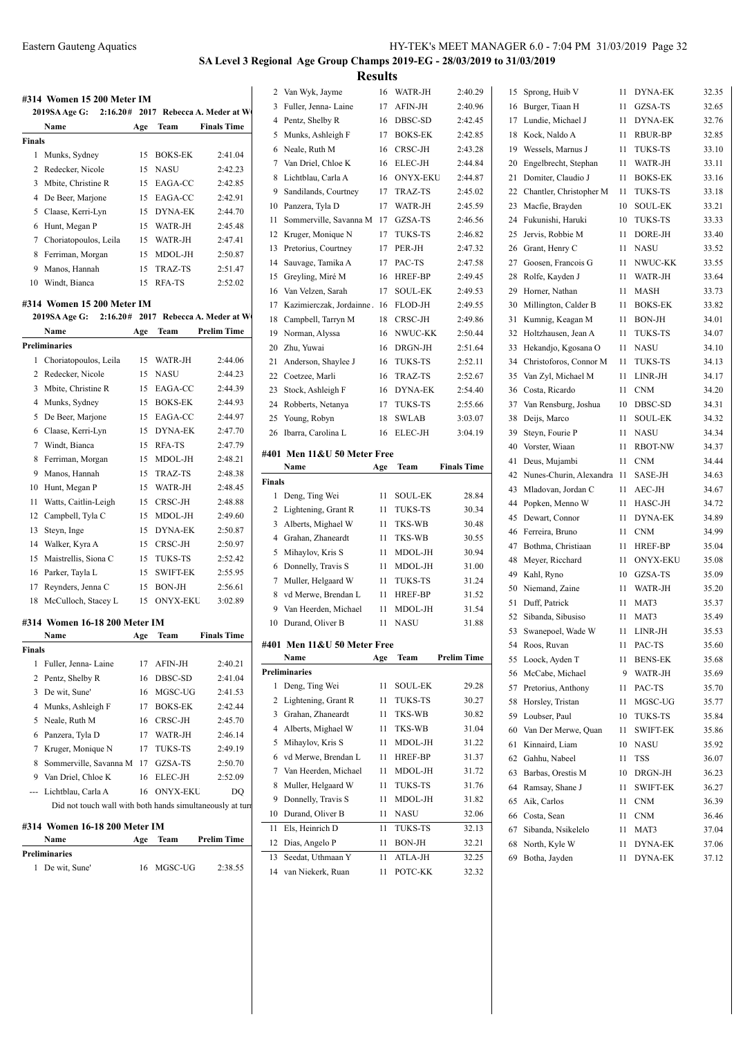### **SA Level 3 Regional Age Group Champs 2019-EG - 28/03/2019 to 31/03/2019 Results**

**#314 Women 15 200 Meter IM 2019SA Age G: 2:16.20# 2017 Rebecca A. Meder at W Name Age Team Finals Time Finals** Munks, Sydney 15 BOKS-EK 2:41.04 Redecker, Nicole 15 NASU 2:42.23 Mbite, Christine R 15 EAGA-CC 2:42.85 De Beer, Marjone 15 EAGA-CC 2:42.91 Claase, Kerri-Lyn 15 DYNA-EK 2:44.70 Hunt, Megan P 15 WATR-JH 2:45.48 Choriatopoulos, Leila 15 WATR-JH 2:47.41 Ferriman, Morgan 15 MDOL-JH 2:50.87 Manos, Hannah 15 TRAZ-TS 2:51.47 Windt, Bianca 15 RFA-TS 2:52.02 **#314 Women 15 200 Meter IM 2019SA Age G: 2:16.20# 2017 Rebecca A. Meder at W Name Age Team Prelim Time Preliminaries** Choriatopoulos, Leila 15 WATR-JH 2:44.06 Redecker, Nicole 15 NASU 2:44.23 Mbite, Christine R 15 EAGA-CC 2:44.39 Munks, Sydney 15 BOKS-EK 2:44.93 De Beer, Marjone 15 EAGA-CC 2:44.97 Claase, Kerri-Lyn 15 DYNA-EK 2:47.70 Windt, Bianca 15 RFA-TS 2:47.79 Ferriman, Morgan 15 MDOL-JH 2:48.21 Manos, Hannah 15 TRAZ-TS 2:48.38 Hunt, Megan P 15 WATR-JH 2:48.45 Watts, Caitlin-Leigh 15 CRSC-JH 2:48.88 Campbell, Tyla C 15 MDOL-JH 2:49.60 Steyn, Inge 15 DYNA-EK 2:50.87 14 Walker, Kyra A 15 CRSC-JH 2:50.97 Maistrellis, Siona C 15 TUKS-TS 2:52.42 16 Parker, Tayla L 15 SWIFT-EK 2:55.95 Reynders, Jenna C 15 BON-JH 2:56.61 18 McCulloch, Stacey L 15 ONYX-EKU 3:02.89 **#314 Women 16-18 200 Meter IM Name Age Team Finals Time Finals** Fuller, Jenna- Laine 17 AFIN-JH 2:40.21 Pentz, Shelby R 16 DBSC-SD 2:41.04 De wit, Sune' 16 MGSC-UG 2:41.53 Munks, Ashleigh F 17 BOKS-EK 2:42.44 Neale, Ruth M 16 CRSC-JH 2:45.70 Panzera, Tyla D 17 WATR-JH 2:46.14 Kruger, Monique N 17 TUKS-TS 2:49.19 Sommerville, Savanna M 17 GZSA-TS 2:50.70 Van Driel, Chloe K 16 ELEC-JH 2:52.09 --- Lichtblau, Carla A 16 ONYX-EKU DQ Did not touch wall with both hands simultaneously at turn **#314 Women 16-18 200 Meter IM Name Age Team Prelim Time Preliminaries** De wit, Sune' 16 MGSC-UG 2:38.55

| 2              | Van Wyk, Jayme                         | 16  | WATR-JH         | 2:40.29            |
|----------------|----------------------------------------|-----|-----------------|--------------------|
| 3              | Fuller, Jenna- Laine                   | 17  | AFIN-JH         | 2:40.96            |
| $\overline{4}$ | Pentz, Shelby R                        | 16  | DBSC-SD         | 2:42.45            |
| 5              | Munks, Ashleigh F                      | 17  | <b>BOKS-EK</b>  | 2:42.85            |
| 6              | Neale, Ruth M                          | 16  | CRSC-JH         | 2:43.28            |
| 7              | Van Driel, Chloe K                     | 16  | <b>ELEC-JH</b>  | 2:44.84            |
| 8              | Lichtblau, Carla A                     | 16  | <b>ONYX-EKU</b> | 2:44.87            |
| 9              | Sandilands, Courtney                   | 17  | TRAZ-TS         | 2:45.02            |
| 10             | Panzera, Tyla D                        | 17  | WATR-JH         | 2:45.59            |
| 11             | Sommerville, Savanna M                 | 17  | GZSA-TS         | 2:46.56            |
| 12             | Kruger, Monique N                      | 17  | <b>TUKS-TS</b>  | 2:46.82            |
| 13             | Pretorius, Courtney                    | 17  | PER-JH          | 2:47.32            |
| 14             | Sauvage, Tamika A                      | 17  | PAC-TS          | 2:47.58            |
| 15             | Greyling, Miré M                       | 16  | HREF-BP         | 2:49.45            |
| 16             | Van Velzen, Sarah                      | 17  | <b>SOUL-EK</b>  | 2:49.53            |
| 17             | Kazimierczak, Jordainne.               | 16  | FLOD-JH         | 2:49.55            |
| 18             | Campbell, Tarryn M                     | 18  | CRSC-JH         | 2:49.86            |
| 19             | Norman, Alyssa                         | 16  | NWUC-KK         | 2:50.44            |
| 20             | Zhu, Yuwai                             | 16  | DRGN-JH         | 2:51.64            |
| 21             | Anderson, Shaylee J                    | 16  | <b>TUKS-TS</b>  | 2:52.11            |
| 22             | Coetzee, Marli                         | 16  | TRAZ-TS         | 2:52.67            |
| 23             | Stock, Ashleigh F                      | 16  | <b>DYNA-EK</b>  | 2:54.40            |
| 24             | Robberts, Netanya                      | 17  | <b>TUKS-TS</b>  | 2:55.66            |
| 25             | Young, Robyn                           | 18  | <b>SWLAB</b>    | 3:03.07            |
| 26             | Ibarra, Carolina L                     | 16  | <b>ELEC-JH</b>  | 3:04.19            |
|                |                                        |     |                 |                    |
|                | #401 Men 11&U 50 Meter Free            |     |                 |                    |
|                | Name                                   | Age | Team            | <b>Finals Time</b> |
| Finals         |                                        |     |                 |                    |
|                |                                        |     |                 |                    |
| 1              | Deng, Ting Wei                         | 11  | <b>SOUL-EK</b>  | 28.84              |
| 2              | Lightening, Grant R                    | 11  | <b>TUKS-TS</b>  | 30.34              |
| 3              | Alberts, Mighael W                     | 11  | TKS-WB          | 30.48              |
| $\overline{4}$ | Grahan, Zhaneardt                      | 11  | TKS-WB          | 30.55              |
| 5              | Mihaylov, Kris S                       | 11  | MDOL-JH         | 30.94              |
| 6              | Donnelly, Travis S                     | 11  | MDOL-JH         | 31.00              |
| 7              | Muller, Helgaard W                     | 11  | <b>TUKS-TS</b>  | 31.24              |
| 8              | vd Merwe, Brendan L                    | 11  | HREF-BP         | 31.52              |
| 9              | Van Heerden, Michael                   | 11  | MDOL-JH         | 31.54              |
| 10             | Durand, Oliver B                       | 11  | <b>NASU</b>     | 31.88              |
|                |                                        |     |                 |                    |
|                | #401 Men 11&U 50 Meter Free<br>Name    | Age | Team            | Prelim Time        |
|                | Preliminaries                          |     |                 |                    |
| 1              | Deng, Ting Wei                         | 11  | SOUL-EK         | 29.28              |
| 2              | Lightening, Grant R                    | 11  | TUKS-TS         | 30.27              |
| 3              | Grahan, Zhaneardt                      | 11  | TKS-WB          | 30.82              |
| $\overline{4}$ | Alberts, Mighael W                     | 11  | TKS-WB          | 31.04              |
| 5              | Mihaylov, Kris S                       | 11  | MDOL-JH         | 31.22              |
| 6              | vd Merwe, Brendan L                    | 11  | HREF-BP         | 31.37              |
| 7              | Van Heerden, Michael                   | 11  | MDOL-JH         | 31.72              |
| 8              | Muller, Helgaard W                     | 11  | TUKS-TS         | 31.76              |
| 9              |                                        | 11  | MDOL-JH         | 31.82              |
| 10             | Donnelly, Travis S<br>Durand, Oliver B | 11  | NASU            | 32.06              |
| 11             | Els, Heinrich D                        | 11  | <b>TUKS-TS</b>  | 32.13              |
| 12             | Dias, Angelo P                         | 11  | BON-JH          | 32.21              |
| 13             | Seedat, Uthmaan Y                      | 11  | ATLA-JH         |                    |
| 14             | van Niekerk, Ruan                      | 11  | POTC-KK         | 32.25<br>32.32     |

| 15       | Sprong, Huib V                           | 11 | <b>DYNA-EK</b>  | 32.35 |
|----------|------------------------------------------|----|-----------------|-------|
| 16       | Burger, Tiaan H                          | 11 | GZSA-TS         | 32.65 |
| 17       | Lundie, Michael J                        | 11 | <b>DYNA-EK</b>  | 32.76 |
| 18       | Kock, Naldo A                            | 11 | <b>RBUR-BP</b>  | 32.85 |
| 19       | Wessels, Marnus J                        | 11 | <b>TUKS-TS</b>  | 33.10 |
| 20       | Engelbrecht, Stephan                     | 11 | WATR-JH         | 33.11 |
| 21       | Domiter, Claudio J                       | 11 | <b>BOKS-EK</b>  | 33.16 |
| 22       | Chantler, Christopher M                  | 11 | <b>TUKS-TS</b>  | 33.18 |
| 23       | Macfie, Brayden                          | 10 | <b>SOUL-EK</b>  | 33.21 |
| 24       | Fukunishi, Haruki                        | 10 | <b>TUKS-TS</b>  | 33.33 |
| 25       | Jervis, Robbie M                         | 11 | DORE-JH         | 33.40 |
| 26       | Grant, Henry C                           | 11 | <b>NASU</b>     | 33.52 |
| 27       | Goosen, Francois G                       | 11 | NWUC-KK         | 33.55 |
| 28       | Rolfe, Kayden J                          | 11 | WATR-JH         | 33.64 |
| 29       | Horner, Nathan                           | 11 | <b>MASH</b>     | 33.73 |
| 30       | Millington, Calder B                     | 11 | <b>BOKS-EK</b>  | 33.82 |
| 31       | Kumnig, Keagan M                         | 11 | <b>BON-JH</b>   | 34.01 |
| 32       | Holtzhausen, Jean A                      | 11 | <b>TUKS-TS</b>  | 34.07 |
| 33       | Hekandjo, Kgosana O                      | 11 | <b>NASU</b>     | 34.10 |
| 34       | Christoforos, Connor M                   | 11 | <b>TUKS-TS</b>  | 34.13 |
| 35       | Van Zyl, Michael M                       | 11 | LINR-JH         | 34.17 |
| 36       | Costa, Ricardo                           | 11 | <b>CNM</b>      | 34.20 |
| 37       | Van Rensburg, Joshua                     | 10 | DBSC-SD         | 34.31 |
| 38       | Deijs, Marco                             | 11 | <b>SOUL-EK</b>  | 34.32 |
| 39       | Steyn, Fourie P                          | 11 | <b>NASU</b>     | 34.34 |
| 40       | Vorster, Wiaan                           | 11 | <b>RBOT-NW</b>  | 34.37 |
|          |                                          | 11 | <b>CNM</b>      | 34.44 |
| 41<br>42 | Deus, Mujambi<br>Nunes-Churin, Alexandra | 11 | SASE-JH         | 34.63 |
| 43       | Mladovan, Jordan C                       | 11 | AEC-JH          | 34.67 |
| 44       | Popken, Menno W                          | 11 | HASC-JH         | 34.72 |
| 45       | Dewart, Connor                           | 11 | <b>DYNA-EK</b>  | 34.89 |
| 46       | Ferreira, Bruno                          | 11 | <b>CNM</b>      | 34.99 |
| 47       |                                          |    | <b>HREF-BP</b>  |       |
| 48       | Bothma, Christiaan                       | 11 | <b>ONYX-EKU</b> | 35.04 |
|          | Meyer, Ricchard                          | 11 |                 | 35.08 |
| 49       | Kahl, Ryno                               | 10 | GZSA-TS         | 35.09 |
| 50       | Niemand, Zaine                           | 11 | WATR-JH         | 35.20 |
| 51       | Duff, Patrick                            | 11 | MAT3            | 35.37 |
| 52       | Sibanda, Sibusiso                        | 11 | MAT3            | 35.49 |
| 53       | Swanepoel, Wade W                        | 11 | LINR-JH         | 35.53 |
| 54       | Roos, Ruvan                              | 11 | PAC-TS          | 35.60 |
| 55       | Loock, Ayden T                           | 11 | <b>BENS-EK</b>  | 35.68 |
| 56       | McCabe, Michael                          | 9  | WATR-JH         | 35.69 |
| 57       | Pretorius, Anthony                       | 11 | PAC-TS          | 35.70 |
| 58       | Horsley, Tristan                         | 11 | MGSC-UG         | 35.77 |
| 59       | Loubser, Paul                            | 10 | TUKS-TS         | 35.84 |
| 60       | Van Der Merwe, Quan                      | 11 | SWIFT-EK        | 35.86 |
| 61       | Kinnaird, Liam                           | 10 | <b>NASU</b>     | 35.92 |
| 62       | Gahhu, Nabeel                            | 11 | TSS             | 36.07 |
| 63       | Barbas, Orestis M                        | 10 | DRGN-JH         | 36.23 |
| 64       | Ramsay, Shane J                          | 11 | SWIFT-EK        | 36.27 |
| 65       | Aik, Carlos                              | 11 | <b>CNM</b>      | 36.39 |
| 66       | Costa, Sean                              | 11 | <b>CNM</b>      | 36.46 |
| 67       | Sibanda, Nsikelelo                       | 11 | MAT3            | 37.04 |
| 68       | North, Kyle W                            | 11 | DYNA-EK         | 37.06 |
| 69       | Botha, Jayden                            | 11 | DYNA-EK         | 37.12 |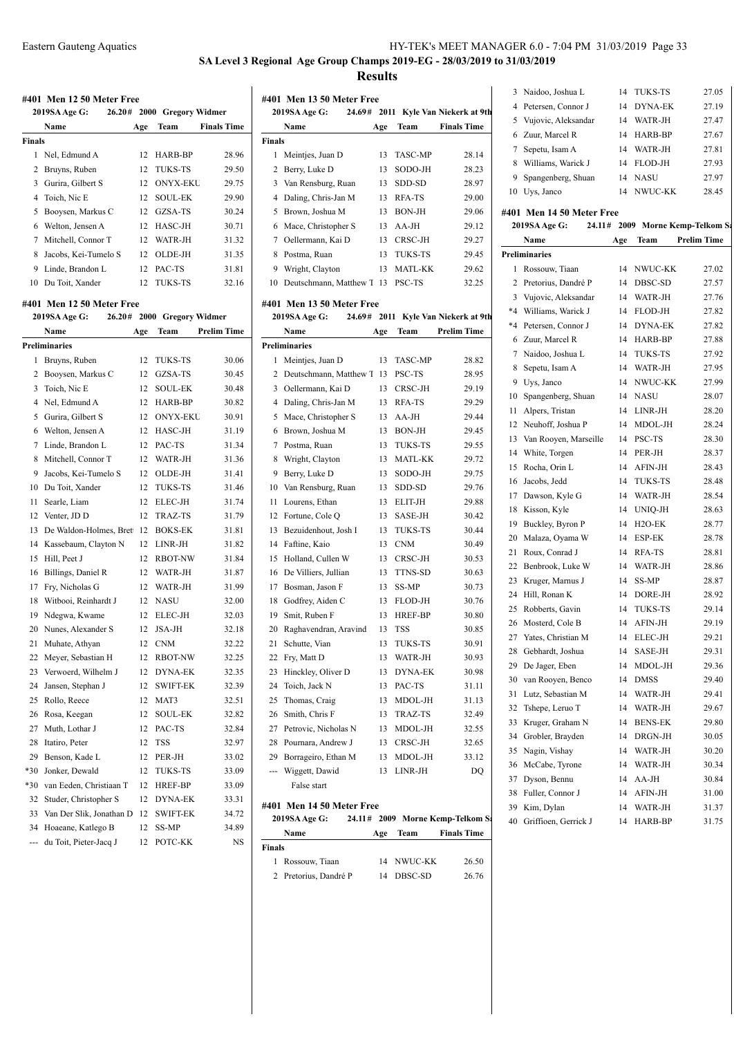**SA Level 3 Regional Age Group Champs 2019-EG - 28/03/2019 to 31/03/2019 Results**

|                                                | #401 Men 12 50 Meter Free<br>2019SA Age G: |  |          | 26.20# 2000 Gregory Widmer |                    |  |  |  |  |
|------------------------------------------------|--------------------------------------------|--|----------|----------------------------|--------------------|--|--|--|--|
|                                                | Name                                       |  | Age      | Team                       | <b>Finals Time</b> |  |  |  |  |
| <b>Finals</b>                                  |                                            |  |          |                            |                    |  |  |  |  |
| 1                                              | Nel, Edmund A                              |  | 12       | HARB-BP                    | 28.96              |  |  |  |  |
| 2                                              | Bruyns, Ruben                              |  | 12       | <b>TUKS-TS</b>             | 29.50              |  |  |  |  |
| 3                                              | Gurira, Gilbert S                          |  | 12       | <b>ONYX-EKU</b>            | 29.75              |  |  |  |  |
| 4                                              |                                            |  | 12       | <b>SOUL-EK</b>             |                    |  |  |  |  |
|                                                | Toich, Nic E                               |  |          |                            | 29.90              |  |  |  |  |
| 5                                              | Booysen, Markus C                          |  | 12       | GZSA-TS                    | 30.24              |  |  |  |  |
| 6                                              | Welton, Jensen A                           |  | 12       | HASC-JH                    | 30.71              |  |  |  |  |
| 7                                              | Mitchell, Connor T                         |  | 12       | WATR-JH                    | 31.32              |  |  |  |  |
| 8                                              | Jacobs, Kei-Tumelo S                       |  | 12       | OLDE-JH                    | 31.35              |  |  |  |  |
| 9                                              | Linde, Brandon L                           |  | 12       | PAC-TS                     | 31.81              |  |  |  |  |
| 10                                             | Du Toit, Xander                            |  | 12       | <b>TUKS-TS</b>             | 32.16              |  |  |  |  |
|                                                | #401 Men 12 50 Meter Free                  |  |          |                            |                    |  |  |  |  |
| 26.20#<br>2000 Gregory Widmer<br>2019SA Age G: |                                            |  |          |                            |                    |  |  |  |  |
|                                                | Name                                       |  | Age      | Team                       | <b>Prelim Time</b> |  |  |  |  |
|                                                | <b>Preliminaries</b>                       |  |          |                            |                    |  |  |  |  |
| 1                                              | Bruyns, Ruben                              |  | 12       | <b>TUKS-TS</b>             | 30.06              |  |  |  |  |
| 2                                              | Booysen, Markus C                          |  | 12       | GZSA-TS                    | 30.45              |  |  |  |  |
| 3                                              | Toich, Nic E                               |  | 12       | <b>SOUL-EK</b>             | 30.48              |  |  |  |  |
| 4                                              | Nel, Edmund A                              |  | 12       | HARB-BP                    | 30.82              |  |  |  |  |
| 5                                              | Gurira, Gilbert S                          |  | 12       | <b>ONYX-EKU</b>            | 30.91              |  |  |  |  |
| 6                                              | Welton, Jensen A                           |  | 12       | HASC-JH                    | 31.19              |  |  |  |  |
| 7                                              | Linde, Brandon L                           |  | 12       | PAC-TS                     | 31.34              |  |  |  |  |
| 8                                              | Mitchell, Connor T                         |  | 12       | WATR-JH                    | 31.36              |  |  |  |  |
| 9                                              | Jacobs, Kei-Tumelo S                       |  | 12       | OLDE-JH                    | 31.41              |  |  |  |  |
| 10                                             | Du Toit, Xander                            |  | 12       | TUKS-TS                    | 31.46              |  |  |  |  |
| 11                                             | Searle, Liam                               |  | 12       | ELEC-JH                    | 31.74              |  |  |  |  |
| 12                                             | Venter, JD D                               |  | 12       | TRAZ-TS                    | 31.79              |  |  |  |  |
| 13                                             | De Waldon-Holmes, Brett                    |  | 12       | <b>BOKS-EK</b>             | 31.81              |  |  |  |  |
| 14                                             | Kassebaum, Clayton N                       |  | 12       | LINR-JH                    |                    |  |  |  |  |
| 15                                             | Hill, Peet J                               |  | 12       | <b>RBOT-NW</b>             | 31.82<br>31.84     |  |  |  |  |
|                                                |                                            |  | 12       |                            |                    |  |  |  |  |
| 16                                             | Billings, Daniel R                         |  |          | WATR-JH<br>WATR-JH         | 31.87              |  |  |  |  |
| 17                                             | Fry, Nicholas G<br>Witbooi, Reinhardt J    |  | 12<br>12 | <b>NASU</b>                | 31.99              |  |  |  |  |
| 18                                             |                                            |  | 12       | <b>ELEC-JH</b>             | 32.00              |  |  |  |  |
| 19                                             | Ndegwa, Kwame<br>Nunes, Alexander S        |  | 12       |                            | 32.03              |  |  |  |  |
| 20<br>21.                                      |                                            |  |          | JSA-JH                     | 32.18              |  |  |  |  |
|                                                | Muhate, Athyan                             |  |          | 12 CNM                     | 32.22              |  |  |  |  |
| 22                                             | Meyer, Sebastian H                         |  | 12       | <b>RBOT-NW</b>             | 32.25              |  |  |  |  |
| 23                                             | Verwoerd, Wilhelm J                        |  | 12       | <b>DYNA-EK</b>             | 32.35              |  |  |  |  |
| 24                                             | Jansen, Stephan J                          |  | 12       | SWIFT-EK                   | 32.39              |  |  |  |  |
| 25                                             | Rollo, Reece                               |  | 12       | MAT3                       | 32.51              |  |  |  |  |
| 26                                             | Rosa, Keegan                               |  | 12       | SOUL-EK                    | 32.82              |  |  |  |  |
| 27                                             | Muth, Lothar J                             |  | 12       | PAC-TS                     | 32.84              |  |  |  |  |
| 28                                             | Itatiro, Peter                             |  | 12       | TSS                        | 32.97              |  |  |  |  |
| 29                                             | Benson, Kade L                             |  | 12       | PER-JH                     | 33.02              |  |  |  |  |
| $*30$                                          | Jonker, Dewald                             |  | 12       | TUKS-TS                    | 33.09              |  |  |  |  |
| $*30$                                          | van Eeden, Christiaan T                    |  | 12       | HREF-BP                    | 33.09              |  |  |  |  |
| 32                                             | Studer, Christopher S                      |  | 12       | DYNA-EK                    | 33.31              |  |  |  |  |
| 33                                             | Van Der Slik, Jonathan D                   |  | 12       | <b>SWIFT-EK</b>            | 34.72              |  |  |  |  |
| 34                                             | Hoaeane, Katlego B                         |  | 12       | SS-MP                      | 34.89              |  |  |  |  |
| ---                                            | du Toit, Pieter-Jacq J                     |  | 12       | РОТС-КК                    | NS                 |  |  |  |  |

|        | #401 Men 13 50 Meter Free                  |     |                |                                     |                 |
|--------|--------------------------------------------|-----|----------------|-------------------------------------|-----------------|
|        | 2019SA Age G:                              |     |                | 24.69# 2011 Kyle Van Niekerk at 9th | 4 P             |
|        | Name                                       | Age | Team           | <b>Finals Time</b>                  | 5 \             |
| Finals |                                            |     |                |                                     | 6 Z             |
| 1      | Meintjes, Juan D                           | 13  | <b>TASC-MP</b> | 28.14                               | 7S              |
| 2      | Berry, Luke D                              | 13  | SODO-JH        | 28.23                               | 8 V             |
|        | 3 Van Rensburg, Ruan                       | 13  | SDD-SD         | 28.97                               | 9 S             |
| 4      | Daling, Chris-Jan M                        | 13  | RFA-TS         | 29.00                               | 10 <sub>l</sub> |
| 5      | Brown, Joshua M                            | 13  | <b>BON-JH</b>  | 29.06                               | #401 1          |
| 6      | Mace, Christopher S                        | 13  | $AA-JH$        | 29.12                               | 2019            |
| 7      | Oellermann, Kai D                          | 13  | CRSC-JH        | 29.27                               | Þ               |
| 8      | Postma, Ruan                               | 13  | TUKS-TS        | 29.45                               | Prelimi         |
| 9      | Wright, Clayton                            | 13  | <b>MATL-KK</b> | 29.62                               | 1 F             |
| 10     | Deutschmann, Matthew T 13 PSC-TS           |     |                | 32.25                               | 2 P             |
|        |                                            |     |                |                                     | 3 <sup>1</sup>  |
|        | #401 Men 13 50 Meter Free<br>2019SA Age G: |     |                | 24.69# 2011 Kyle Van Niekerk at 9th | *4 V            |
|        | Name                                       | Age | Team           | <b>Prelim Time</b>                  | $*4$ P          |
|        |                                            |     |                |                                     | $\sim$ $\sim$   |

 $\overline{a}$ 

|                | Preliminaries          |    |                |       |
|----------------|------------------------|----|----------------|-------|
| 1              | Meintjes, Juan D       | 13 | <b>TASC-MP</b> | 28.82 |
| $\overline{c}$ | Deutschmann, Matthew T | 13 | PSC-TS         | 28.95 |
| 3              | Oellermann, Kai D      | 13 | CRSC-JH        | 29.19 |
| 4              | Daling, Chris-Jan M    | 13 | RFA-TS         | 29.29 |
| 5              | Mace, Christopher S    | 13 | $AA-JH$        | 29.44 |
| 6              | Brown, Joshua M        | 13 | <b>BON-JH</b>  | 29.45 |
| 7              | Postma, Ruan           | 13 | <b>TUKS-TS</b> | 29.55 |
| 8              | Wright, Clayton        | 13 | MATL-KK        | 29.72 |
| 9              | Berry, Luke D          | 13 | SODO-JH        | 29.75 |
| 10             | Van Rensburg, Ruan     | 13 | SDD-SD         | 29.76 |
| 11             | Lourens, Ethan         | 13 | ELIT-JH        | 29.88 |
| 12             | Fortune, Cole Q        | 13 | SASE-JH        | 30.42 |
| 13             | Bezuidenhout, Josh I   | 13 | TUKS-TS        | 30.44 |
| 14             | Faftine, Kaio          | 13 | <b>CNM</b>     | 30.49 |
| 15             | Holland, Cullen W      | 13 | CRSC-JH        | 30.53 |
| 16             | De Villiers, Jullian   | 13 | <b>TTNS-SD</b> | 30.63 |
| 17             | Bosman, Jason F        | 13 | SS-MP          | 30.73 |
| 18             | Godfrey, Aiden C       | 13 | FLOD-JH        | 30.76 |
| 19             | Smit, Ruben F          | 13 | HREF-BP        | 30.80 |
| 20             | Raghavendran, Aravind  | 13 | TSS            | 30.85 |
| 21             | Schutte, Vian          | 13 | TUKS-TS        | 30.91 |
| 22             | Fry, Matt D            | 13 | WATR-JH        | 30.93 |
| 23             | Hinckley, Oliver D     | 13 | <b>DYNA-EK</b> | 30.98 |
| 24             | Toich, Jack N          | 13 | PAC-TS         | 31.11 |
| 25             | Thomas, Craig          | 13 | MDOL-JH        | 31.13 |
| 26             | Smith, Chris F         | 13 | TRAZ-TS        | 32.49 |
| 27             | Petrovic, Nicholas N   | 13 | MDOL-JH        | 32.55 |
| 28             | Pournara, Andrew J     | 13 | CRSC-JH        | 32.65 |
| 29             | Borrageiro, Ethan M    | 13 | MDOL-JH        | 33.12 |
| ---            | Wiggett, Dawid         | 13 | LINR-JH        | DQ    |
|                | False start            |    |                |       |
|                |                        |    |                |       |

# **#401 Men 14 50 Meter Free**

| 2019SA Age G:  | 24.11# 2009 Morne Kemp-Telkom S |            |                    |       | Gr |
|----------------|---------------------------------|------------|--------------------|-------|----|
| Name           | Age                             | Team       | <b>Finals Time</b> |       |    |
| Finals         |                                 |            |                    |       |    |
| Rossouw, Tiaan |                                 | 14 NWUC-KK |                    | 26.50 |    |

| 2 Pretorius, Dandré P | 14 DBSC-SD | 26.76 |
|-----------------------|------------|-------|

|   | 3 Naidoo, Joshua L    | 14 | <b>TUKS-TS</b> | 27.05 |
|---|-----------------------|----|----------------|-------|
| 4 | Petersen, Connor J    | 14 | DYNA-EK        | 27.19 |
|   | 5 Vujovic, Aleksandar | 14 | WATR-JH        | 27.47 |
|   | 6 Zuur, Marcel R      | 14 | HARR-RP        | 27.67 |
|   | Sepetu, Isam A        | 14 | WATR-JH        | 27.81 |
| 8 | Williams, Warick J    | 14 | FLOD-JH        | 27.93 |
| 9 | Spangenberg, Shuan    | 14 | <b>NASU</b>    | 27.97 |
|   | Uys, Janco            | 14 | NWHC-KK        | 28.45 |
|   |                       |    |                |       |

## **#401 Men 14 50 Meter Free**

|                | 2019SA Age G:         | 24.11# |     |                     | 2009 Morne Kemp-Telkom S: |
|----------------|-----------------------|--------|-----|---------------------|---------------------------|
|                | Name                  |        | Age | Team                | <b>Prelim Time</b>        |
|                | <b>Preliminaries</b>  |        |     |                     |                           |
| 1              | Rossouw, Tiaan        |        | 14  | NWUC-KK             | 27.02                     |
| $\overline{c}$ | Pretorius, Dandré P   |        | 14  | DBSC-SD             | 27.57                     |
| 3              | Vujovic, Aleksandar   |        | 14  | WATR-JH             | 27.76                     |
| $*_{4}$        | Williams, Warick J    |        | 14  | FLOD-JH             | 27.82                     |
|                | *4 Petersen, Connor J |        | 14  | <b>DYNA-EK</b>      | 27.82                     |
| 6              | Zuur, Marcel R        |        | 14  | HARB-BP             | 27.88                     |
| $\tau$         | Naidoo, Joshua L      |        | 14  | TUKS-TS             | 27.92                     |
| 8              | Sepetu, Isam A        |        | 14  | WATR-JH             | 27.95                     |
|                | 9 Uys, Janco          |        | 14  | NWUC-KK             | 27.99                     |
| 10             | Spangenberg, Shuan    |        | 14  | <b>NASU</b>         | 28.07                     |
| 11             | Alpers, Tristan       |        | 14  | LINR-JH             | 28.20                     |
| 12             | Neuhoff, Joshua P     |        | 14  | MDOL-JH             | 28.24                     |
| 13             | Van Rooyen, Marseille |        | 14  | PSC-TS              | 28.30                     |
| 14             | White, Torgen         |        | 14  | PER-JH              | 28.37                     |
| 15             | Rocha, Orin L         |        | 14  | AFIN-JH             | 28.43                     |
| 16             | Jacobs, Jedd          |        | 14  | TUKS-TS             | 28.48                     |
| 17             | Dawson, Kyle G        |        | 14  | WATR-JH             | 28.54                     |
| 18             | Kisson, Kyle          |        | 14  | UNIQ-JH             | 28.63                     |
| 19             | Buckley, Byron P      |        | 14  | H <sub>2</sub> O-EK | 28.77                     |
| 20             | Malaza, Oyama W       |        | 14  | ESP-EK              | 28.78                     |
| 21             | Roux, Conrad J        |        | 14  | RFA-TS              | 28.81                     |
| 22             | Benbrook, Luke W      |        | 14  | WATR-JH             | 28.86                     |
| 23             | Kruger, Marnus J      |        | 14  | SS-MP               | 28.87                     |
| 24             | Hill, Ronan K         |        | 14  | DORE-JH             | 28.92                     |
| 25             | Robberts, Gavin       |        | 14  | TUKS-TS             | 29.14                     |
| 26             | Mosterd, Cole B       |        | 14  | AFIN-JH             | 29.19                     |
| 27             | Yates, Christian M    |        | 14  | ELEC-JH             | 29.21                     |
| 28             | Gebhardt, Joshua      |        | 14  | SASE-JH             | 29.31                     |
| 29             | De Jager, Eben        |        | 14  | MDOL-JH             | 29.36                     |
| 30             | van Rooyen, Benco     |        | 14  | <b>DMSS</b>         | 29.40                     |
| 31             | Lutz, Sebastian M     |        | 14  | WATR-JH             | 29.41                     |
| 32             | Tshepe, Leruo T       |        | 14  | WATR-JH             | 29.67                     |
| 33             | Kruger, Graham N      |        | 14  | <b>BENS-EK</b>      | 29.80                     |
| 34             | Grobler, Brayden      |        | 14  | DRGN-JH             | 30.05                     |
| 35             | Nagin, Vishay         |        | 14  | WATR-JH             | 30.20                     |
| 36             | McCabe, Tyrone        |        | 14  | WATR-JH             | 30.34                     |
| 37             | Dyson, Bennu          |        | 14  | AA-JH               | 30.84                     |
| 38             | Fuller, Connor J      |        | 14  | AFIN-JH             | 31.00                     |
| 39             | Kim, Dylan            |        | 14  | WATR-JH             | 31.37                     |
| 40             | Griffioen, Gerrick J  |        | 14  | HARB-BP             | 31.75                     |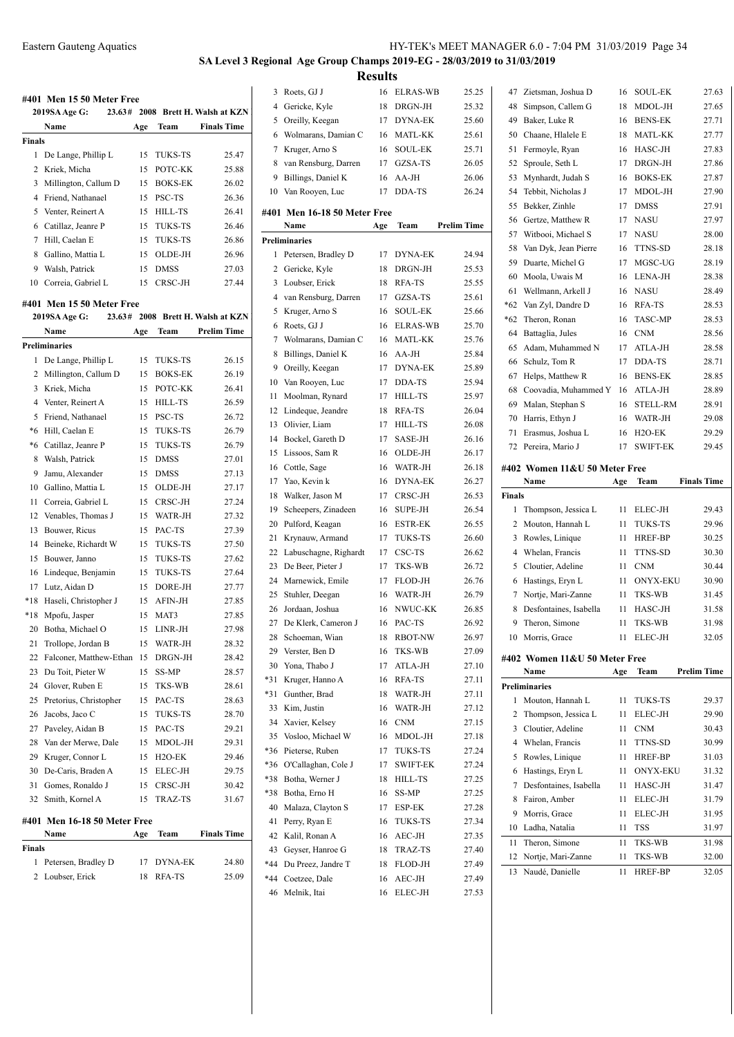# **SA Level 3 Regional Age Group Champs 2019-EG - 28/03/2019 to 31/03/2019**

**Results**

|                | #401 Men 15 50 Meter Free    |     |                     |                                   | 3      |
|----------------|------------------------------|-----|---------------------|-----------------------------------|--------|
|                | 2019SA Age G:                |     |                     | 23.63# 2008 Brett H. Walsh at KZN | 4      |
|                | Name                         | Age | Team                | <b>Finals Time</b>                | 5      |
| Finals         |                              |     |                     |                                   | 6      |
| 1              | De Lange, Phillip L          | 15  | TUKS-TS             | 25.47                             | 7      |
| 2              | Kriek, Micha                 | 15  | POTC-KK             | 25.88                             | 8      |
| 3              | Millington, Callum D         | 15  | <b>BOKS-EK</b>      | 26.02                             | 9      |
| 4              | Friend, Nathanael            | 15  | PSC-TS              | 26.36                             | 10     |
| 5              | Venter, Reinert A            | 15  | HILL-TS             | 26.41                             | #401   |
| 6              | Catillaz, Jeanre P           | 15  | <b>TUKS-TS</b>      | 26.46                             |        |
| 7              | Hill, Caelan E               | 15  | TUKS-TS             | 26.86                             | Prelin |
| 8              | Gallino, Mattia L            | 15  | OLDE-JH             | 26.96                             | 1      |
| 9              |                              | 15  | <b>DMSS</b>         | 27.03                             | 2      |
|                | Walsh, Patrick               |     |                     |                                   |        |
|                | 10 Correia, Gabriel L        | 15  | CRSC-JH             | 27.44                             | 3      |
|                | #401 Men 15 50 Meter Free    |     |                     |                                   | 4      |
|                | 23.63#<br>2019SA Age G:      |     |                     | 2008 Brett H. Walsh at KZN        | 5      |
|                | Name                         | Age | Team                | <b>Prelim Time</b>                | 6      |
|                | Preliminaries                |     |                     |                                   | 7      |
| 1              | De Lange, Phillip L          | 15  | <b>TUKS-TS</b>      | 26.15                             | 8      |
| 2              | Millington, Callum D         | 15  | <b>BOKS-EK</b>      | 26.19                             | 9      |
| 3              | Kriek, Micha                 | 15  | POTC-KK             | 26.41                             | 10     |
| $\overline{4}$ | Venter, Reinert A            | 15  | <b>HILL-TS</b>      | 26.59                             | 11     |
| 5              | Friend, Nathanael            | 15  | PSC-TS              | 26.72                             | 12     |
| *6             | Hill, Caelan E               | 15  | TUKS-TS             | 26.79                             | 13     |
| *6             | Catillaz, Jeanre P           | 15  | TUKS-TS             | 26.79                             | 14     |
| 8              | Walsh, Patrick               | 15  | <b>DMSS</b>         | 27.01                             | 15     |
| 9              | Jamu, Alexander              | 15  | <b>DMSS</b>         | 27.13                             | 16     |
| 10             | Gallino, Mattia L            | 15  | OLDE-JH             | 27.17                             | 17     |
| 11             | Correia, Gabriel L           | 15  | CRSC-JH             | 27.24                             | 18     |
| 12             | Venables, Thomas J           | 15  | WATR-JH             | 27.32                             | 19     |
| 13             | Bouwer, Ricus                | 15  | PAC-TS              | 27.39                             | 20     |
| 14             | Beineke, Richardt W          | 15  | <b>TUKS-TS</b>      | 27.50                             | 21     |
| 15             | Bouwer, Janno                | 15  | TUKS-TS             | 27.62                             | 22     |
| 16             |                              | 15  | <b>TUKS-TS</b>      | 27.64                             | 23     |
|                | Lindeque, Benjamin           |     |                     |                                   | 24     |
| 17             | Lutz, Aidan D                | 15  | DORE-JH<br>AFIN-JH  | 27.77                             | 25     |
| *18            | Haseli, Christopher J        | 15  |                     | 27.85                             | 26     |
| *18            | Mpofu, Jasper                | 15  | MAT3<br>LINR-JH     | 27.85                             | 27     |
| 20             | Botha, Michael O             | 15  |                     | 27.98                             | 28     |
| 21             | Trollope, Jordan B           | 15  | WATR-JH             | 28.32                             | 29     |
| 22             | Falconer, Matthew-Ethan      | 15  | DRGN-JH             | 28.42                             | 30     |
| 23             | Du Toit, Pieter W            | 15  | SS-MP               | 28.57                             | *31    |
| 24             | Glover, Ruben E              | 15  | TKS-WB              | 28.61                             | *31    |
| 25             | Pretorius, Christopher       | 15  | PAC-TS              | 28.63                             | 33     |
| 26             | Jacobs, Jaco C               | 15  | <b>TUKS-TS</b>      | 28.70                             | 34     |
| 27             | Paveley, Aidan B             | 15  | PAC-TS              | 29.21                             | 35     |
| 28             | Van der Merwe, Dale          | 15  | MDOL-JH             | 29.31                             | *36    |
| 29             | Kruger, Connor L             | 15  | H <sub>2</sub> O-EK | 29.46                             | *36    |
| 30             | De-Caris, Braden A           | 15  | ELEC-JH             | 29.75                             | *38    |
| 31             | Gomes, Ronaldo J             | 15  | CRSC-JH             | 30.42                             | *38    |
| 32             | Smith, Kornel A              | 15  | TRAZ-TS             | 31.67                             | 40     |
|                | #401 Men 16-18 50 Meter Free |     |                     |                                   | 41     |
|                | Name                         | Age | Team                | <b>Finals Time</b>                |        |
| Finals         |                              |     |                     |                                   | 42     |
| 1              | Petersen, Bradley D          | 17  | DYNA-EK             | 24.80                             | 43     |
| 2              | Loubser, Erick               | 18  | RFA-TS              | 25.09                             | *44    |
|                |                              |     |                     |                                   | $*44$  |
|                |                              |     |                     |                                   | 46     |

| 3   | Roets, GJ J                  | 16  | <b>ELRAS-WB</b> | 25.25              |
|-----|------------------------------|-----|-----------------|--------------------|
| 4   | Gericke, Kyle                | 18  | DRGN-JH         | 25.32              |
| 5   | Oreilly, Keegan              | 17  | <b>DYNA-EK</b>  | 25.60              |
| 6   | Wolmarans, Damian C          | 16  | <b>MATL-KK</b>  | 25.61              |
| 7   | Kruger, Arno S               | 16  | <b>SOUL-EK</b>  | 25.71              |
| 8   | van Rensburg, Darren         | 17  | GZSA-TS         | 26.05              |
| 9   | Billings, Daniel K           | 16  | AA-JH           | 26.06              |
| 10  | Van Rooyen, Luc              | 17  | DDA-TS          | 26.24              |
|     |                              |     |                 |                    |
|     | #401 Men 16-18 50 Meter Free |     |                 |                    |
|     | Name                         | Age | Team            | <b>Prelim Time</b> |
|     | <b>Preliminaries</b>         |     |                 |                    |
| 1   | Petersen, Bradley D          | 17  | DYNA-EK         | 24.94              |
| 2   | Gericke, Kyle                | 18  | DRGN-JH         | 25.53              |
| 3   | Loubser, Erick               | 18  | RFA-TS          | 25.55              |
| 4   | van Rensburg, Darren         | 17  | GZSA-TS         | 25.61              |
| 5   | Kruger, Arno S               | 16  | <b>SOUL-EK</b>  | 25.66              |
| 6   | Roets, GJ J                  | 16  | <b>ELRAS-WB</b> | 25.70              |
| 7   | Wolmarans, Damian C          | 16  | MATL-KK         | 25.76              |
| 8   | Billings, Daniel K           | 16  | $AA-JH$         | 25.84              |
| 9   | Oreilly, Keegan              | 17  | <b>DYNA-EK</b>  | 25.89              |
| 10  | Van Rooyen, Luc              | 17  | DDA-TS          | 25.94              |
| 11  | Moolman, Rynard              | 17  | <b>HILL-TS</b>  | 25.97              |
| 12  | Lindeque, Jeandre            | 18  | RFA-TS          | 26.04              |
| 13  | Olivier, Liam                | 17  | HILL-TS         | 26.08              |
| 14  | Bockel, Gareth D             | 17  | SASE-JH         | 26.16              |
| 15  | Lissoos, Sam R               | 16  | OLDE-JH         | 26.17              |
| 16  | Cottle, Sage                 | 16  | WATR-JH         | 26.18              |
| 17  | Yao, Kevin k                 | 16  | DYNA-EK         | 26.27              |
| 18  | Walker, Jason M              | 17  | CRSC-JH         | 26.53              |
| 19  | Scheepers, Zinadeen          | 16  | <b>SUPE-JH</b>  | 26.54              |
| 20  | Pulford, Keagan              | 16  | <b>ESTR-EK</b>  | 26.55              |
| 21  | Krynauw, Armand              | 17  | <b>TUKS-TS</b>  | 26.60              |
| 22  | Labuschagne, Righardt        | 17  | CSC-TS          | 26.62              |
| 23  | De Beer, Pieter J            | 17  | TKS-WB          | 26.72              |
| 24  | Marnewick, Emile             | 17  | FLOD-JH         | 26.76              |
| 25  | Stuhler, Deegan              | 16  | WATR-JH         | 26.79              |
| 26  | Jordaan, Joshua              | 16  | NWUC-KK         | 26.85              |
| 27  | De Klerk, Cameron J          | 16  | PAC-TS          | 26.92              |
|     | 28 Schoeman, Wian            | 18  | RBOT-NW         | 26.97              |
| 29  | Verster, Ben D               | 16  | TKS-WB          | 27.09              |
| 30  | Yona, Thabo J                | 17  | ATLA-JH         | 27.10              |
| *31 | Kruger, Hanno A              | 16  | RFA-TS          | 27.11              |
| *31 | Gunther, Brad                | 18  | WATR-JH         | 27.11              |
| 33  | Kim, Justin                  | 16  | WATR-JH         | 27.12              |
| 34  | Xavier, Kelsey               | 16  | CNM             | 27.15              |
| 35  | Vosloo, Michael W            | 16  | MDOL-JH         | 27.18              |
| *36 | Pieterse, Ruben              | 17  | TUKS-TS         | 27.24              |
| *36 | O'Callaghan, Cole J          | 17  | <b>SWIFT-EK</b> | 27.24              |
| *38 | Botha, Werner J              | 18  | <b>HILL-TS</b>  | 27.25              |
| *38 | Botha, Erno H                | 16  | SS-MP           | 27.25              |
| 40  | Malaza, Clayton S            | 17  | ESP-EK          | 27.28              |
| 41  | Perry, Ryan E                | 16  | TUKS-TS         | 27.34              |
| 42  | Kalil, Ronan A               | 16  | AEC-JH          | 27.35              |
| 43  | Geyser, Hanroe G             | 18  | TRAZ-TS         | 27.40              |
| *44 | Du Preez, Jandre T           | 18  | FLOD-JH         | 27.49              |
| *44 | Coetzee, Dale                | 16  | AEC-JH          | 27.49              |
| 46  | Melnik, Itai                 | 16  | <b>ELEC-JH</b>  | 27.53              |
|     |                              |     |                 |                    |

| 47            | Zietsman, Joshua D                    | 16       | <b>SOUL-EK</b>      | 27.63              |
|---------------|---------------------------------------|----------|---------------------|--------------------|
| 48            | Simpson, Callem G                     | 18       | MDOL-JH             | 27.65              |
| 49            | Baker, Luke R                         | 16       | <b>BENS-EK</b>      | 27.71              |
| 50            | Chaane, Hlalele E                     | 18       | <b>MATL-KK</b>      | 27.77              |
| 51            | Fermoyle, Ryan                        | 16       | HASC-JH             | 27.83              |
| 52            | Sproule, Seth L                       | 17       | DRGN-JH             | 27.86              |
| 53            | Mynhardt, Judah S                     | 16       | <b>BOKS-EK</b>      | 27.87              |
| 54            | Tebbit, Nicholas J                    | 17       | MDOL-JH             | 27.90              |
| 55            | Bekker, Zinhle                        | 17       | <b>DMSS</b>         | 27.91              |
| 56            | Gertze, Matthew R                     | 17       | NASU                | 27.97              |
| 57            | Witbooi, Michael S                    | 17       | NASU                | 28.00              |
| 58            | Van Dyk, Jean Pierre                  | 16       | TTNS-SD             | 28.18              |
| 59            | Duarte, Michel G                      | 17       | MGSC-UG             | 28.19              |
| 60            | Moola, Uwais M                        | 16       | LENA-JH             | 28.38              |
| 61            | Wellmann, Arkell J                    | 16       | <b>NASU</b>         | 28.49              |
| $*62$         | Van Zyl, Dandre D                     | 16       | RFA-TS              | 28.53              |
| $*62$         | Theron, Ronan                         | 16       | <b>TASC-MP</b>      | 28.53              |
| 64            | Battaglia, Jules                      | 16       | <b>CNM</b>          | 28.56              |
| 65            | Adam, Muhammed N                      | 17       | ATLA-JH             | 28.58              |
| 66            | Schulz, Tom R                         | 17       | DDA-TS              | 28.71              |
| 67            | Helps, Matthew R                      | 16       | <b>BENS-EK</b>      | 28.85              |
| 68            | Coovadia, Muhammed Y                  | 16       | ATLA-JH             | 28.89              |
| 69            | Malan, Stephan S                      | 16       | <b>STELL-RM</b>     | 28.91              |
| 70            | Harris, Ethyn J                       | 16       | WATR-JH             | 29.08              |
| 71            | Erasmus, Joshua L                     | 16       | H <sub>2</sub> O-EK | 29.29              |
| 72            | Pereira, Mario J                      | 17       | <b>SWIFT-EK</b>     | 29.45              |
|               | #402 Women 11&U 50 Meter Free<br>Name | Age      | Team                | <b>Finals Time</b> |
| <b>Finals</b> |                                       |          |                     |                    |
| 1             | Thompson, Jessica L                   | 11       | ELEC-JH             | 29.43              |
| 2             | Mouton, Hannah L                      | 11       | <b>TUKS-TS</b>      | 29.96              |
| 3             | Rowles, Linique                       | 11       | HREF-BP             | 30.25              |
| 4             | Whelan, Francis                       | 11       | TTNS-SD             | 30.30              |
| 5             | Cloutier, Adeline                     | 11       | <b>CNM</b>          | 30.44              |
| 6             | Hastings, Eryn L                      | 11       | <b>ONYX-EKU</b>     | 30.90              |
| 7             | Nortje, Mari-Zanne                    | 11       | TKS-WB              | 31.45              |
| 8             | Desfontaines, Isabella                | 11       | HASC-JH             | 31.58              |
| 9             | Theron, Simone                        | 11       | TKS-WB              | 31.98              |
| 10            | Morris, Grace                         | 11       | ELEC-JH             | 32.05              |
|               |                                       |          |                     |                    |
|               | #402 Women 11&U 50 Meter Free<br>Name | Age      | Team                | <b>Prelim Time</b> |
|               | <b>Preliminaries</b>                  |          |                     |                    |
| 1             | Mouton, Hannah L                      | 11       | <b>TUKS-TS</b>      | 29.37              |
| 2             | Thompson, Jessica L                   | 11       | ELEC-JH             | 29.90              |
| 3             | Cloutier, Adeline                     | 11       | <b>CNM</b>          | 30.43              |
| 4             | Whelan, Francis                       | 11       | TTNS-SD             | 30.99              |
| 5             |                                       | 11       | <b>HREF-BP</b>      | 31.03              |
| 6             | Rowles, Linique                       | 11       |                     |                    |
|               | Hastings, Eryn L                      |          | <b>ONYX-EKU</b>     | 31.32              |
| 7             | Desfontaines, Isabella                | 11       | HASC-JH             | 31.47              |
| 8             | Fairon, Amber                         | 11       | ELEC-JH             | 31.79              |
| 9             | Morris, Grace                         | 11       | ELEC-JH             | 31.95              |
| 10            | Ladha, Natalia                        | 11       | <b>TSS</b>          | 31.97              |
| 11            | Theron, Simone                        | 11       | <b>TKS-WB</b>       | 31.98              |
| 12<br>13      | Nortje, Mari-Zanne<br>Naudé, Danielle | 11<br>11 | TKS-WB<br>HREF-BP   | 32.00<br>32.05     |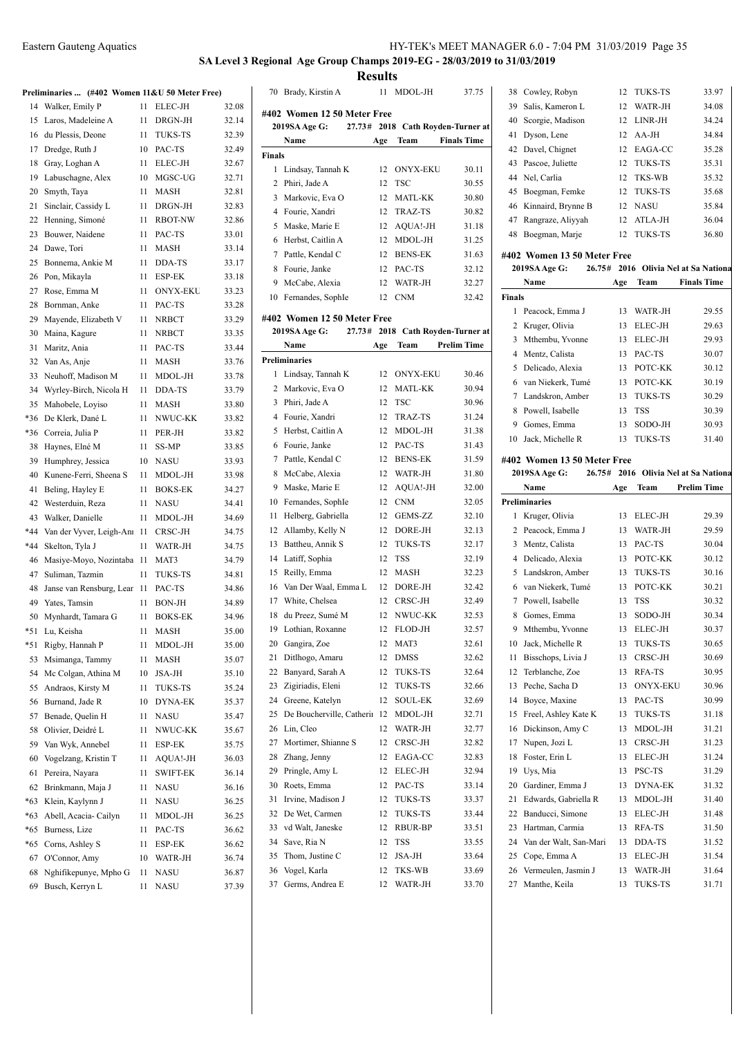#### **SA Level 3 Regional Age Group Champs 2019-EG - 28/03/2019 to 31/03/2019 Results**

**Preliminaries ... (#402 Women 11&U 50 Meter Free)** 14 Walker, Emily P 11 ELEC-JH 32.08 15 Laros, Madeleine A 11 DRGN-JH 32.14 16 du Plessis, Deone 11 TUKS-TS 32.39 17 Dredge, Ruth J 10 PAC-TS 32.49 Gray, Loghan A 11 ELEC-JH 32.67 Labuschagne, Alex 10 MGSC-UG 32.71 Smyth, Taya 11 MASH 32.81 21 Sinclair, Cassidy L 11 DRGN-JH 32.83 Henning, Simoné 11 RBOT-NW 32.86 Bouwer, Naidene 11 PAC-TS 33.01 24 Dawe, Tori 11 MASH 33.14 25 Bonnema, Ankie M 11 DDA-TS 33.17 Pon, Mikayla 11 ESP-EK 33.18 27 Rose, Emma M 11 ONYX-EKU 33.23 Bornman, Anke 11 PAC-TS 33.28 29 Mayende, Elizabeth V 11 NRBCT 33.29 Maina, Kagure 11 NRBCT 33.35 Maritz, Ania 11 PAC-TS 33.44 Van As, Anje 11 MASH 33.76 33 Neuhoff, Madison M 11 MDOL-JH 33.78 Wyrley-Birch, Nicola H 11 DDA-TS 33.79 Mahobele, Loyiso 11 MASH 33.80 \*36 De Klerk, Dané L 11 NWUC-KK 33.82 \*36 Correia, Julia P 11 PER-JH 33.82 Haynes, Elné M 11 SS-MP 33.85 Humphrey, Jessica 10 NASU 33.93 Kunene-Ferri, Sheena S 11 MDOL-JH 33.98 41 Beling, Hayley E 11 BOKS-EK 34.27 Westerduin, Reza 11 NASU 34.41 43 Walker, Danielle 11 MDOL-JH 34.69 \*44 Van der Vyver, Leigh-Ann 11 CRSC-JH 34.75 \*44 Skelton, Tyla J 11 WATR-JH 34.75 46 Masiye-Moyo, Nozintaba 11 MAT3 34.79 Suliman, Tazmin 11 TUKS-TS 34.81 48 Janse van Rensburg, Lean 11 PAC-TS 34.86 Yates, Tamsin 11 BON-JH 34.89 50 Mynhardt, Tamara G 11 BOKS-EK 34.96 \*51 Lu, Keisha 11 MASH 35.00 \*51 Rigby, Hannah P 11 MDOL-JH 35.00 Msimanga, Tammy 11 MASH 35.07 54 Mc Colgan, Athina M 10 JSA-JH 35.10 55 Andraos, Kirsty M 11 TUKS-TS 35.24 56 Burnand, Jade R 10 DYNA-EK 35.37 57 Benade, Quelin H 11 NASU 35.47 58 Olivier, Deidré L 11 NWUC-KK 35.67 Van Wyk, Annebel 11 ESP-EK 35.75 Vogelzang, Kristin T 11 AQUA!-JH 36.03 Pereira, Nayara 11 SWIFT-EK 36.14 62 Brinkmann, Maja J 11 NASU 36.16 \*63 Klein, Kaylynn J 11 NASU 36.25 \*63 Abell, Acacia- Cailyn 11 MDOL-JH 36.25 \*65 Burness, Lize 11 PAC-TS 36.62 \*65 Corns, Ashley S 11 ESP-EK 36.62 O'Connor, Amy 10 WATR-JH 36.74 Nghifikepunye, Mpho G 11 NASU 36.87 69 Busch, Kerryn L 11 NASU 37.39

|                | 70 Brady, Kirstin A                    |          | 11 MDOL-JH                   | 37.75              | 38     |
|----------------|----------------------------------------|----------|------------------------------|--------------------|--------|
|                | #402 Women 12 50 Meter Free            |          |                              |                    | 39     |
|                | 27.73#<br>2019SA Age G:                |          | 2018 Cath Royden-Turner at   |                    | 40     |
|                | Name                                   | Age      | Team                         | <b>Finals Time</b> | 41     |
| <b>Finals</b>  |                                        |          |                              |                    | 42     |
| 1              | Lindsay, Tannah K                      | 12       | <b>ONYX-EKU</b>              | 30.11              | 43     |
| 2              | Phiri, Jade A                          | 12       | <b>TSC</b>                   | 30.55              | 44     |
| 3              | Markovic, Eva O                        | 12       | <b>MATL-KK</b>               | 30.80              | 45     |
|                | 4 Fourie, Xandri                       | 12       | TRAZ-TS                      | 30.82              | 46     |
| 5              | Maske, Marie E                         | 12       | AQUA!-JH                     | 31.18              | 47     |
| 6              | Herbst, Caitlin A                      | 12       | MDOL-JH                      | 31.25              | 48     |
| 7              | Pattle, Kendal C                       | 12       | <b>BENS-EK</b>               | 31.63              | #402   |
| 8              | Fourie, Janke                          | 12       | PAC-TS                       | 32.12              | 201    |
| 9              | McCabe, Alexia                         | 12       | WATR-JH                      | 32.27              |        |
| 10             | Fernandes, SophIe                      | 12       | <b>CNM</b>                   | 32.42              | Finals |
|                |                                        |          |                              |                    | 1      |
|                | #402 Women 12 50 Meter Free            |          |                              |                    | 2      |
|                | 2019SA Age G:<br>27.73#                |          | 2018 Cath Royden-Turner at   |                    | 3      |
|                | Name                                   | Age      | Team                         | <b>Prelim Time</b> | 4      |
|                | <b>Preliminaries</b>                   |          |                              |                    | 5      |
| 1              | Lindsay, Tannah K                      | 12       | <b>ONYX-EKU</b>              | 30.46              | 6      |
| 2              | Markovic, Eva O                        | 12       | <b>MATL-KK</b>               | 30.94              | 7      |
| 3              | Phiri, Jade A                          | 12       | <b>TSC</b>                   | 30.96              | 8      |
| $\overline{4}$ | Fourie, Xandri                         | 12       | <b>TRAZ-TS</b>               | 31.24              | 9      |
| 5              | Herbst, Caitlin A                      | 12       | MDOL-JH                      | 31.38              | 10     |
| 6              | Fourie, Janke                          | 12       | PAC-TS                       | 31.43              |        |
| 7              | Pattle, Kendal C                       | 12       | <b>BENS-EK</b>               | 31.59              | #402   |
| 8              | McCabe, Alexia                         | 12       | WATR-JH                      | 31.80              | 201    |
| 9              | Maske, Marie E                         | 12       | AQUA!-JH                     | 32.00              |        |
| 10             | Fernandes, SophIe                      | 12       | <b>CNM</b>                   | 32.05              | Prelim |
| 11             | Helberg, Gabriella                     | 12       | GEMS-ZZ                      | 32.10              | 1      |
| 12             | Allamby, Kelly N                       | 12       | DORE-JH                      | 32.13              | 2      |
| 13             | Battheu, Annik S                       | 12       | <b>TUKS-TS</b><br><b>TSS</b> | 32.17              | 3<br>4 |
| 14             | Latiff, Sophia                         | 12       | <b>MASH</b>                  | 32.19              |        |
| 15             | Reilly, Emma                           | 12       |                              | 32.23              | 5      |
| 16<br>17       | Van Der Waal, Emma L<br>White, Chelsea | 12<br>12 | DORE-JH<br>CRSC-JH           | 32.42              | 6<br>7 |
| 18             | du Preez, Sumé M                       | 12       | NWUC-KK                      | 32.49<br>32.53     | 8      |
| 19             | Lothian, Roxanne                       | 12       | FLOD-JH                      |                    | 9      |
| 20             | Gangira, Zoe                           | 12       | MAT3                         | 32.57<br>32.61     | 10     |
| 21             | Ditlhogo, Amaru                        | 12       | DMSS                         | 32.62              | 11     |
| 22             | Banyard, Sarah A                       | 12       | TUKS-TS                      | 32.64              | 12     |
| 23             | Zigiriadis, Eleni                      | 12       | TUKS-TS                      | 32.66              | 13     |
| 24             | Greene, Katelyn                        | 12       | <b>SOUL-EK</b>               | 32.69              | 14     |
| 25             | De Boucherville, Catherin              | 12       | MDOL-JH                      | 32.71              | 15     |
| 26             | Lin, Cleo                              | 12       | WATR-JH                      | 32.77              | 16     |
| 27             | Mortimer, Shianne S                    | 12       | CRSC-JH                      | 32.82              | 17     |
| 28             | Zhang, Jenny                           | 12       | EAGA-CC                      | 32.83              | 18     |
| 29             | Pringle, Amy L                         | 12       | ELEC-JH                      | 32.94              | 19     |
| 30             | Roets, Emma                            | 12       | PAC-TS                       | 33.14              | 20     |
| 31             | Irvine, Madison J                      | 12       | TUKS-TS                      | 33.37              | 21     |
| 32             | De Wet, Carmen                         | 12       | TUKS-TS                      | 33.44              | 22     |
| 33             | vd Walt, Janeske                       | 12       | RBUR-BP                      | 33.51              | 23     |
| 34             | Save, Ria N                            | 12       | TSS                          | 33.55              | 24     |
| 35             | Thom, Justine C                        | 12       | JSA-JH                       | 33.64              | 25     |
| 36             | Vogel, Karla                           | 12       | TKS-WB                       | 33.69              | 26     |
| 37             | Germs, Andrea E                        | 12       | WATR-JH                      | 33.70              | 27     |
|                |                                        |          |                              |                    |        |

| 38  | Cowley, Robyn         | 12 TUKS-TS        | 33.97 |
|-----|-----------------------|-------------------|-------|
| 39. | Salis, Kameron L      | 12 WATR-JH        | 34.08 |
|     | 40 Scorgie, Madison   | 12 LINR-JH        | 34.24 |
| 41  | Dyson, Lene           | $12 \text{AA-JH}$ | 34.84 |
|     | 42 Davel, Chignet     | 12 EAGA-CC        | 35.28 |
|     | 43 Pascoe, Juliette   | 12 TUKS-TS        | 35.31 |
|     | 44 Nel, Carlia        | 12 TKS-WB         | 35.32 |
|     | 45 Boegman, Femke     | 12 TUKS-TS        | 35.68 |
|     | 46 Kinnaird, Brynne B | 12 NASU           | 35.84 |
| 47  | Rangraze, Aliyyah     | 12 ATLA-JH        | 36.04 |
| 48  | Boegman, Marje        | 12 TUKS-TS        | 36.80 |
|     |                       |                   |       |

#### **#402 Women 13 50 Meter Free**

|        | 2019SA Age G:<br>26.75# |     |                | 2016 Olivia Nel at Sa Nation: |
|--------|-------------------------|-----|----------------|-------------------------------|
|        | Name                    | Age | Team           | <b>Finals Time</b>            |
| Finals |                         |     |                |                               |
| 1      | Peacock, Emma J         | 13  | WATR-JH        | 29.55                         |
|        | Kruger, Olivia          | 13  | ELEC-JH        | 29.63                         |
| 3      | Mthembu, Yvonne         | 13  | ELEC-JH        | 29.93                         |
|        | 4 Mentz, Calista        | 13. | PAC-TS         | 30.07                         |
| 5.     | Delicado, Alexia        | 13. | POTC-KK        | 30.12                         |
|        | 6 van Niekerk, Tumé     | 13  | POTC-KK        | 30.19                         |
|        | 7 Landskron, Amber      | 13  | <b>TUKS-TS</b> | 30.29                         |
| 8      | Powell, Isabelle        | 13  | <b>TSS</b>     | 30.39                         |
| 9      | Gomes, Emma             | 13  | SODO-JH        | 30.93                         |
| 10     | Jack. Michelle R        | 13  | <b>TUKS-TS</b> | 31.40                         |
|        |                         |     |                |                               |

#### **#402 Women 13 50 Meter Free**

|    | 2019SA Age G:<br>26.75# |     |                 | 2016 Olivia Nel at Sa Nationa |
|----|-------------------------|-----|-----------------|-------------------------------|
|    | Name                    | Age | Team            | <b>Prelim Time</b>            |
|    | <b>Preliminaries</b>    |     |                 |                               |
| 1  | Kruger, Olivia          | 13  | ELEC-JH         | 29.39                         |
| 2  | Peacock, Emma J         | 13  | WATR-JH         | 29.59                         |
| 3  | Mentz, Calista          | 13  | PAC-TS          | 30.04                         |
| 4  | Delicado, Alexia        | 13  | POTC-KK         | 30.12                         |
| 5  | Landskron, Amber        | 13  | TUKS-TS         | 30.16                         |
| 6  | van Niekerk, Tumé       | 13  | POTC-KK         | 30.21                         |
| 7  | Powell, Isabelle        | 13  | <b>TSS</b>      | 30.32                         |
| 8  | Gomes, Emma             | 13  | SODO-JH         | 30.34                         |
| 9  | Mthembu, Yvonne         | 13  | ELEC-JH         | 30.37                         |
| 10 | Jack, Michelle R        | 13  | TUKS-TS         | 30.65                         |
| 11 | Bisschops, Livia J      | 13  | CRSC-JH         | 30.69                         |
| 12 | Terblanche, Zoe         | 13  | RFA-TS          | 30.95                         |
| 13 | Peche, Sacha D          | 13  | <b>ONYX-EKU</b> | 30.96                         |
| 14 | Boyce, Maxine           | 13  | PAC-TS          | 30.99                         |
| 15 | Freel, Ashley Kate K    | 13  | TUKS-TS         | 31.18                         |
| 16 | Dickinson, Amy C        | 13  | MDOL-JH         | 31.21                         |
| 17 | Nupen, Jozi L           | 13  | CRSC-JH         | 31.23                         |
| 18 | Foster, Erin L          | 13  | ELEC-JH         | 31.24                         |
| 19 | Uys, Mia                | 13  | PSC-TS          | 31.29                         |
| 20 | Gardiner, Emma J        | 13  | DYNA-EK         | 31.32                         |
| 21 | Edwards, Gabriella R    | 13  | MDOL-JH         | 31.40                         |
| 22 | Banducci, Simone        | 13  | ELEC-JH         | 31.48                         |
| 23 | Hartman, Carmia         | 13  | RFA-TS          | 31.50                         |
| 24 | Van der Walt, San-Mari  | 13  | DDA-TS          | 31.52                         |
| 25 | Cope, Emma A            | 13  | ELEC-JH         | 31.54                         |
| 26 | Vermeulen, Jasmin J     | 13  | WATR-JH         | 31.64                         |
| 27 | Manthe, Keila           | 13  | <b>TUKS-TS</b>  | 31.71                         |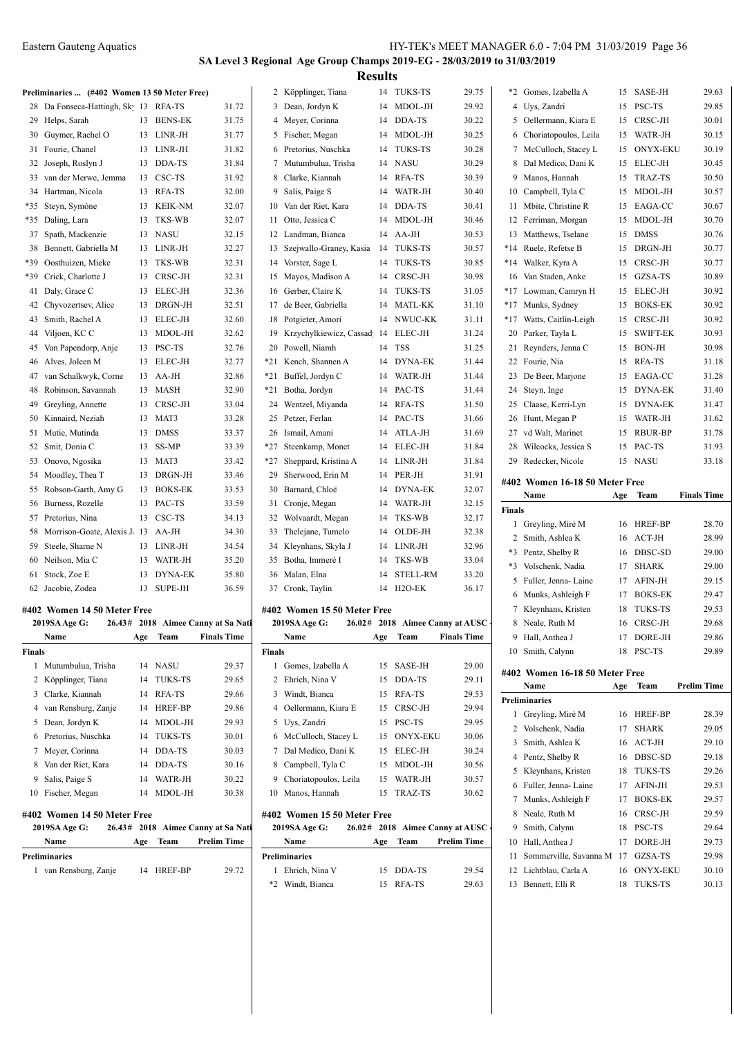# **SA Level 3 Regional Age Group Champs 2019-EG - 28/03/2019 to 31/03/2019 Results**

| Preliminaries  (#402 Women 13 50 Meter Free) |  |  |  |
|----------------------------------------------|--|--|--|

|     | reminizives $\ldots$ ( $\#$ +02 voluen 15 50 ineter Free) |    |                |       |
|-----|-----------------------------------------------------------|----|----------------|-------|
| 28  | Da Fonseca-Hattingh, Sky 13                               |    | RFA-TS         | 31.72 |
| 29  | Helps, Sarah                                              | 13 | <b>BENS-EK</b> | 31.75 |
| 30  | Guymer, Rachel O                                          | 13 | LINR-JH        | 31.77 |
| 31  | Fourie, Chanel                                            | 13 | LINR-JH        | 31.82 |
| 32  | Joseph, Roslyn J                                          | 13 | DDA-TS         | 31.84 |
| 33  | van der Merwe, Jemma                                      | 13 | CSC-TS         | 31.92 |
| 34  | Hartman, Nicola                                           | 13 | RFA-TS         | 32.00 |
| *35 | Steyn, Symóne                                             | 13 | KEIK-NM        | 32.07 |
| *35 | Daling, Lara                                              | 13 | TKS-WB         | 32.07 |
| 37  | Spath, Mackenzie                                          | 13 | <b>NASU</b>    | 32.15 |
| 38  | Bennett, Gabriella M                                      | 13 | LINR-JH        | 32.27 |
| *39 | Oosthuizen, Mieke                                         | 13 | TKS-WB         | 32.31 |
| *39 | Crick, Charlotte J                                        | 13 | CRSC-JH        | 32.31 |
| 41  | Daly, Grace C                                             | 13 | ELEC-JH        | 32.36 |
| 42  | Chyvozertsev, Alice                                       | 13 | DRGN-JH        | 32.51 |
| 43  | Smith, Rachel A                                           | 13 | ELEC-JH        | 32.60 |
| 44  | Viljoen, KC C                                             | 13 | MDOL-JH        | 32.62 |
| 45  | Van Papendorp, Anje                                       | 13 | PSC-TS         | 32.76 |
| 46  | Alves, Joleen M                                           | 13 | ELEC-JH        | 32.77 |
| 47  | van Schalkwyk, Corne                                      | 13 | $AA-JH$        | 32.86 |
| 48  | Robinson, Savannah                                        | 13 | MASH           | 32.90 |
| 49  | Greyling, Annette                                         | 13 | CRSC-JH        | 33.04 |
| 50  | Kinnaird, Neziah                                          | 13 | MAT3           | 33.28 |
| 51  | Mutie, Mutinda                                            | 13 | <b>DMSS</b>    | 33.37 |
| 52  | Smit, Donia C                                             | 13 | SS-MP          | 33.39 |
| 53  | Onovo, Ngosika                                            | 13 | MAT3           | 33.42 |
| 54  | Moodley, Thea T                                           | 13 | DRGN-JH        | 33.46 |
| 55  | Robson-Garth, Amy G                                       | 13 | <b>BOKS-EK</b> | 33.53 |
| 56  | Burness, Rozelle                                          | 13 | PAC-TS         | 33.59 |
| 57  | Pretorius, Nina                                           | 13 | CSC-TS         | 34.13 |
| 58  | Morrison-Goate, Alexis J.                                 | 13 | AA-JH          | 34.30 |
| 59  | Steele, Sharne N                                          | 13 | LINR-JH        | 34.54 |
| 60  | Neilson, Mia C                                            | 13 | WATR-JH        | 35.20 |
| 61  | Stock, Zoe E                                              | 13 | <b>DYNA-EK</b> | 35.80 |
| 62  | Jacobie, Zodea                                            | 13 | SUPE-JH        | 36.59 |

#### **#402 Women 14 50 Meter Free 2019SA Age G: 26.43# 2018 Aimee Canny at Sa National Adventure**

|        | 2019SA Age G:               |     |                | 20.43# 2018 Aimee Canny at Sa Nati |
|--------|-----------------------------|-----|----------------|------------------------------------|
|        | Name                        | Age | Team           | <b>Finals Time</b>                 |
| Finals |                             |     |                |                                    |
| 1      | Mutumbulua, Trisha          | 14  | <b>NASU</b>    | 29.37                              |
| 2      | Köpplinger, Tiana           | 14  | <b>TUKS-TS</b> | 29.65                              |
| 3      | Clarke, Kiannah             | 14  | RFA-TS         | 29.66                              |
| 4      | van Rensburg, Zanje         | 14  | <b>HREF-BP</b> | 29.86                              |
| 5      | Dean, Jordyn K              | 14  | MDOL-JH        | 29.93                              |
| 6      | Pretorius, Nuschka          | 14  | <b>TUKS-TS</b> | 30.01                              |
| 7      | Meyer, Corinna              | 14  | DDA-TS         | 30.03                              |
| 8      | Van der Riet, Kara          | 14  | DDA-TS         | 30.16                              |
| 9      | Salis, Paige S              | 14  | WATR-JH        | 30.22                              |
| 10     | Fischer, Megan              | 14  | MDOL-JH        | 30.38                              |
|        | #402 Women 14 50 Meter Free |     |                |                                    |
|        |                             |     |                |                                    |

| 7702 - 11 0111 011 1 1 20 111 001 11 100 |  |     |            |                                    |  |  |  |
|------------------------------------------|--|-----|------------|------------------------------------|--|--|--|
| <b>2019SA Age G:</b>                     |  |     |            | 26.43# 2018 Aimee Canny at Sa Nati |  |  |  |
| Name                                     |  | Age |            | Team Prelim Time                   |  |  |  |
| Preliminaries                            |  |     |            |                                    |  |  |  |
| 1 van Rensburg, Zanje                    |  |     | 14 HREF-BP | 29.72                              |  |  |  |

| 2     | Köpplinger, Tiana       | 14 | <b>TUKS-TS</b>      | 29.75 |
|-------|-------------------------|----|---------------------|-------|
| 3     | Dean, Jordyn K          | 14 | MDOL-JH             | 29.92 |
| 4     | Meyer, Corinna          | 14 | DDA-TS              | 30.22 |
| 5     | Fischer, Megan          | 14 | MDOL-JH             | 30.25 |
| 6     | Pretorius, Nuschka      | 14 | <b>TUKS-TS</b>      | 30.28 |
| 7     | Mutumbulua, Trisha      | 14 | <b>NASU</b>         | 30.29 |
| 8     | Clarke, Kiannah         | 14 | RFA-TS              | 30.39 |
| 9     | Salis, Paige S          | 14 | WATR-JH             | 30.40 |
| 10    | Van der Riet, Kara      | 14 | DDA-TS              | 30.41 |
| 11    | Otto, Jessica C         | 14 | MDOL-JH             | 30.46 |
| 12    | Landman, Bianca         | 14 | $AA-JH$             | 30.53 |
| 13    | Szejwallo-Graney, Kasia | 14 | TUKS-TS             | 30.57 |
| 14    | Vorster, Sage L         | 14 | TUKS-TS             | 30.85 |
| 15    | Mayos, Madison A        | 14 | CRSC-JH             | 30.98 |
| 16    | Gerber, Claire K        | 14 | TUKS-TS             | 31.05 |
| 17    | de Beer, Gabriella      | 14 | MATL-KK             | 31.10 |
| 18    | Potgieter, Amori        | 14 | NWUC-KK             | 31.11 |
| 19    | Krzychylkiewicz, Cassad | 14 | ELEC-JH             | 31.24 |
| 20    | Powell, Niamh           | 14 | <b>TSS</b>          | 31.25 |
| *21   | Kench, Shannen A        | 14 | <b>DYNA-EK</b>      | 31.44 |
| *21   | Buffel, Jordyn C        | 14 | WATR-JH             | 31.44 |
| *21   | Botha, Jordyn           | 14 | PAC-TS              | 31.44 |
| 24    | Wentzel, Miyanda        | 14 | RFA-TS              | 31.50 |
| 25    | Petzer, Ferlan          | 14 | PAC-TS              | 31.66 |
| 26    | Ismail, Amani           | 14 | ATLA-JH             | 31.69 |
| $*27$ | Steenkamp, Monet        | 14 | ELEC-JH             | 31.84 |
| $*27$ | Sheppard, Kristina A    | 14 | $LINR-JH$           | 31.84 |
| 29    | Sherwood, Erin M        | 14 | PER-JH              | 31.91 |
| 30    | Barnard, Chloë          | 14 | DYNA-EK             | 32.07 |
| 31    | Cronje, Megan           | 14 | WATR-JH             | 32.15 |
| 32    | Wolvaardt, Megan        | 14 | TKS-WB              | 32.17 |
| 33    | Thelejane, Tumelo       | 14 | OLDE-JH             | 32.38 |
| 34    | Kleynhans, Skyla J      | 14 | LINR-JH             | 32.96 |
| 35    | Botha, Immeré I         | 14 | TKS-WB              | 33.04 |
| 36    | Malan, Elna             | 14 | <b>STELL-RM</b>     | 33.20 |
| 37    | Cronk, Taylin           | 14 | H <sub>2</sub> O-EK | 36.17 |

#### **#402 Women 15 50 Meter Free**

|        | 2019SA Age G:         |     |               | 26.02# 2018 Aimee Canny at AUSC - | 8               |
|--------|-----------------------|-----|---------------|-----------------------------------|-----------------|
|        | Name                  | Age | Team          | <b>Finals Time</b>                | 9               |
| Finals |                       |     |               |                                   | 10 <sup>1</sup> |
| 1.     | Gomes, Izabella A     | 15  | SASE-JH       | 29.00                             | #402            |
|        | 2 Ehrich, Nina V      |     | 15 DDA-TS     | 29.11                             |                 |
| 3      | Windt, Bianca         | 15  | RFA-TS        | 29.53                             | Prelim          |
|        | 4 Oellermann, Kiara E | 15  | CRSC-JH       | 29.94                             |                 |
| 5      | Uys, Zandri           | 15  | <b>PSC-TS</b> | 29.95                             | 2<br>7          |
|        | 6 McCulloch, Stacey L |     | 15 ONYX-EKU   | 30.06                             | 3:              |
| 7      | Dal Medico, Dani K    | 15  | ELEC-JH       | 30.24                             | $4 \quad$       |
| 8      | Campbell, Tyla C      | 15  | MDOL-JH       | 30.56                             | 5 <sup>1</sup>  |
| 9      | Choriatopoulos, Leila | 15  | WATR-JH       | 30.57                             | 6               |
|        | 10 Manos, Hannah      |     | 15 TRAZ-TS    | 30.62                             | 7 <sup>1</sup>  |
|        | ---------             |     |               |                                   |                 |

#### **#402 Women 15 50 Meter Free**

| 2019SA Age G:        | 26.02# 2018 Aimee Canny at AUSC |     |           |                    |        |
|----------------------|---------------------------------|-----|-----------|--------------------|--------|
| Name                 |                                 | Age | Team      | <b>Prelim Time</b> | 10 1   |
| <b>Preliminaries</b> |                                 |     |           |                    | 11:    |
| Ehrich, Nina V       |                                 |     | 15 DDA-TS | 29.54              | $12-1$ |
| Windt, Bianca        |                                 |     | RFA-TS    | 29.63              |        |

| $*2$  | Gomes, Izabella A                                              | 15 | SASE-JH         | 29.63 |
|-------|----------------------------------------------------------------|----|-----------------|-------|
|       | 4 Uys, Zandri                                                  | 15 | PSC-TS          | 29.85 |
| 5.    | Oellermann, Kiara E                                            | 15 | CRSC-JH         | 30.01 |
| 6     | Choriatopoulos, Leila                                          | 15 | WATR-JH         | 30.15 |
| 7     | McCulloch, Stacey L                                            | 15 | <b>ONYX-EKU</b> | 30.19 |
| 8     | Dal Medico, Dani K                                             | 15 | <b>ELEC-JH</b>  | 30.45 |
| 9     | Manos, Hannah                                                  | 15 | TRAZ-TS         | 30.50 |
| 10    | Campbell, Tyla C                                               | 15 | MDOL-JH         | 30.57 |
| 11    | Mbite, Christine R                                             | 15 | EAGA-CC         | 30.67 |
| 12    | Ferriman, Morgan                                               | 15 | MDOL-JH         | 30.70 |
| 13    | Matthews, Tselane                                              | 15 | <b>DMSS</b>     | 30.76 |
| $*14$ | Ruele, Refetse B                                               | 15 | DRGN-JH         | 30.77 |
| $*14$ | Walker, Kyra A                                                 | 15 | CRSC-JH         | 30.77 |
| 16    | Van Staden, Anke                                               | 15 | GZSA-TS         | 30.89 |
| $*17$ | Lowman, Camryn H                                               | 15 | ELEC-JH         | 30.92 |
|       | *17 Munks, Sydney                                              | 15 | <b>BOKS-EK</b>  | 30.92 |
| $*17$ | Watts, Caitlin-Leigh                                           | 15 | CRSC-JH         | 30.92 |
| 20    | Parker, Tayla L                                                | 15 | <b>SWIFT-EK</b> | 30.93 |
| 21    | Reynders, Jenna C                                              | 15 | <b>BON-JH</b>   | 30.98 |
| 22    | Fourie, Nia                                                    | 15 | RFA-TS          | 31.18 |
| 23    | De Beer, Marjone                                               | 15 | EAGA-CC         | 31.28 |
| 24    | Steyn, Inge                                                    | 15 | DYNA-EK         | 31.40 |
| 25    | Claase, Kerri-Lyn                                              | 15 | <b>DYNA-EK</b>  | 31.47 |
| 26    | Hunt, Megan P                                                  | 15 | WATR-JH         | 31.62 |
| 27    | vd Walt, Marinet                                               | 15 | RBUR-BP         | 31.78 |
| 28    | Wilcocks, Jessica S                                            | 15 | PAC-TS          | 31.93 |
| 29    | Redecker, Nicole                                               | 15 | <b>NASU</b>     | 33.18 |
|       | $\mu$ 409 $\mu$ $\mu$ $\mu$<br>$\ldots$ 17 10 50 M $\ldots$ F. |    |                 |       |

### **#402 Women 16-18 50 Meter Free**

|                                | Name                   | Age | Team            | <b>Finals Time</b> |  |  |
|--------------------------------|------------------------|-----|-----------------|--------------------|--|--|
| <b>Finals</b>                  |                        |     |                 |                    |  |  |
| 1                              | Greyling, Miré M       | 16  | <b>HREF-BP</b>  | 28.70              |  |  |
| $\overline{c}$                 | Smith, Ashlea K        | 16  | $ACT-JH$        | 28.99              |  |  |
| $*3$                           | Pentz, Shelby R        | 16  | DBSC-SD         | 29.00              |  |  |
| $*3$                           | Volschenk, Nadia       | 17  | <b>SHARK</b>    | 29.00              |  |  |
| 5                              | Fuller, Jenna-Laine    | 17  | AFIN-JH         | 29.15              |  |  |
| 6                              | Munks, Ashleigh F      | 17  | <b>BOKS-EK</b>  | 29.47              |  |  |
| 7                              | Kleynhans, Kristen     | 18  | <b>TUKS-TS</b>  | 29.53              |  |  |
| 8                              | Neale, Ruth M          | 16  | CRSC-JH         | 29.68              |  |  |
| 9                              | Hall, Anthea J         | 17  | DORE-JH         | 29.86              |  |  |
| 10                             | Smith, Calynn          | 18  | PSC-TS          | 29.89              |  |  |
|                                |                        |     |                 |                    |  |  |
| #402 Women 16-18 50 Meter Free |                        |     |                 |                    |  |  |
|                                | Name                   | Age | Team            | <b>Prelim Time</b> |  |  |
|                                | <b>Preliminaries</b>   |     |                 |                    |  |  |
| 1                              | Greyling, Miré M       | 16  | <b>HREF-BP</b>  | 28.39              |  |  |
| 2                              | Volschenk, Nadia       | 17  | <b>SHARK</b>    | 29.05              |  |  |
| 3                              | Smith, Ashlea K        | 16  | $ACT-JH$        | 29.10              |  |  |
| 4                              | Pentz, Shelby R        | 16  | DBSC-SD         | 29.18              |  |  |
| 5                              | Kleynhans, Kristen     | 18  | <b>TUKS-TS</b>  | 29.26              |  |  |
| 6                              | Fuller, Jenna-Laine    | 17  | <b>AFIN-JH</b>  | 29.53              |  |  |
| 7                              | Munks, Ashleigh F      | 17  | <b>BOKS-EK</b>  | 29.57              |  |  |
| 8                              | Neale, Ruth M          | 16  | CRSC-JH         | 29.59              |  |  |
| 9                              | Smith, Calynn          | 18  | PSC-TS          | 29.64              |  |  |
| 10                             | Hall, Anthea J         | 17  | DORE-JH         | 29.73              |  |  |
| 11                             | Sommerville, Savanna M | 17  | GZSA-TS         | 29.98              |  |  |
| 12                             | Lichtblau, Carla A     | 16  | <b>ONYX-EKU</b> | 30.10              |  |  |
| 13                             | Bennett, Elli R        | 18  | <b>TUKS-TS</b>  | 30.13              |  |  |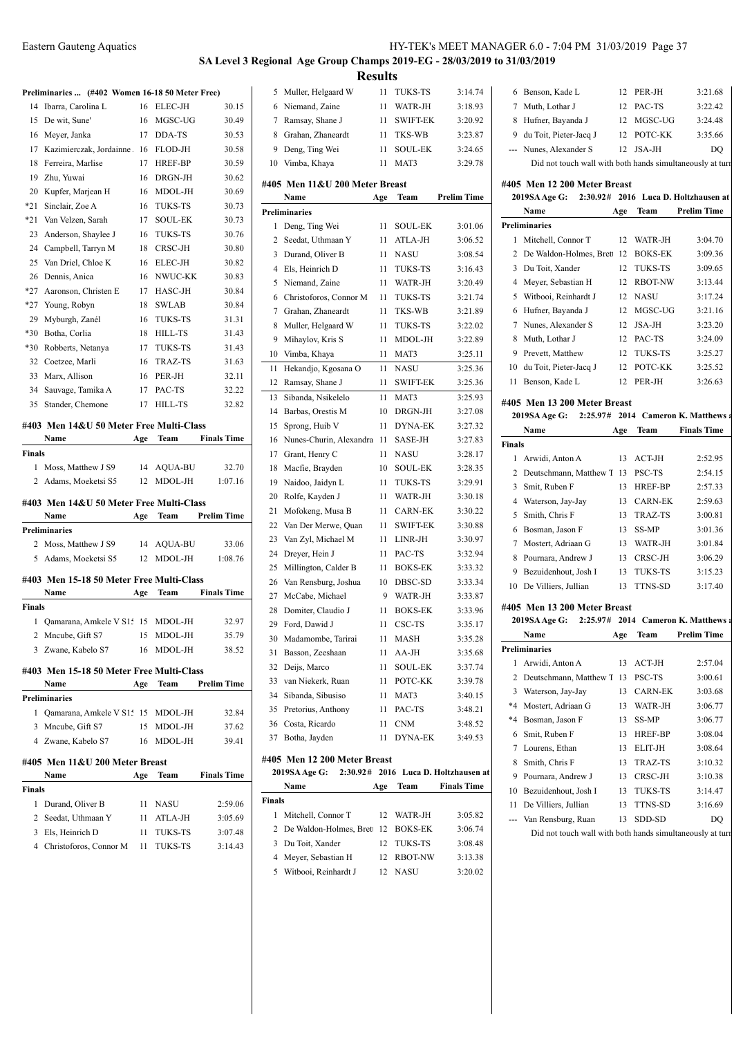#### **SA Level 3 Regional Age Group Champs 2019-EG - 28/03/2019 to 31/03/2019 Results**

|        | Preliminaries  (#402 Women 16-18 50 Meter Free)          |      |                |                    |
|--------|----------------------------------------------------------|------|----------------|--------------------|
| 14     | Ibarra, Carolina L                                       | 16   | <b>ELEC-JH</b> | 30.15              |
| 15     | De wit, Sune'                                            | 16   | MGSC-UG        | 30.49              |
| 16     | Meyer, Janka                                             | 17   | DDA-TS         | 30.53              |
| 17     | Kazimierczak, Jordainne. 16                              |      | FLOD-JH        | 30.58              |
| 18     | Ferreira, Marlise                                        | 17   | HREF-BP        | 30.59              |
| 19     | Zhu, Yuwai                                               | 16   | DRGN-JH        | 30.62              |
| 20     | Kupfer, Marjean H                                        | 16   | MDOL-JH        | 30.69              |
| $*21$  | Sinclair, Zoe A                                          | 16   | <b>TUKS-TS</b> | 30.73              |
| *21    | Van Velzen, Sarah                                        | 17   | <b>SOUL-EK</b> | 30.73              |
| 23     | Anderson, Shaylee J                                      | 16   | <b>TUKS-TS</b> | 30.76              |
| 24     | Campbell, Tarryn M                                       | 18   | CRSC-JH        | 30.80              |
| 25     | Van Driel, Chloe K                                       | 16   | <b>ELEC-JH</b> | 30.82              |
| 26     | Dennis, Anica                                            | 16   | NWUC-KK        | 30.83              |
| *27    | Aaronson, Christen E                                     | 17   | HASC-JH        | 30.84              |
| *27    | Young, Robyn                                             | 18   | <b>SWLAB</b>   | 30.84              |
| 29     | Myburgh, Zanél                                           | 16   | <b>TUKS-TS</b> | 31.31              |
| $*30$  | Botha, Corlia                                            | 18   | HILL-TS        | 31.43              |
| $*30$  | Robberts, Netanya                                        | 17   | TUKS-TS        | 31.43              |
| 32     | Coetzee, Marli                                           | 16   | <b>TRAZ-TS</b> | 31.63              |
| 33     | Marx, Allison                                            | 16   | PER-JH         | 32.11              |
| 34     | Sauvage, Tamika A                                        | 17   | PAC-TS         | 32.22              |
| 35     | Stander, Chemone                                         | 17   | HILL-TS        | 32.82              |
|        |                                                          |      |                |                    |
|        | #403 Men 14&U 50 Meter Free Multi-Class                  |      |                |                    |
|        | Name                                                     | Age  | Team           | <b>Finals Time</b> |
| Finals |                                                          |      |                |                    |
| 1      | Moss, Matthew J S9                                       | 14   | AQUA-BU        | 32.70              |
|        | 2 Adams, Moeketsi S5                                     | 12   | MDOL-JH        | 1:07.16            |
|        | #403 Men 14&U 50 Meter Free Multi-Class                  |      |                |                    |
|        | Name                                                     | Age  | Team           | <b>Prelim Time</b> |
|        | Preliminaries                                            |      |                |                    |
|        | 2 Moss, Matthew J S9                                     | 14   | AQUA-BU        | 33.06              |
|        | 5 Adams, Moeketsi S5                                     | 12   | MDOL-JH        | 1:08.76            |
|        |                                                          |      |                |                    |
|        | #403 Men 15-18 50 Meter Free Multi-Class                 |      |                |                    |
|        | Name                                                     | Age  |                |                    |
| Finals |                                                          |      | Team           | <b>Finals Time</b> |
|        |                                                          |      |                |                    |
|        | 1 Qamarana, Amkele V S15 15 MDOL-JH                      |      |                | 32.97              |
|        | 2 Mncube, Gift S7                                        |      | 15 MDOL-JH     | 35.79              |
|        | 3 Zwane, Kabelo S7                                       | 16   | MDOL-JH        | 38.52              |
|        | #403 Men 15-18 50 Meter Free Multi-Class                 |      |                |                    |
|        | Name                                                     | Age  | Team           | <b>Prelim Time</b> |
|        | Preliminaries                                            |      |                |                    |
| 1      | Qamarana, Amkele V S15 15 MDOL-JH                        |      |                | 32.84              |
|        | 3 Mncube, Gift S7                                        |      | 15 MDOL-JH     | 37.62              |
|        | 4 Zwane, Kabelo S7                                       | 16   | MDOL-JH        | 39.41              |
|        |                                                          |      |                |                    |
|        | #405 Men 11&U 200 Meter Breast                           |      |                |                    |
|        | Name                                                     | Age  | Team           | <b>Finals Time</b> |
| Finals |                                                          |      |                |                    |
| 1      | Durand, Oliver B                                         | 11   | NASU           | 2:59.06            |
|        | 2 Seedat, Uthmaan Y                                      |      | 11 ATLA-JH     | 3:05.69            |
|        | 3 Els, Heinrich D<br>4 Christoforos, Connor M 11 TUKS-TS | 11 - | TUKS-TS        | 3:07.48<br>3:14.43 |

|                |                                | results |                 |                             |                                |
|----------------|--------------------------------|---------|-----------------|-----------------------------|--------------------------------|
| 5              | Muller, Helgaard W             | 11      | TUKS-TS         | 3:14.74                     | 6 I                            |
| 6              | Niemand, Zaine                 | 11      | WATR-JH         | 3:18.93                     | 7<br>ľ                         |
| 7              | Ramsay, Shane J                | 11      | <b>SWIFT-EK</b> | 3:20.92                     | $\mathbf{l}$<br>8              |
| 8              | Grahan, Zhaneardt              | 11      | TKS-WB          | 3:23.87                     | 9 <sub>0</sub>                 |
| 9              | Deng, Ting Wei                 | 11      | SOUL-EK         | 3:24.65                     | ľ<br>---                       |
| 10             | Vimba, Khaya                   | 11      | MAT3            | 3:29.78                     |                                |
|                |                                |         |                 |                             |                                |
|                | #405 Men 11&U 200 Meter Breast |         |                 |                             | #405                           |
|                | Name                           | Age     | Team            | <b>Prelim Time</b>          | 201                            |
|                | Preliminaries                  |         |                 |                             | ľ                              |
| 1              | Deng, Ting Wei                 | 11      | <b>SOUL-EK</b>  | 3:01.06                     | Prelim                         |
| 2              | Seedat, Uthmaan Y              | 11      | ATLA-JH         | 3:06.52                     | ľ<br>1                         |
| 3              | Durand, Oliver B               | 11      | <b>NASU</b>     | 3:08.54                     | $\overline{c}$<br>$\mathbf I$  |
| $\overline{4}$ | Els, Heinrich D                | 11      | <b>TUKS-TS</b>  | 3:16.43                     | 3<br>$\mathbf I$               |
| 5              | Niemand, Zaine                 | 11      | WATR-JH         | 3:20.49                     | $\mathbf{l}$<br>$\overline{4}$ |
| 6              | Christoforos, Connor M         | 11      | <b>TUKS-TS</b>  | 3:21.74                     | J<br>5                         |
| 7              | Grahan, Zhaneardt              | 11      | TKS-WB          | 3:21.89                     | I<br>6                         |
| 8              | Muller, Helgaard W             | 11      | TUKS-TS         | 3:22.02                     | ľ<br>7                         |
| 9              | Mihaylov, Kris S               | 11      | MDOL-JH         | 3:22.89                     | ľ<br>8                         |
| 10             | Vimba, Khaya                   | 11      | MAT3            | 3:25.11                     | 9<br>I                         |
| 11             | Hekandjo, Kgosana O            | 11      | NASU            | 3:25.36                     | 10<br>$\epsilon$               |
| 12             | Ramsay, Shane J                | 11      | <b>SWIFT-EK</b> | 3:25.36                     | 11<br>I                        |
| 13             | Sibanda, Nsikelelo             | 11      | MAT3            | 3:25.93                     | #405                           |
| 14             | Barbas, Orestis M              | 10      | DRGN-JH         | 3:27.08                     | 201                            |
| 15             | Sprong, Huib V                 | 11      | <b>DYNA-EK</b>  | 3:27.32                     | ľ                              |
| 16             | Nunes-Churin, Alexandra        | -11     | SASE-JH         | 3:27.83                     | Finals                         |
| 17             | Grant, Henry C                 | 11      | <b>NASU</b>     | 3:28.17                     | 1<br>$\overline{1}$            |
| 18             | Macfie, Brayden                | 10      | <b>SOUL-EK</b>  | 3:28.35                     | 2<br>$\mathbf I$               |
| 19             | Naidoo, Jaidyn L               | 11      | TUKS-TS         | 3:29.91                     | Š<br>3                         |
| 20             | Rolfe, Kayden J                | 11      | WATR-JH         | 3:30.18                     | $\overline{4}$<br>J            |
| 21             | Mofokeng, Musa B               | 11      | <b>CARN-EK</b>  | 3:30.22                     | Š<br>5                         |
| 22             | Van Der Merwe, Quan            | 11      | <b>SWIFT-EK</b> | 3:30.88                     | I<br>6                         |
| 23             | Van Zyl, Michael M             | 11      | LINR-JH         | 3:30.97                     | 7<br>ľ                         |
| 24             | Dreyer, Hein J                 | 11      | PAC-TS          | 3:32.94                     | I<br>8                         |
| 25             | Millington, Calder B           | 11      | <b>BOKS-EK</b>  | 3:33.32                     | $\mathbf{I}$<br>9              |
| 26             | Van Rensburg, Joshua           | 10      | DBSC-SD         | 3:33.34                     | 10 <sub>l</sub>                |
| 27             | McCabe, Michael                | 9       | WATR-JH         | 3:33.87                     |                                |
| 28             | Domiter, Claudio J             | 11      | <b>BOKS-EK</b>  | 3:33.96                     | #405<br>201                    |
| 29             | Ford, Dawid J                  | 11      | CSC-TS          | 3:35.17                     |                                |
|                | 30 Madamombe, Tarirai          | 11      | MASH            | 3:35.28                     | ľ                              |
| 31             | Basson, Zeeshaan               | 11      | AA-JH           | 3:35.68                     | Prelim                         |
| 32             | Deijs, Marco                   | 11      | SOUL-EK         | 3:37.74                     | 1<br>$\overline{I}$            |
| 33             | van Niekerk, Ruan              | 11      | POTC-KK         | 3:39.78                     | 2<br>$\mathbf I$               |
| 34             | Sibanda, Sibusiso              | 11      | MAT3            | 3:40.15                     | 3<br>J                         |
| 35             | Pretorius, Anthony             | 11      | PAC-TS          | 3:48.21                     | $*4$ 1                         |
|                | 36 Costa, Ricardo              | 11      | <b>CNM</b>      | 3:48.52                     | *4 I                           |
| 37             | Botha, Jayden                  | 11      | DYNA-EK         | 3:49.53                     | $\mathbf{S}$<br>6              |
|                | #405 Men 12 200 Meter Breast   |         |                 |                             | $\mathbf l$<br>7               |
|                | 2:30.92#<br>2019SA Age G:      |         |                 | 2016 Luca D. Holtzhausen at | f.<br>8                        |
|                | Name                           | Age     | Team            | <b>Finals Time</b>          | 9 I<br>$10-1$                  |
|                |                                |         |                 |                             |                                |

 Meyer, Sebastian H 12 RBOT-NW 3:13.38 5 Witbooi, Reinhardt J 12 NASU 3:20.02

**Finals**

 $\overline{\phantom{a}}$ 

|      | 5 Niemand, Zaine              | 11  | WATR-JH         | 3:20.49                              | Meyer, Sebastian H<br>4                     | 12  |
|------|-------------------------------|-----|-----------------|--------------------------------------|---------------------------------------------|-----|
| 6    | Christoforos, Connor M        | 11  | <b>TUKS-TS</b>  | 3:21.74                              | Witbooi, Reinhardt J<br>5                   | 12  |
| 7    | Grahan, Zhaneardt             | 11  | TKS-WB          | 3:21.89                              | Hufner, Bayanda J<br>6                      | 12  |
| 8    | Muller, Helgaard W            | 11  | TUKS-TS         | 3:22.02                              | Nunes, Alexander S<br>7                     | 12  |
| 9.   | Mihaylov, Kris S              | 11  | MDOL-JH         | 3:22.89                              | Muth, Lothar J<br>8                         | 12  |
|      | 10 Vimba, Khaya               | 11  | MAT3            | 3:25.11                              | 9<br>Prevett, Matthew                       | 12  |
| 11   | Hekandjo, Kgosana O           | 11  | <b>NASU</b>     | 3:25.36                              | du Toit, Pieter-Jacq J<br>10                | 12  |
|      | 12 Ramsay, Shane J            | 11  | <b>SWIFT-EK</b> | 3:25.36                              | Benson, Kade L<br>11                        | 12  |
| 13   | Sibanda, Nsikelelo            | 11  | MAT3            | 3:25.93                              | #405 Men 13 200 Meter Breast                |     |
|      | 14 Barbas, Orestis M          | 10  | DRGN-JH         | 3:27.08                              | $2:25.97#$ 2014<br>2019SA Age G:            |     |
| 15   | Sprong, Huib V                | 11  | DYNA-EK         | 3:27.32                              | Name                                        | Age |
|      | 16 Nunes-Churin, Alexandra 11 |     | SASE-JH         | 3:27.83                              | <b>Finals</b>                               |     |
| 17   | Grant, Henry C                | 11  | <b>NASU</b>     | 3:28.17                              | Arwidi, Anton A<br>1                        | 13  |
|      | 18 Macfie, Brayden            | 10  | <b>SOUL-EK</b>  | 3:28.35                              | $\overline{2}$<br>Deutschmann, Matthew T 13 |     |
|      | 19 Naidoo, Jaidyn L           | 11  | TUKS-TS         | 3:29.91                              | Smit, Ruben F<br>3                          | 13  |
|      | 20 Rolfe, Kayden J            | 11  | WATR-JH         | 3:30.18                              | 4<br>Waterson, Jay-Jay                      | 13  |
|      | 21 Mofokeng, Musa B           | 11  | <b>CARN-EK</b>  | 3:30.22                              | Smith, Chris F<br>5                         | 13  |
|      | 22 Van Der Merwe, Quan        | 11  | <b>SWIFT-EK</b> | 3:30.88                              | Bosman, Jason F<br>6                        | 13  |
|      | 23 Van Zyl, Michael M         | 11  | LINR-JH         | 3:30.97                              | Mostert, Adriaan G<br>7                     | 13  |
|      | 24 Dreyer, Hein J             | 11  | PAC-TS          | 3:32.94                              | Pournara, Andrew J<br>8                     | 13  |
|      | 25 Millington, Calder B       | 11  | <b>BOKS-EK</b>  | 3:33.32                              | Bezuidenhout, Josh I<br>9                   | 13  |
|      | 26 Van Rensburg, Joshua       | 10  | DBSC-SD         | 3:33.34                              | De Villiers, Jullian<br>10                  | 13  |
|      | 27 McCabe, Michael            | 9   | WATR-JH         | 3:33.87                              |                                             |     |
|      | 28 Domiter, Claudio J         | 11  | <b>BOKS-EK</b>  | 3:33.96                              | #405 Men 13 200 Meter Breast                |     |
|      | 29 Ford, Dawid J              | 11  | CSC-TS          | 3:35.17                              | 2019SA Age G:<br>2:25.97# 2014              |     |
|      | 30 Madamombe, Tarirai         | 11  | MASH            | 3:35.28                              | Name                                        | Age |
|      | 31 Basson, Zeeshaan           | 11  | AA-JH           | 3:35.68                              | <b>Preliminaries</b>                        |     |
|      | 32 Deijs, Marco               | 11  | <b>SOUL-EK</b>  | 3:37.74                              | 1 Arwidi, Anton A                           | 13  |
|      | 33 van Niekerk, Ruan          | 11  | POTC-KK         | 3:39.78                              | Deutschmann, Matthew T 13<br>2              |     |
|      | 34 Sibanda, Sibusiso          | 11  | MAT3            | 3:40.15                              | 3 Waterson, Jay-Jay                         | 13  |
|      | 35 Pretorius, Anthony         | 11  | PAC-TS          | 3:48.21                              | Mostert, Adriaan G<br>*4                    | 13  |
|      | 36 Costa, Ricardo             | 11  | <b>CNM</b>      | 3:48.52                              | *4<br>Bosman, Jason F                       | 13  |
|      | 37 Botha, Jayden              | 11  | <b>DYNA-EK</b>  | 3:49.53                              | Smit, Ruben F<br>6                          | 13  |
|      |                               |     |                 |                                      | 7 Lourens, Ethan                            | 13  |
|      | 05 Men 12 200 Meter Breast    |     |                 | 2:30.92# 2016 Luca D. Holtzhausen at | Smith, Chris F<br>8                         | 13  |
|      | 2019SA Age G:                 |     |                 |                                      | Pournara, Andrew J<br>9                     | 13  |
|      | Name                          | Age | Team            | <b>Finals Time</b>                   | Bezuidenhout, Josh I<br>10                  | 13  |
| nals |                               |     |                 |                                      | De Villiers, Jullian<br>11                  | 13  |
|      | 1 Mitchell, Connor T          | 12  | WATR-JH         | 3:05.82                              | Van Rensburg, Ruan<br>---                   | 13  |
|      | 2 De Waldon-Holmes, Bret 12   |     | <b>BOKS-EK</b>  | 3:06.74                              | Did not touch wall with both                |     |
|      | 3 Du Toit, Xander             | 12  | <b>TUKS-TS</b>  | 3:08.48                              |                                             |     |

|   | 6 Benson, Kade L                                          |              | 12 PER-JH  | 3:21.68 |  |  |  |
|---|-----------------------------------------------------------|--------------|------------|---------|--|--|--|
| 7 | Muth, Lothar J                                            |              | 12 PAC-TS  | 3:22.42 |  |  |  |
|   | 8 Hufner, Bayanda J                                       |              | 12 MGSC-UG | 3:24.48 |  |  |  |
|   | 9 du Toit, Pieter-Jacq J                                  |              | 12 POTC-KK | 3:35.66 |  |  |  |
|   | --- Nunes, Alexander S                                    | $12^{\circ}$ | JSA-JH     | DO      |  |  |  |
|   | Did not touch wall with both hands simultaneously at turn |              |            |         |  |  |  |

**Name Age Team Prelim Time**

Mitchell, Connor T 12 WATR-JH 3:04.70

#### **#405 Men 12 200 Meter Breast 2019SA Age G: 2:30.92# 2016 Luca D. Holtzhausen at**

**Preliminaries**

| Name                         |    | Team | <b>Finals Time</b>                                                                                                                                                                                                                               |
|------------------------------|----|------|--------------------------------------------------------------------------------------------------------------------------------------------------------------------------------------------------------------------------------------------------|
|                              |    |      |                                                                                                                                                                                                                                                  |
|                              |    |      |                                                                                                                                                                                                                                                  |
| Benson, Kade L               |    |      | 3:26.63                                                                                                                                                                                                                                          |
| du Toit, Pieter-Jacq J<br>10 |    |      | 3:25.52                                                                                                                                                                                                                                          |
| Prevett, Matthew             |    |      | 3:25.27                                                                                                                                                                                                                                          |
| Muth, Lothar J               |    |      | 3:24.09                                                                                                                                                                                                                                          |
| Nunes, Alexander S           |    |      | 3:23.20                                                                                                                                                                                                                                          |
| Hufner, Bayanda J            |    |      | 3:21.16                                                                                                                                                                                                                                          |
| Witbooi, Reinhardt J         |    |      | 3:17.24                                                                                                                                                                                                                                          |
| Meyer, Sebastian H           | 12 |      | 3:13.44                                                                                                                                                                                                                                          |
| Du Toit, Xander              |    |      | 3:09.65                                                                                                                                                                                                                                          |
|                              |    |      | 3:09.36                                                                                                                                                                                                                                          |
|                              |    | Age  | 2 De Waldon-Holmes, Brett 12 BOKS-EK<br>12 TUKS-TS<br>RBOT-NW<br>12 NASU<br>12 MGSC-UG<br>$12$ JSA-JH<br>12 PAC-TS<br>12 TUKS-TS<br>12 POTC-KK<br>12 PER-JH<br>#405 Men 13 200 Meter Breast<br>2019SA Age G: 2:25.97# 2014 Cameron K. Matthews a |

|               |                             | $-$ |                |         |
|---------------|-----------------------------|-----|----------------|---------|
| <b>Finals</b> |                             |     |                |         |
| 1.            | Arwidi, Anton A             | 13  | ACT-JH         | 2:52.95 |
|               | 2 Deutschmann, Matthew T 13 |     | PSC-TS         | 2:54.15 |
|               | 3 Smit, Ruben F             | 13  | <b>HREF-BP</b> | 2:57.33 |
| 4             | Waterson, Jay-Jay           | 13  | CARN-EK        | 2:59.63 |
|               | 5 Smith, Chris F            |     | 13 TRAZ-TS     | 3:00.81 |
|               | 6 Bosman, Jason F           | 13  | <b>SS-MP</b>   | 3:01.36 |
|               | Mostert, Adriaan G          | 13  | WATR-JH        | 3:01.84 |
| 8             | Pournara, Andrew J          | 13  | CRSC-JH        | 3:06.29 |
| 9             | Bezuidenhout, Josh I        | 13  | <b>TUKS-TS</b> | 3:15.23 |

# 10 TTNS-SD 3:17.40

|         | 7703   MCII 1 <i>3 4</i> 00 MCICI DICASI |     |                |                                     |
|---------|------------------------------------------|-----|----------------|-------------------------------------|
|         | <b>2019SA Age G:</b>                     |     |                | 2:25.97# 2014 Cameron K. Matthews a |
|         | Name                                     | Age | Team           | <b>Prelim Time</b>                  |
|         | <b>Preliminaries</b>                     |     |                |                                     |
| 1.      | Arwidi, Anton A                          | 13  | $ACT-JH$       | 2:57.04                             |
| 2       | Deutschmann, Matthew T 13                |     | PSC-TS         | 3:00.61                             |
| 3       | Waterson, Jay-Jay                        | 13  | <b>CARN-EK</b> | 3:03.68                             |
| $*_{4}$ | Mostert, Adriaan G                       | 13  | WATR-JH        | 3:06.77                             |
| $*_{4}$ | Bosman, Jason F                          | 13  | SS-MP          | 3:06.77                             |
| 6       | Smit, Ruben F                            | 13  | HREF-BP        | 3:08.04                             |
| 7       | Lourens, Ethan                           | 13  | ELIT-JH        | 3:08.64                             |
| 8       | Smith, Chris F                           | 13  | TRAZ-TS        | 3:10.32                             |
| 9       | Pournara, Andrew J                       | 13  | CRSC-JH        | 3:10.38                             |
| 10      | Bezuidenhout, Josh I                     | 13  | <b>TUKS-TS</b> | 3:14.47                             |
| 11      | De Villiers, Jullian                     | 13  | TTNS-SD        | 3:16.69                             |
|         | --- Van Rensburg, Ruan                   | 13  | SDD-SD         | DO                                  |

hands simultaneously at turn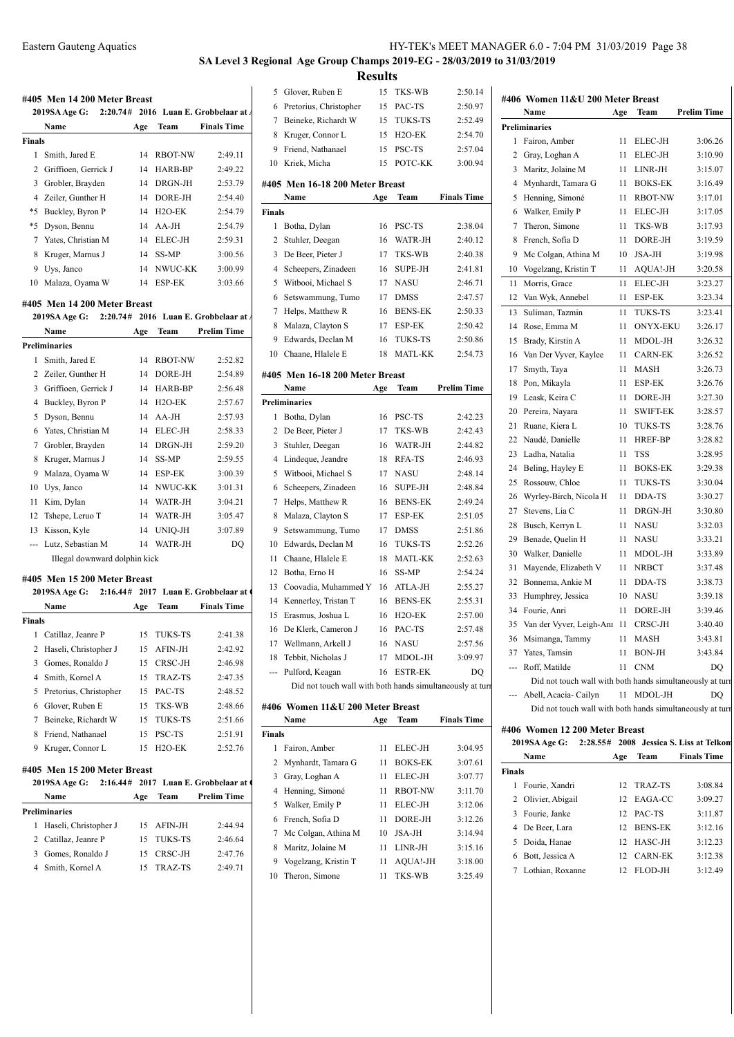# **SA Level 3 Regional Age Group Champs 2019-EG - 28/03/2019 to 31/03/2019 Results**<br>15 TKS-WB

|        | #405 Men 14 200 Meter Breast  |     |                     |                                         |               | 5 Glover, Ruben E                                        | 15  | TKS-WB              | 2:50.14            |
|--------|-------------------------------|-----|---------------------|-----------------------------------------|---------------|----------------------------------------------------------|-----|---------------------|--------------------|
|        | 2019SA Age G:                 |     |                     | 2:20.74# 2016 Luan E. Grobbelaar at A   | 6             | Pretorius, Christopher                                   | 15  | PAC-TS              | 2:50.97            |
|        | Name                          | Age | Team                | <b>Finals Time</b>                      | 7             | Beineke, Richardt W                                      | 15  | <b>TUKS-TS</b>      | 2:52.49            |
| Finals |                               |     |                     |                                         | 8             | Kruger, Connor L                                         | 15  | H <sub>2</sub> O-EK | 2:54.70            |
|        | 1 Smith, Jared E              | 14  | <b>RBOT-NW</b>      | 2:49.11                                 | 9             | Friend, Nathanael                                        | 15  | PSC-TS              | 2:57.04            |
|        |                               |     |                     |                                         | 10            | Kriek, Micha                                             | 15  | POTC-KK             | 3:00.94            |
| 2      | Griffioen, Gerrick J          | 14  | HARB-BP             | 2:49.22                                 |               |                                                          |     |                     |                    |
| 3      | Grobler, Brayden              | 14  | DRGN-JH             | 2:53.79                                 |               | #405 Men 16-18 200 Meter Breast                          |     |                     |                    |
| 4      | Zeiler, Gunther H             | 14  | DORE-JH             | 2:54.40                                 |               | Name                                                     | Age | Team                | <b>Finals Time</b> |
| *5     | Buckley, Byron P              | 14  | H <sub>2</sub> O-EK | 2:54.79                                 | <b>Finals</b> |                                                          |     |                     |                    |
| *5     | Dyson, Bennu                  | 14  | AA-JH               | 2:54.79                                 |               | 1 Botha, Dylan                                           |     | 16 PSC-TS           | 2:38.04            |
|        | 7 Yates, Christian M          | 14  | ELEC-JH             | 2:59.31                                 | 2             | Stuhler, Deegan                                          | 16  | WATR-JH             | 2:40.12            |
| 8      | Kruger, Marnus J              | 14  | SS-MP               | 3:00.56                                 | 3             | De Beer, Pieter J                                        | 17  | TKS-WB              | 2:40.38            |
| 9      | Uys, Janco                    | 14  | NWUC-KK             | 3:00.99                                 | 4             | Scheepers, Zinadeen                                      | 16  | <b>SUPE-JH</b>      | 2:41.81            |
| 10     | Malaza, Oyama W               | 14  | ESP-EK              | 3:03.66                                 | 5             | Witbooi, Michael S                                       | 17  | <b>NASU</b>         | 2:46.71            |
|        | #405 Men 14 200 Meter Breast  |     |                     |                                         | 6             | Setswammung, Tumo                                        | 17  | <b>DMSS</b>         | 2:47.57            |
|        | 2019SA Age G:                 |     |                     | $2:20.74#$ 2016 Luan E. Grobbelaar at A | 7             | Helps, Matthew R                                         | 16  | <b>BENS-EK</b>      | 2:50.33            |
|        | Name                          | Age | Team                | <b>Prelim Time</b>                      | 8             | Malaza, Clayton S                                        | 17  | ESP-EK              | 2:50.42            |
|        | Preliminaries                 |     |                     |                                         | 9             | Edwards, Declan M                                        | 16  | TUKS-TS             | 2:50.86            |
|        | 1 Smith, Jared E              | 14  | <b>RBOT-NW</b>      | 2:52.82                                 | 10            | Chaane, Hlalele E                                        | 18  | <b>MATL-KK</b>      | 2:54.73            |
|        | 2 Zeiler, Gunther H           | 14  | DORE-JH             | 2:54.89                                 |               | #405 Men 16-18 200 Meter Breast                          |     |                     |                    |
| 3      | Griffioen, Gerrick J          | 14  | HARB-BP             | 2:56.48                                 |               | Name                                                     | Age | Team                | <b>Prelim Time</b> |
| 4      | Buckley, Byron P              | 14  | H <sub>2</sub> O-EK | 2:57.67                                 |               | <b>Preliminaries</b>                                     |     |                     |                    |
| 5      | Dyson, Bennu                  | 14  | AA-JH               | 2:57.93                                 |               | 1 Botha, Dylan                                           | 16  | PSC-TS              | 2:42.23            |
| 6      | Yates, Christian M            | 14  | ELEC-JH             | 2:58.33                                 | 2             | De Beer, Pieter J                                        | 17  | TKS-WB              | 2:42.43            |
| 7      | Grobler, Brayden              | 14  | DRGN-JH             | 2:59.20                                 | 3             | Stuhler, Deegan                                          | 16  | WATR-JH             | 2:44.82            |
|        |                               |     |                     |                                         |               |                                                          |     | <b>RFA-TS</b>       |                    |
| 8      | Kruger, Marnus J              | 14  | SS-MP               | 2:59.55                                 | 4             | Lindeque, Jeandre                                        | 18  |                     | 2:46.93            |
| 9      | Malaza, Oyama W               | 14  | ESP-EK              | 3:00.39                                 | 5             | Witbooi, Michael S                                       | 17  | <b>NASU</b>         | 2:48.14            |
| 10     | Uys, Janco                    | 14  | NWUC-KK             | 3:01.31                                 | 6             | Scheepers, Zinadeen                                      | 16  | SUPE-JH             | 2:48.84            |
| 11     | Kim, Dylan                    | 14  | WATR-JH             | 3:04.21                                 | 7             | Helps, Matthew R                                         | 16  | <b>BENS-EK</b>      | 2:49.24            |
| 12     | Tshepe, Leruo T               | 14  | WATR-JH             | 3:05.47                                 | 8             | Malaza, Clayton S                                        | 17  | <b>ESP-EK</b>       | 2:51.05            |
| 13     | Kisson, Kyle                  | 14  | UNIQ-JH             | 3:07.89                                 | 9             | Setswammung, Tumo                                        | 17  | <b>DMSS</b>         | 2:51.86            |
| ---    | Lutz, Sebastian M             | 14  | WATR-JH             | DO                                      | 10            | Edwards, Declan M                                        | 16  | TUKS-TS             | 2:52.26            |
|        | Illegal downward dolphin kick |     |                     |                                         | 11            | Chaane, Hlalele E                                        | 18  | <b>MATL-KK</b>      | 2:52.63            |
|        | #405 Men 15 200 Meter Breast  |     |                     |                                         | 12            | Botha, Erno H                                            | 16  | SS-MP               | 2:54.24            |
|        | 2019SA Age G:                 |     |                     | 2:16.44# 2017 Luan E. Grobbelaar at 0   | 13            | Coovadia, Muhammed Y                                     | 16  | ATLA-JH             | 2:55.27            |
|        | Name                          | Age | Team                | <b>Finals Time</b>                      | 14            | Kennerley, Tristan T                                     | 16  | <b>BENS-EK</b>      | 2:55.31            |
| Finals |                               |     |                     |                                         | 15            | Erasmus, Joshua L                                        | 16  | H <sub>2</sub> O-EK | 2:57.00            |
|        | 1 Catillaz, Jeanre P          |     | 15 TUKS-TS          | 2:41.38                                 |               | 16 De Klerk, Cameron J                                   | 16  | PAC-TS              | 2:57.48            |
|        | 2 Haseli, Christopher J       | 15  | AFIN-JH             | 2:42.92                                 |               | 17 Wellmann, Arkell J                                    |     | 16 NASU             | 2:57.56            |
| 3      | Gomes, Ronaldo J              | 15  | CRSC-JH             | 2:46.98                                 |               | 18 Tebbit, Nicholas J                                    | 17  | MDOL-JH             | 3:09.97            |
| 4      | Smith, Kornel A               | 15  | TRAZ-TS             | 2:47.35                                 |               | --- Pulford, Keagan                                      |     | 16 ESTR-EK          | DQ                 |
| 5.     | Pretorius, Christopher        | 15  | PAC-TS              | 2:48.52                                 |               | Did not touch wall with both hands simultaneously at tur |     |                     |                    |
| 6      | Glover, Ruben E               | 15  | TKS-WB              | 2:48.66                                 |               | #406 Women 11&U 200 Meter Breast                         |     |                     |                    |
| 7      | Beineke, Richardt W           | 15  | <b>TUKS-TS</b>      | 2:51.66                                 |               | Name                                                     | Age | Team                | <b>Finals Time</b> |
|        | 8 Friend, Nathanael           | 15  | PSC-TS              | 2:51.91                                 | <b>Finals</b> |                                                          |     |                     |                    |
|        | 9 Kruger, Connor L            | 15  | H <sub>2</sub> O-EK | 2:52.76                                 |               | 1 Fairon, Amber                                          | 11  | ELEC-JH             | 3:04.95            |
|        |                               |     |                     |                                         | 2             | Mynhardt, Tamara G                                       | 11  | <b>BOKS-EK</b>      | 3:07.61            |
|        | #405 Men 15 200 Meter Breast  |     |                     |                                         | 3             | Gray, Loghan A                                           | 11  | ELEC-JH             | 3:07.77            |
|        | 2019SA Age G:                 |     |                     | 2:16.44# 2017 Luan E. Grobbelaar at 0   | 4             | Henning, Simoné                                          | 11  | <b>RBOT-NW</b>      | 3:11.70            |
|        | Name                          | Age | Team                | <b>Prelim Time</b>                      |               | Walker, Emily P                                          |     | ELEC-JH             |                    |
|        | Preliminaries                 |     |                     |                                         | 5             | French, Sofia D                                          | 11  |                     | 3:12.06            |
|        | 1 Haseli, Christopher J       | 15  | AFIN-JH             | 2:44.94                                 | 6             |                                                          | 11  | DORE-JH             | 3:12.26            |
|        | 2 Catillaz, Jeanre P          | 15  | <b>TUKS-TS</b>      | 2:46.64                                 | 7             | Mc Colgan, Athina M                                      | 10  | JSA-JH              | 3:14.94            |
| 3      | Gomes, Ronaldo J              | 15  | CRSC-JH             | 2:47.76                                 | 8             | Maritz, Jolaine M                                        | 11  | LINR-JH             | 3:15.16            |
|        | 4 Smith, Kornel A             | 15  | TRAZ-TS             | 2:49.71                                 | 9             | Vogelzang, Kristin T                                     | 11  | AQUA!-JH            | 3:18.00            |
|        |                               |     |                     |                                         |               | 10 Theron, Simone                                        | 11  | TKS-WB              | 3:25.49            |

| 6      | Pretorius, Christopher                                    | 15  | PAC-TS              | 2:50.97            | #4VV          | VV U   |
|--------|-----------------------------------------------------------|-----|---------------------|--------------------|---------------|--------|
| 7      | Beineke, Richardt W                                       | 15  | TUKS-TS             | 2:52.49            |               | Nan    |
| 8      | Kruger, Connor L                                          | 15  | H <sub>2</sub> O-EK | 2:54.70            | Prelimina     |        |
| 9      | Friend, Nathanael                                         | 15  | PSC-TS              | 2:57.04            | 1             | Fairo  |
| 10     | Kriek, Micha                                              | 15  | POTC-KK             | 3:00.94            | 2             | Gray   |
|        |                                                           |     |                     |                    | 3             | Mari   |
|        | #405 Men 16-18 200 Meter Breast                           |     |                     |                    | 4             | Myn    |
|        | Name                                                      | Age | Team                | <b>Finals Time</b> | 5             | Heni   |
| Finals |                                                           |     |                     |                    | 6             | Wall   |
| 1      | Botha, Dylan                                              | 16  | PSC-TS              | 2:38.04            | 7             | Ther   |
| 2      | Stuhler, Deegan                                           | 16  | WATR-JH             | 2:40.12            | 8             | Fren   |
| 3      | De Beer, Pieter J                                         | 17  | TKS-WB              | 2:40.38            | 9             | Mc (   |
| 4      | Scheepers, Zinadeen                                       | 16  | <b>SUPE-JH</b>      | 2:41.81            | 10            | Voge   |
| 5      | Witbooi, Michael S                                        | 17  | NASU                | 2:46.71            | 11            | Mor    |
| 6      | Setswammung, Tumo                                         | 17  | <b>DMSS</b>         | 2:47.57            | 12            | Van    |
| 7      | Helps, Matthew R                                          | 16  | <b>BENS-EK</b>      | 2:50.33            | 13            | Sulin  |
| 8      | Malaza, Clayton S                                         | 17  | ESP-EK              | 2:50.42            | 14            | Rose   |
| 9      | Edwards, Declan M                                         | 16  | TUKS-TS             | 2:50.86            | 15            | Brad   |
| 10     | Chaane, Hlalele E                                         | 18  | <b>MATL-KK</b>      | 2:54.73            | 16            | Van    |
|        | #405 Men 16-18 200 Meter Breast                           |     |                     |                    | 17            | Smy    |
|        | Name                                                      | Age | Team                | <b>Prelim Time</b> | 18            | Pon,   |
|        | Preliminaries                                             |     |                     |                    | 19            | Leas   |
| 1      | Botha, Dylan                                              | 16  | PSC-TS              | 2:42.23            | 20            | Pere   |
| 2      | De Beer, Pieter J                                         | 17  | TKS-WB              | 2:42.43            | 21            | Ruar   |
| 3      | Stuhler, Deegan                                           | 16  | WATR-JH             | 2:44.82            | 22            | Nau    |
| 4      | Lindeque, Jeandre                                         | 18  | RFA-TS              | 2:46.93            | 23            | Ladl   |
| 5      | Witbooi, Michael S                                        | 17  | NASU                | 2:48.14            | 24            | Beli   |
| 6      | Scheepers, Zinadeen                                       | 16  | SUPE-JH             | 2:48.84            | 25            | Ross   |
| 7      | Helps, Matthew R                                          | 16  | <b>BENS-EK</b>      | 2:49.24            | 26            | Wyr    |
| 8      | Malaza, Clayton S                                         | 17  | ESP-EK              | 2:51.05            | 27            | Stev   |
| 9      | Setswammung, Tumo                                         | 17  | <b>DMSS</b>         | 2:51.86            | 28            | Busc   |
| 10     | Edwards, Declan M                                         | 16  | TUKS-TS             | 2:52.26            | 29            | Bena   |
| 11     | Chaane, Hlalele E                                         | 18  | <b>MATL-KK</b>      | 2:52.63            | 30            | Wall   |
| 12     | Botha, Erno H                                             | 16  | SS-MP               | 2:54.24            | 31            | May    |
| 13     | Coovadia, Muhammed Y                                      | 16  | ATLA-JH             | 2:55.27            | 32            | Boni   |
| 14     | Kennerley, Tristan T                                      | 16  | <b>BENS-EK</b>      | 2:55.31            | 33            | Hum    |
| 15     | Erasmus, Joshua L                                         | 16  | H <sub>2</sub> O-EK | 2:57.00            | 34            | Four   |
| 16     | De Klerk, Cameron J                                       | 16  | PAC-TS              | 2:57.48            | 35            | Van    |
|        | 17 Wellmann, Arkell J                                     | 16  | <b>NASU</b>         | 2:57.56            | 36            | Msir   |
| 18     | Tebbit, Nicholas J                                        | 17  | MDOL-JH             | 3:09.97            | 37            | Yate   |
| ---    | Pulford, Keagan                                           | 16  | <b>ESTR-EK</b>      | DQ                 | ---           | Roff   |
|        | Did not touch wall with both hands simultaneously at turn |     |                     |                    |               | Di     |
|        |                                                           |     |                     |                    |               | Abel   |
|        | #406 Women 11&U 200 Meter Breast                          |     |                     |                    |               | Di     |
|        | Name                                                      | Age | Team                | <b>Finals Time</b> | #406 Wo       |        |
| Finals |                                                           |     |                     |                    |               | 2019SA |
| 1      | Fairon, Amber                                             | 11  | ELEC-JH             | 3:04.95            |               | Nan    |
| 2      | Mynhardt, Tamara G                                        | 11  | <b>BOKS-EK</b>      | 3:07.61            | <b>Finals</b> |        |
| 3      | Gray, Loghan A                                            | 11  | <b>ELEC-JH</b>      | 3:07.77            | 1             | Four   |
| 4      | Henning, Simoné                                           | 11  | <b>RBOT-NW</b>      | 3:11.70            | 2             | Oliv   |
| 5      | Walker, Emily P                                           | 11  | <b>ELEC-JH</b>      | 3:12.06            | 3             | Four   |
| 6      | French, Sofia D                                           | 11  | DORE-JH             | 3:12.26            | 4             | De E   |
| 7      | Mc Colgan, Athina M                                       | 10  | JSA-JH              | 3:14.94            | 5             | Doic   |
| 8      | Maritz, Jolaine M                                         | 11  | LINR-JH             | 3:15.16            | 6             | Bott.  |
| 9      | Vogelzang, Kristin T                                      | 11  | AQUA!-JH            | 3:18.00            | 7             | Loth   |
| 10     | Theron, Simone                                            | 11  | TKS-WB              | 3:25.49            |               |        |

|                                                                                                                                                                                                                                                                                                                                                                                                                                                                            | Name                                                      | Age | Team            | Prelim Time                             |
|----------------------------------------------------------------------------------------------------------------------------------------------------------------------------------------------------------------------------------------------------------------------------------------------------------------------------------------------------------------------------------------------------------------------------------------------------------------------------|-----------------------------------------------------------|-----|-----------------|-----------------------------------------|
|                                                                                                                                                                                                                                                                                                                                                                                                                                                                            | <b>Preliminaries</b>                                      |     |                 |                                         |
| 1                                                                                                                                                                                                                                                                                                                                                                                                                                                                          | Fairon, Amber                                             | 11  | ELEC-JH         | 3:06.26                                 |
|                                                                                                                                                                                                                                                                                                                                                                                                                                                                            | 2 Gray, Loghan A                                          | 11  | ELEC-JH         | 3:10.90                                 |
|                                                                                                                                                                                                                                                                                                                                                                                                                                                                            | 3 Maritz, Jolaine M                                       | 11  | LINR-JH         | 3:15.07                                 |
| 4                                                                                                                                                                                                                                                                                                                                                                                                                                                                          | Mynhardt, Tamara G                                        | 11  | <b>BOKS-EK</b>  | 3:16.49                                 |
| 5                                                                                                                                                                                                                                                                                                                                                                                                                                                                          | Henning, Simoné                                           | 11  | <b>RBOT-NW</b>  | 3:17.01                                 |
|                                                                                                                                                                                                                                                                                                                                                                                                                                                                            | 6 Walker, Emily P                                         | 11  | ELEC-JH         | 3:17.05                                 |
| 7                                                                                                                                                                                                                                                                                                                                                                                                                                                                          | Theron, Simone                                            | 11  | TKS-WB          | 3:17.93                                 |
| 8                                                                                                                                                                                                                                                                                                                                                                                                                                                                          | French, Sofia D                                           | 11  | DORE-JH         | 3:19.59                                 |
| 9                                                                                                                                                                                                                                                                                                                                                                                                                                                                          | Mc Colgan, Athina M                                       | 10  | JSA-JH          | 3:19.98                                 |
| 10                                                                                                                                                                                                                                                                                                                                                                                                                                                                         | Vogelzang, Kristin T                                      | 11  | AQUA!-JH        | 3:20.58                                 |
| 11                                                                                                                                                                                                                                                                                                                                                                                                                                                                         | Morris, Grace                                             | 11  | ELEC-JH         | 3:23.27                                 |
| 12                                                                                                                                                                                                                                                                                                                                                                                                                                                                         | Van Wyk, Annebel                                          | 11  | ESP-EK          | 3:23.34                                 |
| 13                                                                                                                                                                                                                                                                                                                                                                                                                                                                         | Suliman, Tazmin                                           | 11  | TUKS-TS         | 3:23.41                                 |
| 14                                                                                                                                                                                                                                                                                                                                                                                                                                                                         | Rose, Emma M                                              | 11  | ONYX-EKU        | 3:26.17                                 |
| 15                                                                                                                                                                                                                                                                                                                                                                                                                                                                         | Brady, Kirstin A                                          | 11  | MDOL-JH         | 3:26.32                                 |
| 16                                                                                                                                                                                                                                                                                                                                                                                                                                                                         | Van Der Vyver, Kaylee                                     | 11  | <b>CARN-EK</b>  | 3:26.52                                 |
| 17                                                                                                                                                                                                                                                                                                                                                                                                                                                                         | Smyth, Taya                                               | 11  | MASH            | 3:26.73                                 |
| 18                                                                                                                                                                                                                                                                                                                                                                                                                                                                         | Pon, Mikayla                                              | 11  | <b>ESP-EK</b>   | 3:26.76                                 |
| 19                                                                                                                                                                                                                                                                                                                                                                                                                                                                         | Leask, Keira C                                            | 11  | DORE-JH         | 3:27.30                                 |
| 20                                                                                                                                                                                                                                                                                                                                                                                                                                                                         | Pereira, Nayara                                           | 11  | <b>SWIFT-EK</b> | 3:28.57                                 |
| 21                                                                                                                                                                                                                                                                                                                                                                                                                                                                         | Ruane, Kiera L                                            | 10  | TUKS-TS         | 3:28.76                                 |
| 22                                                                                                                                                                                                                                                                                                                                                                                                                                                                         | Naudé, Danielle                                           | 11  | HREF-BP         | 3:28.82                                 |
| 23                                                                                                                                                                                                                                                                                                                                                                                                                                                                         | Ladha, Natalia                                            | 11  | TSS             | 3:28.95                                 |
| 24                                                                                                                                                                                                                                                                                                                                                                                                                                                                         | Beling, Hayley E                                          | 11  | BOKS-EK         | 3:29.38                                 |
| 25                                                                                                                                                                                                                                                                                                                                                                                                                                                                         | Rossouw, Chloe                                            | 11  | <b>TUKS-TS</b>  | 3:30.04                                 |
| 26                                                                                                                                                                                                                                                                                                                                                                                                                                                                         | Wyrley-Birch, Nicola H                                    | 11  | DDA-TS          | 3:30.27                                 |
| 27                                                                                                                                                                                                                                                                                                                                                                                                                                                                         | Stevens, Lia C                                            | 11  | DRGN-JH         | 3:30.80                                 |
| 28                                                                                                                                                                                                                                                                                                                                                                                                                                                                         | Busch, Kerryn L                                           | 11  | NASU            | 3:32.03                                 |
| 29                                                                                                                                                                                                                                                                                                                                                                                                                                                                         | Benade, Quelin H                                          | 11  | NASU            | 3:33.21                                 |
| 30                                                                                                                                                                                                                                                                                                                                                                                                                                                                         | Walker, Danielle                                          | 11  | MDOL-JH         | 3:33.89                                 |
| 31                                                                                                                                                                                                                                                                                                                                                                                                                                                                         | Mayende, Elizabeth V                                      | 11  | <b>NRBCT</b>    | 3:37.48                                 |
| 32                                                                                                                                                                                                                                                                                                                                                                                                                                                                         | Bonnema, Ankie M                                          | 11  | DDA-TS          | 3:38.73                                 |
| 33                                                                                                                                                                                                                                                                                                                                                                                                                                                                         | Humphrey, Jessica                                         | 10  | NASU            | 3:39.18                                 |
| 34                                                                                                                                                                                                                                                                                                                                                                                                                                                                         | Fourie, Anri                                              | 11  | DORE-JH         | 3:39.46                                 |
| 35                                                                                                                                                                                                                                                                                                                                                                                                                                                                         | Van der Vyver, Leigh-Anı                                  | 11  | CRSC-JH         | 3:40.40                                 |
| 36                                                                                                                                                                                                                                                                                                                                                                                                                                                                         | Msimanga, Tammy                                           | 11  | MASH            | 3:43.81                                 |
|                                                                                                                                                                                                                                                                                                                                                                                                                                                                            | 37 Yates, Tamsin                                          | 11  | BON-JH          | 3:43.84                                 |
| $\frac{1}{2} \left( \frac{1}{2} \right) \left( \frac{1}{2} \right) \left( \frac{1}{2} \right) \left( \frac{1}{2} \right) \left( \frac{1}{2} \right) \left( \frac{1}{2} \right) \left( \frac{1}{2} \right) \left( \frac{1}{2} \right) \left( \frac{1}{2} \right) \left( \frac{1}{2} \right) \left( \frac{1}{2} \right) \left( \frac{1}{2} \right) \left( \frac{1}{2} \right) \left( \frac{1}{2} \right) \left( \frac{1}{2} \right) \left( \frac{1}{2} \right) \left( \frac$ | Roff, Matilde                                             | 11  | <b>CNM</b>      | DQ                                      |
|                                                                                                                                                                                                                                                                                                                                                                                                                                                                            | Did not touch wall with both hands simultaneously at turn |     |                 |                                         |
|                                                                                                                                                                                                                                                                                                                                                                                                                                                                            | --- Abell, Acacia- Cailyn                                 |     | 11 MDOL-JH      | DQ                                      |
|                                                                                                                                                                                                                                                                                                                                                                                                                                                                            | Did not touch wall with both hands simultaneously at turn |     |                 |                                         |
|                                                                                                                                                                                                                                                                                                                                                                                                                                                                            | #406 Women 12 200 Meter Breast                            |     |                 |                                         |
|                                                                                                                                                                                                                                                                                                                                                                                                                                                                            | 2019SA Age G:                                             |     |                 | 2:28.55# 2008 Jessica S. Liss at Telkon |
|                                                                                                                                                                                                                                                                                                                                                                                                                                                                            | Name                                                      | Age | Team            | <b>Finals Time</b>                      |
|                                                                                                                                                                                                                                                                                                                                                                                                                                                                            | <b>Finals</b>                                             |     |                 |                                         |

|       | гуание             | Аче | теаш           | гинану типе |
|-------|--------------------|-----|----------------|-------------|
| inals |                    |     |                |             |
| 1     | Fourie, Xandri     | 12. | TRAZ-TS        | 3:08.84     |
|       | 2 Olivier, Abigail | 12  | EAGA-CC        | 3:09.27     |
|       | 3 Fourie, Janke    |     | 12 PAC-TS      | 3:11.87     |
|       | 4 De Beer, Lara    | 12. | <b>BENS-EK</b> | 3:12.16     |
| 5.    | Doida, Hanae       | 12  | HASC-JH        | 3:12.23     |
|       | Bott, Jessica A    | 12  | <b>CARN-EK</b> | 3:12.38     |
|       | Lothian, Roxanne   | 12  | FLOD-JH        | 3:12.49     |
|       |                    |     |                |             |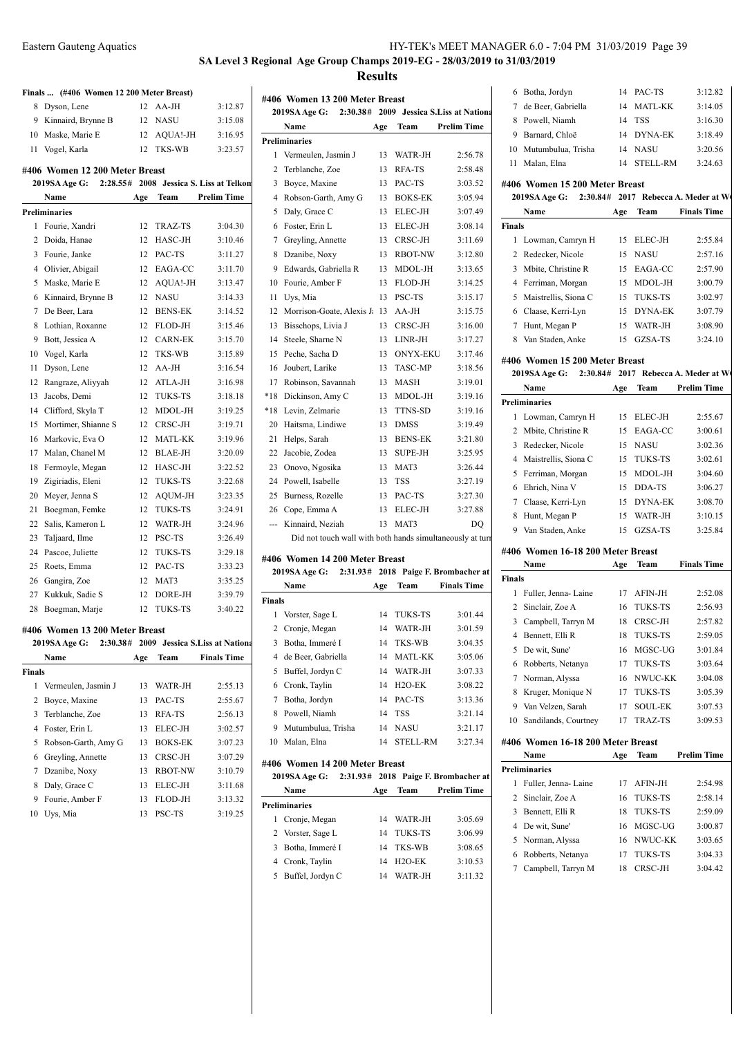3 Regional Age Group Champs 2019-EG - 28/03/2019 to 31/03/2019 **Results**

|               |                                          |     |                | <b>SA Level 3 Regio</b>                 |                |
|---------------|------------------------------------------|-----|----------------|-----------------------------------------|----------------|
|               | Finals  (#406 Women 12 200 Meter Breast) |     |                |                                         |                |
| 8             | Dyson, Lene                              | 12  | AA-JH          | 3:12.87                                 | #40            |
|               | 9 Kinnaird, Brynne B                     | 12  | <b>NASU</b>    | 3:15.08                                 | 2              |
|               | 10 Maske, Marie E                        | 12  | AQUA!-JH       | 3:16.95                                 |                |
|               | 11 Vogel, Karla                          | 12  | TKS-WB         | 3:23.57                                 | Pre            |
|               | #406 Women 12 200 Meter Breast           |     |                |                                         |                |
|               | 2019SA Age G:                            |     |                | 2:28.55# 2008 Jessica S. Liss at Telkon |                |
|               | Name                                     | Age | Team           | <b>Prelim Time</b>                      |                |
|               | <b>Preliminaries</b>                     |     |                |                                         |                |
| 1             | Fourie, Xandri                           | 12  | TRAZ-TS        | 3:04.30                                 |                |
| 2             | Doida, Hanae                             | 12  | HASC-JH        | 3:10.46                                 |                |
| 3             | Fourie, Janke                            | 12  | PAC-TS         | 3:11.27                                 |                |
|               | 4 Olivier, Abigail                       | 12  | EAGA-CC        | 3:11.70                                 |                |
| 5             | Maske, Marie E                           | 12  | AQUA!-JH       | 3:13.47                                 | $\mathbf{1}$   |
| 6             | Kinnaird, Brynne B                       | 12  | <b>NASU</b>    | 3:14.33                                 | 1              |
| 7             | De Beer, Lara                            | 12  | <b>BENS-EK</b> | 3:14.52                                 | 11             |
| 8             | Lothian, Roxanne                         | 12  | FLOD-JH        | 3:15.46                                 | 11             |
| 9.            | Bott, Jessica A                          | 12  | <b>CARN-EK</b> | 3:15.70                                 | 1.             |
|               | 10 Vogel, Karla                          | 12  | TKS-WB         | 3:15.89                                 | 1:             |
| 11            | Dyson, Lene                              | 12  | AA-JH          | 3:16.54                                 | 1              |
|               | 12 Rangraze, Aliyyah                     | 12  | ATLA-JH        | 3:16.98                                 | $1^{\prime}$   |
| 13            | Jacobs, Demi                             | 12  | <b>TUKS-TS</b> | 3:18.18                                 | $*1$           |
|               | 14 Clifford, Skyla T                     | 12  | MDOL-JH        | 3:19.25                                 | $*1$           |
|               | 15 Mortimer, Shianne S                   | 12  | CRSC-JH        | 3:19.71                                 | $\overline{2}$ |
|               | 16 Markovic, Eva O                       | 12  | MATL-KK        | 3:19.96                                 | $\overline{2}$ |
| 17            | Malan, Chanel M                          | 12  | <b>BLAE-JH</b> | 3:20.09                                 | 2.             |
| 18            | Fermoyle, Megan                          | 12  | HASC-JH        | 3:22.52                                 | $\overline{2}$ |
| 19            | Zigiriadis, Eleni                        | 12  | TUKS-TS        | 3:22.68                                 | 2.             |
|               | 20 Meyer, Jenna S                        | 12  | AQUM-JH        | 3:23.35                                 | $\overline{2}$ |
| 21            | Boegman, Femke                           | 12  | TUKS-TS        | 3:24.91                                 | $\overline{2}$ |
| 22            | Salis, Kameron L                         | 12  | WATR-JH        | 3:24.96                                 |                |
| 23            | Taljaard, Ilme                           | 12  | PSC-TS         | 3:26.49                                 |                |
|               | 24 Pascoe, Juliette                      | 12  | TUKS-TS        | 3:29.18                                 |                |
| 25            | Roets, Emma                              | 12  | PAC-TS         | 3:33.23                                 | #40            |
|               | 26 Gangira, Zoe                          | 12  | MAT3           | 3:35.25                                 | 2              |
|               | 27 Kukkuk, Sadie S                       | 12  | DORE-JH        | 3:39.79                                 |                |
| 28            | Boegman, Marje                           | 12  | TUKS-TS        | 3:40.22                                 | Fin            |
|               | #406 Women 13 200 Meter Breast           |     |                |                                         |                |
|               | 2019SA Age G:                            |     |                | 2:30.38# 2009 Jessica S.Liss at Nationa |                |
|               | Name                                     | Age | Team           | <b>Finals Time</b>                      |                |
| <b>Finals</b> |                                          |     |                |                                         |                |
| 1             | Vermeulen, Jasmin J                      | 13  | WATR-JH        | 2:55.13                                 |                |
|               | 2 Boyce, Maxine                          | 13  | PAC-TS         | 2:55.67                                 |                |
| 3             | Terblanche, Zoe                          | 13  | RFA-TS         | 2:56.13                                 |                |
|               | 4 Foster, Erin L                         | 13  | ELEC-JH        | 3:02.57                                 |                |
| 5             | Robson-Garth, Amy G                      | 13  | BOKS-EK        | 3:07.23                                 | 10             |
|               | 6 Greyling, Annette                      | 13  | CRSC-JH        | 3:07.29                                 |                |
| 7             | Dzanibe, Noxy                            | 13  | RBOT-NW        | 3:10.79                                 | #40            |
|               | 8 Daly, Grace C                          | 13  | ELEC-JH        | 3:11.68                                 | 2              |
| 9             | Fourie, Amber F                          | 13  | FLOD-JH        | 3:13.32                                 |                |
|               | 10 Uys, Mia                              | 13  | PSC-TS         | 3:19.25                                 | Pre            |
|               |                                          |     |                |                                         |                |
|               |                                          |     |                |                                         |                |

|                | #406 Women 13 200 Meter Breast                            |     |                 |                                          |                        |
|----------------|-----------------------------------------------------------|-----|-----------------|------------------------------------------|------------------------|
|                | 2019SA Age G:                                             |     |                 | 2:30.38# 2009 Jessica S.Liss at National | 7<br>de B              |
|                | Name                                                      | Age | Team            | <b>Prelim Time</b>                       | 8<br>Pow               |
|                | <b>Preliminaries</b>                                      |     |                 |                                          | 9<br>Barn              |
| 1              | Vermeulen, Jasmin J                                       | 13  | WATR-JH         | 2:56.78                                  | 10<br>Mut              |
| $\overline{c}$ | Terblanche, Zoe                                           | 13  | RFA-TS          | 2:58.48                                  | Mala<br>11             |
| 3              | Boyce, Maxine                                             | 13  | PAC-TS          | 3:03.52                                  | #406 Wo                |
| 4              | Robson-Garth, Amy G                                       | 13  | <b>BOKS-EK</b>  | 3:05.94                                  | 2019SA                 |
| 5              | Daly, Grace C                                             | 13  | ELEC-JH         | 3:07.49                                  | Nan                    |
| 6              | Foster, Erin L                                            | 13  | ELEC-JH         | 3:08.14                                  | <b>Finals</b>          |
| 7              | Greyling, Annette                                         | 13  | CRSC-JH         | 3:11.69                                  | $\mathbf{1}$<br>Low    |
| 8              | Dzanibe, Noxy                                             | 13  | <b>RBOT-NW</b>  | 3:12.80                                  | $\overline{c}$<br>Rede |
| 9              | Edwards, Gabriella R                                      | 13  | MDOL-JH         | 3:13.65                                  | 3<br>Mbi               |
| 10             | Fourie, Amber F                                           | 13  | FLOD-JH         | 3:14.25                                  | 4<br>Ferri             |
| 11             | Uys, Mia                                                  | 13  | PSC-TS          | 3:15.17                                  | 5<br>Mais              |
| 12             | Morrison-Goate, Alexis J.                                 | 13  | $AA-JH$         | 3:15.75                                  | Claa<br>6              |
| 13             | Bisschops, Livia J                                        | 13  | CRSC-JH         | 3:16.00                                  | 7<br>Hun               |
| 14             | Steele, Sharne N                                          | 13  | LINR-JH         | 3:17.27                                  | 8<br>Van               |
| 15             | Peche, Sacha D                                            | 13  | <b>ONYX-EKU</b> | 3:17.46                                  | #406 Wo                |
| 16             | Joubert, Larike                                           | 13  | TASC-MP         | 3:18.56                                  | 2019SA                 |
| 17             | Robinson, Savannah                                        | 13  | <b>MASH</b>     | 3:19.01                                  | Nan                    |
| $*18$          | Dickinson, Amy C                                          | 13  | MDOL-JH         | 3:19.16                                  | Prelimina              |
| *18            | Levin, Zelmarie                                           | 13  | <b>TTNS-SD</b>  | 3:19.16                                  | 1<br>Low               |
| 20             | Haitsma, Lindiwe                                          | 13  | <b>DMSS</b>     | 3:19.49                                  | $\overline{c}$<br>Mbit |
| 21             | Helps, Sarah                                              | 13  | <b>BENS-EK</b>  | 3:21.80                                  | 3<br>Rede              |
| 22             | Jacobie, Zodea                                            | 13  | <b>SUPE-JH</b>  | 3:25.95                                  | 4<br>Mais              |
| 23             | Onovo, Ngosika                                            | 13  | MAT3            | 3:26.44                                  | 5<br>Ferri             |
| 24             | Powell, Isabelle                                          | 13  | <b>TSS</b>      | 3:27.19                                  | Ehri<br>6              |
| 25             | Burness, Rozelle                                          | 13  | PAC-TS          | 3:27.30                                  | 7<br>Claa              |
| 26             | Cope, Emma A                                              | 13  | ELEC-JH         | 3:27.88                                  | 8<br>Hun               |
| $\overline{a}$ | Kinnaird, Neziah                                          | 13  | MAT3            | DO                                       | 9<br>Van               |
|                | Did not touch wall with both hands simultaneously at turn |     |                 |                                          |                        |
|                |                                                           |     |                 |                                          |                        |

## **#406 Women 14 200 Meter Breast**

|        | 2019SA Age G:      |     |                     | $2:31.93#$ 2018 Paige F. Brombacher at | Fina |
|--------|--------------------|-----|---------------------|----------------------------------------|------|
|        | Name               | Age | Team                | <b>Finals Time</b>                     |      |
| Finals |                    |     |                     |                                        |      |
| 1      | Vorster, Sage L    | 14  | <b>TUKS-TS</b>      | 3:01.44                                |      |
|        | 2 Cronje, Megan    | 14  | WATR-JH             | 3:01.59                                |      |
| 3      | Botha, Immeré I    | 14  | TKS-WB              | 3:04.35                                |      |
| 4      | de Beer, Gabriella | 14  | <b>MATL-KK</b>      | 3:05.06                                |      |
| 5      | Buffel, Jordyn C   | 14  | WATR-JH             | 3:07.33                                |      |
| 6      | Cronk, Taylin      | 14  | H <sub>2</sub> O-EK | 3:08.22                                |      |
|        | Botha, Jordyn      | 14  | PAC-TS              | 3:13.36                                |      |
| 8      | Powell, Niamh      | 14  | <b>TSS</b>          | 3:21.14                                |      |
| 9      | Mutumbulua, Trisha |     | 14 NASU             | 3:21.17                                |      |
| 10     | Malan, Elna        | 14  | <b>STELL-RM</b>     | 3:27.34                                | #406 |
|        |                    |     |                     |                                        |      |

### **#406 Women 14 200 Meter Breast**

|   | <b>2019SA Age G:</b> |     |               | 2:31.93# 2018 Paige F. Brombacher at |
|---|----------------------|-----|---------------|--------------------------------------|
|   | Name                 | Age | Team          | <b>Prelim Time</b>                   |
|   | Preliminaries        |     |               |                                      |
|   | 1 Cronje, Megan      | 14  | WATR-JH       | 3:05.69                              |
|   | 2 Vorster, Sage L    | 14  | TUKS-TS       | 3:06.99                              |
| 3 | Botha, Immeré I      | 14  | <b>TKS-WB</b> | 3:08.65                              |
| 4 | Cronk, Taylin        | 14  | $H2O-EK$      | 3:10.53                              |
| 5 | Buffel, Jordyn C     | 14  | WATR-JH       | 3:11.32                              |

| 7             | de Beer, Gabriella                                 | 14  | MATL-KK         | 3:14.05            |
|---------------|----------------------------------------------------|-----|-----------------|--------------------|
| 8             | Powell, Niamh                                      | 14  | <b>TSS</b>      | 3:16.30            |
| 9             | Barnard, Chloë                                     | 14  | <b>DYNA-EK</b>  | 3:18.49            |
|               | 10 Mutumbulua, Trisha                              |     | 14 NASU         | 3:20.56            |
| 11.           | Malan, Elna                                        | 14  | <b>STELL-RM</b> | 3:24.63            |
|               | #406 Women 15 200 Meter Breast                     |     |                 |                    |
|               | 2019SA Age G: 2:30.84# 2017 Rebecca A. Meder at Wo |     |                 |                    |
|               | Name                                               | Age | Team            | <b>Finals Time</b> |
| <b>Finals</b> |                                                    |     |                 |                    |
| 1             | Lowman, Camryn H                                   | 15  | ELEC-JH         | 2:55.84            |
|               | 2 Redecker, Nicole                                 | 15  | <b>NASU</b>     | 2:57.16            |
| 3             | Mbite, Christine R                                 | 15  | EAGA-CC         | 2:57.90            |

Botha, Jordyn 14 PAC-TS 3:12.82

| 5 Maistrellis, Siona C | 15 TUKS-TS | 3:02.97 |
|------------------------|------------|---------|
| 6 Claase, Kerri-Lyn    | 15 DYNA-EK | 3:07.79 |
| 7 Hunt, Megan P        | 15 WATR-JH | 3:08.90 |
| 8 Van Staden, Anke     | 15 GZSA-TS | 3:24.10 |
|                        |            |         |

## **#406 Women 15 200 Meter Breast**

**2019SA Age G: 2:30.84# 2017 Rebecca A. Meder at W** 

|   | Name                   | Age | <b>Team</b>    | <b>Prelim Time</b> |
|---|------------------------|-----|----------------|--------------------|
|   | <b>Preliminaries</b>   |     |                |                    |
| 1 | Lowman, Camryn H       | 15  | ELEC-JH        | 2:55.67            |
|   | 2 Mbite, Christine R   | 15  | EAGA-CC        | 3:00.61            |
| 3 | Redecker, Nicole       | 15  | NASU           | 3:02.36            |
|   | 4 Maistrellis, Siona C | 15  | <b>TUKS-TS</b> | 3:02.61            |
|   | 5 Ferriman, Morgan     | 15  | MDOL-JH        | 3:04.60            |
| 6 | Ehrich, Nina V         | 15  | DDA-TS         | 3:06.27            |
|   | Claase, Kerri-Lyn      | 15  | DYNA-EK        | 3:08.70            |
| 8 | Hunt, Megan P          | 15  | WATR-JH        | 3:10.15            |
| 9 | Van Staden, Anke       | 15  | GZSA-TS        | 3:25.84            |

### **#406 Women 16-18 200 Meter Breast**

|               | Name                              | Age | Team           | <b>Finals Time</b> |  |  |
|---------------|-----------------------------------|-----|----------------|--------------------|--|--|
| <b>Finals</b> |                                   |     |                |                    |  |  |
| 1             | Fuller, Jenna-Laine               | 17  | <b>AFIN-JH</b> | 2:52.08            |  |  |
| 2             | Sinclair, Zoe A                   | 16  | <b>TUKS-TS</b> | 2:56.93            |  |  |
| 3             | Campbell, Tarryn M                | 18  | CRSC-JH        | 2:57.82            |  |  |
| 4             | Bennett, Elli R                   | 18  | <b>TUKS-TS</b> | 2:59.05            |  |  |
| 5             | De wit, Sune'                     | 16  | MGSC-UG        | 3:01.84            |  |  |
| 6             | Robberts, Netanya                 | 17  | <b>TUKS-TS</b> | 3:03.64            |  |  |
| 7             | Norman, Alyssa                    | 16  | NWUC-KK        | 3:04.08            |  |  |
| 8             | Kruger, Monique N                 | 17  | <b>TUKS-TS</b> | 3:05.39            |  |  |
| 9             | Van Velzen, Sarah                 | 17  | SOUL-EK        | 3:07.53            |  |  |
| 10            | Sandilands, Courtney              | 17  | TRAZ-TS        | 3:09.53            |  |  |
|               | #406 Women 16-18 200 Meter Breast |     |                |                    |  |  |

| Name                      | Age | <b>Team</b>    | <b>Prelim Time</b> |
|---------------------------|-----|----------------|--------------------|
| <b>Preliminaries</b>      |     |                |                    |
| Fuller, Jenna- Laine<br>1 | 17  | <b>AFIN-JH</b> | 2:54.98            |
| 2 Sinclair, Zoe A         | 16  | <b>TUKS-TS</b> | 2:58.14            |
| Bennett, Elli R<br>3.     | 18  | <b>TUKS-TS</b> | 2:59.09            |
| 4 De wit, Sune'           | 16  | MGSC-UG        | 3:00.87            |
| 5 Norman, Alyssa          | 16  | NWUC-KK        | 3:03.65            |
| Robberts, Netanya<br>6    | 17  | <b>TUKS-TS</b> | 3:04.33            |
| 7 Campbell, Tarryn M      | 18  | CRSC-JH        | 3:04.42            |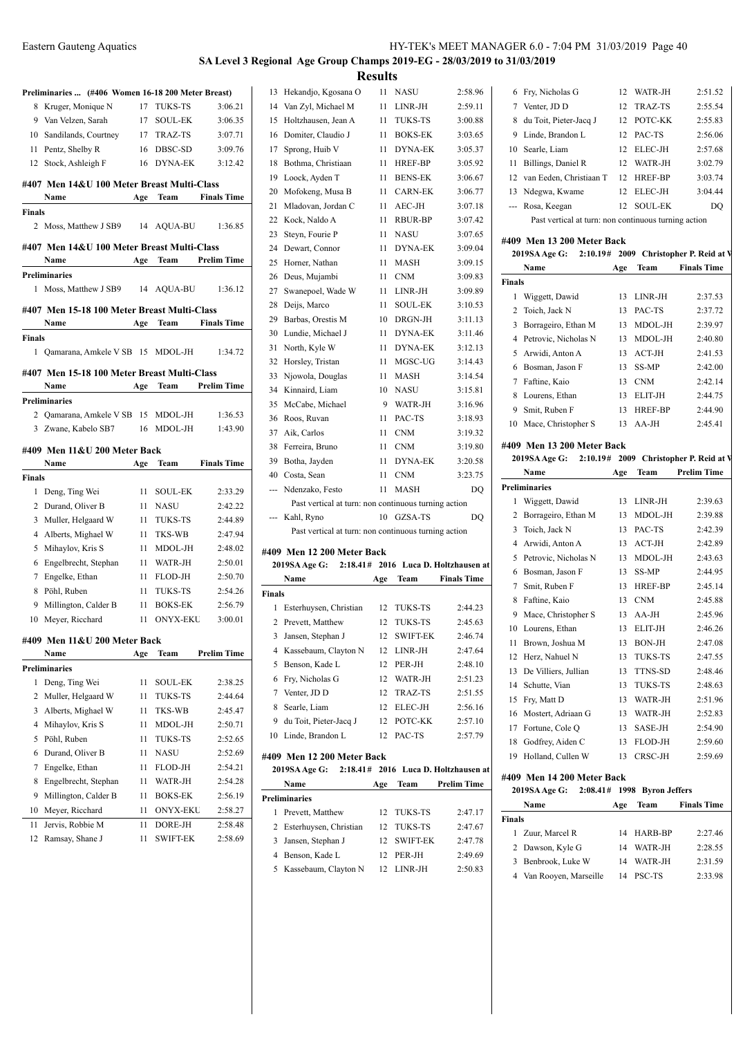|  | IY-TEK's MEET MANAGER 6.0 - 7:04 PM 31/03/2019 Page 40 |  |  |  |
|--|--------------------------------------------------------|--|--|--|
|--|--------------------------------------------------------|--|--|--|

### **SA Level 3 Regional Age Group Champs 2019-EG - 28/03/2019 to 31/03/2019**  $\mathbf{R}$

|        | Preliminaries  (#406 Women 16-18 200 Meter Breast) |     |                 |                    |
|--------|----------------------------------------------------|-----|-----------------|--------------------|
| 8      | Kruger, Monique N                                  | 17  | <b>TUKS-TS</b>  | 3:06.21            |
| 9      | Van Velzen, Sarah                                  | 17  | <b>SOUL-EK</b>  | 3:06.35            |
| 10     | Sandilands, Courtney                               | 17  | TRAZ-TS         | 3:07.71            |
| 11     | Pentz, Shelby R                                    | 16  | DBSC-SD         | 3:09.76            |
| 12     | Stock, Ashleigh F                                  | 16  | DYNA-EK         | 3:12.42            |
|        | #407 Men 14&U 100 Meter Breast Multi-Class         |     |                 |                    |
|        | Name                                               | Age | Team            | <b>Finals Time</b> |
| Finals |                                                    |     |                 |                    |
|        | 2 Moss, Matthew J SB9                              |     | 14 AQUA-BU      | 1:36.85            |
|        |                                                    |     |                 |                    |
|        | #407 Men 14&U 100 Meter Breast Multi-Class         |     | <b>Team</b>     | <b>Prelim Time</b> |
|        | Name<br>Preliminaries                              | Age |                 |                    |
|        | 1 Moss, Matthew J SB9                              |     | 14 AQUA-BU      | 1:36.12            |
|        |                                                    |     |                 |                    |
|        | #407 Men 15-18 100 Meter Breast Multi-Class        |     |                 |                    |
|        | Name                                               | Age | Team            | <b>Finals Time</b> |
| Finals |                                                    |     |                 |                    |
| 1      | Qamarana, Amkele V SB 15                           |     | MDOL-JH         | 1:34.72            |
|        | #407 Men 15-18 100 Meter Breast Multi-Class        |     |                 |                    |
|        | Name                                               | Age | Team            | <b>Prelim Time</b> |
|        | <b>Preliminaries</b>                               |     |                 |                    |
|        | 2 Qamarana, Amkele V SB 15                         |     | MDOL-JH         | 1:36.53            |
|        | 3 Zwane, Kabelo SB7                                | 16  | MDOL-JH         | 1:43.90            |
|        | #409 Men 11&U 200 Meter Back                       |     |                 |                    |
|        | Name                                               | Age | Team            | <b>Finals Time</b> |
| Finals |                                                    |     |                 |                    |
|        | 1 Deng, Ting Wei                                   | 11  | <b>SOUL-EK</b>  | 2:33.29            |
| 2      | Durand, Oliver B                                   | 11  | <b>NASU</b>     | 2:42.22            |
| 3      | Muller, Helgaard W                                 | 11  | <b>TUKS-TS</b>  | 2:44.89            |
| 4      | Alberts, Mighael W                                 | 11  | TKS-WB          | 2:47.94            |
| 5      | Mihaylov, Kris S                                   | 11  | MDOL-JH         | 2:48.02            |
| 6      | Engelbrecht, Stephan                               | 11  | WATR-JH         | 2:50.01            |
| 7      | Engelke, Ethan                                     | 11  | FLOD-JH         | 2:50.70            |
| 8      | Pöhl, Ruben                                        | 11  | <b>TUKS-TS</b>  | 2:54.26            |
| 9      | Millington, Calder B                               | 11  | <b>BOKS-EK</b>  | 2:56.79            |
| 10     | Meyer, Ricchard                                    | 11  | <b>ONYX-EKU</b> | 3:00.01            |
|        | #409 Men 11&U 200 Meter Back                       |     |                 |                    |
|        | Name                                               | Age | Team            | <b>Prelim Time</b> |
|        | Preliminaries                                      |     |                 |                    |
| 1      | Deng, Ting Wei                                     | 11  | <b>SOUL-EK</b>  | 2:38.25            |
| 2      |                                                    |     |                 |                    |
| 3      | Muller, Helgaard W                                 | 11  | TUKS-TS         | 2:44.64            |
|        | Alberts, Mighael W                                 | 11  | TKS-WB          | 2:45.47            |
| 4      | Mihaylov, Kris S                                   | 11  | MDOL-JH         | 2:50.71            |
| 5      | Pöhl, Ruben                                        | 11  | TUKS-TS         | 2:52.65            |
| 6      | Durand, Oliver B                                   | 11  | NASU            | 2:52.69            |
| 7      | Engelke, Ethan                                     | 11  | FLOD-JH         | 2:54.21            |
| 8      | Engelbrecht, Stephan                               | 11  | WATR-JH         | 2:54.28            |
| 9      | Millington, Calder B                               | 11  | <b>BOKS-EK</b>  | 2:56.19            |
| 10     | Meyer, Ricchard                                    | 11  | <b>ONYX-EKU</b> | 2:58.27            |
| 11     | Jervis, Robbie M                                   | 11  | DORE-JH         | 2:58.48            |

|                |                                                      | Results |                 |                                      |                                  |
|----------------|------------------------------------------------------|---------|-----------------|--------------------------------------|----------------------------------|
| 13             | Hekandjo, Kgosana O                                  | 11      | <b>NASU</b>     | 2:58.96                              | 6 F                              |
|                | 14 Van Zyl, Michael M                                | 11      | LINR-JH         | 2:59.11                              | J<br>7                           |
| 15             | Holtzhausen, Jean A                                  | 11      | <b>TUKS-TS</b>  | 3:00.88                              | Ċ<br>8                           |
|                | 16 Domiter, Claudio J                                | 11      | <b>BOKS-EK</b>  | 3:03.65                              | I<br>9                           |
|                | 17 Sprong, Huib V                                    | 11      | <b>DYNA-EK</b>  | 3:05.37                              | S<br>10                          |
| 18             | Bothma, Christiaan                                   | 11      | HREF-BP         | 3:05.92                              | I<br>11                          |
|                | 19 Loock, Ayden T                                    | 11      | <b>BENS-EK</b>  | 3:06.67                              | 12<br>J                          |
| 20             | Mofokeng, Musa B                                     | 11      | <b>CARN-EK</b>  | 3:06.77                              | $\mathbf{r}$<br>13               |
| 21             | Mladovan, Jordan C                                   | 11      | AEC-JH          | 3:07.18                              | --- F                            |
|                | 22 Kock, Naldo A                                     | 11      | RBUR-BP         | 3:07.42                              |                                  |
| 23             | Steyn, Fourie P                                      | 11      | NASU            | 3:07.65                              | #409                             |
| 24             | Dewart, Connor                                       | 11      | <b>DYNA-EK</b>  | 3:09.04                              | 2019                             |
| 25             | Horner, Nathan                                       | 11      | <b>MASH</b>     | 3:09.15                              | ľ                                |
|                | 26 Deus, Mujambi                                     | 11      | <b>CNM</b>      | 3:09.83                              | Finals                           |
|                | 27 Swanepoel, Wade W                                 | 11      | LINR-JH         | 3:09.89                              | 1<br>J                           |
| 28             | Deijs, Marco                                         | 11      | <b>SOUL-EK</b>  | 3:10.53                              | 2<br>ŋ                           |
|                | 29 Barbas, Orestis M                                 | 10      | DRGN-JH         | 3:11.13                              | 3<br>$\mathbf{I}$                |
|                | 30 Lundie, Michael J                                 | 11      | <b>DYNA-EK</b>  | 3:11.46                              | $\mathbf{I}$<br>$\overline{4}$   |
| 31             | North, Kyle W                                        | 11      | <b>DYNA-EK</b>  | 3:12.13                              | 5<br>$\overline{I}$              |
| 32             | Horsley, Tristan                                     | 11      | MGSC-UG         | 3:14.43                              | H<br>6                           |
| 33             | Njowola, Douglas                                     | 11      | <b>MASH</b>     | 3:14.54                              | 7<br>I                           |
| 34             | Kinnaird, Liam                                       | 10      | <b>NASU</b>     | 3:15.81                              | I<br>8                           |
| 35             | McCabe, Michael                                      | 9       | WATR-JH         | 3:16.96                              | S<br>9                           |
| 36             | Roos, Ruvan                                          | 11      | PAC-TS          | 3:18.93                              | 10 N                             |
|                | 37 Aik, Carlos                                       | 11      | <b>CNM</b>      | 3:19.32                              |                                  |
|                | 38 Ferreira, Bruno                                   | 11      | <b>CNM</b>      | 3:19.80                              | #409<br>2019                     |
|                | 39 Botha, Jayden                                     | 11      | <b>DYNA-EK</b>  | 3:20.58                              | ľ                                |
|                | 40 Costa, Sean                                       | 11      | <b>CNM</b>      | 3:23.75                              | Prelim                           |
| ---            | Ndenzako, Festo                                      | 11      | <b>MASH</b>     | DQ                                   | $\mathbf{1}$<br>J                |
|                | Past vertical at turn: non continuous turning action |         |                 |                                      | 2<br>H                           |
| ---            | Kahl, Ryno                                           | 10      | GZSA-TS         | DQ                                   | 3<br>ŋ                           |
|                | Past vertical at turn: non continuous turning action |         |                 |                                      | $\overline{4}$<br>$\overline{I}$ |
|                | #409 Men 12 200 Meter Back                           |         |                 |                                      | I<br>5                           |
|                | 2019SA Age G:                                        |         |                 | 2:18.41# 2016 Luca D. Holtzhausen at | I<br>6                           |
|                | Name                                                 | Age     | Team            | <b>Finals Time</b>                   | S<br>7                           |
| Finals         |                                                      |         |                 |                                      | I<br>8                           |
| 1              | Esterhuysen, Christian                               | 12      | TUKS-TS         | 2:44.23                              | $\mathbf{I}$<br>9                |
| $\overline{c}$ | Prevett, Matthew                                     | 12      | <b>TUKS-TS</b>  | 2:45.63                              | 10 I                             |
| 3              | Jansen, Stephan J                                    | 12      | <b>SWIFT-EK</b> | 2:46.74                              | 11 H                             |
|                | 4 Kassebaum, Clayton N                               | 12      | LINR-JH         | 2:47.64                              | 12 H                             |
| 5              | Benson, Kade L                                       | 12      | PER-JH          | 2:48.10                              | 13 I                             |
|                | 6 Fry, Nicholas G                                    | 12      | WATR-JH         | 2:51.23                              | S<br>14                          |
| 7              | Venter, JD D                                         | 12      | TRAZ-TS         | 2:51.55                              | I<br>15                          |
| 8              | Searle, Liam                                         | 12      | ELEC-JH         | 2:56.16                              | 16 N                             |
| 9              | du Toit, Pieter-Jacq J                               | 12      | POTC-KK         | 2:57.10                              | 17 F                             |
| 10             | Linde, Brandon L                                     | 12      | PAC-TS          | 2:57.79                              | 18 (                             |
|                | #409 Men 12 200 Meter Back                           |         |                 |                                      | 19 H                             |
|                | 2019SA Age G: 2:18.41# 2016 Luca D. Holtzhausen at   |         |                 |                                      |                                  |

| <b>2019SA Age G:</b> |                          |  |     | $2:18.41#$ 2016 Luca D. Holtzhausen a |                    |  |  |
|----------------------|--------------------------|--|-----|---------------------------------------|--------------------|--|--|
|                      | Name                     |  | Age | Team                                  | <b>Prelim Time</b> |  |  |
|                      | Preliminaries            |  |     |                                       |                    |  |  |
| L                    | Prevett, Matthew         |  |     | 12 TUKS-TS                            | 2:47.17            |  |  |
|                      | 2 Esterhuysen, Christian |  |     | 12 TUKS-TS                            | 2:47.67            |  |  |
|                      | 3 Jansen, Stephan J      |  |     | 12 SWIFT-EK                           | 2:47.78            |  |  |
|                      | 4 Benson, Kade L         |  | 12  | PER-JH                                | 2:49.69            |  |  |
|                      | 5 Kassebaum, Clayton N   |  | 12. | LINR-JH                               | 2:50.83            |  |  |

|    | 6 Fry, Nicholas G                                    |        | 12 WATR-JH     | 2:51.52 |  |  |
|----|------------------------------------------------------|--------|----------------|---------|--|--|
|    | Venter, JD D                                         |        | 12 TRAZ-TS     | 2:55.54 |  |  |
| 8  | du Toit, Pieter-Jacq J                               |        | 12 POTC-KK     | 2:55.83 |  |  |
|    | 9 Linde, Brandon L                                   |        | 12 PAC-TS      | 2:56.06 |  |  |
| 10 | Searle, Liam                                         | $12 -$ | ELEC-JH        | 2:57.68 |  |  |
| 11 | Billings, Daniel R                                   |        | 12 WATR-JH     | 3:02.79 |  |  |
|    | 12 van Eeden, Christiaan T                           |        | 12 HREF-BP     | 3:03.74 |  |  |
|    | 13 Ndegwa, Kwame                                     | $12 -$ | ELEC-JH        | 3:04.44 |  |  |
|    | --- Rosa, Keegan                                     | 12.    | <b>SOUL-EK</b> | DO      |  |  |
|    | Past vertical at turn: non continuous turning action |        |                |         |  |  |

## **#409 Men 13 200 Meter Back**

|                            | 2019SA Age G: 2:10.19# 2009 Christopher P. Reid at V |     |             |                    |  |  |
|----------------------------|------------------------------------------------------|-----|-------------|--------------------|--|--|
|                            | Name                                                 | Age | <b>Team</b> | <b>Finals Time</b> |  |  |
| <b>Finals</b>              |                                                      |     |             |                    |  |  |
| 1                          | Wiggett, Dawid                                       | 13  | LINR-JH     | 2:37.53            |  |  |
| 2                          | Toich, Jack N                                        | 13  | PAC-TS      | 2:37.72            |  |  |
| 3                          | Borrageiro, Ethan M                                  | 13  | MDOL-JH     | 2:39.97            |  |  |
| 4                          | Petrovic, Nicholas N                                 | 13  | MDOL-JH     | 2:40.80            |  |  |
| 5                          | Arwidi, Anton A                                      | 13  | $ACT-JH$    | 2:41.53            |  |  |
| 6                          | Bosman, Jason F                                      | 13  | SS-MP       | 2:42.00            |  |  |
| 7                          | Faftine, Kaio                                        | 13  | <b>CNM</b>  | 2:42.14            |  |  |
| 8                          | Lourens, Ethan                                       | 13  | ELIT-JH     | 2:44.75            |  |  |
| 9                          | Smit, Ruben F                                        | 13  | HREF-BP     | 2:44.90            |  |  |
| 10                         | Mace, Christopher S                                  |     | $13$ AA-JH  | 2:45.41            |  |  |
| #409 Men 13 200 Meter Back |                                                      |     |             |                    |  |  |
|                            | 2019SA Age G: 2:10.19# 2009 Christopher P. Reid at V |     |             |                    |  |  |
|                            | Name                                                 | Age | Team        | <b>Prelim Time</b> |  |  |
|                            | <b>Preliminaries</b>                                 |     |             |                    |  |  |
| 1                          | Wiggett, Dawid                                       | 13  | $LINR-JH$   | 2:39.63            |  |  |
|                            |                                                      |     |             |                    |  |  |

| 2  | Borrageiro, Ethan M  | 13 | MDOL-JH        | 2:39.88 |
|----|----------------------|----|----------------|---------|
| 3  | Toich, Jack N        | 13 | PAC-TS         | 2:42.39 |
| 4  | Arwidi, Anton A      | 13 | $ACT-JH$       | 2:42.89 |
| 5  | Petrovic, Nicholas N | 13 | MDOL-JH        | 2:43.63 |
| 6  | Bosman, Jason F      | 13 | SS-MP          | 2:44.95 |
| 7  | Smit, Ruben F        | 13 | <b>HREF-BP</b> | 2:45.14 |
| 8  | Faftine, Kaio        | 13 | <b>CNM</b>     | 2:45.88 |
| 9  | Mace, Christopher S  | 13 | $AA-JH$        | 2:45.96 |
| 10 | Lourens, Ethan       | 13 | ELIT-JH        | 2:46.26 |
| 11 | Brown, Joshua M      | 13 | <b>BON-JH</b>  | 2:47.08 |
| 12 | Herz, Nahuel N       | 13 | <b>TUKS-TS</b> | 2:47.55 |
| 13 | De Villiers, Jullian | 13 | <b>TTNS-SD</b> | 2:48.46 |
| 14 | Schutte, Vian        | 13 | TUKS-TS        | 2:48.63 |
| 15 | Fry, Matt D          | 13 | WATR-JH        | 2:51.96 |
| 16 | Mostert, Adriaan G   | 13 | WATR-JH        | 2:52.83 |
| 17 | Fortune, Cole Q      | 13 | SASE-JH        | 2:54.90 |
| 18 | Godfrey, Aiden C     | 13 | FLOD-JH        | 2:59.60 |
| 19 | Holland, Cullen W    | 13 | CRSC-JH        | 2:59.69 |

## **#409 Men 14 200 Meter Back**

|   | 2019SA Age G:           |     | $2:08.41#$ 1998 Byron Jeffers |                    |  |  |  |
|---|-------------------------|-----|-------------------------------|--------------------|--|--|--|
|   | Name                    | Age | Team                          | <b>Finals Time</b> |  |  |  |
|   | <b>Finals</b>           |     |                               |                    |  |  |  |
|   | 1 Zuur, Marcel R        | 14  | HARB-BP                       | 2:27.46            |  |  |  |
|   | 2 Dawson, Kyle G        | 14  | WATR-JH                       | 2:28.55            |  |  |  |
| 3 | Benbrook. Luke W        | 14  | WATR-JH                       | 2:31.59            |  |  |  |
|   | 4 Van Rooyen, Marseille | 14  | <b>PSC-TS</b>                 | 2:33.98            |  |  |  |
|   |                         |     |                               |                    |  |  |  |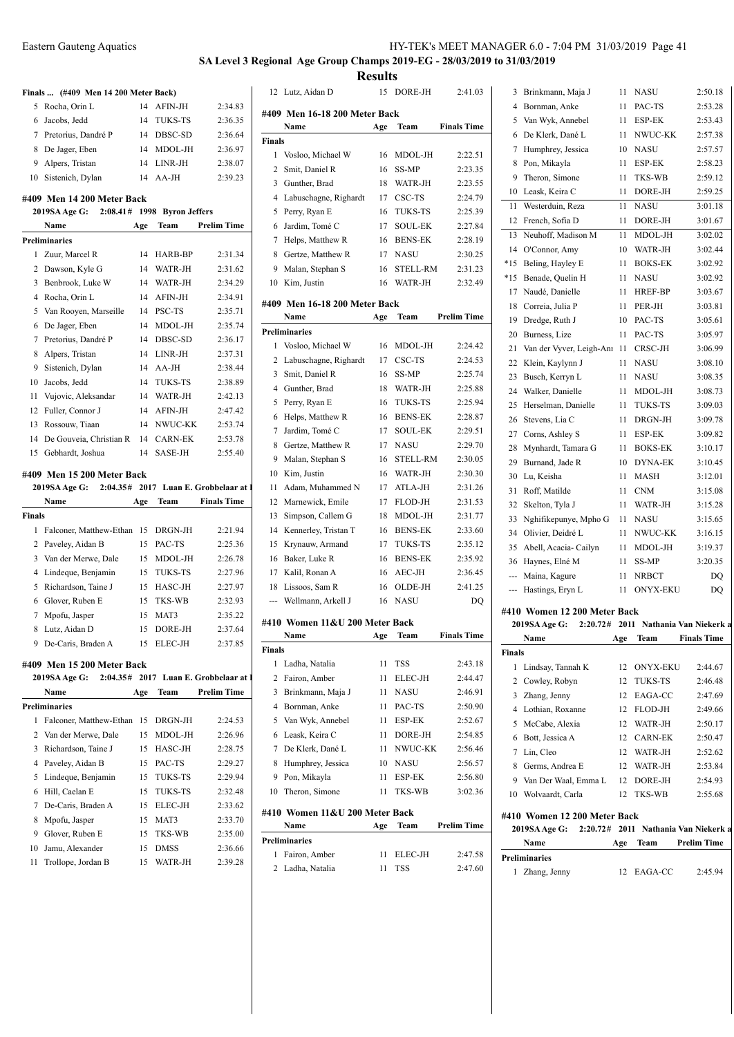## **SA Level 3 Regional Age Group Champs 2019-EG - 28/03/2019 to 31/03/2019 Results**

|                | Finals  (#409 Men 14 200 Meter Back)                    |          |                        |                              | 12 L             |
|----------------|---------------------------------------------------------|----------|------------------------|------------------------------|------------------|
| 5              | Rocha, Orin L                                           | 14       | AFIN-JH                | 2:34.83                      | #409 1           |
| 6              | Jacobs, Jedd                                            | 14       | <b>TUKS-TS</b>         | 2:36.35                      | N                |
| 7              | Pretorius, Dandré P                                     | 14       | DBSC-SD                | 2:36.64                      | Finals           |
| 8              | De Jager, Eben                                          | 14       | MDOL-JH                | 2:36.97                      | - V<br>1         |
| 9              | Alpers, Tristan                                         | 14       | LINR-JH                | 2:38.07                      | 2<br>S           |
| 10             | Sistenich, Dylan                                        | 14       | AA-JH                  | 2:39.23                      |                  |
|                |                                                         |          |                        |                              | 3<br>G<br>L<br>4 |
|                | #409 Men 14 200 Meter Back<br>2:08.41#<br>2019SA Age G: |          | 1998 Byron Jeffers     |                              | 5<br>P           |
|                | Name                                                    |          | Team                   | <b>Prelim Time</b>           |                  |
|                | <b>Preliminaries</b>                                    | Age      |                        |                              | J<br>6<br>Η<br>7 |
| 1              | Zuur, Marcel R                                          | 14       | HARB-BP                | 2:31.34                      | 8<br>G           |
| 2              | Dawson, Kyle G                                          | 14       | WATR-JH                | 2:31.62                      | 9<br>N           |
| 3              | Benbrook, Luke W                                        | 14       | WATR-JH                | 2:34.29                      | 10 K             |
| $\overline{4}$ | Rocha, Orin L                                           | 14       | AFIN-JH                | 2:34.91                      |                  |
| 5              | Van Rooyen, Marseille                                   | 14       | PSC-TS                 | 2:35.71                      | #409 1           |
| 6              | De Jager, Eben                                          | 14       | MDOL-JH                | 2:35.74                      | N                |
| 7              | Pretorius, Dandré P                                     | 14       | DBSC-SD                | 2:36.17                      | Prelimi          |
| 8              | Alpers, Tristan                                         | 14       | LINR-JH                | 2:37.31                      | -V<br>1          |
| 9              |                                                         | 14       | AA-JH                  | 2:38.44                      | 2<br>L           |
| 10             | Sistenich, Dylan                                        | 14       |                        | 2:38.89                      | 3<br>S           |
|                | Jacobs, Jedd                                            |          | TUKS-TS                |                              | 4<br>G           |
| 11<br>12       | Vujovic, Aleksandar                                     | 14<br>14 | WATR-JH<br>AFIN-JH     | 2:42.13                      | P<br>5           |
|                | Fuller, Connor J                                        |          | NWUC-KK                | 2:47.42                      | Η<br>6           |
| 13<br>14       | Rossouw, Tiaan<br>De Gouveia, Christian R               | 14       | <b>CARN-EK</b>         | 2:53.74                      | J<br>7           |
| 15             | Gebhardt, Joshua                                        | 14<br>14 | SASE-JH                | 2:53.78                      | 8<br>G           |
|                |                                                         |          |                        | 2:55.40                      | 9<br>N           |
|                | #409 Men 15 200 Meter Back                              |          |                        |                              | 10 K             |
|                | 2:04.35#<br>2019SA Age G:                               |          |                        | 2017 Luan E. Grobbelaar at 1 | A<br>11          |
|                |                                                         |          |                        |                              |                  |
|                | Name                                                    | Age      | Team                   | <b>Finals Time</b>           | 12 N             |
| <b>Finals</b>  |                                                         |          |                        |                              | S<br>13          |
| 1              | Falconer, Matthew-Ethan 15                              |          | DRGN-JH                | 2:21.94                      | K<br>14          |
| 2              | Paveley, Aidan B                                        | 15       | PAC-TS                 | 2:25.36                      | K<br>15          |
| 3              | Van der Merwe, Dale                                     | 15       | MDOL-JH                | 2:26.78                      | B<br>16          |
|                | 4 Lindeque, Benjamin                                    | 15       | <b>TUKS-TS</b>         | 2:27.96                      | K<br>17          |
| 5              | Richardson, Taine J                                     | 15       | HASC-JH                | 2:27.97                      | 18<br>L          |
| 6              | Glover, Ruben E                                         | 15       | <b>TKS-WB</b>          | 2:32.93                      | --- V            |
| 7              | Mpofu, Jasper                                           | 15       | MAT3                   | 2:35.22                      |                  |
| 8              | Lutz, Aidan D                                           | 15       | DORE-JH                | 2:37.64                      | #410 \           |
|                | 9 De-Caris, Braden A                                    | 15       | ELEC-JH                | 2:37.85                      | N                |
|                |                                                         |          |                        |                              | Finals           |
|                | #409 Men 15 200 Meter Back                              |          |                        |                              | 1<br>L           |
|                | 2019SA Age G:<br>2:04.35#                               |          |                        | 2017 Luan E. Grobbelaar at 1 | 2<br>F           |
|                | Name                                                    | Age      | Team                   | <b>Prelim Time</b>           | 3<br>B           |
|                | <b>Preliminaries</b>                                    |          |                        |                              | 4 B              |
| 1              | Falconer, Matthew-Ethan                                 | 15       | DRGN-JH                | 2:24.53                      | V<br>5           |
| 2              | Van der Merwe, Dale                                     | 15       | MDOL-JH                | 2:26.96                      | 6<br>L           |
| 3              | Richardson, Taine J                                     | 15       | HASC-JH                | 2:28.75                      | 7<br>D           |
| 4              | Paveley, Aidan B                                        | 15       | PAC-TS                 | 2:29.27                      | Η<br>8           |
| 5              | Lindeque, Benjamin                                      | 15       | TUKS-TS                | 2:29.94                      | 9<br>P           |
| 6              | Hill, Caelan E                                          | 15       | TUKS-TS                | 2:32.48                      | T<br>10          |
| 7              | De-Caris, Braden A                                      | 15       | ELEC-JH                | 2:33.62                      | #410 \           |
| 8              | Mpofu, Jasper                                           | 15       | MAT3                   | 2:33.70                      | N                |
| 9              | Glover, Ruben E                                         | 15       | TKS-WB                 | 2:35.00                      | Prelimi          |
| 10<br>11       | Jamu, Alexander<br>Trollope, Jordan B                   | 15<br>15 | <b>DMSS</b><br>WATR-JH | 2:36.66<br>2:39.28           | 1 F              |

|                | 12 Lutz, Aidan D               | 15  | DORE-JH         | 2:41.03            |
|----------------|--------------------------------|-----|-----------------|--------------------|
|                | #409 Men 16-18 200 Meter Back  |     |                 |                    |
|                | Name                           | Age | Team            | <b>Finals Time</b> |
| <b>Finals</b>  |                                |     |                 |                    |
| 1              | Vosloo, Michael W              | 16  | MDOL-JH         | 2:22.51            |
| 2              | Smit, Daniel R                 | 16  | <b>SS-MP</b>    | 2:23.35            |
| 3              | Gunther, Brad                  | 18  | WATR-JH         | 2:23.55            |
| $\overline{4}$ | Labuschagne, Righardt          | 17  | CSC-TS          | 2:24.79            |
| 5              | Perry, Ryan E                  | 16  | TUKS-TS         | 2:25.39            |
| 6              | Jardim, Tomé C                 | 17  | <b>SOUL-EK</b>  | 2:27.84            |
| 7              | Helps, Matthew R               | 16  | <b>BENS-EK</b>  | 2:28.19            |
| 8              | Gertze, Matthew R              | 17  | NASU            | 2:30.25            |
| 9              | Malan, Stephan S               | 16  | STELL-RM        | 2:31.23            |
| 10             | Kim, Justin                    | 16  | WATR-JH         | 2:32.49            |
|                | #409 Men 16-18 200 Meter Back  |     |                 |                    |
|                | Name                           | Age | Team            | Prelim Time        |
|                | <b>Preliminaries</b>           |     |                 |                    |
| 1              | Vosloo, Michael W              | 16  | MDOL-JH         | 2:24.42            |
| 2              | Labuschagne, Righardt          | 17  | CSC-TS          | 2:24.53            |
| 3              | Smit, Daniel R                 | 16  | <b>SS-MP</b>    | 2:25.74            |
| $\overline{4}$ | Gunther, Brad                  | 18  | WATR-JH         | 2:25.88            |
| 5              | Perry, Ryan E                  | 16  | <b>TUKS-TS</b>  | 2:25.94            |
| 6              | Helps, Matthew R               | 16  | <b>BENS-EK</b>  | 2:28.87            |
| 7              | Jardim, Tomé C                 | 17  | <b>SOUL-EK</b>  | 2:29.51            |
| 8              | Gertze, Matthew R              | 17  | <b>NASU</b>     | 2:29.70            |
| 9              | Malan, Stephan S               | 16  | <b>STELL-RM</b> | 2:30.05            |
| 10             | Kim, Justin                    | 16  | WATR-JH         | 2:30.30            |
| 11             | Adam, Muhammed N               | 17  | ATLA-JH         | 2:31.26            |
| 12             | Marnewick, Emile               | 17  | FLOD-JH         | 2:31.53            |
| 13             | Simpson, Callem G              | 18  | MDOL-JH         | 2:31.77            |
| 14             | Kennerley, Tristan T           | 16  | <b>BENS-EK</b>  | 2:33.60            |
| 15             | Krynauw, Armand                | 17  | TUKS-TS         | 2:35.12            |
| 16             | Baker, Luke R                  | 16  | <b>BENS-EK</b>  | 2:35.92            |
| 17             | Kalil, Ronan A                 | 16  | AEC-JH          | 2:36.45            |
| 18             | Lissoos, Sam R                 | 16  | OLDE-JH         | 2:41.25            |
| ---            | Wellmann, Arkell J             | 16  | <b>NASU</b>     | DO                 |
|                | #410 Women 11&U 200 Meter Back |     |                 |                    |
|                | Name                           | Age | Team            | <b>Finals Time</b> |
| Finals         |                                |     |                 |                    |
| $\mathbf{1}$   | Ladha, Natalia                 | 11  | TSS             | 2:43.18            |
| 2              | Fairon, Amber                  | 11  | ELEC-JH         | 2:44.47            |
| 3              | Brinkmann, Maja J              | 11  | NASU            | 2:46.91            |
| 4              | Bornman, Anke                  | 11  | PAC-TS          | 2:50.90            |
| 5              | Van Wyk, Annebel               | 11  | ESP-EK          | 2:52.67            |
| 6              | Leask, Keira C                 | 11  | DORE-JH         | 2:54.85            |
| 7              | De Klerk, Dané L               | 11  | NWUC-KK         | 2:56.46            |
| 8              | Humphrey, Jessica              | 10  | NASU            | 2:56.57            |
| 9              | Pon, Mikayla                   | 11  | ESP-EK          | 2:56.80            |
| 10             | Theron, Simone                 | 11  | TKS-WB          | 3:02.36            |
|                |                                |     |                 |                    |
|                | #410 Women 11&U 200 Meter Back |     |                 |                    |
|                | Name                           | Age | Team            | Prelim Time        |
|                | <b>Preliminaries</b>           |     |                 |                    |
| 1              | Fairon, Amber                  | 11  | ELEC-JH         | 2:47.58            |
|                | 2 Ladha, Natalia               | 11  | TSS             | 2:47.60            |

| 3     | Brinkmann, Maja J        | 11 | NASU            | 2:50.18 |
|-------|--------------------------|----|-----------------|---------|
| 4     | Bornman, Anke            | 11 | PAC-TS          | 2:53.28 |
| 5     | Van Wyk, Annebel         | 11 | ESP-EK          | 2:53.43 |
| 6     | De Klerk, Dané L         | 11 | NWUC-KK         | 2:57.38 |
| 7     | Humphrey, Jessica        | 10 | <b>NASU</b>     | 2:57.57 |
| 8     | Pon, Mikayla             | 11 | ESP-EK          | 2:58.23 |
| 9     | Theron, Simone           | 11 | TKS-WB          | 2:59.12 |
| 10    | Leask, Keira C           | 11 | DORE-JH         | 2:59.25 |
| 11    | Westerduin, Reza         | 11 | <b>NASU</b>     | 3:01.18 |
| 12    | French, Sofia D          | 11 | DORE-JH         | 3:01.67 |
| 13    | Neuhoff, Madison M       | 11 | MDOL-JH         | 3:02.02 |
| 14    | O'Connor, Amy            | 10 | WATR-JH         | 3:02.44 |
| $*15$ | Beling, Hayley E         | 11 | <b>BOKS-EK</b>  | 3:02.92 |
| $*15$ | Benade, Quelin H         | 11 | <b>NASU</b>     | 3:02.92 |
| 17    | Naudé, Danielle          | 11 | HREF-BP         | 3:03.67 |
| 18    | Correia, Julia P         | 11 | PER-JH          | 3:03.81 |
| 19    | Dredge, Ruth J           | 10 | PAC-TS          | 3:05.61 |
| 20    | Burness, Lize            | 11 | PAC-TS          | 3:05.97 |
| 21    | Van der Vyver, Leigh-Anr | 11 | CRSC-JH         | 3:06.99 |
| 22    | Klein, Kaylynn J         | 11 | <b>NASU</b>     | 3:08.10 |
| 23    | Busch, Kerryn L          | 11 | NASU            | 3:08.35 |
| 24    | Walker, Danielle         | 11 | MDOL-JH         | 3:08.73 |
| 25    | Herselman, Danielle      | 11 | <b>TUKS-TS</b>  | 3:09.03 |
| 26    | Stevens, Lia C           | 11 | DRGN-JH         | 3:09.78 |
| 27    | Corns, Ashley S          | 11 | ESP-EK          | 3:09.82 |
| 28    | Mynhardt, Tamara G       | 11 | <b>BOKS-EK</b>  | 3:10.17 |
| 29    | Burnand, Jade R          | 10 | <b>DYNA-EK</b>  | 3:10.45 |
| 30    | Lu, Keisha               | 11 | <b>MASH</b>     | 3:12.01 |
| 31    | Roff, Matilde            | 11 | <b>CNM</b>      | 3:15.08 |
| 32    | Skelton, Tyla J          | 11 | WATR-JH         | 3:15.28 |
| 33    | Nghifikepunye, Mpho G    | 11 | <b>NASU</b>     | 3:15.65 |
| 34    | Olivier, Deidré L        | 11 | NWUC-KK         | 3:16.15 |
| 35    | Abell, Acacia-Cailyn     | 11 | MDOL-JH         | 3:19.37 |
| 36    | Haynes, Elné M           | 11 | SS-MP           | 3:20.35 |
| ---   | Maina, Kagure            | 11 | NRBCT           | DQ      |
| ---   | Hastings, Eryn L         | 11 | <b>ONYX-EKU</b> | DQ      |
|       |                          |    |                 |         |

# **#410 Women 12 200 Meter Back**

|        | 2019SA Age G:        |     |                 | 2:20.72# 2011 Nathania Van Niekerk a |
|--------|----------------------|-----|-----------------|--------------------------------------|
|        | Name                 | Age | Team            | <b>Finals Time</b>                   |
| Finals |                      |     |                 |                                      |
| L      | Lindsay, Tannah K    | 12. | <b>ONYX-EKU</b> | 2:44.67                              |
|        | 2 Cowley, Robyn      | 12  | TUKS-TS         | 2:46.48                              |
| 3      | Zhang, Jenny         | 12  | EAGA-CC         | 2:47.69                              |
|        | 4 Lothian, Roxanne   | 12  | FLOD-JH         | 2:49.66                              |
|        | 5 McCabe, Alexia     |     | 12 WATR-JH      | 2:50.17                              |
| 6      | Bott, Jessica A      |     | 12 CARN-EK      | 2:50.47                              |
| 7      | Lin, Cleo            | 12  | WATR-JH         | 2:52.62                              |
| 8      | Germs, Andrea E      | 12  | WATR-JH         | 2:53.84                              |
| 9.     | Van Der Waal, Emma L | 12  | DORE-JH         | 2:54.93                              |
| 10     | Wolvaardt, Carla     | 12  | TKS-WB          | 2:55.68                              |
|        |                      |     |                 |                                      |

#### **#410 Women 12 200 Meter Back**

| 2019SA Age G: 2:20.72# 2011 Nathania Van Niekerk a |     |            |                    |
|----------------------------------------------------|-----|------------|--------------------|
| Name                                               | Age | Team       | <b>Prelim Time</b> |
| <b>Preliminaries</b>                               |     |            |                    |
| 1 Zhang, Jenny                                     |     | 12 EAGA-CC | 2:45.94            |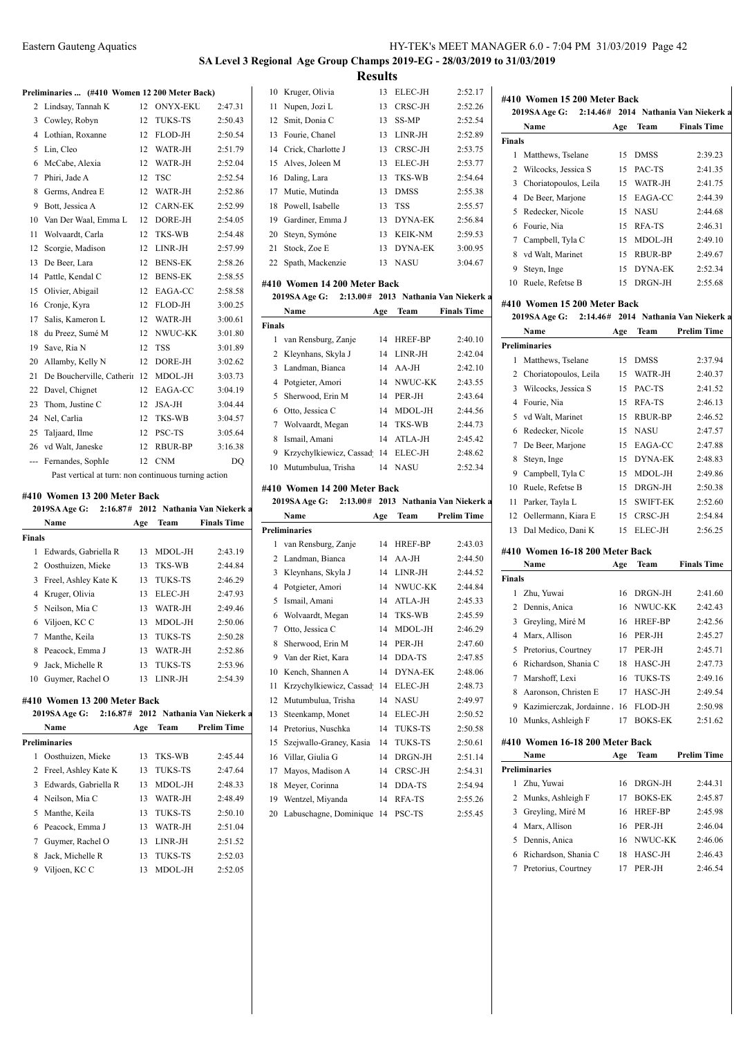# **SA Level 3 Regional Age Group Champs 2019-EG - 28/03/2019 to 31/03/2019 Results**

#### **Preliminaries ... (#410 Women 12 200 Meter Back)**

|     | Temmatics $(\pi + 10$ women 12.200 week back) |    |                 |         |
|-----|-----------------------------------------------|----|-----------------|---------|
| 2   | Lindsay, Tannah K                             | 12 | <b>ONYX-EKU</b> | 2:47.31 |
| 3   | Cowley, Robyn                                 | 12 | TUKS-TS         | 2:50.43 |
| 4   | Lothian, Roxanne                              | 12 | FLOD-JH         | 2:50.54 |
| 5   | Lin, Cleo                                     | 12 | WATR-JH         | 2:51.79 |
| 6   | McCabe, Alexia                                | 12 | WATR-JH         | 2:52.04 |
| 7   | Phiri, Jade A                                 | 12 | <b>TSC</b>      | 2:52.54 |
| 8   | Germs, Andrea E                               | 12 | WATR-JH         | 2:52.86 |
| 9   | Bott, Jessica A                               | 12 | <b>CARN-EK</b>  | 2:52.99 |
| 10  | Van Der Waal, Emma L                          | 12 | DORE-JH         | 2:54.05 |
| 11  | Wolvaardt, Carla                              | 12 | TKS-WB          | 2:54.48 |
| 12  | Scorgie, Madison                              | 12 | LINR-JH         | 2:57.99 |
| 13  | De Beer, Lara                                 | 12 | <b>BENS-EK</b>  | 2:58.26 |
| 14  | Pattle, Kendal C                              | 12 | <b>BENS-EK</b>  | 2:58.55 |
| 15  | Olivier, Abigail                              | 12 | EAGA-CC         | 2:58.58 |
| 16  | Cronje, Kyra                                  | 12 | FLOD-JH         | 3:00.25 |
| 17  | Salis, Kameron L                              | 12 | WATR-JH         | 3:00.61 |
| 18  | du Preez, Sumé M                              | 12 | NWUC-KK         | 3:01.80 |
| 19  | Save, Ria N                                   | 12 | <b>TSS</b>      | 3:01.89 |
| 20  | Allamby, Kelly N                              | 12 | DORE-JH         | 3:02.62 |
| 21  | De Boucherville, Catherir                     | 12 | MDOL-JH         | 3:03.73 |
| 22  | Davel, Chignet                                | 12 | EAGA-CC         | 3:04.19 |
| 23  | Thom, Justine C                               | 12 | $JSA-JH$        | 3:04.44 |
| 24  | Nel, Carlia                                   | 12 | TKS-WB          | 3:04.57 |
| 25  | Taljaard, Ilme                                | 12 | PSC-TS          | 3:05.64 |
| 26  | vd Walt, Janeske                              | 12 | RBUR-BP         | 3:16.38 |
| --- | Fernandes, SophIe                             | 12 | <b>CNM</b>      | DQ      |
|     |                                               |    |                 |         |

Past vertical at turn: non continuous turning action

#### **#410 Women 13 200 Meter Back**

|        | 2019SA Age G:        |     |                | 2:16.87# 2012 Nathania Van Niekerk a |
|--------|----------------------|-----|----------------|--------------------------------------|
|        | Name                 | Age | Team           | <b>Finals Time</b>                   |
| Finals |                      |     |                |                                      |
| 1      | Edwards, Gabriella R | 13  | MDOL-JH        | 2:43.19                              |
|        | 2 Oosthuizen, Mieke  | 13  | <b>TKS-WB</b>  | 2:44.84                              |
| 3      | Freel, Ashley Kate K | 13  | <b>TUKS-TS</b> | 2:46.29                              |
| 4      | Kruger, Olivia       | 13  | ELEC-JH        | 2:47.93                              |
| 5      | Neilson, Mia C       | 13  | WATR-JH        | 2:49.46                              |
| 6      | Viljoen, KC C        | 13  | MDOL-JH        | 2:50.06                              |
| 7      | Manthe, Keila        | 13  | <b>TUKS-TS</b> | 2:50.28                              |
| 8      | Peacock, Emma J      | 13  | WATR-JH        | 2:52.86                              |
| 9      | Jack, Michelle R     | 13  | <b>TUKS-TS</b> | 2:53.96                              |
| 10     | Guymer, Rachel O     | 13  | LINR-JH        | 2:54.39                              |
|        |                      |     |                |                                      |

#### **#410 Women 13 200 Meter Back**

|   | 2019SA Age G:          |     |                | 2:16.87# 2012 Nathania Van Niekerk a | 13 |
|---|------------------------|-----|----------------|--------------------------------------|----|
|   | Name                   | Age | Team           | <b>Prelim Time</b>                   | 14 |
|   | Preliminaries          |     |                |                                      | 15 |
| 1 | Oosthuizen, Mieke      | 13  | <b>TKS-WB</b>  | 2:45.44                              | 16 |
|   | 2 Freel, Ashley Kate K | 13  | <b>TUKS-TS</b> | 2:47.64                              | 17 |
| 3 | Edwards, Gabriella R   | 13  | MDOL-JH        | 2:48.33                              |    |
|   | 4 Neilson, Mia C       | 13  | WATR-JH        | 2:48.49                              |    |
| 5 | Manthe, Keila          | 13  | <b>TUKS-TS</b> | 2:50.10                              | 20 |
| 6 | Peacock, Emma J        | 13  | WATR-JH        | 2:51.04                              |    |
| 7 | Guymer, Rachel O       | 13  | LINR-JH        | 2:51.52                              |    |
| 8 | Jack, Michelle R       | 13  | <b>TUKS-TS</b> | 2:52.03                              |    |
| 9 | Viljoen, KC C          | 13  | MDOL-JH        | 2:52.05                              |    |

|    | 10 Kruger, Olivia     | 13. | ELEC-JH        | 2:52.17 |
|----|-----------------------|-----|----------------|---------|
|    | 11 Nupen, Jozi L      | 13  | CRSC-JH        | 2:52.26 |
|    | 12 Smit, Donia C      | 13. | <b>SS-MP</b>   | 2:52.54 |
| 13 | Fourie, Chanel        | 13  | LINR-JH        | 2:52.89 |
|    | 14 Crick, Charlotte J | 13  | CRSC-JH        | 2:53.75 |
|    | 15 Alves, Joleen M    | 13  | ELEC-JH        | 2:53.77 |
|    | 16 Daling, Lara       | 13  | TKS-WB         | 2:54.64 |
| 17 | Mutie, Mutinda        | 13  | <b>DMSS</b>    | 2:55.38 |
| 18 | Powell, Isabelle      | 13  | <b>TSS</b>     | 2:55.57 |
| 19 | Gardiner, Emma J      | 13  | <b>DYNA-EK</b> | 2:56.84 |
| 20 | Steyn, Symóne         | 13  | <b>KEIK-NM</b> | 2:59.53 |
| 21 | Stock, Zoe E          | 13  | DYNA-EK        | 3:00.95 |
| 22 | Spath, Mackenzie      | 13  | <b>NASU</b>    | 3:04.67 |

#### **#410 Women 14 200 Meter Back**

|        | 2019SA Age G:                      |     |            | 2:13.00# 2013 Nathania Van Niekerk a |
|--------|------------------------------------|-----|------------|--------------------------------------|
|        | Name                               | Age | Team       | <b>Finals Time</b>                   |
| Finals |                                    |     |            |                                      |
|        | 1 van Rensburg, Zanje              | 14  | HREF-BP    | 2:40.10                              |
|        | 2 Kleynhans, Skyla J               |     | 14 LINR-JH | 2:42.04                              |
|        | 3 Landman, Bianca                  |     | $14$ AA-JH | 2:42.10                              |
|        | 4 Potgieter, Amori                 |     | 14 NWUC-KK | 2:43.55                              |
|        | 5 Sherwood, Erin M                 | 14  | PER-JH     | 2:43.64                              |
| 6      | Otto, Jessica C                    | 14  | MDOL-JH    | 2:44.56                              |
| 7      | Wolvaardt, Megan                   | 14  | TKS-WB     | 2:44.73                              |
| 8      | Ismail, Amani                      | 14  | ATLA-JH    | 2:45.42                              |
| 9      | Krzychylkiewicz, Cassad 14 ELEC-JH |     |            | 2:48.62                              |
|        | 10 Mutumbulua, Trisha              |     | 14 NASU    | 2:52.34                              |

#### **#410 Women 14 200 Meter Back**

|  |  |  | 2019SA Age G: 2:13.00# 2013 Nathania Van Niekerk a |  |
|--|--|--|----------------------------------------------------|--|
|--|--|--|----------------------------------------------------|--|

| Name                    |    | Team                                                     | <b>Prelim Time</b> |
|-------------------------|----|----------------------------------------------------------|--------------------|
| Preliminaries           |    |                                                          |                    |
| van Rensburg, Zanje     | 14 | <b>HREF-BP</b>                                           | 2:43.03            |
| Landman, Bianca         | 14 | $AA-JH$                                                  | 2:44.50            |
| Kleynhans, Skyla J      | 14 | LINR-JH                                                  | 2:44.52            |
| Potgieter, Amori        | 14 | NWUC-KK                                                  | 2:44.84            |
| Ismail, Amani           | 14 | ATLA-JH                                                  | 2:45.33            |
| Wolvaardt, Megan        | 14 | <b>TKS-WB</b>                                            | 2:45.59            |
| Otto, Jessica C         | 14 | MDOL-JH                                                  | 2:46.29            |
| Sherwood, Erin M        | 14 | PER-JH                                                   | 2:47.60            |
| Van der Riet, Kara      | 14 | DDA-TS                                                   | 2:47.85            |
| Kench, Shannen A        | 14 | DYNA-EK                                                  | 2:48.06            |
|                         | 14 | ELEC-JH                                                  | 2:48.73            |
| Mutumbulua. Trisha      | 14 | <b>NASU</b>                                              | 2:49.97            |
| Steenkamp, Monet        | 14 | ELEC-JH                                                  | 2:50.52            |
| Pretorius, Nuschka      | 14 | <b>TUKS-TS</b>                                           | 2:50.58            |
| Szejwallo-Graney, Kasia | 14 | <b>TUKS-TS</b>                                           | 2:50.61            |
| Villar, Giulia G        | 14 | DRGN-JH                                                  | 2:51.14            |
| Mayos, Madison A        | 14 | CRSC-JH                                                  | 2:54.31            |
| Meyer, Corinna          | 14 | DDA-TS                                                   | 2:54.94            |
| Wentzel, Miyanda        | 14 | RFA-TS                                                   | 2:55.26            |
|                         | 14 | PSC-TS                                                   | 2:55.45            |
|                         |    | Age<br>Krzychylkiewicz, Cassad<br>Labuschagne, Dominique |                    |

# **#410 Women 15 200 Meter Back 2019SA Age G: 2:14.46# 2014 Nathania Van Niekerk at Sa National Sa National Sa National Sa National Sa National Sa National Sa National Sa National Sa National Sa National Sa National Sa National Sa National Sa Nati**

|               | Name                    | Age | Team        | <b>Finals Time</b> |
|---------------|-------------------------|-----|-------------|--------------------|
| <b>Finals</b> |                         |     |             |                    |
| 1             | Matthews, Tselane       | 15  | <b>DMSS</b> | 2:39.23            |
|               | 2 Wilcocks, Jessica S   | 15  | PAC-TS      | 2:41.35            |
|               | 3 Choriatopoulos, Leila | 15  | WATR-JH     | 2:41.75            |
|               | 4 De Beer, Marjone      | 15. | EAGA-CC     | 2:44.39            |
|               | 5 Redecker, Nicole      | 15  | <b>NASU</b> | 2:44.68            |
| 6             | Fourie, Nia             | 15  | RFA-TS      | 2:46.31            |
| 7             | Campbell, Tyla C        | 15  | MDOL-JH     | 2:49.10            |
| 8             | vd Walt, Marinet        | 15  | RBUR-BP     | 2:49.67            |
| 9             | Steyn, Inge             | 15  | DYNA-EK     | 2:52.34            |
| 10            | Ruele, Refetse B        | 15  | DRGN-JH     | 2:55.68            |
|               |                         |     |             |                    |

#### **#410 Women 15 200 Meter Back**

|    | 2019SA Age G:         |     |                 | 2:14.46# 2014 Nathania Van Niekerk: |
|----|-----------------------|-----|-----------------|-------------------------------------|
|    | Name                  | Age | Team            | <b>Prelim Time</b>                  |
|    | Preliminaries         |     |                 |                                     |
| 1  | Matthews, Tselane     | 15  | <b>DMSS</b>     | 2:37.94                             |
| 2  | Choriatopoulos, Leila | 15  | WATR-JH         | 2:40.37                             |
| 3  | Wilcocks, Jessica S   | 15  | PAC-TS          | 2:41.52                             |
| 4  | Fourie, Nia           | 15  | RFA-TS          | 2:46.13                             |
| 5  | vd Walt, Marinet      | 15  | RBUR-BP         | 2:46.52                             |
| 6  | Redecker, Nicole      | 15  | <b>NASU</b>     | 2:47.57                             |
| 7  | De Beer, Marjone      | 15  | EAGA-CC         | 2:47.88                             |
| 8  | Steyn, Inge           | 15  | DYNA-EK         | 2:48.83                             |
| 9  | Campbell, Tyla C      | 15  | MDOL-JH         | 2:49.86                             |
| 10 | Ruele, Refetse B      | 15  | DRGN-JH         | 2:50.38                             |
| 11 | Parker, Tayla L       | 15  | <b>SWIFT-EK</b> | 2:52.60                             |
| 12 | Oellermann, Kiara E   | 15  | CRSC-JH         | 2:54.84                             |
| 13 | Dal Medico, Dani K    | 15  | ELEC-JH         | 2:56.25                             |

#### **#410 Women 16-18 200 Meter Back**

|               | Name                            | Age | Team           | <b>Finals Time</b> |
|---------------|---------------------------------|-----|----------------|--------------------|
| <b>Finals</b> |                                 |     |                |                    |
| 1             | Zhu, Yuwai                      | 16  | DRGN-JH        | 2:41.60            |
| 2             | Dennis, Anica                   | 16  | NWUC-KK        | 2:42.43            |
| 3             | Greyling, Miré M                | 16  | <b>HREF-BP</b> | 2:42.56            |
| 4             | Marx, Allison                   | 16  | PER-JH         | 2:45.27            |
| 5             | Pretorius, Courtney             | 17  | PER-JH         | 2:45.71            |
| 6             | Richardson, Shania C            | 18  | HASC-JH        | 2:47.73            |
| 7             | Marshoff, Lexi                  | 16  | <b>TUKS-TS</b> | 2:49.16            |
| 8             | Aaronson, Christen E            | 17  | HASC-JH        | 2:49.54            |
| 9             | Kazimierczak, Jordainne.        | 16  | FLOD-JH        | 2:50.98            |
| 10            | Munks, Ashleigh F               | 17  | <b>BOKS-EK</b> | 2:51.62            |
|               | #410 Women 16-18 200 Meter Back |     |                |                    |
|               | Name                            | Age | Team           | <b>Prelim Time</b> |
|               | <b>Preliminaries</b>            |     |                |                    |
| 1             | Zhu, Yuwai                      | 16  | DRGN-JH        | 2:44.31            |

| .                      |    |                |         |
|------------------------|----|----------------|---------|
| Zhu, Yuwai             | 16 | DRGN-JH        | 2:44.31 |
| 2 Munks, Ashleigh F    | 17 | <b>BOKS-EK</b> | 2:45.87 |
| 3 Greyling, Miré M     | 16 | <b>HREF-BP</b> | 2:45.98 |
| 4 Marx, Allison        | 16 | PER-JH         | 2:46.04 |
| 5 Dennis, Anica        |    | 16 NWUC-KK     | 2:46.06 |
| 6 Richardson, Shania C | 18 | HASC-JH        | 2:46.43 |
| 7 Pretorius, Courtney  |    | PER-JH         | 2:46.54 |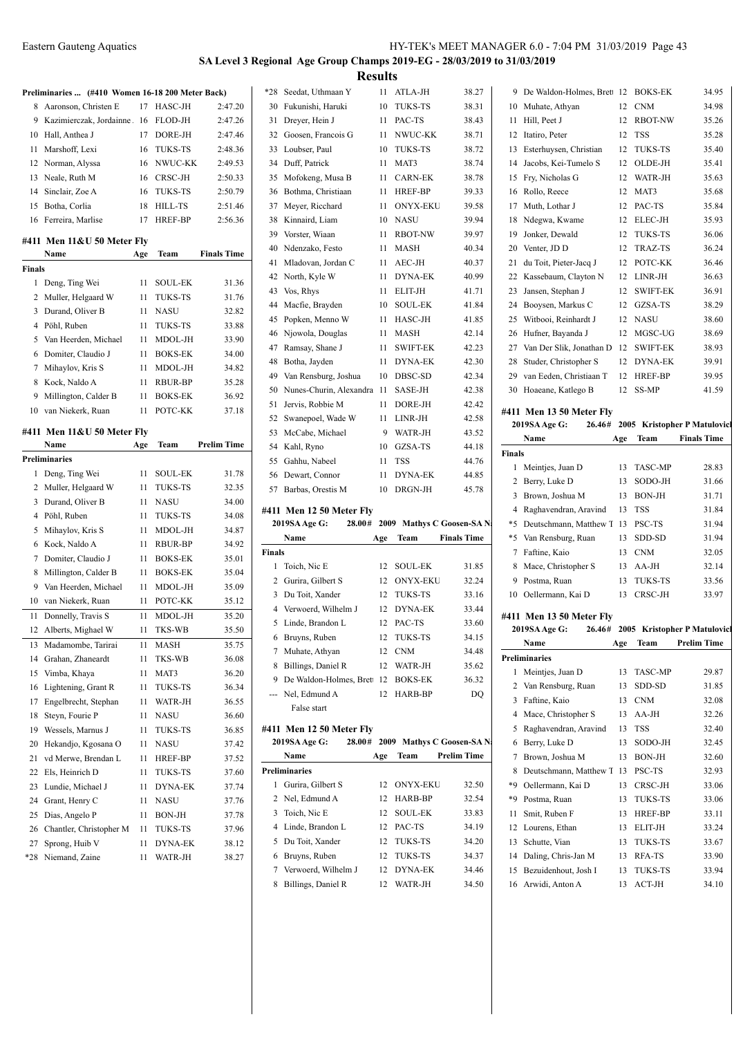9 De Waldon-Holmes, Brett 12 BOKS-EK 34.95 Muhate, Athyan 12 CNM 34.98 11 Hill, Peet J 12 RBOT-NW 35.26

## **SA Level 3 Regional Age Group Champs 2019-EG - 28/03/2019 to 31/03/2019 Results**

|        | Preliminaries  (#410 Women 16-18 200 Meter Back) |     |                |                    |
|--------|--------------------------------------------------|-----|----------------|--------------------|
| 8      | Aaronson, Christen E                             | 17  | HASC-JH        | 2:47.20            |
| 9      | Kazimierczak, Jordainne.                         | 16  | FLOD-JH        | 2:47.26            |
| 10     | Hall, Anthea J                                   | 17  | DORE-JH        | 2:47.46            |
| 11     | Marshoff, Lexi                                   | 16  | <b>TUKS-TS</b> | 2:48.36            |
| 12     | Norman, Alyssa                                   | 16  | NWUC-KK        | 2:49.53            |
| 13     | Neale, Ruth M                                    | 16  | CRSC-JH        | 2:50.33            |
|        | 14 Sinclair, Zoe A                               | 16  | <b>TUKS-TS</b> | 2:50.79            |
| 15     | Botha, Corlia                                    | 18  | HILL-TS        | 2:51.46            |
| 16     | Ferreira, Marlise                                | 17  | <b>HREF-BP</b> | 2:56.36            |
|        |                                                  |     |                |                    |
|        | #411 Men 11&U 50 Meter Fly                       |     |                |                    |
|        | Name                                             | Age | Team           | <b>Finals Time</b> |
| Finals |                                                  |     |                |                    |
| 1      | Deng, Ting Wei                                   | 11  | SOUL-EK        | 31.36              |
| 2      | Muller, Helgaard W                               | 11  | <b>TUKS-TS</b> | 31.76              |
| 3      | Durand, Oliver B                                 | 11  | <b>NASU</b>    | 32.82              |
| 4      | Pöhl, Ruben                                      | 11  | <b>TUKS-TS</b> | 33.88              |
| 5      | Van Heerden, Michael                             | 11  | MDOL-JH        | 33.90              |
| 6      | Domiter, Claudio J                               | 11  | <b>BOKS-EK</b> | 34.00              |
| 7      | Mihaylov, Kris S                                 | 11  | MDOL-JH        | 34.82              |
| 8      | Kock, Naldo A                                    | 11  | <b>RBUR-BP</b> | 35.28              |
| 9      | Millington, Calder B                             | 11  | <b>BOKS-EK</b> | 36.92              |
| 10     | van Niekerk, Ruan                                | 11  | POTC-KK        | 37.18              |
|        | #411 Men 11&U 50 Meter Fly                       |     |                |                    |
|        | Name                                             | Age | Team           | <b>Prelim Time</b> |
|        | Preliminaries                                    |     |                |                    |
| 1      | Deng, Ting Wei                                   | 11  | SOUL-EK        | 31.78              |
| 2      | Muller, Helgaard W                               | 11  | <b>TUKS-TS</b> | 32.35              |
| 3      | Durand, Oliver B                                 | 11  | <b>NASU</b>    | 34.00              |
| 4      | Pöhl, Ruben                                      | 11  | <b>TUKS-TS</b> | 34.08              |
| 5      | Mihaylov, Kris S                                 | 11  | MDOL-JH        | 34.87              |
| 6      | Kock, Naldo A                                    | 11  | RBUR-BP        | 34.92              |
| 7      | Domiter, Claudio J                               | 11  | <b>BOKS-EK</b> | 35.01              |
| 8      | Millington, Calder B                             | 11  | <b>BOKS-EK</b> | 35.04              |
| 9      | Van Heerden, Michael                             | 11  | MDOL-JH        | 35.09              |
| 10     | van Niekerk, Ruan                                | 11  | POTC-KK        | 35.12              |
| 11     | Donnelly, Travis S                               | 11  | MDOL-JH        | 35.20              |
| 12     | Alberts, Mighael W                               | 11  | <b>TKS-WB</b>  | 35.50              |
|        |                                                  |     |                |                    |
| 13     | Madamombe, Tarirai                               | 11  | MASH           | 35.75              |
| 14     | Grahan, Zhaneardt                                | 11  | TKS-WB         | 36.08              |
| 15     | Vimba, Khaya                                     | 11  | MAT3           | 36.20              |
| 16     | Lightening, Grant R                              | 11  | TUKS-TS        | 36.34              |
| 17     | Engelbrecht, Stephan                             | 11  | WATR-JH        | 36.55              |
| 18     | Steyn, Fourie P                                  | 11  | <b>NASU</b>    | 36.60              |
| 19     | Wessels, Marnus J                                | 11  | <b>TUKS-TS</b> | 36.85              |
| 20     | Hekandjo, Kgosana O                              | 11  | <b>NASU</b>    | 37.42              |
| 21     | vd Merwe, Brendan L                              | 11  | HREF-BP        | 37.52              |
| 22     | Els, Heinrich D                                  | 11  | TUKS-TS        | 37.60              |
| 23     | Lundie, Michael J                                | 11  | <b>DYNA-EK</b> | 37.74              |
| 24     | Grant, Henry C                                   | 11  | <b>NASU</b>    | 37.76              |
| 25     | Dias, Angelo P                                   | 11  | BON-JH         | 37.78              |
| 26     | Chantler, Christopher M                          | 11  | TUKS-TS        | 37.96              |
| 27     | Sprong, Huib V                                   | 11  | DYNA-EK        | 38.12              |
| *28    | Niemand, Zaine                                   | 11  | WATR-JH        | 38.27              |

| $*28$          | Seedat, Uthmaan Y                         | 11  | ATLA-JH         | 38.27                            |                | 9 I                       |
|----------------|-------------------------------------------|-----|-----------------|----------------------------------|----------------|---------------------------|
| 30             | Fukunishi, Haruki                         | 10  | <b>TUKS-TS</b>  | 38.31                            | 10 N           |                           |
| 31             | Dreyer, Hein J                            | 11  | PAC-TS          | 38.43                            | 11             | I                         |
| 32             | Goosen, Francois G                        | 11  | NWUC-KK         | 38.71                            | 12             | Ι                         |
| 33             | Loubser, Paul                             | 10  | <b>TUKS-TS</b>  | 38.72                            | 13             | F                         |
| 34             | Duff, Patrick                             | 11  | MAT3            | 38.74                            | 14             | J                         |
| 35             | Mofokeng, Musa B                          | 11  | <b>CARN-EK</b>  | 38.78                            | 15             | F                         |
| 36             | Bothma, Christiaan                        | 11  | HREF-BP         | 39.33                            | 16             | F                         |
| 37             | Meyer, Ricchard                           | 11  | <b>ONYX-EKU</b> | 39.58                            | 17             | Ŋ                         |
| 38             | Kinnaird, Liam                            | 10  | NASU            | 39.94                            | 18             | ľ                         |
| 39             | Vorster, Wiaan                            | 11  | <b>RBOT-NW</b>  | 39.97                            | 19             | J                         |
| 40             | Ndenzako, Festo                           | 11  | MASH            | 40.34                            | 20             | J                         |
| 41             | Mladovan, Jordan C                        | 11  | AEC-JH          | 40.37                            | 21             | d                         |
| 42             | North, Kyle W                             | 11  | <b>DYNA-EK</b>  | 40.99                            | 22             | ŀ                         |
| 43             | Vos, Rhys                                 | 11  | ELIT-JH         | 41.71                            | 23             | J                         |
| 44             | Macfie, Brayden                           | 10  | <b>SOUL-EK</b>  | 41.84                            | 24             | $\mathbf{F}$              |
| 45             | Popken, Menno W                           | 11  | HASC-JH         | 41.85                            | 25             | J                         |
| 46             | Njowola, Douglas                          | 11  | <b>MASH</b>     | 42.14                            | 26             | $\mathbf{I}$              |
| 47             | Ramsay, Shane J                           | 11  | <b>SWIFT-EK</b> | 42.23                            | 27             | J                         |
| 48             | Botha, Jayden                             | 11  | <b>DYNA-EK</b>  | 42.30                            | 28             | S                         |
| 49             | Van Rensburg, Joshua                      | 10  | DBSC-SD         | 42.34                            | 29             | $\overline{\mathbf{v}}$   |
| 50             | Nunes-Churin, Alexandra                   | 11  | SASE-JH         | 42.38                            | 30 H           |                           |
| 51             | Jervis, Robbie M                          | 11  | DORE-JH         | 42.42                            |                |                           |
| 52             | Swanepoel, Wade W                         | 11  | LINR-JH         | 42.58                            | #411 1<br>2019 |                           |
| 53             | McCabe, Michael                           | 9   | WATR-JH         | 43.52                            |                | ľ                         |
| 54             | Kahl, Ryno                                | 10  | GZSA-TS         | 44.18                            | <b>Finals</b>  |                           |
| 55             | Gahhu, Nabeel                             | 11  | <b>TSS</b>      | 44.76                            | 1              | Þ                         |
| 56             | Dewart, Connor                            | 11  | <b>DYNA-EK</b>  | 44.85                            | $\overline{c}$ | $\mathbf{F}$              |
|                | 57 Barbas, Orestis M                      | 10  | DRGN-JH         | 45.78                            | 3              | $\mathbf{F}$              |
|                |                                           |     |                 |                                  | $\overline{4}$ | $\boldsymbol{\mathrm{F}}$ |
|                | #411 Men 12 50 Meter Fly<br>2019SA Age G: |     |                 | 28.00# 2009 Mathys C Goosen-SA N | *5             | I                         |
|                | Name                                      | Age | Team            | <b>Finals Time</b>               | *5             | J                         |
| <b>Finals</b>  |                                           |     |                 |                                  | $\tau$         | F                         |
| $\mathbf{1}$   | Toich, Nic E                              | 12  | <b>SOUL-EK</b>  | 31.85                            | 8              | $\mathbf{A}$              |
|                | 2 Gurira, Gilbert S                       | 12  | <b>ONYX-EKU</b> | 32.24                            |                | 9 F                       |
| 3              | Du Toit, Xander                           | 12  | <b>TUKS-TS</b>  | 33.16                            | 10<            |                           |
| $\overline{4}$ | Verwoerd, Wilhelm J                       | 12  | <b>DYNA-EK</b>  | 33.44                            |                |                           |
| 5              | Linde, Brandon L                          | 12  | PAC-TS          | 33.60                            | #411 1         |                           |
|                |                                           |     | <b>TUKS-TS</b>  |                                  | 2019           |                           |
| 6              | Bruyns, Ruben                             | 12  |                 | 34.15                            |                | ľ                         |
| 7              | Muhate, Athyan                            | 12  | <b>CNM</b>      | 34.48                            |                |                           |

False start **#411 Men 12 50 Meter Fly**

**Preliminaries**

|       | 32 Goosen, Francois G               | 11  | NWUC-KK                  | 38.71                             |               | 12 Itatiro, Peter                   | 12  | TSS             | 35.28                                        |
|-------|-------------------------------------|-----|--------------------------|-----------------------------------|---------------|-------------------------------------|-----|-----------------|----------------------------------------------|
|       | 33 Loubser, Paul                    | 10  | TUKS-TS                  | 38.72                             | 13            | Esterhuysen, Christian              | 12  | <b>TUKS-TS</b>  | 35.40                                        |
|       | 34 Duff, Patrick                    | 11  | MAT3                     | 38.74                             | 14            | Jacobs, Kei-Tumelo S                | 12  | OLDE-JH         | 35.41                                        |
| 35    | Mofokeng, Musa B                    | 11  | <b>CARN-EK</b>           | 38.78                             | 15            | Fry, Nicholas G                     | 12  | WATR-JH         | 35.63                                        |
| 36    | Bothma, Christiaan                  | 11  | <b>HREF-BP</b>           | 39.33                             | 16            | Rollo, Reece                        | 12  | MAT3            | 35.68                                        |
| 37    | Meyer, Ricchard                     | 11  | <b>ONYX-EKU</b>          | 39.58                             | 17            | Muth. Lothar J                      | 12  | PAC-TS          | 35.84                                        |
| 38    | Kinnaird, Liam                      | 10  | <b>NASU</b>              | 39.94                             | 18            | Ndegwa, Kwame                       | 12  | ELEC-JH         | 35.93                                        |
| 39    | Vorster, Wiaan                      | 11  | <b>RBOT-NW</b>           | 39.97                             | 19            | Jonker, Dewald                      | 12  | <b>TUKS-TS</b>  | 36.06                                        |
| 40    | Ndenzako, Festo                     | 11  | MASH                     | 40.34                             | 20            | Venter, JD D                        | 12  | TRAZ-TS         | 36.24                                        |
| 41    | Mladovan, Jordan C                  | 11  | AEC-JH                   | 40.37                             | 21            | du Toit, Pieter-Jacq J              | 12  | POTC-KK         | 36.46                                        |
| 42    | North, Kyle W                       | 11  | DYNA-EK                  | 40.99                             | 22            | Kassebaum, Clayton N                | 12  | LINR-JH         | 36.63                                        |
| 43    | Vos, Rhys                           | 11  | ELIT-JH                  | 41.71                             | 23            | Jansen, Stephan J                   | 12  | <b>SWIFT-EK</b> | 36.91                                        |
| 44    | Macfie, Brayden                     | 10  | <b>SOUL-EK</b>           | 41.84                             | 24            | Booysen, Markus C                   | 12  | GZSA-TS         | 38.29                                        |
| 45    | Popken, Menno W                     | 11  | HASC-JH                  | 41.85                             | 25            | Witbooi, Reinhardt J                | 12  | <b>NASU</b>     | 38.60                                        |
| 46    | Njowola, Douglas                    | 11  | MASH                     | 42.14                             | 26            | Hufner, Bayanda J                   | 12  | MGSC-UG         | 38.69                                        |
| 47    | Ramsay, Shane J                     | 11  | <b>SWIFT-EK</b>          | 42.23                             | 27            | Van Der Slik, Jonathan D            | 12  | <b>SWIFT-EK</b> | 38.93                                        |
| 48    | Botha, Jayden                       | 11  | <b>DYNA-EK</b>           | 42.30                             | 28            | Studer, Christopher S               | 12  | <b>DYNA-EK</b>  | 39.91                                        |
| 49    | Van Rensburg, Joshua                | 10  | DBSC-SD                  | 42.34                             | 29            | van Eeden, Christiaan T             | 12  | HREF-BP         | 39.95                                        |
| 50    | Nunes-Churin, Alexandra 11          |     | SASE-JH                  | 42.38                             |               | 30 Hoaeane, Katlego B               |     | 12 SS-MP        | 41.59                                        |
| 51    | Jervis, Robbie M                    | 11  | DORE-JH                  | 42.42                             |               | #411 Men 13 50 Meter Fly            |     |                 |                                              |
| 52    | Swanepoel, Wade W                   | 11  | LINR-JH                  | 42.58                             |               | <b>2019SA Age G:</b>                |     |                 | 26.46# 2005 Kristopher P Matulovicl          |
| 53    | McCabe, Michael                     | 9   | WATR-JH                  | 43.52                             |               | Name                                | Age | Team            | <b>Finals Time</b>                           |
| 54    | Kahl, Ryno                          | 10  | GZSA-TS                  | 44.18                             | <b>Finals</b> |                                     |     |                 |                                              |
| 55    | Gahhu, Nabeel                       | 11  | <b>TSS</b>               | 44.76                             |               | 1 Meintjes, Juan D                  | 13  | <b>TASC-MP</b>  | 28.83                                        |
|       | 56 Dewart, Connor                   | 11  | <b>DYNA-EK</b>           | 44.85                             |               | 2 Berry, Luke D                     | 13  | SODO-JH         | 31.66                                        |
|       | 57 Barbas, Orestis M                | 10  | DRGN-JH                  | 45.78                             | 3             | Brown, Joshua M                     | 13  | <b>BON-JH</b>   | 31.71                                        |
|       | 411 Men 12 50 Meter Fly             |     |                          |                                   | 4             | Raghavendran, Aravind               | 13  | <b>TSS</b>      | 31.84                                        |
|       | 2019SA Age G:                       |     |                          | 28.00# 2009 Mathys C Goosen-SA N  | *5            | Deutschmann, Matthew T 13           |     | PSC-TS          | 31.94                                        |
|       | Name                                | Age | Team                     | <b>Finals Time</b>                | *5            | Van Rensburg, Ruan                  | 13  | SDD-SD          | 31.94                                        |
|       |                                     |     |                          |                                   | 7             | Faftine, Kaio                       | 13  | <b>CNM</b>      | 32.05                                        |
|       |                                     |     |                          |                                   |               |                                     | 13  | AA-JH           | 32.14                                        |
| inals |                                     | 12  | <b>SOUL-EK</b>           | 31.85                             | 8             |                                     |     |                 |                                              |
| 2     | 1 Toich, Nic E<br>Gurira, Gilbert S | 12  | <b>ONYX-EKU</b>          | 32.24                             | 9             | Mace, Christopher S<br>Postma, Ruan | 13  | <b>TUKS-TS</b>  | 33.56                                        |
|       |                                     | 12  | TUKS-TS                  | 33.16                             |               |                                     | 13  | CRSC-JH         |                                              |
| 4     | 3 Du Toit, Xander                   |     |                          |                                   |               | 10 Oellermann, Kai D                |     |                 | 33.97                                        |
|       | Verwoerd, Wilhelm J                 | 12  | 12 DYNA-EK               | 33.44                             |               | #411 Men 13 50 Meter Fly            |     |                 |                                              |
|       | 5 Linde, Brandon L                  | 12  | PAC-TS<br><b>TUKS-TS</b> | 33.60                             |               | <b>2019SA Age G:</b>                |     |                 |                                              |
|       | 6 Bruyns, Ruben                     |     |                          | 34.15                             |               | Name                                | Age | Team            | <b>Prelim Time</b>                           |
| 7     | Muhate, Athyan                      | 12  | <b>CNM</b>               | 34.48                             |               | <b>Preliminaries</b>                |     |                 |                                              |
|       | 8 Billings, Daniel R                | 12  | WATR-JH                  | 35.62                             |               | 1 Meintjes, Juan D                  |     | 13 TASC-MP      | 26.46# 2005 Kristopher P Matulovicl<br>29.87 |
|       | 9 De Waldon-Holmes, Bret 12 BOKS-EK |     |                          | 36.32                             | 2             | Van Rensburg, Ruan                  | 13  | SDD-SD          | 31.85                                        |
|       | --- Nel, Edmund A                   |     | 12 HARB-BP               | DQ                                |               | 3 Faftine, Kaio                     | 13  | <b>CNM</b>      | 32.08                                        |
|       | False start                         |     |                          |                                   | 4             | Mace, Christopher S                 | 13  | AA-JH           | 32.26                                        |
|       | 411 Men 12 50 Meter Fly             |     |                          |                                   | 5             | Raghavendran, Aravind               | 13  | <b>TSS</b>      | 32.40                                        |
|       | 2019SA Age G:                       |     |                          | 28.00# 2009 Mathys C Goosen-SA N: | 6             | Berry, Luke D                       | 13  | SODO-JH         | 32.45                                        |
|       | Name                                | Age | Team                     | <b>Prelim Time</b>                | 7             | Brown, Joshua M                     | 13  | BON-JH          | 32.60                                        |
|       | reliminaries                        |     |                          |                                   | 8             | Deutschmann, Matthew T 13           |     | PSC-TS          | 32.93                                        |
|       | 1 Gurira, Gilbert S                 | 12  | ONYX-EKU                 | 32.50                             | *9            | Oellermann, Kai D                   | 13  | CRSC-JH         | 33.06                                        |
|       | 2 Nel, Edmund A                     | 12  | HARB-BP                  | 32.54                             | *9            | Postma, Ruan                        | 13  | TUKS-TS         | 33.06                                        |
| 3     | Toich, Nic E                        | 12  | SOUL-EK                  | 33.83                             | 11            | Smit, Ruben F                       | 13  | HREF-BP         | 33.11                                        |
| 4     | Linde, Brandon L                    | 12  | PAC-TS                   | 34.19                             | 12            | Lourens, Ethan                      | 13  | ELIT-JH         | 33.24                                        |
| 5     | Du Toit, Xander                     | 12  | TUKS-TS                  | 34.20                             | 13            | Schutte, Vian                       | 13  | <b>TUKS-TS</b>  | 33.67                                        |
| 6     | Bruyns, Ruben                       | 12  | TUKS-TS                  | 34.37                             |               | 14 Daling, Chris-Jan M              | 13  | RFA-TS          | 33.90                                        |
| 7     | Verwoerd, Wilhelm J                 | 12  | DYNA-EK                  | 34.46                             |               | 15 Bezuidenhout, Josh I             | 13  | <b>TUKS-TS</b>  | 33.94                                        |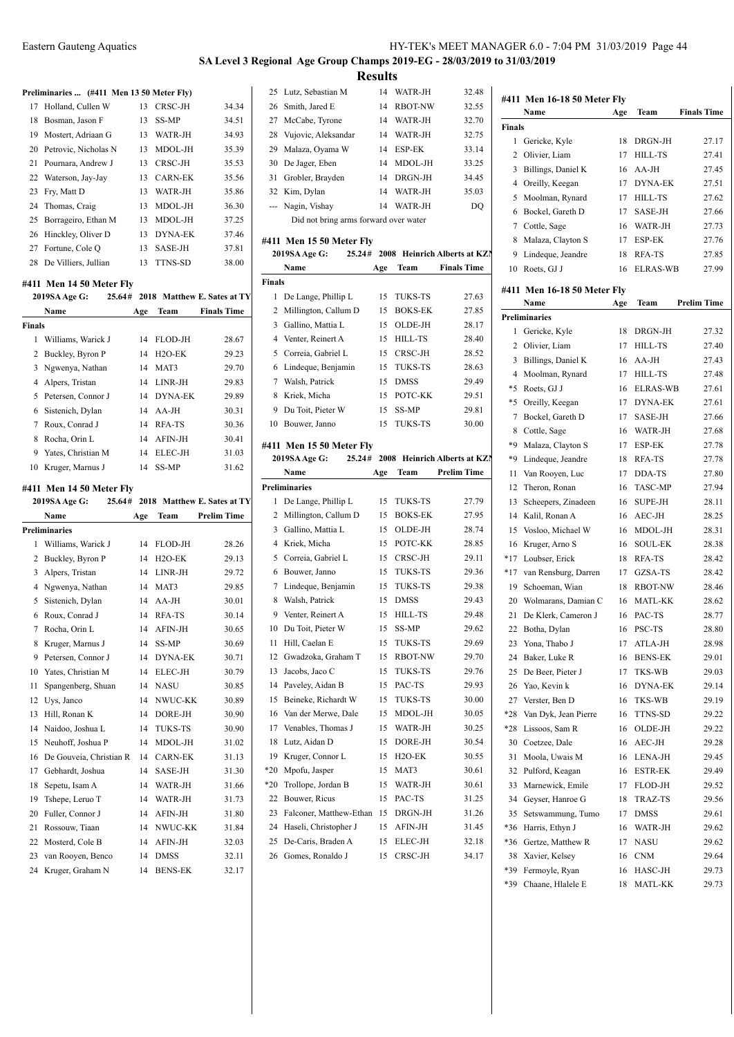# **SA Level 3 Regional Age Group Champs 2019-EG - 28/03/2019 to 31/03/2019 Results**<br>14 WATR-IH

#### **Preliminaries ... (#411 Men 13 50 Meter Fly)**

| 17 Holland, Cullen W    | 13  | CRSC-JH        | 34.34 |
|-------------------------|-----|----------------|-------|
| 18 Bosman, Jason F      | 13  | SS-MP          | 34.51 |
| 19 Mostert, Adriaan G   | 13  | WATR-JH        | 34.93 |
| 20 Petrovic, Nicholas N | 13. | MDOL-JH        | 35.39 |
| 21 Pournara, Andrew J   | 13. | CRSC-JH        | 35.53 |
| 22 Waterson, Jay-Jay    | 13. | <b>CARN-EK</b> | 35.56 |
| 23 Fry, Matt D          | 13  | WATR-JH        | 35.86 |
| 24 Thomas, Craig        | 13  | MDOL-JH        | 36.30 |
| 25 Borrageiro, Ethan M  | 13  | MDOL-JH        | 37.25 |
| 26 Hinckley, Oliver D   | 13  | <b>DYNA-EK</b> | 37.46 |
| 27 Fortune, Cole Q      | 13. | SASE-JH        | 37.81 |
| 28 De Villiers, Jullian | 13  | <b>TTNS-SD</b> | 38.00 |

#### **#411 Men 14 50 Meter Fly**

|        | 2019SA Age G:            |     |                | 25.64# 2018 Matthew E. Sates at TY | 1       | D              |
|--------|--------------------------|-----|----------------|------------------------------------|---------|----------------|
|        | Name                     | Age | Team           | <b>Finals Time</b>                 | 2       | M              |
| Finals |                          |     |                |                                    | 3       | G.             |
|        | 1 Williams, Warick J     | 14  | FLOD-JH        | 28.67                              |         | $4 \text{V}$   |
|        | 2 Buckley, Byron P       | 14  | $H2O-EK$       | 29.23                              | 5.      | $\mathbf{C}$   |
|        | 3 Ngwenya, Nathan        | 14  | MAT3           | 29.70                              | 6       | Li             |
|        | 4 Alpers, Tristan        | 14  | LINR-JH        | 29.83                              | 7       | W              |
|        | 5 Petersen, Connor J     | 14  | <b>DYNA-EK</b> | 29.89                              | 8       | K              |
|        | 6 Sistenich, Dylan       | 14  | $AA-JH$        | 30.31                              | 9       | D              |
| 7      | Roux, Conrad J           | 14  | RFA-TS         | 30.36                              | 10      | B <sub>0</sub> |
| 8      | Rocha, Orin L            | 14  | AFIN-JH        | 30.41                              | #411 N  |                |
|        | 9 Yates, Christian M     | 14  | ELEC-JH        | 31.03                              |         | 2019:          |
| 10     | Kruger, Marnus J         | 14  | SS-MP          | 31.62                              |         | N              |
|        | #411 Men 14 50 Meter Fly |     |                |                                    | Prelimi |                |
|        |                          |     |                |                                    |         |                |

|    | 2019SA Age G:<br>25.64# |     |                     | 2018 Matthew E. Sates at TY | 1     | D              |
|----|-------------------------|-----|---------------------|-----------------------------|-------|----------------|
|    | Name                    | Age | <b>Team</b>         | <b>Prelim Time</b>          | 2     | M              |
|    | Preliminaries           |     |                     |                             | 3     | G.             |
| 1  | Williams, Warick J      | 14  | FLOD-JH             | 28.26                       | 4     | K              |
| 2  | Buckley, Byron P        | 14  | H <sub>2</sub> O-EK | 29.13                       | 5     | $\mathbf{C}$   |
| 3  | Alpers, Tristan         | 14  | LINR-JH             | 29.72                       | 6     | B              |
| 4  | Ngwenya, Nathan         | 14  | MAT3                | 29.85                       | 7     | Li             |
| 5  | Sistenich, Dylan        | 14  | $AA-JH$             | 30.01                       | 8     | W              |
| 6  | Roux, Conrad J          | 14  | RFA-TS              | 30.14                       | 9     | $V_0$          |
| 7  | Rocha, Orin L           | 14  | AFIN-JH             | 30.65                       | 10    | D              |
| 8  | Kruger, Marnus J        | 14  | SS-MP               | 30.69                       | 11    | Η              |
| 9  | Petersen, Connor J      | 14  | <b>DYNA-EK</b>      | 30.71                       | 12    | G              |
| 10 | Yates, Christian M      | 14  | ELEC-JH             | 30.79                       | 13    | Ja             |
| 11 | Spangenberg, Shuan      | 14  | <b>NASU</b>         | 30.85                       | 14    | $P_{\epsilon}$ |
| 12 | Uys, Janco              | 14  | NWUC-KK             | 30.89                       | 15    | B١             |
| 13 | Hill, Ronan K           | 14  | DORE-JH             | 30.90                       | 16    | V              |
| 14 | Naidoo, Joshua L        | 14  | <b>TUKS-TS</b>      | 30.90                       | 17    | V              |
| 15 | Neuhoff, Joshua P       | 14  | MDOL-JH             | 31.02                       | 18    | L١             |
| 16 | De Gouveia, Christian R | 14  | <b>CARN-EK</b>      | 31.13                       | 19    | K              |
| 17 | Gebhardt, Joshua        | 14  | SASE-JH             | 31.30                       | $*20$ | M              |
| 18 | Sepetu, Isam A          | 14  | WATR-JH             | 31.66                       | $*20$ | Tı             |
| 19 | Tshepe, Leruo T         | 14  | WATR-JH             | 31.73                       | 22    | B              |
| 20 | Fuller, Connor J        | 14  | AFIN-JH             | 31.80                       | 23    | Fε             |
| 21 | Rossouw, Tiaan          | 14  | NWUC-KK             | 31.84                       | 24    | Н              |
| 22 | Mosterd, Cole B         | 14  | AFIN-JH             | 32.03                       | 25    | D              |
| 23 | van Rooyen, Benco       | 14  | <b>DMSS</b>         | 32.11                       | 26    | G              |
| 24 | Kruger, Graham N        | 14  | <b>BENS-EK</b>      | 32.17                       |       |                |

| 25                                                                                             | Lutz, Sebastian M                                   | 14  | WATR-JH             | 32.48                        | #411           |
|------------------------------------------------------------------------------------------------|-----------------------------------------------------|-----|---------------------|------------------------------|----------------|
|                                                                                                | 26 Smith, Jared E                                   | 14  | <b>RBOT-NW</b>      | 32.55                        |                |
| 27                                                                                             | McCabe, Tyrone                                      |     | 14 WATR-JH          | 32.70                        | Final          |
|                                                                                                | 28 Vujovic, Aleksandar                              |     | 14 WATR-JH          | 32.75                        | 1              |
|                                                                                                | 29 Malaza, Oyama W                                  |     | 14 ESP-EK           | 33.14                        | 2              |
|                                                                                                | 30 De Jager, Eben                                   |     | 14 MDOL-JH          | 33.25                        | 3              |
| 31                                                                                             | Grobler, Brayden                                    |     | 14 DRGN-JH          | 34.45                        | 4              |
|                                                                                                | 32 Kim, Dylan                                       | 14  | WATR-JH             | 35.03                        | 5              |
| $\frac{1}{2} \left( \frac{1}{2} \right) \left( \frac{1}{2} \right) \left( \frac{1}{2} \right)$ | Nagin, Vishay                                       |     | 14 WATR-JH          | DO                           | 6              |
|                                                                                                | Did not bring arms forward over water               |     |                     |                              | 7              |
|                                                                                                | #411 Men 15 50 Meter Fly                            |     |                     |                              | 8              |
|                                                                                                | 2019SA Age G:<br>25.24#                             |     |                     | 2008 Heinrich Alberts at KZN | 9              |
|                                                                                                | Name                                                | Age | Team                | <b>Finals Time</b>           | 10             |
| Finals                                                                                         |                                                     |     |                     |                              |                |
|                                                                                                | 1 De Lange, Phillip L                               | 15  | TUKS-TS             | 27.63                        | #411           |
|                                                                                                | 2 Millington, Callum D                              | 15  | <b>BOKS-EK</b>      | 27.85                        |                |
|                                                                                                | 3 Gallino, Mattia L                                 | 15  | OLDE-JH             | 28.17                        | Prelin         |
|                                                                                                | 4 Venter, Reinert A                                 | 15  | <b>HILL-TS</b>      | 28.40                        | 1              |
|                                                                                                | 5 Correia, Gabriel L                                | 15  | CRSC-JH             | 28.52                        | 2              |
|                                                                                                | 6 Lindeque, Benjamin                                | 15  | <b>TUKS-TS</b>      | 28.63                        | 3              |
|                                                                                                | 7 Walsh, Patrick                                    | 15  | <b>DMSS</b>         | 29.49                        | $\overline{4}$ |
|                                                                                                | 8 Kriek, Micha                                      | 15  | POTC-KK             | 29.51                        | *5             |
|                                                                                                | 9 Du Toit, Pieter W                                 | 15  | SS-MP               | 29.81                        | *5             |
| 10                                                                                             | Bouwer, Janno                                       | 15  | TUKS-TS             | 30.00                        | 7              |
|                                                                                                |                                                     |     |                     |                              | 8<br>*9        |
|                                                                                                | #411 Men 15 50 Meter Fly<br>25.24#<br>2019SA Age G: |     |                     | 2008 Heinrich Alberts at KZN | *9             |
|                                                                                                | Name                                                | Age | Team                | <b>Prelim Time</b>           |                |
|                                                                                                | <b>Preliminaries</b>                                |     |                     |                              | 11<br>12       |
| 1                                                                                              | De Lange, Phillip L                                 | 15  | TUKS-TS             | 27.79                        | 13             |
|                                                                                                | 2 Millington, Callum D                              | 15  | <b>BOKS-EK</b>      | 27.95                        | 14             |
| 3                                                                                              | Gallino, Mattia L                                   | 15  | OLDE-JH             | 28.74                        | 15             |
|                                                                                                | 4 Kriek, Micha                                      | 15  | POTC-KK             | 28.85                        | 16             |
| 5                                                                                              | Correia, Gabriel L                                  | 15  | CRSC-JH             | 29.11                        | $*17$          |
|                                                                                                | 6 Bouwer, Janno                                     | 15  | TUKS-TS             | 29.36                        | *17            |
|                                                                                                | 7 Lindeque, Benjamin                                | 15  | TUKS-TS             | 29.38                        | 19             |
| 8                                                                                              | Walsh, Patrick                                      | 15  | <b>DMSS</b>         | 29.43                        | 20             |
|                                                                                                | 9 Venter, Reinert A                                 | 15  | HILL-TS             | 29.48                        | 21             |
|                                                                                                | 10 Du Toit, Pieter W                                | 15  | SS-MP               | 29.62                        | 22             |
| 11                                                                                             | Hill, Caelan E                                      | 15  | <b>TUKS-TS</b>      | 29.69                        | 23             |
| 12                                                                                             | Gwadzoka, Graham T                                  | 15  | RBOT-NW             | 29.70                        | 24             |
| 13                                                                                             | Jacobs, Jaco C                                      | 15  | TUKS-TS             | 29.76                        | 25             |
| 14                                                                                             | Paveley, Aidan B                                    | 15  | PAC-TS              | 29.93                        | 26             |
| 15                                                                                             | Beineke, Richardt W                                 | 15  | TUKS-TS             | 30.00                        | 27             |
| 16                                                                                             | Van der Merwe, Dale                                 | 15  | MDOL-JH             | 30.05                        | *28            |
| 17                                                                                             | Venables, Thomas J                                  | 15  | WATR-JH             | 30.25                        | *28            |
| 18                                                                                             | Lutz, Aidan D                                       | 15  | DORE-JH             | 30.54                        | 30             |
| 19                                                                                             | Kruger, Connor L                                    | 15  | H <sub>2</sub> O-EK | 30.55                        | 31             |
| $*20$                                                                                          | Mpofu, Jasper                                       | 15  | MAT3                | 30.61                        | 32             |
| $*20$                                                                                          | Trollope, Jordan B                                  | 15  | WATR-JH             | 30.61                        | 33             |
| 22                                                                                             | Bouwer, Ricus                                       | 15  | PAC-TS              | 31.25                        | 34             |
| 23                                                                                             | Falconer, Matthew-Ethan                             | 15  | DRGN-JH             | 31.26                        | 35             |
| 24                                                                                             | Haseli, Christopher J                               | 15  | AFIN-JH             | 31.45                        | *36            |
| 25                                                                                             | De-Caris, Braden A                                  | 15  | ELEC-JH             | 32.18                        | *36            |
| 26                                                                                             | Gomes, Ronaldo J                                    | 15  | CRSC-JH             | 34.17                        | 38             |
|                                                                                                |                                                     |     |                     |                              |                |

| #411          | Men 16-18 50 Meter Fly      |     |                 |                    |
|---------------|-----------------------------|-----|-----------------|--------------------|
|               | Name                        | Age | Team            | <b>Finals Time</b> |
| <b>Finals</b> |                             |     |                 |                    |
| 1             | Gericke, Kyle               | 18  | DRGN-JH         | 27.17              |
| 2             | Olivier, Liam               | 17  | <b>HILL-TS</b>  | 27.41              |
| 3             | Billings, Daniel K          | 16  | $AA-JH$         | 27.45              |
|               |                             |     |                 | 27.51              |
| 4             | Oreilly, Keegan             | 17  | <b>DYNA-EK</b>  |                    |
| 5             | Moolman, Rynard             | 17  | <b>HILL-TS</b>  | 27.62              |
| 6             | Bockel, Gareth D            | 17  | SASE-JH         | 27.66              |
| 7             | Cottle, Sage                | 16  | WATR-JH         | 27.73              |
| 8             | Malaza, Clayton S           | 17  | <b>ESP-EK</b>   | 27.76              |
| 9             | Lindeque, Jeandre           | 18  | <b>RFA-TS</b>   | 27.85              |
| 10            | Roets, GJ J                 | 16  | <b>ELRAS-WB</b> | 27.99              |
|               |                             |     |                 |                    |
|               | #411 Men 16-18 50 Meter Fly |     |                 |                    |
|               | Name                        | Age | Team            | Prelim Time        |
|               | Preliminaries               |     |                 |                    |
| 1             | Gericke, Kyle               | 18  | DRGN-JH         | 27.32              |
| 2             | Olivier, Liam               | 17  | HILL-TS         | 27.40              |
| 3             | Billings, Daniel K          | 16  | AA-JH           | 27.43              |
| 4             | Moolman, Rynard             | 17  | <b>HILL-TS</b>  | 27.48              |
| *5            | Roets, GJ J                 | 16  | <b>ELRAS-WB</b> | 27.61              |
| *5            | Oreilly, Keegan             | 17  | <b>DYNA-EK</b>  | 27.61              |
| 7             | Bockel, Gareth D            | 17  | SASE-JH         | 27.66              |
| 8             | Cottle, Sage                | 16  | WATR-JH         | 27.68              |
| *9            | Malaza, Clayton S           | 17  | ESP-EK          | 27.78              |
| *9            | Lindeque, Jeandre           | 18  | RFA-TS          | 27.78              |
| 11            | Van Rooyen, Luc             | 17  | DDA-TS          | 27.80              |
| 12            | Theron, Ronan               | 16  | <b>TASC-MP</b>  | 27.94              |
| 13            | Scheepers, Zinadeen         | 16  | <b>SUPE-JH</b>  | 28.11              |
| 14            | Kalil, Ronan A              |     | AEC-JH          | 28.25              |
|               |                             | 16  |                 |                    |
| 15            | Vosloo, Michael W           | 16  | MDOL-JH         | 28.31              |
| 16            | Kruger, Arno S              | 16  | <b>SOUL-EK</b>  | 28.38              |
| *17           | Loubser, Erick              | 18  | RFA-TS          | 28.42              |
| $*17$         | van Rensburg, Darren        | 17  | GZSA-TS         | 28.42              |
| 19            | Schoeman, Wian              | 18  | <b>RBOT-NW</b>  | 28.46              |
| 20            | Wolmarans, Damian C         | 16  | <b>MATL-KK</b>  | 28.62              |
| 21            | De Klerk, Cameron J         | 16  | PAC-TS          | 28.77              |
| 22            | Botha, Dylan                | 16  | PSC-TS          | 28.80              |
| 23            | Yona, Thabo J               | 17  | ATLA-JH         | 28.98              |
| 24            | Baker, Luke R               | 16  | <b>BENS-EK</b>  | 29.01              |
| 25            | De Beer, Pieter J           | 17  | TKS-WB          | 29.03              |
| 26            | Yao, Kevin k                | 16  | <b>DYNA-EK</b>  | 29.14              |
| 27            | Verster, Ben D              | 16  | TKS-WB          | 29.19              |
| *28           | Van Dyk, Jean Pierre        | 16  | TTNS-SD         | 29.22              |
| *28           | Lissoos, Sam R              | 16  | OLDE-JH         | 29.22              |
| 30            | Coetzee, Dale               | 16  | AEC-JH          | 29.28              |
| 31            | Moola, Uwais M              | 16  | LENA-JH         | 29.45              |
|               |                             |     |                 |                    |
| 32            | Pulford, Keagan             | 16  | <b>ESTR-EK</b>  | 29.49              |
| 33            | Marnewick, Emile            | 17  | FLOD-JH         | 29.52              |
| 34            | Geyser, Hanroe G            | 18  | TRAZ-TS         | 29.56              |
| 35            | Setswammung, Tumo           | 17  | <b>DMSS</b>     | 29.61              |
| *36           | Harris, Ethyn J             | 16  | WATR-JH         | 29.62              |
| *36           | Gertze, Matthew R           | 17  | NASU            | 29.62              |
| 38            | Xavier, Kelsey              | 16  | <b>CNM</b>      | 29.64              |
| *39           | Fermoyle, Ryan              | 16  | HASC-JH         | 29.73              |
| *39           | Chaane, Hlalele E           | 18  | MATL-KK         | 29.73              |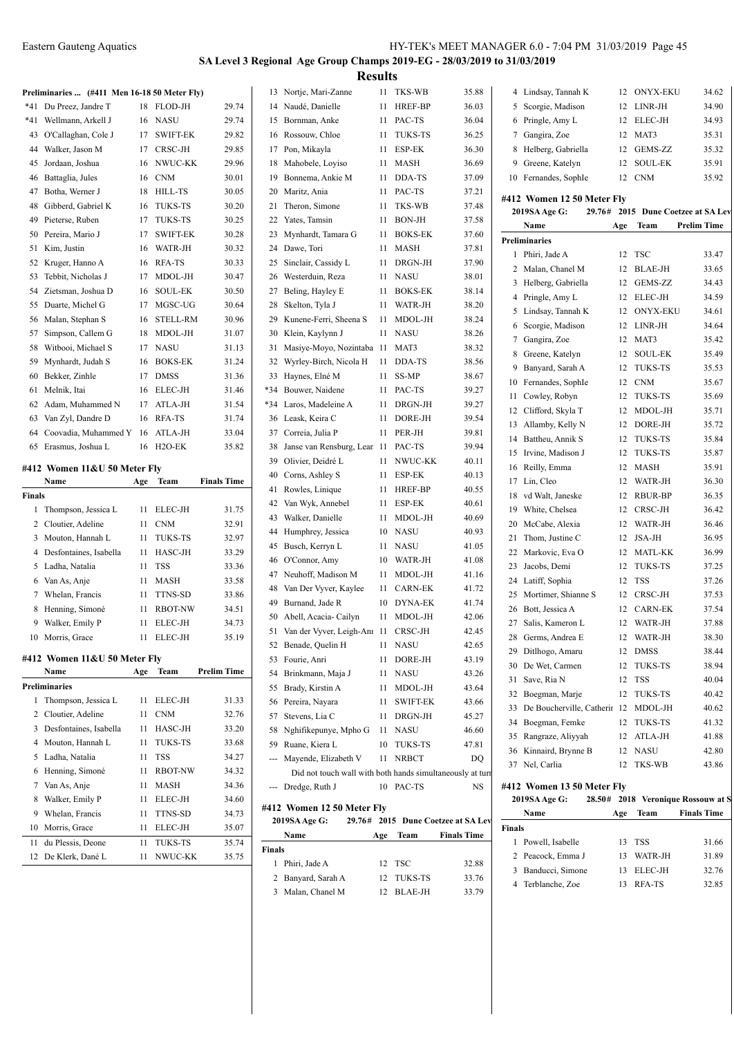# **SA Level 3 Regional Age Group Champs 2019-EG - 28/03/2019 to 31/03/2019 Results**

|        | Preliminaries  (#411 Men 16-18 50 Meter Fly) |     |                 |                    |               | 13 Nortje, Mari-Zanne                                     |     | 11 TKS-WB             | 35.88                              |        | 4 Lindsay, Tannah K          |     | 12 ONYX-EKU | 34.62                              |
|--------|----------------------------------------------|-----|-----------------|--------------------|---------------|-----------------------------------------------------------|-----|-----------------------|------------------------------------|--------|------------------------------|-----|-------------|------------------------------------|
|        | *41 Du Preez, Jandre T                       |     | 18 FLOD-JH      | 29.74              |               | 14 Naudé, Danielle                                        |     | 11 HREF-BP            | 36.03                              |        | 5 Scorgie, Madison           |     | 12 LINR-JH  | 34.90                              |
|        | *41 Wellmann, Arkell J                       |     | 16 NASU         | 29.74              |               | 15 Bornman, Anke                                          |     | 11 PAC-TS             | 36.04                              |        | 6 Pringle, Amy L             |     | 12 ELEC-JH  | 34.93                              |
|        | 43 O'Callaghan, Cole J                       |     | 17 SWIFT-EK     | 29.82              |               | 16 Rossouw, Chloe                                         |     | 11 TUKS-TS            | 36.25                              |        | 7 Gangira, Zoe               |     | 12 MAT3     | 35.31                              |
|        | 44 Walker, Jason M                           | 17  | CRSC-JH         | 29.85              |               | 17 Pon, Mikayla                                           |     | 11 ESP-EK             | 36.30                              |        | 8 Helberg, Gabriella         |     | 12 GEMS-ZZ  | 35.32                              |
|        | 45 Jordaan, Joshua                           | 16  | NWUC-KK         | 29.96              |               | 18 Mahobele, Loyiso                                       |     | 11 MASH               | 36.69                              |        | 9 Greene, Katelyn            |     | 12 SOUL-EK  | 35.91                              |
|        | 46 Battaglia, Jules                          | 16  | <b>CNM</b>      | 30.01              |               | 19 Bonnema, Ankie M                                       |     | 11 DDA-TS             | 37.09                              |        | 10 Fernandes, SophIe         |     | 12 CNM      | 35.92                              |
|        | 47 Botha, Werner J                           | 18  | <b>HILL-TS</b>  | 30.05              |               | 20 Maritz, Ania                                           |     | 11 PAC-TS             | 37.21                              |        |                              |     |             |                                    |
| 48     | Gibberd, Gabriel K                           | 16  | <b>TUKS-TS</b>  | 30.20              |               | 21 Theron, Simone                                         |     | 11 TKS-WB             | 37.48                              |        | #412 Women 12 50 Meter Fly   |     |             | 29.76# 2015 Dune Coetzee at SA Lev |
| 49     | Pieterse, Ruben                              | 17  | TUKS-TS         | 30.25              |               | 22 Yates, Tamsin                                          |     | 11 BON-JH             | 37.58                              |        | 2019SA Age G:                |     |             |                                    |
| 50     | Pereira, Mario J                             | 17  | <b>SWIFT-EK</b> | 30.28              |               | 23 Mynhardt, Tamara G                                     |     | 11 BOKS-EK            | 37.60                              |        | Name                         | Age | Team        | <b>Prelim Time</b>                 |
|        | 51 Kim, Justin                               | 16  | WATR-JH         | 30.32              |               | 24 Dawe, Tori                                             |     | 11 MASH               | 37.81                              |        | <b>Preliminaries</b>         |     |             |                                    |
|        | 52 Kruger, Hanno A                           |     | 16 RFA-TS       | 30.33              |               | 25 Sinclair, Cassidy L                                    |     | 11 DRGN-JH            | 37.90                              |        | 1 Phiri, Jade A              |     | 12 TSC      | 33.47                              |
|        | 53 Tebbit, Nicholas J                        | 17  | MDOL-JH         | 30.47              |               | 26 Westerduin, Reza                                       |     | 11 NASU               | 38.01                              |        | 2 Malan, Chanel M            |     | 12 BLAE-JH  | 33.65                              |
|        | 54 Zietsman, Joshua D                        |     | 16 SOUL-EK      | 30.50              |               | 27 Beling, Hayley E                                       |     | 11 BOKS-EK            | 38.14                              |        | 3 Helberg, Gabriella         |     | 12 GEMS-ZZ  | 34.43                              |
|        | 55 Duarte, Michel G                          |     | 17 MGSC-UG      | 30.64              |               | 28 Skelton, Tyla J                                        |     | 11 WATR-JH            | 38.20                              |        | 4 Pringle, Amy L             |     | 12 ELEC-JH  | 34.59                              |
|        | 56 Malan, Stephan S                          | 16  | <b>STELL-RM</b> | 30.96              |               | 29 Kunene-Ferri, Sheena S                                 |     | 11 MDOL-JH            | 38.24                              |        | 5 Lindsay, Tannah K          |     | 12 ONYX-EKU | 34.61                              |
|        | 57 Simpson, Callem G                         | 18  | MDOL-JH         | 31.07              |               | 30 Klein, Kaylynn J                                       |     | 11 NASU               | 38.26                              |        | 6 Scorgie, Madison           |     | 12 LINR-JH  | 34.64                              |
|        | 58 Witbooi, Michael S                        |     | 17 NASU         | 31.13              |               | 31 Masiye-Moyo, Nozintaba 11 MAT3                         |     |                       | 38.32                              |        | 7 Gangira, Zoe               |     | 12 MAT3     | 35.42                              |
|        | 59 Mynhardt, Judah S                         | 16  | <b>BOKS-EK</b>  | 31.24              |               | 32 Wyrley-Birch, Nicola H                                 |     | 11 DDA-TS             | 38.56                              |        | 8 Greene, Katelyn            |     | 12 SOUL-EK  | 35.49                              |
|        | 60 Bekker, Zinhle                            | 17  | DMSS            | 31.36              |               | 33 Haynes, Elné M                                         |     | 11 SS-MP              | 38.67                              |        | 9 Banyard, Sarah A           |     | 12 TUKS-TS  | 35.53                              |
|        | 61 Melnik, Itai                              | 16  | ELEC-JH         | 31.46              |               | *34 Bouwer, Naidene                                       |     | 11 PAC-TS             | 39.27                              |        | 10 Fernandes, SophIe         |     | 12 CNM      | 35.67                              |
|        | 62 Adam, Muhammed N                          |     | 17 ATLA-JH      | 31.54              | *34           | Laros, Madeleine A                                        |     | 11 DRGN-JH            | 39.27                              |        | 11 Cowley, Robyn             |     | 12 TUKS-TS  | 35.69                              |
| 63     | Van Zyl, Dandre D                            |     | 16 RFA-TS       | 31.74              |               | 36 Leask, Keira C                                         |     | 11 DORE-JH            | 39.54                              |        | 12 Clifford, Skyla T         |     | 12 MDOL-JH  | 35.71                              |
|        | 64 Coovadia, Muhammed Y 16 ATLA-JH           |     |                 | 33.04              |               | 37 Correia, Julia P                                       |     | 11 PER-JH             | 39.81                              |        | 13 Allamby, Kelly N          |     | 12 DORE-JH  | 35.72                              |
|        | 65 Erasmus, Joshua L                         |     | 16 H2O-EK       | 35.82              |               | 38 Janse van Rensburg, Lear 11 PAC-TS                     |     |                       | 39.94                              |        | 14 Battheu, Annik S          |     | 12 TUKS-TS  | 35.84                              |
|        |                                              |     |                 |                    | 39            | Olivier, Deidré L                                         |     | 11 NWUC-KK            | 40.11                              |        | 15 Irvine, Madison J         |     | 12 TUKS-TS  | 35.87                              |
|        | #412 Women 11&U 50 Meter Fly                 |     |                 |                    |               | 40 Corns, Ashley S                                        |     | 11 ESP-EK             | 40.13                              |        | 16 Reilly, Emma              |     | 12 MASH     | 35.91                              |
|        | Name                                         | Age | Team            | <b>Finals Time</b> |               | 41 Rowles, Linique                                        |     | 11 HREF-BP            | 40.55                              |        | 17 Lin, Cleo                 |     | 12 WATR-JH  | 36.30                              |
| Finals |                                              |     |                 |                    |               | 42 Van Wyk, Annebel                                       |     | 11 ESP-EK             | 40.61                              |        | 18 vd Walt, Janeske          |     | 12 RBUR-BP  | 36.35                              |
|        | 1 Thompson, Jessica L                        | 11  | <b>ELEC-JH</b>  | 31.75              |               | 43 Walker, Danielle                                       |     | 11 MDOL-JH            | 40.69                              |        | 19 White, Chelsea            |     | 12 CRSC-JH  | 36.42                              |
|        | 2 Cloutier, Adeline                          |     | 11 CNM          | 32.91              |               | 44 Humphrey, Jessica                                      |     | 10 NASU               | 40.93                              |        | 20 McCabe, Alexia            |     | 12 WATR-JH  | 36.46                              |
|        | 3 Mouton, Hannah L                           |     | 11 TUKS-TS      | 32.97              |               | 45 Busch, Kerryn L                                        |     | 11 NASU               | 41.05                              |        | 21 Thom, Justine C           |     | 12 JSA-JH   | 36.95                              |
|        | 4 Desfontaines, Isabella                     |     | 11 HASC-JH      | 33.29              |               | 46 O'Connor, Amy                                          |     | 10 WATR-JH            | 41.08                              |        | 22 Markovic, Eva O           |     | 12 MATL-KK  | 36.99                              |
|        | 5 Ladha, Natalia                             |     | 11 TSS          | 33.36              |               | 47 Neuhoff, Madison M                                     |     | 11 MDOL-JH            | 41.16                              |        | 23 Jacobs, Demi              |     | 12 TUKS-TS  | 37.25                              |
|        | 6 Van As, Anje                               |     | 11 MASH         | 33.58              |               | 48 Van Der Vyver, Kaylee                                  |     | 11 CARN-EK            | 41.72                              |        | 24 Latiff, Sophia            |     | 12 TSS      | 37.26                              |
|        | 7 Whelan, Francis                            |     | 11 TTNS-SD      | 33.86              |               | 49 Burnand, Jade R                                        |     | 10 DYNA-EK            | 41.74                              |        | 25 Mortimer, Shianne S       |     | 12 CRSC-JH  | 37.53                              |
|        | 8 Henning, Simoné                            | 11  | <b>RBOT-NW</b>  | 34.51              |               |                                                           |     | 11 MDOL-JH            | 42.06                              |        | 26 Bott, Jessica A           |     | 12 CARN-EK  | 37.54                              |
|        | 9 Walker, Emily P                            |     | 11 ELEC-JH      | 34.73              |               | 50 Abell, Acacia- Cailyn                                  |     |                       | 42.45                              |        | 27 Salis, Kameron L          |     | 12 WATR-JH  | 37.88                              |
|        | 10 Morris, Grace                             |     | 11 ELEC-JH      | 35.19              |               | 51 Van der Vyver, Leigh-Anı 11 CRSC-JH                    |     |                       |                                    |        | 28 Germs, Andrea E           | 12  | WATR-JH     | 38.30                              |
|        |                                              |     |                 |                    |               | 52 Benade, Quelin H                                       |     | 11 NASU<br>11 DORE-JH | 42.65                              |        | 29 Ditlhogo, Amaru           |     | 12 DMSS     | 38.44                              |
|        | #412 Women $11\&U 50$ Meter Fly<br>Name      |     | Age Team        | <b>Prelim Time</b> |               | 53 Fourie, Anri                                           |     |                       | 43.19                              |        | 30 De Wet, Carmen            |     | 12 TUKS-TS  | 38.94                              |
|        | Preliminaries                                |     |                 |                    |               | 54 Brinkmann, Maja J                                      |     | 11 NASU               | 43.26                              |        | 31 Save, Ria N               |     | 12 TSS      | 40.04                              |
|        |                                              |     | 11 ELEC-JH      |                    |               | 55 Brady, Kirstin A                                       |     | 11 MDOL-JH            | 43.64                              |        | 32 Boegman, Marje            |     | 12 TUKS-TS  | 40.42                              |
|        | 1 Thompson, Jessica L                        |     |                 | 31.33              |               | 56 Pereira, Nayara                                        |     | 11 SWIFT-EK           | 43.66                              |        | 33 De Boucherville, Catherir |     | 12 MDOL-JH  | 40.62                              |
|        | 2 Cloutier, Adeline                          |     | $11$ CNM        | 32.76              |               | 57 Stevens, Lia C                                         |     | 11 DRGN-JH            | 45.27                              |        | 34 Boegman, Femke            |     | 12 TUKS-TS  | 41.32                              |
|        | 3 Desfontaines, Isabella                     |     | 11 HASC-JH      | 33.20              |               | 58 Nghifikepunye, Mpho G                                  |     | 11 NASU               | 46.60                              |        | 35 Rangraze, Aliyyah         |     | 12 ATLA-JH  | 41.88                              |
|        | 4 Mouton, Hannah L                           |     | 11 TUKS-TS      | 33.68              |               | 59 Ruane, Kiera L                                         |     | 10 TUKS-TS            | 47.81                              |        | 36 Kinnaird, Brynne B        |     | 12 NASU     | 42.80                              |
|        | 5 Ladha, Natalia                             |     | 11 TSS          | 34.27              |               | --- Mayende, Elizabeth V                                  |     | 11 NRBCT              | DQ                                 |        | 37 Nel, Carlia               |     | 12 TKS-WB   | 43.86                              |
|        | 6 Henning, Simoné                            |     | 11 RBOT-NW      | 34.32              |               | Did not touch wall with both hands simultaneously at turn |     |                       |                                    |        |                              |     |             |                                    |
|        | 7 Van As, Anje                               | 11  | MASH            | 34.36              |               | --- Dredge, Ruth J                                        |     | 10 PAC-TS             | NS                                 |        | #412 Women 13 50 Meter Fly   |     |             |                                    |
|        | 8 Walker, Emily P                            | 11  | ELEC-JH         | 34.60              |               | #412 Women 12 50 Meter Fly                                |     |                       |                                    |        | 2019SA Age G:                |     |             | 28.50# 2018 Veronique Rossouw at S |
|        | 9 Whelan, Francis                            |     | 11 TTNS-SD      | 34.73              |               | 2019SA Age G:                                             |     |                       | 29.76# 2015 Dune Coetzee at SA Lev |        | Name                         |     | Age Team    | <b>Finals Time</b>                 |
|        | 10 Morris, Grace                             |     | 11 ELEC-JH      | 35.07              |               | Name                                                      | Age | Team                  | <b>Finals Time</b>                 | Finals |                              |     |             |                                    |
|        | 11 du Plessis, Deone                         |     | 11 TUKS-TS      | 35.74              | <b>Finals</b> |                                                           |     |                       |                                    |        | 1 Powell, Isabelle           |     | 13 TSS      | 31.66                              |
|        | 12 De Klerk, Dané L                          |     | 11 NWUC-KK      | 35.75              |               | 1 Phiri, Jade A                                           |     | 12 TSC                | 32.88                              |        | 2 Peacock, Emma J            |     | 13 WATR-JH  | 31.89                              |
|        |                                              |     |                 |                    |               | 2 Banyard, Sarah A                                        |     | 12 TUKS-TS            | 33.76                              |        | 3 Banducci, Simone           |     | 13 ELEC-JH  | 32.76                              |
|        |                                              |     |                 |                    |               |                                                           |     |                       |                                    |        | 4 Terblanche, Zoe            |     | 13 RFA-TS   | 32.85                              |

Malan, Chanel M 12 BLAE-JH 33.79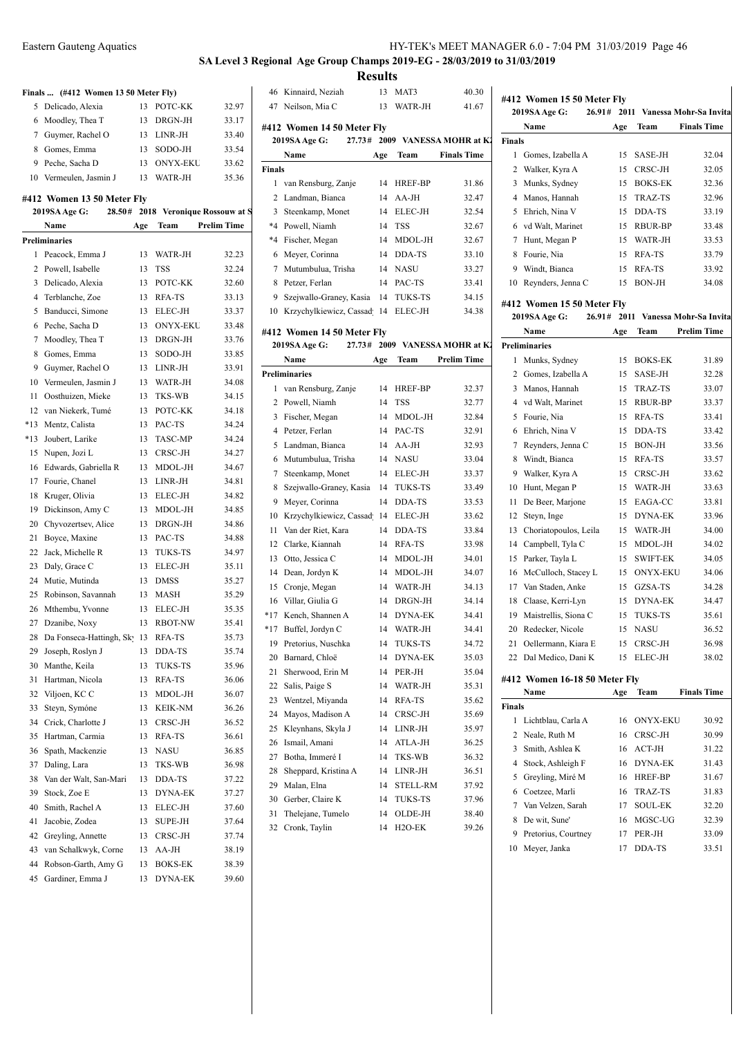| Eastern Gauteng Aquatics | HY-TEK's MEET MANAGER 6.0 - 7:04 PM 31/03/2019 Page 46 |
|--------------------------|--------------------------------------------------------|
|--------------------------|--------------------------------------------------------|

# **SA Level 3 Regional Age Group Champs 2019-EG - 28/03/2019 to 31/03/2019 Results**<br>13 MAT3

Kinnaird, Neziah 13 MAT3 40.30

### **Finals ... (#412 Women 13 50 Meter Fly)**

|   | 5 Delicado, Alexia     | 13 | POTC-KK  | 32.97 |
|---|------------------------|----|----------|-------|
|   | 6 Moodley, Thea T      | 13 | DRGN-JH  | 33.17 |
|   | 7 Guymer, Rachel O     | 13 | LINR-JH  | 33.40 |
|   | Gomes, Emma            | 13 | SODO-JH  | 33.54 |
| 9 | Peche, Sacha D         | 13 | ONYX-EKU | 33.62 |
|   | 10 Vermeulen, Jasmin J | 13 | WATR-JH  | 35.36 |
|   |                        |    |          |       |

### **#412 Women 13 50 Meter Fly**

|                | 2019SA Age G:<br>28.50#     |     |                 | 2018 Veronique Rossouw at S | 3                   |
|----------------|-----------------------------|-----|-----------------|-----------------------------|---------------------|
|                | Name                        | Age | Team            | <b>Prelim Time</b>          | $*4$                |
|                | Preliminaries               |     |                 |                             | $*4$                |
| 1              | Peacock, Emma J             | 13  | WATR-JH         | 32.23                       | 6                   |
| 2              | Powell, Isabelle            | 13  | <b>TSS</b>      | 32.24                       | 7                   |
| 3              | Delicado, Alexia            | 13  | POTC-KK         | 32.60                       | 8                   |
| $\overline{4}$ | Terblanche, Zoe             | 13  | RFA-TS          | 33.13                       | 9                   |
| 5              | Banducci, Simone            | 13  | ELEC-JH         | 33.37                       | 10                  |
| 6              | Peche, Sacha D              | 13  | <b>ONYX-EKU</b> | 33.48                       |                     |
| 7              | Moodley, Thea T             | 13  | DRGN-JH         | 33.76                       | #412<br>201         |
| 8              | Gomes, Emma                 | 13  | SODO-JH         | 33.85                       |                     |
| 9              | Guymer, Rachel O            | 13  | LINR-JH         | 33.91                       | Prelin              |
| 10             | Vermeulen, Jasmin J         | 13  | WATR-JH         | 34.08                       | 1                   |
| 11             | Oosthuizen, Mieke           | 13  | TKS-WB          | 34.15                       | 2                   |
| 12             | van Niekerk, Tumé           | 13  | POTC-KK         | 34.18                       |                     |
| $*13$          | Mentz, Calista              | 13  | PAC-TS          | 34.24                       | 3<br>$\overline{4}$ |
| $*13$          | Joubert, Larike             | 13  | <b>TASC-MP</b>  | 34.24                       |                     |
| 15             | Nupen, Jozi L               | 13  | CRSC-JH         | 34.27                       | 5                   |
| 16             | Edwards, Gabriella R        | 13  | MDOL-JH         | 34.67                       | 6                   |
| 17             | Fourie, Chanel              | 13  | LINR-JH         | 34.81                       | 7                   |
| 18             | Kruger, Olivia              | 13  | ELEC-JH         | 34.82                       | 8                   |
| 19             | Dickinson, Amy C            | 13  | MDOL-JH         | 34.85                       | 9                   |
| 20             | Chyvozertsev, Alice         | 13  | DRGN-JH         | 34.86                       | 10                  |
| 21             | Boyce, Maxine               | 13  | PAC-TS          | 34.88                       | 11                  |
| 22             | Jack, Michelle R            | 13  | <b>TUKS-TS</b>  | 34.97                       | 12                  |
| 23             | Daly, Grace C               | 13  | ELEC-JH         | 35.11                       | 13                  |
| 24             | Mutie, Mutinda              | 13  | <b>DMSS</b>     | 35.27                       | 14                  |
| 25             | Robinson, Savannah          | 13  | MASH            | 35.29                       | 15                  |
| 26             | Mthembu, Yvonne             | 13  | ELEC-JH         | 35.35                       | 16                  |
| 27             | Dzanibe, Noxy               | 13  | <b>RBOT-NW</b>  | 35.41                       | *17                 |
| 28             | Da Fonseca-Hattingh, Sky 13 |     | RFA-TS          | 35.73                       | $*17$               |
| 29             | Joseph, Roslyn J            | 13  | DDA-TS          | 35.74                       | 19                  |
| 30             | Manthe, Keila               | 13  | TUKS-TS         | 35.96                       | 20                  |
| 31             | Hartman, Nicola             | 13  | RFA-TS          | 36.06                       | 21                  |
| 32             | Viljoen, KC C               | 13  | MDOL-JH         | 36.07                       | 22                  |
| 33             | Steyn, Symóne               | 13  | KEIK-NM         | 36.26                       | 23                  |
| 34             | Crick, Charlotte J          | 13  | CRSC-JH         | 36.52                       | 24                  |
| 35             | Hartman, Carmia             | 13  | RFA-TS          | 36.61                       | 25                  |
| 36             | Spath, Mackenzie            | 13  | <b>NASU</b>     | 36.85                       | 26                  |
| 37             | Daling, Lara                | 13  | TKS-WB          | 36.98                       | 27                  |
| 38             | Van der Walt, San-Mari      | 13  | DDA-TS          | 37.22                       | 28                  |
| 39             | Stock, Zoe E                | 13  | <b>DYNA-EK</b>  | 37.27                       | 29                  |
| 40             | Smith, Rachel A             | 13  | ELEC-JH         | 37.60                       | 30                  |
| 41             | Jacobie, Zodea              | 13  | SUPE-JH         | 37.64                       | 31                  |
| 42             | Greyling, Annette           | 13  | CRSC-JH         | 37.74                       | 32                  |
| 43             | van Schalkwyk, Corne        | 13  | AA-JH           | 38.19                       |                     |
| 44             | Robson-Garth, Amy G         | 13  | <b>BOKS-EK</b>  | 38.39                       |                     |
| 45             | Gardiner, Emma J            | 13  | DYNA-EK         | 39.60                       |                     |

| 47            | Neilson, Mia C                  | 13  | WATR-JH             | 41.67                                         |                | 2019SA Age           |
|---------------|---------------------------------|-----|---------------------|-----------------------------------------------|----------------|----------------------|
|               | #412 Women 14 50 Meter Fly      |     |                     |                                               |                | Name                 |
|               | 27.73#<br>2019SA Age G:         |     |                     | 2009 VANESSA MOHR at K2                       | <b>Finals</b>  |                      |
|               | Name                            | Age | Team                | <b>Finals Time</b>                            | 1              | Gomes, Iz            |
| <b>Finals</b> |                                 |     |                     |                                               | $\overline{c}$ | Walker, K            |
| 1             | van Rensburg, Zanje             | 14  | HREF-BP             | 31.86                                         | 3              | Munks, S             |
|               | 2 Landman, Bianca               | 14  | AA-JH               | 32.47                                         | 4              | Manos, H             |
| 3             | Steenkamp, Monet                | 14  | ELEC-JH             | 32.54                                         | 5              | Ehrich, N            |
|               | *4 Powell, Niamh                | 14  | <b>TSS</b>          | 32.67                                         | 6              | vd Walt, N           |
|               | *4 Fischer, Megan               | 14  | MDOL-JH             | 32.67                                         | 7              | Hunt, Me             |
| 6             | Meyer, Corinna                  | 14  | DDA-TS              | 33.10                                         | 8              | Fourie, Ni           |
| 7             | Mutumbulua, Trisha              | 14  | <b>NASU</b>         | 33.27                                         | 9              | Windt, Bi            |
| 8             | Petzer, Ferlan                  | 14  | PAC-TS              | 33.41                                         | 10             | Reynders,            |
| 9             | Szejwallo-Graney, Kasia         | 14  | TUKS-TS             | 34.15                                         |                |                      |
| 10            | Krzychylkiewicz, Cassad 14      |     | ELEC-JH             | 34.38                                         |                | #412 Women           |
|               |                                 |     |                     |                                               |                | 2019SA Age           |
|               | #412 Women 14 50 Meter Fly      |     |                     |                                               |                | Name                 |
|               | 2019SA Age G:<br>27.73#<br>Name |     |                     | 2009 VANESSA MOHR at KJ<br><b>Prelim Time</b> |                | <b>Preliminaries</b> |
|               |                                 | Age | Team                |                                               | 1              | Munks, S             |
|               | <b>Preliminaries</b>            |     |                     |                                               | 2              | Gomes, Iz            |
| 1             | van Rensburg, Zanje             | 14  | <b>HREF-BP</b>      | 32.37                                         | 3              | Manos, H             |
|               | 2 Powell, Niamh                 | 14  | <b>TSS</b>          | 32.77                                         |                | 4 vd Walt, N         |
| 3             | Fischer, Megan                  | 14  | MDOL-JH             | 32.84                                         | 5              | Fourie, Ni           |
|               | 4 Petzer, Ferlan                | 14  | PAC-TS              | 32.91                                         | 6              | Ehrich, N            |
| 5             | Landman, Bianca                 | 14  | AA-JH               | 32.93                                         | 7              | Reynders,            |
| 6             | Mutumbulua, Trisha              | 14  | NASU                | 33.04                                         | 8              | Windt, Bi            |
| 7             | Steenkamp, Monet                | 14  | ELEC-JH             | 33.37                                         | 9              | Walker, K            |
| 8             | Szejwallo-Graney, Kasia         | 14  | TUKS-TS             | 33.49                                         | 10             | Hunt, Me             |
| 9             | Meyer, Corinna                  | 14  | DDA-TS              | 33.53                                         | 11             | De Beer, l           |
| 10            | Krzychylkiewicz, Cassad 14      |     | ELEC-JH             | 33.62                                         | 12             | Steyn, Ing           |
| 11            | Van der Riet, Kara              | 14  | DDA-TS              | 33.84                                         | 13             | Choriatop            |
| 12            | Clarke, Kiannah                 | 14  | RFA-TS              | 33.98                                         | 14             | Campbell             |
| 13            | Otto, Jessica C                 | 14  | MDOL-JH             | 34.01                                         | 15             | Parker, Ta           |
|               | 14 Dean, Jordyn K               | 14  | MDOL-JH             | 34.07                                         | 16             | McCulloc             |
| 15            | Cronje, Megan                   | 14  | WATR-JH             | 34.13                                         | 17             | Van Stade            |
|               | 16 Villar, Giulia G             | 14  | DRGN-JH             | 34.14                                         | 18             | Claase, K            |
| $*17$         | Kench, Shannen A                | 14  | <b>DYNA-EK</b>      | 34.41                                         | 19             | Maistrelli           |
| $*17$         | Buffel, Jordyn C                | 14  | WATR-JH             | 34.41                                         | 20             | Redecker,            |
| 19            | Pretorius, Nuschka              | 14  | <b>TUKS-TS</b>      | 34.72                                         | 21             | Oellerman            |
| 20            | Barnard, Chloë                  | 14  | DYNA-EK             | 35.03                                         |                | 22 Dal Medio         |
| 21            | Sherwood, Erin M                | 14  | PER-JH              | 35.04                                         |                | #412 Women           |
| 22            | Salis, Paige S                  | 14  | WATR-JH             | 35.31                                         |                | Name                 |
| 23            | Wentzel, Miyanda                | 14  | RFA-TS              | 35.62                                         | <b>Finals</b>  |                      |
| 24            | Mayos, Madison A                | 14  | CRSC-JH             | 35.69                                         | 1              | Lichtblau.           |
| 25            | Kleynhans, Skyla J              | 14  | LINR-JH             | 35.97                                         | 2              | Neale, Ru            |
| 26            | Ismail, Amani                   | 14  | ATLA-JH             | 36.25                                         | 3              | Smith, As            |
| 27            | Botha, Immeré I                 | 14  | TKS-WB              | 36.32                                         | 4              | Stock, Asl           |
| 28            | Sheppard, Kristina A            | 14  | LINR-JH             | 36.51                                         | 5              | Greyling,            |
| 29            | Malan, Elna                     | 14  | STELL-RM            | 37.92                                         | 6              | Coetzee, l           |
| 30            | Gerber, Claire K                | 14  | TUKS-TS             | 37.96                                         | 7              | Van Velze            |
| 31            | Thelejane, Tumelo               | 14  | OLDE-JH             | 38.40                                         | 8              | De wit, St           |
| 32            | Cronk, Taylin                   | 14  | H <sub>2</sub> O-EK | 39.26                                         |                |                      |

|        | #412 Women 15 50 Meter Fly            |     |                                         |                             |
|--------|---------------------------------------|-----|-----------------------------------------|-----------------------------|
|        | 26.91#<br>2019SA Age G:               |     |                                         | 2011 Vanessa Mohr-Sa Invita |
|        | Name                                  | Age | Team                                    | <b>Finals Time</b>          |
| Finals |                                       |     |                                         |                             |
| 1      | Gomes, Izabella A                     | 15  | SASE-JH                                 | 32.04                       |
|        | 2 Walker, Kyra A                      | 15  | CRSC-JH                                 | 32.05                       |
|        | 3 Munks, Sydney                       | 15  | <b>BOKS-EK</b>                          | 32.36                       |
|        | 4 Manos, Hannah                       | 15  | TRAZ-TS                                 | 32.96                       |
| 5      | Ehrich, Nina V                        | 15  | DDA-TS                                  | 33.19                       |
|        | 6 vd Walt, Marinet                    | 15  | RBUR-BP                                 | 33.48                       |
| 7      | Hunt, Megan P                         | 15  | WATR-JH                                 | 33.53                       |
| 8      | Fourie, Nia                           | 15  | RFA-TS                                  | 33.79                       |
|        | 9 Windt, Bianca                       | 15  | RFA-TS                                  | 33.92                       |
|        | 10 Reynders, Jenna C                  | 15  | BON-JH                                  | 34.08                       |
|        | #412 Women 15 50 Meter Fly            |     |                                         |                             |
|        | <b>2019SA Age G:</b><br>26.91#        |     |                                         | 2011 Vanessa Mohr-Sa Invita |
|        | Name                                  | Age | Team                                    | <b>Prelim Time</b>          |
|        | <b>Preliminaries</b>                  |     |                                         |                             |
| 1      | Munks, Sydney                         | 15  | <b>BOKS-EK</b>                          | 31.89                       |
| 2      | Gomes, Izabella A                     | 15  | SASE-JH                                 | 32.28                       |
| 3      | Manos, Hannah                         | 15  | TRAZ-TS                                 | 33.07                       |
|        | 4 vd Walt, Marinet                    | 15  | RBUR-BP                                 | 33.37                       |
| 5      | Fourie, Nia                           | 15  | RFA-TS                                  | 33.41                       |
|        | 6 Ehrich, Nina V                      | 15  | DDA-TS                                  | 33.42                       |
| 7      | Reynders, Jenna C                     | 15  | BON-JH                                  | 33.56                       |
| 8      | Windt, Bianca                         | 15  | RFA-TS                                  | 33.57                       |
| 9      | Walker, Kyra A                        | 15  | CRSC-JH                                 | 33.62                       |
|        | 10 Hunt, Megan P                      | 15  | WATR-JH                                 | 33.63                       |
| 11     | De Beer, Marjone                      | 15  | EAGA-CC                                 | 33.81                       |
| 12     | Steyn, Inge                           | 15  | DYNA-EK                                 | 33.96                       |
| 13     | Choriatopoulos, Leila                 | 15  | WATR-JH                                 | 34.00                       |
| 14     | Campbell, Tyla C                      | 15  | MDOL-JH                                 | 34.02                       |
| 15     | Parker, Tayla L                       | 15  | <b>SWIFT-EK</b>                         | 34.05                       |
|        | 16 McCulloch, Stacey L                | 15  | <b>ONYX-EKU</b>                         | 34.06                       |
|        | 17 Van Staden, Anke                   | 15  | GZSA-TS                                 | 34.28                       |
| 18     | Claase, Kerri-Lyn                     | 15  | DYNA-EK                                 | 34.47                       |
|        | 19 Maistrellis, Siona C               | 15  | TUKS-TS                                 | 35.61                       |
|        | 20 Redecker, Nicole                   | 15  | <b>NASU</b>                             | 36.52                       |
|        | 21 Oellermann, Kiara E                | 15  | CRSC-JH                                 | 36.98                       |
|        | 22 Dal Medico, Dani K                 | 15  | ELEC-JH                                 | 38.02                       |
|        |                                       |     |                                         |                             |
|        | #412 Women 16-18 50 Meter Fly<br>Name | Age | Team                                    | <b>Finals Time</b>          |
| Finals |                                       |     |                                         |                             |
|        | 1 Lichtblau, Carla A                  | 16  | ONYX-EKU                                | 30.92                       |
|        | 2 Neale, Ruth M                       |     | 16 CRSC-JH                              | 30.99                       |
|        | 3 Smith Ashlea K                      |     | $16$ $\triangle$ $CT$ <sub>-</sub> $TH$ | 3122                        |

|        | Name                | Age | <b>Team</b>     | <b>Finals Time</b> |
|--------|---------------------|-----|-----------------|--------------------|
| Finals |                     |     |                 |                    |
| 1      | Lichtblau, Carla A  | 16  | <b>ONYX-EKU</b> | 30.92              |
|        | 2 Neale, Ruth M     | 16  | CRSC-JH         | 30.99              |
| 3      | Smith, Ashlea K     |     | 16 ACT-JH       | 31.22              |
| 4      | Stock, Ashleigh F   |     | 16 DYNA-EK      | 31.43              |
|        | 5 Greyling, Miré M  | 16  | <b>HREF-BP</b>  | 31.67              |
| 6      | Coetzee, Marli      | 16  | TRAZ-TS         | 31.83              |
|        | 7 Van Velzen, Sarah | 17  | <b>SOUL-EK</b>  | 32.20              |
| 8      | De wit, Sune'       | 16  | MGSC-UG         | 32.39              |
| 9      | Pretorius, Courtney | 17  | PER-JH          | 33.09              |
| 10     | Meyer, Janka        | 17  | DDA-TS          | 33.51              |